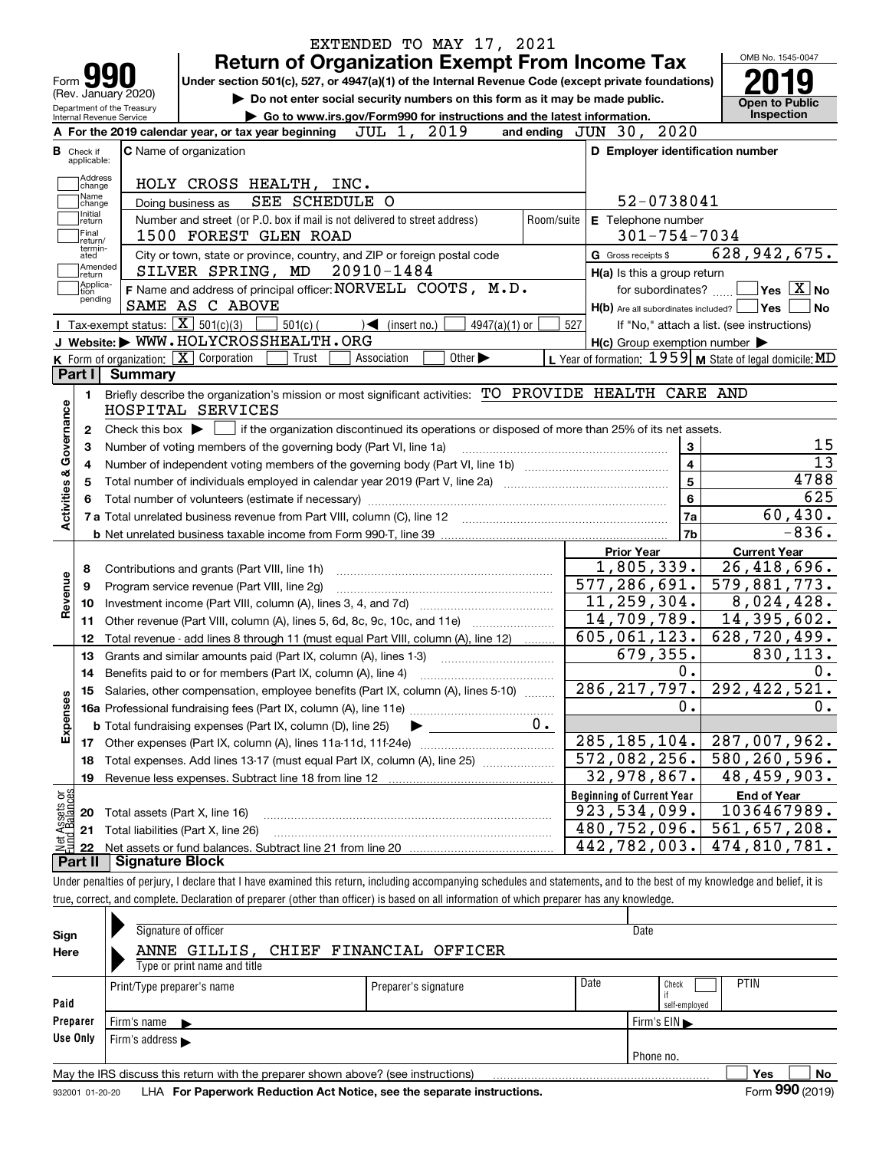| Form <b>M</b><br>(Rev. January 2020)                   | <b>Return of Organization Exempt From Income Tax</b><br>Under section 501(c), 527, or 4947(a)(1) of the Internal Revenue Code (except private foundations)<br>Do not enter social security numbers on this form as it may be made public. |            |                                                     | OMB No. 1545-0047<br><b>Open to Public</b>                |
|--------------------------------------------------------|-------------------------------------------------------------------------------------------------------------------------------------------------------------------------------------------------------------------------------------------|------------|-----------------------------------------------------|-----------------------------------------------------------|
| Department of the Treasury<br>Internal Revenue Service | Go to www.irs.gov/Form990 for instructions and the latest information.                                                                                                                                                                    |            |                                                     | <b>Inspection</b>                                         |
|                                                        | 2019<br>JUL 1,<br>A For the 2019 calendar year, or tax year beginning                                                                                                                                                                     |            | and ending JUN 30, 2020                             |                                                           |
| <b>B</b> Check if<br>applicable:                       | <b>C</b> Name of organization                                                                                                                                                                                                             |            | D Employer identification number                    |                                                           |
| Address<br>change<br>Name                              | HOLY CROSS HEALTH, INC.<br>SEE SCHEDULE O<br>Doing business as                                                                                                                                                                            |            | 52-0738041                                          |                                                           |
| change<br>Initial<br>return<br> Final                  | Number and street (or P.O. box if mail is not delivered to street address)<br>1500 FOREST GLEN ROAD                                                                                                                                       | Room/suite | E Telephone number<br>$301 - 754 - 7034$            |                                                           |
| return/<br>termin-<br>ated                             | City or town, state or province, country, and ZIP or foreign postal code                                                                                                                                                                  |            | G Gross receipts \$                                 | 628, 942, 675.                                            |
| Amended<br>∣return                                     | 20910-1484<br>SILVER SPRING, MD                                                                                                                                                                                                           |            | H(a) Is this a group return                         |                                                           |
| Applica-<br>tion                                       | F Name and address of principal officer: NORVELL COOTS, M.D.                                                                                                                                                                              |            | for subordinates?                                   | $\sqrt{}$ Yes $\sqrt{X}$ No                               |
| pending                                                | SAME AS C ABOVE                                                                                                                                                                                                                           |            | $H(b)$ Are all subordinates included? $\Box$ Yes    | l No                                                      |
|                                                        | Tax-exempt status: $\boxed{\mathbf{X}}$ 501(c)(3)<br>$501(c)$ (<br>$\blacktriangleleft$ (insert no.)<br>$4947(a)(1)$ or                                                                                                                   | 527        |                                                     | If "No," attach a list. (see instructions)                |
|                                                        | J Website: WWW.HOLYCROSSHEALTH.ORG                                                                                                                                                                                                        |            | $H(c)$ Group exemption number $\blacktriangleright$ |                                                           |
|                                                        | K Form of organization: $\boxed{\mathbf{X}}$ Corporation<br>Other $\blacktriangleright$<br>Trust<br>Association                                                                                                                           |            |                                                     | L Year of formation: $1959$ M State of legal domicile: MD |
| Part I                                                 | Summary                                                                                                                                                                                                                                   |            |                                                     |                                                           |
| 1.                                                     | Briefly describe the organization's mission or most significant activities: TO PROVIDE HEALTH CARE AND                                                                                                                                    |            |                                                     |                                                           |
| Activities & Governance                                | HOSPITAL SERVICES                                                                                                                                                                                                                         |            |                                                     |                                                           |
| 2                                                      | Check this box $\blacktriangleright$ $\Box$<br>if the organization discontinued its operations or disposed of more than 25% of its net assets.                                                                                            |            |                                                     |                                                           |
| З                                                      | Number of voting members of the governing body (Part VI, line 1a)                                                                                                                                                                         |            | 3                                                   | 15                                                        |
| 4                                                      |                                                                                                                                                                                                                                           |            | $\overline{4}$                                      | $\overline{13}$                                           |
| 5                                                      |                                                                                                                                                                                                                                           |            | $\overline{\mathbf{5}}$                             | 4788                                                      |
|                                                        |                                                                                                                                                                                                                                           |            | 6                                                   | 625                                                       |
|                                                        |                                                                                                                                                                                                                                           |            | 7a                                                  | 60,430.                                                   |
|                                                        |                                                                                                                                                                                                                                           |            | 7b                                                  | $-836.$                                                   |
|                                                        |                                                                                                                                                                                                                                           |            | <b>Prior Year</b>                                   | <b>Current Year</b>                                       |
| 8                                                      | Contributions and grants (Part VIII, line 1h)                                                                                                                                                                                             |            | 1,805,339.                                          | $\overline{26}$ , 418, 696.                               |
| Revenue<br>9                                           | Program service revenue (Part VIII, line 2g)                                                                                                                                                                                              |            | 577,286,691.                                        | 579,881,773.                                              |
| 10                                                     |                                                                                                                                                                                                                                           |            | 11,259,304.                                         | 8,024,428.                                                |
| 11                                                     | Other revenue (Part VIII, column (A), lines 5, 6d, 8c, 9c, 10c, and 11e)                                                                                                                                                                  |            | 14,709,789.                                         | 14,395,602.                                               |
| 12                                                     | Total revenue - add lines 8 through 11 (must equal Part VIII, column (A), line 12)                                                                                                                                                        |            | 605,061,123.                                        | $\overline{628}$ , 720, 499.                              |
| 13                                                     | Grants and similar amounts paid (Part IX, column (A), lines 1-3)                                                                                                                                                                          |            | 679,355.                                            | 830,113.                                                  |
| 14                                                     |                                                                                                                                                                                                                                           |            | 0.                                                  | 0.                                                        |
|                                                        | 15 Salaries, other compensation, employee benefits (Part IX, column (A), lines 5-10)                                                                                                                                                      |            | 286, 217, 797.                                      | 292, 422, 521.                                            |
|                                                        |                                                                                                                                                                                                                                           |            | 0.                                                  | $0$ .                                                     |
|                                                        | <b>b</b> Total fundraising expenses (Part IX, column (D), line 25)                                                                                                                                                                        | 0.         |                                                     |                                                           |
| Expenses                                               | Other expenses (Part IX, column (A), lines 11a-11d, 11f-24e)                                                                                                                                                                              |            | 285, 185, 104.                                      | 287,007,962.                                              |
| 17                                                     | Total expenses. Add lines 13-17 (must equal Part IX, column (A), line 25)                                                                                                                                                                 |            | 572,082,256.                                        | $\overline{580, 260, 596}$ .                              |
| 18<br>19                                               | Revenue less expenses. Subtract line 18 from line 12                                                                                                                                                                                      |            | 32,978,867.                                         | 48,459,903.                                               |
|                                                        |                                                                                                                                                                                                                                           |            | <b>Beginning of Current Year</b>                    |                                                           |
| t Assets or<br>d Balances                              |                                                                                                                                                                                                                                           |            | 923, 534, 099.                                      | <b>End of Year</b><br>1036467989.                         |
| 20                                                     | Total assets (Part X, line 16)                                                                                                                                                                                                            |            | $\overline{480}$ , 752, 096.                        | 561,657,208.                                              |
| 21                                                     | Total liabilities (Part X, line 26)                                                                                                                                                                                                       |            | 442,782,003.                                        | $\overline{474}$ , 810, 781.                              |
|                                                        |                                                                                                                                                                                                                                           |            |                                                     |                                                           |
| 혏<br>22<br>Part II                                     | <b>Signature Block</b>                                                                                                                                                                                                                    |            |                                                     |                                                           |

| Sign<br>Here | Signature of officer<br>ANNE GILLIS, CHIEF FINANCIAL OFFICER<br>Type or print name and title |                      | Date                                          |    |
|--------------|----------------------------------------------------------------------------------------------|----------------------|-----------------------------------------------|----|
| Paid         | Print/Type preparer's name                                                                   | Preparer's signature | Date<br><b>PTIN</b><br>Check<br>self-employed |    |
| Preparer     | Firm's name $\blacktriangleright$                                                            |                      | Firm's $EIN \blacktriangleright$              |    |
| Use Only     | Firm's address                                                                               |                      |                                               |    |
|              |                                                                                              |                      | Phone no.                                     |    |
|              | May the IRS discuss this return with the preparer shown above? (see instructions)            |                      | Yes                                           | No |
|              |                                                                                              |                      | $\sim$                                        |    |

932001 01-20-20 **For Paperwork Reduction Act Notice, see the separate instructions.** LHA Form (2019)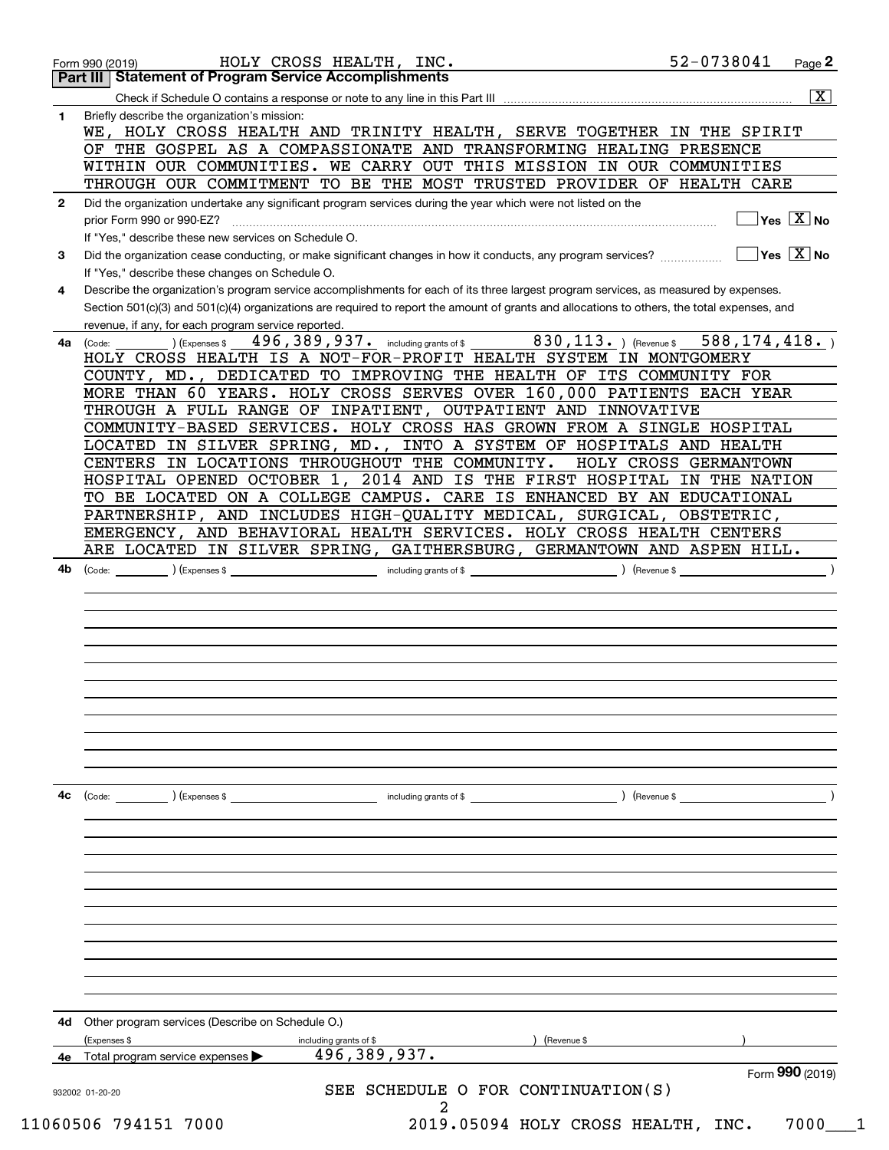|              | 52-0738041<br>HOLY CROSS HEALTH, INC.<br>$Page$ 2<br>Form 990 (2019)<br>Part III   Statement of Program Service Accomplishments                        |
|--------------|--------------------------------------------------------------------------------------------------------------------------------------------------------|
|              | $\overline{\mathbf{x}}$                                                                                                                                |
| 1.           | Briefly describe the organization's mission:                                                                                                           |
|              | WE, HOLY CROSS HEALTH AND TRINITY HEALTH, SERVE TOGETHER IN THE SPIRIT                                                                                 |
|              | OF THE GOSPEL AS A COMPASSIONATE AND TRANSFORMING HEALING PRESENCE                                                                                     |
|              | WITHIN OUR COMMUNITIES. WE CARRY OUT THIS MISSION IN OUR COMMUNITIES                                                                                   |
|              | THROUGH OUR COMMITMENT TO BE THE MOST TRUSTED PROVIDER OF HEALTH CARE                                                                                  |
|              |                                                                                                                                                        |
| $\mathbf{2}$ | Did the organization undertake any significant program services during the year which were not listed on the<br>$\sqrt{}$ Yes $\sqrt{}$ X $\sqrt{}$ No |
|              | prior Form 990 or 990-EZ?                                                                                                                              |
|              | If "Yes," describe these new services on Schedule O.                                                                                                   |
| 3            | $\overline{\mathsf{Yes} \mathrel{\hspace{0.5pt}\mathsf{X}}}$ No                                                                                        |
|              | If "Yes," describe these changes on Schedule O.                                                                                                        |
| 4            | Describe the organization's program service accomplishments for each of its three largest program services, as measured by expenses.                   |
|              | Section 501(c)(3) and 501(c)(4) organizations are required to report the amount of grants and allocations to others, the total expenses, and           |
|              | revenue, if any, for each program service reported.                                                                                                    |
| 4a           | $830, 113.$ (Revenue \$<br>$496,389,937.$ including grants of \$<br>588, 174, 418.<br>(Expenses \$<br>(Code:                                           |
|              | HOLY CROSS HEALTH IS A NOT-FOR-PROFIT HEALTH SYSTEM IN MONTGOMERY                                                                                      |
|              | COUNTY, MD., DEDICATED TO IMPROVING THE HEALTH OF ITS COMMUNITY FOR                                                                                    |
|              | MORE THAN 60 YEARS. HOLY CROSS SERVES OVER 160,000 PATIENTS EACH YEAR                                                                                  |
|              | THROUGH A FULL RANGE OF INPATIENT, OUTPATIENT AND INNOVATIVE                                                                                           |
|              | COMMUNITY-BASED SERVICES. HOLY CROSS HAS GROWN FROM A SINGLE HOSPITAL                                                                                  |
|              | LOCATED IN SILVER SPRING, MD., INTO A SYSTEM OF HOSPITALS AND HEALTH                                                                                   |
|              | CENTERS IN LOCATIONS THROUGHOUT THE COMMUNITY.<br>HOLY CROSS GERMANTOWN                                                                                |
|              | HOSPITAL OPENED OCTOBER 1, 2014 AND IS THE FIRST HOSPITAL IN THE NATION                                                                                |
|              | TO BE LOCATED ON A COLLEGE CAMPUS. CARE IS ENHANCED BY AN EDUCATIONAL                                                                                  |
|              | PARTNERSHIP, AND INCLUDES HIGH-QUALITY MEDICAL, SURGICAL, OBSTETRIC,                                                                                   |
|              | EMERGENCY, AND BEHAVIORAL HEALTH SERVICES. HOLY CROSS HEALTH CENTERS                                                                                   |
|              | ARE LOCATED IN SILVER SPRING, GAITHERSBURG, GERMANTOWN AND ASPEN HILL.                                                                                 |
|              |                                                                                                                                                        |
|              |                                                                                                                                                        |
|              |                                                                                                                                                        |
|              |                                                                                                                                                        |
|              |                                                                                                                                                        |
|              |                                                                                                                                                        |
|              |                                                                                                                                                        |
|              |                                                                                                                                                        |
| 4c           | including grants of \$<br>) (Revenue \$<br>(Code:<br>(Expenses \$                                                                                      |
|              |                                                                                                                                                        |
|              |                                                                                                                                                        |
|              |                                                                                                                                                        |
|              |                                                                                                                                                        |
|              |                                                                                                                                                        |
|              |                                                                                                                                                        |
|              |                                                                                                                                                        |
|              |                                                                                                                                                        |
|              |                                                                                                                                                        |
|              |                                                                                                                                                        |
|              |                                                                                                                                                        |
|              |                                                                                                                                                        |
|              |                                                                                                                                                        |
| 4d           | Other program services (Describe on Schedule O.)<br>(Expenses \$<br>(Revenue \$<br>including grants of \$                                              |
|              | 496, 389, 937.<br>Total program service expenses                                                                                                       |
|              | Form 990 (2019)                                                                                                                                        |
|              | SEE SCHEDULE O FOR CONTINUATION(S)<br>932002 01-20-20                                                                                                  |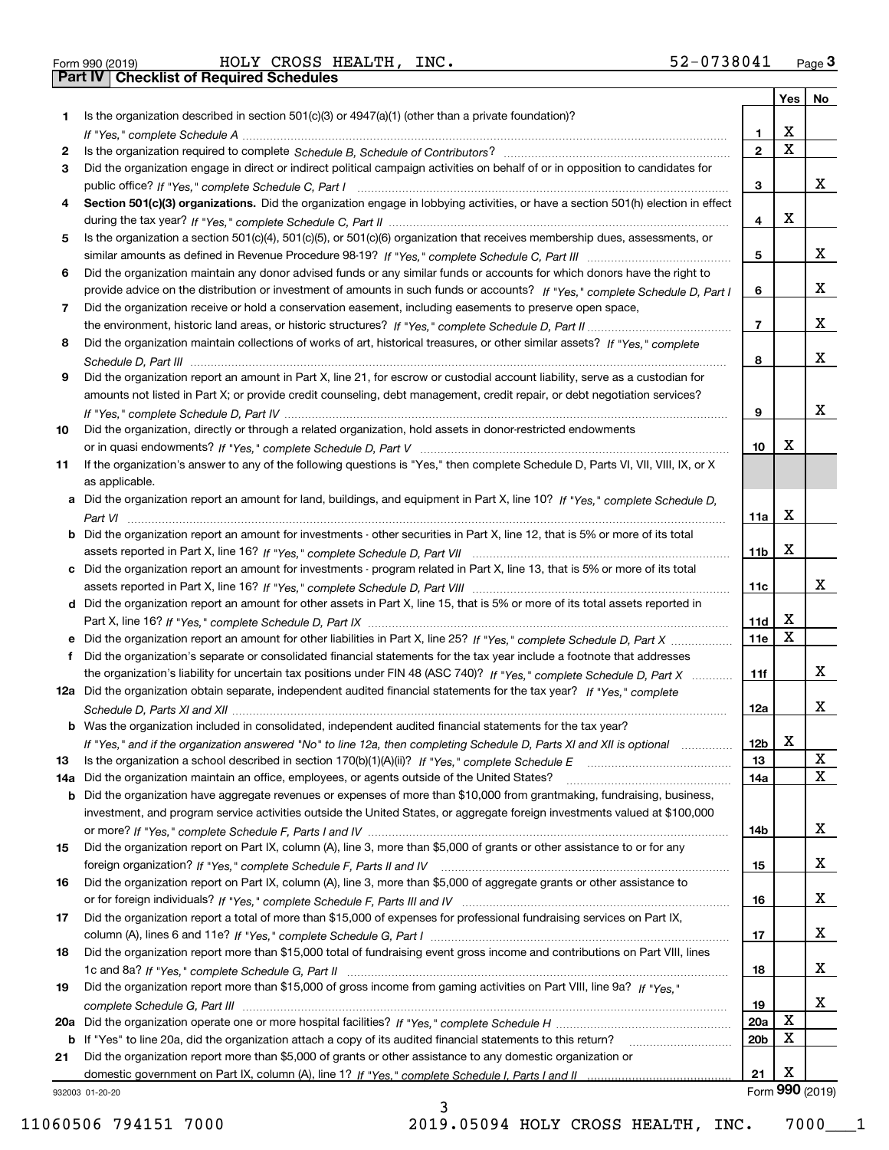Form 990 (2019) HOLY CROSS HEALTH, INC. 5 2-0 7 3 8 0 4 1 <sub>Page</sub> 3<br>**Part IV | Checklist of Required Schedules** 

|     |                                                                                                                                       |                 | Yes                     | No              |
|-----|---------------------------------------------------------------------------------------------------------------------------------------|-----------------|-------------------------|-----------------|
| 1.  | Is the organization described in section $501(c)(3)$ or $4947(a)(1)$ (other than a private foundation)?                               |                 |                         |                 |
|     |                                                                                                                                       | 1               | X                       |                 |
| 2   |                                                                                                                                       | $\overline{2}$  | $\overline{\mathbf{x}}$ |                 |
| 3   | Did the organization engage in direct or indirect political campaign activities on behalf of or in opposition to candidates for       |                 |                         |                 |
|     |                                                                                                                                       | 3               |                         | x               |
| 4   | Section 501(c)(3) organizations. Did the organization engage in lobbying activities, or have a section 501(h) election in effect      |                 | X                       |                 |
|     |                                                                                                                                       | 4               |                         |                 |
| 5   | Is the organization a section 501(c)(4), 501(c)(5), or 501(c)(6) organization that receives membership dues, assessments, or          | 5               |                         | x               |
| 6   | Did the organization maintain any donor advised funds or any similar funds or accounts for which donors have the right to             |                 |                         |                 |
|     | provide advice on the distribution or investment of amounts in such funds or accounts? If "Yes," complete Schedule D, Part I          | 6               |                         | x               |
| 7   | Did the organization receive or hold a conservation easement, including easements to preserve open space,                             |                 |                         |                 |
|     |                                                                                                                                       | $\overline{7}$  |                         | x               |
| 8   | Did the organization maintain collections of works of art, historical treasures, or other similar assets? If "Yes," complete          |                 |                         |                 |
|     |                                                                                                                                       | 8               |                         | x               |
| 9   | Did the organization report an amount in Part X, line 21, for escrow or custodial account liability, serve as a custodian for         |                 |                         |                 |
|     | amounts not listed in Part X; or provide credit counseling, debt management, credit repair, or debt negotiation services?             |                 |                         |                 |
|     |                                                                                                                                       | 9               |                         | x               |
| 10  | Did the organization, directly or through a related organization, hold assets in donor-restricted endowments                          |                 |                         |                 |
|     |                                                                                                                                       | 10              | х                       |                 |
| 11  | If the organization's answer to any of the following questions is "Yes," then complete Schedule D, Parts VI, VIII, VIII, IX, or X     |                 |                         |                 |
|     | as applicable.                                                                                                                        |                 |                         |                 |
|     | a Did the organization report an amount for land, buildings, and equipment in Part X, line 10? If "Yes." complete Schedule D.         |                 |                         |                 |
|     |                                                                                                                                       | 11a             | X                       |                 |
|     | <b>b</b> Did the organization report an amount for investments - other securities in Part X, line 12, that is 5% or more of its total |                 |                         |                 |
|     |                                                                                                                                       | 11 <sub>b</sub> | X                       |                 |
|     | c Did the organization report an amount for investments - program related in Part X, line 13, that is 5% or more of its total         |                 |                         | x               |
|     | d Did the organization report an amount for other assets in Part X, line 15, that is 5% or more of its total assets reported in       | 11c             |                         |                 |
|     |                                                                                                                                       | 11d             | х                       |                 |
|     | e Did the organization report an amount for other liabilities in Part X, line 25? If "Yes," complete Schedule D, Part X               | 11e             | $\mathbf X$             |                 |
| f   | Did the organization's separate or consolidated financial statements for the tax year include a footnote that addresses               |                 |                         |                 |
|     | the organization's liability for uncertain tax positions under FIN 48 (ASC 740)? If "Yes," complete Schedule D, Part X                | 11f             |                         | x               |
|     | 12a Did the organization obtain separate, independent audited financial statements for the tax year? If "Yes," complete               |                 |                         |                 |
|     |                                                                                                                                       | 12a             |                         | x               |
|     | <b>b</b> Was the organization included in consolidated, independent audited financial statements for the tax year?                    |                 |                         |                 |
|     | If "Yes," and if the organization answered "No" to line 12a, then completing Schedule D, Parts XI and XII is optional                 | 12 <sub>b</sub> | ▵                       |                 |
| 13  |                                                                                                                                       | 13              |                         | X               |
| 14a | Did the organization maintain an office, employees, or agents outside of the United States?                                           | 14a             |                         | $\mathbf X$     |
|     | <b>b</b> Did the organization have aggregate revenues or expenses of more than \$10,000 from grantmaking, fundraising, business,      |                 |                         |                 |
|     | investment, and program service activities outside the United States, or aggregate foreign investments valued at \$100,000            |                 |                         |                 |
|     |                                                                                                                                       | 14b             |                         | x               |
| 15  | Did the organization report on Part IX, column (A), line 3, more than \$5,000 of grants or other assistance to or for any             |                 |                         |                 |
|     |                                                                                                                                       | 15              |                         | X               |
| 16  | Did the organization report on Part IX, column (A), line 3, more than \$5,000 of aggregate grants or other assistance to              |                 |                         | X               |
|     | Did the organization report a total of more than \$15,000 of expenses for professional fundraising services on Part IX,               | 16              |                         |                 |
| 17  |                                                                                                                                       | 17              |                         | x               |
| 18  | Did the organization report more than \$15,000 total of fundraising event gross income and contributions on Part VIII, lines          |                 |                         |                 |
|     |                                                                                                                                       | 18              |                         | x               |
| 19  | Did the organization report more than \$15,000 of gross income from gaming activities on Part VIII, line 9a? If "Yes."                |                 |                         |                 |
|     |                                                                                                                                       | 19              |                         | x               |
|     |                                                                                                                                       | 20a             | X                       |                 |
|     | b If "Yes" to line 20a, did the organization attach a copy of its audited financial statements to this return?                        | 20 <sub>b</sub> | X                       |                 |
| 21  | Did the organization report more than \$5,000 of grants or other assistance to any domestic organization or                           |                 |                         |                 |
|     |                                                                                                                                       | 21              | X                       |                 |
|     | 932003 01-20-20                                                                                                                       |                 |                         | Form 990 (2019) |

932003 01-20-20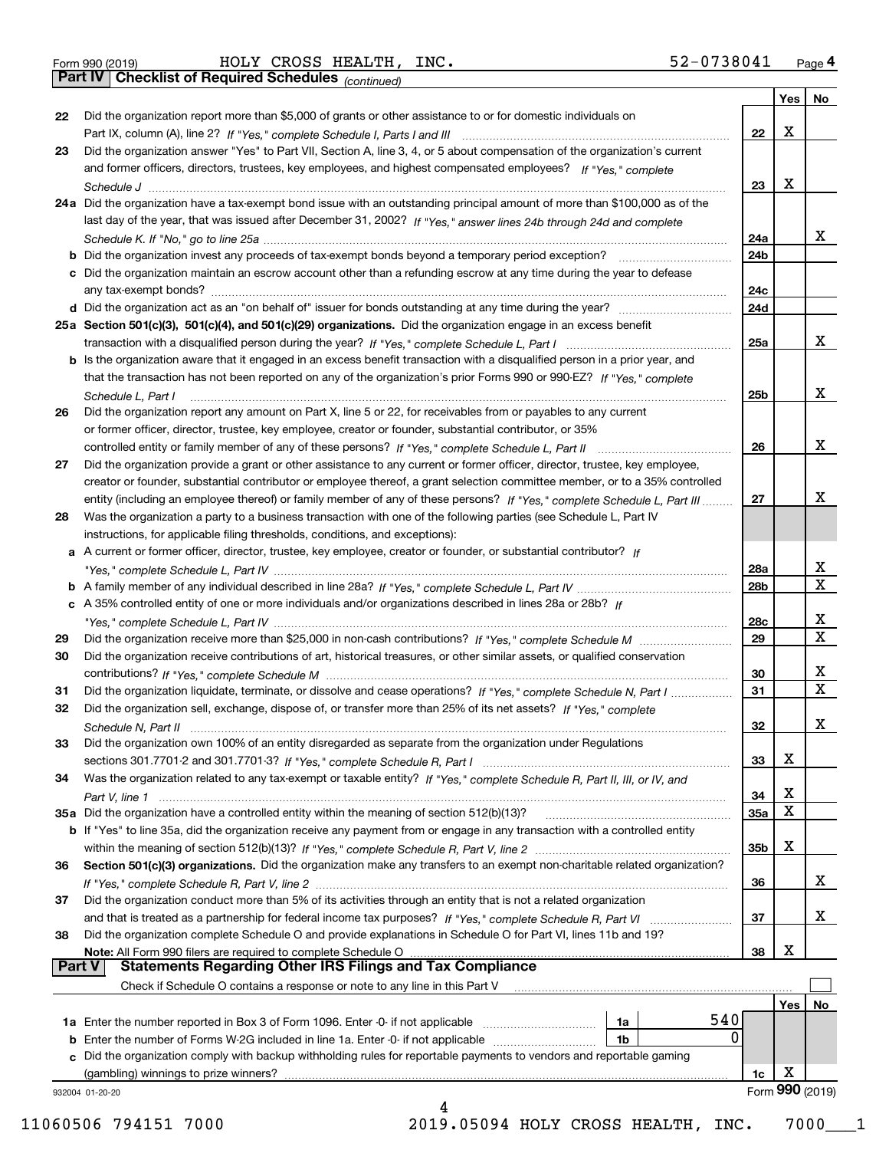*(continued)*

|    |                                                                                                                                       |            | Yes   No |                         |
|----|---------------------------------------------------------------------------------------------------------------------------------------|------------|----------|-------------------------|
| 22 | Did the organization report more than \$5,000 of grants or other assistance to or for domestic individuals on                         |            |          |                         |
|    |                                                                                                                                       | 22         | X        |                         |
| 23 | Did the organization answer "Yes" to Part VII, Section A, line 3, 4, or 5 about compensation of the organization's current            |            |          |                         |
|    | and former officers, directors, trustees, key employees, and highest compensated employees? If "Yes," complete                        |            |          |                         |
|    |                                                                                                                                       | 23         | x        |                         |
|    | 24a Did the organization have a tax-exempt bond issue with an outstanding principal amount of more than \$100,000 as of the           |            |          |                         |
|    | last day of the year, that was issued after December 31, 2002? If "Yes," answer lines 24b through 24d and complete                    |            |          |                         |
|    |                                                                                                                                       | 24a        |          | x                       |
|    |                                                                                                                                       | 24b        |          |                         |
|    | c Did the organization maintain an escrow account other than a refunding escrow at any time during the year to defease                |            |          |                         |
|    |                                                                                                                                       | 24c        |          |                         |
|    |                                                                                                                                       | 24d        |          |                         |
|    | 25a Section 501(c)(3), 501(c)(4), and 501(c)(29) organizations. Did the organization engage in an excess benefit                      |            |          |                         |
|    |                                                                                                                                       | 25a        |          | х                       |
|    | b Is the organization aware that it engaged in an excess benefit transaction with a disqualified person in a prior year, and          |            |          |                         |
|    | that the transaction has not been reported on any of the organization's prior Forms 990 or 990-EZ? If "Yes." complete                 |            |          |                         |
|    |                                                                                                                                       | 25b        |          | X                       |
| 26 | Schedule L, Part I<br>Did the organization report any amount on Part X, line 5 or 22, for receivables from or payables to any current |            |          |                         |
|    |                                                                                                                                       |            |          |                         |
|    | or former officer, director, trustee, key employee, creator or founder, substantial contributor, or 35%                               |            |          | X                       |
|    |                                                                                                                                       | 26         |          |                         |
| 27 | Did the organization provide a grant or other assistance to any current or former officer, director, trustee, key employee,           |            |          |                         |
|    | creator or founder, substantial contributor or employee thereof, a grant selection committee member, or to a 35% controlled           |            |          |                         |
|    | entity (including an employee thereof) or family member of any of these persons? If "Yes," complete Schedule L, Part III              | 27         |          | х                       |
| 28 | Was the organization a party to a business transaction with one of the following parties (see Schedule L, Part IV                     |            |          |                         |
|    | instructions, for applicable filing thresholds, conditions, and exceptions):                                                          |            |          |                         |
|    | a A current or former officer, director, trustee, key employee, creator or founder, or substantial contributor? If                    |            |          |                         |
|    |                                                                                                                                       | 28a        |          | x                       |
|    |                                                                                                                                       | 28b        |          | $\overline{\text{x}}$   |
|    | c A 35% controlled entity of one or more individuals and/or organizations described in lines 28a or 28b? If                           |            |          |                         |
|    |                                                                                                                                       | 28c        |          | х                       |
| 29 |                                                                                                                                       | 29         |          | $\overline{\mathbf{X}}$ |
| 30 | Did the organization receive contributions of art, historical treasures, or other similar assets, or qualified conservation           |            |          |                         |
|    |                                                                                                                                       | 30         |          | x                       |
| 31 | Did the organization liquidate, terminate, or dissolve and cease operations? If "Yes," complete Schedule N, Part I                    | 31         |          | $\overline{\mathbf{x}}$ |
| 32 | Did the organization sell, exchange, dispose of, or transfer more than 25% of its net assets? If "Yes," complete                      |            |          |                         |
|    |                                                                                                                                       | 32         |          | х                       |
| 33 | Did the organization own 100% of an entity disregarded as separate from the organization under Regulations                            |            |          |                         |
|    |                                                                                                                                       | 33         | х        |                         |
| 34 | Was the organization related to any tax-exempt or taxable entity? If "Yes," complete Schedule R, Part II, III, or IV, and             |            |          |                         |
|    |                                                                                                                                       | 34         | х        |                         |
|    |                                                                                                                                       |            | X        |                         |
|    |                                                                                                                                       | <b>35a</b> |          |                         |
|    | b If "Yes" to line 35a, did the organization receive any payment from or engage in any transaction with a controlled entity           |            | х        |                         |
|    |                                                                                                                                       | 35b        |          |                         |
| 36 | Section 501(c)(3) organizations. Did the organization make any transfers to an exempt non-charitable related organization?            |            |          |                         |
|    |                                                                                                                                       | 36         |          | x                       |
| 37 | Did the organization conduct more than 5% of its activities through an entity that is not a related organization                      |            |          |                         |
|    |                                                                                                                                       | 37         |          | x                       |
| 38 | Did the organization complete Schedule O and provide explanations in Schedule O for Part VI, lines 11b and 19?                        |            |          |                         |
|    | Note: All Form 990 filers are required to complete Schedule O                                                                         | 38         | х        |                         |
|    | <b>Statements Regarding Other IRS Filings and Tax Compliance</b><br><b>Part V</b>                                                     |            |          |                         |
|    | Check if Schedule O contains a response or note to any line in this Part V                                                            |            |          |                         |
|    |                                                                                                                                       |            | Yes      | No                      |
|    | 540<br>1a Enter the number reported in Box 3 of Form 1096. Enter -0- if not applicable<br>1a                                          |            |          |                         |
|    | 0<br>1 <sub>b</sub><br><b>b</b> Enter the number of Forms W-2G included in line 1a. Enter -0- if not applicable                       |            |          |                         |
|    | c Did the organization comply with backup withholding rules for reportable payments to vendors and reportable gaming                  |            |          |                         |
|    | (gambling) winnings to prize winners?                                                                                                 | 1c         | x        |                         |
|    |                                                                                                                                       |            |          | Form 990 (2019)         |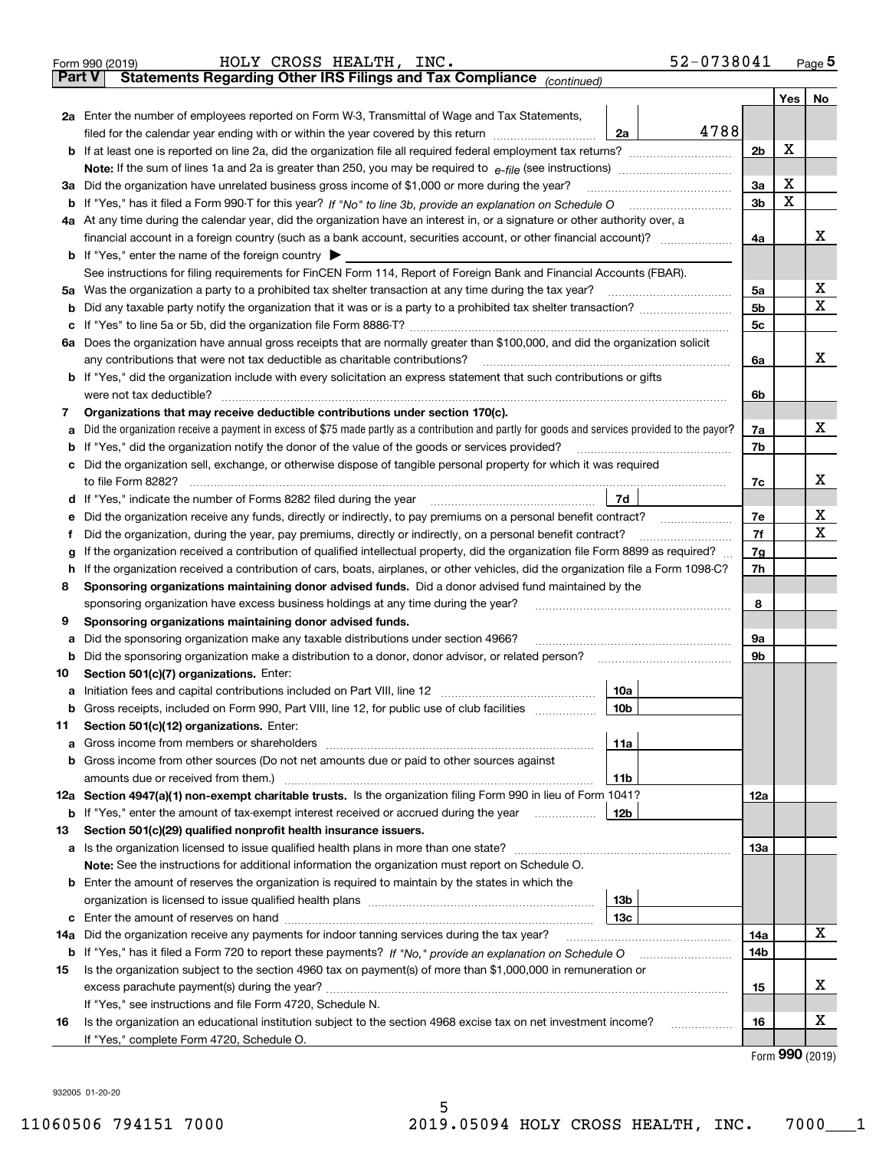| Statements Regarding Other IRS Filings and Tax Compliance (continued)<br><b>Part V</b><br>Yes   No<br>2a Enter the number of employees reported on Form W-3, Transmittal of Wage and Tax Statements,<br>4788<br>filed for the calendar year ending with or within the year covered by this return <i>manumumumum</i><br>2a<br>х<br>2 <sub>b</sub><br>х<br>3a<br>Did the organization have unrelated business gross income of \$1,000 or more during the year?<br>За<br>х<br>3 <sub>b</sub><br>b<br>4a At any time during the calendar year, did the organization have an interest in, or a signature or other authority over, a<br>x<br>4a<br><b>b</b> If "Yes," enter the name of the foreign country $\blacktriangleright$<br>See instructions for filing requirements for FinCEN Form 114, Report of Foreign Bank and Financial Accounts (FBAR).<br>х<br>5a<br>х<br>5 <sub>b</sub><br>b<br>5c<br>c<br>6a Does the organization have annual gross receipts that are normally greater than \$100,000, and did the organization solicit<br>x<br>any contributions that were not tax deductible as charitable contributions?<br>6a<br><b>b</b> If "Yes," did the organization include with every solicitation an express statement that such contributions or gifts<br>were not tax deductible?<br>6b<br>Organizations that may receive deductible contributions under section 170(c).<br>7<br>х<br>Did the organization receive a payment in excess of \$75 made partly as a contribution and partly for goods and services provided to the payor?<br>7a<br>a<br>If "Yes," did the organization notify the donor of the value of the goods or services provided?<br>7b<br>b<br>c Did the organization sell, exchange, or otherwise dispose of tangible personal property for which it was required<br>х<br>7c<br>7d<br>d If "Yes," indicate the number of Forms 8282 filed during the year [11] [11] No. 2010 [12] Henry Manuscover, 1<br>х<br>7e<br>Did the organization receive any funds, directly or indirectly, to pay premiums on a personal benefit contract?<br>е<br>x<br>7f<br>Did the organization, during the year, pay premiums, directly or indirectly, on a personal benefit contract?<br>f<br>If the organization received a contribution of qualified intellectual property, did the organization file Form 8899 as required?<br>7g<br>g<br>If the organization received a contribution of cars, boats, airplanes, or other vehicles, did the organization file a Form 1098-C?<br>7h<br>h<br>Sponsoring organizations maintaining donor advised funds. Did a donor advised fund maintained by the<br>8<br>8<br>sponsoring organization have excess business holdings at any time during the year?<br>Sponsoring organizations maintaining donor advised funds.<br>9<br>Did the sponsoring organization make any taxable distributions under section 4966?<br>9а<br>а<br>9b<br>Did the sponsoring organization make a distribution to a donor, donor advisor, or related person?<br>b<br>Section 501(c)(7) organizations. Enter:<br>10<br>10a<br>а<br> 10b <br>Gross receipts, included on Form 990, Part VIII, line 12, for public use of club facilities<br>Section 501(c)(12) organizations. Enter:<br>11<br>Gross income from members or shareholders<br>11a<br>а<br>b Gross income from other sources (Do not net amounts due or paid to other sources against<br>11b<br>12a Section 4947(a)(1) non-exempt charitable trusts. Is the organization filing Form 990 in lieu of Form 1041?<br>12a<br>12b<br>If "Yes," enter the amount of tax-exempt interest received or accrued during the year<br>b<br>Section 501(c)(29) qualified nonprofit health insurance issuers.<br>13<br>Is the organization licensed to issue qualified health plans in more than one state?<br>13a<br>a<br>Note: See the instructions for additional information the organization must report on Schedule O.<br><b>b</b> Enter the amount of reserves the organization is required to maintain by the states in which the<br>13b<br>13с<br>c<br>x<br>Did the organization receive any payments for indoor tanning services during the tax year?<br>14a<br>14a<br>If "Yes," has it filed a Form 720 to report these payments? If "No," provide an explanation on Schedule O<br>14b<br>b<br>Is the organization subject to the section 4960 tax on payment(s) of more than \$1,000,000 in remuneration or<br>15<br>X<br>15<br>If "Yes," see instructions and file Form 4720, Schedule N.<br>х<br>Is the organization an educational institution subject to the section 4968 excise tax on net investment income?<br>16<br>16<br>If "Yes," complete Form 4720, Schedule O.<br>$000 \text{ years}$ | 52-0738041<br>HOLY CROSS HEALTH, INC.<br>Form 990 (2019) |  |  | $Page$ <sup>5</sup> |  |  |  |  |  |
|----------------------------------------------------------------------------------------------------------------------------------------------------------------------------------------------------------------------------------------------------------------------------------------------------------------------------------------------------------------------------------------------------------------------------------------------------------------------------------------------------------------------------------------------------------------------------------------------------------------------------------------------------------------------------------------------------------------------------------------------------------------------------------------------------------------------------------------------------------------------------------------------------------------------------------------------------------------------------------------------------------------------------------------------------------------------------------------------------------------------------------------------------------------------------------------------------------------------------------------------------------------------------------------------------------------------------------------------------------------------------------------------------------------------------------------------------------------------------------------------------------------------------------------------------------------------------------------------------------------------------------------------------------------------------------------------------------------------------------------------------------------------------------------------------------------------------------------------------------------------------------------------------------------------------------------------------------------------------------------------------------------------------------------------------------------------------------------------------------------------------------------------------------------------------------------------------------------------------------------------------------------------------------------------------------------------------------------------------------------------------------------------------------------------------------------------------------------------------------------------------------------------------------------------------------------------------------------------------------------------------------------------------------------------------------------------------------------------------------------------------------------------------------------------------------------------------------------------------------------------------------------------------------------------------------------------------------------------------------------------------------------------------------------------------------------------------------------------------------------------------------------------------------------------------------------------------------------------------------------------------------------------------------------------------------------------------------------------------------------------------------------------------------------------------------------------------------------------------------------------------------------------------------------------------------------------------------------------------------------------------------------------------------------------------------------------------------------------------------------------------------------------------------------------------------------------------------------------------------------------------------------------------------------------------------------------------------------------------------------------------------------------------------------------------------------------------------------------------------------------------------------------------------------------------------------------------------------------------------------------------------------------------------------------------------------------------------------------------------------------------------------------------------------------------------------------------------------------------------------------------------------------------------------------------------------------------------------------------------------------------------------------------------------------------------------------|----------------------------------------------------------|--|--|---------------------|--|--|--|--|--|
|                                                                                                                                                                                                                                                                                                                                                                                                                                                                                                                                                                                                                                                                                                                                                                                                                                                                                                                                                                                                                                                                                                                                                                                                                                                                                                                                                                                                                                                                                                                                                                                                                                                                                                                                                                                                                                                                                                                                                                                                                                                                                                                                                                                                                                                                                                                                                                                                                                                                                                                                                                                                                                                                                                                                                                                                                                                                                                                                                                                                                                                                                                                                                                                                                                                                                                                                                                                                                                                                                                                                                                                                                                                                                                                                                                                                                                                                                                                                                                                                                                                                                                                                                                                                                                                                                                                                                                                                                                                                                                                                                                                                                                                                                              |                                                          |  |  |                     |  |  |  |  |  |
|                                                                                                                                                                                                                                                                                                                                                                                                                                                                                                                                                                                                                                                                                                                                                                                                                                                                                                                                                                                                                                                                                                                                                                                                                                                                                                                                                                                                                                                                                                                                                                                                                                                                                                                                                                                                                                                                                                                                                                                                                                                                                                                                                                                                                                                                                                                                                                                                                                                                                                                                                                                                                                                                                                                                                                                                                                                                                                                                                                                                                                                                                                                                                                                                                                                                                                                                                                                                                                                                                                                                                                                                                                                                                                                                                                                                                                                                                                                                                                                                                                                                                                                                                                                                                                                                                                                                                                                                                                                                                                                                                                                                                                                                                              |                                                          |  |  |                     |  |  |  |  |  |
|                                                                                                                                                                                                                                                                                                                                                                                                                                                                                                                                                                                                                                                                                                                                                                                                                                                                                                                                                                                                                                                                                                                                                                                                                                                                                                                                                                                                                                                                                                                                                                                                                                                                                                                                                                                                                                                                                                                                                                                                                                                                                                                                                                                                                                                                                                                                                                                                                                                                                                                                                                                                                                                                                                                                                                                                                                                                                                                                                                                                                                                                                                                                                                                                                                                                                                                                                                                                                                                                                                                                                                                                                                                                                                                                                                                                                                                                                                                                                                                                                                                                                                                                                                                                                                                                                                                                                                                                                                                                                                                                                                                                                                                                                              |                                                          |  |  |                     |  |  |  |  |  |
|                                                                                                                                                                                                                                                                                                                                                                                                                                                                                                                                                                                                                                                                                                                                                                                                                                                                                                                                                                                                                                                                                                                                                                                                                                                                                                                                                                                                                                                                                                                                                                                                                                                                                                                                                                                                                                                                                                                                                                                                                                                                                                                                                                                                                                                                                                                                                                                                                                                                                                                                                                                                                                                                                                                                                                                                                                                                                                                                                                                                                                                                                                                                                                                                                                                                                                                                                                                                                                                                                                                                                                                                                                                                                                                                                                                                                                                                                                                                                                                                                                                                                                                                                                                                                                                                                                                                                                                                                                                                                                                                                                                                                                                                                              |                                                          |  |  |                     |  |  |  |  |  |
|                                                                                                                                                                                                                                                                                                                                                                                                                                                                                                                                                                                                                                                                                                                                                                                                                                                                                                                                                                                                                                                                                                                                                                                                                                                                                                                                                                                                                                                                                                                                                                                                                                                                                                                                                                                                                                                                                                                                                                                                                                                                                                                                                                                                                                                                                                                                                                                                                                                                                                                                                                                                                                                                                                                                                                                                                                                                                                                                                                                                                                                                                                                                                                                                                                                                                                                                                                                                                                                                                                                                                                                                                                                                                                                                                                                                                                                                                                                                                                                                                                                                                                                                                                                                                                                                                                                                                                                                                                                                                                                                                                                                                                                                                              |                                                          |  |  |                     |  |  |  |  |  |
|                                                                                                                                                                                                                                                                                                                                                                                                                                                                                                                                                                                                                                                                                                                                                                                                                                                                                                                                                                                                                                                                                                                                                                                                                                                                                                                                                                                                                                                                                                                                                                                                                                                                                                                                                                                                                                                                                                                                                                                                                                                                                                                                                                                                                                                                                                                                                                                                                                                                                                                                                                                                                                                                                                                                                                                                                                                                                                                                                                                                                                                                                                                                                                                                                                                                                                                                                                                                                                                                                                                                                                                                                                                                                                                                                                                                                                                                                                                                                                                                                                                                                                                                                                                                                                                                                                                                                                                                                                                                                                                                                                                                                                                                                              |                                                          |  |  |                     |  |  |  |  |  |
|                                                                                                                                                                                                                                                                                                                                                                                                                                                                                                                                                                                                                                                                                                                                                                                                                                                                                                                                                                                                                                                                                                                                                                                                                                                                                                                                                                                                                                                                                                                                                                                                                                                                                                                                                                                                                                                                                                                                                                                                                                                                                                                                                                                                                                                                                                                                                                                                                                                                                                                                                                                                                                                                                                                                                                                                                                                                                                                                                                                                                                                                                                                                                                                                                                                                                                                                                                                                                                                                                                                                                                                                                                                                                                                                                                                                                                                                                                                                                                                                                                                                                                                                                                                                                                                                                                                                                                                                                                                                                                                                                                                                                                                                                              |                                                          |  |  |                     |  |  |  |  |  |
|                                                                                                                                                                                                                                                                                                                                                                                                                                                                                                                                                                                                                                                                                                                                                                                                                                                                                                                                                                                                                                                                                                                                                                                                                                                                                                                                                                                                                                                                                                                                                                                                                                                                                                                                                                                                                                                                                                                                                                                                                                                                                                                                                                                                                                                                                                                                                                                                                                                                                                                                                                                                                                                                                                                                                                                                                                                                                                                                                                                                                                                                                                                                                                                                                                                                                                                                                                                                                                                                                                                                                                                                                                                                                                                                                                                                                                                                                                                                                                                                                                                                                                                                                                                                                                                                                                                                                                                                                                                                                                                                                                                                                                                                                              |                                                          |  |  |                     |  |  |  |  |  |
|                                                                                                                                                                                                                                                                                                                                                                                                                                                                                                                                                                                                                                                                                                                                                                                                                                                                                                                                                                                                                                                                                                                                                                                                                                                                                                                                                                                                                                                                                                                                                                                                                                                                                                                                                                                                                                                                                                                                                                                                                                                                                                                                                                                                                                                                                                                                                                                                                                                                                                                                                                                                                                                                                                                                                                                                                                                                                                                                                                                                                                                                                                                                                                                                                                                                                                                                                                                                                                                                                                                                                                                                                                                                                                                                                                                                                                                                                                                                                                                                                                                                                                                                                                                                                                                                                                                                                                                                                                                                                                                                                                                                                                                                                              |                                                          |  |  |                     |  |  |  |  |  |
|                                                                                                                                                                                                                                                                                                                                                                                                                                                                                                                                                                                                                                                                                                                                                                                                                                                                                                                                                                                                                                                                                                                                                                                                                                                                                                                                                                                                                                                                                                                                                                                                                                                                                                                                                                                                                                                                                                                                                                                                                                                                                                                                                                                                                                                                                                                                                                                                                                                                                                                                                                                                                                                                                                                                                                                                                                                                                                                                                                                                                                                                                                                                                                                                                                                                                                                                                                                                                                                                                                                                                                                                                                                                                                                                                                                                                                                                                                                                                                                                                                                                                                                                                                                                                                                                                                                                                                                                                                                                                                                                                                                                                                                                                              |                                                          |  |  |                     |  |  |  |  |  |
|                                                                                                                                                                                                                                                                                                                                                                                                                                                                                                                                                                                                                                                                                                                                                                                                                                                                                                                                                                                                                                                                                                                                                                                                                                                                                                                                                                                                                                                                                                                                                                                                                                                                                                                                                                                                                                                                                                                                                                                                                                                                                                                                                                                                                                                                                                                                                                                                                                                                                                                                                                                                                                                                                                                                                                                                                                                                                                                                                                                                                                                                                                                                                                                                                                                                                                                                                                                                                                                                                                                                                                                                                                                                                                                                                                                                                                                                                                                                                                                                                                                                                                                                                                                                                                                                                                                                                                                                                                                                                                                                                                                                                                                                                              |                                                          |  |  |                     |  |  |  |  |  |
|                                                                                                                                                                                                                                                                                                                                                                                                                                                                                                                                                                                                                                                                                                                                                                                                                                                                                                                                                                                                                                                                                                                                                                                                                                                                                                                                                                                                                                                                                                                                                                                                                                                                                                                                                                                                                                                                                                                                                                                                                                                                                                                                                                                                                                                                                                                                                                                                                                                                                                                                                                                                                                                                                                                                                                                                                                                                                                                                                                                                                                                                                                                                                                                                                                                                                                                                                                                                                                                                                                                                                                                                                                                                                                                                                                                                                                                                                                                                                                                                                                                                                                                                                                                                                                                                                                                                                                                                                                                                                                                                                                                                                                                                                              |                                                          |  |  |                     |  |  |  |  |  |
|                                                                                                                                                                                                                                                                                                                                                                                                                                                                                                                                                                                                                                                                                                                                                                                                                                                                                                                                                                                                                                                                                                                                                                                                                                                                                                                                                                                                                                                                                                                                                                                                                                                                                                                                                                                                                                                                                                                                                                                                                                                                                                                                                                                                                                                                                                                                                                                                                                                                                                                                                                                                                                                                                                                                                                                                                                                                                                                                                                                                                                                                                                                                                                                                                                                                                                                                                                                                                                                                                                                                                                                                                                                                                                                                                                                                                                                                                                                                                                                                                                                                                                                                                                                                                                                                                                                                                                                                                                                                                                                                                                                                                                                                                              |                                                          |  |  |                     |  |  |  |  |  |
|                                                                                                                                                                                                                                                                                                                                                                                                                                                                                                                                                                                                                                                                                                                                                                                                                                                                                                                                                                                                                                                                                                                                                                                                                                                                                                                                                                                                                                                                                                                                                                                                                                                                                                                                                                                                                                                                                                                                                                                                                                                                                                                                                                                                                                                                                                                                                                                                                                                                                                                                                                                                                                                                                                                                                                                                                                                                                                                                                                                                                                                                                                                                                                                                                                                                                                                                                                                                                                                                                                                                                                                                                                                                                                                                                                                                                                                                                                                                                                                                                                                                                                                                                                                                                                                                                                                                                                                                                                                                                                                                                                                                                                                                                              |                                                          |  |  |                     |  |  |  |  |  |
|                                                                                                                                                                                                                                                                                                                                                                                                                                                                                                                                                                                                                                                                                                                                                                                                                                                                                                                                                                                                                                                                                                                                                                                                                                                                                                                                                                                                                                                                                                                                                                                                                                                                                                                                                                                                                                                                                                                                                                                                                                                                                                                                                                                                                                                                                                                                                                                                                                                                                                                                                                                                                                                                                                                                                                                                                                                                                                                                                                                                                                                                                                                                                                                                                                                                                                                                                                                                                                                                                                                                                                                                                                                                                                                                                                                                                                                                                                                                                                                                                                                                                                                                                                                                                                                                                                                                                                                                                                                                                                                                                                                                                                                                                              |                                                          |  |  |                     |  |  |  |  |  |
|                                                                                                                                                                                                                                                                                                                                                                                                                                                                                                                                                                                                                                                                                                                                                                                                                                                                                                                                                                                                                                                                                                                                                                                                                                                                                                                                                                                                                                                                                                                                                                                                                                                                                                                                                                                                                                                                                                                                                                                                                                                                                                                                                                                                                                                                                                                                                                                                                                                                                                                                                                                                                                                                                                                                                                                                                                                                                                                                                                                                                                                                                                                                                                                                                                                                                                                                                                                                                                                                                                                                                                                                                                                                                                                                                                                                                                                                                                                                                                                                                                                                                                                                                                                                                                                                                                                                                                                                                                                                                                                                                                                                                                                                                              |                                                          |  |  |                     |  |  |  |  |  |
|                                                                                                                                                                                                                                                                                                                                                                                                                                                                                                                                                                                                                                                                                                                                                                                                                                                                                                                                                                                                                                                                                                                                                                                                                                                                                                                                                                                                                                                                                                                                                                                                                                                                                                                                                                                                                                                                                                                                                                                                                                                                                                                                                                                                                                                                                                                                                                                                                                                                                                                                                                                                                                                                                                                                                                                                                                                                                                                                                                                                                                                                                                                                                                                                                                                                                                                                                                                                                                                                                                                                                                                                                                                                                                                                                                                                                                                                                                                                                                                                                                                                                                                                                                                                                                                                                                                                                                                                                                                                                                                                                                                                                                                                                              |                                                          |  |  |                     |  |  |  |  |  |
|                                                                                                                                                                                                                                                                                                                                                                                                                                                                                                                                                                                                                                                                                                                                                                                                                                                                                                                                                                                                                                                                                                                                                                                                                                                                                                                                                                                                                                                                                                                                                                                                                                                                                                                                                                                                                                                                                                                                                                                                                                                                                                                                                                                                                                                                                                                                                                                                                                                                                                                                                                                                                                                                                                                                                                                                                                                                                                                                                                                                                                                                                                                                                                                                                                                                                                                                                                                                                                                                                                                                                                                                                                                                                                                                                                                                                                                                                                                                                                                                                                                                                                                                                                                                                                                                                                                                                                                                                                                                                                                                                                                                                                                                                              |                                                          |  |  |                     |  |  |  |  |  |
|                                                                                                                                                                                                                                                                                                                                                                                                                                                                                                                                                                                                                                                                                                                                                                                                                                                                                                                                                                                                                                                                                                                                                                                                                                                                                                                                                                                                                                                                                                                                                                                                                                                                                                                                                                                                                                                                                                                                                                                                                                                                                                                                                                                                                                                                                                                                                                                                                                                                                                                                                                                                                                                                                                                                                                                                                                                                                                                                                                                                                                                                                                                                                                                                                                                                                                                                                                                                                                                                                                                                                                                                                                                                                                                                                                                                                                                                                                                                                                                                                                                                                                                                                                                                                                                                                                                                                                                                                                                                                                                                                                                                                                                                                              |                                                          |  |  |                     |  |  |  |  |  |
|                                                                                                                                                                                                                                                                                                                                                                                                                                                                                                                                                                                                                                                                                                                                                                                                                                                                                                                                                                                                                                                                                                                                                                                                                                                                                                                                                                                                                                                                                                                                                                                                                                                                                                                                                                                                                                                                                                                                                                                                                                                                                                                                                                                                                                                                                                                                                                                                                                                                                                                                                                                                                                                                                                                                                                                                                                                                                                                                                                                                                                                                                                                                                                                                                                                                                                                                                                                                                                                                                                                                                                                                                                                                                                                                                                                                                                                                                                                                                                                                                                                                                                                                                                                                                                                                                                                                                                                                                                                                                                                                                                                                                                                                                              |                                                          |  |  |                     |  |  |  |  |  |
|                                                                                                                                                                                                                                                                                                                                                                                                                                                                                                                                                                                                                                                                                                                                                                                                                                                                                                                                                                                                                                                                                                                                                                                                                                                                                                                                                                                                                                                                                                                                                                                                                                                                                                                                                                                                                                                                                                                                                                                                                                                                                                                                                                                                                                                                                                                                                                                                                                                                                                                                                                                                                                                                                                                                                                                                                                                                                                                                                                                                                                                                                                                                                                                                                                                                                                                                                                                                                                                                                                                                                                                                                                                                                                                                                                                                                                                                                                                                                                                                                                                                                                                                                                                                                                                                                                                                                                                                                                                                                                                                                                                                                                                                                              |                                                          |  |  |                     |  |  |  |  |  |
|                                                                                                                                                                                                                                                                                                                                                                                                                                                                                                                                                                                                                                                                                                                                                                                                                                                                                                                                                                                                                                                                                                                                                                                                                                                                                                                                                                                                                                                                                                                                                                                                                                                                                                                                                                                                                                                                                                                                                                                                                                                                                                                                                                                                                                                                                                                                                                                                                                                                                                                                                                                                                                                                                                                                                                                                                                                                                                                                                                                                                                                                                                                                                                                                                                                                                                                                                                                                                                                                                                                                                                                                                                                                                                                                                                                                                                                                                                                                                                                                                                                                                                                                                                                                                                                                                                                                                                                                                                                                                                                                                                                                                                                                                              |                                                          |  |  |                     |  |  |  |  |  |
|                                                                                                                                                                                                                                                                                                                                                                                                                                                                                                                                                                                                                                                                                                                                                                                                                                                                                                                                                                                                                                                                                                                                                                                                                                                                                                                                                                                                                                                                                                                                                                                                                                                                                                                                                                                                                                                                                                                                                                                                                                                                                                                                                                                                                                                                                                                                                                                                                                                                                                                                                                                                                                                                                                                                                                                                                                                                                                                                                                                                                                                                                                                                                                                                                                                                                                                                                                                                                                                                                                                                                                                                                                                                                                                                                                                                                                                                                                                                                                                                                                                                                                                                                                                                                                                                                                                                                                                                                                                                                                                                                                                                                                                                                              |                                                          |  |  |                     |  |  |  |  |  |
|                                                                                                                                                                                                                                                                                                                                                                                                                                                                                                                                                                                                                                                                                                                                                                                                                                                                                                                                                                                                                                                                                                                                                                                                                                                                                                                                                                                                                                                                                                                                                                                                                                                                                                                                                                                                                                                                                                                                                                                                                                                                                                                                                                                                                                                                                                                                                                                                                                                                                                                                                                                                                                                                                                                                                                                                                                                                                                                                                                                                                                                                                                                                                                                                                                                                                                                                                                                                                                                                                                                                                                                                                                                                                                                                                                                                                                                                                                                                                                                                                                                                                                                                                                                                                                                                                                                                                                                                                                                                                                                                                                                                                                                                                              |                                                          |  |  |                     |  |  |  |  |  |
|                                                                                                                                                                                                                                                                                                                                                                                                                                                                                                                                                                                                                                                                                                                                                                                                                                                                                                                                                                                                                                                                                                                                                                                                                                                                                                                                                                                                                                                                                                                                                                                                                                                                                                                                                                                                                                                                                                                                                                                                                                                                                                                                                                                                                                                                                                                                                                                                                                                                                                                                                                                                                                                                                                                                                                                                                                                                                                                                                                                                                                                                                                                                                                                                                                                                                                                                                                                                                                                                                                                                                                                                                                                                                                                                                                                                                                                                                                                                                                                                                                                                                                                                                                                                                                                                                                                                                                                                                                                                                                                                                                                                                                                                                              |                                                          |  |  |                     |  |  |  |  |  |
|                                                                                                                                                                                                                                                                                                                                                                                                                                                                                                                                                                                                                                                                                                                                                                                                                                                                                                                                                                                                                                                                                                                                                                                                                                                                                                                                                                                                                                                                                                                                                                                                                                                                                                                                                                                                                                                                                                                                                                                                                                                                                                                                                                                                                                                                                                                                                                                                                                                                                                                                                                                                                                                                                                                                                                                                                                                                                                                                                                                                                                                                                                                                                                                                                                                                                                                                                                                                                                                                                                                                                                                                                                                                                                                                                                                                                                                                                                                                                                                                                                                                                                                                                                                                                                                                                                                                                                                                                                                                                                                                                                                                                                                                                              |                                                          |  |  |                     |  |  |  |  |  |
|                                                                                                                                                                                                                                                                                                                                                                                                                                                                                                                                                                                                                                                                                                                                                                                                                                                                                                                                                                                                                                                                                                                                                                                                                                                                                                                                                                                                                                                                                                                                                                                                                                                                                                                                                                                                                                                                                                                                                                                                                                                                                                                                                                                                                                                                                                                                                                                                                                                                                                                                                                                                                                                                                                                                                                                                                                                                                                                                                                                                                                                                                                                                                                                                                                                                                                                                                                                                                                                                                                                                                                                                                                                                                                                                                                                                                                                                                                                                                                                                                                                                                                                                                                                                                                                                                                                                                                                                                                                                                                                                                                                                                                                                                              |                                                          |  |  |                     |  |  |  |  |  |
|                                                                                                                                                                                                                                                                                                                                                                                                                                                                                                                                                                                                                                                                                                                                                                                                                                                                                                                                                                                                                                                                                                                                                                                                                                                                                                                                                                                                                                                                                                                                                                                                                                                                                                                                                                                                                                                                                                                                                                                                                                                                                                                                                                                                                                                                                                                                                                                                                                                                                                                                                                                                                                                                                                                                                                                                                                                                                                                                                                                                                                                                                                                                                                                                                                                                                                                                                                                                                                                                                                                                                                                                                                                                                                                                                                                                                                                                                                                                                                                                                                                                                                                                                                                                                                                                                                                                                                                                                                                                                                                                                                                                                                                                                              |                                                          |  |  |                     |  |  |  |  |  |
|                                                                                                                                                                                                                                                                                                                                                                                                                                                                                                                                                                                                                                                                                                                                                                                                                                                                                                                                                                                                                                                                                                                                                                                                                                                                                                                                                                                                                                                                                                                                                                                                                                                                                                                                                                                                                                                                                                                                                                                                                                                                                                                                                                                                                                                                                                                                                                                                                                                                                                                                                                                                                                                                                                                                                                                                                                                                                                                                                                                                                                                                                                                                                                                                                                                                                                                                                                                                                                                                                                                                                                                                                                                                                                                                                                                                                                                                                                                                                                                                                                                                                                                                                                                                                                                                                                                                                                                                                                                                                                                                                                                                                                                                                              |                                                          |  |  |                     |  |  |  |  |  |
|                                                                                                                                                                                                                                                                                                                                                                                                                                                                                                                                                                                                                                                                                                                                                                                                                                                                                                                                                                                                                                                                                                                                                                                                                                                                                                                                                                                                                                                                                                                                                                                                                                                                                                                                                                                                                                                                                                                                                                                                                                                                                                                                                                                                                                                                                                                                                                                                                                                                                                                                                                                                                                                                                                                                                                                                                                                                                                                                                                                                                                                                                                                                                                                                                                                                                                                                                                                                                                                                                                                                                                                                                                                                                                                                                                                                                                                                                                                                                                                                                                                                                                                                                                                                                                                                                                                                                                                                                                                                                                                                                                                                                                                                                              |                                                          |  |  |                     |  |  |  |  |  |
|                                                                                                                                                                                                                                                                                                                                                                                                                                                                                                                                                                                                                                                                                                                                                                                                                                                                                                                                                                                                                                                                                                                                                                                                                                                                                                                                                                                                                                                                                                                                                                                                                                                                                                                                                                                                                                                                                                                                                                                                                                                                                                                                                                                                                                                                                                                                                                                                                                                                                                                                                                                                                                                                                                                                                                                                                                                                                                                                                                                                                                                                                                                                                                                                                                                                                                                                                                                                                                                                                                                                                                                                                                                                                                                                                                                                                                                                                                                                                                                                                                                                                                                                                                                                                                                                                                                                                                                                                                                                                                                                                                                                                                                                                              |                                                          |  |  |                     |  |  |  |  |  |
|                                                                                                                                                                                                                                                                                                                                                                                                                                                                                                                                                                                                                                                                                                                                                                                                                                                                                                                                                                                                                                                                                                                                                                                                                                                                                                                                                                                                                                                                                                                                                                                                                                                                                                                                                                                                                                                                                                                                                                                                                                                                                                                                                                                                                                                                                                                                                                                                                                                                                                                                                                                                                                                                                                                                                                                                                                                                                                                                                                                                                                                                                                                                                                                                                                                                                                                                                                                                                                                                                                                                                                                                                                                                                                                                                                                                                                                                                                                                                                                                                                                                                                                                                                                                                                                                                                                                                                                                                                                                                                                                                                                                                                                                                              |                                                          |  |  |                     |  |  |  |  |  |
|                                                                                                                                                                                                                                                                                                                                                                                                                                                                                                                                                                                                                                                                                                                                                                                                                                                                                                                                                                                                                                                                                                                                                                                                                                                                                                                                                                                                                                                                                                                                                                                                                                                                                                                                                                                                                                                                                                                                                                                                                                                                                                                                                                                                                                                                                                                                                                                                                                                                                                                                                                                                                                                                                                                                                                                                                                                                                                                                                                                                                                                                                                                                                                                                                                                                                                                                                                                                                                                                                                                                                                                                                                                                                                                                                                                                                                                                                                                                                                                                                                                                                                                                                                                                                                                                                                                                                                                                                                                                                                                                                                                                                                                                                              |                                                          |  |  |                     |  |  |  |  |  |
|                                                                                                                                                                                                                                                                                                                                                                                                                                                                                                                                                                                                                                                                                                                                                                                                                                                                                                                                                                                                                                                                                                                                                                                                                                                                                                                                                                                                                                                                                                                                                                                                                                                                                                                                                                                                                                                                                                                                                                                                                                                                                                                                                                                                                                                                                                                                                                                                                                                                                                                                                                                                                                                                                                                                                                                                                                                                                                                                                                                                                                                                                                                                                                                                                                                                                                                                                                                                                                                                                                                                                                                                                                                                                                                                                                                                                                                                                                                                                                                                                                                                                                                                                                                                                                                                                                                                                                                                                                                                                                                                                                                                                                                                                              |                                                          |  |  |                     |  |  |  |  |  |
|                                                                                                                                                                                                                                                                                                                                                                                                                                                                                                                                                                                                                                                                                                                                                                                                                                                                                                                                                                                                                                                                                                                                                                                                                                                                                                                                                                                                                                                                                                                                                                                                                                                                                                                                                                                                                                                                                                                                                                                                                                                                                                                                                                                                                                                                                                                                                                                                                                                                                                                                                                                                                                                                                                                                                                                                                                                                                                                                                                                                                                                                                                                                                                                                                                                                                                                                                                                                                                                                                                                                                                                                                                                                                                                                                                                                                                                                                                                                                                                                                                                                                                                                                                                                                                                                                                                                                                                                                                                                                                                                                                                                                                                                                              |                                                          |  |  |                     |  |  |  |  |  |
|                                                                                                                                                                                                                                                                                                                                                                                                                                                                                                                                                                                                                                                                                                                                                                                                                                                                                                                                                                                                                                                                                                                                                                                                                                                                                                                                                                                                                                                                                                                                                                                                                                                                                                                                                                                                                                                                                                                                                                                                                                                                                                                                                                                                                                                                                                                                                                                                                                                                                                                                                                                                                                                                                                                                                                                                                                                                                                                                                                                                                                                                                                                                                                                                                                                                                                                                                                                                                                                                                                                                                                                                                                                                                                                                                                                                                                                                                                                                                                                                                                                                                                                                                                                                                                                                                                                                                                                                                                                                                                                                                                                                                                                                                              |                                                          |  |  |                     |  |  |  |  |  |
|                                                                                                                                                                                                                                                                                                                                                                                                                                                                                                                                                                                                                                                                                                                                                                                                                                                                                                                                                                                                                                                                                                                                                                                                                                                                                                                                                                                                                                                                                                                                                                                                                                                                                                                                                                                                                                                                                                                                                                                                                                                                                                                                                                                                                                                                                                                                                                                                                                                                                                                                                                                                                                                                                                                                                                                                                                                                                                                                                                                                                                                                                                                                                                                                                                                                                                                                                                                                                                                                                                                                                                                                                                                                                                                                                                                                                                                                                                                                                                                                                                                                                                                                                                                                                                                                                                                                                                                                                                                                                                                                                                                                                                                                                              |                                                          |  |  |                     |  |  |  |  |  |
|                                                                                                                                                                                                                                                                                                                                                                                                                                                                                                                                                                                                                                                                                                                                                                                                                                                                                                                                                                                                                                                                                                                                                                                                                                                                                                                                                                                                                                                                                                                                                                                                                                                                                                                                                                                                                                                                                                                                                                                                                                                                                                                                                                                                                                                                                                                                                                                                                                                                                                                                                                                                                                                                                                                                                                                                                                                                                                                                                                                                                                                                                                                                                                                                                                                                                                                                                                                                                                                                                                                                                                                                                                                                                                                                                                                                                                                                                                                                                                                                                                                                                                                                                                                                                                                                                                                                                                                                                                                                                                                                                                                                                                                                                              |                                                          |  |  |                     |  |  |  |  |  |
|                                                                                                                                                                                                                                                                                                                                                                                                                                                                                                                                                                                                                                                                                                                                                                                                                                                                                                                                                                                                                                                                                                                                                                                                                                                                                                                                                                                                                                                                                                                                                                                                                                                                                                                                                                                                                                                                                                                                                                                                                                                                                                                                                                                                                                                                                                                                                                                                                                                                                                                                                                                                                                                                                                                                                                                                                                                                                                                                                                                                                                                                                                                                                                                                                                                                                                                                                                                                                                                                                                                                                                                                                                                                                                                                                                                                                                                                                                                                                                                                                                                                                                                                                                                                                                                                                                                                                                                                                                                                                                                                                                                                                                                                                              |                                                          |  |  |                     |  |  |  |  |  |
|                                                                                                                                                                                                                                                                                                                                                                                                                                                                                                                                                                                                                                                                                                                                                                                                                                                                                                                                                                                                                                                                                                                                                                                                                                                                                                                                                                                                                                                                                                                                                                                                                                                                                                                                                                                                                                                                                                                                                                                                                                                                                                                                                                                                                                                                                                                                                                                                                                                                                                                                                                                                                                                                                                                                                                                                                                                                                                                                                                                                                                                                                                                                                                                                                                                                                                                                                                                                                                                                                                                                                                                                                                                                                                                                                                                                                                                                                                                                                                                                                                                                                                                                                                                                                                                                                                                                                                                                                                                                                                                                                                                                                                                                                              |                                                          |  |  |                     |  |  |  |  |  |
|                                                                                                                                                                                                                                                                                                                                                                                                                                                                                                                                                                                                                                                                                                                                                                                                                                                                                                                                                                                                                                                                                                                                                                                                                                                                                                                                                                                                                                                                                                                                                                                                                                                                                                                                                                                                                                                                                                                                                                                                                                                                                                                                                                                                                                                                                                                                                                                                                                                                                                                                                                                                                                                                                                                                                                                                                                                                                                                                                                                                                                                                                                                                                                                                                                                                                                                                                                                                                                                                                                                                                                                                                                                                                                                                                                                                                                                                                                                                                                                                                                                                                                                                                                                                                                                                                                                                                                                                                                                                                                                                                                                                                                                                                              |                                                          |  |  |                     |  |  |  |  |  |
|                                                                                                                                                                                                                                                                                                                                                                                                                                                                                                                                                                                                                                                                                                                                                                                                                                                                                                                                                                                                                                                                                                                                                                                                                                                                                                                                                                                                                                                                                                                                                                                                                                                                                                                                                                                                                                                                                                                                                                                                                                                                                                                                                                                                                                                                                                                                                                                                                                                                                                                                                                                                                                                                                                                                                                                                                                                                                                                                                                                                                                                                                                                                                                                                                                                                                                                                                                                                                                                                                                                                                                                                                                                                                                                                                                                                                                                                                                                                                                                                                                                                                                                                                                                                                                                                                                                                                                                                                                                                                                                                                                                                                                                                                              |                                                          |  |  |                     |  |  |  |  |  |
|                                                                                                                                                                                                                                                                                                                                                                                                                                                                                                                                                                                                                                                                                                                                                                                                                                                                                                                                                                                                                                                                                                                                                                                                                                                                                                                                                                                                                                                                                                                                                                                                                                                                                                                                                                                                                                                                                                                                                                                                                                                                                                                                                                                                                                                                                                                                                                                                                                                                                                                                                                                                                                                                                                                                                                                                                                                                                                                                                                                                                                                                                                                                                                                                                                                                                                                                                                                                                                                                                                                                                                                                                                                                                                                                                                                                                                                                                                                                                                                                                                                                                                                                                                                                                                                                                                                                                                                                                                                                                                                                                                                                                                                                                              |                                                          |  |  |                     |  |  |  |  |  |
|                                                                                                                                                                                                                                                                                                                                                                                                                                                                                                                                                                                                                                                                                                                                                                                                                                                                                                                                                                                                                                                                                                                                                                                                                                                                                                                                                                                                                                                                                                                                                                                                                                                                                                                                                                                                                                                                                                                                                                                                                                                                                                                                                                                                                                                                                                                                                                                                                                                                                                                                                                                                                                                                                                                                                                                                                                                                                                                                                                                                                                                                                                                                                                                                                                                                                                                                                                                                                                                                                                                                                                                                                                                                                                                                                                                                                                                                                                                                                                                                                                                                                                                                                                                                                                                                                                                                                                                                                                                                                                                                                                                                                                                                                              |                                                          |  |  |                     |  |  |  |  |  |
|                                                                                                                                                                                                                                                                                                                                                                                                                                                                                                                                                                                                                                                                                                                                                                                                                                                                                                                                                                                                                                                                                                                                                                                                                                                                                                                                                                                                                                                                                                                                                                                                                                                                                                                                                                                                                                                                                                                                                                                                                                                                                                                                                                                                                                                                                                                                                                                                                                                                                                                                                                                                                                                                                                                                                                                                                                                                                                                                                                                                                                                                                                                                                                                                                                                                                                                                                                                                                                                                                                                                                                                                                                                                                                                                                                                                                                                                                                                                                                                                                                                                                                                                                                                                                                                                                                                                                                                                                                                                                                                                                                                                                                                                                              |                                                          |  |  |                     |  |  |  |  |  |
|                                                                                                                                                                                                                                                                                                                                                                                                                                                                                                                                                                                                                                                                                                                                                                                                                                                                                                                                                                                                                                                                                                                                                                                                                                                                                                                                                                                                                                                                                                                                                                                                                                                                                                                                                                                                                                                                                                                                                                                                                                                                                                                                                                                                                                                                                                                                                                                                                                                                                                                                                                                                                                                                                                                                                                                                                                                                                                                                                                                                                                                                                                                                                                                                                                                                                                                                                                                                                                                                                                                                                                                                                                                                                                                                                                                                                                                                                                                                                                                                                                                                                                                                                                                                                                                                                                                                                                                                                                                                                                                                                                                                                                                                                              |                                                          |  |  |                     |  |  |  |  |  |
|                                                                                                                                                                                                                                                                                                                                                                                                                                                                                                                                                                                                                                                                                                                                                                                                                                                                                                                                                                                                                                                                                                                                                                                                                                                                                                                                                                                                                                                                                                                                                                                                                                                                                                                                                                                                                                                                                                                                                                                                                                                                                                                                                                                                                                                                                                                                                                                                                                                                                                                                                                                                                                                                                                                                                                                                                                                                                                                                                                                                                                                                                                                                                                                                                                                                                                                                                                                                                                                                                                                                                                                                                                                                                                                                                                                                                                                                                                                                                                                                                                                                                                                                                                                                                                                                                                                                                                                                                                                                                                                                                                                                                                                                                              |                                                          |  |  |                     |  |  |  |  |  |
|                                                                                                                                                                                                                                                                                                                                                                                                                                                                                                                                                                                                                                                                                                                                                                                                                                                                                                                                                                                                                                                                                                                                                                                                                                                                                                                                                                                                                                                                                                                                                                                                                                                                                                                                                                                                                                                                                                                                                                                                                                                                                                                                                                                                                                                                                                                                                                                                                                                                                                                                                                                                                                                                                                                                                                                                                                                                                                                                                                                                                                                                                                                                                                                                                                                                                                                                                                                                                                                                                                                                                                                                                                                                                                                                                                                                                                                                                                                                                                                                                                                                                                                                                                                                                                                                                                                                                                                                                                                                                                                                                                                                                                                                                              |                                                          |  |  |                     |  |  |  |  |  |
|                                                                                                                                                                                                                                                                                                                                                                                                                                                                                                                                                                                                                                                                                                                                                                                                                                                                                                                                                                                                                                                                                                                                                                                                                                                                                                                                                                                                                                                                                                                                                                                                                                                                                                                                                                                                                                                                                                                                                                                                                                                                                                                                                                                                                                                                                                                                                                                                                                                                                                                                                                                                                                                                                                                                                                                                                                                                                                                                                                                                                                                                                                                                                                                                                                                                                                                                                                                                                                                                                                                                                                                                                                                                                                                                                                                                                                                                                                                                                                                                                                                                                                                                                                                                                                                                                                                                                                                                                                                                                                                                                                                                                                                                                              |                                                          |  |  |                     |  |  |  |  |  |
|                                                                                                                                                                                                                                                                                                                                                                                                                                                                                                                                                                                                                                                                                                                                                                                                                                                                                                                                                                                                                                                                                                                                                                                                                                                                                                                                                                                                                                                                                                                                                                                                                                                                                                                                                                                                                                                                                                                                                                                                                                                                                                                                                                                                                                                                                                                                                                                                                                                                                                                                                                                                                                                                                                                                                                                                                                                                                                                                                                                                                                                                                                                                                                                                                                                                                                                                                                                                                                                                                                                                                                                                                                                                                                                                                                                                                                                                                                                                                                                                                                                                                                                                                                                                                                                                                                                                                                                                                                                                                                                                                                                                                                                                                              |                                                          |  |  |                     |  |  |  |  |  |
|                                                                                                                                                                                                                                                                                                                                                                                                                                                                                                                                                                                                                                                                                                                                                                                                                                                                                                                                                                                                                                                                                                                                                                                                                                                                                                                                                                                                                                                                                                                                                                                                                                                                                                                                                                                                                                                                                                                                                                                                                                                                                                                                                                                                                                                                                                                                                                                                                                                                                                                                                                                                                                                                                                                                                                                                                                                                                                                                                                                                                                                                                                                                                                                                                                                                                                                                                                                                                                                                                                                                                                                                                                                                                                                                                                                                                                                                                                                                                                                                                                                                                                                                                                                                                                                                                                                                                                                                                                                                                                                                                                                                                                                                                              |                                                          |  |  |                     |  |  |  |  |  |
|                                                                                                                                                                                                                                                                                                                                                                                                                                                                                                                                                                                                                                                                                                                                                                                                                                                                                                                                                                                                                                                                                                                                                                                                                                                                                                                                                                                                                                                                                                                                                                                                                                                                                                                                                                                                                                                                                                                                                                                                                                                                                                                                                                                                                                                                                                                                                                                                                                                                                                                                                                                                                                                                                                                                                                                                                                                                                                                                                                                                                                                                                                                                                                                                                                                                                                                                                                                                                                                                                                                                                                                                                                                                                                                                                                                                                                                                                                                                                                                                                                                                                                                                                                                                                                                                                                                                                                                                                                                                                                                                                                                                                                                                                              |                                                          |  |  |                     |  |  |  |  |  |
|                                                                                                                                                                                                                                                                                                                                                                                                                                                                                                                                                                                                                                                                                                                                                                                                                                                                                                                                                                                                                                                                                                                                                                                                                                                                                                                                                                                                                                                                                                                                                                                                                                                                                                                                                                                                                                                                                                                                                                                                                                                                                                                                                                                                                                                                                                                                                                                                                                                                                                                                                                                                                                                                                                                                                                                                                                                                                                                                                                                                                                                                                                                                                                                                                                                                                                                                                                                                                                                                                                                                                                                                                                                                                                                                                                                                                                                                                                                                                                                                                                                                                                                                                                                                                                                                                                                                                                                                                                                                                                                                                                                                                                                                                              |                                                          |  |  |                     |  |  |  |  |  |
|                                                                                                                                                                                                                                                                                                                                                                                                                                                                                                                                                                                                                                                                                                                                                                                                                                                                                                                                                                                                                                                                                                                                                                                                                                                                                                                                                                                                                                                                                                                                                                                                                                                                                                                                                                                                                                                                                                                                                                                                                                                                                                                                                                                                                                                                                                                                                                                                                                                                                                                                                                                                                                                                                                                                                                                                                                                                                                                                                                                                                                                                                                                                                                                                                                                                                                                                                                                                                                                                                                                                                                                                                                                                                                                                                                                                                                                                                                                                                                                                                                                                                                                                                                                                                                                                                                                                                                                                                                                                                                                                                                                                                                                                                              |                                                          |  |  |                     |  |  |  |  |  |
|                                                                                                                                                                                                                                                                                                                                                                                                                                                                                                                                                                                                                                                                                                                                                                                                                                                                                                                                                                                                                                                                                                                                                                                                                                                                                                                                                                                                                                                                                                                                                                                                                                                                                                                                                                                                                                                                                                                                                                                                                                                                                                                                                                                                                                                                                                                                                                                                                                                                                                                                                                                                                                                                                                                                                                                                                                                                                                                                                                                                                                                                                                                                                                                                                                                                                                                                                                                                                                                                                                                                                                                                                                                                                                                                                                                                                                                                                                                                                                                                                                                                                                                                                                                                                                                                                                                                                                                                                                                                                                                                                                                                                                                                                              |                                                          |  |  |                     |  |  |  |  |  |
|                                                                                                                                                                                                                                                                                                                                                                                                                                                                                                                                                                                                                                                                                                                                                                                                                                                                                                                                                                                                                                                                                                                                                                                                                                                                                                                                                                                                                                                                                                                                                                                                                                                                                                                                                                                                                                                                                                                                                                                                                                                                                                                                                                                                                                                                                                                                                                                                                                                                                                                                                                                                                                                                                                                                                                                                                                                                                                                                                                                                                                                                                                                                                                                                                                                                                                                                                                                                                                                                                                                                                                                                                                                                                                                                                                                                                                                                                                                                                                                                                                                                                                                                                                                                                                                                                                                                                                                                                                                                                                                                                                                                                                                                                              |                                                          |  |  |                     |  |  |  |  |  |

5

Form (2019) **990**

932005 01-20-20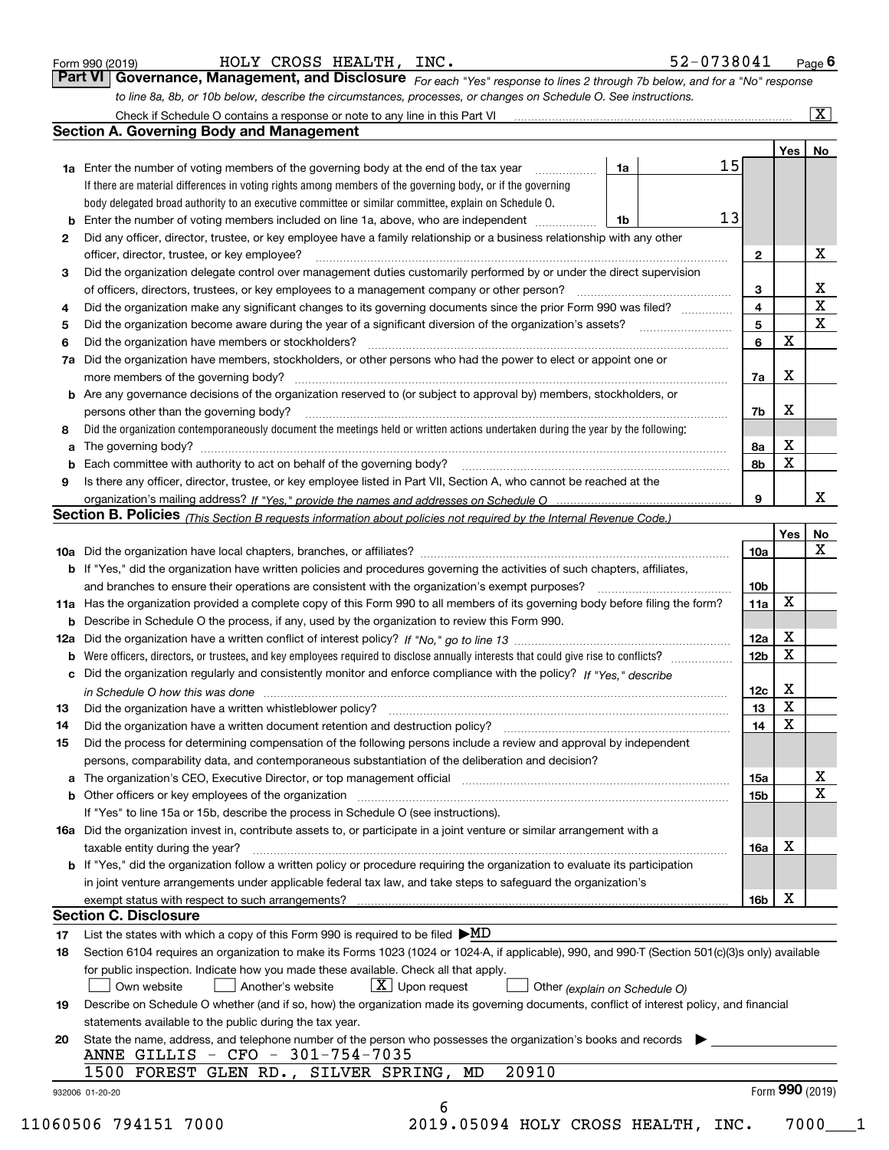| Form 990 (2019) |  |  |
|-----------------|--|--|
|                 |  |  |

| Form 990 (2019) | HOLY CROSS | $\cdot$ HEALTH, | INC. | 52-0738041<br>Page |
|-----------------|------------|-----------------|------|--------------------|
|-----------------|------------|-----------------|------|--------------------|

| orm 990 (2019) |                                                                                                                  |  | HOLY CROSS HEALTH, INC. |  | 52-0738041                                                                                                                  | $P$ aqe $6$             |  |  |  |  |
|----------------|------------------------------------------------------------------------------------------------------------------|--|-------------------------|--|-----------------------------------------------------------------------------------------------------------------------------|-------------------------|--|--|--|--|
|                |                                                                                                                  |  |                         |  | Part VI Governance, Management, and Disclosure For each "Yes" response to lines 2 through 7b below, and for a "No" response |                         |  |  |  |  |
|                | to line 8a, 8b, or 10b below, describe the circumstances, processes, or changes on Schedule O. See instructions. |  |                         |  |                                                                                                                             |                         |  |  |  |  |
|                | Check if Schedule O contains a response or note to any line in this Part VI                                      |  |                         |  |                                                                                                                             | $\overline{\mathbf{x}}$ |  |  |  |  |

|        | <b>Section A. Governing Body and Management</b>                                                                                                                                                                                             |    |                                                                                                                                                                                                                                    |                              |                         |                              |  |  |
|--------|---------------------------------------------------------------------------------------------------------------------------------------------------------------------------------------------------------------------------------------------|----|------------------------------------------------------------------------------------------------------------------------------------------------------------------------------------------------------------------------------------|------------------------------|-------------------------|------------------------------|--|--|
|        |                                                                                                                                                                                                                                             |    |                                                                                                                                                                                                                                    |                              | Yes                     | No                           |  |  |
|        | <b>1a</b> Enter the number of voting members of the governing body at the end of the tax year                                                                                                                                               | 1a | 15                                                                                                                                                                                                                                 |                              |                         |                              |  |  |
|        | If there are material differences in voting rights among members of the governing body, or if the governing                                                                                                                                 |    |                                                                                                                                                                                                                                    |                              |                         |                              |  |  |
|        | body delegated broad authority to an executive committee or similar committee, explain on Schedule O.                                                                                                                                       |    |                                                                                                                                                                                                                                    |                              |                         |                              |  |  |
| b      | Enter the number of voting members included on line 1a, above, who are independent                                                                                                                                                          | 1b | 13                                                                                                                                                                                                                                 |                              |                         |                              |  |  |
| 2      | Did any officer, director, trustee, or key employee have a family relationship or a business relationship with any other                                                                                                                    |    |                                                                                                                                                                                                                                    |                              |                         |                              |  |  |
|        | officer, director, trustee, or key employee?                                                                                                                                                                                                |    |                                                                                                                                                                                                                                    | $\mathbf{2}$                 |                         | х                            |  |  |
| 3      | Did the organization delegate control over management duties customarily performed by or under the direct supervision                                                                                                                       |    |                                                                                                                                                                                                                                    |                              |                         |                              |  |  |
|        | of officers, directors, trustees, or key employees to a management company or other person?                                                                                                                                                 |    |                                                                                                                                                                                                                                    | 3<br>$\overline{\mathbf{4}}$ |                         | x<br>$\overline{\mathbf{x}}$ |  |  |
| 4      | Did the organization make any significant changes to its governing documents since the prior Form 990 was filed?<br>Did the organization become aware during the year of a significant diversion of the organization's assets?              |    |                                                                                                                                                                                                                                    | 5                            |                         | $\mathbf{x}$                 |  |  |
| 5<br>6 | Did the organization have members or stockholders?                                                                                                                                                                                          |    | $\mathcal{L}$ . The contract of the contract of the contract of the contract of the contract of the contract of the contract of the contract of the contract of the contract of the contract of the contract of the contract of th | 6                            | X                       |                              |  |  |
| 7a     | Did the organization have members, stockholders, or other persons who had the power to elect or appoint one or                                                                                                                              |    |                                                                                                                                                                                                                                    |                              |                         |                              |  |  |
|        |                                                                                                                                                                                                                                             |    |                                                                                                                                                                                                                                    | 7a                           | X                       |                              |  |  |
| b      | Are any governance decisions of the organization reserved to (or subject to approval by) members, stockholders, or                                                                                                                          |    |                                                                                                                                                                                                                                    |                              |                         |                              |  |  |
|        | persons other than the governing body?                                                                                                                                                                                                      |    |                                                                                                                                                                                                                                    | 7b                           | X                       |                              |  |  |
| 8      | Did the organization contemporaneously document the meetings held or written actions undertaken during the year by the following:                                                                                                           |    |                                                                                                                                                                                                                                    |                              |                         |                              |  |  |
| a      |                                                                                                                                                                                                                                             |    |                                                                                                                                                                                                                                    | 8а                           | X                       |                              |  |  |
|        |                                                                                                                                                                                                                                             |    |                                                                                                                                                                                                                                    | 8b                           | $\mathbf x$             |                              |  |  |
| 9      | Is there any officer, director, trustee, or key employee listed in Part VII, Section A, who cannot be reached at the                                                                                                                        |    |                                                                                                                                                                                                                                    |                              |                         |                              |  |  |
|        |                                                                                                                                                                                                                                             |    |                                                                                                                                                                                                                                    | 9                            |                         | x.                           |  |  |
|        | Section B. Policies (This Section B requests information about policies not required by the Internal Revenue Code.)                                                                                                                         |    |                                                                                                                                                                                                                                    |                              |                         |                              |  |  |
|        |                                                                                                                                                                                                                                             |    |                                                                                                                                                                                                                                    |                              | Yes                     | No                           |  |  |
|        |                                                                                                                                                                                                                                             |    |                                                                                                                                                                                                                                    | 10a                          |                         | X                            |  |  |
|        | <b>b</b> If "Yes," did the organization have written policies and procedures governing the activities of such chapters, affiliates,                                                                                                         |    |                                                                                                                                                                                                                                    |                              |                         |                              |  |  |
|        | and branches to ensure their operations are consistent with the organization's exempt purposes?                                                                                                                                             |    |                                                                                                                                                                                                                                    | 10 <sub>b</sub>              |                         |                              |  |  |
|        | 11a Has the organization provided a complete copy of this Form 990 to all members of its governing body before filing the form?                                                                                                             |    |                                                                                                                                                                                                                                    | 11a                          | X                       |                              |  |  |
| b      | Describe in Schedule O the process, if any, used by the organization to review this Form 990.                                                                                                                                               |    |                                                                                                                                                                                                                                    | 12a                          | х                       |                              |  |  |
| 12a    |                                                                                                                                                                                                                                             |    |                                                                                                                                                                                                                                    |                              |                         |                              |  |  |
|        | 12 <sub>b</sub><br>b                                                                                                                                                                                                                        |    |                                                                                                                                                                                                                                    |                              |                         |                              |  |  |
| c      | Did the organization regularly and consistently monitor and enforce compliance with the policy? If "Yes," describe<br>in Schedule O how this was done <i>manufacture content of the state of the state of the state of the state of the</i> |    |                                                                                                                                                                                                                                    | 12c                          | X                       |                              |  |  |
| 13     | Did the organization have a written whistleblower policy?                                                                                                                                                                                   |    |                                                                                                                                                                                                                                    | 13                           | $\overline{\textbf{X}}$ |                              |  |  |
| 14     | Did the organization have a written document retention and destruction policy?                                                                                                                                                              |    |                                                                                                                                                                                                                                    | 14                           | $\overline{\mathbf{x}}$ |                              |  |  |
| 15     | Did the process for determining compensation of the following persons include a review and approval by independent                                                                                                                          |    |                                                                                                                                                                                                                                    |                              |                         |                              |  |  |
|        | persons, comparability data, and contemporaneous substantiation of the deliberation and decision?                                                                                                                                           |    |                                                                                                                                                                                                                                    |                              |                         |                              |  |  |
|        | The organization's CEO, Executive Director, or top management official [11] [11] manumerocommunically contained the organization's CEO, Executive Director, or top management official [11] $\ldots$                                        |    |                                                                                                                                                                                                                                    | 15a                          |                         | X                            |  |  |
| b      | Other officers or key employees of the organization                                                                                                                                                                                         |    |                                                                                                                                                                                                                                    | 15b                          |                         | X                            |  |  |
|        | If "Yes" to line 15a or 15b, describe the process in Schedule O (see instructions).                                                                                                                                                         |    |                                                                                                                                                                                                                                    |                              |                         |                              |  |  |
|        | 16a Did the organization invest in, contribute assets to, or participate in a joint venture or similar arrangement with a                                                                                                                   |    |                                                                                                                                                                                                                                    |                              |                         |                              |  |  |
|        | taxable entity during the year?                                                                                                                                                                                                             |    |                                                                                                                                                                                                                                    | 16a                          | x                       |                              |  |  |
|        | b If "Yes," did the organization follow a written policy or procedure requiring the organization to evaluate its participation                                                                                                              |    |                                                                                                                                                                                                                                    |                              |                         |                              |  |  |
|        | in joint venture arrangements under applicable federal tax law, and take steps to safeguard the organization's                                                                                                                              |    |                                                                                                                                                                                                                                    |                              |                         |                              |  |  |
|        | exempt status with respect to such arrangements?                                                                                                                                                                                            |    |                                                                                                                                                                                                                                    | 16b                          | х                       |                              |  |  |
|        | <b>Section C. Disclosure</b>                                                                                                                                                                                                                |    |                                                                                                                                                                                                                                    |                              |                         |                              |  |  |
| 17     | List the states with which a copy of this Form 990 is required to be filed $\blacktriangleright \text{MD}$                                                                                                                                  |    |                                                                                                                                                                                                                                    |                              |                         |                              |  |  |
| 18     | Section 6104 requires an organization to make its Forms 1023 (1024 or 1024-A, if applicable), 990, and 990-T (Section 501(c)(3)s only) available                                                                                            |    |                                                                                                                                                                                                                                    |                              |                         |                              |  |  |
|        | for public inspection. Indicate how you made these available. Check all that apply.<br>$X$ Upon request                                                                                                                                     |    |                                                                                                                                                                                                                                    |                              |                         |                              |  |  |
| 19     | Own website<br>Another's website<br>Other (explain on Schedule O)<br>Describe on Schedule O whether (and if so, how) the organization made its governing documents, conflict of interest policy, and financial                              |    |                                                                                                                                                                                                                                    |                              |                         |                              |  |  |
|        | statements available to the public during the tax year.                                                                                                                                                                                     |    |                                                                                                                                                                                                                                    |                              |                         |                              |  |  |
| 20     | State the name, address, and telephone number of the person who possesses the organization's books and records                                                                                                                              |    |                                                                                                                                                                                                                                    |                              |                         |                              |  |  |
|        | ANNE GILLIS - CFO - 301-754-7035                                                                                                                                                                                                            |    |                                                                                                                                                                                                                                    |                              |                         |                              |  |  |
|        | 20910<br>1500<br>FOREST GLEN RD., SILVER SPRING, MD                                                                                                                                                                                         |    |                                                                                                                                                                                                                                    |                              |                         |                              |  |  |
|        | 932006 01-20-20                                                                                                                                                                                                                             |    |                                                                                                                                                                                                                                    |                              | Form 990 (2019)         |                              |  |  |
|        | 6                                                                                                                                                                                                                                           |    |                                                                                                                                                                                                                                    |                              |                         |                              |  |  |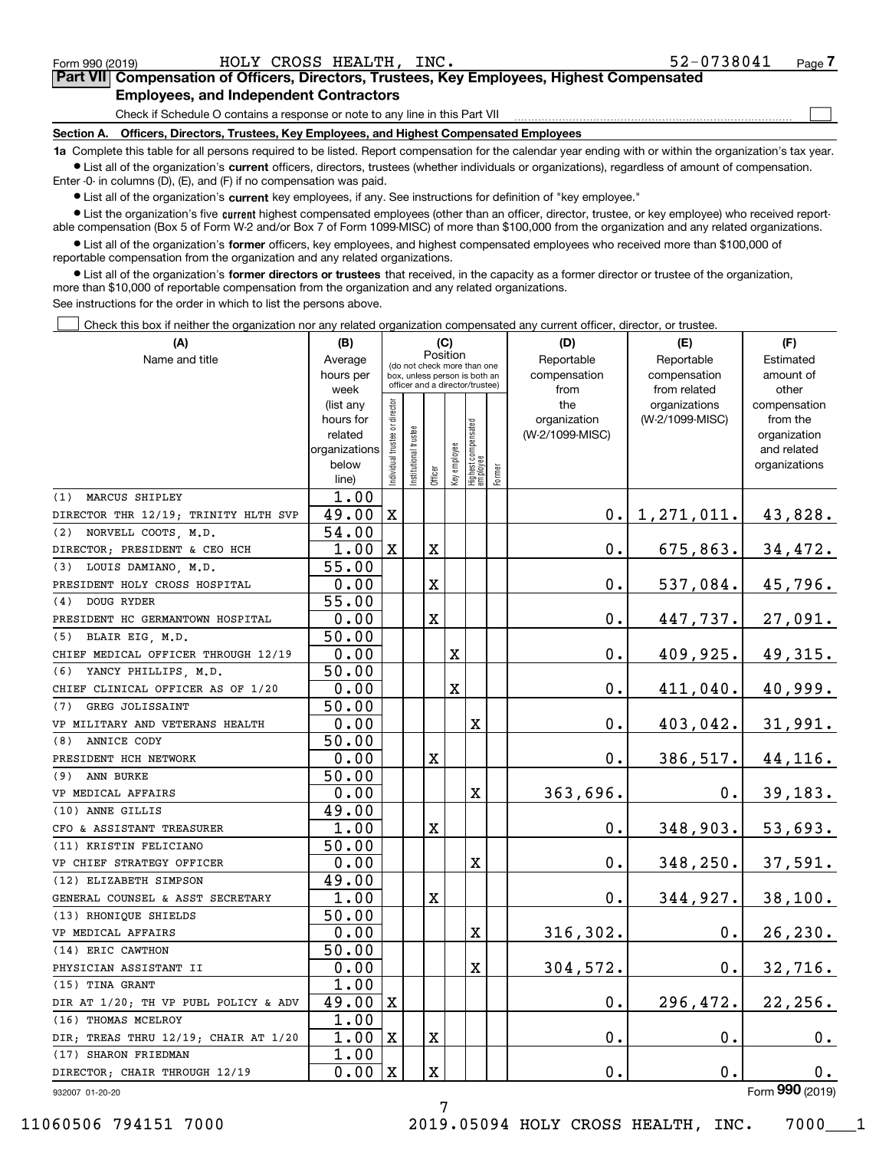| Form 990 (2019)                                                                                                                                            |                                                                                 |  | HOLY CROSS HEALTH, INC. |  | 52-0738041 | Page |  |  |  |  |
|------------------------------------------------------------------------------------------------------------------------------------------------------------|---------------------------------------------------------------------------------|--|-------------------------|--|------------|------|--|--|--|--|
| <b>Part VII</b> Compensation of Officers, Directors, Trustees, Key Employees, Highest Compensated                                                          |                                                                                 |  |                         |  |            |      |  |  |  |  |
| <b>Employees, and Independent Contractors</b>                                                                                                              |                                                                                 |  |                         |  |            |      |  |  |  |  |
|                                                                                                                                                            | Check if Schedule O contains a response or note to any line in this Part VII    |  |                         |  |            |      |  |  |  |  |
| Section A.                                                                                                                                                 | Officers, Directors, Trustees, Key Employees, and Highest Compensated Employees |  |                         |  |            |      |  |  |  |  |
| 1a Complete this table for all persons required to be listed. Report compensation for the calendar year ending with or within the organization's tax year. |                                                                                 |  |                         |  |            |      |  |  |  |  |

**1a •** List all of the organization's current officers, directors, trustees (whether individuals or organizations), regardless of amount of compensation. Enter -0- in columns (D), (E), and (F) if no compensation was paid.

 $\bullet$  List all of the organization's  $\,$ current key employees, if any. See instructions for definition of "key employee."

**•** List the organization's five current highest compensated employees (other than an officer, director, trustee, or key employee) who received reportable compensation (Box 5 of Form W-2 and/or Box 7 of Form 1099-MISC) of more than \$100,000 from the organization and any related organizations.

**•** List all of the organization's former officers, key employees, and highest compensated employees who received more than \$100,000 of reportable compensation from the organization and any related organizations.

**former directors or trustees**  ¥ List all of the organization's that received, in the capacity as a former director or trustee of the organization, more than \$10,000 of reportable compensation from the organization and any related organizations.

See instructions for the order in which to list the persons above.

Check this box if neither the organization nor any related organization compensated any current officer, director, or trustee.  $\mathcal{L}^{\text{max}}$ 

| (A)                                  | (B)                    |                                         |                      | (C)     |                                                                  |                                  |            | (D)                 | (E)                              | (F)                      |
|--------------------------------------|------------------------|-----------------------------------------|----------------------|---------|------------------------------------------------------------------|----------------------------------|------------|---------------------|----------------------------------|--------------------------|
| Name and title                       | Average                | Position<br>(do not check more than one |                      |         |                                                                  |                                  | Reportable | Reportable          | Estimated                        |                          |
|                                      | hours per              |                                         |                      |         | box, unless person is both an<br>officer and a director/trustee) |                                  |            | compensation        | compensation                     | amount of                |
|                                      | week                   |                                         |                      |         |                                                                  |                                  |            | from                | from related                     | other                    |
|                                      | (list any<br>hours for |                                         |                      |         |                                                                  |                                  |            | the<br>organization | organizations<br>(W-2/1099-MISC) | compensation<br>from the |
|                                      | related                |                                         |                      |         |                                                                  |                                  |            | (W-2/1099-MISC)     |                                  | organization             |
|                                      | organizations          |                                         |                      |         |                                                                  |                                  |            |                     |                                  | and related              |
|                                      | below                  | ndividual trustee or director           | nstitutional trustee |         | Key employee                                                     |                                  |            |                     |                                  | organizations            |
|                                      | line)                  |                                         |                      | Officer |                                                                  | Highest compensated<br> employee | Former     |                     |                                  |                          |
| MARCUS SHIPLEY<br>(1)                | 1.00                   |                                         |                      |         |                                                                  |                                  |            |                     |                                  |                          |
| DIRECTOR THR 12/19; TRINITY HLTH SVP | 49.00                  | $\mathbf X$                             |                      |         |                                                                  |                                  |            | 0.I                 | 1, 271, 011.                     | 43,828.                  |
| NORVELL COOTS, M.D.<br>(2)           | 54.00                  |                                         |                      |         |                                                                  |                                  |            |                     |                                  |                          |
| DIRECTOR; PRESIDENT & CEO HCH        | 1.00                   | $\mathbf{X}$                            |                      | X       |                                                                  |                                  |            | 0.                  | 675,863.                         | 34,472.                  |
| (3) LOUIS DAMIANO, M.D.              | 55.00                  |                                         |                      |         |                                                                  |                                  |            |                     |                                  |                          |
| PRESIDENT HOLY CROSS HOSPITAL        | 0.00                   |                                         |                      | X       |                                                                  |                                  |            | $\mathbf 0$ .       | 537,084.                         | 45,796.                  |
| DOUG RYDER<br>(4)                    | $\overline{55.00}$     |                                         |                      |         |                                                                  |                                  |            |                     |                                  |                          |
| PRESIDENT HC GERMANTOWN HOSPITAL     | 0.00                   |                                         |                      | X       |                                                                  |                                  |            | $\mathbf 0$ .       | 447,737.                         | 27,091.                  |
| (5) BLAIR EIG, M.D.                  | 50.00                  |                                         |                      |         |                                                                  |                                  |            |                     |                                  |                          |
| CHIEF MEDICAL OFFICER THROUGH 12/19  | 0.00                   |                                         |                      |         | X                                                                |                                  |            | 0.                  | 409,925.                         | 49,315.                  |
| YANCY PHILLIPS, M.D.<br>(6)          | 50.00                  |                                         |                      |         |                                                                  |                                  |            |                     |                                  |                          |
| CHIEF CLINICAL OFFICER AS OF 1/20    | 0.00                   |                                         |                      |         | $\mathbf X$                                                      |                                  |            | 0.                  | 411,040.                         | 40,999.                  |
| GREG JOLISSAINT<br>(7)               | 50.00                  |                                         |                      |         |                                                                  |                                  |            |                     |                                  |                          |
| VP MILITARY AND VETERANS HEALTH      | 0.00                   |                                         |                      |         |                                                                  | X                                |            | 0.                  | 403,042.                         | 31,991.                  |
| ANNICE CODY<br>(8)                   | 50.00                  |                                         |                      |         |                                                                  |                                  |            |                     |                                  |                          |
| PRESIDENT HCH NETWORK                | 0.00                   |                                         |                      | X       |                                                                  |                                  |            | $\mathbf 0$ .       | 386,517.                         | 44,116.                  |
| ANN BURKE<br>(9)                     | 50.00                  |                                         |                      |         |                                                                  |                                  |            |                     |                                  |                          |
| VP MEDICAL AFFAIRS                   | 0.00                   |                                         |                      |         |                                                                  | X                                |            | 363,696.            | $0$ .                            | 39, 183.                 |
| (10) ANNE GILLIS                     | 49.00                  |                                         |                      |         |                                                                  |                                  |            |                     |                                  |                          |
| CFO & ASSISTANT TREASURER            | 1.00                   |                                         |                      | X       |                                                                  |                                  |            | 0.                  | 348,903.                         | 53,693.                  |
| (11) KRISTIN FELICIANO               | 50.00                  |                                         |                      |         |                                                                  |                                  |            |                     |                                  |                          |
| VP CHIEF STRATEGY OFFICER            | 0.00                   |                                         |                      |         |                                                                  | X                                |            | 0.                  | 348, 250.                        | 37,591.                  |
| (12) ELIZABETH SIMPSON               | 49.00                  |                                         |                      |         |                                                                  |                                  |            |                     |                                  |                          |
| GENERAL COUNSEL & ASST SECRETARY     | 1.00                   |                                         |                      | X       |                                                                  |                                  |            | 0.                  | 344,927.                         | 38,100.                  |
| (13) RHONIQUE SHIELDS                | 50.00                  |                                         |                      |         |                                                                  |                                  |            |                     |                                  |                          |
| VP MEDICAL AFFAIRS                   | 0.00                   |                                         |                      |         |                                                                  | X                                |            | 316, 302.           | $\mathbf 0$ .                    | 26, 230.                 |
| (14) ERIC CAWTHON                    | 50.00                  |                                         |                      |         |                                                                  |                                  |            |                     |                                  |                          |
| PHYSICIAN ASSISTANT II               | 0.00                   |                                         |                      |         |                                                                  | X                                |            | 304,572.            | 0.                               | 32,716.                  |
| (15) TINA GRANT                      | 1.00                   |                                         |                      |         |                                                                  |                                  |            |                     |                                  |                          |
| DIR AT 1/20; TH VP PUBL POLICY & ADV | 49.00                  | Ιx                                      |                      |         |                                                                  |                                  |            | $\mathbf 0$ .       | 296,472.                         | 22, 256.                 |
| (16) THOMAS MCELROY                  | 1.00                   |                                         |                      |         |                                                                  |                                  |            |                     |                                  |                          |
| DIR; TREAS THRU 12/19; CHAIR AT 1/20 | 1.00                   | $\mathbf X$                             |                      | X       |                                                                  |                                  |            | $\mathbf 0$ .       | $\mathbf 0$ .                    | 0.                       |
| (17) SHARON FRIEDMAN                 | 1.00                   |                                         |                      |         |                                                                  |                                  |            |                     |                                  |                          |
| DIRECTOR; CHAIR THROUGH 12/19        | 0.00                   | $\mathbf{X}$                            |                      | X       |                                                                  |                                  |            | $\mathbf 0$ .       | $0$ .                            | 0.<br>$000 -$            |

932007 01-20-20

Form (2019) **990**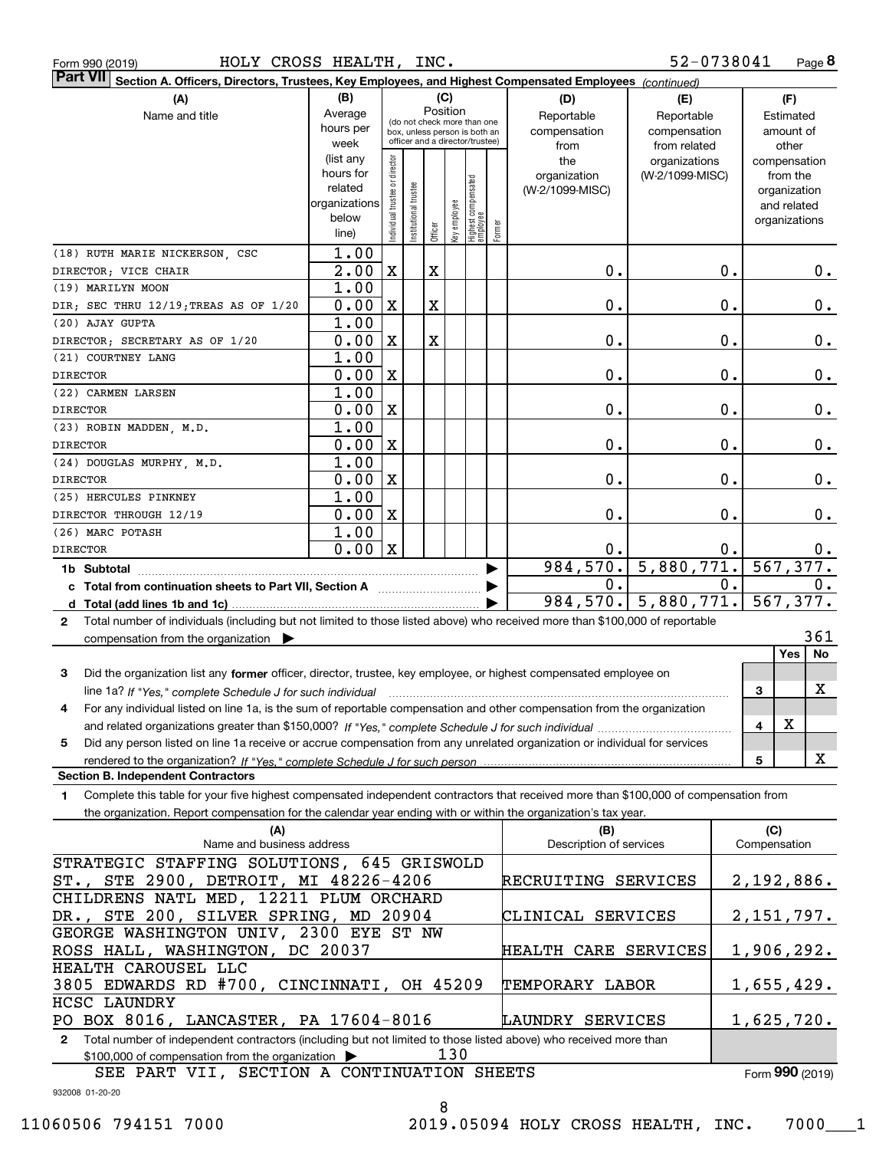| <b>Part VII</b><br>Section A. Officers, Directors, Trustees, Key Employees, and Highest Compensated Employees (continued)                    |                        |                                |                       |         |              |                                                              |        |                                 |                 |    |                          |
|----------------------------------------------------------------------------------------------------------------------------------------------|------------------------|--------------------------------|-----------------------|---------|--------------|--------------------------------------------------------------|--------|---------------------------------|-----------------|----|--------------------------|
| (A)                                                                                                                                          | (B)                    |                                |                       |         | (C)          |                                                              |        | (D)                             | (E)             |    | (F)                      |
| Name and title                                                                                                                               | Average                |                                |                       |         | Position     |                                                              |        | Reportable                      | Reportable      |    | Estimated                |
|                                                                                                                                              | hours per              |                                |                       |         |              | (do not check more than one<br>box, unless person is both an |        | compensation                    | compensation    |    | amount of                |
|                                                                                                                                              | week                   |                                |                       |         |              | officer and a director/trustee)                              |        | from                            | from related    |    | other                    |
|                                                                                                                                              | (list any<br>hours for |                                |                       |         |              |                                                              |        | the                             | organizations   |    | compensation             |
|                                                                                                                                              | related                |                                |                       |         |              |                                                              |        | organization<br>(W-2/1099-MISC) | (W-2/1099-MISC) |    | from the<br>organization |
|                                                                                                                                              | organizations          |                                |                       |         |              |                                                              |        |                                 |                 |    | and related              |
|                                                                                                                                              | below                  | Individual trustee or director | Institutional trustee |         | key employee | Highest compensated<br>employee                              |        |                                 |                 |    | organizations            |
|                                                                                                                                              | line)                  |                                |                       | Officer |              |                                                              | Former |                                 |                 |    |                          |
| (18) RUTH MARIE NICKERSON, CSC                                                                                                               | 1.00                   |                                |                       |         |              |                                                              |        |                                 |                 |    |                          |
| DIRECTOR; VICE CHAIR                                                                                                                         | 2.00                   | $\mathbf X$                    |                       | X       |              |                                                              |        | 0.                              |                 | 0. | 0.                       |
| (19) MARILYN MOON                                                                                                                            | 1.00                   |                                |                       |         |              |                                                              |        |                                 |                 |    |                          |
| DIR; SEC THRU 12/19; TREAS AS OF 1/20                                                                                                        | 0.00                   | X                              |                       | X       |              |                                                              |        | 0.                              |                 | 0. | 0.                       |
| (20) AJAY GUPTA                                                                                                                              | 1.00                   |                                |                       |         |              |                                                              |        |                                 |                 |    |                          |
| DIRECTOR; SECRETARY AS OF 1/20                                                                                                               | 0.00                   | $\overline{\mathbf{X}}$        |                       | X       |              |                                                              |        | 0.                              |                 | 0. | 0.                       |
| (21) COURTNEY LANG                                                                                                                           | 1.00                   |                                |                       |         |              |                                                              |        |                                 |                 |    |                          |
| <b>DIRECTOR</b>                                                                                                                              | 0.00                   | $\overline{\mathbf{X}}$        |                       |         |              |                                                              |        | 0.                              |                 | 0. | 0.                       |
| (22) CARMEN LARSEN                                                                                                                           | 1.00                   |                                |                       |         |              |                                                              |        |                                 |                 |    |                          |
| <b>DIRECTOR</b><br>(23) ROBIN MADDEN, M.D.                                                                                                   | 0.00<br>1.00           | $\overline{\mathbf{X}}$        |                       |         |              |                                                              |        | 0.                              |                 | 0. | 0.                       |
| <b>DIRECTOR</b>                                                                                                                              | 0.00                   | $\overline{\mathbf{X}}$        |                       |         |              |                                                              |        | 0.                              |                 | 0. | 0.                       |
| (24) DOUGLAS MURPHY, M.D.                                                                                                                    | 1.00                   |                                |                       |         |              |                                                              |        |                                 |                 |    |                          |
| <b>DIRECTOR</b>                                                                                                                              | 0.00                   | $\overline{\mathbf{X}}$        |                       |         |              |                                                              |        | 0.                              |                 | 0. | 0.                       |
| (25) HERCULES PINKNEY                                                                                                                        | 1.00                   |                                |                       |         |              |                                                              |        |                                 |                 |    |                          |
| DIRECTOR THROUGH 12/19                                                                                                                       | 0.00                   | $\overline{\mathbf{X}}$        |                       |         |              |                                                              |        | 0.                              |                 | 0. | 0.                       |
| (26) MARC POTASH                                                                                                                             | 1.00                   |                                |                       |         |              |                                                              |        |                                 |                 |    |                          |
| <b>DIRECTOR</b>                                                                                                                              | 0.00                   | X                              |                       |         |              |                                                              |        | 0.                              |                 | 0. | $0$ .                    |
| 1b Subtotal                                                                                                                                  |                        |                                |                       |         |              |                                                              |        | 984,570.                        | 5,880,771.      |    | 567, 377.                |
| c Total from continuation sheets to Part VII, Section A                                                                                      |                        |                                |                       |         |              |                                                              |        | 0.                              |                 | 0. | О.                       |
|                                                                                                                                              |                        |                                |                       |         |              |                                                              |        | 984,570.                        | 5,880,771.      |    | 567,377.                 |
| Total number of individuals (including but not limited to those listed above) who received more than \$100,000 of reportable<br>$\mathbf{2}$ |                        |                                |                       |         |              |                                                              |        |                                 |                 |    |                          |
| compensation from the organization $\blacktriangleright$                                                                                     |                        |                                |                       |         |              |                                                              |        |                                 |                 |    | 361                      |
|                                                                                                                                              |                        |                                |                       |         |              |                                                              |        |                                 |                 |    | Yes<br>No                |
| 3<br>Did the organization list any former officer, director, trustee, key employee, or highest compensated employee on                       |                        |                                |                       |         |              |                                                              |        |                                 |                 |    |                          |
| line 1a? If "Yes," complete Schedule J for such individual                                                                                   |                        |                                |                       |         |              |                                                              |        |                                 |                 |    | X<br>3                   |
| For any individual listed on line 1a, is the sum of reportable compensation and other compensation from the organization<br>4                |                        |                                |                       |         |              |                                                              |        |                                 |                 |    | X                        |
| Did any person listed on line 1a receive or accrue compensation from any unrelated organization or individual for services<br>5              |                        |                                |                       |         |              |                                                              |        |                                 |                 |    | 4                        |
|                                                                                                                                              |                        |                                |                       |         |              |                                                              |        |                                 |                 |    | X<br>5                   |
| <b>Section B. Independent Contractors</b>                                                                                                    |                        |                                |                       |         |              |                                                              |        |                                 |                 |    |                          |
| Complete this table for your five highest compensated independent contractors that received more than \$100,000 of compensation from<br>1.   |                        |                                |                       |         |              |                                                              |        |                                 |                 |    |                          |
| the organization. Report compensation for the calendar year ending with or within the organization's tax year.                               |                        |                                |                       |         |              |                                                              |        |                                 |                 |    |                          |
| (A)                                                                                                                                          |                        |                                |                       |         |              |                                                              |        | (B)                             |                 |    | (C)                      |
| Name and business address                                                                                                                    |                        |                                |                       |         |              |                                                              |        | Description of services         |                 |    | Compensation             |
| STRATEGIC STAFFING SOLUTIONS, 645 GRISWOLD                                                                                                   |                        |                                |                       |         |              |                                                              |        |                                 |                 |    |                          |
| ST., STE 2900, DETROIT, MI 48226-4206                                                                                                        |                        |                                |                       |         |              |                                                              |        | RECRUITING SERVICES             |                 |    | 2,192,886.               |
| CHILDRENS NATL MED, 12211 PLUM ORCHARD                                                                                                       |                        |                                |                       |         |              |                                                              |        |                                 |                 |    |                          |
| DR., STE 200, SILVER SPRING, MD 20904                                                                                                        |                        |                                |                       |         |              |                                                              |        | CLINICAL SERVICES               |                 |    | 2, 151, 797.             |
| GEORGE WASHINGTON UNIV, 2300 EYE ST NW                                                                                                       |                        |                                |                       |         |              |                                                              |        |                                 |                 |    |                          |
| ROSS HALL, WASHINGTON, DC 20037                                                                                                              |                        |                                |                       |         |              |                                                              |        | HEALTH CARE SERVICES            |                 |    | 1,906,292.               |
| HEALTH CAROUSEL LLC                                                                                                                          |                        |                                |                       |         |              |                                                              |        |                                 |                 |    |                          |
| 3805 EDWARDS RD #700, CINCINNATI, OH 45209                                                                                                   |                        |                                |                       |         |              |                                                              |        | <b>TEMPORARY LABOR</b>          |                 |    | 1,655,429.               |
| <b>HCSC LAUNDRY</b>                                                                                                                          |                        |                                |                       |         |              |                                                              |        |                                 |                 |    |                          |
| PO BOX 8016, LANCASTER, PA 17604-8016                                                                                                        |                        |                                |                       |         |              |                                                              |        | LAUNDRY SERVICES                |                 |    | 1,625,720.               |

**2**Total number of independent contractors (including but not limited to those listed above) who received more than \$100,000 of compensation from the organization 130

932008 01-20-20 Form (2019) **990**SEE PART VII, SECTION A CONTINUATION SHEETS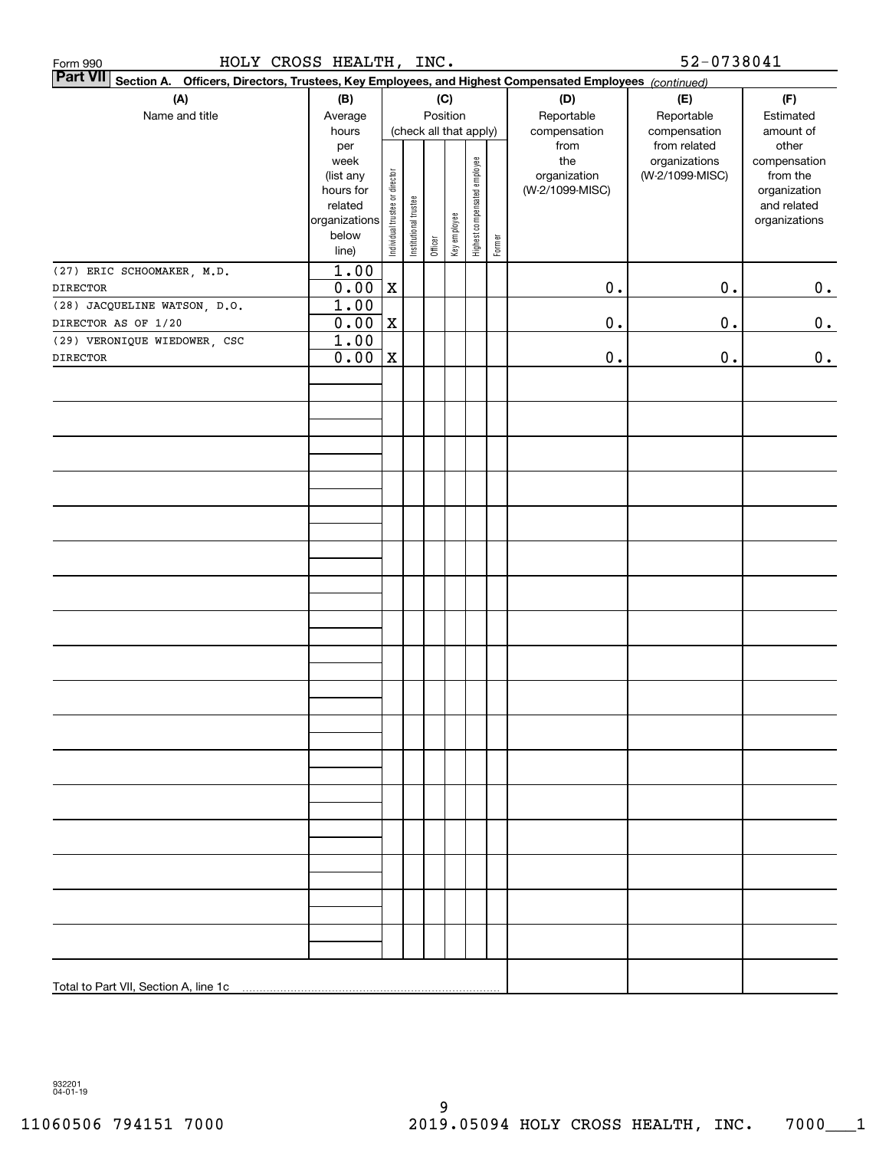| HOLY CROSS HEALTH, INC.<br>Form 990                                                                                          |                          |                                |                       |         |              |                              |        |                             | 52-0738041                                    |                                    |
|------------------------------------------------------------------------------------------------------------------------------|--------------------------|--------------------------------|-----------------------|---------|--------------|------------------------------|--------|-----------------------------|-----------------------------------------------|------------------------------------|
| <b>Part VII</b><br>Officers, Directors, Trustees, Key Employees, and Highest Compensated Employees (continued)<br>Section A. |                          |                                |                       |         |              |                              |        |                             |                                               |                                    |
| (A)                                                                                                                          | (B)                      |                                |                       |         | (C)          |                              |        | (D)                         | (E)                                           | (F)                                |
| Name and title                                                                                                               | Average                  |                                |                       |         | Position     |                              |        | Reportable                  | Reportable                                    | Estimated                          |
|                                                                                                                              | hours<br>per<br>week     |                                |                       |         |              | (check all that apply)       |        | compensation<br>from<br>the | compensation<br>from related<br>organizations | amount of<br>other<br>compensation |
|                                                                                                                              | (list any                |                                |                       |         |              | Highest compensated employee |        | organization                | (W-2/1099-MISC)                               | from the                           |
|                                                                                                                              | hours for                | Individual trustee or director |                       |         |              |                              |        | (W-2/1099-MISC)             |                                               | organization                       |
|                                                                                                                              | related<br>organizations |                                | Institutional trustee |         |              |                              |        |                             |                                               | and related<br>organizations       |
|                                                                                                                              | below                    |                                |                       |         | Key employee |                              |        |                             |                                               |                                    |
|                                                                                                                              | line)                    |                                |                       | Officer |              |                              | Former |                             |                                               |                                    |
| (27) ERIC SCHOOMAKER, M.D.                                                                                                   | 1.00                     |                                |                       |         |              |                              |        |                             |                                               |                                    |
| <b>DIRECTOR</b>                                                                                                              | 0.00                     | $\mathbf X$                    |                       |         |              |                              |        | $\mathbf 0$ .               | $0$ .                                         | $0_{\bullet}$                      |
| (28) JACQUELINE WATSON, D.O.                                                                                                 | 1.00                     |                                |                       |         |              |                              |        |                             |                                               |                                    |
| DIRECTOR AS OF 1/20                                                                                                          | 0.00                     | $\mathbf X$                    |                       |         |              |                              |        | $\mathbf 0$ .               | 0.                                            | $\mathbf 0$ .                      |
| (29) VERONIQUE WIEDOWER, CSC                                                                                                 | 1.00                     |                                |                       |         |              |                              |        |                             |                                               |                                    |
| <b>DIRECTOR</b>                                                                                                              | 0.00                     | $\mathbf X$                    |                       |         |              |                              |        | 0.                          | 0.                                            | 0.                                 |
|                                                                                                                              |                          |                                |                       |         |              |                              |        |                             |                                               |                                    |
|                                                                                                                              |                          |                                |                       |         |              |                              |        |                             |                                               |                                    |
|                                                                                                                              |                          |                                |                       |         |              |                              |        |                             |                                               |                                    |
|                                                                                                                              |                          |                                |                       |         |              |                              |        |                             |                                               |                                    |
|                                                                                                                              |                          |                                |                       |         |              |                              |        |                             |                                               |                                    |
|                                                                                                                              |                          |                                |                       |         |              |                              |        |                             |                                               |                                    |
|                                                                                                                              |                          |                                |                       |         |              |                              |        |                             |                                               |                                    |
|                                                                                                                              |                          |                                |                       |         |              |                              |        |                             |                                               |                                    |
|                                                                                                                              |                          |                                |                       |         |              |                              |        |                             |                                               |                                    |
|                                                                                                                              |                          |                                |                       |         |              |                              |        |                             |                                               |                                    |
|                                                                                                                              |                          |                                |                       |         |              |                              |        |                             |                                               |                                    |
|                                                                                                                              |                          |                                |                       |         |              |                              |        |                             |                                               |                                    |
|                                                                                                                              |                          |                                |                       |         |              |                              |        |                             |                                               |                                    |
|                                                                                                                              |                          |                                |                       |         |              |                              |        |                             |                                               |                                    |
|                                                                                                                              |                          |                                |                       |         |              |                              |        |                             |                                               |                                    |
|                                                                                                                              |                          |                                |                       |         |              |                              |        |                             |                                               |                                    |
|                                                                                                                              |                          |                                |                       |         |              |                              |        |                             |                                               |                                    |
|                                                                                                                              |                          |                                |                       |         |              |                              |        |                             |                                               |                                    |
|                                                                                                                              |                          |                                |                       |         |              |                              |        |                             |                                               |                                    |
|                                                                                                                              |                          |                                |                       |         |              |                              |        |                             |                                               |                                    |
|                                                                                                                              |                          |                                |                       |         |              |                              |        |                             |                                               |                                    |
|                                                                                                                              |                          |                                |                       |         |              |                              |        |                             |                                               |                                    |
|                                                                                                                              |                          |                                |                       |         |              |                              |        |                             |                                               |                                    |
|                                                                                                                              |                          |                                |                       |         |              |                              |        |                             |                                               |                                    |
|                                                                                                                              |                          |                                |                       |         |              |                              |        |                             |                                               |                                    |
|                                                                                                                              |                          |                                |                       |         |              |                              |        |                             |                                               |                                    |
|                                                                                                                              |                          |                                |                       |         |              |                              |        |                             |                                               |                                    |
|                                                                                                                              |                          |                                |                       |         |              |                              |        |                             |                                               |                                    |
|                                                                                                                              |                          |                                |                       |         |              |                              |        |                             |                                               |                                    |
|                                                                                                                              |                          |                                |                       |         |              |                              |        |                             |                                               |                                    |
|                                                                                                                              |                          |                                |                       |         |              |                              |        |                             |                                               |                                    |
|                                                                                                                              |                          |                                |                       |         |              |                              |        |                             |                                               |                                    |

932201 04-01-19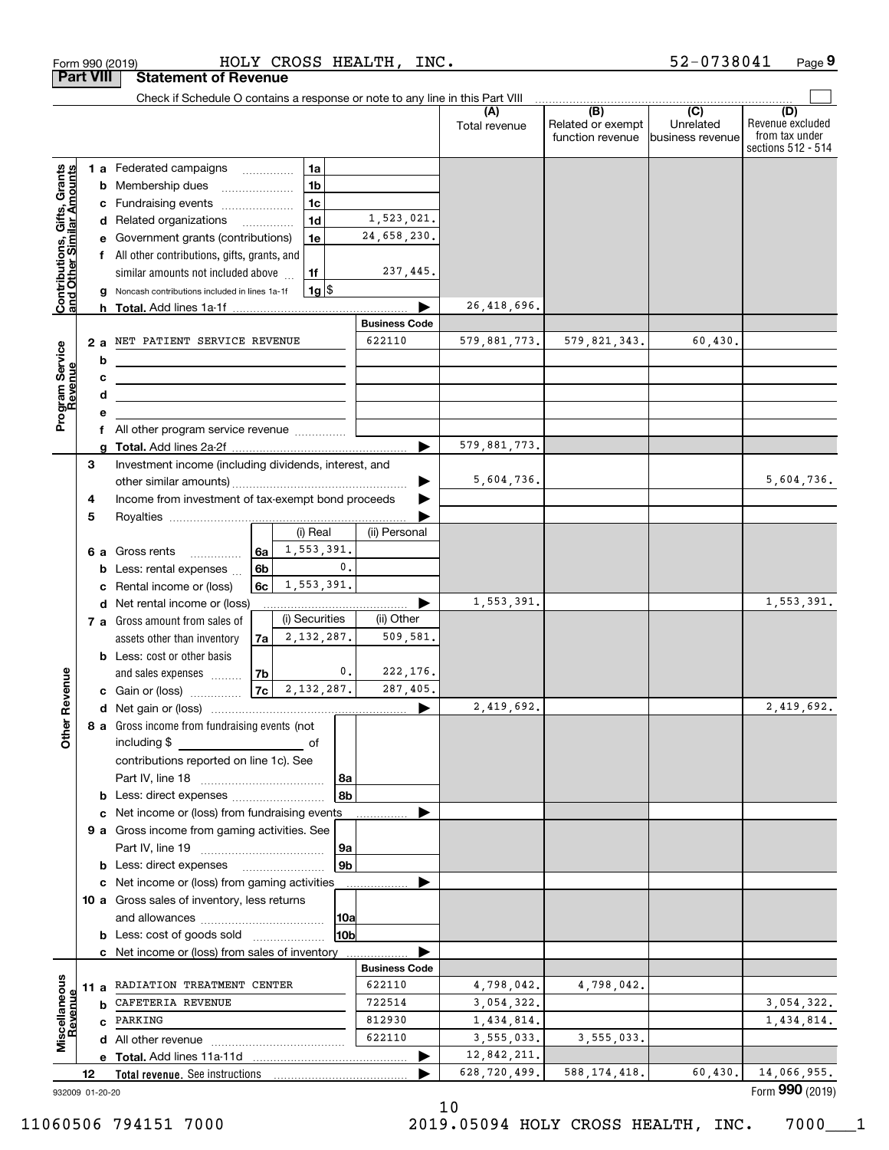|                                                           | <b>Part VIII</b> |    | <b>Statement of Revenue</b>                                                                                           |                |                      |                |                      |                      |                                              |                                                 |                                                                 |
|-----------------------------------------------------------|------------------|----|-----------------------------------------------------------------------------------------------------------------------|----------------|----------------------|----------------|----------------------|----------------------|----------------------------------------------|-------------------------------------------------|-----------------------------------------------------------------|
|                                                           |                  |    | Check if Schedule O contains a response or note to any line in this Part VIII                                         |                |                      |                |                      |                      |                                              |                                                 |                                                                 |
|                                                           |                  |    |                                                                                                                       |                |                      |                |                      | (A)<br>Total revenue | (B)<br>Related or exempt<br>function revenue | $\overline{C}$<br>Unrelated<br>business revenue | (D)<br>Revenue excluded<br>from tax under<br>sections 512 - 514 |
|                                                           |                  |    | 1 a Federated campaigns                                                                                               |                | 1a                   |                |                      |                      |                                              |                                                 |                                                                 |
|                                                           |                  | b  | Membership dues                                                                                                       |                | 1 <sub>b</sub>       |                |                      |                      |                                              |                                                 |                                                                 |
|                                                           |                  | c  | Fundraising events                                                                                                    |                | 1 <sub>c</sub>       |                |                      |                      |                                              |                                                 |                                                                 |
|                                                           |                  |    | d Related organizations                                                                                               |                | 1 <sub>d</sub>       |                | 1,523,021.           |                      |                                              |                                                 |                                                                 |
|                                                           |                  |    | e Government grants (contributions)                                                                                   |                | 1e                   |                | 24,658,230.          |                      |                                              |                                                 |                                                                 |
|                                                           |                  |    | f All other contributions, gifts, grants, and                                                                         |                |                      |                |                      |                      |                                              |                                                 |                                                                 |
|                                                           |                  |    | similar amounts not included above                                                                                    |                | 1f                   |                | 237,445.             |                      |                                              |                                                 |                                                                 |
| Contributions, Gifts, Grants<br>and Other Similar Amounts |                  |    | Noncash contributions included in lines 1a-1f                                                                         |                |                      | $1g$ \$        |                      |                      |                                              |                                                 |                                                                 |
|                                                           |                  |    |                                                                                                                       |                |                      |                |                      | 26,418,696.          |                                              |                                                 |                                                                 |
|                                                           |                  |    |                                                                                                                       |                | <b>Business Code</b> |                |                      |                      |                                              |                                                 |                                                                 |
|                                                           |                  | 2a | NET PATIENT SERVICE REVENUE                                                                                           |                |                      |                | 622110               | 579,881,773.         | 579,821,343.                                 | 60,430.                                         |                                                                 |
|                                                           |                  | b  | <u> 1989 - Johann Stein, mars an dùthchan an t-Alban ann an t-Alban ann an t-Alban ann an t-Alban ann an t-Alban</u>  |                |                      |                |                      |                      |                                              |                                                 |                                                                 |
|                                                           |                  | с  | <u> 1989 - Johann Stein, mars an deus Amerikaansk kommunister (</u>                                                   |                |                      |                |                      |                      |                                              |                                                 |                                                                 |
|                                                           |                  | d  | <u> 1989 - Johann Barbara, martin amerikan basar dan berasal dan berasal dalam basar dalam basar dalam basar dala</u> |                |                      |                |                      |                      |                                              |                                                 |                                                                 |
| Program Service<br>Revenue                                |                  |    | f All other program service revenue                                                                                   |                |                      |                |                      |                      |                                              |                                                 |                                                                 |
|                                                           |                  |    |                                                                                                                       |                |                      |                |                      | 579,881,773.         |                                              |                                                 |                                                                 |
|                                                           | 3                |    | Investment income (including dividends, interest, and                                                                 |                |                      |                |                      |                      |                                              |                                                 |                                                                 |
|                                                           |                  |    |                                                                                                                       |                |                      |                |                      | 5,604,736.           |                                              |                                                 | 5,604,736.                                                      |
|                                                           | 4                |    | Income from investment of tax-exempt bond proceeds                                                                    |                |                      |                |                      |                      |                                              |                                                 |                                                                 |
|                                                           | 5                |    |                                                                                                                       |                |                      |                |                      |                      |                                              |                                                 |                                                                 |
|                                                           |                  |    |                                                                                                                       |                | (i) Real             |                | (ii) Personal        |                      |                                              |                                                 |                                                                 |
|                                                           |                  |    | 6 a Gross rents<br>.                                                                                                  | 6a             |                      | 1,553,391.     |                      |                      |                                              |                                                 |                                                                 |
|                                                           |                  | b  | Less: rental expenses                                                                                                 | 6b             |                      | 0.             |                      |                      |                                              |                                                 |                                                                 |
|                                                           |                  | c  | Rental income or (loss)                                                                                               | 6c l           |                      | 1,553,391.     |                      |                      |                                              |                                                 |                                                                 |
|                                                           |                  |    | d Net rental income or (loss)                                                                                         |                | (i) Securities       |                | (ii) Other           | 1,553,391.           |                                              |                                                 | 1,553,391.                                                      |
|                                                           |                  |    | 7 a Gross amount from sales of<br>assets other than inventory                                                         | 7a             |                      | 2,132,287.     | 509,581.             |                      |                                              |                                                 |                                                                 |
|                                                           |                  |    | <b>b</b> Less: cost or other basis                                                                                    |                |                      |                |                      |                      |                                              |                                                 |                                                                 |
|                                                           |                  |    | and sales expenses                                                                                                    | 7 <sub>b</sub> |                      | $\mathbf{0}$ . | 222,176.             |                      |                                              |                                                 |                                                                 |
| Revenue                                                   |                  |    | c Gain or (loss)                                                                                                      |                | $7c \mid 2,132,287.$ |                | 287,405.             |                      |                                              |                                                 |                                                                 |
|                                                           |                  |    |                                                                                                                       |                |                      |                | ▶                    | 2,419,692.           |                                              |                                                 | 2,419,692.                                                      |
|                                                           |                  |    | 8 a Gross income from fundraising events (not                                                                         |                |                      |                |                      |                      |                                              |                                                 |                                                                 |
| Othe                                                      |                  |    | including \$                                                                                                          |                | of                   |                |                      |                      |                                              |                                                 |                                                                 |
|                                                           |                  |    | contributions reported on line 1c). See                                                                               |                |                      |                |                      |                      |                                              |                                                 |                                                                 |
|                                                           |                  |    |                                                                                                                       |                |                      | 8a             |                      |                      |                                              |                                                 |                                                                 |
|                                                           |                  |    | <b>b</b> Less: direct expenses                                                                                        |                |                      | 8b             |                      |                      |                                              |                                                 |                                                                 |
|                                                           |                  |    | c Net income or (loss) from fundraising events                                                                        |                |                      |                |                      |                      |                                              |                                                 |                                                                 |
|                                                           |                  |    | 9 a Gross income from gaming activities. See                                                                          |                |                      |                |                      |                      |                                              |                                                 |                                                                 |
|                                                           |                  |    |                                                                                                                       |                |                      | 9a             |                      |                      |                                              |                                                 |                                                                 |
|                                                           |                  |    | <b>b</b> Less: direct expenses                                                                                        |                |                      | 9b             |                      |                      |                                              |                                                 |                                                                 |
|                                                           |                  |    | c Net income or (loss) from gaming activities<br>10 a Gross sales of inventory, less returns                          |                |                      |                |                      |                      |                                              |                                                 |                                                                 |
|                                                           |                  |    |                                                                                                                       |                |                      | 10a            |                      |                      |                                              |                                                 |                                                                 |
|                                                           |                  |    | <b>b</b> Less: cost of goods sold                                                                                     |                |                      | 10b            |                      |                      |                                              |                                                 |                                                                 |
|                                                           |                  |    | c Net income or (loss) from sales of inventory                                                                        |                |                      |                |                      |                      |                                              |                                                 |                                                                 |
|                                                           |                  |    |                                                                                                                       |                |                      |                | <b>Business Code</b> |                      |                                              |                                                 |                                                                 |
|                                                           |                  |    | 11 a RADIATION TREATMENT CENTER                                                                                       |                |                      |                | 622110               | 4,798,042.           | 4,798,042.                                   |                                                 |                                                                 |
| Revenue                                                   |                  | b  | CAFETERIA REVENUE                                                                                                     |                |                      |                | 722514               | 3,054,322.           |                                              |                                                 | 3,054,322.                                                      |
|                                                           |                  |    | c PARKING                                                                                                             |                |                      |                | 812930               | 1,434,814.           |                                              |                                                 | 1,434,814.                                                      |
| Miscellaneous                                             |                  |    |                                                                                                                       |                |                      |                | 622110               | 3,555,033.           | 3,555,033.                                   |                                                 |                                                                 |
|                                                           |                  |    |                                                                                                                       |                |                      |                |                      | 12,842,211.          |                                              |                                                 |                                                                 |
|                                                           | 12               |    | Total revenue. See instructions                                                                                       |                |                      |                |                      | 628,720,499.         | 588, 174, 418.                               | 60,430.                                         | 14,066,955.                                                     |
| 932009 01-20-20                                           |                  |    |                                                                                                                       |                |                      |                |                      |                      |                                              |                                                 | Form 990 (2019)                                                 |

Form 990 (2019) HOLY CROSS HEALTH, INC. 52-0738041 Page

**9** 52-0738041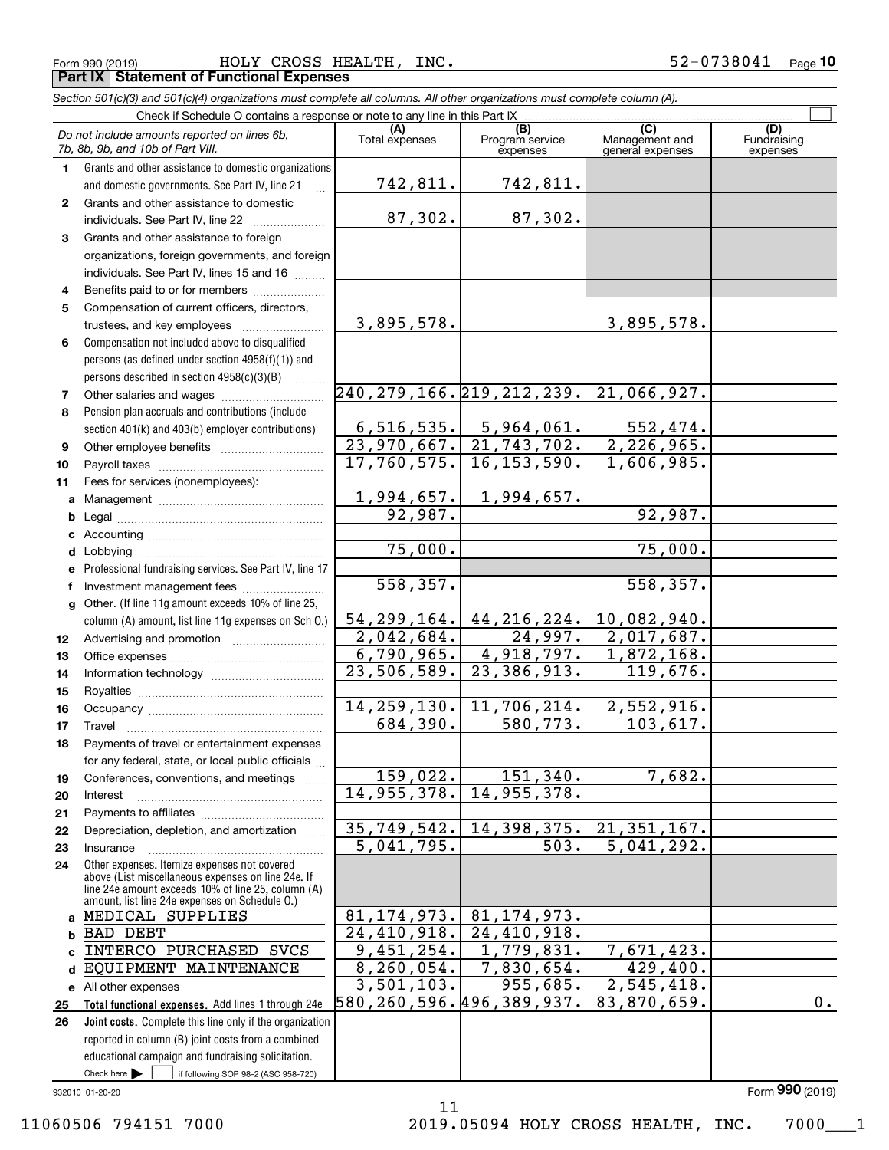Form 990 (2019) Page **Part IX Statement of Functional Expenses** HOLY CROSS HEALTH, INC. 52-0738041

*Section 501(c)(3) and 501(c)(4) organizations must complete all columns. All other organizations must complete column (A).*

|    | Do not include amounts reported on lines 6b,<br>7b, 8b, 9b, and 10b of Part VIII.                  | (A)<br>Total expenses         | (B)<br>Program service<br>expenses                                                                                  | $\overline{C}$<br>Management and<br>general expenses | (D)<br>Fundraising<br>expenses |
|----|----------------------------------------------------------------------------------------------------|-------------------------------|---------------------------------------------------------------------------------------------------------------------|------------------------------------------------------|--------------------------------|
| 1  | Grants and other assistance to domestic organizations                                              |                               |                                                                                                                     |                                                      |                                |
|    | and domestic governments. See Part IV, line 21                                                     | 742,811.                      | 742,811.                                                                                                            |                                                      |                                |
| 2  | Grants and other assistance to domestic                                                            |                               |                                                                                                                     |                                                      |                                |
|    | individuals. See Part IV, line 22                                                                  | 87,302.                       | 87,302.                                                                                                             |                                                      |                                |
| 3  | Grants and other assistance to foreign                                                             |                               |                                                                                                                     |                                                      |                                |
|    | organizations, foreign governments, and foreign                                                    |                               |                                                                                                                     |                                                      |                                |
|    | individuals. See Part IV, lines 15 and 16                                                          |                               |                                                                                                                     |                                                      |                                |
| 4  | Benefits paid to or for members                                                                    |                               |                                                                                                                     |                                                      |                                |
| 5  | Compensation of current officers, directors,                                                       |                               |                                                                                                                     |                                                      |                                |
|    | trustees, and key employees                                                                        | 3,895,578.                    |                                                                                                                     | 3,895,578.                                           |                                |
| 6  | Compensation not included above to disqualified                                                    |                               |                                                                                                                     |                                                      |                                |
|    | persons (as defined under section 4958(f)(1)) and                                                  |                               |                                                                                                                     |                                                      |                                |
|    | persons described in section 4958(c)(3)(B)                                                         |                               |                                                                                                                     |                                                      |                                |
| 7  |                                                                                                    | 240, 279, 166. 219, 212, 239. |                                                                                                                     | 21,066,927.                                          |                                |
| 8  | Pension plan accruals and contributions (include                                                   |                               |                                                                                                                     |                                                      |                                |
|    | section 401(k) and 403(b) employer contributions)                                                  |                               |                                                                                                                     | 552,474.                                             |                                |
| 9  |                                                                                                    |                               | $\begin{array}{ c c c c c c } \hline 6,516,535. & 5,964,061. \ \hline 23,970,667. & 21,743,702. \hline \end{array}$ | 2, 226, 965.                                         |                                |
| 10 |                                                                                                    |                               | $17,760,575.$ 16,153,590.                                                                                           | 1,606,985.                                           |                                |
| 11 | Fees for services (nonemployees):                                                                  |                               |                                                                                                                     |                                                      |                                |
| a  |                                                                                                    |                               | $1,994,657.$ 1,994,657.                                                                                             |                                                      |                                |
| b  |                                                                                                    | 92,987.                       |                                                                                                                     | 92,987.                                              |                                |
|    |                                                                                                    |                               |                                                                                                                     |                                                      |                                |
|    |                                                                                                    | 75,000.                       |                                                                                                                     | 75,000.                                              |                                |
|    | e Professional fundraising services. See Part IV, line 17                                          |                               |                                                                                                                     |                                                      |                                |
| f  | Investment management fees                                                                         | 558,357.                      |                                                                                                                     | 558,357.                                             |                                |
|    | g Other. (If line 11g amount exceeds 10% of line 25,                                               |                               |                                                                                                                     |                                                      |                                |
|    | column (A) amount, list line 11g expenses on Sch O.)                                               | 54, 299, 164.                 | 44,216,224.                                                                                                         | 10,082,940.                                          |                                |
| 12 |                                                                                                    | 2,042,684.                    | 24,997.                                                                                                             | 2,017,687.                                           |                                |
| 13 |                                                                                                    |                               | $6,790,965.$ 4,918,797.                                                                                             | 1,872,168.                                           |                                |
| 14 |                                                                                                    |                               | $23,506,589.$ 23,386,913.                                                                                           | 119,676.                                             |                                |
| 15 |                                                                                                    |                               |                                                                                                                     |                                                      |                                |
| 16 |                                                                                                    |                               | 14, 259, 130. 11, 706, 214.                                                                                         | 2,552,916.                                           |                                |
| 17 |                                                                                                    | 684,390.                      | 580, 773.                                                                                                           | 103,617.                                             |                                |
| 18 | Payments of travel or entertainment expenses                                                       |                               |                                                                                                                     |                                                      |                                |
|    | for any federal, state, or local public officials                                                  |                               |                                                                                                                     |                                                      |                                |
| 19 | Conferences, conventions, and meetings                                                             | 159,022.                      | 151, 340.                                                                                                           | 7,682.                                               |                                |
| 20 | Interest                                                                                           | 14,955,378.                   | 14,955,378.                                                                                                         |                                                      |                                |
| 21 |                                                                                                    |                               |                                                                                                                     |                                                      |                                |
| 22 | Depreciation, depletion, and amortization                                                          | $\overline{35,749,542.}$      | 14,398,375.                                                                                                         | 21, 351, 167.                                        |                                |
| 23 | Insurance                                                                                          | 5,041,795.                    | 503.                                                                                                                | 5,041,292.                                           |                                |
| 24 | Other expenses. Itemize expenses not covered<br>above (List miscellaneous expenses on line 24e. If |                               |                                                                                                                     |                                                      |                                |
|    | line 24e amount exceeds 10% of line 25, column (A)                                                 |                               |                                                                                                                     |                                                      |                                |
|    | amount, list line 24e expenses on Schedule 0.)                                                     |                               |                                                                                                                     |                                                      |                                |
|    | a MEDICAL SUPPLIES                                                                                 | 81, 174, 973.                 | 81, 174, 973.                                                                                                       |                                                      |                                |
| b  | <b>BAD DEBT</b>                                                                                    | 24,410,918.                   | 24,410,918.                                                                                                         |                                                      |                                |
| C. | INTERCO PURCHASED SVCS                                                                             | 9,451,254.                    | 1,779,831.                                                                                                          | 7,671,423.                                           |                                |
| d  | EQUIPMENT MAINTENANCE                                                                              | 8, 260, 054.                  | 7,830,654.                                                                                                          | 429,400.                                             |                                |
|    | e All other expenses                                                                               | 3,501,103.                    | 955,685.                                                                                                            | 2,545,418.                                           |                                |
| 25 | Total functional expenses. Add lines 1 through 24e                                                 | 580, 260, 596. 496, 389, 937. |                                                                                                                     | 83,870,659.                                          | $\overline{0}$ .               |
| 26 | Joint costs. Complete this line only if the organization                                           |                               |                                                                                                                     |                                                      |                                |
|    | reported in column (B) joint costs from a combined                                                 |                               |                                                                                                                     |                                                      |                                |
|    | educational campaign and fundraising solicitation.                                                 |                               |                                                                                                                     |                                                      |                                |
|    | Check here $\blacktriangleright$<br>if following SOP 98-2 (ASC 958-720)                            |                               |                                                                                                                     |                                                      |                                |

932010 01-20-20

11

Form (2019) **990**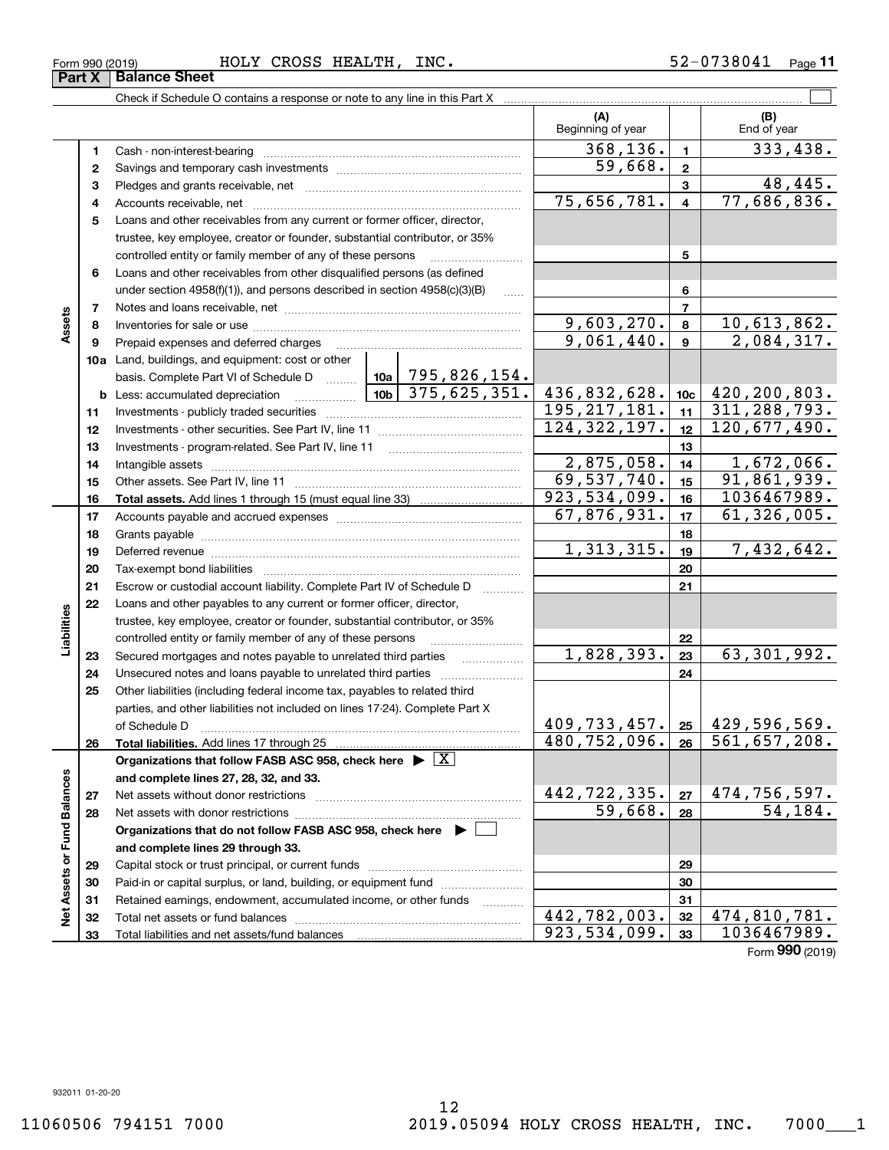**33**

**Net Assets or Fund Balances**

اقع<br>ح

Assets or Fund Balances

**Assets**

**Part X** Balance Sheet

**Liabilities**

iabilities

#### Form 990 (2019) HOLY CROSS HEALTH, INC. 5 $2\texttt{-}0738041$  Page

Check if Schedule O contains a response or note to any line in this Part X

**(A) (B) 123** Pledges and grants receivable, net  $\ldots$  **multimes contained and grants receivable**, net **multimes contained and grants receivable**, net **multimes contained and grants receivable 45**Loans and other receivables from any current or former officer, director, **678910a**Land, buildings, and equipment: cost or other **1112131415161718192021222324252627282930313212345678910c11121314151617181920212223242526b** Less: accumulated depreciation  $\ldots$  **10b** basis. Complete Part VI of Schedule D will aller **Total assets.**  Add lines 1 through 15 (must equal line 33) **Total liabilities.**  Add lines 17 through 25 **Organizations that follow FASB ASC 958, check here** | X **and complete lines 27, 28, 32, and 33. 2728Organizations that do not follow FASB ASC 958, check here** | **and complete lines 29 through 33. 2930313233**Beginning of year | | End of year Cash - non-interest-bearing ~~~~~~~~~~~~~~~~~~~~~~~~~ Savings and temporary cash investments ~~~~~~~~~~~~~~~~~~Accounts receivable, net ~~~~~~~~~~~~~~~~~~~~~~~~~~ trustee, key employee, creator or founder, substantial contributor, or 35% controlled entity or family member of any of these persons ............................ Loans and other receivables from other disqualified persons (as defined under section  $4958(f)(1)$ , and persons described in section  $4958(c)(3)(B)$ Notes and loans receivable, net ~~~~~~~~~~~~~~~~~~~~~~~Inventories for sale or use ~~~~~~~~~~~~~~~~~~~~~~~~~~ Prepaid expenses and deferred charges ~~~~~~~~~~~~~~~~~~ Investments - publicly traded securities ~~~~~~~~~~~~~~~~~~~ Investments - other securities. See Part IV, line 11 ~~~~~~~~~~~~~~Investments - program-related. See Part IV, line 11 ~~~~~~~~~~~~~Intangible assets ~~~~~~~~~~~~~~~~~~~~~~~~~~~~~~ Other assets. See Part IV, line 11 ~~~~~~~~~~~~~~~~~~~~~~ Accounts payable and accrued expenses ~~~~~~~~~~~~~~~~~~ Grants payable ~~~~~~~~~~~~~~~~~~~~~~~~~~~~~~~ Deferred revenue ~~~~~~~~~~~~~~~~~~~~~~~~~~~~~~Tax-exempt bond liabilities …………………………………………………………… Escrow or custodial account liability. Complete Part IV of Schedule D Loans and other payables to any current or former officer, director, trustee, key employee, creator or founder, substantial contributor, or 35% controlled entity or family member of any of these persons ~~~~~~~~~Secured mortgages and notes payable to unrelated third parties Unsecured notes and loans payable to unrelated third parties ~~~~~~~~ Other liabilities (including federal income tax, payables to related third parties, and other liabilities not included on lines 17-24). Complete Part X of Schedule D ~~~~~~~~~~~~~~~~~~~~~~~~~~~~~~~ Net assets without donor restrictions <sub>…………………………………………………</sub>…… Net assets with donor restrictions ~~~~~~~~~~~~~~~~~~~~~~Capital stock or trust principal, or current funds ~~~~~~~~~~~~~~~ Paid-in or capital surplus, or land, building, or equipment fund www.commun.com Retained earnings, endowment, accumulated income, or other funds www.com Total net assets or fund balances ~~~~~~~~~~~~~~~~~~~~~~ Total liabilities and net assets/fund balances  $368, 136.$   $1$   $333, 438.$ 75,656,781. 77,686,836. 48,445.  $9,603,270. | 8 | 10,613,862.$ 9,061,440. 2,084,317. 195,217,181. 311,288,793. 795,826,154.  $375,625,351.$  436,832,628. 10c 420,200,803.  $69,537,740.$   $15$  91,861,939. 923,534,099. 16 1036467989. 59,668. 1,672,066.  $67,876,931.$   $17$  61,326,005. 1,313,315. 19 7,432,642.  $1,828,393.$   $23$  63,301,992. 409,733,457. 429,596,569. 480,752,096. 561,657,208. 442,722,335. 474,756,597. 59,668. 54,184. 442,782,003. 474,810,781. 923,534,099. 33 1036467989. 2,875,058. 124,322,197. 120,677,490.

52-0738041 Page 11

 $\mathcal{L}^{\text{max}}$ 

Form (2019) **990**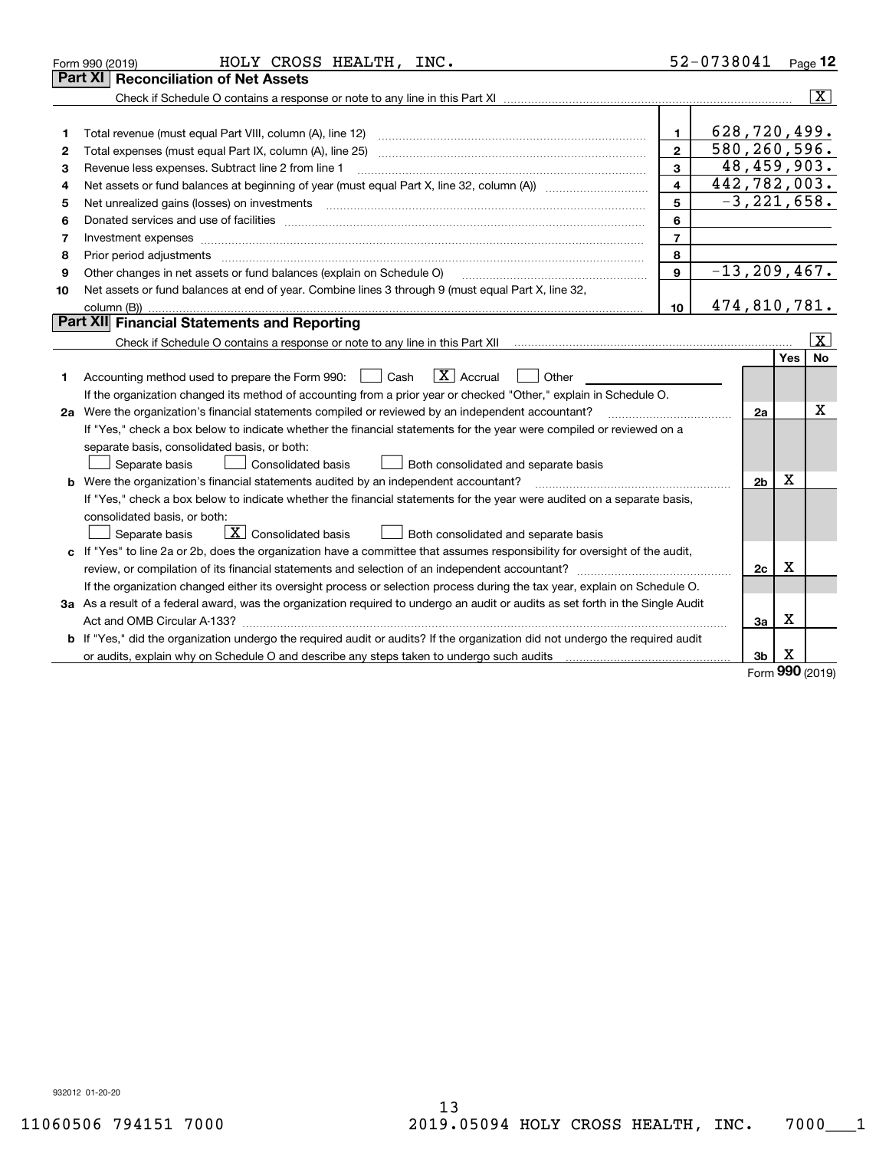|                | HOLY CROSS HEALTH, INC.<br>Form 990 (2019)                                                                                                                                                                                                                                                                                                                                                                                                                                 |                | 52-0738041       |                              | $Page$ 12               |
|----------------|----------------------------------------------------------------------------------------------------------------------------------------------------------------------------------------------------------------------------------------------------------------------------------------------------------------------------------------------------------------------------------------------------------------------------------------------------------------------------|----------------|------------------|------------------------------|-------------------------|
|                | <b>Part XI   Reconciliation of Net Assets</b>                                                                                                                                                                                                                                                                                                                                                                                                                              |                |                  |                              |                         |
|                |                                                                                                                                                                                                                                                                                                                                                                                                                                                                            |                |                  |                              | $ \mathbf{X} $          |
|                |                                                                                                                                                                                                                                                                                                                                                                                                                                                                            |                |                  |                              |                         |
| 1              | Total revenue (must equal Part VIII, column (A), line 12)                                                                                                                                                                                                                                                                                                                                                                                                                  | $\mathbf{1}$   | 628,720,499.     |                              |                         |
| $\overline{2}$ |                                                                                                                                                                                                                                                                                                                                                                                                                                                                            | $\overline{2}$ | 580,260,596.     |                              |                         |
| З              | Revenue less expenses. Subtract line 2 from line 1                                                                                                                                                                                                                                                                                                                                                                                                                         | 3              |                  |                              | 48,459,903.             |
| 4              |                                                                                                                                                                                                                                                                                                                                                                                                                                                                            | 4              | 442,782,003.     |                              |                         |
| 5              | Net unrealized gains (losses) on investments<br>$\overline{a_1, \ldots, a_n, \ldots, a_n, \ldots, a_n, \ldots, a_n, \ldots, a_n, \ldots, a_n, \ldots, a_n, \ldots, a_n, \ldots, a_n, \ldots, a_n, \ldots, a_n, \ldots, a_n, \ldots, a_n, \ldots, a_n, \ldots, a_n, \ldots, a_n, \ldots, a_n, \ldots, a_n, \ldots, a_n, \ldots, a_n, \ldots, a_n, \ldots, a_n, \ldots, a_n, \ldots, a_n, \ldots, a_n, \ldots, a_n, \ldots, a_n, \ldots, a_n, \ldots, a_n, \ldots, a_n, \ld$ | 5              |                  |                              | $-3, 221, 658.$         |
| 6              | Donated services and use of facilities [111] processes and the service of facilities [11] processes and use of facilities [11] processes and the service of facilities [11] processes and the service of the service of the se                                                                                                                                                                                                                                             | 6              |                  |                              |                         |
| 7              |                                                                                                                                                                                                                                                                                                                                                                                                                                                                            | $\overline{7}$ |                  |                              |                         |
| 8              | Prior period adjustments material contents and content of the content of the content of the content of the content of the content of the content of the content of the content of the content of the content of the content of                                                                                                                                                                                                                                             | 8              |                  |                              |                         |
| 9              | Other changes in net assets or fund balances (explain on Schedule O)                                                                                                                                                                                                                                                                                                                                                                                                       | 9              | $-13, 209, 467.$ |                              |                         |
| 10             | Net assets or fund balances at end of year. Combine lines 3 through 9 (must equal Part X, line 32,                                                                                                                                                                                                                                                                                                                                                                         |                |                  |                              |                         |
|                |                                                                                                                                                                                                                                                                                                                                                                                                                                                                            | 10             | 474,810,781.     |                              |                         |
|                | Part XII Financial Statements and Reporting                                                                                                                                                                                                                                                                                                                                                                                                                                |                |                  |                              |                         |
|                |                                                                                                                                                                                                                                                                                                                                                                                                                                                                            |                |                  |                              | $\overline{\mathbf{x}}$ |
|                |                                                                                                                                                                                                                                                                                                                                                                                                                                                                            |                |                  |                              | No<br>Yes               |
| 1              | $\boxed{\mathbf{X}}$ Accrual<br>Accounting method used to prepare the Form 990: <u>June</u> Cash<br>Other                                                                                                                                                                                                                                                                                                                                                                  |                |                  |                              |                         |
|                | If the organization changed its method of accounting from a prior year or checked "Other," explain in Schedule O.                                                                                                                                                                                                                                                                                                                                                          |                |                  |                              |                         |
|                | 2a Were the organization's financial statements compiled or reviewed by an independent accountant?                                                                                                                                                                                                                                                                                                                                                                         |                |                  | 2a                           | х                       |
|                | If "Yes," check a box below to indicate whether the financial statements for the year were compiled or reviewed on a                                                                                                                                                                                                                                                                                                                                                       |                |                  |                              |                         |
|                | separate basis, consolidated basis, or both:                                                                                                                                                                                                                                                                                                                                                                                                                               |                |                  |                              |                         |
|                | Both consolidated and separate basis<br>Separate basis<br><b>Consolidated basis</b>                                                                                                                                                                                                                                                                                                                                                                                        |                |                  |                              |                         |
|                | <b>b</b> Were the organization's financial statements audited by an independent accountant?                                                                                                                                                                                                                                                                                                                                                                                |                |                  | X<br>2 <sub>b</sub>          |                         |
|                | If "Yes," check a box below to indicate whether the financial statements for the year were audited on a separate basis,                                                                                                                                                                                                                                                                                                                                                    |                |                  |                              |                         |
|                | consolidated basis, or both:                                                                                                                                                                                                                                                                                                                                                                                                                                               |                |                  |                              |                         |
|                | $\boxed{\textbf{X}}$ Consolidated basis<br>Both consolidated and separate basis<br>Separate basis                                                                                                                                                                                                                                                                                                                                                                          |                |                  |                              |                         |
|                | c If "Yes" to line 2a or 2b, does the organization have a committee that assumes responsibility for oversight of the audit,                                                                                                                                                                                                                                                                                                                                                |                |                  | х                            |                         |
|                | review, or compilation of its financial statements and selection of an independent accountant?                                                                                                                                                                                                                                                                                                                                                                             |                |                  | 2c                           |                         |
|                | If the organization changed either its oversight process or selection process during the tax year, explain on Schedule O.                                                                                                                                                                                                                                                                                                                                                  |                |                  |                              |                         |
|                | 3a As a result of a federal award, was the organization required to undergo an audit or audits as set forth in the Single Audit                                                                                                                                                                                                                                                                                                                                            |                |                  | х                            |                         |
|                |                                                                                                                                                                                                                                                                                                                                                                                                                                                                            |                |                  | За                           |                         |
| b              | If "Yes," did the organization undergo the required audit or audits? If the organization did not undergo the required audit                                                                                                                                                                                                                                                                                                                                                |                |                  | х                            |                         |
|                |                                                                                                                                                                                                                                                                                                                                                                                                                                                                            |                |                  | 3 <sub>b</sub><br><b>nnn</b> |                         |

Form (2019) **990**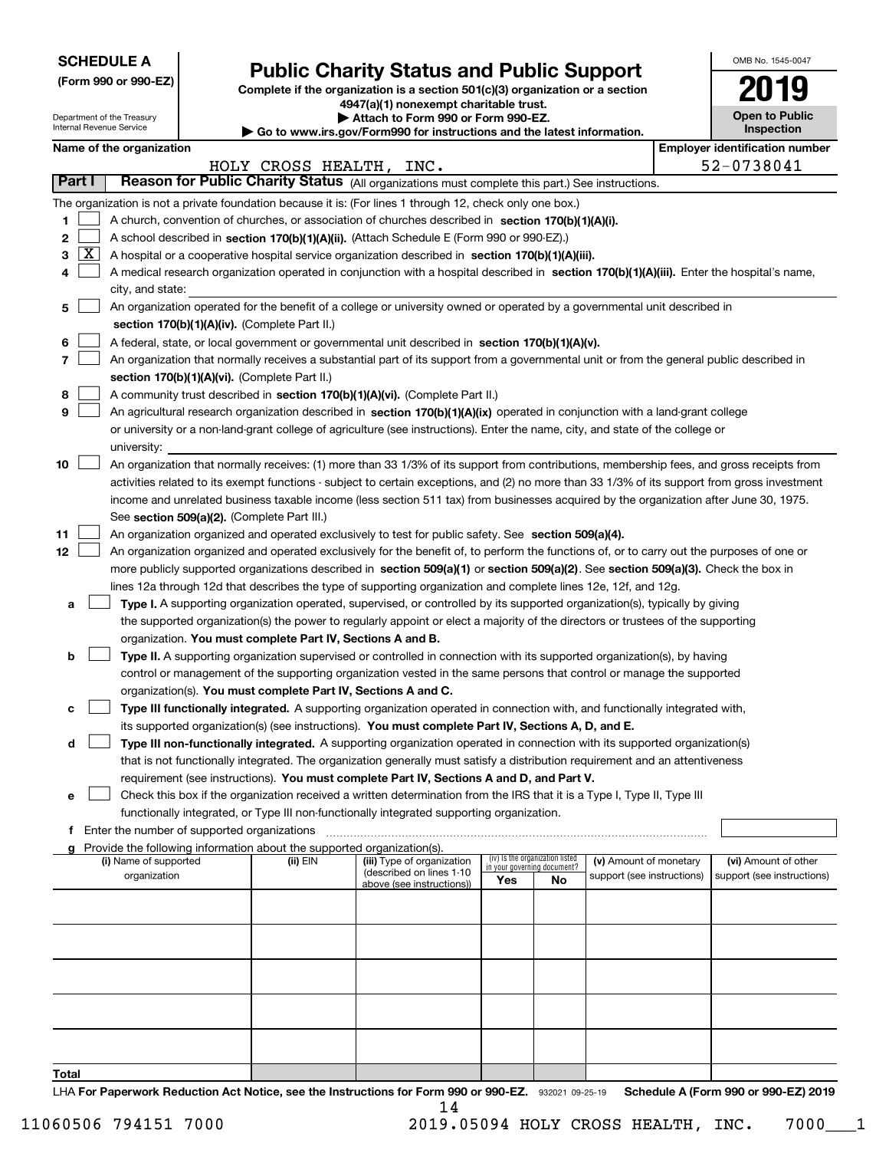| <b>SCHEDULE A</b> |
|-------------------|
|-------------------|

Department of the Treasury Internal Revenue Service

**(Form 990 or 990-EZ)**

# **Public Charity Status and Public Support**

**Complete if the organization is a section 501(c)(3) organization or a section 4947(a)(1) nonexempt charitable trust. | Attach to Form 990 or Form 990-EZ.** 

| $\blacksquare$                                                       |
|----------------------------------------------------------------------|
| Go to www.irs.gov/Form990 for instructions and the latest informatio |
|                                                                      |

|  | w.irs.gov/Form990 for instructions and the latest information. |
|--|----------------------------------------------------------------|
|  |                                                                |

OMB No. 1545-0047

**Open to Public Inspection**

**2019**

|        |                     | Name of the organization                                                                                                                      |                    |                                                       |     |                                                                |                            |  | <b>Employer identification number</b> |
|--------|---------------------|-----------------------------------------------------------------------------------------------------------------------------------------------|--------------------|-------------------------------------------------------|-----|----------------------------------------------------------------|----------------------------|--|---------------------------------------|
| Part I |                     | Reason for Public Charity Status (All organizations must complete this part.) See instructions.                                               | HOLY CROSS HEALTH, | INC.                                                  |     |                                                                |                            |  | 52-0738041                            |
|        |                     |                                                                                                                                               |                    |                                                       |     |                                                                |                            |  |                                       |
|        |                     | The organization is not a private foundation because it is: (For lines 1 through 12, check only one box.)                                     |                    |                                                       |     |                                                                |                            |  |                                       |
| 1      |                     | A church, convention of churches, or association of churches described in section 170(b)(1)(A)(i).                                            |                    |                                                       |     |                                                                |                            |  |                                       |
| 2      |                     | A school described in section 170(b)(1)(A)(ii). (Attach Schedule E (Form 990 or 990-EZ).)                                                     |                    |                                                       |     |                                                                |                            |  |                                       |
| 3.     | $\lfloor x \rfloor$ | A hospital or a cooperative hospital service organization described in section 170(b)(1)(A)(iii).                                             |                    |                                                       |     |                                                                |                            |  |                                       |
|        |                     | A medical research organization operated in conjunction with a hospital described in section 170(b)(1)(A)(iii). Enter the hospital's name,    |                    |                                                       |     |                                                                |                            |  |                                       |
|        |                     | city, and state:                                                                                                                              |                    |                                                       |     |                                                                |                            |  |                                       |
| 5      |                     | An organization operated for the benefit of a college or university owned or operated by a governmental unit described in                     |                    |                                                       |     |                                                                |                            |  |                                       |
|        |                     | section 170(b)(1)(A)(iv). (Complete Part II.)                                                                                                 |                    |                                                       |     |                                                                |                            |  |                                       |
| 6      |                     | A federal, state, or local government or governmental unit described in section 170(b)(1)(A)(v).                                              |                    |                                                       |     |                                                                |                            |  |                                       |
| 7.     |                     | An organization that normally receives a substantial part of its support from a governmental unit or from the general public described in     |                    |                                                       |     |                                                                |                            |  |                                       |
|        |                     | section 170(b)(1)(A)(vi). (Complete Part II.)                                                                                                 |                    |                                                       |     |                                                                |                            |  |                                       |
| 8      |                     | A community trust described in section 170(b)(1)(A)(vi). (Complete Part II.)                                                                  |                    |                                                       |     |                                                                |                            |  |                                       |
| 9      |                     | An agricultural research organization described in section 170(b)(1)(A)(ix) operated in conjunction with a land-grant college                 |                    |                                                       |     |                                                                |                            |  |                                       |
|        |                     | or university or a non-land-grant college of agriculture (see instructions). Enter the name, city, and state of the college or                |                    |                                                       |     |                                                                |                            |  |                                       |
|        |                     | university:                                                                                                                                   |                    |                                                       |     |                                                                |                            |  |                                       |
| 10     |                     | An organization that normally receives: (1) more than 33 1/3% of its support from contributions, membership fees, and gross receipts from     |                    |                                                       |     |                                                                |                            |  |                                       |
|        |                     | activities related to its exempt functions - subject to certain exceptions, and (2) no more than 33 1/3% of its support from gross investment |                    |                                                       |     |                                                                |                            |  |                                       |
|        |                     | income and unrelated business taxable income (less section 511 tax) from businesses acquired by the organization after June 30, 1975.         |                    |                                                       |     |                                                                |                            |  |                                       |
|        |                     | See section 509(a)(2). (Complete Part III.)                                                                                                   |                    |                                                       |     |                                                                |                            |  |                                       |
| 11     |                     | An organization organized and operated exclusively to test for public safety. See section 509(a)(4).                                          |                    |                                                       |     |                                                                |                            |  |                                       |
| 12     |                     | An organization organized and operated exclusively for the benefit of, to perform the functions of, or to carry out the purposes of one or    |                    |                                                       |     |                                                                |                            |  |                                       |
|        |                     |                                                                                                                                               |                    |                                                       |     |                                                                |                            |  |                                       |
|        |                     | more publicly supported organizations described in section 509(a)(1) or section 509(a)(2). See section 509(a)(3). Check the box in            |                    |                                                       |     |                                                                |                            |  |                                       |
|        |                     | lines 12a through 12d that describes the type of supporting organization and complete lines 12e, 12f, and 12g.                                |                    |                                                       |     |                                                                |                            |  |                                       |
| а      |                     | Type I. A supporting organization operated, supervised, or controlled by its supported organization(s), typically by giving                   |                    |                                                       |     |                                                                |                            |  |                                       |
|        |                     | the supported organization(s) the power to regularly appoint or elect a majority of the directors or trustees of the supporting               |                    |                                                       |     |                                                                |                            |  |                                       |
|        |                     | organization. You must complete Part IV, Sections A and B.                                                                                    |                    |                                                       |     |                                                                |                            |  |                                       |
| b      |                     | Type II. A supporting organization supervised or controlled in connection with its supported organization(s), by having                       |                    |                                                       |     |                                                                |                            |  |                                       |
|        |                     | control or management of the supporting organization vested in the same persons that control or manage the supported                          |                    |                                                       |     |                                                                |                            |  |                                       |
|        |                     | organization(s). You must complete Part IV, Sections A and C.                                                                                 |                    |                                                       |     |                                                                |                            |  |                                       |
| c      |                     | Type III functionally integrated. A supporting organization operated in connection with, and functionally integrated with,                    |                    |                                                       |     |                                                                |                            |  |                                       |
|        |                     | its supported organization(s) (see instructions). You must complete Part IV, Sections A, D, and E.                                            |                    |                                                       |     |                                                                |                            |  |                                       |
| d      |                     | Type III non-functionally integrated. A supporting organization operated in connection with its supported organization(s)                     |                    |                                                       |     |                                                                |                            |  |                                       |
|        |                     | that is not functionally integrated. The organization generally must satisfy a distribution requirement and an attentiveness                  |                    |                                                       |     |                                                                |                            |  |                                       |
|        |                     | requirement (see instructions). You must complete Part IV, Sections A and D, and Part V.                                                      |                    |                                                       |     |                                                                |                            |  |                                       |
|        |                     | Check this box if the organization received a written determination from the IRS that it is a Type I, Type II, Type III                       |                    |                                                       |     |                                                                |                            |  |                                       |
|        |                     | functionally integrated, or Type III non-functionally integrated supporting organization.                                                     |                    |                                                       |     |                                                                |                            |  |                                       |
|        |                     | f Enter the number of supported organizations                                                                                                 |                    |                                                       |     |                                                                |                            |  |                                       |
|        |                     | g Provide the following information about the supported organization(s).                                                                      |                    |                                                       |     |                                                                |                            |  |                                       |
|        |                     | (i) Name of supported                                                                                                                         | (ii) EIN           | (iii) Type of organization                            |     | (iv) Is the organization listed<br>in your governing document? | (v) Amount of monetary     |  | (vi) Amount of other                  |
|        |                     | organization                                                                                                                                  |                    | (described on lines 1-10<br>above (see instructions)) | Yes | No                                                             | support (see instructions) |  | support (see instructions)            |
|        |                     |                                                                                                                                               |                    |                                                       |     |                                                                |                            |  |                                       |
|        |                     |                                                                                                                                               |                    |                                                       |     |                                                                |                            |  |                                       |
|        |                     |                                                                                                                                               |                    |                                                       |     |                                                                |                            |  |                                       |
|        |                     |                                                                                                                                               |                    |                                                       |     |                                                                |                            |  |                                       |
|        |                     |                                                                                                                                               |                    |                                                       |     |                                                                |                            |  |                                       |
|        |                     |                                                                                                                                               |                    |                                                       |     |                                                                |                            |  |                                       |
|        |                     |                                                                                                                                               |                    |                                                       |     |                                                                |                            |  |                                       |
|        |                     |                                                                                                                                               |                    |                                                       |     |                                                                |                            |  |                                       |
|        |                     |                                                                                                                                               |                    |                                                       |     |                                                                |                            |  |                                       |
|        |                     |                                                                                                                                               |                    |                                                       |     |                                                                |                            |  |                                       |
|        |                     |                                                                                                                                               |                    |                                                       |     |                                                                |                            |  |                                       |
| Total  |                     |                                                                                                                                               |                    |                                                       |     |                                                                |                            |  |                                       |
|        |                     | LHA For Paperwork Reduction Act Notice, see the Instructions for Form 990 or 990-EZ. 932021 09-25-19                                          |                    |                                                       |     |                                                                |                            |  | Schedule A (Form 990 or 990-EZ) 2019  |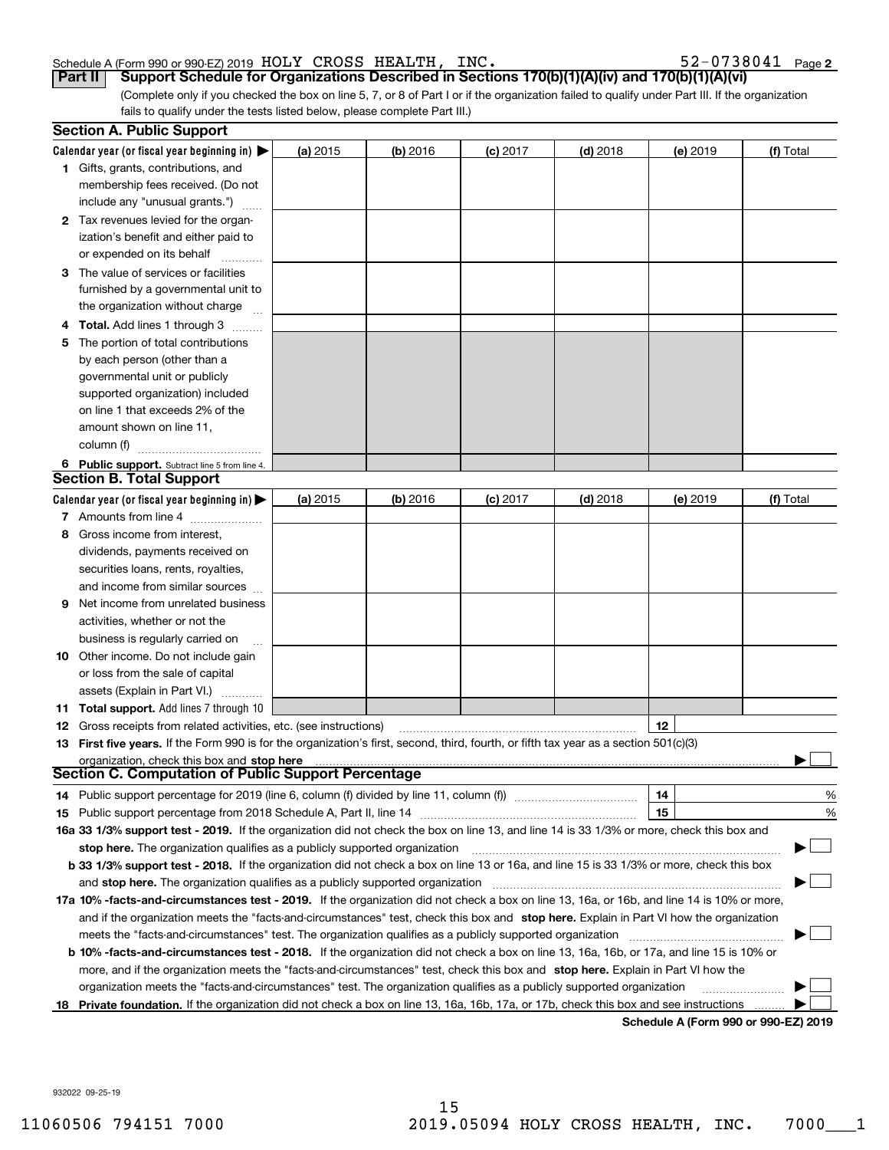#### Schedule A (Form 990 or 990-EZ) 2019 Page HOLY CROSS HEALTH, INC. 52-0738041

**2**

(Complete only if you checked the box on line 5, 7, or 8 of Part I or if the organization failed to qualify under Part III. If the organization fails to qualify under the tests listed below, please complete Part III.) **Part II Support Schedule for Organizations Described in Sections 170(b)(1)(A)(iv) and 170(b)(1)(A)(vi)**

|    | <b>Section A. Public Support</b>                                                                                                               |          |            |            |            |                                      |           |
|----|------------------------------------------------------------------------------------------------------------------------------------------------|----------|------------|------------|------------|--------------------------------------|-----------|
|    | Calendar year (or fiscal year beginning in) $\blacktriangleright$                                                                              | (a) 2015 | $(b)$ 2016 | $(c)$ 2017 | $(d)$ 2018 | (e) 2019                             | (f) Total |
|    | <b>1</b> Gifts, grants, contributions, and                                                                                                     |          |            |            |            |                                      |           |
|    | membership fees received. (Do not                                                                                                              |          |            |            |            |                                      |           |
|    | include any "unusual grants.")                                                                                                                 |          |            |            |            |                                      |           |
|    | <b>2</b> Tax revenues levied for the organ-                                                                                                    |          |            |            |            |                                      |           |
|    | ization's benefit and either paid to                                                                                                           |          |            |            |            |                                      |           |
|    | or expended on its behalf                                                                                                                      |          |            |            |            |                                      |           |
|    | 3 The value of services or facilities                                                                                                          |          |            |            |            |                                      |           |
|    | furnished by a governmental unit to                                                                                                            |          |            |            |            |                                      |           |
|    | the organization without charge                                                                                                                |          |            |            |            |                                      |           |
|    | 4 Total. Add lines 1 through 3                                                                                                                 |          |            |            |            |                                      |           |
| 5. | The portion of total contributions                                                                                                             |          |            |            |            |                                      |           |
|    | by each person (other than a                                                                                                                   |          |            |            |            |                                      |           |
|    | governmental unit or publicly                                                                                                                  |          |            |            |            |                                      |           |
|    | supported organization) included                                                                                                               |          |            |            |            |                                      |           |
|    | on line 1 that exceeds 2% of the                                                                                                               |          |            |            |            |                                      |           |
|    | amount shown on line 11,                                                                                                                       |          |            |            |            |                                      |           |
|    | column (f)                                                                                                                                     |          |            |            |            |                                      |           |
|    | 6 Public support. Subtract line 5 from line 4.                                                                                                 |          |            |            |            |                                      |           |
|    | <b>Section B. Total Support</b>                                                                                                                |          |            |            |            |                                      |           |
|    | Calendar year (or fiscal year beginning in)                                                                                                    | (a) 2015 | $(b)$ 2016 | $(c)$ 2017 | $(d)$ 2018 | (e) 2019                             | (f) Total |
|    | 7 Amounts from line 4                                                                                                                          |          |            |            |            |                                      |           |
|    | 8 Gross income from interest,                                                                                                                  |          |            |            |            |                                      |           |
|    | dividends, payments received on                                                                                                                |          |            |            |            |                                      |           |
|    | securities loans, rents, royalties,                                                                                                            |          |            |            |            |                                      |           |
|    | and income from similar sources                                                                                                                |          |            |            |            |                                      |           |
| 9. | Net income from unrelated business                                                                                                             |          |            |            |            |                                      |           |
|    | activities, whether or not the                                                                                                                 |          |            |            |            |                                      |           |
|    | business is regularly carried on                                                                                                               |          |            |            |            |                                      |           |
|    | <b>10</b> Other income. Do not include gain                                                                                                    |          |            |            |            |                                      |           |
|    | or loss from the sale of capital                                                                                                               |          |            |            |            |                                      |           |
|    | assets (Explain in Part VI.)                                                                                                                   |          |            |            |            |                                      |           |
|    | <b>11 Total support.</b> Add lines 7 through 10                                                                                                |          |            |            |            |                                      |           |
|    | <b>12</b> Gross receipts from related activities, etc. (see instructions)                                                                      |          |            |            |            | 12                                   |           |
|    | 13 First five years. If the Form 990 is for the organization's first, second, third, fourth, or fifth tax year as a section 501(c)(3)          |          |            |            |            |                                      |           |
|    | organization, check this box and stop here<br><b>Section C. Computation of Public Support Percentage</b>                                       |          |            |            |            |                                      |           |
|    |                                                                                                                                                |          |            |            |            |                                      |           |
|    | 14 Public support percentage for 2019 (line 6, column (f) divided by line 11, column (f) <i>manumeronominimi</i> ng                            |          |            |            |            | 14                                   | %         |
|    |                                                                                                                                                |          |            |            |            | 15                                   | $\%$      |
|    | 16a 33 1/3% support test - 2019. If the organization did not check the box on line 13, and line 14 is 33 1/3% or more, check this box and      |          |            |            |            |                                      |           |
|    | stop here. The organization qualifies as a publicly supported organization                                                                     |          |            |            |            |                                      |           |
|    | b 33 1/3% support test - 2018. If the organization did not check a box on line 13 or 16a, and line 15 is 33 1/3% or more, check this box       |          |            |            |            |                                      |           |
|    | and stop here. The organization qualifies as a publicly supported organization                                                                 |          |            |            |            |                                      |           |
|    | 17a 10% -facts-and-circumstances test - 2019. If the organization did not check a box on line 13, 16a, or 16b, and line 14 is 10% or more,     |          |            |            |            |                                      |           |
|    | and if the organization meets the "facts-and-circumstances" test, check this box and stop here. Explain in Part VI how the organization        |          |            |            |            |                                      |           |
|    | meets the "facts-and-circumstances" test. The organization qualifies as a publicly supported organization                                      |          |            |            |            |                                      |           |
|    | <b>b 10% -facts-and-circumstances test - 2018.</b> If the organization did not check a box on line 13, 16a, 16b, or 17a, and line 15 is 10% or |          |            |            |            |                                      |           |
|    | more, and if the organization meets the "facts-and-circumstances" test, check this box and stop here. Explain in Part VI how the               |          |            |            |            |                                      |           |
|    | organization meets the "facts-and-circumstances" test. The organization qualifies as a publicly supported organization                         |          |            |            |            |                                      |           |
| 18 | Private foundation. If the organization did not check a box on line 13, 16a, 16b, 17a, or 17b, check this box and see instructions             |          |            |            |            |                                      |           |
|    |                                                                                                                                                |          |            |            |            | Schedule A (Form 990 or 990-EZ) 2019 |           |

932022 09-25-19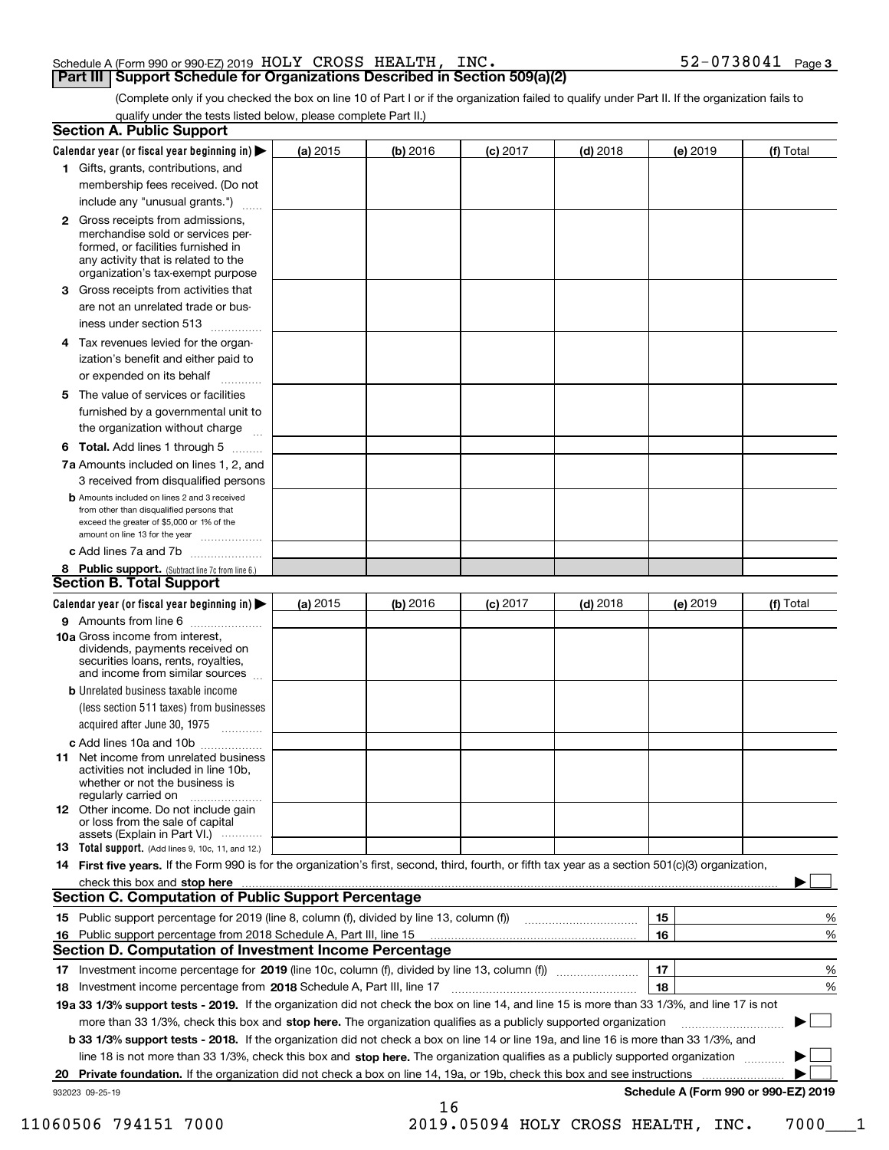### Schedule A (Form 990 or 990-EZ) 2019 Page HOLY CROSS HEALTH, INC. 52-0738041

**Part III Support Schedule for Organizations Described in Section 509(a)(2)** 

(Complete only if you checked the box on line 10 of Part I or if the organization failed to qualify under Part II. If the organization fails to qualify under the tests listed below, please complete Part II.)

| <b>Section A. Public Support</b>                                                                                                                                                                                         |            |          |            |            |          |                                      |
|--------------------------------------------------------------------------------------------------------------------------------------------------------------------------------------------------------------------------|------------|----------|------------|------------|----------|--------------------------------------|
| Calendar year (or fiscal year beginning in) $\blacktriangleright$                                                                                                                                                        | (a) 2015   | (b) 2016 | $(c)$ 2017 | $(d)$ 2018 | (e) 2019 | (f) Total                            |
| 1 Gifts, grants, contributions, and                                                                                                                                                                                      |            |          |            |            |          |                                      |
| membership fees received. (Do not                                                                                                                                                                                        |            |          |            |            |          |                                      |
| include any "unusual grants.")                                                                                                                                                                                           |            |          |            |            |          |                                      |
| 2 Gross receipts from admissions,<br>merchandise sold or services per-<br>formed, or facilities furnished in<br>any activity that is related to the<br>organization's tax-exempt purpose                                 |            |          |            |            |          |                                      |
| 3 Gross receipts from activities that                                                                                                                                                                                    |            |          |            |            |          |                                      |
| are not an unrelated trade or bus-                                                                                                                                                                                       |            |          |            |            |          |                                      |
| iness under section 513                                                                                                                                                                                                  |            |          |            |            |          |                                      |
| 4 Tax revenues levied for the organ-                                                                                                                                                                                     |            |          |            |            |          |                                      |
| ization's benefit and either paid to<br>or expended on its behalf<br>.                                                                                                                                                   |            |          |            |            |          |                                      |
| 5 The value of services or facilities                                                                                                                                                                                    |            |          |            |            |          |                                      |
| furnished by a governmental unit to                                                                                                                                                                                      |            |          |            |            |          |                                      |
| the organization without charge                                                                                                                                                                                          |            |          |            |            |          |                                      |
| <b>6 Total.</b> Add lines 1 through 5                                                                                                                                                                                    |            |          |            |            |          |                                      |
| 7a Amounts included on lines 1, 2, and                                                                                                                                                                                   |            |          |            |            |          |                                      |
| 3 received from disqualified persons<br><b>b</b> Amounts included on lines 2 and 3 received<br>from other than disqualified persons that<br>exceed the greater of \$5,000 or 1% of the<br>amount on line 13 for the year |            |          |            |            |          |                                      |
| c Add lines 7a and 7b                                                                                                                                                                                                    |            |          |            |            |          |                                      |
| 8 Public support. (Subtract line 7c from line 6.)                                                                                                                                                                        |            |          |            |            |          |                                      |
| <b>Section B. Total Support</b>                                                                                                                                                                                          |            |          |            |            |          |                                      |
| Calendar year (or fiscal year beginning in)                                                                                                                                                                              | (a) $2015$ | (b) 2016 | $(c)$ 2017 | $(d)$ 2018 | (e) 2019 | (f) Total                            |
| 9 Amounts from line 6                                                                                                                                                                                                    |            |          |            |            |          |                                      |
| 10a Gross income from interest,<br>dividends, payments received on<br>securities loans, rents, royalties,<br>and income from similar sources                                                                             |            |          |            |            |          |                                      |
| <b>b</b> Unrelated business taxable income                                                                                                                                                                               |            |          |            |            |          |                                      |
| (less section 511 taxes) from businesses<br>acquired after June 30, 1975                                                                                                                                                 |            |          |            |            |          |                                      |
| c Add lines 10a and 10b                                                                                                                                                                                                  |            |          |            |            |          |                                      |
| <b>11</b> Net income from unrelated business<br>activities not included in line 10b,<br>whether or not the business is<br>regularly carried on                                                                           |            |          |            |            |          |                                      |
| <b>12</b> Other income. Do not include gain<br>or loss from the sale of capital<br>assets (Explain in Part VI.)                                                                                                          |            |          |            |            |          |                                      |
| <b>13 Total support.</b> (Add lines 9, 10c, 11, and 12.)                                                                                                                                                                 |            |          |            |            |          |                                      |
| 14 First five years. If the Form 990 is for the organization's first, second, third, fourth, or fifth tax year as a section 501(c)(3) organization,                                                                      |            |          |            |            |          |                                      |
| check this box and stop here measurements and stop here are constructed and stop here are all the state of the                                                                                                           |            |          |            |            |          |                                      |
| <b>Section C. Computation of Public Support Percentage</b>                                                                                                                                                               |            |          |            |            |          |                                      |
| 15 Public support percentage for 2019 (line 8, column (f), divided by line 13, column (f))                                                                                                                               |            |          |            |            | 15       | %                                    |
| 16 Public support percentage from 2018 Schedule A, Part III, line 15                                                                                                                                                     |            |          |            |            | 16       | %                                    |
| <b>Section D. Computation of Investment Income Percentage</b>                                                                                                                                                            |            |          |            |            |          |                                      |
| 17 Investment income percentage for 2019 (line 10c, column (f), divided by line 13, column (f))                                                                                                                          |            |          |            |            | 17       | %                                    |
| 18 Investment income percentage from 2018 Schedule A, Part III, line 17                                                                                                                                                  |            |          |            |            | 18       | %                                    |
| 19a 33 1/3% support tests - 2019. If the organization did not check the box on line 14, and line 15 is more than 33 1/3%, and line 17 is not                                                                             |            |          |            |            |          |                                      |
| more than 33 1/3%, check this box and stop here. The organization qualifies as a publicly supported organization                                                                                                         |            |          |            |            |          | ▶                                    |
| <b>b 33 1/3% support tests - 2018.</b> If the organization did not check a box on line 14 or line 19a, and line 16 is more than 33 1/3%, and                                                                             |            |          |            |            |          |                                      |
| line 18 is not more than 33 1/3%, check this box and stop here. The organization qualifies as a publicly supported organization                                                                                          |            |          |            |            |          |                                      |
| 20 Private foundation. If the organization did not check a box on line 14, 19a, or 19b, check this box and see instructions                                                                                              |            |          |            |            | .        |                                      |
| 932023 09-25-19                                                                                                                                                                                                          |            |          |            |            |          | Schedule A (Form 990 or 990-EZ) 2019 |
|                                                                                                                                                                                                                          |            | 16       |            |            |          |                                      |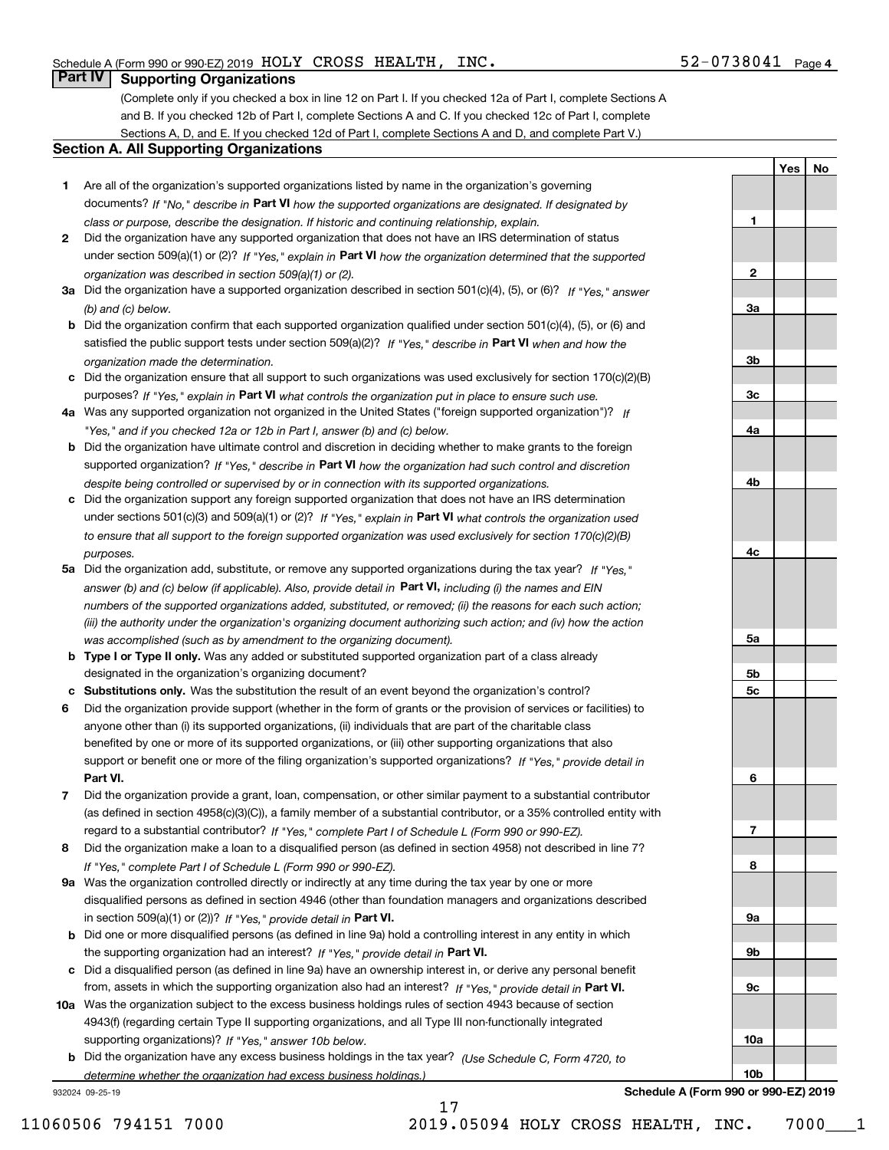**1**

**2**

**YesNo**

### **Part IV Supporting Organizations**

(Complete only if you checked a box in line 12 on Part I. If you checked 12a of Part I, complete Sections A and B. If you checked 12b of Part I, complete Sections A and C. If you checked 12c of Part I, complete Sections A, D, and E. If you checked 12d of Part I, complete Sections A and D, and complete Part V.)

#### **Section A. All Supporting Organizations**

- **1** Are all of the organization's supported organizations listed by name in the organization's governing documents? If "No," describe in **Part VI** how the supported organizations are designated. If designated by *class or purpose, describe the designation. If historic and continuing relationship, explain.*
- **2** Did the organization have any supported organization that does not have an IRS determination of status under section 509(a)(1) or (2)? If "Yes," explain in Part VI how the organization determined that the supported *organization was described in section 509(a)(1) or (2).*
- **3a** Did the organization have a supported organization described in section 501(c)(4), (5), or (6)? If "Yes," answer *(b) and (c) below.*
- **b** Did the organization confirm that each supported organization qualified under section 501(c)(4), (5), or (6) and satisfied the public support tests under section 509(a)(2)? If "Yes," describe in **Part VI** when and how the *organization made the determination.*
- **c**Did the organization ensure that all support to such organizations was used exclusively for section 170(c)(2)(B) purposes? If "Yes," explain in **Part VI** what controls the organization put in place to ensure such use.
- **4a***If* Was any supported organization not organized in the United States ("foreign supported organization")? *"Yes," and if you checked 12a or 12b in Part I, answer (b) and (c) below.*
- **b** Did the organization have ultimate control and discretion in deciding whether to make grants to the foreign supported organization? If "Yes," describe in **Part VI** how the organization had such control and discretion *despite being controlled or supervised by or in connection with its supported organizations.*
- **c** Did the organization support any foreign supported organization that does not have an IRS determination under sections 501(c)(3) and 509(a)(1) or (2)? If "Yes," explain in **Part VI** what controls the organization used *to ensure that all support to the foreign supported organization was used exclusively for section 170(c)(2)(B) purposes.*
- **5a** Did the organization add, substitute, or remove any supported organizations during the tax year? If "Yes," answer (b) and (c) below (if applicable). Also, provide detail in **Part VI,** including (i) the names and EIN *numbers of the supported organizations added, substituted, or removed; (ii) the reasons for each such action; (iii) the authority under the organization's organizing document authorizing such action; and (iv) how the action was accomplished (such as by amendment to the organizing document).*
- **b** Type I or Type II only. Was any added or substituted supported organization part of a class already designated in the organization's organizing document?
- **cSubstitutions only.**  Was the substitution the result of an event beyond the organization's control?
- **6** Did the organization provide support (whether in the form of grants or the provision of services or facilities) to **Part VI.** *If "Yes," provide detail in* support or benefit one or more of the filing organization's supported organizations? anyone other than (i) its supported organizations, (ii) individuals that are part of the charitable class benefited by one or more of its supported organizations, or (iii) other supporting organizations that also
- **7**Did the organization provide a grant, loan, compensation, or other similar payment to a substantial contributor *If "Yes," complete Part I of Schedule L (Form 990 or 990-EZ).* regard to a substantial contributor? (as defined in section 4958(c)(3)(C)), a family member of a substantial contributor, or a 35% controlled entity with
- **8** Did the organization make a loan to a disqualified person (as defined in section 4958) not described in line 7? *If "Yes," complete Part I of Schedule L (Form 990 or 990-EZ).*
- **9a** Was the organization controlled directly or indirectly at any time during the tax year by one or more in section 509(a)(1) or (2))? If "Yes," *provide detail in* <code>Part VI.</code> disqualified persons as defined in section 4946 (other than foundation managers and organizations described
- **b** Did one or more disqualified persons (as defined in line 9a) hold a controlling interest in any entity in which the supporting organization had an interest? If "Yes," provide detail in P**art VI**.
- **c**Did a disqualified person (as defined in line 9a) have an ownership interest in, or derive any personal benefit from, assets in which the supporting organization also had an interest? If "Yes," provide detail in P**art VI.**
- **10a** Was the organization subject to the excess business holdings rules of section 4943 because of section supporting organizations)? If "Yes," answer 10b below. 4943(f) (regarding certain Type II supporting organizations, and all Type III non-functionally integrated
- **b** Did the organization have any excess business holdings in the tax year? (Use Schedule C, Form 4720, to *determine whether the organization had excess business holdings.)*

17

932024 09-25-19

**3a3b3c4a4b4c5a 5b5c6789a 9b9c10a**

**Schedule A (Form 990 or 990-EZ) 2019**

**10b**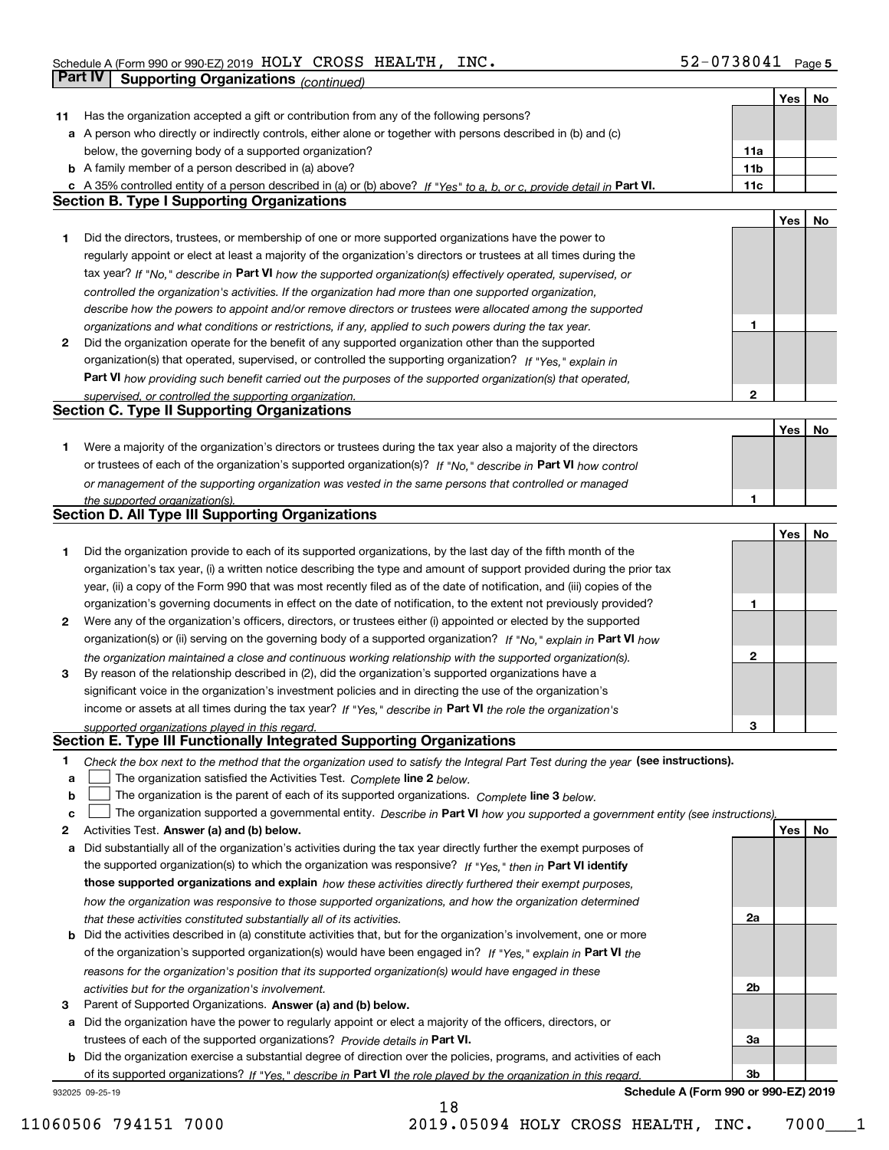|    |                                                                                                                                                                              |                 | Yes | No  |
|----|------------------------------------------------------------------------------------------------------------------------------------------------------------------------------|-----------------|-----|-----|
| 11 | Has the organization accepted a gift or contribution from any of the following persons?                                                                                      |                 |     |     |
|    | a A person who directly or indirectly controls, either alone or together with persons described in (b) and (c)                                                               |                 |     |     |
|    | below, the governing body of a supported organization?                                                                                                                       | 11a             |     |     |
|    | <b>b</b> A family member of a person described in (a) above?                                                                                                                 | 11 <sub>b</sub> |     |     |
|    | c A 35% controlled entity of a person described in (a) or (b) above? If "Yes" to a, b, or c, provide detail in Part VI.                                                      | 11c             |     |     |
|    | <b>Section B. Type I Supporting Organizations</b>                                                                                                                            |                 |     |     |
|    |                                                                                                                                                                              |                 | Yes | No  |
| 1  | Did the directors, trustees, or membership of one or more supported organizations have the power to                                                                          |                 |     |     |
|    | regularly appoint or elect at least a majority of the organization's directors or trustees at all times during the                                                           |                 |     |     |
|    | tax year? If "No," describe in Part VI how the supported organization(s) effectively operated, supervised, or                                                                |                 |     |     |
|    | controlled the organization's activities. If the organization had more than one supported organization,                                                                      |                 |     |     |
|    | describe how the powers to appoint and/or remove directors or trustees were allocated among the supported                                                                    |                 |     |     |
|    | organizations and what conditions or restrictions, if any, applied to such powers during the tax year.                                                                       | 1               |     |     |
| 2  | Did the organization operate for the benefit of any supported organization other than the supported                                                                          |                 |     |     |
|    | organization(s) that operated, supervised, or controlled the supporting organization? If "Yes," explain in                                                                   |                 |     |     |
|    |                                                                                                                                                                              |                 |     |     |
|    | Part VI how providing such benefit carried out the purposes of the supported organization(s) that operated,                                                                  | 2               |     |     |
|    | supervised, or controlled the supporting organization.<br><b>Section C. Type II Supporting Organizations</b>                                                                 |                 |     |     |
|    |                                                                                                                                                                              |                 |     |     |
|    |                                                                                                                                                                              |                 | Yes | No  |
| 1  | Were a majority of the organization's directors or trustees during the tax year also a majority of the directors                                                             |                 |     |     |
|    | or trustees of each of the organization's supported organization(s)? If "No." describe in Part VI how control                                                                |                 |     |     |
|    | or management of the supporting organization was vested in the same persons that controlled or managed                                                                       |                 |     |     |
|    | the supported organization(s).                                                                                                                                               |                 |     |     |
|    | <b>Section D. All Type III Supporting Organizations</b>                                                                                                                      |                 |     |     |
|    |                                                                                                                                                                              |                 | Yes | No  |
| 1  | Did the organization provide to each of its supported organizations, by the last day of the fifth month of the                                                               |                 |     |     |
|    | organization's tax year, (i) a written notice describing the type and amount of support provided during the prior tax                                                        |                 |     |     |
|    | year, (ii) a copy of the Form 990 that was most recently filed as of the date of notification, and (iii) copies of the                                                       |                 |     |     |
|    | organization's governing documents in effect on the date of notification, to the extent not previously provided?                                                             | 1               |     |     |
| 2  | Were any of the organization's officers, directors, or trustees either (i) appointed or elected by the supported                                                             |                 |     |     |
|    | organization(s) or (ii) serving on the governing body of a supported organization? If "No," explain in Part VI how                                                           |                 |     |     |
|    | the organization maintained a close and continuous working relationship with the supported organization(s).                                                                  | $\mathbf{2}$    |     |     |
| 3  | By reason of the relationship described in (2), did the organization's supported organizations have a                                                                        |                 |     |     |
|    | significant voice in the organization's investment policies and in directing the use of the organization's                                                                   |                 |     |     |
|    | income or assets at all times during the tax year? If "Yes," describe in Part VI the role the organization's                                                                 |                 |     |     |
|    | supported organizations played in this regard.                                                                                                                               | З               |     |     |
|    | Section E. Type III Functionally Integrated Supporting Organizations                                                                                                         |                 |     |     |
| 1  | Check the box next to the method that the organization used to satisfy the Integral Part Test during the year (see instructions).                                            |                 |     |     |
| а  | The organization satisfied the Activities Test. Complete line 2 below.                                                                                                       |                 |     |     |
| b  | The organization is the parent of each of its supported organizations. Complete line 3 below.                                                                                |                 |     |     |
| c  | The organization supported a governmental entity. Describe in Part VI how you supported a government entity (see instructions),                                              |                 |     |     |
| 2  | Activities Test. Answer (a) and (b) below.                                                                                                                                   |                 | Yes | No. |
| a  | Did substantially all of the organization's activities during the tax year directly further the exempt purposes of                                                           |                 |     |     |
|    | the supported organization(s) to which the organization was responsive? If "Yes," then in Part VI identify                                                                   |                 |     |     |
|    | those supported organizations and explain how these activities directly furthered their exempt purposes,                                                                     |                 |     |     |
|    | how the organization was responsive to those supported organizations, and how the organization determined                                                                    |                 |     |     |
|    | that these activities constituted substantially all of its activities.                                                                                                       | 2a              |     |     |
|    | <b>b</b> Did the activities described in (a) constitute activities that, but for the organization's involvement, one or more                                                 |                 |     |     |
|    | of the organization's supported organization(s) would have been engaged in? If "Yes," explain in Part VI the                                                                 |                 |     |     |
|    | reasons for the organization's position that its supported organization(s) would have engaged in these                                                                       |                 |     |     |
|    | activities but for the organization's involvement.                                                                                                                           | 2b              |     |     |
| 3  | Parent of Supported Organizations. Answer (a) and (b) below.                                                                                                                 |                 |     |     |
|    | a Did the organization have the power to regularly appoint or elect a majority of the officers, directors, or                                                                |                 |     |     |
|    | trustees of each of the supported organizations? Provide details in Part VI.                                                                                                 | За              |     |     |
|    | <b>b</b> Did the organization exercise a substantial degree of direction over the policies, programs, and activities of each                                                 |                 |     |     |
|    |                                                                                                                                                                              | 3b              |     |     |
|    | of its supported organizations? If "Yes," describe in Part VI the role played by the organization in this regard.<br>Schedule A (Form 990 or 990-EZ) 2019<br>932025 09-25-19 |                 |     |     |
|    |                                                                                                                                                                              |                 |     |     |

11060506 794151 7000 2019.05094 HOLY CROSS HEALTH, INC. 7000\_\_\_1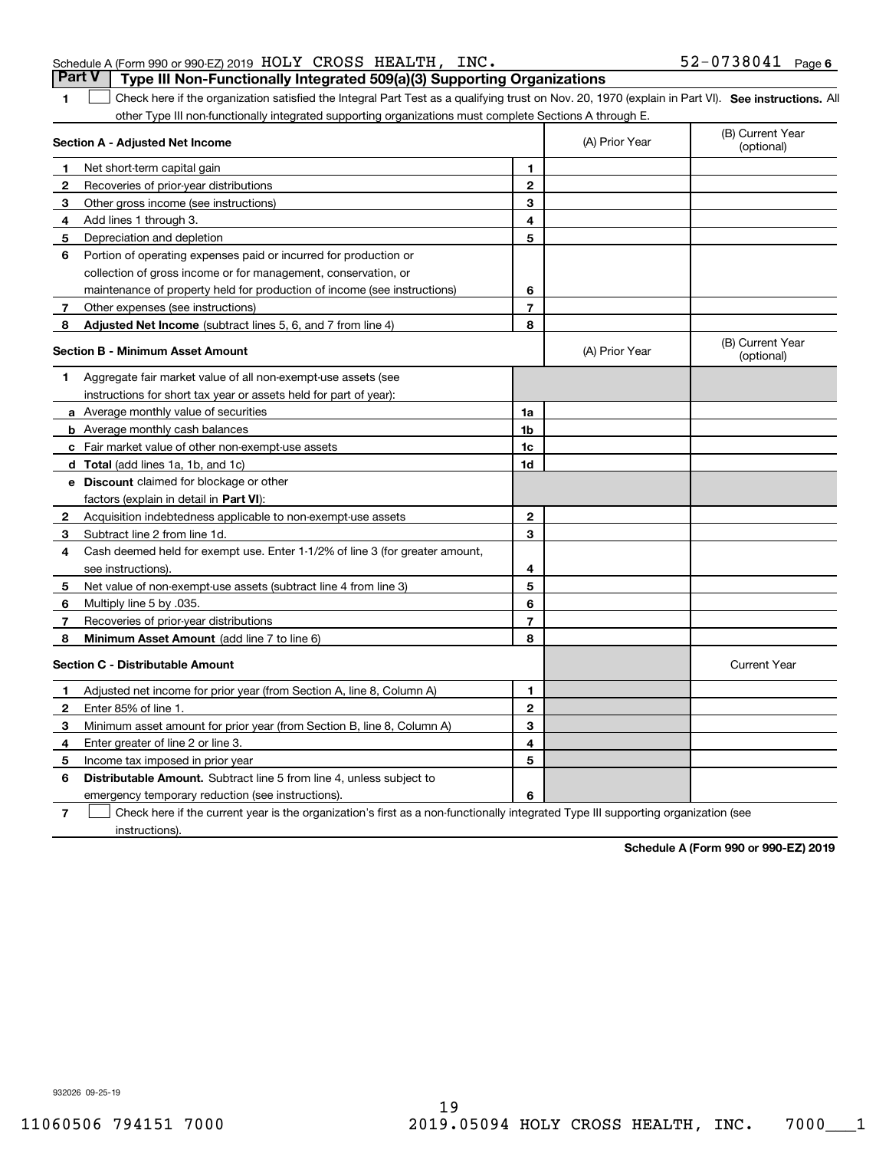|                                                                                         |  | Part V   Type III Non-Functionally Integrated 509(a)(3) Supporting Organizations |                   |  |
|-----------------------------------------------------------------------------------------|--|----------------------------------------------------------------------------------|-------------------|--|
| Schedule A (Form 990 or 990-EZ) 2019 $\,$ HOLY $\,$ CROSS $\,$ HEALTH , $\,$ INC $\,$ . |  |                                                                                  | 52-0738041 Page 6 |  |

**1**

1 Check here if the organization satisfied the Integral Part Test as a qualifying trust on Nov. 20, 1970 (explain in Part VI). See instructions. All other Type III non-functionally integrated supporting organizations must complete Sections A through E.

|              | Section A - Adjusted Net Income                                              |                | (A) Prior Year | (B) Current Year<br>(optional) |
|--------------|------------------------------------------------------------------------------|----------------|----------------|--------------------------------|
| 1.           | Net short-term capital gain                                                  | 1              |                |                                |
| 2            | Recoveries of prior-year distributions                                       | $\overline{2}$ |                |                                |
| 3            | Other gross income (see instructions)                                        | 3              |                |                                |
| 4            | Add lines 1 through 3.                                                       | 4              |                |                                |
| 5            | Depreciation and depletion                                                   | 5              |                |                                |
| 6            | Portion of operating expenses paid or incurred for production or             |                |                |                                |
|              | collection of gross income or for management, conservation, or               |                |                |                                |
|              | maintenance of property held for production of income (see instructions)     | 6              |                |                                |
| 7            | Other expenses (see instructions)                                            | $\overline{7}$ |                |                                |
| 8            | Adjusted Net Income (subtract lines 5, 6, and 7 from line 4)                 | 8              |                |                                |
|              | Section B - Minimum Asset Amount                                             |                | (A) Prior Year | (B) Current Year<br>(optional) |
| 1            | Aggregate fair market value of all non-exempt-use assets (see                |                |                |                                |
|              | instructions for short tax year or assets held for part of year):            |                |                |                                |
|              | a Average monthly value of securities                                        | 1a             |                |                                |
|              | <b>b</b> Average monthly cash balances                                       | 1b             |                |                                |
|              | c Fair market value of other non-exempt-use assets                           | 1c             |                |                                |
|              | d Total (add lines 1a, 1b, and 1c)                                           | 1d             |                |                                |
|              | <b>e</b> Discount claimed for blockage or other                              |                |                |                                |
|              | factors (explain in detail in Part VI):                                      |                |                |                                |
| 2            | Acquisition indebtedness applicable to non-exempt-use assets                 | $\overline{2}$ |                |                                |
| 3            | Subtract line 2 from line 1d.                                                | 3              |                |                                |
| 4            | Cash deemed held for exempt use. Enter 1-1/2% of line 3 (for greater amount, |                |                |                                |
|              | see instructions)                                                            | 4              |                |                                |
| 5            | Net value of non-exempt-use assets (subtract line 4 from line 3)             | 5              |                |                                |
| 6            | Multiply line 5 by .035.                                                     | 6              |                |                                |
| 7            | Recoveries of prior-year distributions                                       | $\overline{7}$ |                |                                |
| 8            | Minimum Asset Amount (add line 7 to line 6)                                  | 8              |                |                                |
|              | <b>Section C - Distributable Amount</b>                                      |                |                | <b>Current Year</b>            |
| 1            | Adjusted net income for prior year (from Section A, line 8, Column A)        | 1              |                |                                |
| $\mathbf{2}$ | Enter 85% of line 1                                                          | $\overline{2}$ |                |                                |
| 3            | Minimum asset amount for prior year (from Section B, line 8, Column A)       | 3              |                |                                |
| 4            | Enter greater of line 2 or line 3.                                           | 4              |                |                                |
| 5            | Income tax imposed in prior year                                             | 5              |                |                                |
| 6            | <b>Distributable Amount.</b> Subtract line 5 from line 4, unless subject to  |                |                |                                |
|              | emergency temporary reduction (see instructions).                            | 6              |                |                                |
|              |                                                                              |                |                |                                |

**7**Check here if the current year is the organization's first as a non-functionally integrated Type III supporting organization (see instructions).

**Schedule A (Form 990 or 990-EZ) 2019**

932026 09-25-19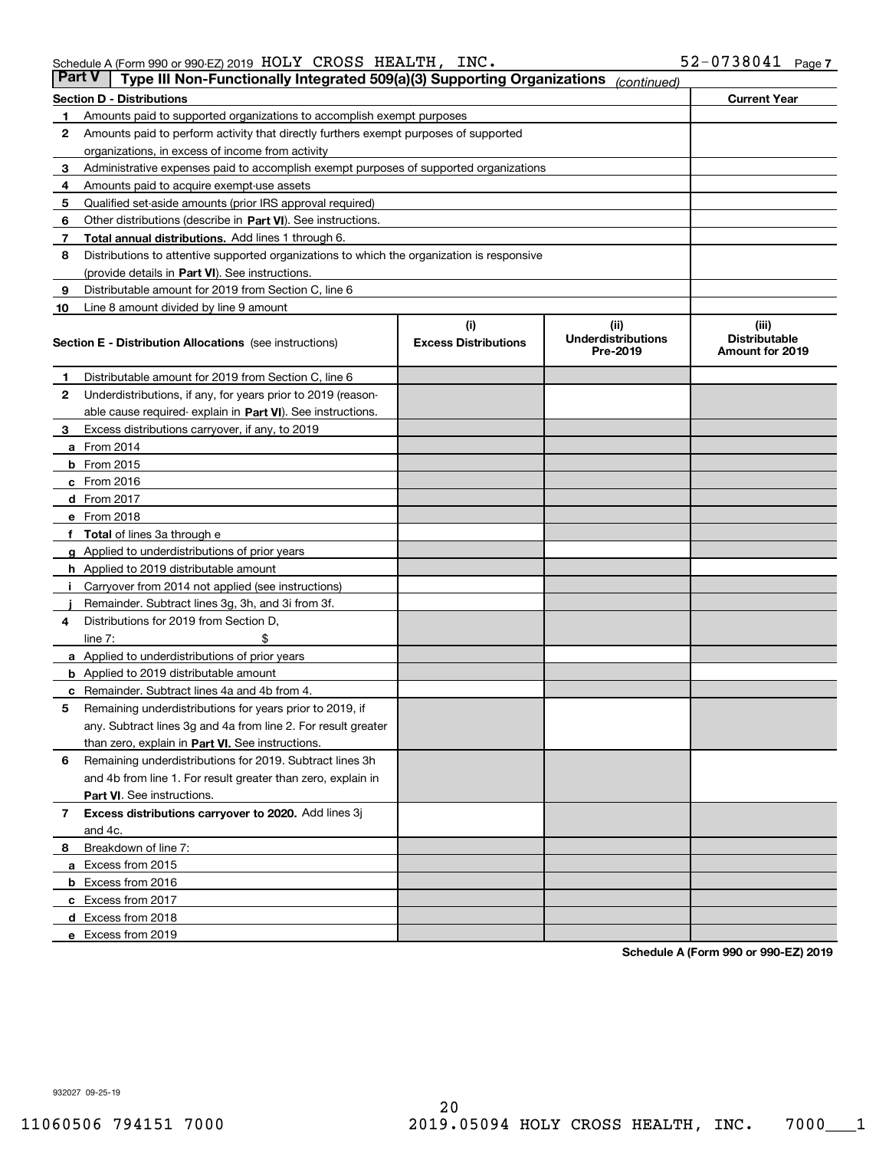| <b>Part V</b> | Type III Non-Functionally Integrated 509(a)(3) Supporting Organizations                    |                             | (continued)                           |                                         |  |  |  |  |
|---------------|--------------------------------------------------------------------------------------------|-----------------------------|---------------------------------------|-----------------------------------------|--|--|--|--|
|               | <b>Section D - Distributions</b>                                                           |                             |                                       | <b>Current Year</b>                     |  |  |  |  |
| 1             | Amounts paid to supported organizations to accomplish exempt purposes                      |                             |                                       |                                         |  |  |  |  |
| 2             | Amounts paid to perform activity that directly furthers exempt purposes of supported       |                             |                                       |                                         |  |  |  |  |
|               | organizations, in excess of income from activity                                           |                             |                                       |                                         |  |  |  |  |
| 3             | Administrative expenses paid to accomplish exempt purposes of supported organizations      |                             |                                       |                                         |  |  |  |  |
| 4             | Amounts paid to acquire exempt-use assets                                                  |                             |                                       |                                         |  |  |  |  |
| 5             | Qualified set-aside amounts (prior IRS approval required)                                  |                             |                                       |                                         |  |  |  |  |
| 6             | Other distributions (describe in Part VI). See instructions.                               |                             |                                       |                                         |  |  |  |  |
| 7             | <b>Total annual distributions.</b> Add lines 1 through 6.                                  |                             |                                       |                                         |  |  |  |  |
| 8             | Distributions to attentive supported organizations to which the organization is responsive |                             |                                       |                                         |  |  |  |  |
|               | (provide details in Part VI). See instructions.                                            |                             |                                       |                                         |  |  |  |  |
| 9             | Distributable amount for 2019 from Section C, line 6                                       |                             |                                       |                                         |  |  |  |  |
| 10            | Line 8 amount divided by line 9 amount                                                     |                             |                                       |                                         |  |  |  |  |
|               |                                                                                            | (i)                         | (iii)                                 | (iii)                                   |  |  |  |  |
|               | <b>Section E - Distribution Allocations</b> (see instructions)                             | <b>Excess Distributions</b> | <b>Underdistributions</b><br>Pre-2019 | <b>Distributable</b><br>Amount for 2019 |  |  |  |  |
| 1             | Distributable amount for 2019 from Section C, line 6                                       |                             |                                       |                                         |  |  |  |  |
| 2             | Underdistributions, if any, for years prior to 2019 (reason-                               |                             |                                       |                                         |  |  |  |  |
|               | able cause required- explain in Part VI). See instructions.                                |                             |                                       |                                         |  |  |  |  |
| З             | Excess distributions carryover, if any, to 2019                                            |                             |                                       |                                         |  |  |  |  |
|               | <b>a</b> From 2014                                                                         |                             |                                       |                                         |  |  |  |  |
|               | <b>b</b> From 2015                                                                         |                             |                                       |                                         |  |  |  |  |
|               | $c$ From 2016                                                                              |                             |                                       |                                         |  |  |  |  |
|               | d From 2017                                                                                |                             |                                       |                                         |  |  |  |  |
|               | e From 2018                                                                                |                             |                                       |                                         |  |  |  |  |
|               | Total of lines 3a through e                                                                |                             |                                       |                                         |  |  |  |  |
| g             | Applied to underdistributions of prior years                                               |                             |                                       |                                         |  |  |  |  |
|               | <b>h</b> Applied to 2019 distributable amount                                              |                             |                                       |                                         |  |  |  |  |
|               | Carryover from 2014 not applied (see instructions)                                         |                             |                                       |                                         |  |  |  |  |
|               | Remainder. Subtract lines 3g, 3h, and 3i from 3f.                                          |                             |                                       |                                         |  |  |  |  |
| 4             | Distributions for 2019 from Section D,                                                     |                             |                                       |                                         |  |  |  |  |
|               | line $7:$                                                                                  |                             |                                       |                                         |  |  |  |  |
|               | <b>a</b> Applied to underdistributions of prior years                                      |                             |                                       |                                         |  |  |  |  |
|               | <b>b</b> Applied to 2019 distributable amount                                              |                             |                                       |                                         |  |  |  |  |
|               | c Remainder. Subtract lines 4a and 4b from 4.                                              |                             |                                       |                                         |  |  |  |  |
| 5             | Remaining underdistributions for years prior to 2019, if                                   |                             |                                       |                                         |  |  |  |  |
|               | any. Subtract lines 3g and 4a from line 2. For result greater                              |                             |                                       |                                         |  |  |  |  |
|               | than zero, explain in Part VI. See instructions.                                           |                             |                                       |                                         |  |  |  |  |
| 6             | Remaining underdistributions for 2019. Subtract lines 3h                                   |                             |                                       |                                         |  |  |  |  |
|               | and 4b from line 1. For result greater than zero, explain in                               |                             |                                       |                                         |  |  |  |  |
|               | Part VI. See instructions.                                                                 |                             |                                       |                                         |  |  |  |  |
| 7             | Excess distributions carryover to 2020. Add lines 3j                                       |                             |                                       |                                         |  |  |  |  |
|               | and 4c.                                                                                    |                             |                                       |                                         |  |  |  |  |
| 8             | Breakdown of line 7:                                                                       |                             |                                       |                                         |  |  |  |  |
|               | a Excess from 2015                                                                         |                             |                                       |                                         |  |  |  |  |
|               | <b>b</b> Excess from 2016                                                                  |                             |                                       |                                         |  |  |  |  |
|               | c Excess from 2017                                                                         |                             |                                       |                                         |  |  |  |  |
|               | d Excess from 2018                                                                         |                             |                                       |                                         |  |  |  |  |
|               | e Excess from 2019                                                                         |                             |                                       |                                         |  |  |  |  |

**Schedule A (Form 990 or 990-EZ) 2019**

932027 09-25-19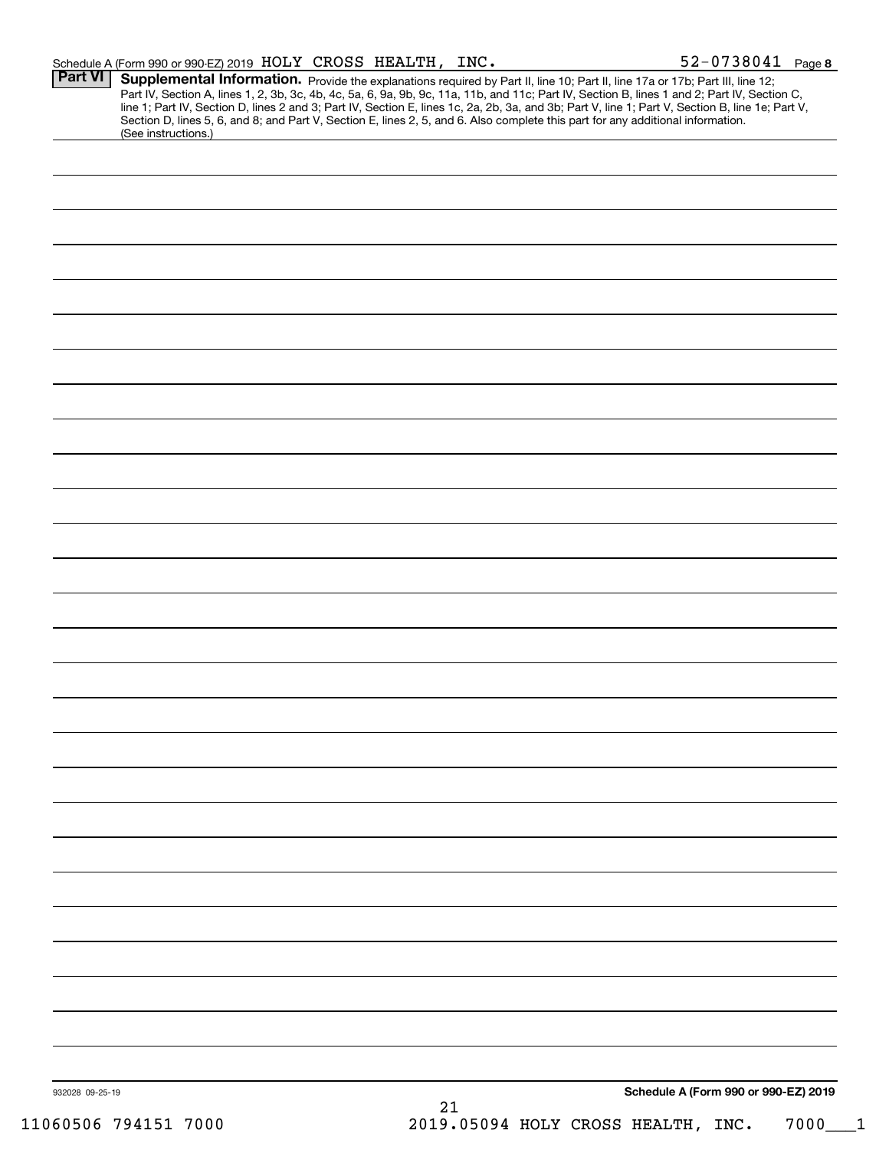|                 | Schedule A (Form 990 or 990-EZ) 2019 HOLY CROSS HEALTH, INC.                                                                                           |    | 52-0738041 Page 8                                                                                                                                |
|-----------------|--------------------------------------------------------------------------------------------------------------------------------------------------------|----|--------------------------------------------------------------------------------------------------------------------------------------------------|
| <b>Part VI</b>  | Supplemental Information. Provide the explanations required by Part II, line 10; Part II, line 17a or 17b; Part III, line 12;                          |    | Part IV, Section A, lines 1, 2, 3b, 3c, 4b, 4c, 5a, 6, 9a, 9b, 9c, 11a, 11b, and 11c; Part IV, Section B, lines 1 and 2; Part IV, Section C,     |
|                 | Section D, lines 5, 6, and 8; and Part V, Section E, lines 2, 5, and 6. Also complete this part for any additional information.<br>(See instructions.) |    | line 1; Part IV, Section D, lines 2 and 3; Part IV, Section E, lines 1c, 2a, 2b, 3a, and 3b; Part V, line 1; Part V, Section B, line 1e; Part V, |
|                 |                                                                                                                                                        |    |                                                                                                                                                  |
|                 |                                                                                                                                                        |    |                                                                                                                                                  |
|                 |                                                                                                                                                        |    |                                                                                                                                                  |
|                 |                                                                                                                                                        |    |                                                                                                                                                  |
|                 |                                                                                                                                                        |    |                                                                                                                                                  |
|                 |                                                                                                                                                        |    |                                                                                                                                                  |
|                 |                                                                                                                                                        |    |                                                                                                                                                  |
|                 |                                                                                                                                                        |    |                                                                                                                                                  |
|                 |                                                                                                                                                        |    |                                                                                                                                                  |
|                 |                                                                                                                                                        |    |                                                                                                                                                  |
|                 |                                                                                                                                                        |    |                                                                                                                                                  |
|                 |                                                                                                                                                        |    |                                                                                                                                                  |
|                 |                                                                                                                                                        |    |                                                                                                                                                  |
|                 |                                                                                                                                                        |    |                                                                                                                                                  |
|                 |                                                                                                                                                        |    |                                                                                                                                                  |
|                 |                                                                                                                                                        |    |                                                                                                                                                  |
|                 |                                                                                                                                                        |    |                                                                                                                                                  |
|                 |                                                                                                                                                        |    |                                                                                                                                                  |
|                 |                                                                                                                                                        |    |                                                                                                                                                  |
|                 |                                                                                                                                                        |    |                                                                                                                                                  |
|                 |                                                                                                                                                        |    |                                                                                                                                                  |
|                 |                                                                                                                                                        |    |                                                                                                                                                  |
|                 |                                                                                                                                                        |    |                                                                                                                                                  |
|                 |                                                                                                                                                        |    |                                                                                                                                                  |
|                 |                                                                                                                                                        |    |                                                                                                                                                  |
|                 |                                                                                                                                                        |    |                                                                                                                                                  |
| 932028 09-25-19 |                                                                                                                                                        | 21 | Schedule A (Form 990 or 990-EZ) 2019                                                                                                             |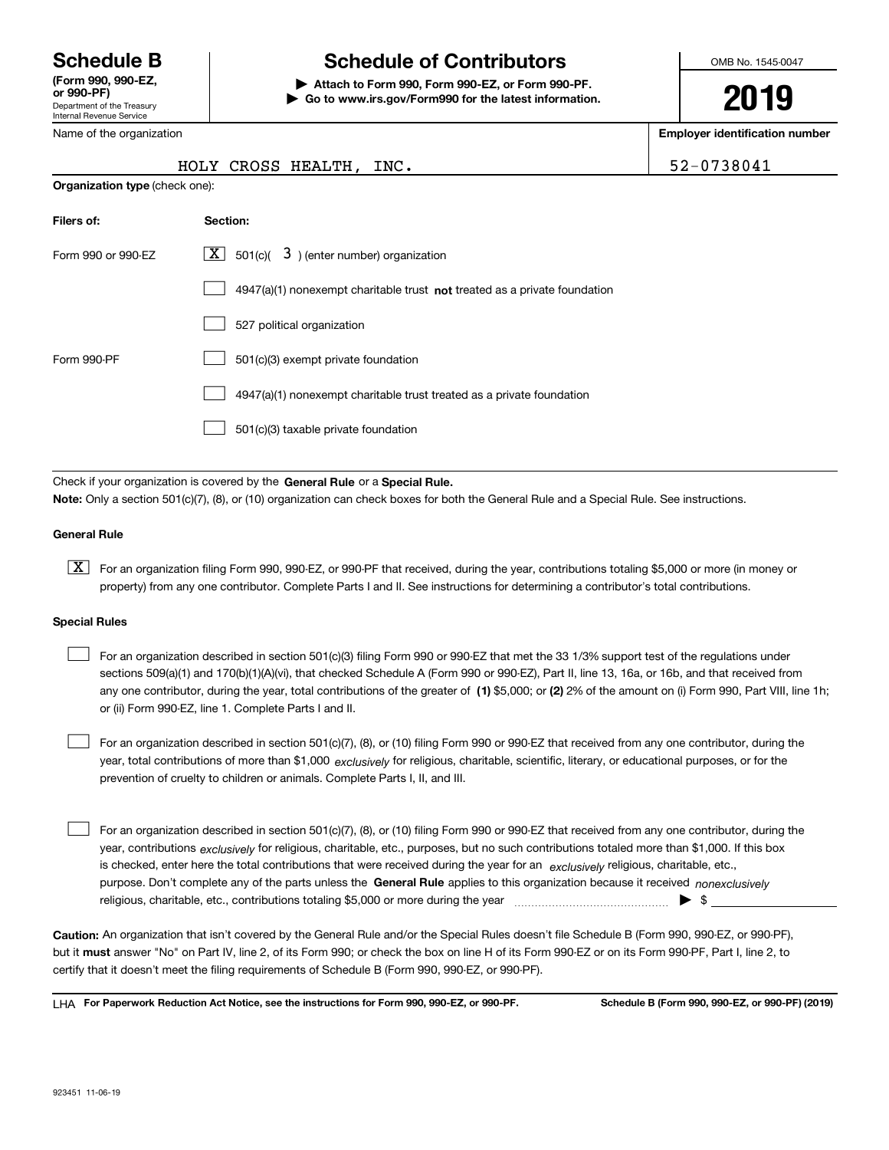Department of the Treasury Internal Revenue Service **(Form 990, 990-EZ, or 990-PF)**

# **Schedule B Schedule of Contributors**

**| Attach to Form 990, Form 990-EZ, or Form 990-PF. | Go to www.irs.gov/Form990 for the latest information.** OMB No. 1545-0047

# **2019**

**Employer identification number**

| 2-0738041 |
|-----------|
|-----------|

| Department of the Treasury |
|----------------------------|
| Internal Revenue Service   |
| Name of the organization   |

**Organization type** (check one):

### HOLY CROSS HEALTH, INC.  $\vert$  5

| Filers of:         | Section:                                                                           |
|--------------------|------------------------------------------------------------------------------------|
| Form 990 or 990-EZ | $\lfloor x \rfloor$ 501(c)( 3) (enter number) organization                         |
|                    | $4947(a)(1)$ nonexempt charitable trust <b>not</b> treated as a private foundation |
|                    | 527 political organization                                                         |
| Form 990-PF        | 501(c)(3) exempt private foundation                                                |
|                    | 4947(a)(1) nonexempt charitable trust treated as a private foundation              |
|                    | 501(c)(3) taxable private foundation                                               |

Check if your organization is covered by the **General Rule** or a **Special Rule. Note:**  Only a section 501(c)(7), (8), or (10) organization can check boxes for both the General Rule and a Special Rule. See instructions.

#### **General Rule**

 $\boxed{\textbf{X}}$  For an organization filing Form 990, 990-EZ, or 990-PF that received, during the year, contributions totaling \$5,000 or more (in money or property) from any one contributor. Complete Parts I and II. See instructions for determining a contributor's total contributions.

#### **Special Rules**

any one contributor, during the year, total contributions of the greater of  $\,$  (1) \$5,000; or **(2)** 2% of the amount on (i) Form 990, Part VIII, line 1h; For an organization described in section 501(c)(3) filing Form 990 or 990-EZ that met the 33 1/3% support test of the regulations under sections 509(a)(1) and 170(b)(1)(A)(vi), that checked Schedule A (Form 990 or 990-EZ), Part II, line 13, 16a, or 16b, and that received from or (ii) Form 990-EZ, line 1. Complete Parts I and II.  $\mathcal{L}^{\text{max}}$ 

year, total contributions of more than \$1,000 *exclusively* for religious, charitable, scientific, literary, or educational purposes, or for the For an organization described in section 501(c)(7), (8), or (10) filing Form 990 or 990-EZ that received from any one contributor, during the prevention of cruelty to children or animals. Complete Parts I, II, and III.  $\mathcal{L}^{\text{max}}$ 

purpose. Don't complete any of the parts unless the **General Rule** applies to this organization because it received *nonexclusively* year, contributions <sub>exclusively</sub> for religious, charitable, etc., purposes, but no such contributions totaled more than \$1,000. If this box is checked, enter here the total contributions that were received during the year for an  $\;$ exclusively religious, charitable, etc., For an organization described in section 501(c)(7), (8), or (10) filing Form 990 or 990-EZ that received from any one contributor, during the religious, charitable, etc., contributions totaling \$5,000 or more during the year  $\Box$ — $\Box$  =  $\Box$  $\mathcal{L}^{\text{max}}$ 

**Caution:**  An organization that isn't covered by the General Rule and/or the Special Rules doesn't file Schedule B (Form 990, 990-EZ, or 990-PF),  **must** but it answer "No" on Part IV, line 2, of its Form 990; or check the box on line H of its Form 990-EZ or on its Form 990-PF, Part I, line 2, to certify that it doesn't meet the filing requirements of Schedule B (Form 990, 990-EZ, or 990-PF).

**For Paperwork Reduction Act Notice, see the instructions for Form 990, 990-EZ, or 990-PF. Schedule B (Form 990, 990-EZ, or 990-PF) (2019)** LHA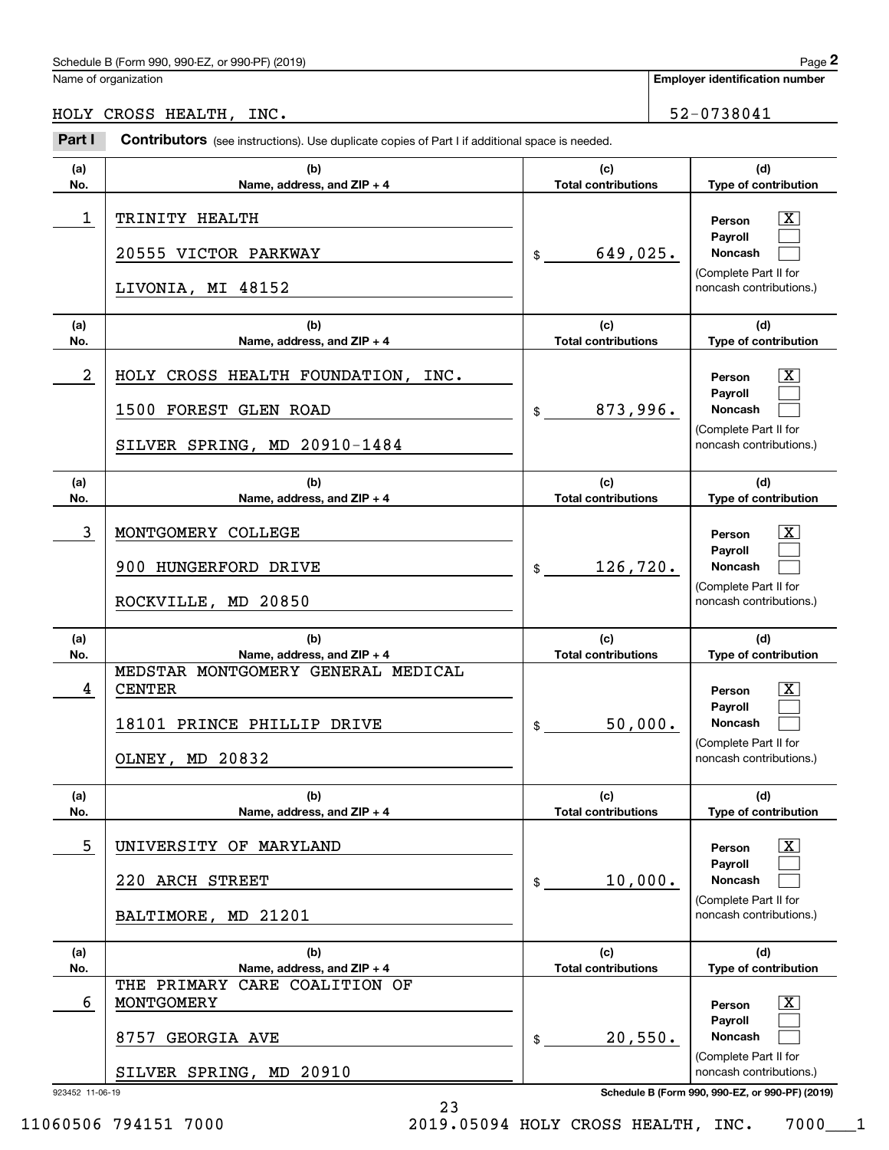#### Schedule B (Form 990, 990-EZ, or 990-PF) (2019)  $P_0 = 2$

Name of organization

**Employer identification number**

#### HOLY CROSS HEALTH, INC.  $\vert$  52-0738041

923452 11-06-19 **Schedule B (Form 990, 990-EZ, or 990-PF) (2019) (a)No.(b) Name, address, and ZIP + 4 (c)Total contributions (d)Type of contribution PersonPayrollNoncash (a)No.(b)Name, address, and ZIP + 4 (c)Total contributions (d)Type of contribution PersonPayrollNoncash (a)No.(b)Name, address, and ZIP + 4 (c)Total contributions (d)Type of contribution PersonPayrollNoncash (a)No.(b)Name, address, and ZIP + 4 (c) Total contributions (d)Type of contribution PersonPayrollNoncash (a) No.(b)Name, address, and ZIP + 4 (c)Total contributions (d)Type of contribution PersonPayrollNoncash (a)No.(b)Name, address, and ZIP + 4 (c)Total contributions (d)Type of contribution PersonPayrollNoncash Contributors** (see instructions). Use duplicate copies of Part I if additional space is needed. \$(Complete Part II for noncash contributions.) \$(Complete Part II for noncash contributions.) \$(Complete Part II for noncash contributions.) \$(Complete Part II for noncash contributions.) \$(Complete Part II for noncash contributions.) \$(Complete Part II for noncash contributions.) Employer identification Page 2<br>
Iame of organization<br> **2Part I 2Part I Contributors** (see instructions). Use duplicate copies of Part I if additional space is needed.  $\lceil \text{X} \rceil$  $\mathcal{L}^{\text{max}}$  $\mathcal{L}^{\text{max}}$  $\boxed{\text{X}}$  $\mathcal{L}^{\text{max}}$  $\mathcal{L}^{\text{max}}$  $|X|$  $\mathcal{L}^{\text{max}}$  $\mathcal{L}^{\text{max}}$  $|X|$  $\mathcal{L}^{\text{max}}$  $\mathcal{L}^{\text{max}}$  $|X|$  $\mathcal{L}^{\text{max}}$  $\mathcal{L}^{\text{max}}$  $\boxed{\text{X}}$  $\mathcal{L}^{\text{max}}$  $\mathcal{L}^{\text{max}}$ 1 X TRINITY HEALTH 649,025. 20555 VICTOR PARKWAY LIVONIA, MI 48152 2 HOLY CROSS HEALTH FOUNDATION, INC. The state of the series of the series of the series of the series of the series of the series of the series of the series of the series of the series of the series of the series of the 873,996. 1500 FOREST GLEN ROAD SILVER SPRING, MD 20910-1484 3 X MONTGOMERY COLLEGE 126,720. 900 HUNGERFORD DRIVE ROCKVILLE, MD 20850 4 CENTER RESERVED AND RESERVED FOR A SERVED ON A SERVED ON A SERVED ON A SERVED ON A SERVED ON A SERVED ON A S 50,000. CENTER MEDSTAR MONTGOMERY GENERAL MEDICAL 18101 PRINCE PHILLIP DRIVE OLNEY, MD 20832 5 X UNIVERSITY OF MARYLAND 10,000. 220 ARCH STREET BALTIMORE, MD 21201 6 X MONTGOMERY 20,550. THE PRIMARY CARE COALITION OF 8757 GEORGIA AVE SILVER SPRING, MD 20910

23

11060506 794151 7000 2019.05094 HOLY CROSS HEALTH, INC. 7000\_\_\_1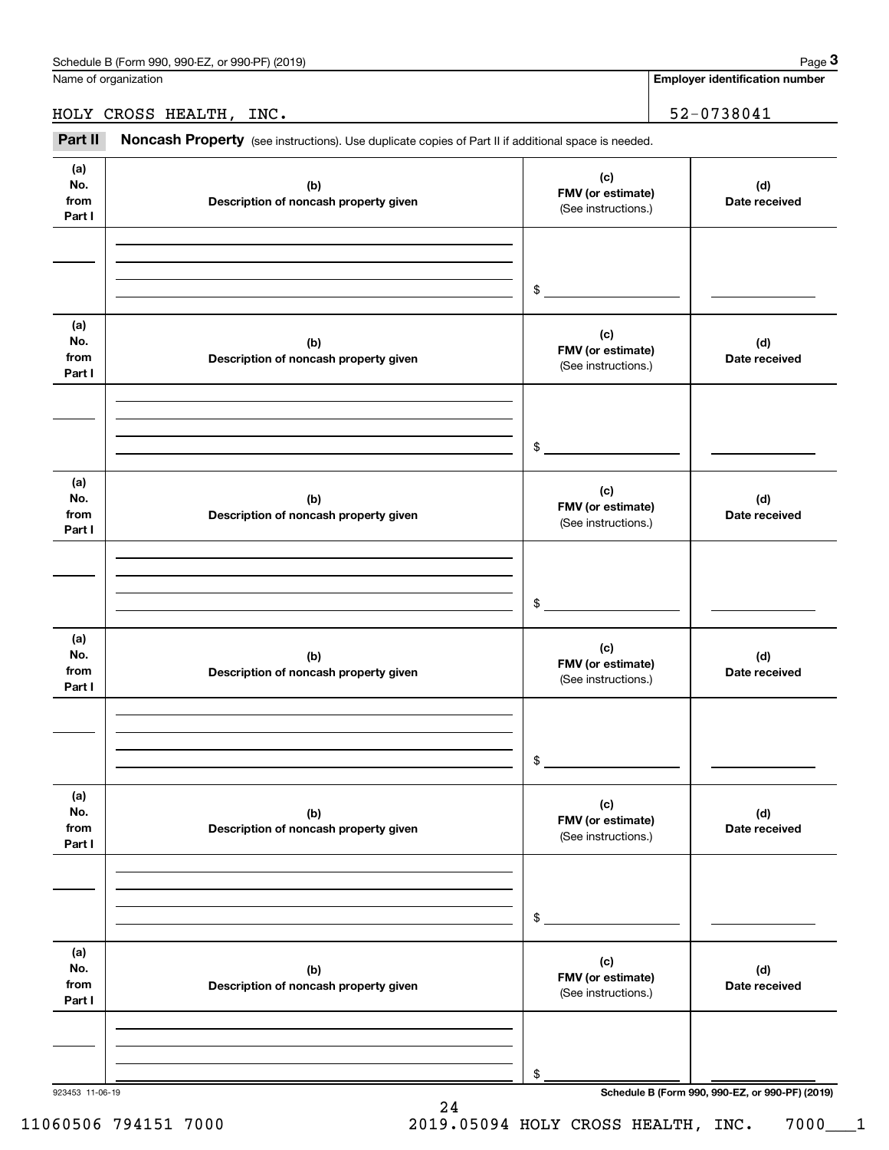**Employer identification number**

HOLY CROSS HEALTH, INC. 52-0738041

Employer identification Page 3<br>
Iame of organization<br> **3Part II** CROSS HEALTH, INC.<br> **Part II Noncash Property** (see instructions). Use duplicate copies of Part II if additional space is needed.

| (a)<br>No.<br>from<br>Part I | (b)<br>Description of noncash property given | (c)<br>FMV (or estimate)<br>(See instructions.) | (d)<br>Date received |
|------------------------------|----------------------------------------------|-------------------------------------------------|----------------------|
|                              |                                              | $\frac{1}{2}$                                   |                      |
| (a)<br>No.<br>from<br>Part I | (b)<br>Description of noncash property given | (c)<br>FMV (or estimate)<br>(See instructions.) | (d)<br>Date received |
|                              |                                              | $\frac{1}{2}$                                   |                      |
| (a)<br>No.<br>from<br>Part I | (b)<br>Description of noncash property given | (c)<br>FMV (or estimate)<br>(See instructions.) | (d)<br>Date received |
|                              |                                              | $\frac{1}{2}$                                   |                      |
| (a)<br>No.<br>from<br>Part I | (b)<br>Description of noncash property given | (c)<br>FMV (or estimate)<br>(See instructions.) | (d)<br>Date received |
|                              |                                              | $\mathsf{\$}$                                   |                      |
| (a)<br>No.<br>from<br>Part I | (b)<br>Description of noncash property given | (c)<br>FMV (or estimate)<br>(See instructions.) | (d)<br>Date received |
|                              |                                              | \$                                              |                      |
| (a)<br>No.<br>from<br>Part I | (b)<br>Description of noncash property given | (c)<br>FMV (or estimate)<br>(See instructions.) | (d)<br>Date received |
|                              |                                              | \$                                              |                      |

24

## 11060506 794151 7000 2019.05094 HOLY CROSS HEALTH, INC. 7000\_\_\_1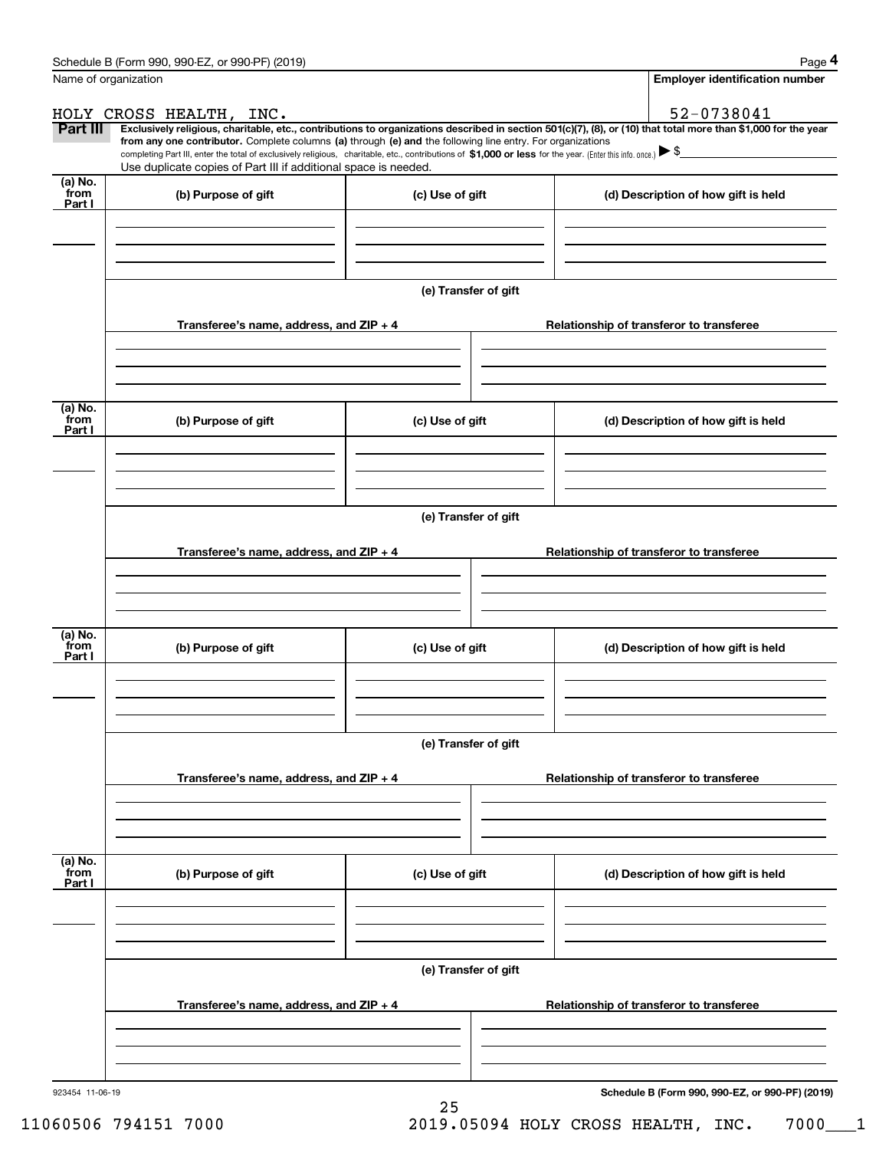|                           | Schedule B (Form 990, 990-EZ, or 990-PF) (2019)                                                                                                                                                                                                                              |                      |                                          | Page 4                                          |  |  |  |  |
|---------------------------|------------------------------------------------------------------------------------------------------------------------------------------------------------------------------------------------------------------------------------------------------------------------------|----------------------|------------------------------------------|-------------------------------------------------|--|--|--|--|
|                           | Name of organization                                                                                                                                                                                                                                                         |                      |                                          | Employer identification number                  |  |  |  |  |
|                           | HOLY CROSS HEALTH, INC.                                                                                                                                                                                                                                                      |                      |                                          | 52-0738041                                      |  |  |  |  |
| Part III                  | Exclusively religious, charitable, etc., contributions to organizations described in section 501(c)(7), (8), or (10) that total more than \$1,000 for the year<br>from any one contributor. Complete columns (a) through (e) and the following line entry. For organizations |                      |                                          |                                                 |  |  |  |  |
|                           | completing Part III, enter the total of exclusively religious, charitable, etc., contributions of \$1,000 or less for the year. (Enter this info. once.) \\$<br>Use duplicate copies of Part III if additional space is needed.                                              |                      |                                          |                                                 |  |  |  |  |
| (a) No.                   |                                                                                                                                                                                                                                                                              |                      |                                          |                                                 |  |  |  |  |
| from<br>Part I            | (b) Purpose of gift                                                                                                                                                                                                                                                          | (c) Use of gift      | (d) Description of how gift is held      |                                                 |  |  |  |  |
|                           |                                                                                                                                                                                                                                                                              |                      |                                          |                                                 |  |  |  |  |
|                           |                                                                                                                                                                                                                                                                              |                      |                                          |                                                 |  |  |  |  |
|                           |                                                                                                                                                                                                                                                                              |                      |                                          |                                                 |  |  |  |  |
|                           | (e) Transfer of gift                                                                                                                                                                                                                                                         |                      |                                          |                                                 |  |  |  |  |
|                           | Transferee's name, address, and ZIP + 4                                                                                                                                                                                                                                      |                      |                                          | Relationship of transferor to transferee        |  |  |  |  |
|                           |                                                                                                                                                                                                                                                                              |                      |                                          |                                                 |  |  |  |  |
|                           |                                                                                                                                                                                                                                                                              |                      |                                          |                                                 |  |  |  |  |
|                           |                                                                                                                                                                                                                                                                              |                      |                                          |                                                 |  |  |  |  |
| (a) No.<br>from<br>Part I | (b) Purpose of gift                                                                                                                                                                                                                                                          | (c) Use of gift      |                                          | (d) Description of how gift is held             |  |  |  |  |
|                           |                                                                                                                                                                                                                                                                              |                      |                                          |                                                 |  |  |  |  |
|                           |                                                                                                                                                                                                                                                                              |                      |                                          |                                                 |  |  |  |  |
|                           |                                                                                                                                                                                                                                                                              |                      |                                          |                                                 |  |  |  |  |
|                           | (e) Transfer of gift                                                                                                                                                                                                                                                         |                      |                                          |                                                 |  |  |  |  |
|                           | Transferee's name, address, and ZIP + 4<br>Relationship of transferor to transferee                                                                                                                                                                                          |                      |                                          |                                                 |  |  |  |  |
|                           |                                                                                                                                                                                                                                                                              |                      |                                          |                                                 |  |  |  |  |
|                           |                                                                                                                                                                                                                                                                              |                      |                                          |                                                 |  |  |  |  |
|                           |                                                                                                                                                                                                                                                                              |                      |                                          |                                                 |  |  |  |  |
| (a) No.<br>from           | (b) Purpose of gift                                                                                                                                                                                                                                                          | (c) Use of gift      |                                          | (d) Description of how gift is held             |  |  |  |  |
| Part I                    |                                                                                                                                                                                                                                                                              |                      |                                          |                                                 |  |  |  |  |
|                           |                                                                                                                                                                                                                                                                              |                      |                                          |                                                 |  |  |  |  |
|                           |                                                                                                                                                                                                                                                                              |                      |                                          |                                                 |  |  |  |  |
|                           | (e) Transfer of gift                                                                                                                                                                                                                                                         |                      |                                          |                                                 |  |  |  |  |
|                           |                                                                                                                                                                                                                                                                              |                      |                                          |                                                 |  |  |  |  |
|                           | Transferee's name, address, and ZIP + 4                                                                                                                                                                                                                                      |                      | Relationship of transferor to transferee |                                                 |  |  |  |  |
|                           |                                                                                                                                                                                                                                                                              |                      |                                          |                                                 |  |  |  |  |
|                           |                                                                                                                                                                                                                                                                              |                      |                                          |                                                 |  |  |  |  |
| (a) No.<br>from           |                                                                                                                                                                                                                                                                              |                      |                                          |                                                 |  |  |  |  |
| Part I                    | (b) Purpose of gift                                                                                                                                                                                                                                                          | (c) Use of gift      |                                          | (d) Description of how gift is held             |  |  |  |  |
|                           |                                                                                                                                                                                                                                                                              |                      |                                          |                                                 |  |  |  |  |
|                           |                                                                                                                                                                                                                                                                              |                      |                                          |                                                 |  |  |  |  |
|                           |                                                                                                                                                                                                                                                                              |                      |                                          |                                                 |  |  |  |  |
|                           |                                                                                                                                                                                                                                                                              | (e) Transfer of gift |                                          |                                                 |  |  |  |  |
|                           | Transferee's name, address, and $ZIP + 4$                                                                                                                                                                                                                                    |                      |                                          | Relationship of transferor to transferee        |  |  |  |  |
|                           |                                                                                                                                                                                                                                                                              |                      |                                          |                                                 |  |  |  |  |
|                           |                                                                                                                                                                                                                                                                              |                      |                                          |                                                 |  |  |  |  |
|                           |                                                                                                                                                                                                                                                                              |                      |                                          |                                                 |  |  |  |  |
| 923454 11-06-19           |                                                                                                                                                                                                                                                                              |                      |                                          | Schedule B (Form 990, 990-EZ, or 990-PF) (2019) |  |  |  |  |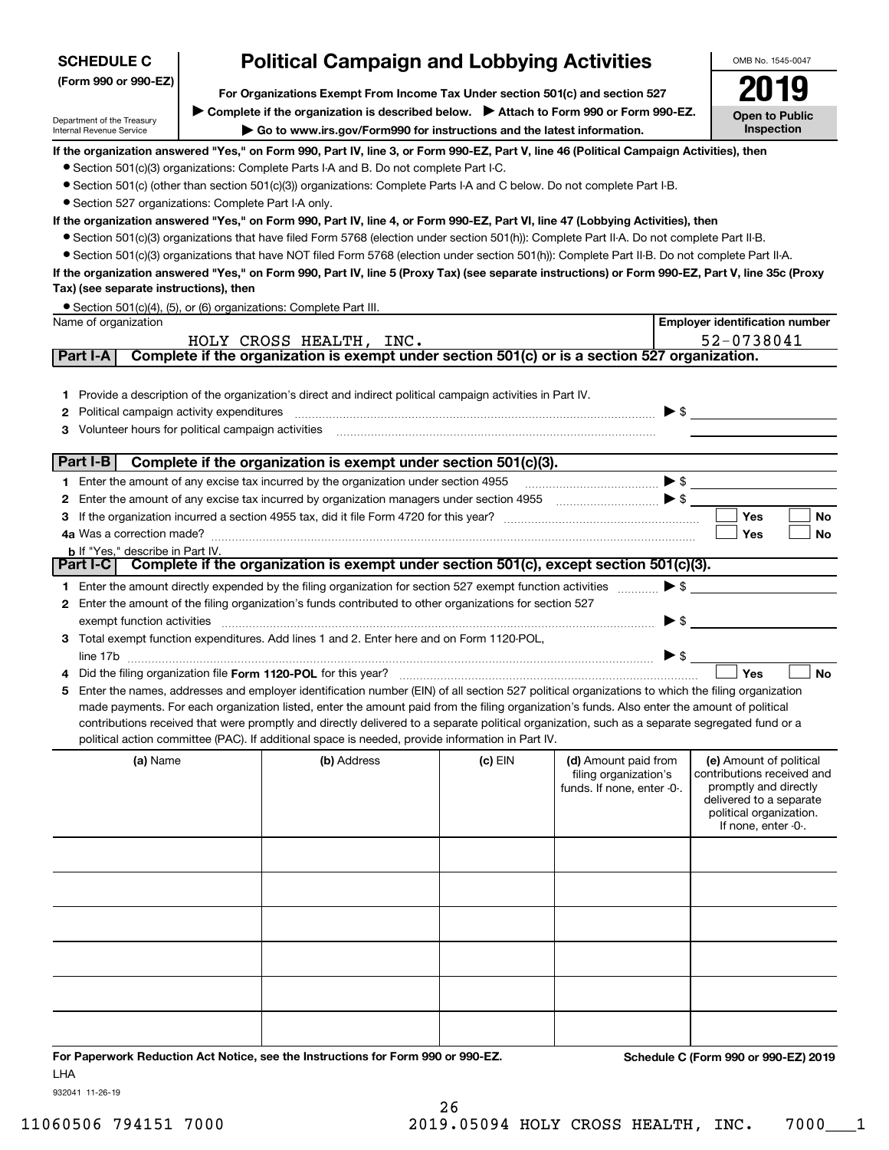| <b>SCHEDULE C</b>                                                                                 | <b>Political Campaign and Lobbying Activities</b>                                                                                                                                                                                                                                              |                                                                                                                                                  |         |                                                     |                                                       |  |  |  |  |  |
|---------------------------------------------------------------------------------------------------|------------------------------------------------------------------------------------------------------------------------------------------------------------------------------------------------------------------------------------------------------------------------------------------------|--------------------------------------------------------------------------------------------------------------------------------------------------|---------|-----------------------------------------------------|-------------------------------------------------------|--|--|--|--|--|
| (Form 990 or 990-EZ)                                                                              | For Organizations Exempt From Income Tax Under section 501(c) and section 527                                                                                                                                                                                                                  |                                                                                                                                                  |         |                                                     |                                                       |  |  |  |  |  |
|                                                                                                   |                                                                                                                                                                                                                                                                                                | ► Complete if the organization is described below. ► Attach to Form 990 or Form 990-EZ.                                                          |         |                                                     | <b>Open to Public</b>                                 |  |  |  |  |  |
| Department of the Treasury<br>Internal Revenue Service                                            |                                                                                                                                                                                                                                                                                                | Go to www.irs.gov/Form990 for instructions and the latest information.                                                                           |         |                                                     | Inspection                                            |  |  |  |  |  |
|                                                                                                   |                                                                                                                                                                                                                                                                                                | If the organization answered "Yes," on Form 990, Part IV, line 3, or Form 990-EZ, Part V, line 46 (Political Campaign Activities), then          |         |                                                     |                                                       |  |  |  |  |  |
|                                                                                                   |                                                                                                                                                                                                                                                                                                | • Section 501(c)(3) organizations: Complete Parts I-A and B. Do not complete Part I-C.                                                           |         |                                                     |                                                       |  |  |  |  |  |
|                                                                                                   |                                                                                                                                                                                                                                                                                                | • Section 501(c) (other than section 501(c)(3)) organizations: Complete Parts I-A and C below. Do not complete Part I-B.                         |         |                                                     |                                                       |  |  |  |  |  |
| • Section 527 organizations: Complete Part I-A only.                                              |                                                                                                                                                                                                                                                                                                |                                                                                                                                                  |         |                                                     |                                                       |  |  |  |  |  |
|                                                                                                   |                                                                                                                                                                                                                                                                                                | If the organization answered "Yes," on Form 990, Part IV, line 4, or Form 990-EZ, Part VI, line 47 (Lobbying Activities), then                   |         |                                                     |                                                       |  |  |  |  |  |
|                                                                                                   | • Section 501(c)(3) organizations that have filed Form 5768 (election under section 501(h)): Complete Part II-A. Do not complete Part II-B.<br>• Section 501(c)(3) organizations that have NOT filed Form 5768 (election under section 501(h)): Complete Part II-B. Do not complete Part II-A. |                                                                                                                                                  |         |                                                     |                                                       |  |  |  |  |  |
|                                                                                                   |                                                                                                                                                                                                                                                                                                | If the organization answered "Yes," on Form 990, Part IV, line 5 (Proxy Tax) (see separate instructions) or Form 990-EZ, Part V, line 35c (Proxy |         |                                                     |                                                       |  |  |  |  |  |
| Tax) (see separate instructions), then                                                            |                                                                                                                                                                                                                                                                                                |                                                                                                                                                  |         |                                                     |                                                       |  |  |  |  |  |
|                                                                                                   |                                                                                                                                                                                                                                                                                                | • Section 501(c)(4), (5), or (6) organizations: Complete Part III.                                                                               |         |                                                     |                                                       |  |  |  |  |  |
| Name of organization                                                                              |                                                                                                                                                                                                                                                                                                |                                                                                                                                                  |         |                                                     | <b>Employer identification number</b>                 |  |  |  |  |  |
| Part I-A                                                                                          |                                                                                                                                                                                                                                                                                                | HOLY CROSS HEALTH, INC.<br>Complete if the organization is exempt under section 501(c) or is a section 527 organization.                         |         |                                                     | 52-0738041                                            |  |  |  |  |  |
|                                                                                                   |                                                                                                                                                                                                                                                                                                |                                                                                                                                                  |         |                                                     |                                                       |  |  |  |  |  |
| 1.                                                                                                |                                                                                                                                                                                                                                                                                                | Provide a description of the organization's direct and indirect political campaign activities in Part IV.                                        |         |                                                     |                                                       |  |  |  |  |  |
| Political campaign activity expenditures<br>2                                                     |                                                                                                                                                                                                                                                                                                |                                                                                                                                                  |         | $\blacktriangleright$ \$                            |                                                       |  |  |  |  |  |
| Volunteer hours for political campaign activities                                                 |                                                                                                                                                                                                                                                                                                |                                                                                                                                                  |         |                                                     |                                                       |  |  |  |  |  |
|                                                                                                   |                                                                                                                                                                                                                                                                                                |                                                                                                                                                  |         |                                                     |                                                       |  |  |  |  |  |
| Part $I-B$                                                                                        |                                                                                                                                                                                                                                                                                                | Complete if the organization is exempt under section 501(c)(3).                                                                                  |         |                                                     |                                                       |  |  |  |  |  |
|                                                                                                   |                                                                                                                                                                                                                                                                                                | 1 Enter the amount of any excise tax incurred by the organization under section 4955                                                             |         |                                                     | $\blacktriangleright$ \$                              |  |  |  |  |  |
| 2                                                                                                 |                                                                                                                                                                                                                                                                                                |                                                                                                                                                  |         |                                                     |                                                       |  |  |  |  |  |
|                                                                                                   | <b>Yes</b><br>No<br>4a Was a correction made?<br>Yes<br>No                                                                                                                                                                                                                                     |                                                                                                                                                  |         |                                                     |                                                       |  |  |  |  |  |
| <b>b</b> If "Yes," describe in Part IV.                                                           |                                                                                                                                                                                                                                                                                                |                                                                                                                                                  |         |                                                     |                                                       |  |  |  |  |  |
| Part I-C   Complete if the organization is exempt under section 501(c), except section 501(c)(3). |                                                                                                                                                                                                                                                                                                |                                                                                                                                                  |         |                                                     |                                                       |  |  |  |  |  |
|                                                                                                   | $\blacktriangleright$ \$<br>1 Enter the amount directly expended by the filing organization for section 527 exempt function activities                                                                                                                                                         |                                                                                                                                                  |         |                                                     |                                                       |  |  |  |  |  |
|                                                                                                   |                                                                                                                                                                                                                                                                                                | 2 Enter the amount of the filing organization's funds contributed to other organizations for section 527                                         |         |                                                     |                                                       |  |  |  |  |  |
| exempt function activities                                                                        |                                                                                                                                                                                                                                                                                                |                                                                                                                                                  |         | ▶ \$                                                |                                                       |  |  |  |  |  |
|                                                                                                   |                                                                                                                                                                                                                                                                                                | 3 Total exempt function expenditures. Add lines 1 and 2. Enter here and on Form 1120-POL,                                                        |         | $\blacktriangleright$ \$                            |                                                       |  |  |  |  |  |
|                                                                                                   |                                                                                                                                                                                                                                                                                                | Did the filing organization file Form 1120-POL for this year?                                                                                    |         |                                                     | Yes<br><b>No</b>                                      |  |  |  |  |  |
| 5                                                                                                 |                                                                                                                                                                                                                                                                                                | Enter the names, addresses and employer identification number (EIN) of all section 527 political organizations to which the filing organization  |         |                                                     |                                                       |  |  |  |  |  |
|                                                                                                   |                                                                                                                                                                                                                                                                                                | made payments. For each organization listed, enter the amount paid from the filing organization's funds. Also enter the amount of political      |         |                                                     |                                                       |  |  |  |  |  |
|                                                                                                   |                                                                                                                                                                                                                                                                                                | contributions received that were promptly and directly delivered to a separate political organization, such as a separate segregated fund or a   |         |                                                     |                                                       |  |  |  |  |  |
|                                                                                                   |                                                                                                                                                                                                                                                                                                | political action committee (PAC). If additional space is needed, provide information in Part IV.                                                 |         |                                                     |                                                       |  |  |  |  |  |
| (a) Name                                                                                          |                                                                                                                                                                                                                                                                                                | (b) Address                                                                                                                                      | (c) EIN | (d) Amount paid from                                | (e) Amount of political<br>contributions received and |  |  |  |  |  |
|                                                                                                   |                                                                                                                                                                                                                                                                                                |                                                                                                                                                  |         | filing organization's<br>funds. If none, enter -0-. | promptly and directly                                 |  |  |  |  |  |
|                                                                                                   |                                                                                                                                                                                                                                                                                                |                                                                                                                                                  |         |                                                     | delivered to a separate<br>political organization.    |  |  |  |  |  |
|                                                                                                   |                                                                                                                                                                                                                                                                                                |                                                                                                                                                  |         |                                                     | If none, enter -0-.                                   |  |  |  |  |  |
|                                                                                                   |                                                                                                                                                                                                                                                                                                |                                                                                                                                                  |         |                                                     |                                                       |  |  |  |  |  |
|                                                                                                   |                                                                                                                                                                                                                                                                                                |                                                                                                                                                  |         |                                                     |                                                       |  |  |  |  |  |
|                                                                                                   |                                                                                                                                                                                                                                                                                                |                                                                                                                                                  |         |                                                     |                                                       |  |  |  |  |  |
|                                                                                                   |                                                                                                                                                                                                                                                                                                |                                                                                                                                                  |         |                                                     |                                                       |  |  |  |  |  |
|                                                                                                   |                                                                                                                                                                                                                                                                                                |                                                                                                                                                  |         |                                                     |                                                       |  |  |  |  |  |
|                                                                                                   |                                                                                                                                                                                                                                                                                                |                                                                                                                                                  |         |                                                     |                                                       |  |  |  |  |  |
|                                                                                                   |                                                                                                                                                                                                                                                                                                |                                                                                                                                                  |         |                                                     |                                                       |  |  |  |  |  |
|                                                                                                   |                                                                                                                                                                                                                                                                                                |                                                                                                                                                  |         |                                                     |                                                       |  |  |  |  |  |
|                                                                                                   |                                                                                                                                                                                                                                                                                                |                                                                                                                                                  |         |                                                     |                                                       |  |  |  |  |  |
|                                                                                                   |                                                                                                                                                                                                                                                                                                |                                                                                                                                                  |         |                                                     |                                                       |  |  |  |  |  |
|                                                                                                   |                                                                                                                                                                                                                                                                                                |                                                                                                                                                  |         |                                                     |                                                       |  |  |  |  |  |
|                                                                                                   |                                                                                                                                                                                                                                                                                                | For Paperwork Reduction Act Notice, see the Instructions for Form 990 or 990-EZ.                                                                 |         |                                                     | Schedule C (Form 990 or 990-EZ) 2019                  |  |  |  |  |  |

LHA

932041 11-26-19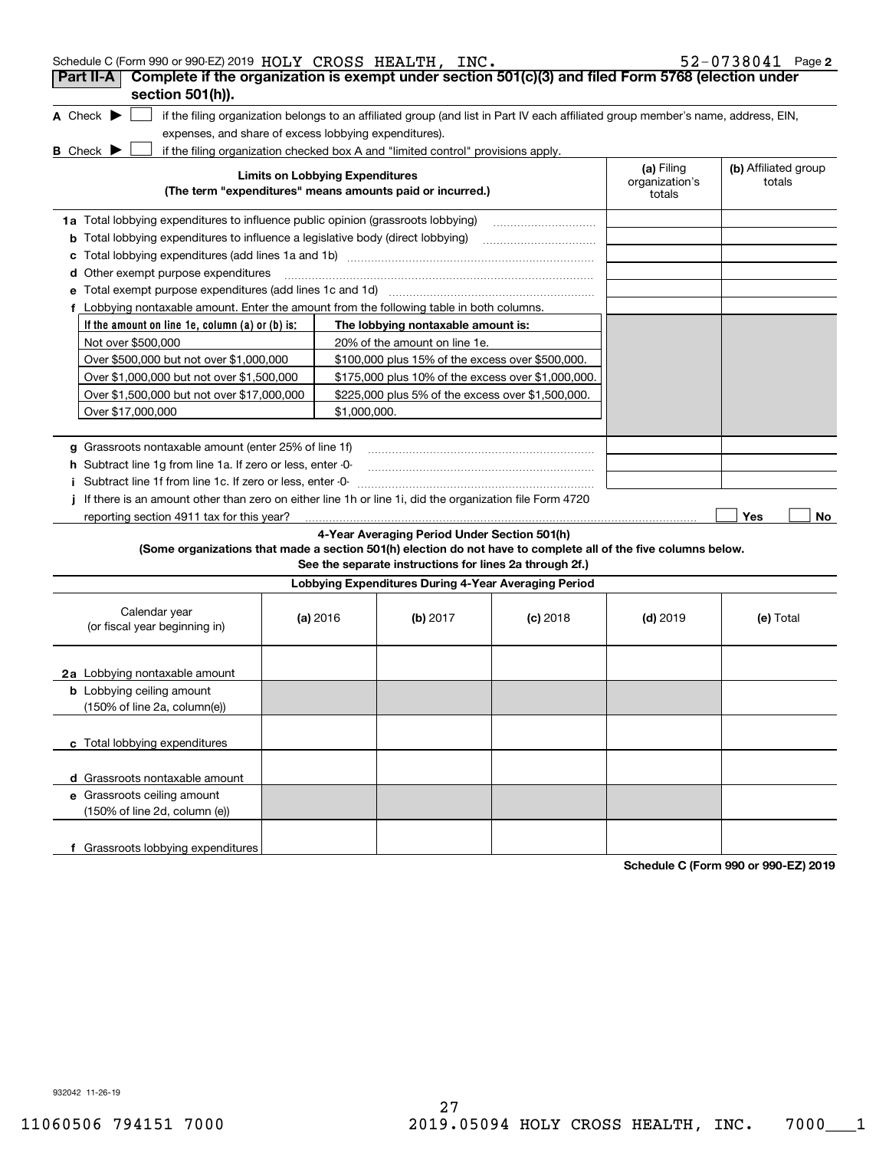| Schedule C (Form 990 or 990-EZ) 2019 HOLY CROSS HEALTH, INC.                                                                                                       |                                                                                                    |                                                         |            |                                        | 52-0738041 Page 2              |  |  |  |
|--------------------------------------------------------------------------------------------------------------------------------------------------------------------|----------------------------------------------------------------------------------------------------|---------------------------------------------------------|------------|----------------------------------------|--------------------------------|--|--|--|
| Part II-A                                                                                                                                                          | Complete if the organization is exempt under section 501(c)(3) and filed Form 5768 (election under |                                                         |            |                                        |                                |  |  |  |
| section 501(h)).                                                                                                                                                   |                                                                                                    |                                                         |            |                                        |                                |  |  |  |
| A Check $\blacktriangleright$<br>if the filing organization belongs to an affiliated group (and list in Part IV each affiliated group member's name, address, EIN, |                                                                                                    |                                                         |            |                                        |                                |  |  |  |
| expenses, and share of excess lobbying expenditures).                                                                                                              |                                                                                                    |                                                         |            |                                        |                                |  |  |  |
| if the filing organization checked box A and "limited control" provisions apply.<br><b>B</b> Check $\blacktriangleright$                                           |                                                                                                    |                                                         |            |                                        |                                |  |  |  |
| (The term "expenditures" means amounts paid or incurred.)                                                                                                          | <b>Limits on Lobbying Expenditures</b>                                                             |                                                         |            | (a) Filing<br>organization's<br>totals | (b) Affiliated group<br>totals |  |  |  |
| <b>1a</b> Total lobbying expenditures to influence public opinion (grassroots lobbying)                                                                            |                                                                                                    |                                                         |            |                                        |                                |  |  |  |
| <b>b</b> Total lobbying expenditures to influence a legislative body (direct lobbying)                                                                             |                                                                                                    |                                                         |            |                                        |                                |  |  |  |
| с                                                                                                                                                                  |                                                                                                    |                                                         |            |                                        |                                |  |  |  |
| Other exempt purpose expenditures<br>d                                                                                                                             |                                                                                                    |                                                         |            |                                        |                                |  |  |  |
| Total exempt purpose expenditures (add lines 1c and 1d)<br>е                                                                                                       |                                                                                                    |                                                         |            |                                        |                                |  |  |  |
| f Lobbying nontaxable amount. Enter the amount from the following table in both columns.                                                                           |                                                                                                    |                                                         |            |                                        |                                |  |  |  |
| If the amount on line 1e, column $(a)$ or $(b)$ is:                                                                                                                |                                                                                                    | The lobbying nontaxable amount is:                      |            |                                        |                                |  |  |  |
| Not over \$500,000                                                                                                                                                 |                                                                                                    | 20% of the amount on line 1e.                           |            |                                        |                                |  |  |  |
| Over \$500,000 but not over \$1,000,000                                                                                                                            |                                                                                                    | \$100,000 plus 15% of the excess over \$500,000.        |            |                                        |                                |  |  |  |
|                                                                                                                                                                    | Over \$1,000,000 but not over \$1,500,000<br>\$175,000 plus 10% of the excess over \$1,000,000.    |                                                         |            |                                        |                                |  |  |  |
| Over \$1,500,000 but not over \$17,000,000                                                                                                                         |                                                                                                    | \$225,000 plus 5% of the excess over \$1,500,000.       |            |                                        |                                |  |  |  |
| Over \$17,000,000<br>\$1,000,000.                                                                                                                                  |                                                                                                    |                                                         |            |                                        |                                |  |  |  |
|                                                                                                                                                                    |                                                                                                    |                                                         |            |                                        |                                |  |  |  |
| g Grassroots nontaxable amount (enter 25% of line 1f)                                                                                                              |                                                                                                    |                                                         |            |                                        |                                |  |  |  |
| h Subtract line 1q from line 1a. If zero or less, enter -0-                                                                                                        |                                                                                                    |                                                         |            |                                        |                                |  |  |  |
| i Subtract line 1f from line 1c. If zero or less, enter -0-                                                                                                        |                                                                                                    |                                                         |            |                                        |                                |  |  |  |
| If there is an amount other than zero on either line 1h or line 1i, did the organization file Form 4720                                                            |                                                                                                    |                                                         |            |                                        |                                |  |  |  |
| reporting section 4911 tax for this year?                                                                                                                          |                                                                                                    |                                                         |            |                                        | Yes<br>No                      |  |  |  |
|                                                                                                                                                                    |                                                                                                    | 4-Year Averaging Period Under Section 501(h)            |            |                                        |                                |  |  |  |
| (Some organizations that made a section 501(h) election do not have to complete all of the five columns below.                                                     |                                                                                                    |                                                         |            |                                        |                                |  |  |  |
|                                                                                                                                                                    |                                                                                                    | See the separate instructions for lines 2a through 2f.) |            |                                        |                                |  |  |  |
|                                                                                                                                                                    |                                                                                                    | Lobbying Expenditures During 4-Year Averaging Period    |            |                                        |                                |  |  |  |
| Calendar year<br>(or fiscal year beginning in)                                                                                                                     | (a) 2016                                                                                           | (b) 2017                                                | $(c)$ 2018 | $(d)$ 2019                             | (e) Total                      |  |  |  |
| 2a Lobbying nontaxable amount                                                                                                                                      |                                                                                                    |                                                         |            |                                        |                                |  |  |  |
| <b>b</b> Lobbying ceiling amount                                                                                                                                   |                                                                                                    |                                                         |            |                                        |                                |  |  |  |
| (150% of line 2a, column(e))                                                                                                                                       |                                                                                                    |                                                         |            |                                        |                                |  |  |  |
|                                                                                                                                                                    |                                                                                                    |                                                         |            |                                        |                                |  |  |  |
| c Total lobbying expenditures                                                                                                                                      |                                                                                                    |                                                         |            |                                        |                                |  |  |  |
|                                                                                                                                                                    |                                                                                                    |                                                         |            |                                        |                                |  |  |  |
| d Grassroots nontaxable amount                                                                                                                                     |                                                                                                    |                                                         |            |                                        |                                |  |  |  |
| e Grassroots ceiling amount                                                                                                                                        |                                                                                                    |                                                         |            |                                        |                                |  |  |  |
| (150% of line 2d, column (e))                                                                                                                                      |                                                                                                    |                                                         |            |                                        |                                |  |  |  |
|                                                                                                                                                                    |                                                                                                    |                                                         |            |                                        |                                |  |  |  |
| f Grassroots lobbying expenditures                                                                                                                                 |                                                                                                    |                                                         |            |                                        |                                |  |  |  |

**Schedule C (Form 990 or 990-EZ) 2019**

932042 11-26-19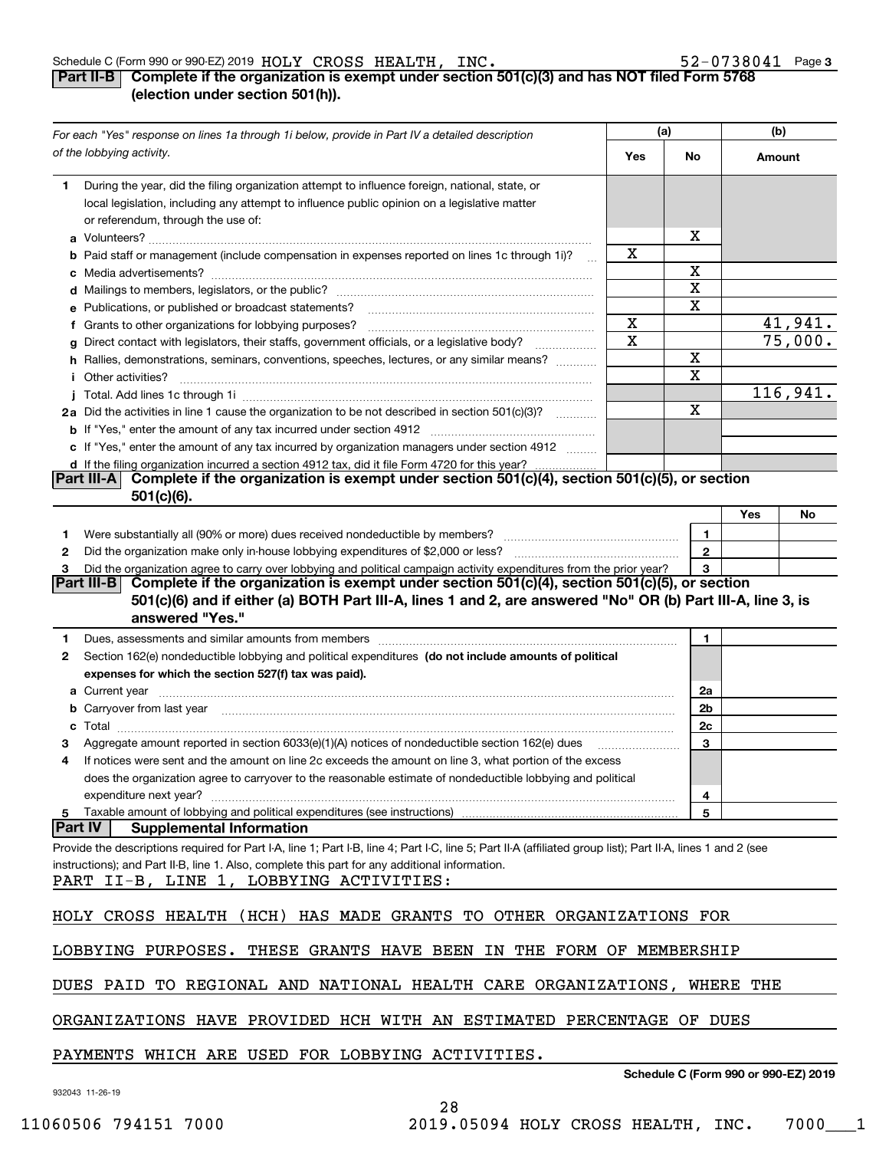#### Schedule C (Form 990 or 990-EZ) 2019 Page HOLY CROSS HEALTH, INC. 52-0738041

### **3**

### **Part II-B Complete if the organization is exempt under section 501(c)(3) and has NOT filed Form 5768 (election under section 501(h)).**

|   | For each "Yes" response on lines 1a through 1i below, provide in Part IV a detailed description                                                                                                                                      | (a)                     |                         | (b)                                  |          |
|---|--------------------------------------------------------------------------------------------------------------------------------------------------------------------------------------------------------------------------------------|-------------------------|-------------------------|--------------------------------------|----------|
|   | of the lobbying activity.                                                                                                                                                                                                            | Yes                     | No                      | Amount                               |          |
| 1 | During the year, did the filing organization attempt to influence foreign, national, state, or<br>local legislation, including any attempt to influence public opinion on a legislative matter<br>or referendum, through the use of: |                         | х                       |                                      |          |
|   | <b>b</b> Paid staff or management (include compensation in expenses reported on lines 1c through 1i)?                                                                                                                                | x                       |                         |                                      |          |
|   |                                                                                                                                                                                                                                      |                         | Χ                       |                                      |          |
|   |                                                                                                                                                                                                                                      |                         | X                       |                                      |          |
|   | e Publications, or published or broadcast statements?                                                                                                                                                                                |                         | X                       |                                      |          |
|   | f Grants to other organizations for lobbying purposes?                                                                                                                                                                               | х                       |                         |                                      | 41,941.  |
|   | g Direct contact with legislators, their staffs, government officials, or a legislative body?                                                                                                                                        | $\overline{\textbf{x}}$ |                         |                                      | 75,000.  |
|   | h Rallies, demonstrations, seminars, conventions, speeches, lectures, or any similar means?                                                                                                                                          |                         | X                       |                                      |          |
|   | <i>i</i> Other activities?                                                                                                                                                                                                           |                         | $\overline{\mathbf{X}}$ |                                      |          |
|   |                                                                                                                                                                                                                                      |                         |                         |                                      | 116,941. |
|   | 2a Did the activities in line 1 cause the organization to be not described in section 501(c)(3)?                                                                                                                                     |                         | X                       |                                      |          |
|   |                                                                                                                                                                                                                                      |                         |                         |                                      |          |
|   | c If "Yes," enter the amount of any tax incurred by organization managers under section 4912                                                                                                                                         |                         |                         |                                      |          |
|   | d If the filing organization incurred a section 4912 tax, did it file Form 4720 for this year?                                                                                                                                       |                         |                         |                                      |          |
|   | Complete if the organization is exempt under section 501(c)(4), section 501(c)(5), or section<br><b>Part III-A</b>                                                                                                                   |                         |                         |                                      |          |
|   | $501(c)(6)$ .                                                                                                                                                                                                                        |                         |                         |                                      |          |
|   |                                                                                                                                                                                                                                      |                         |                         | Yes                                  | No       |
| 1 |                                                                                                                                                                                                                                      |                         | 1                       |                                      |          |
| 2 |                                                                                                                                                                                                                                      |                         | $\overline{2}$          |                                      |          |
| 3 | Did the organization agree to carry over lobbying and political campaign activity expenditures from the prior year?                                                                                                                  | 3                       |                         |                                      |          |
|   | Complete if the organization is exempt under section 501(c)(4), section 501(c)(5), or section<br> Part III-B                                                                                                                         |                         |                         |                                      |          |
|   | 501(c)(6) and if either (a) BOTH Part III-A, lines 1 and 2, are answered "No" OR (b) Part III-A, line 3, is                                                                                                                          |                         |                         |                                      |          |
|   | answered "Yes."                                                                                                                                                                                                                      |                         |                         |                                      |          |
| 1 |                                                                                                                                                                                                                                      |                         | 1.                      |                                      |          |
| 2 | Section 162(e) nondeductible lobbying and political expenditures (do not include amounts of political                                                                                                                                |                         |                         |                                      |          |
|   | expenses for which the section 527(f) tax was paid).                                                                                                                                                                                 |                         |                         |                                      |          |
|   |                                                                                                                                                                                                                                      |                         | 2a                      |                                      |          |
|   | b Carryover from last year manufactured and contain a series of the contract of the contract of the contract of the contract of the contract of the contract of the contract of the contract of the contract of the contract o       |                         | 2b                      |                                      |          |
|   |                                                                                                                                                                                                                                      |                         | 2c                      |                                      |          |
|   | Aggregate amount reported in section 6033(e)(1)(A) notices of nondeductible section 162(e) dues                                                                                                                                      |                         | 3                       |                                      |          |
| 4 | If notices were sent and the amount on line 2c exceeds the amount on line 3, what portion of the excess                                                                                                                              |                         |                         |                                      |          |
|   | does the organization agree to carryover to the reasonable estimate of nondeductible lobbying and political                                                                                                                          |                         |                         |                                      |          |
|   | expenditure next year?                                                                                                                                                                                                               |                         | 4                       |                                      |          |
|   | 5 Taxable amount of lobbying and political expenditures (see instructions)                                                                                                                                                           |                         | 5                       |                                      |          |
|   | Part IV<br><b>Supplemental Information</b>                                                                                                                                                                                           |                         |                         |                                      |          |
|   | Provide the descriptions required for Part I-A, line 1; Part I-B, line 4; Part I-C, line 5; Part II-A (affiliated group list); Part II-A, lines 1 and 2 (see                                                                         |                         |                         |                                      |          |
|   | instructions); and Part II-B, line 1. Also, complete this part for any additional information.                                                                                                                                       |                         |                         |                                      |          |
|   | PART II-B, LINE 1, LOBBYING ACTIVITIES:                                                                                                                                                                                              |                         |                         |                                      |          |
|   |                                                                                                                                                                                                                                      |                         |                         |                                      |          |
|   | HOLY CROSS HEALTH (HCH) HAS MADE GRANTS TO OTHER ORGANIZATIONS FOR                                                                                                                                                                   |                         |                         |                                      |          |
|   | LOBBYING PURPOSES. THESE GRANTS HAVE BEEN IN THE FORM OF MEMBERSHIP                                                                                                                                                                  |                         |                         |                                      |          |
|   |                                                                                                                                                                                                                                      |                         |                         |                                      |          |
|   | DUES PAID TO REGIONAL AND NATIONAL HEALTH CARE ORGANIZATIONS, WHERE THE                                                                                                                                                              |                         |                         |                                      |          |
|   | ORGANIZATIONS HAVE PROVIDED HCH WITH AN ESTIMATED PERCENTAGE OF DUES                                                                                                                                                                 |                         |                         |                                      |          |
|   | PAYMENTS WHICH ARE USED FOR LOBBYING ACTIVITIES.                                                                                                                                                                                     |                         |                         | Schodule C (Form 000 or 000 F7) 2010 |          |

**Schedule C (Form 990 or 990-EZ) 2019**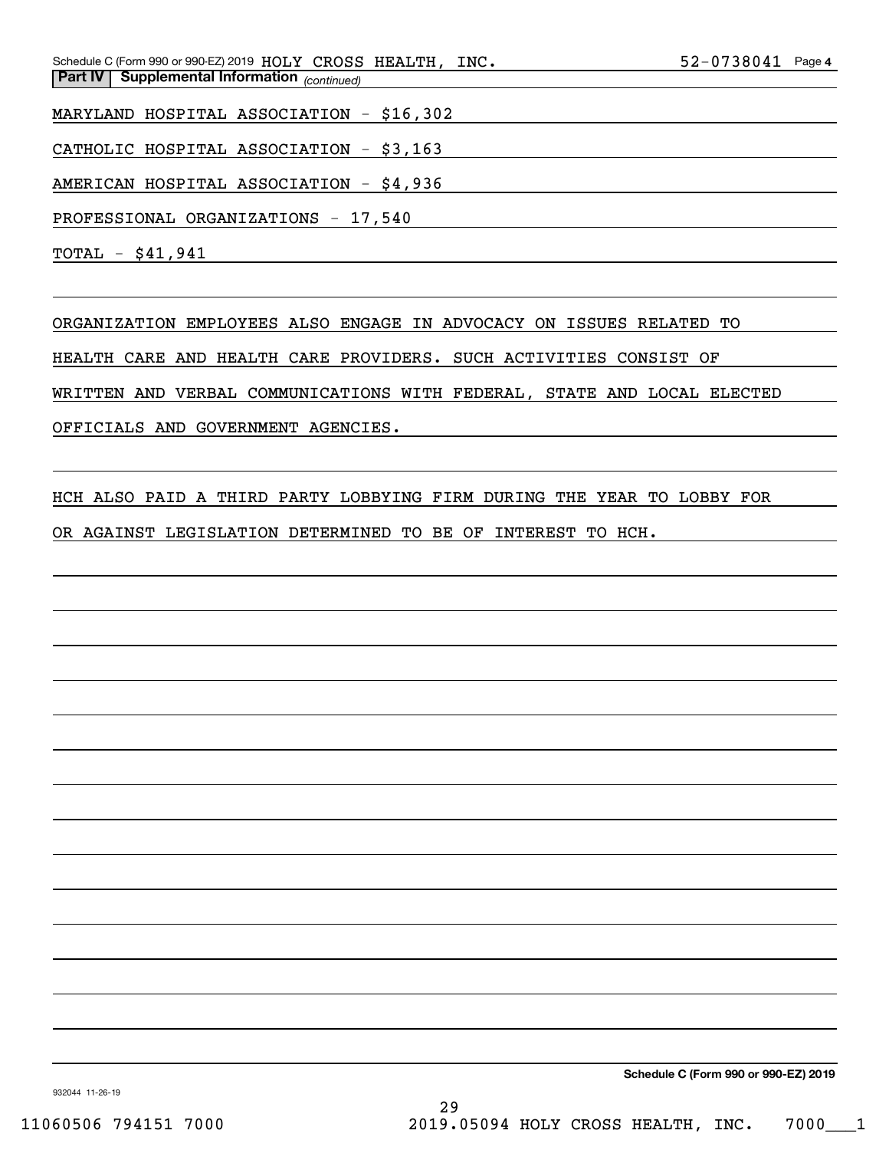*(continued)* **Part IV Supplemental Information**  Schedule C (Form 990 or 990-EZ) 2019 Page HOLY CROSS HEALTH, INC. 52-0738041

MARYLAND HOSPITAL ASSOCIATION - \$16,302

CATHOLIC HOSPITAL ASSOCIATION - \$3,163

AMERICAN HOSPITAL ASSOCIATION - \$4,936

PROFESSIONAL ORGANIZATIONS - 17,540

TOTAL - \$41,941

ORGANIZATION EMPLOYEES ALSO ENGAGE IN ADVOCACY ON ISSUES RELATED TO

HEALTH CARE AND HEALTH CARE PROVIDERS. SUCH ACTIVITIES CONSIST OF

WRITTEN AND VERBAL COMMUNICATIONS WITH FEDERAL, STATE AND LOCAL ELECTED

OFFICIALS AND GOVERNMENT AGENCIES.

HCH ALSO PAID A THIRD PARTY LOBBYING FIRM DURING THE YEAR TO LOBBY FOR

OR AGAINST LEGISLATION DETERMINED TO BE OF INTEREST TO HCH.

**Schedule C (Form 990 or 990-EZ) 2019**

932044 11-26-19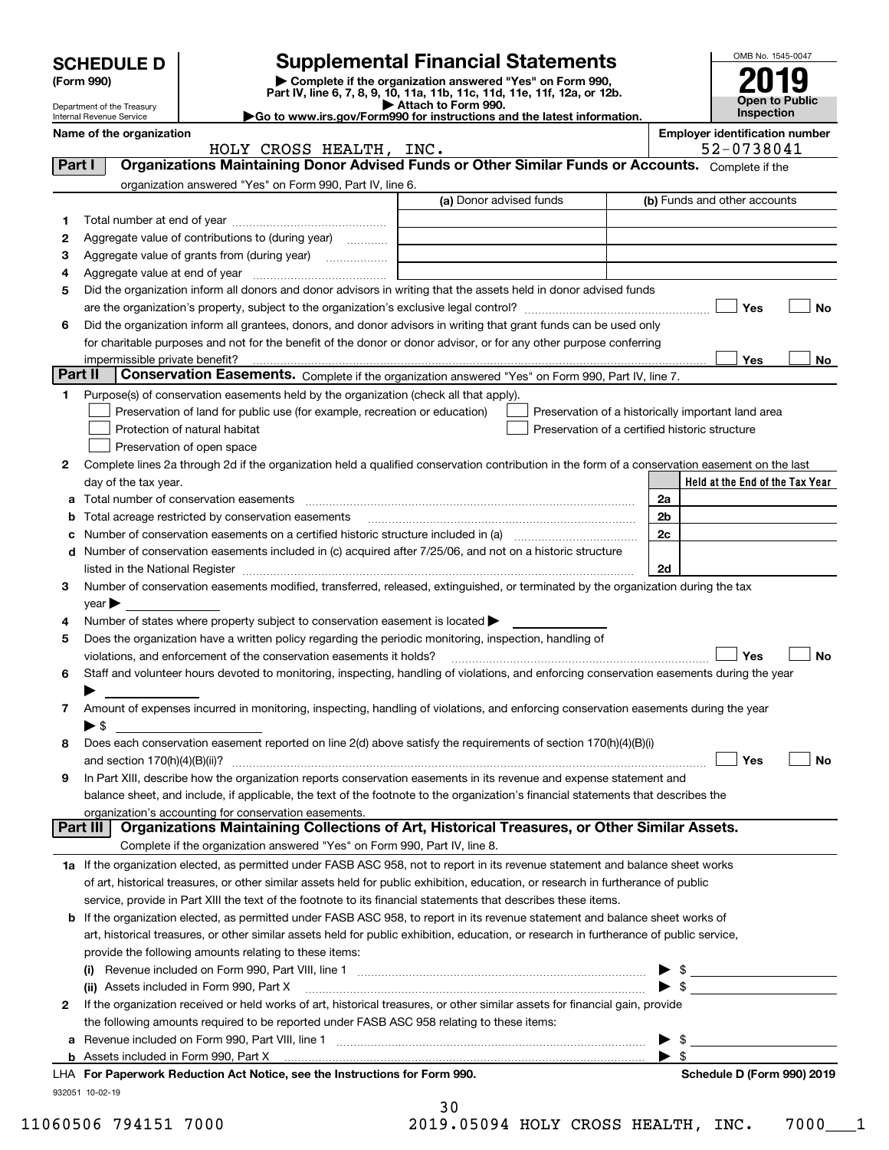|         | <b>SCHEDULE D</b>                                      |                                                                                                        | <b>Supplemental Financial Statements</b>                                                                                                                                                                                      |                         | OMB No. 1545-0047                                  |
|---------|--------------------------------------------------------|--------------------------------------------------------------------------------------------------------|-------------------------------------------------------------------------------------------------------------------------------------------------------------------------------------------------------------------------------|-------------------------|----------------------------------------------------|
|         | (Form 990)                                             |                                                                                                        | Complete if the organization answered "Yes" on Form 990,                                                                                                                                                                      |                         |                                                    |
|         |                                                        |                                                                                                        | Part IV, line 6, 7, 8, 9, 10, 11a, 11b, 11c, 11d, 11e, 11f, 12a, or 12b.<br>Attach to Form 990.                                                                                                                               |                         | <b>Open to Public</b>                              |
|         | Department of the Treasury<br>Internal Revenue Service |                                                                                                        | Go to www.irs.gov/Form990 for instructions and the latest information.                                                                                                                                                        |                         | <b>Inspection</b>                                  |
|         | Name of the organization                               |                                                                                                        |                                                                                                                                                                                                                               |                         | <b>Employer identification number</b>              |
|         |                                                        | HOLY CROSS HEALTH, INC.                                                                                |                                                                                                                                                                                                                               |                         | 52-0738041                                         |
| Part I  |                                                        |                                                                                                        | Organizations Maintaining Donor Advised Funds or Other Similar Funds or Accounts. Complete if the                                                                                                                             |                         |                                                    |
|         |                                                        | organization answered "Yes" on Form 990, Part IV, line 6.                                              |                                                                                                                                                                                                                               |                         |                                                    |
|         |                                                        |                                                                                                        | (a) Donor advised funds                                                                                                                                                                                                       |                         | (b) Funds and other accounts                       |
| 1       |                                                        |                                                                                                        |                                                                                                                                                                                                                               |                         |                                                    |
| 2       |                                                        | Aggregate value of contributions to (during year)                                                      |                                                                                                                                                                                                                               |                         |                                                    |
| з<br>4  |                                                        |                                                                                                        |                                                                                                                                                                                                                               |                         |                                                    |
| 5       |                                                        |                                                                                                        | Did the organization inform all donors and donor advisors in writing that the assets held in donor advised funds                                                                                                              |                         |                                                    |
|         |                                                        |                                                                                                        |                                                                                                                                                                                                                               |                         | Yes<br>No                                          |
| 6       |                                                        |                                                                                                        | Did the organization inform all grantees, donors, and donor advisors in writing that grant funds can be used only                                                                                                             |                         |                                                    |
|         |                                                        |                                                                                                        | for charitable purposes and not for the benefit of the donor or donor advisor, or for any other purpose conferring                                                                                                            |                         |                                                    |
|         | impermissible private benefit?                         |                                                                                                        |                                                                                                                                                                                                                               |                         | Yes<br>No                                          |
| Part II |                                                        |                                                                                                        | Conservation Easements. Complete if the organization answered "Yes" on Form 990, Part IV, line 7.                                                                                                                             |                         |                                                    |
| 1       |                                                        | Purpose(s) of conservation easements held by the organization (check all that apply).                  |                                                                                                                                                                                                                               |                         |                                                    |
|         |                                                        | Preservation of land for public use (for example, recreation or education)                             |                                                                                                                                                                                                                               |                         | Preservation of a historically important land area |
|         |                                                        | Protection of natural habitat                                                                          | Preservation of a certified historic structure                                                                                                                                                                                |                         |                                                    |
|         |                                                        | Preservation of open space                                                                             |                                                                                                                                                                                                                               |                         |                                                    |
| 2       |                                                        |                                                                                                        | Complete lines 2a through 2d if the organization held a qualified conservation contribution in the form of a conservation easement on the last                                                                                |                         |                                                    |
|         | day of the tax year.                                   |                                                                                                        |                                                                                                                                                                                                                               |                         | Held at the End of the Tax Year                    |
| а       |                                                        |                                                                                                        |                                                                                                                                                                                                                               | 2a                      |                                                    |
|         |                                                        | Total acreage restricted by conservation easements                                                     |                                                                                                                                                                                                                               | 2b                      |                                                    |
|         |                                                        |                                                                                                        | Number of conservation easements on a certified historic structure included in (a) manufacture included in (a)                                                                                                                | 2c                      |                                                    |
| d       |                                                        |                                                                                                        | Number of conservation easements included in (c) acquired after 7/25/06, and not on a historic structure                                                                                                                      |                         |                                                    |
|         |                                                        |                                                                                                        | listed in the National Register [111] Marshall Register [11] Marshall Register [11] Marshall Register [11] Marshall Register [11] Marshall Register [11] Marshall Register [11] Marshall Register [11] Marshall Register [11] | 2d                      |                                                    |
| 3       |                                                        |                                                                                                        | Number of conservation easements modified, transferred, released, extinguished, or terminated by the organization during the tax                                                                                              |                         |                                                    |
|         | $\vee$ ear                                             |                                                                                                        |                                                                                                                                                                                                                               |                         |                                                    |
| 4       |                                                        | Number of states where property subject to conservation easement is located >                          |                                                                                                                                                                                                                               |                         |                                                    |
| 5       |                                                        | Does the organization have a written policy regarding the periodic monitoring, inspection, handling of |                                                                                                                                                                                                                               |                         |                                                    |
|         |                                                        | violations, and enforcement of the conservation easements it holds?                                    |                                                                                                                                                                                                                               |                         | Yes<br>No                                          |
| 6       |                                                        |                                                                                                        | Staff and volunteer hours devoted to monitoring, inspecting, handling of violations, and enforcing conservation easements during the year                                                                                     |                         |                                                    |
|         |                                                        |                                                                                                        |                                                                                                                                                                                                                               |                         |                                                    |
| 7       |                                                        |                                                                                                        | Amount of expenses incurred in monitoring, inspecting, handling of violations, and enforcing conservation easements during the year                                                                                           |                         |                                                    |
|         | ▶ \$                                                   |                                                                                                        |                                                                                                                                                                                                                               |                         |                                                    |
| 8       |                                                        |                                                                                                        | Does each conservation easement reported on line 2(d) above satisfy the requirements of section 170(h)(4)(B)(i)                                                                                                               |                         | Yes<br><b>No</b>                                   |
| 9       |                                                        |                                                                                                        | In Part XIII, describe how the organization reports conservation easements in its revenue and expense statement and                                                                                                           |                         |                                                    |
|         |                                                        |                                                                                                        | balance sheet, and include, if applicable, the text of the footnote to the organization's financial statements that describes the                                                                                             |                         |                                                    |
|         |                                                        | organization's accounting for conservation easements.                                                  |                                                                                                                                                                                                                               |                         |                                                    |
|         | Part III                                               |                                                                                                        | Organizations Maintaining Collections of Art, Historical Treasures, or Other Similar Assets.                                                                                                                                  |                         |                                                    |
|         |                                                        | Complete if the organization answered "Yes" on Form 990, Part IV, line 8.                              |                                                                                                                                                                                                                               |                         |                                                    |
|         |                                                        |                                                                                                        | 1a If the organization elected, as permitted under FASB ASC 958, not to report in its revenue statement and balance sheet works                                                                                               |                         |                                                    |
|         |                                                        |                                                                                                        | of art, historical treasures, or other similar assets held for public exhibition, education, or research in furtherance of public                                                                                             |                         |                                                    |
|         |                                                        |                                                                                                        | service, provide in Part XIII the text of the footnote to its financial statements that describes these items.                                                                                                                |                         |                                                    |
|         |                                                        |                                                                                                        | <b>b</b> If the organization elected, as permitted under FASB ASC 958, to report in its revenue statement and balance sheet works of                                                                                          |                         |                                                    |
|         |                                                        |                                                                                                        | art, historical treasures, or other similar assets held for public exhibition, education, or research in furtherance of public service,                                                                                       |                         |                                                    |
|         |                                                        | provide the following amounts relating to these items:                                                 |                                                                                                                                                                                                                               |                         |                                                    |
|         |                                                        |                                                                                                        |                                                                                                                                                                                                                               |                         |                                                    |
|         |                                                        | (ii) Assets included in Form 990, Part X                                                               |                                                                                                                                                                                                                               |                         | $\triangleright$ \$                                |
| 2       |                                                        |                                                                                                        | If the organization received or held works of art, historical treasures, or other similar assets for financial gain, provide                                                                                                  |                         |                                                    |
|         |                                                        | the following amounts required to be reported under FASB ASC 958 relating to these items:              |                                                                                                                                                                                                                               |                         |                                                    |
| а       |                                                        |                                                                                                        | Revenue included on Form 990, Part VIII, line 1 [2000] [2000] [2000] [2000] [3000] [3000] [3000] [3000] [3000                                                                                                                 |                         | <u> 1999 - Johann Barbara, martin a</u>            |
|         |                                                        |                                                                                                        |                                                                                                                                                                                                                               | $\blacktriangleright$ s |                                                    |
|         |                                                        | LHA For Paperwork Reduction Act Notice, see the Instructions for Form 990.                             |                                                                                                                                                                                                                               |                         | Schedule D (Form 990) 2019                         |
|         | 932051 10-02-19                                        |                                                                                                        |                                                                                                                                                                                                                               |                         |                                                    |

30

11060506 794151 7000 2019.05094 HOLY CROSS HEALTH, INC. 7000\_\_\_1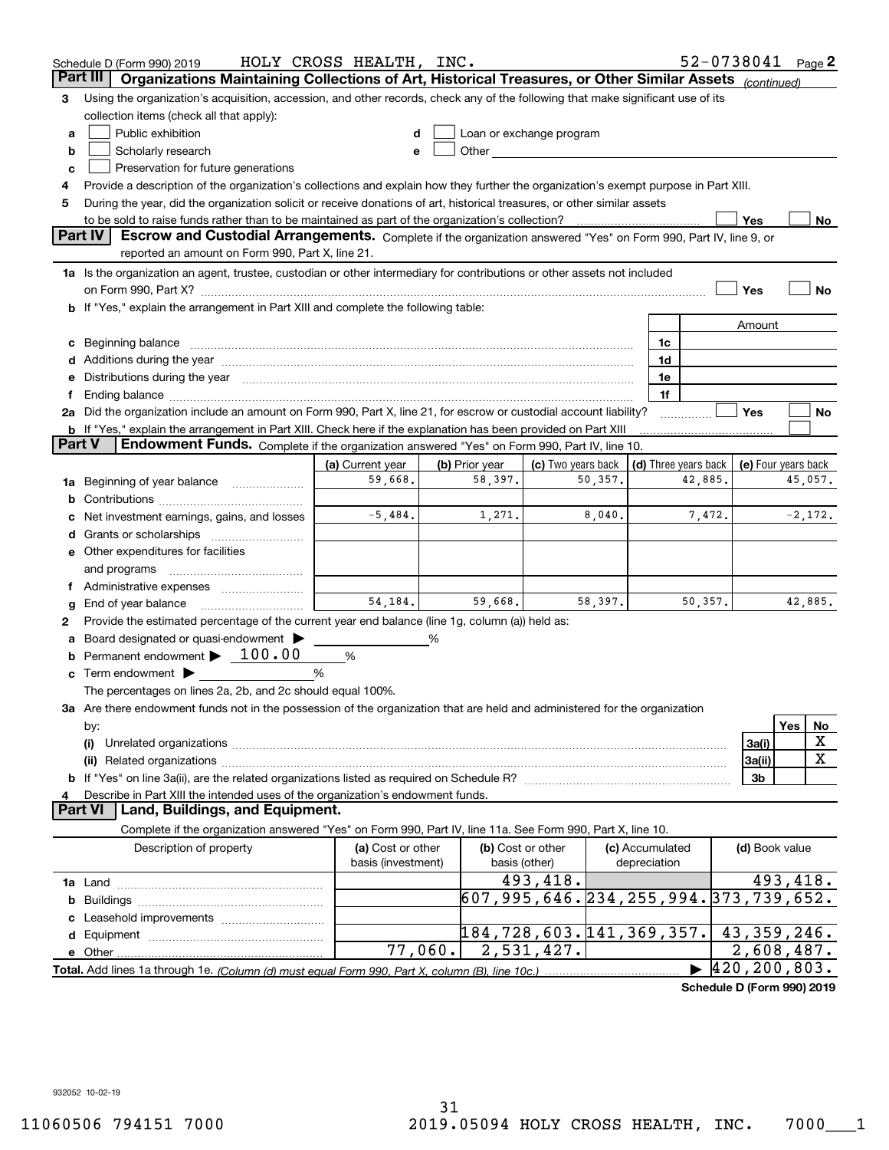|        | Schedule D (Form 990) 2019                                                                                                                                                                                                     | HOLY CROSS HEALTH, INC.                 |                           |                                                                                                                                                                                                                               |                                 |                      | 52-0738041               |          | Page 2    |
|--------|--------------------------------------------------------------------------------------------------------------------------------------------------------------------------------------------------------------------------------|-----------------------------------------|---------------------------|-------------------------------------------------------------------------------------------------------------------------------------------------------------------------------------------------------------------------------|---------------------------------|----------------------|--------------------------|----------|-----------|
|        | Part III<br>Organizations Maintaining Collections of Art, Historical Treasures, or Other Similar Assets (continued)                                                                                                            |                                         |                           |                                                                                                                                                                                                                               |                                 |                      |                          |          |           |
| з      | Using the organization's acquisition, accession, and other records, check any of the following that make significant use of its                                                                                                |                                         |                           |                                                                                                                                                                                                                               |                                 |                      |                          |          |           |
|        | collection items (check all that apply):                                                                                                                                                                                       |                                         |                           |                                                                                                                                                                                                                               |                                 |                      |                          |          |           |
| a      | Public exhibition                                                                                                                                                                                                              |                                         |                           | Loan or exchange program                                                                                                                                                                                                      |                                 |                      |                          |          |           |
| b      | Scholarly research                                                                                                                                                                                                             |                                         |                           | Other and the contract of the contract of the contract of the contract of the contract of the contract of the contract of the contract of the contract of the contract of the contract of the contract of the contract of the |                                 |                      |                          |          |           |
| c      | Preservation for future generations                                                                                                                                                                                            |                                         |                           |                                                                                                                                                                                                                               |                                 |                      |                          |          |           |
| 4      | Provide a description of the organization's collections and explain how they further the organization's exempt purpose in Part XIII.                                                                                           |                                         |                           |                                                                                                                                                                                                                               |                                 |                      |                          |          |           |
| 5      | During the year, did the organization solicit or receive donations of art, historical treasures, or other similar assets                                                                                                       |                                         |                           |                                                                                                                                                                                                                               |                                 |                      |                          |          |           |
|        | to be sold to raise funds rather than to be maintained as part of the organization's collection?                                                                                                                               |                                         |                           |                                                                                                                                                                                                                               |                                 |                      | Yes                      |          | No        |
|        | <b>Part IV</b><br>Escrow and Custodial Arrangements. Complete if the organization answered "Yes" on Form 990, Part IV, line 9, or                                                                                              |                                         |                           |                                                                                                                                                                                                                               |                                 |                      |                          |          |           |
|        | reported an amount on Form 990, Part X, line 21.                                                                                                                                                                               |                                         |                           |                                                                                                                                                                                                                               |                                 |                      |                          |          |           |
|        | 1a Is the organization an agent, trustee, custodian or other intermediary for contributions or other assets not included                                                                                                       |                                         |                           |                                                                                                                                                                                                                               |                                 |                      |                          |          |           |
|        |                                                                                                                                                                                                                                |                                         |                           |                                                                                                                                                                                                                               |                                 |                      | Yes                      |          | No        |
|        | b If "Yes," explain the arrangement in Part XIII and complete the following table:                                                                                                                                             |                                         |                           |                                                                                                                                                                                                                               |                                 |                      |                          |          |           |
|        |                                                                                                                                                                                                                                |                                         |                           |                                                                                                                                                                                                                               |                                 |                      | Amount                   |          |           |
| c      | Beginning balance material content contracts and content and content and content and content and content and content and content and content and content and content and content and content and content and content and conte |                                         |                           |                                                                                                                                                                                                                               | 1c                              |                      |                          |          |           |
|        |                                                                                                                                                                                                                                |                                         |                           |                                                                                                                                                                                                                               | 1d                              |                      |                          |          |           |
| е      | Distributions during the year manufactured and an account of the state of the state of the state of the state o                                                                                                                |                                         |                           |                                                                                                                                                                                                                               | 1e                              |                      |                          |          |           |
| Ť.     | Ending balance manufactured and contact the contract of the contract of the contract of the contract of the contract of the contract of the contract of the contract of the contract of the contract of the contract of the co |                                         |                           |                                                                                                                                                                                                                               | 1f                              |                      |                          |          |           |
|        | 2a Did the organization include an amount on Form 990, Part X, line 21, for escrow or custodial account liability?                                                                                                             |                                         |                           |                                                                                                                                                                                                                               |                                 |                      | Yes                      |          | No        |
| Part V | <b>b</b> If "Yes," explain the arrangement in Part XIII. Check here if the explanation has been provided on Part XIII<br>Endowment Funds. Complete if the organization answered "Yes" on Form 990, Part IV, line 10.           |                                         |                           |                                                                                                                                                                                                                               |                                 |                      |                          |          |           |
|        |                                                                                                                                                                                                                                | (a) Current year                        |                           |                                                                                                                                                                                                                               |                                 | (d) Three years back |                          |          |           |
|        |                                                                                                                                                                                                                                | 59,668.                                 | (b) Prior year<br>58,397. | (c) Two years back<br>50,357.                                                                                                                                                                                                 |                                 | 42,885.              | (e) Four years back      |          | 45,057.   |
| 1a     | Beginning of year balance                                                                                                                                                                                                      |                                         |                           |                                                                                                                                                                                                                               |                                 |                      |                          |          |           |
|        | Net investment earnings, gains, and losses                                                                                                                                                                                     | $-5,484.$                               | 1,271.                    | 8,040.                                                                                                                                                                                                                        |                                 | 7,472.               |                          |          | $-2,172.$ |
| d      |                                                                                                                                                                                                                                |                                         |                           |                                                                                                                                                                                                                               |                                 |                      |                          |          |           |
|        | e Other expenditures for facilities                                                                                                                                                                                            |                                         |                           |                                                                                                                                                                                                                               |                                 |                      |                          |          |           |
|        | and programs                                                                                                                                                                                                                   |                                         |                           |                                                                                                                                                                                                                               |                                 |                      |                          |          |           |
|        | f Administrative expenses                                                                                                                                                                                                      |                                         |                           |                                                                                                                                                                                                                               |                                 |                      |                          |          |           |
| g      | End of year balance                                                                                                                                                                                                            | 54.184.                                 | 59,668.                   | 58,397.                                                                                                                                                                                                                       |                                 | 50, 357.             |                          |          | 42,885.   |
| 2      | Provide the estimated percentage of the current year end balance (line 1g, column (a)) held as:                                                                                                                                |                                         |                           |                                                                                                                                                                                                                               |                                 |                      |                          |          |           |
| а      | Board designated or quasi-endowment                                                                                                                                                                                            |                                         | %                         |                                                                                                                                                                                                                               |                                 |                      |                          |          |           |
|        | Permanent endowment > 100.00                                                                                                                                                                                                   | %                                       |                           |                                                                                                                                                                                                                               |                                 |                      |                          |          |           |
|        | Term endowment $\blacktriangleright$                                                                                                                                                                                           | %                                       |                           |                                                                                                                                                                                                                               |                                 |                      |                          |          |           |
|        | The percentages on lines 2a, 2b, and 2c should equal 100%.                                                                                                                                                                     |                                         |                           |                                                                                                                                                                                                                               |                                 |                      |                          |          |           |
|        | 3a Are there endowment funds not in the possession of the organization that are held and administered for the organization                                                                                                     |                                         |                           |                                                                                                                                                                                                                               |                                 |                      |                          |          |           |
|        | by:                                                                                                                                                                                                                            |                                         |                           |                                                                                                                                                                                                                               |                                 |                      |                          | Yes      | No        |
|        | (i)                                                                                                                                                                                                                            |                                         |                           |                                                                                                                                                                                                                               |                                 |                      | 3a(i)                    |          | X         |
|        |                                                                                                                                                                                                                                |                                         |                           |                                                                                                                                                                                                                               |                                 |                      | 3a(ii)                   |          | X         |
|        |                                                                                                                                                                                                                                |                                         |                           |                                                                                                                                                                                                                               |                                 |                      | 3b                       |          |           |
|        | Describe in Part XIII the intended uses of the organization's endowment funds.                                                                                                                                                 |                                         |                           |                                                                                                                                                                                                                               |                                 |                      |                          |          |           |
|        | Land, Buildings, and Equipment.<br>Part VI                                                                                                                                                                                     |                                         |                           |                                                                                                                                                                                                                               |                                 |                      |                          |          |           |
|        | Complete if the organization answered "Yes" on Form 990, Part IV, line 11a. See Form 990, Part X, line 10.                                                                                                                     |                                         |                           |                                                                                                                                                                                                                               |                                 |                      |                          |          |           |
|        | Description of property                                                                                                                                                                                                        | (a) Cost or other<br>basis (investment) |                           | (b) Cost or other<br>basis (other)                                                                                                                                                                                            | (c) Accumulated<br>depreciation |                      | (d) Book value           |          |           |
|        |                                                                                                                                                                                                                                |                                         |                           | 493,418.                                                                                                                                                                                                                      |                                 |                      |                          | 493,418. |           |
| b      |                                                                                                                                                                                                                                |                                         |                           | 607, 995, 646. 234, 255, 994. 373, 739, 652.                                                                                                                                                                                  |                                 |                      |                          |          |           |
|        | Leasehold improvements                                                                                                                                                                                                         |                                         |                           |                                                                                                                                                                                                                               |                                 |                      |                          |          |           |
|        |                                                                                                                                                                                                                                |                                         |                           | 184,728,603.141,369,357.                                                                                                                                                                                                      |                                 |                      | 43, 359, 246.            |          |           |
|        |                                                                                                                                                                                                                                | 77,060.                                 |                           | 2,531,427.                                                                                                                                                                                                                    |                                 |                      | $\overline{2,608,487}$ . |          |           |
|        |                                                                                                                                                                                                                                |                                         |                           |                                                                                                                                                                                                                               |                                 |                      | 420, 200, 803.           |          |           |
|        |                                                                                                                                                                                                                                |                                         |                           |                                                                                                                                                                                                                               |                                 |                      |                          |          |           |

**Schedule D (Form 990) 2019**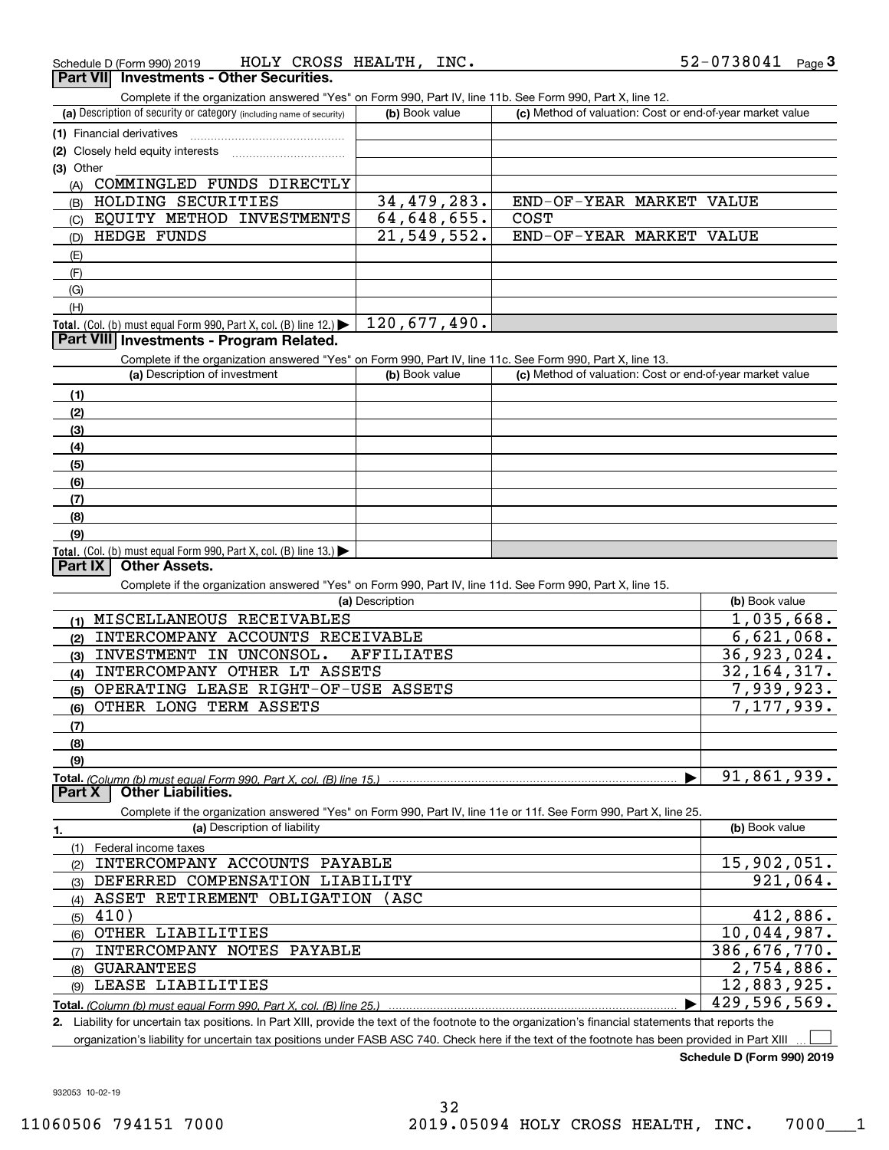| CROSS HEALTH,<br>INC.<br>HOLY<br>Schedule D (Form 990) 2019 | 52-0738041<br>Page |
|-------------------------------------------------------------|--------------------|
|-------------------------------------------------------------|--------------------|

#### **Part VII Investments - Other Securities.**

Complete if the organization answered "Yes" on Form 990, Part IV, line 11b. See Form 990, Part X, line 12.

| (a) Description of security or category (including name of security)                                       | (b) Book value | (c) Method of valuation: Cost or end-of-year market value |  |  |  |
|------------------------------------------------------------------------------------------------------------|----------------|-----------------------------------------------------------|--|--|--|
| (1) Financial derivatives                                                                                  |                |                                                           |  |  |  |
| (2) Closely held equity interests                                                                          |                |                                                           |  |  |  |
| $(3)$ Other                                                                                                |                |                                                           |  |  |  |
| FUNDS DIRECTLY<br>COMMINGLED<br>(A)                                                                        |                |                                                           |  |  |  |
| SECURITIES<br>HOLDING<br>(B)                                                                               | 34,479,283.    | END-OF-YEAR MARKET<br>VALUE                               |  |  |  |
| INVESTMENTS<br>EQUITY METHOD<br>(C)                                                                        | 64,648,655.    | <b>COST</b>                                               |  |  |  |
| HEDGE FUNDS<br>(D)                                                                                         | 21,549,552.    | END-OF-YEAR MARKET<br>VALUE                               |  |  |  |
| (E)                                                                                                        |                |                                                           |  |  |  |
| (F)                                                                                                        |                |                                                           |  |  |  |
| (G)                                                                                                        |                |                                                           |  |  |  |
| (H)                                                                                                        |                |                                                           |  |  |  |
| <b>Total.</b> (Col. (b) must equal Form 990, Part X, col. (B) line $12$ .)                                 | 120,677,490.   |                                                           |  |  |  |
| <b>Part VIII Investments - Program Related.</b>                                                            |                |                                                           |  |  |  |
| Complete if the organization answered "Yes" on Form 990, Part IV, line 11c. See Form 990, Part X, line 13. |                |                                                           |  |  |  |
| (a) Description of investment                                                                              | (b) Book value | (c) Method of valuation: Cost or end-of-year market value |  |  |  |

|                                                                                         | $\frac{1}{2}$ = $\frac{1}{2}$ = $\frac{1}{2}$ = $\frac{1}{2}$ = $\frac{1}{2}$ = $\frac{1}{2}$ = $\frac{1}{2}$ = $\frac{1}{2}$ = $\frac{1}{2}$ = $\frac{1}{2}$ = $\frac{1}{2}$ = $\frac{1}{2}$ = $\frac{1}{2}$ = $\frac{1}{2}$ = $\frac{1}{2}$ = $\frac{1}{2}$ = $\frac{1}{2}$ = $\frac{1}{2}$ = $\frac{1$ |  |
|-----------------------------------------------------------------------------------------|-----------------------------------------------------------------------------------------------------------------------------------------------------------------------------------------------------------------------------------------------------------------------------------------------------------|--|
| (1)                                                                                     |                                                                                                                                                                                                                                                                                                           |  |
| (2)                                                                                     |                                                                                                                                                                                                                                                                                                           |  |
| (3)                                                                                     |                                                                                                                                                                                                                                                                                                           |  |
| (4)                                                                                     |                                                                                                                                                                                                                                                                                                           |  |
| $\left(5\right)$                                                                        |                                                                                                                                                                                                                                                                                                           |  |
| $\frac{6}{6}$                                                                           |                                                                                                                                                                                                                                                                                                           |  |
| (7)                                                                                     |                                                                                                                                                                                                                                                                                                           |  |
| (8)                                                                                     |                                                                                                                                                                                                                                                                                                           |  |
| (9)                                                                                     |                                                                                                                                                                                                                                                                                                           |  |
| Total. (Col. (b) must equal Form 990, Part X, col. (B) line $13.$ $\blacktriangleright$ |                                                                                                                                                                                                                                                                                                           |  |

#### **Part IX Other Assets.**

Complete if the organization answered "Yes" on Form 990, Part IV, line 11d. See Form 990, Part X, line 15.

| (a) Description                                                    | (b) Book value |
|--------------------------------------------------------------------|----------------|
| MISCELLANEOUS RECEIVABLES<br>(1)                                   | 1,035,668.     |
| INTERCOMPANY ACCOUNTS RECEIVABLE<br>(2)                            | 6,621,068.     |
| INVESTMENT<br>UNCONSOL.<br>AFFILIATES<br>IN<br>(3)                 | 36,923,024.    |
| INTERCOMPANY OTHER LT ASSETS<br>(4)                                | 32, 164, 317.  |
| OPERATING LEASE RIGHT-OF-USE ASSETS<br>(5)                         | 7,939,923.     |
| OTHER LONG TERM ASSETS<br>(6)                                      | 7,177,939.     |
| (7)                                                                |                |
| (8)                                                                |                |
| (9)                                                                |                |
| Total. (Column (b) must equal Form 990, Part X, col. (B) line 15.) | 91,861,939.    |
| <b>Other Liabilities.</b><br>Part X                                |                |

Complete if the organization answered "Yes" on Form 990, Part IV, line 11e or 11f. See Form 990, Part X, line 25.

| 1.  | (a) Description of liability     | (b) Book value |
|-----|----------------------------------|----------------|
|     | Federal income taxes             |                |
| (2) | INTERCOMPANY ACCOUNTS PAYABLE    | 15,902,051.    |
| (3) | DEFERRED COMPENSATION LIABILITY  | 921,064.       |
| (4) | ASSET RETIREMENT OBLIGATION (ASC |                |
| (5) | 410)                             | 412,886.       |
| (6) | OTHER LIABILITIES                | 10,044,987.    |
| (7) | INTERCOMPANY NOTES PAYABLE       | 386,676,770.   |
| (8) | <b>GUARANTEES</b>                | 2,754,886.     |
| (9) | LEASE LIABILITIES                | 12,883,925.    |
|     |                                  | 429,596,569.   |

**2.** Liability for uncertain tax positions. In Part XIII, provide the text of the footnote to the organization's financial statements that reports the

organization's liability for uncertain tax positions under FASB ASC 740. Check here if the text of the footnote has been provided in Part XIII

**Schedule D (Form 990) 2019**

 $\mathcal{L}^{\text{max}}$ 

932053 10-02-19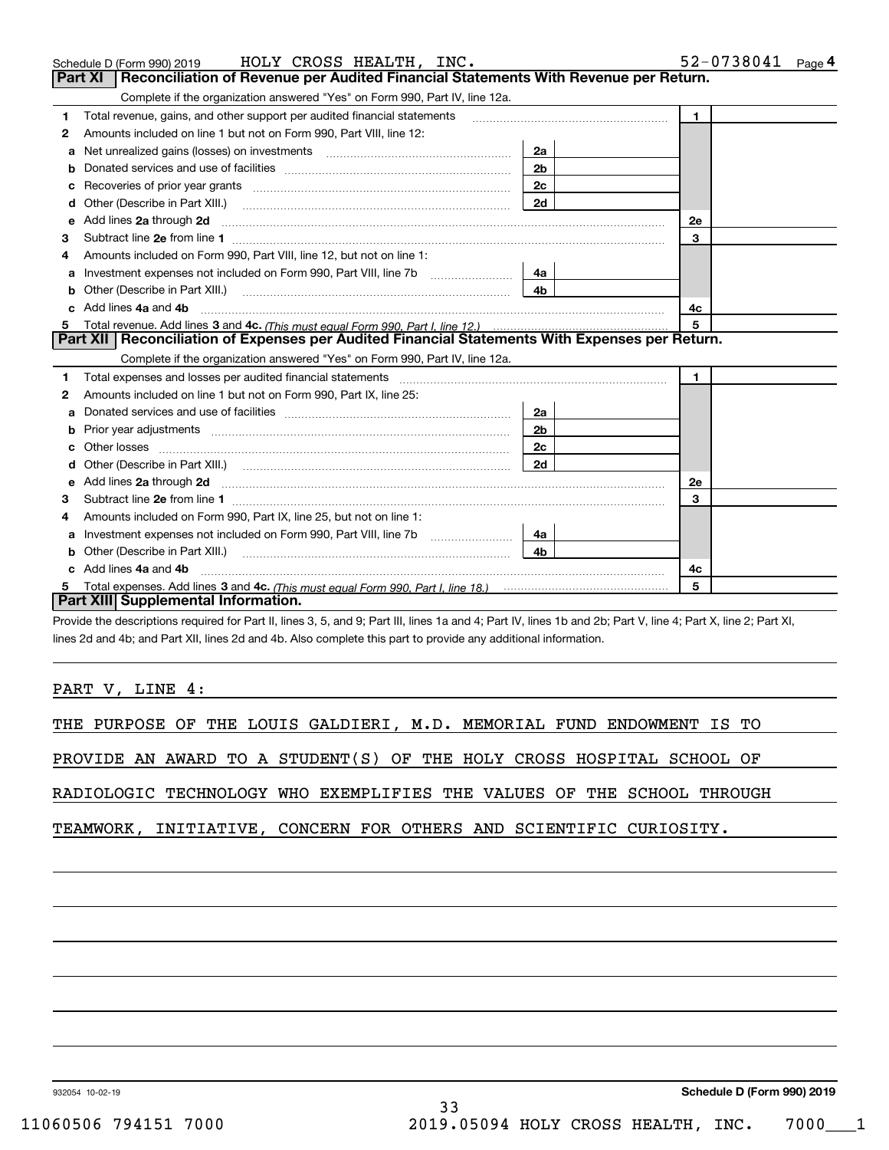|    | HOLY CROSS HEALTH, INC.<br>Schedule D (Form 990) 2019                                                                                                                                                                                                                                    |                | 52-0738041 Page 4 |
|----|------------------------------------------------------------------------------------------------------------------------------------------------------------------------------------------------------------------------------------------------------------------------------------------|----------------|-------------------|
|    | Reconciliation of Revenue per Audited Financial Statements With Revenue per Return.<br>Part XI                                                                                                                                                                                           |                |                   |
|    | Complete if the organization answered "Yes" on Form 990, Part IV, line 12a.                                                                                                                                                                                                              |                |                   |
| 1  | Total revenue, gains, and other support per audited financial statements                                                                                                                                                                                                                 |                | $\mathbf{1}$      |
| 2  | Amounts included on line 1 but not on Form 990, Part VIII, line 12:                                                                                                                                                                                                                      |                |                   |
|    | Net unrealized gains (losses) on investments [111] [12] matter successive and all the unrealized gains (losses) on investments                                                                                                                                                           | 2a             |                   |
| b  |                                                                                                                                                                                                                                                                                          | 2 <sub>b</sub> |                   |
| c  | Recoveries of prior year grants [11] matter contracts and prior year grants [11] matter contracts and all the contracts and all the contracts and all the contracts and all the contracts and all the contracts and all the co                                                           | 2c             |                   |
| d  | Other (Describe in Part XIII.)                                                                                                                                                                                                                                                           | 2d             |                   |
| е  | Add lines 2a through 2d <b>[10]</b> [20] <b>All (20)</b> [20] [20] <b>All (20)</b> [30] <b>All (20)</b> [30] <b>All (20)</b> [30] <b>All (20)</b> [30] <b>All (20)</b> [30] <b>All (20)</b> [30] <b>All (20)</b> [30] <b>All (20)</b> [30] <b>All (20)</b> [30] <b>All (20) All (20)</b> |                | 2e                |
| З  |                                                                                                                                                                                                                                                                                          |                | 3                 |
|    | Amounts included on Form 990, Part VIII, line 12, but not on line 1:                                                                                                                                                                                                                     |                |                   |
| a  | Investment expenses not included on Form 990, Part VIII, line 7b                                                                                                                                                                                                                         | 4a             |                   |
| b  | Other (Describe in Part XIII.) <b>COLOGIST:</b> (2010)                                                                                                                                                                                                                                   | 4 <sub>b</sub> |                   |
|    | Add lines 4a and 4b                                                                                                                                                                                                                                                                      |                | 4c                |
| 5  |                                                                                                                                                                                                                                                                                          |                | 5                 |
|    | Part XII   Reconciliation of Expenses per Audited Financial Statements With Expenses per Return.                                                                                                                                                                                         |                |                   |
|    | Complete if the organization answered "Yes" on Form 990, Part IV, line 12a.                                                                                                                                                                                                              |                |                   |
| 1. | Total expenses and losses per audited financial statements [11] [12] manuscription control expenses and losses per audited financial statements [12] [12] manuscription of the statements [12] manuscription of the statements                                                           |                | $\mathbf{1}$      |
| 2  | Amounts included on line 1 but not on Form 990, Part IX, line 25:                                                                                                                                                                                                                        |                |                   |
| a  |                                                                                                                                                                                                                                                                                          | 2a             |                   |
| b  |                                                                                                                                                                                                                                                                                          | 2 <sub>b</sub> |                   |
| c  | Other losses <b>with a contract the contract of the contract of the contract of the contract of the contract of the contract of the contract of the contract of the contract of the contract of the contract of the contract of </b>                                                     | 2 <sub>c</sub> |                   |
|    |                                                                                                                                                                                                                                                                                          | 2d             |                   |
| е  | Add lines 2a through 2d <b>contained a contained a contained a contained a</b> contained a contained a contained a contained a contained a contained a contained a contained a contained a contained a contained a contained a cont                                                      |                | <b>2e</b>         |
| 3  |                                                                                                                                                                                                                                                                                          |                | 3                 |
| 4  | Amounts included on Form 990, Part IX, line 25, but not on line 1:                                                                                                                                                                                                                       |                |                   |
| а  | Investment expenses not included on Form 990, Part VIII, line 7b                                                                                                                                                                                                                         | 4a             |                   |
| b  |                                                                                                                                                                                                                                                                                          | 4b.            |                   |
|    | Add lines 4a and 4b                                                                                                                                                                                                                                                                      |                | 4с                |
|    |                                                                                                                                                                                                                                                                                          |                | 5                 |
|    | Part XIII Supplemental Information.                                                                                                                                                                                                                                                      |                |                   |

Provide the descriptions required for Part II, lines 3, 5, and 9; Part III, lines 1a and 4; Part IV, lines 1b and 2b; Part V, line 4; Part X, line 2; Part XI, lines 2d and 4b; and Part XII, lines 2d and 4b. Also complete this part to provide any additional information.

PART V, LINE 4:

|  |  |  |  | THE PURPOSE OF THE LOUIS GALDIERI, M.D. MEMORIAL FUND ENDOWMENT IS TO |  |
|--|--|--|--|-----------------------------------------------------------------------|--|
|  |  |  |  |                                                                       |  |

PROVIDE AN AWARD TO A STUDENT(S) OF THE HOLY CROSS HOSPITAL SCHOOL OF

RADIOLOGIC TECHNOLOGY WHO EXEMPLIFIES THE VALUES OF THE SCHOOL THROUGH

TEAMWORK, INITIATIVE, CONCERN FOR OTHERS AND SCIENTIFIC CURIOSITY.

932054 10-02-19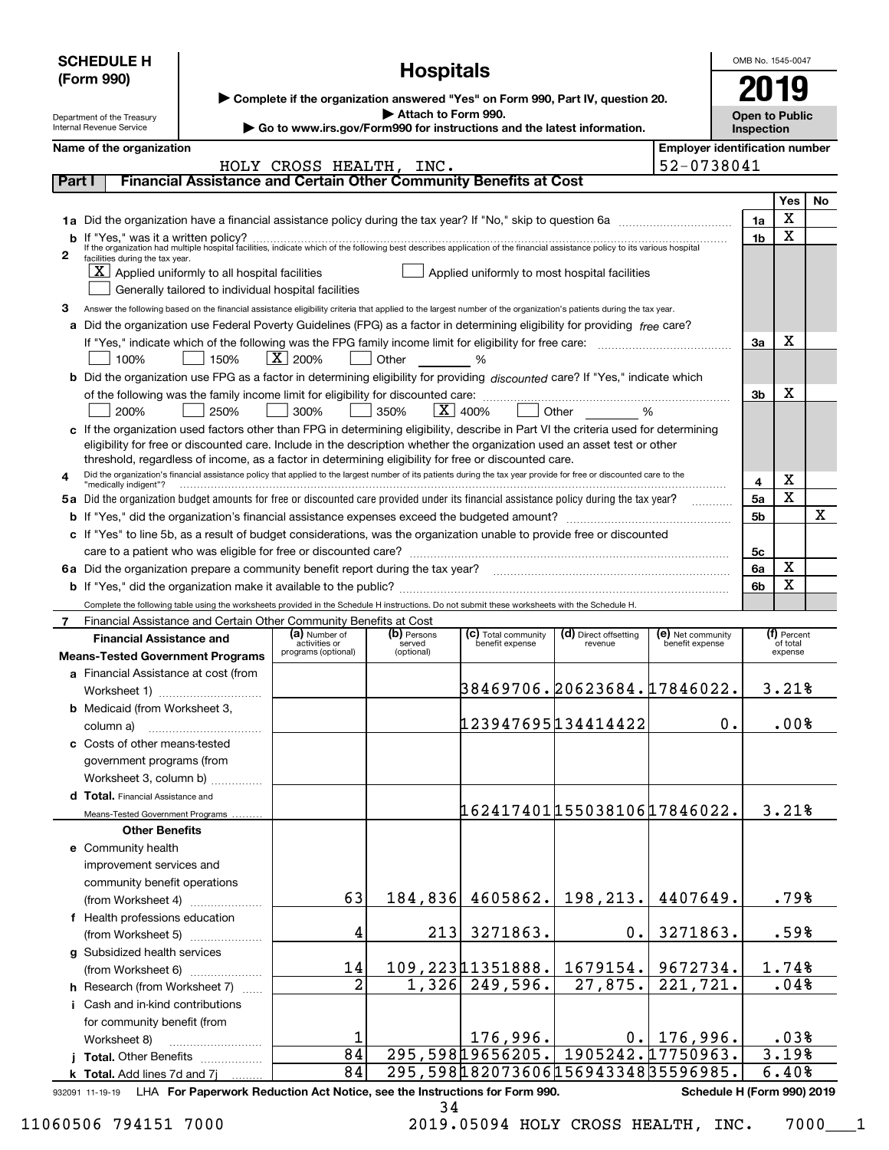| <b>Hospitals</b><br>(Form 990)<br>▶ Complete if the organization answered "Yes" on Form 990, Part IV, question 20.<br>Attach to Form 990.<br><b>Open to Public</b><br>Department of the Treasury<br>Go to www.irs.gov/Form990 for instructions and the latest information.<br>Internal Revenue Service<br>Inspection<br><b>Employer identification number</b><br>Name of the organization<br>52-0738041<br>HOLY CROSS HEALTH, INC.<br>Financial Assistance and Certain Other Community Benefits at Cost<br>Part I<br>Yes<br>No<br>X<br>1a<br>х<br>1 <sub>b</sub><br>2<br>facilities during the tax year.<br>$X$ Applied uniformly to all hospital facilities<br>Applied uniformly to most hospital facilities<br>Generally tailored to individual hospital facilities<br>з<br>Answer the following based on the financial assistance eligibility criteria that applied to the largest number of the organization's patients during the tax year.<br>a Did the organization use Federal Poverty Guidelines (FPG) as a factor in determining eligibility for providing free care?<br>x<br>За<br>$X \mid 200\%$<br>Other %<br>100%<br>  150%<br>b Did the organization use FPG as a factor in determining eligibility for providing discounted care? If "Yes," indicate which<br>x<br>3b<br>350%<br>$\overline{\mathbf{X}}$   400%<br>300%<br>200%<br>250%<br>c If the organization used factors other than FPG in determining eligibility, describe in Part VI the criteria used for determining<br>eligibility for free or discounted care. Include in the description whether the organization used an asset test or other<br>threshold, regardless of income, as a factor in determining eligibility for free or discounted care.<br>Did the organization's financial assistance policy that applied to the largest number of its patients during the tax year provide for free or discounted care to the<br>4<br>х<br>4<br>"medically indigent"?<br>X<br>5a Did the organization budget amounts for free or discounted care provided under its financial assistance policy during the tax year?<br>5a<br>1.1.1.1.1.1.1.1.1.1<br>х<br>5b<br>c If "Yes" to line 5b, as a result of budget considerations, was the organization unable to provide free or discounted<br>5с<br>х<br>6a<br>X<br>6b<br>Complete the following table using the worksheets provided in the Schedule H instructions. Do not submit these worksheets with the Schedule H.<br>Financial Assistance and Certain Other Community Benefits at Cost<br>7<br>(a) Number of<br>(b) Persons<br>(c) Total community<br>(d) Direct offsetting<br>(e) Net community<br>(f) Percent<br><b>Financial Assistance and</b><br>benefit expense<br>activities or<br>benefit expense<br>served<br>revenue<br>of total<br>programs (optional)<br>(optional)<br>expense<br><b>Means-Tested Government Programs</b><br>a Financial Assistance at cost (from<br>38469706.20623684.17846022.<br>3.21%<br><b>b</b> Medicaid (from Worksheet 3,<br>123947695134414422<br>$\mathbf 0$ .<br>.00%<br>column a)<br>c Costs of other means-tested<br>government programs (from<br>Worksheet 3, column b)<br><b>d</b> Total. Financial Assistance and<br>16241740115503810617846022.<br>3.21%<br>Means-Tested Government Programs<br><b>Other Benefits</b><br>e Community health<br>improvement services and<br>community benefit operations<br>63<br>4605862.<br>198, 213.<br>4407649.<br>184,836<br>.79%<br>(from Worksheet 4)<br>f Health professions education<br>4<br>3271863.<br>3271863.<br>.59%<br>213<br>$0$ .<br>g Subsidized health services<br>14<br>109,22311351888.<br>1679154.<br>9672734.<br>1.74%<br>(from Worksheet 6)<br>$\overline{2}$<br>$1,326$ $249,596$ .<br>27,875.<br>221,721.<br>.04%<br>h Research (from Worksheet 7)<br>i Cash and in-kind contributions<br>for community benefit (from<br>1<br>$0.$   176,996.<br>.03%<br>176,996.<br>Worksheet 8)<br>295,59819656205. 1905242. 17750963.<br>84<br>3.19%<br>j Total. Other Benefits<br>84<br>295,59818207360615694334835596985.<br>6.40%<br><b>k</b> Total. Add lines 7d and $7j$<br>932091 11-19-19 LHA For Paperwork Reduction Act Notice, see the Instructions for Form 990.<br>Schedule H (Form 990) 2019 | <b>SCHEDULE H</b> |  |  |  | OMB No. 1545-0047 |  |
|-------------------------------------------------------------------------------------------------------------------------------------------------------------------------------------------------------------------------------------------------------------------------------------------------------------------------------------------------------------------------------------------------------------------------------------------------------------------------------------------------------------------------------------------------------------------------------------------------------------------------------------------------------------------------------------------------------------------------------------------------------------------------------------------------------------------------------------------------------------------------------------------------------------------------------------------------------------------------------------------------------------------------------------------------------------------------------------------------------------------------------------------------------------------------------------------------------------------------------------------------------------------------------------------------------------------------------------------------------------------------------------------------------------------------------------------------------------------------------------------------------------------------------------------------------------------------------------------------------------------------------------------------------------------------------------------------------------------------------------------------------------------------------------------------------------------------------------------------------------------------------------------------------------------------------------------------------------------------------------------------------------------------------------------------------------------------------------------------------------------------------------------------------------------------------------------------------------------------------------------------------------------------------------------------------------------------------------------------------------------------------------------------------------------------------------------------------------------------------------------------------------------------------------------------------------------------------------------------------------------------------------------------------------------------------------------------------------------------------------------------------------------------------------------------------------------------------------------------------------------------------------------------------------------------------------------------------------------------------------------------------------------------------------------------------------------------------------------------------------------------------------------------------------------------------------------------------------------------------------------------------------------------------------------------------------------------------------------------------------------------------------------------------------------------------------------------------------------------------------------------------------------------------------------------------------------------------------------------------------------------------------------------------------------------------------------------------------------------------------------------------------------------------------------------------------------------------------------------------------------------------------------------------------------------------------------------------------------------------------------------------------------------------------------------------------------------------------------------------------------------------------------------------------------------------------------------------------------------------------|-------------------|--|--|--|-------------------|--|
|                                                                                                                                                                                                                                                                                                                                                                                                                                                                                                                                                                                                                                                                                                                                                                                                                                                                                                                                                                                                                                                                                                                                                                                                                                                                                                                                                                                                                                                                                                                                                                                                                                                                                                                                                                                                                                                                                                                                                                                                                                                                                                                                                                                                                                                                                                                                                                                                                                                                                                                                                                                                                                                                                                                                                                                                                                                                                                                                                                                                                                                                                                                                                                                                                                                                                                                                                                                                                                                                                                                                                                                                                                                                                                                                                                                                                                                                                                                                                                                                                                                                                                                                                                                                                                     |                   |  |  |  |                   |  |
|                                                                                                                                                                                                                                                                                                                                                                                                                                                                                                                                                                                                                                                                                                                                                                                                                                                                                                                                                                                                                                                                                                                                                                                                                                                                                                                                                                                                                                                                                                                                                                                                                                                                                                                                                                                                                                                                                                                                                                                                                                                                                                                                                                                                                                                                                                                                                                                                                                                                                                                                                                                                                                                                                                                                                                                                                                                                                                                                                                                                                                                                                                                                                                                                                                                                                                                                                                                                                                                                                                                                                                                                                                                                                                                                                                                                                                                                                                                                                                                                                                                                                                                                                                                                                                     |                   |  |  |  |                   |  |
|                                                                                                                                                                                                                                                                                                                                                                                                                                                                                                                                                                                                                                                                                                                                                                                                                                                                                                                                                                                                                                                                                                                                                                                                                                                                                                                                                                                                                                                                                                                                                                                                                                                                                                                                                                                                                                                                                                                                                                                                                                                                                                                                                                                                                                                                                                                                                                                                                                                                                                                                                                                                                                                                                                                                                                                                                                                                                                                                                                                                                                                                                                                                                                                                                                                                                                                                                                                                                                                                                                                                                                                                                                                                                                                                                                                                                                                                                                                                                                                                                                                                                                                                                                                                                                     |                   |  |  |  |                   |  |
|                                                                                                                                                                                                                                                                                                                                                                                                                                                                                                                                                                                                                                                                                                                                                                                                                                                                                                                                                                                                                                                                                                                                                                                                                                                                                                                                                                                                                                                                                                                                                                                                                                                                                                                                                                                                                                                                                                                                                                                                                                                                                                                                                                                                                                                                                                                                                                                                                                                                                                                                                                                                                                                                                                                                                                                                                                                                                                                                                                                                                                                                                                                                                                                                                                                                                                                                                                                                                                                                                                                                                                                                                                                                                                                                                                                                                                                                                                                                                                                                                                                                                                                                                                                                                                     |                   |  |  |  |                   |  |
|                                                                                                                                                                                                                                                                                                                                                                                                                                                                                                                                                                                                                                                                                                                                                                                                                                                                                                                                                                                                                                                                                                                                                                                                                                                                                                                                                                                                                                                                                                                                                                                                                                                                                                                                                                                                                                                                                                                                                                                                                                                                                                                                                                                                                                                                                                                                                                                                                                                                                                                                                                                                                                                                                                                                                                                                                                                                                                                                                                                                                                                                                                                                                                                                                                                                                                                                                                                                                                                                                                                                                                                                                                                                                                                                                                                                                                                                                                                                                                                                                                                                                                                                                                                                                                     |                   |  |  |  |                   |  |
|                                                                                                                                                                                                                                                                                                                                                                                                                                                                                                                                                                                                                                                                                                                                                                                                                                                                                                                                                                                                                                                                                                                                                                                                                                                                                                                                                                                                                                                                                                                                                                                                                                                                                                                                                                                                                                                                                                                                                                                                                                                                                                                                                                                                                                                                                                                                                                                                                                                                                                                                                                                                                                                                                                                                                                                                                                                                                                                                                                                                                                                                                                                                                                                                                                                                                                                                                                                                                                                                                                                                                                                                                                                                                                                                                                                                                                                                                                                                                                                                                                                                                                                                                                                                                                     |                   |  |  |  |                   |  |
|                                                                                                                                                                                                                                                                                                                                                                                                                                                                                                                                                                                                                                                                                                                                                                                                                                                                                                                                                                                                                                                                                                                                                                                                                                                                                                                                                                                                                                                                                                                                                                                                                                                                                                                                                                                                                                                                                                                                                                                                                                                                                                                                                                                                                                                                                                                                                                                                                                                                                                                                                                                                                                                                                                                                                                                                                                                                                                                                                                                                                                                                                                                                                                                                                                                                                                                                                                                                                                                                                                                                                                                                                                                                                                                                                                                                                                                                                                                                                                                                                                                                                                                                                                                                                                     |                   |  |  |  |                   |  |
|                                                                                                                                                                                                                                                                                                                                                                                                                                                                                                                                                                                                                                                                                                                                                                                                                                                                                                                                                                                                                                                                                                                                                                                                                                                                                                                                                                                                                                                                                                                                                                                                                                                                                                                                                                                                                                                                                                                                                                                                                                                                                                                                                                                                                                                                                                                                                                                                                                                                                                                                                                                                                                                                                                                                                                                                                                                                                                                                                                                                                                                                                                                                                                                                                                                                                                                                                                                                                                                                                                                                                                                                                                                                                                                                                                                                                                                                                                                                                                                                                                                                                                                                                                                                                                     |                   |  |  |  |                   |  |
|                                                                                                                                                                                                                                                                                                                                                                                                                                                                                                                                                                                                                                                                                                                                                                                                                                                                                                                                                                                                                                                                                                                                                                                                                                                                                                                                                                                                                                                                                                                                                                                                                                                                                                                                                                                                                                                                                                                                                                                                                                                                                                                                                                                                                                                                                                                                                                                                                                                                                                                                                                                                                                                                                                                                                                                                                                                                                                                                                                                                                                                                                                                                                                                                                                                                                                                                                                                                                                                                                                                                                                                                                                                                                                                                                                                                                                                                                                                                                                                                                                                                                                                                                                                                                                     |                   |  |  |  |                   |  |
|                                                                                                                                                                                                                                                                                                                                                                                                                                                                                                                                                                                                                                                                                                                                                                                                                                                                                                                                                                                                                                                                                                                                                                                                                                                                                                                                                                                                                                                                                                                                                                                                                                                                                                                                                                                                                                                                                                                                                                                                                                                                                                                                                                                                                                                                                                                                                                                                                                                                                                                                                                                                                                                                                                                                                                                                                                                                                                                                                                                                                                                                                                                                                                                                                                                                                                                                                                                                                                                                                                                                                                                                                                                                                                                                                                                                                                                                                                                                                                                                                                                                                                                                                                                                                                     |                   |  |  |  |                   |  |
|                                                                                                                                                                                                                                                                                                                                                                                                                                                                                                                                                                                                                                                                                                                                                                                                                                                                                                                                                                                                                                                                                                                                                                                                                                                                                                                                                                                                                                                                                                                                                                                                                                                                                                                                                                                                                                                                                                                                                                                                                                                                                                                                                                                                                                                                                                                                                                                                                                                                                                                                                                                                                                                                                                                                                                                                                                                                                                                                                                                                                                                                                                                                                                                                                                                                                                                                                                                                                                                                                                                                                                                                                                                                                                                                                                                                                                                                                                                                                                                                                                                                                                                                                                                                                                     |                   |  |  |  |                   |  |
|                                                                                                                                                                                                                                                                                                                                                                                                                                                                                                                                                                                                                                                                                                                                                                                                                                                                                                                                                                                                                                                                                                                                                                                                                                                                                                                                                                                                                                                                                                                                                                                                                                                                                                                                                                                                                                                                                                                                                                                                                                                                                                                                                                                                                                                                                                                                                                                                                                                                                                                                                                                                                                                                                                                                                                                                                                                                                                                                                                                                                                                                                                                                                                                                                                                                                                                                                                                                                                                                                                                                                                                                                                                                                                                                                                                                                                                                                                                                                                                                                                                                                                                                                                                                                                     |                   |  |  |  |                   |  |
|                                                                                                                                                                                                                                                                                                                                                                                                                                                                                                                                                                                                                                                                                                                                                                                                                                                                                                                                                                                                                                                                                                                                                                                                                                                                                                                                                                                                                                                                                                                                                                                                                                                                                                                                                                                                                                                                                                                                                                                                                                                                                                                                                                                                                                                                                                                                                                                                                                                                                                                                                                                                                                                                                                                                                                                                                                                                                                                                                                                                                                                                                                                                                                                                                                                                                                                                                                                                                                                                                                                                                                                                                                                                                                                                                                                                                                                                                                                                                                                                                                                                                                                                                                                                                                     |                   |  |  |  |                   |  |
|                                                                                                                                                                                                                                                                                                                                                                                                                                                                                                                                                                                                                                                                                                                                                                                                                                                                                                                                                                                                                                                                                                                                                                                                                                                                                                                                                                                                                                                                                                                                                                                                                                                                                                                                                                                                                                                                                                                                                                                                                                                                                                                                                                                                                                                                                                                                                                                                                                                                                                                                                                                                                                                                                                                                                                                                                                                                                                                                                                                                                                                                                                                                                                                                                                                                                                                                                                                                                                                                                                                                                                                                                                                                                                                                                                                                                                                                                                                                                                                                                                                                                                                                                                                                                                     |                   |  |  |  |                   |  |
|                                                                                                                                                                                                                                                                                                                                                                                                                                                                                                                                                                                                                                                                                                                                                                                                                                                                                                                                                                                                                                                                                                                                                                                                                                                                                                                                                                                                                                                                                                                                                                                                                                                                                                                                                                                                                                                                                                                                                                                                                                                                                                                                                                                                                                                                                                                                                                                                                                                                                                                                                                                                                                                                                                                                                                                                                                                                                                                                                                                                                                                                                                                                                                                                                                                                                                                                                                                                                                                                                                                                                                                                                                                                                                                                                                                                                                                                                                                                                                                                                                                                                                                                                                                                                                     |                   |  |  |  |                   |  |
|                                                                                                                                                                                                                                                                                                                                                                                                                                                                                                                                                                                                                                                                                                                                                                                                                                                                                                                                                                                                                                                                                                                                                                                                                                                                                                                                                                                                                                                                                                                                                                                                                                                                                                                                                                                                                                                                                                                                                                                                                                                                                                                                                                                                                                                                                                                                                                                                                                                                                                                                                                                                                                                                                                                                                                                                                                                                                                                                                                                                                                                                                                                                                                                                                                                                                                                                                                                                                                                                                                                                                                                                                                                                                                                                                                                                                                                                                                                                                                                                                                                                                                                                                                                                                                     |                   |  |  |  |                   |  |
|                                                                                                                                                                                                                                                                                                                                                                                                                                                                                                                                                                                                                                                                                                                                                                                                                                                                                                                                                                                                                                                                                                                                                                                                                                                                                                                                                                                                                                                                                                                                                                                                                                                                                                                                                                                                                                                                                                                                                                                                                                                                                                                                                                                                                                                                                                                                                                                                                                                                                                                                                                                                                                                                                                                                                                                                                                                                                                                                                                                                                                                                                                                                                                                                                                                                                                                                                                                                                                                                                                                                                                                                                                                                                                                                                                                                                                                                                                                                                                                                                                                                                                                                                                                                                                     |                   |  |  |  |                   |  |
|                                                                                                                                                                                                                                                                                                                                                                                                                                                                                                                                                                                                                                                                                                                                                                                                                                                                                                                                                                                                                                                                                                                                                                                                                                                                                                                                                                                                                                                                                                                                                                                                                                                                                                                                                                                                                                                                                                                                                                                                                                                                                                                                                                                                                                                                                                                                                                                                                                                                                                                                                                                                                                                                                                                                                                                                                                                                                                                                                                                                                                                                                                                                                                                                                                                                                                                                                                                                                                                                                                                                                                                                                                                                                                                                                                                                                                                                                                                                                                                                                                                                                                                                                                                                                                     |                   |  |  |  |                   |  |
|                                                                                                                                                                                                                                                                                                                                                                                                                                                                                                                                                                                                                                                                                                                                                                                                                                                                                                                                                                                                                                                                                                                                                                                                                                                                                                                                                                                                                                                                                                                                                                                                                                                                                                                                                                                                                                                                                                                                                                                                                                                                                                                                                                                                                                                                                                                                                                                                                                                                                                                                                                                                                                                                                                                                                                                                                                                                                                                                                                                                                                                                                                                                                                                                                                                                                                                                                                                                                                                                                                                                                                                                                                                                                                                                                                                                                                                                                                                                                                                                                                                                                                                                                                                                                                     |                   |  |  |  |                   |  |
|                                                                                                                                                                                                                                                                                                                                                                                                                                                                                                                                                                                                                                                                                                                                                                                                                                                                                                                                                                                                                                                                                                                                                                                                                                                                                                                                                                                                                                                                                                                                                                                                                                                                                                                                                                                                                                                                                                                                                                                                                                                                                                                                                                                                                                                                                                                                                                                                                                                                                                                                                                                                                                                                                                                                                                                                                                                                                                                                                                                                                                                                                                                                                                                                                                                                                                                                                                                                                                                                                                                                                                                                                                                                                                                                                                                                                                                                                                                                                                                                                                                                                                                                                                                                                                     |                   |  |  |  |                   |  |
|                                                                                                                                                                                                                                                                                                                                                                                                                                                                                                                                                                                                                                                                                                                                                                                                                                                                                                                                                                                                                                                                                                                                                                                                                                                                                                                                                                                                                                                                                                                                                                                                                                                                                                                                                                                                                                                                                                                                                                                                                                                                                                                                                                                                                                                                                                                                                                                                                                                                                                                                                                                                                                                                                                                                                                                                                                                                                                                                                                                                                                                                                                                                                                                                                                                                                                                                                                                                                                                                                                                                                                                                                                                                                                                                                                                                                                                                                                                                                                                                                                                                                                                                                                                                                                     |                   |  |  |  |                   |  |
|                                                                                                                                                                                                                                                                                                                                                                                                                                                                                                                                                                                                                                                                                                                                                                                                                                                                                                                                                                                                                                                                                                                                                                                                                                                                                                                                                                                                                                                                                                                                                                                                                                                                                                                                                                                                                                                                                                                                                                                                                                                                                                                                                                                                                                                                                                                                                                                                                                                                                                                                                                                                                                                                                                                                                                                                                                                                                                                                                                                                                                                                                                                                                                                                                                                                                                                                                                                                                                                                                                                                                                                                                                                                                                                                                                                                                                                                                                                                                                                                                                                                                                                                                                                                                                     |                   |  |  |  |                   |  |
|                                                                                                                                                                                                                                                                                                                                                                                                                                                                                                                                                                                                                                                                                                                                                                                                                                                                                                                                                                                                                                                                                                                                                                                                                                                                                                                                                                                                                                                                                                                                                                                                                                                                                                                                                                                                                                                                                                                                                                                                                                                                                                                                                                                                                                                                                                                                                                                                                                                                                                                                                                                                                                                                                                                                                                                                                                                                                                                                                                                                                                                                                                                                                                                                                                                                                                                                                                                                                                                                                                                                                                                                                                                                                                                                                                                                                                                                                                                                                                                                                                                                                                                                                                                                                                     |                   |  |  |  |                   |  |
|                                                                                                                                                                                                                                                                                                                                                                                                                                                                                                                                                                                                                                                                                                                                                                                                                                                                                                                                                                                                                                                                                                                                                                                                                                                                                                                                                                                                                                                                                                                                                                                                                                                                                                                                                                                                                                                                                                                                                                                                                                                                                                                                                                                                                                                                                                                                                                                                                                                                                                                                                                                                                                                                                                                                                                                                                                                                                                                                                                                                                                                                                                                                                                                                                                                                                                                                                                                                                                                                                                                                                                                                                                                                                                                                                                                                                                                                                                                                                                                                                                                                                                                                                                                                                                     |                   |  |  |  |                   |  |
|                                                                                                                                                                                                                                                                                                                                                                                                                                                                                                                                                                                                                                                                                                                                                                                                                                                                                                                                                                                                                                                                                                                                                                                                                                                                                                                                                                                                                                                                                                                                                                                                                                                                                                                                                                                                                                                                                                                                                                                                                                                                                                                                                                                                                                                                                                                                                                                                                                                                                                                                                                                                                                                                                                                                                                                                                                                                                                                                                                                                                                                                                                                                                                                                                                                                                                                                                                                                                                                                                                                                                                                                                                                                                                                                                                                                                                                                                                                                                                                                                                                                                                                                                                                                                                     |                   |  |  |  |                   |  |
|                                                                                                                                                                                                                                                                                                                                                                                                                                                                                                                                                                                                                                                                                                                                                                                                                                                                                                                                                                                                                                                                                                                                                                                                                                                                                                                                                                                                                                                                                                                                                                                                                                                                                                                                                                                                                                                                                                                                                                                                                                                                                                                                                                                                                                                                                                                                                                                                                                                                                                                                                                                                                                                                                                                                                                                                                                                                                                                                                                                                                                                                                                                                                                                                                                                                                                                                                                                                                                                                                                                                                                                                                                                                                                                                                                                                                                                                                                                                                                                                                                                                                                                                                                                                                                     |                   |  |  |  |                   |  |
|                                                                                                                                                                                                                                                                                                                                                                                                                                                                                                                                                                                                                                                                                                                                                                                                                                                                                                                                                                                                                                                                                                                                                                                                                                                                                                                                                                                                                                                                                                                                                                                                                                                                                                                                                                                                                                                                                                                                                                                                                                                                                                                                                                                                                                                                                                                                                                                                                                                                                                                                                                                                                                                                                                                                                                                                                                                                                                                                                                                                                                                                                                                                                                                                                                                                                                                                                                                                                                                                                                                                                                                                                                                                                                                                                                                                                                                                                                                                                                                                                                                                                                                                                                                                                                     |                   |  |  |  |                   |  |
|                                                                                                                                                                                                                                                                                                                                                                                                                                                                                                                                                                                                                                                                                                                                                                                                                                                                                                                                                                                                                                                                                                                                                                                                                                                                                                                                                                                                                                                                                                                                                                                                                                                                                                                                                                                                                                                                                                                                                                                                                                                                                                                                                                                                                                                                                                                                                                                                                                                                                                                                                                                                                                                                                                                                                                                                                                                                                                                                                                                                                                                                                                                                                                                                                                                                                                                                                                                                                                                                                                                                                                                                                                                                                                                                                                                                                                                                                                                                                                                                                                                                                                                                                                                                                                     |                   |  |  |  |                   |  |
|                                                                                                                                                                                                                                                                                                                                                                                                                                                                                                                                                                                                                                                                                                                                                                                                                                                                                                                                                                                                                                                                                                                                                                                                                                                                                                                                                                                                                                                                                                                                                                                                                                                                                                                                                                                                                                                                                                                                                                                                                                                                                                                                                                                                                                                                                                                                                                                                                                                                                                                                                                                                                                                                                                                                                                                                                                                                                                                                                                                                                                                                                                                                                                                                                                                                                                                                                                                                                                                                                                                                                                                                                                                                                                                                                                                                                                                                                                                                                                                                                                                                                                                                                                                                                                     |                   |  |  |  |                   |  |
|                                                                                                                                                                                                                                                                                                                                                                                                                                                                                                                                                                                                                                                                                                                                                                                                                                                                                                                                                                                                                                                                                                                                                                                                                                                                                                                                                                                                                                                                                                                                                                                                                                                                                                                                                                                                                                                                                                                                                                                                                                                                                                                                                                                                                                                                                                                                                                                                                                                                                                                                                                                                                                                                                                                                                                                                                                                                                                                                                                                                                                                                                                                                                                                                                                                                                                                                                                                                                                                                                                                                                                                                                                                                                                                                                                                                                                                                                                                                                                                                                                                                                                                                                                                                                                     |                   |  |  |  |                   |  |
|                                                                                                                                                                                                                                                                                                                                                                                                                                                                                                                                                                                                                                                                                                                                                                                                                                                                                                                                                                                                                                                                                                                                                                                                                                                                                                                                                                                                                                                                                                                                                                                                                                                                                                                                                                                                                                                                                                                                                                                                                                                                                                                                                                                                                                                                                                                                                                                                                                                                                                                                                                                                                                                                                                                                                                                                                                                                                                                                                                                                                                                                                                                                                                                                                                                                                                                                                                                                                                                                                                                                                                                                                                                                                                                                                                                                                                                                                                                                                                                                                                                                                                                                                                                                                                     |                   |  |  |  |                   |  |
|                                                                                                                                                                                                                                                                                                                                                                                                                                                                                                                                                                                                                                                                                                                                                                                                                                                                                                                                                                                                                                                                                                                                                                                                                                                                                                                                                                                                                                                                                                                                                                                                                                                                                                                                                                                                                                                                                                                                                                                                                                                                                                                                                                                                                                                                                                                                                                                                                                                                                                                                                                                                                                                                                                                                                                                                                                                                                                                                                                                                                                                                                                                                                                                                                                                                                                                                                                                                                                                                                                                                                                                                                                                                                                                                                                                                                                                                                                                                                                                                                                                                                                                                                                                                                                     |                   |  |  |  |                   |  |
|                                                                                                                                                                                                                                                                                                                                                                                                                                                                                                                                                                                                                                                                                                                                                                                                                                                                                                                                                                                                                                                                                                                                                                                                                                                                                                                                                                                                                                                                                                                                                                                                                                                                                                                                                                                                                                                                                                                                                                                                                                                                                                                                                                                                                                                                                                                                                                                                                                                                                                                                                                                                                                                                                                                                                                                                                                                                                                                                                                                                                                                                                                                                                                                                                                                                                                                                                                                                                                                                                                                                                                                                                                                                                                                                                                                                                                                                                                                                                                                                                                                                                                                                                                                                                                     |                   |  |  |  |                   |  |
|                                                                                                                                                                                                                                                                                                                                                                                                                                                                                                                                                                                                                                                                                                                                                                                                                                                                                                                                                                                                                                                                                                                                                                                                                                                                                                                                                                                                                                                                                                                                                                                                                                                                                                                                                                                                                                                                                                                                                                                                                                                                                                                                                                                                                                                                                                                                                                                                                                                                                                                                                                                                                                                                                                                                                                                                                                                                                                                                                                                                                                                                                                                                                                                                                                                                                                                                                                                                                                                                                                                                                                                                                                                                                                                                                                                                                                                                                                                                                                                                                                                                                                                                                                                                                                     |                   |  |  |  |                   |  |
|                                                                                                                                                                                                                                                                                                                                                                                                                                                                                                                                                                                                                                                                                                                                                                                                                                                                                                                                                                                                                                                                                                                                                                                                                                                                                                                                                                                                                                                                                                                                                                                                                                                                                                                                                                                                                                                                                                                                                                                                                                                                                                                                                                                                                                                                                                                                                                                                                                                                                                                                                                                                                                                                                                                                                                                                                                                                                                                                                                                                                                                                                                                                                                                                                                                                                                                                                                                                                                                                                                                                                                                                                                                                                                                                                                                                                                                                                                                                                                                                                                                                                                                                                                                                                                     |                   |  |  |  |                   |  |
|                                                                                                                                                                                                                                                                                                                                                                                                                                                                                                                                                                                                                                                                                                                                                                                                                                                                                                                                                                                                                                                                                                                                                                                                                                                                                                                                                                                                                                                                                                                                                                                                                                                                                                                                                                                                                                                                                                                                                                                                                                                                                                                                                                                                                                                                                                                                                                                                                                                                                                                                                                                                                                                                                                                                                                                                                                                                                                                                                                                                                                                                                                                                                                                                                                                                                                                                                                                                                                                                                                                                                                                                                                                                                                                                                                                                                                                                                                                                                                                                                                                                                                                                                                                                                                     |                   |  |  |  |                   |  |
|                                                                                                                                                                                                                                                                                                                                                                                                                                                                                                                                                                                                                                                                                                                                                                                                                                                                                                                                                                                                                                                                                                                                                                                                                                                                                                                                                                                                                                                                                                                                                                                                                                                                                                                                                                                                                                                                                                                                                                                                                                                                                                                                                                                                                                                                                                                                                                                                                                                                                                                                                                                                                                                                                                                                                                                                                                                                                                                                                                                                                                                                                                                                                                                                                                                                                                                                                                                                                                                                                                                                                                                                                                                                                                                                                                                                                                                                                                                                                                                                                                                                                                                                                                                                                                     |                   |  |  |  |                   |  |
|                                                                                                                                                                                                                                                                                                                                                                                                                                                                                                                                                                                                                                                                                                                                                                                                                                                                                                                                                                                                                                                                                                                                                                                                                                                                                                                                                                                                                                                                                                                                                                                                                                                                                                                                                                                                                                                                                                                                                                                                                                                                                                                                                                                                                                                                                                                                                                                                                                                                                                                                                                                                                                                                                                                                                                                                                                                                                                                                                                                                                                                                                                                                                                                                                                                                                                                                                                                                                                                                                                                                                                                                                                                                                                                                                                                                                                                                                                                                                                                                                                                                                                                                                                                                                                     |                   |  |  |  |                   |  |
|                                                                                                                                                                                                                                                                                                                                                                                                                                                                                                                                                                                                                                                                                                                                                                                                                                                                                                                                                                                                                                                                                                                                                                                                                                                                                                                                                                                                                                                                                                                                                                                                                                                                                                                                                                                                                                                                                                                                                                                                                                                                                                                                                                                                                                                                                                                                                                                                                                                                                                                                                                                                                                                                                                                                                                                                                                                                                                                                                                                                                                                                                                                                                                                                                                                                                                                                                                                                                                                                                                                                                                                                                                                                                                                                                                                                                                                                                                                                                                                                                                                                                                                                                                                                                                     |                   |  |  |  |                   |  |
|                                                                                                                                                                                                                                                                                                                                                                                                                                                                                                                                                                                                                                                                                                                                                                                                                                                                                                                                                                                                                                                                                                                                                                                                                                                                                                                                                                                                                                                                                                                                                                                                                                                                                                                                                                                                                                                                                                                                                                                                                                                                                                                                                                                                                                                                                                                                                                                                                                                                                                                                                                                                                                                                                                                                                                                                                                                                                                                                                                                                                                                                                                                                                                                                                                                                                                                                                                                                                                                                                                                                                                                                                                                                                                                                                                                                                                                                                                                                                                                                                                                                                                                                                                                                                                     |                   |  |  |  |                   |  |
|                                                                                                                                                                                                                                                                                                                                                                                                                                                                                                                                                                                                                                                                                                                                                                                                                                                                                                                                                                                                                                                                                                                                                                                                                                                                                                                                                                                                                                                                                                                                                                                                                                                                                                                                                                                                                                                                                                                                                                                                                                                                                                                                                                                                                                                                                                                                                                                                                                                                                                                                                                                                                                                                                                                                                                                                                                                                                                                                                                                                                                                                                                                                                                                                                                                                                                                                                                                                                                                                                                                                                                                                                                                                                                                                                                                                                                                                                                                                                                                                                                                                                                                                                                                                                                     |                   |  |  |  |                   |  |
|                                                                                                                                                                                                                                                                                                                                                                                                                                                                                                                                                                                                                                                                                                                                                                                                                                                                                                                                                                                                                                                                                                                                                                                                                                                                                                                                                                                                                                                                                                                                                                                                                                                                                                                                                                                                                                                                                                                                                                                                                                                                                                                                                                                                                                                                                                                                                                                                                                                                                                                                                                                                                                                                                                                                                                                                                                                                                                                                                                                                                                                                                                                                                                                                                                                                                                                                                                                                                                                                                                                                                                                                                                                                                                                                                                                                                                                                                                                                                                                                                                                                                                                                                                                                                                     |                   |  |  |  |                   |  |
|                                                                                                                                                                                                                                                                                                                                                                                                                                                                                                                                                                                                                                                                                                                                                                                                                                                                                                                                                                                                                                                                                                                                                                                                                                                                                                                                                                                                                                                                                                                                                                                                                                                                                                                                                                                                                                                                                                                                                                                                                                                                                                                                                                                                                                                                                                                                                                                                                                                                                                                                                                                                                                                                                                                                                                                                                                                                                                                                                                                                                                                                                                                                                                                                                                                                                                                                                                                                                                                                                                                                                                                                                                                                                                                                                                                                                                                                                                                                                                                                                                                                                                                                                                                                                                     |                   |  |  |  |                   |  |
|                                                                                                                                                                                                                                                                                                                                                                                                                                                                                                                                                                                                                                                                                                                                                                                                                                                                                                                                                                                                                                                                                                                                                                                                                                                                                                                                                                                                                                                                                                                                                                                                                                                                                                                                                                                                                                                                                                                                                                                                                                                                                                                                                                                                                                                                                                                                                                                                                                                                                                                                                                                                                                                                                                                                                                                                                                                                                                                                                                                                                                                                                                                                                                                                                                                                                                                                                                                                                                                                                                                                                                                                                                                                                                                                                                                                                                                                                                                                                                                                                                                                                                                                                                                                                                     |                   |  |  |  |                   |  |
|                                                                                                                                                                                                                                                                                                                                                                                                                                                                                                                                                                                                                                                                                                                                                                                                                                                                                                                                                                                                                                                                                                                                                                                                                                                                                                                                                                                                                                                                                                                                                                                                                                                                                                                                                                                                                                                                                                                                                                                                                                                                                                                                                                                                                                                                                                                                                                                                                                                                                                                                                                                                                                                                                                                                                                                                                                                                                                                                                                                                                                                                                                                                                                                                                                                                                                                                                                                                                                                                                                                                                                                                                                                                                                                                                                                                                                                                                                                                                                                                                                                                                                                                                                                                                                     |                   |  |  |  |                   |  |
|                                                                                                                                                                                                                                                                                                                                                                                                                                                                                                                                                                                                                                                                                                                                                                                                                                                                                                                                                                                                                                                                                                                                                                                                                                                                                                                                                                                                                                                                                                                                                                                                                                                                                                                                                                                                                                                                                                                                                                                                                                                                                                                                                                                                                                                                                                                                                                                                                                                                                                                                                                                                                                                                                                                                                                                                                                                                                                                                                                                                                                                                                                                                                                                                                                                                                                                                                                                                                                                                                                                                                                                                                                                                                                                                                                                                                                                                                                                                                                                                                                                                                                                                                                                                                                     |                   |  |  |  |                   |  |
|                                                                                                                                                                                                                                                                                                                                                                                                                                                                                                                                                                                                                                                                                                                                                                                                                                                                                                                                                                                                                                                                                                                                                                                                                                                                                                                                                                                                                                                                                                                                                                                                                                                                                                                                                                                                                                                                                                                                                                                                                                                                                                                                                                                                                                                                                                                                                                                                                                                                                                                                                                                                                                                                                                                                                                                                                                                                                                                                                                                                                                                                                                                                                                                                                                                                                                                                                                                                                                                                                                                                                                                                                                                                                                                                                                                                                                                                                                                                                                                                                                                                                                                                                                                                                                     |                   |  |  |  |                   |  |
|                                                                                                                                                                                                                                                                                                                                                                                                                                                                                                                                                                                                                                                                                                                                                                                                                                                                                                                                                                                                                                                                                                                                                                                                                                                                                                                                                                                                                                                                                                                                                                                                                                                                                                                                                                                                                                                                                                                                                                                                                                                                                                                                                                                                                                                                                                                                                                                                                                                                                                                                                                                                                                                                                                                                                                                                                                                                                                                                                                                                                                                                                                                                                                                                                                                                                                                                                                                                                                                                                                                                                                                                                                                                                                                                                                                                                                                                                                                                                                                                                                                                                                                                                                                                                                     |                   |  |  |  |                   |  |
|                                                                                                                                                                                                                                                                                                                                                                                                                                                                                                                                                                                                                                                                                                                                                                                                                                                                                                                                                                                                                                                                                                                                                                                                                                                                                                                                                                                                                                                                                                                                                                                                                                                                                                                                                                                                                                                                                                                                                                                                                                                                                                                                                                                                                                                                                                                                                                                                                                                                                                                                                                                                                                                                                                                                                                                                                                                                                                                                                                                                                                                                                                                                                                                                                                                                                                                                                                                                                                                                                                                                                                                                                                                                                                                                                                                                                                                                                                                                                                                                                                                                                                                                                                                                                                     |                   |  |  |  |                   |  |
|                                                                                                                                                                                                                                                                                                                                                                                                                                                                                                                                                                                                                                                                                                                                                                                                                                                                                                                                                                                                                                                                                                                                                                                                                                                                                                                                                                                                                                                                                                                                                                                                                                                                                                                                                                                                                                                                                                                                                                                                                                                                                                                                                                                                                                                                                                                                                                                                                                                                                                                                                                                                                                                                                                                                                                                                                                                                                                                                                                                                                                                                                                                                                                                                                                                                                                                                                                                                                                                                                                                                                                                                                                                                                                                                                                                                                                                                                                                                                                                                                                                                                                                                                                                                                                     |                   |  |  |  |                   |  |
|                                                                                                                                                                                                                                                                                                                                                                                                                                                                                                                                                                                                                                                                                                                                                                                                                                                                                                                                                                                                                                                                                                                                                                                                                                                                                                                                                                                                                                                                                                                                                                                                                                                                                                                                                                                                                                                                                                                                                                                                                                                                                                                                                                                                                                                                                                                                                                                                                                                                                                                                                                                                                                                                                                                                                                                                                                                                                                                                                                                                                                                                                                                                                                                                                                                                                                                                                                                                                                                                                                                                                                                                                                                                                                                                                                                                                                                                                                                                                                                                                                                                                                                                                                                                                                     |                   |  |  |  |                   |  |
|                                                                                                                                                                                                                                                                                                                                                                                                                                                                                                                                                                                                                                                                                                                                                                                                                                                                                                                                                                                                                                                                                                                                                                                                                                                                                                                                                                                                                                                                                                                                                                                                                                                                                                                                                                                                                                                                                                                                                                                                                                                                                                                                                                                                                                                                                                                                                                                                                                                                                                                                                                                                                                                                                                                                                                                                                                                                                                                                                                                                                                                                                                                                                                                                                                                                                                                                                                                                                                                                                                                                                                                                                                                                                                                                                                                                                                                                                                                                                                                                                                                                                                                                                                                                                                     |                   |  |  |  |                   |  |
|                                                                                                                                                                                                                                                                                                                                                                                                                                                                                                                                                                                                                                                                                                                                                                                                                                                                                                                                                                                                                                                                                                                                                                                                                                                                                                                                                                                                                                                                                                                                                                                                                                                                                                                                                                                                                                                                                                                                                                                                                                                                                                                                                                                                                                                                                                                                                                                                                                                                                                                                                                                                                                                                                                                                                                                                                                                                                                                                                                                                                                                                                                                                                                                                                                                                                                                                                                                                                                                                                                                                                                                                                                                                                                                                                                                                                                                                                                                                                                                                                                                                                                                                                                                                                                     |                   |  |  |  |                   |  |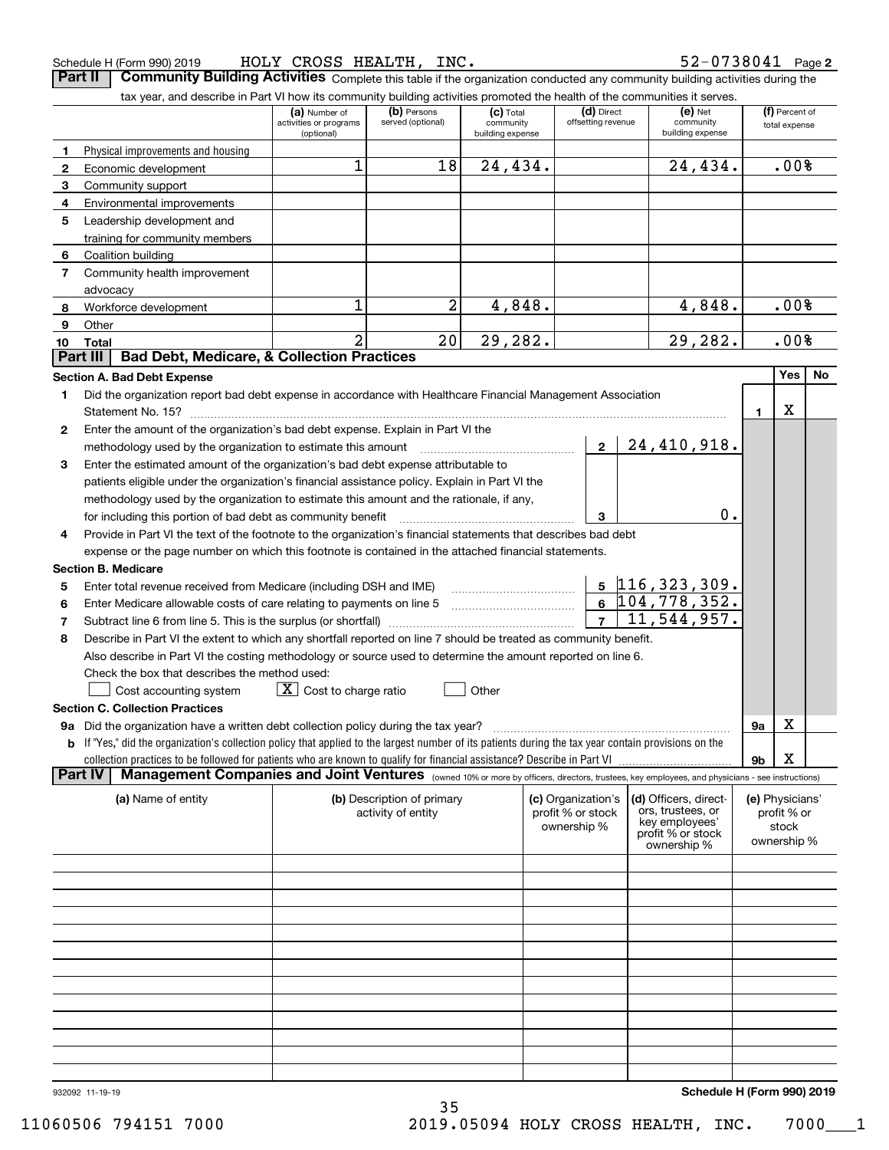| Schedule H (Form 990) 2019 |  |  | HOLY CROSS HEALTH, | INC. | 2-0738041- 2د | Page 2 |
|----------------------------|--|--|--------------------|------|---------------|--------|
|----------------------------|--|--|--------------------|------|---------------|--------|

**Part II** | Community Building Activities Complete this table if the organization conducted any community building activities during the

|                | tax year, and describe in Part VI how its community building activities promoted the health of the communities it serves.                                        |                                                                             |                            |                          |                                  |  |                                     |             |                                 |    |
|----------------|------------------------------------------------------------------------------------------------------------------------------------------------------------------|-----------------------------------------------------------------------------|----------------------------|--------------------------|----------------------------------|--|-------------------------------------|-------------|---------------------------------|----|
|                |                                                                                                                                                                  | (b) Persons<br>(a) Number of<br>served (optional)<br>activities or programs |                            | $(c)$ Total<br>community | (d) Direct<br>offsetting revenue |  | $(e)$ Net<br>community              |             | (f) Percent of<br>total expense |    |
|                |                                                                                                                                                                  | (optional)                                                                  |                            | building expense         |                                  |  | building expense                    |             |                                 |    |
| 1              | Physical improvements and housing                                                                                                                                |                                                                             |                            |                          |                                  |  |                                     |             |                                 |    |
| $\mathbf{2}$   | Economic development                                                                                                                                             | 1                                                                           | 18                         | 24,434.                  |                                  |  | 24,434.                             | .00%        |                                 |    |
| 3              | Community support                                                                                                                                                |                                                                             |                            |                          |                                  |  |                                     |             |                                 |    |
| 4              | Environmental improvements                                                                                                                                       |                                                                             |                            |                          |                                  |  |                                     |             |                                 |    |
| 5              | Leadership development and                                                                                                                                       |                                                                             |                            |                          |                                  |  |                                     |             |                                 |    |
|                | training for community members                                                                                                                                   |                                                                             |                            |                          |                                  |  |                                     |             |                                 |    |
| 6              | Coalition building                                                                                                                                               |                                                                             |                            |                          |                                  |  |                                     |             |                                 |    |
| $\overline{7}$ | Community health improvement                                                                                                                                     |                                                                             |                            |                          |                                  |  |                                     |             |                                 |    |
|                | advocacy                                                                                                                                                         |                                                                             |                            |                          |                                  |  |                                     |             |                                 |    |
| 8              | Workforce development                                                                                                                                            | 1                                                                           | 2                          | 4,848.                   |                                  |  | 4,848.                              | .00%        |                                 |    |
| 9              | Other                                                                                                                                                            |                                                                             |                            |                          |                                  |  |                                     |             |                                 |    |
| 10             | Total<br><b>Bad Debt, Medicare, &amp; Collection Practices</b><br>Part III                                                                                       | 2                                                                           | $\overline{20}$            | 29,282.                  |                                  |  | 29,282.                             |             | .00%                            |    |
|                |                                                                                                                                                                  |                                                                             |                            |                          |                                  |  |                                     |             | Yes                             |    |
|                | <b>Section A. Bad Debt Expense</b>                                                                                                                               |                                                                             |                            |                          |                                  |  |                                     |             |                                 | No |
| 1.             | Did the organization report bad debt expense in accordance with Healthcare Financial Management Association                                                      |                                                                             |                            |                          |                                  |  |                                     |             |                                 |    |
|                |                                                                                                                                                                  |                                                                             |                            |                          |                                  |  |                                     | 1.          | х                               |    |
| 2              | Enter the amount of the organization's bad debt expense. Explain in Part VI the                                                                                  |                                                                             |                            |                          |                                  |  |                                     |             |                                 |    |
|                | methodology used by the organization to estimate this amount                                                                                                     |                                                                             |                            |                          | $2^{\circ}$                      |  | 24,410,918.                         |             |                                 |    |
| 3              | Enter the estimated amount of the organization's bad debt expense attributable to                                                                                |                                                                             |                            |                          |                                  |  |                                     |             |                                 |    |
|                | patients eligible under the organization's financial assistance policy. Explain in Part VI the                                                                   |                                                                             |                            |                          |                                  |  |                                     |             |                                 |    |
|                | methodology used by the organization to estimate this amount and the rationale, if any,                                                                          |                                                                             |                            |                          |                                  |  |                                     |             |                                 |    |
|                | for including this portion of bad debt as community benefit                                                                                                      |                                                                             |                            |                          | 3                                |  | 0.                                  |             |                                 |    |
| 4              | Provide in Part VI the text of the footnote to the organization's financial statements that describes bad debt                                                   |                                                                             |                            |                          |                                  |  |                                     |             |                                 |    |
|                | expense or the page number on which this footnote is contained in the attached financial statements.                                                             |                                                                             |                            |                          |                                  |  |                                     |             |                                 |    |
|                | <b>Section B. Medicare</b>                                                                                                                                       |                                                                             |                            |                          |                                  |  |                                     |             |                                 |    |
| 5              | Enter total revenue received from Medicare (including DSH and IME)                                                                                               |                                                                             |                            |                          |                                  |  | <u>5</u> 116,323,309.               |             |                                 |    |
| 6              |                                                                                                                                                                  | $6\overline{104,778,352.}$                                                  |                            |                          |                                  |  |                                     |             |                                 |    |
| 7              |                                                                                                                                                                  | $\overline{11}$ , 544, 957.<br>7 <sup>7</sup>                               |                            |                          |                                  |  |                                     |             |                                 |    |
| 8              | Describe in Part VI the extent to which any shortfall reported on line 7 should be treated as community benefit.                                                 |                                                                             |                            |                          |                                  |  |                                     |             |                                 |    |
|                | Also describe in Part VI the costing methodology or source used to determine the amount reported on line 6.                                                      |                                                                             |                            |                          |                                  |  |                                     |             |                                 |    |
|                | Check the box that describes the method used:                                                                                                                    |                                                                             |                            |                          |                                  |  |                                     |             |                                 |    |
|                | Cost accounting system                                                                                                                                           | $X$ Cost to charge ratio                                                    |                            | Other                    |                                  |  |                                     |             |                                 |    |
|                | <b>Section C. Collection Practices</b>                                                                                                                           |                                                                             |                            |                          |                                  |  |                                     |             |                                 |    |
|                | 9a Did the organization have a written debt collection policy during the tax year?                                                                               |                                                                             |                            |                          |                                  |  |                                     | <b>9a</b>   | х                               |    |
|                | <b>b</b> If "Yes," did the organization's collection policy that applied to the largest number of its patients during the tax year contain provisions on the     |                                                                             |                            |                          |                                  |  |                                     |             |                                 |    |
|                |                                                                                                                                                                  |                                                                             |                            |                          |                                  |  |                                     | 9b          | х                               |    |
|                | Management Companies and Joint Ventures (owned 10% or more by officers, directors, trustees, key employees, and physicians - see instructions)<br><b>Part IV</b> |                                                                             |                            |                          |                                  |  |                                     |             |                                 |    |
|                | (a) Name of entity                                                                                                                                               |                                                                             | (b) Description of primary |                          | (c) Organization's               |  | (d) Officers, direct-               |             | (e) Physicians'                 |    |
|                |                                                                                                                                                                  |                                                                             | activity of entity         |                          | profit % or stock                |  | ors, trustees, or<br>key employees' | profit % or |                                 |    |
|                |                                                                                                                                                                  |                                                                             |                            |                          | ownership %                      |  | profit % or stock                   |             | stock                           |    |
|                |                                                                                                                                                                  |                                                                             |                            |                          |                                  |  | ownership %                         |             | ownership %                     |    |
|                |                                                                                                                                                                  |                                                                             |                            |                          |                                  |  |                                     |             |                                 |    |
|                |                                                                                                                                                                  |                                                                             |                            |                          |                                  |  |                                     |             |                                 |    |
|                |                                                                                                                                                                  |                                                                             |                            |                          |                                  |  |                                     |             |                                 |    |
|                |                                                                                                                                                                  |                                                                             |                            |                          |                                  |  |                                     |             |                                 |    |
|                |                                                                                                                                                                  |                                                                             |                            |                          |                                  |  |                                     |             |                                 |    |
|                |                                                                                                                                                                  |                                                                             |                            |                          |                                  |  |                                     |             |                                 |    |
|                |                                                                                                                                                                  |                                                                             |                            |                          |                                  |  |                                     |             |                                 |    |
|                |                                                                                                                                                                  |                                                                             |                            |                          |                                  |  |                                     |             |                                 |    |
|                |                                                                                                                                                                  |                                                                             |                            |                          |                                  |  |                                     |             |                                 |    |
|                |                                                                                                                                                                  |                                                                             |                            |                          |                                  |  |                                     |             |                                 |    |
|                |                                                                                                                                                                  |                                                                             |                            |                          |                                  |  |                                     |             |                                 |    |
|                |                                                                                                                                                                  |                                                                             |                            |                          |                                  |  |                                     |             |                                 |    |
|                |                                                                                                                                                                  |                                                                             |                            |                          |                                  |  |                                     |             |                                 |    |

35

932092 11-19-19

**Schedule H (Form 990) 2019**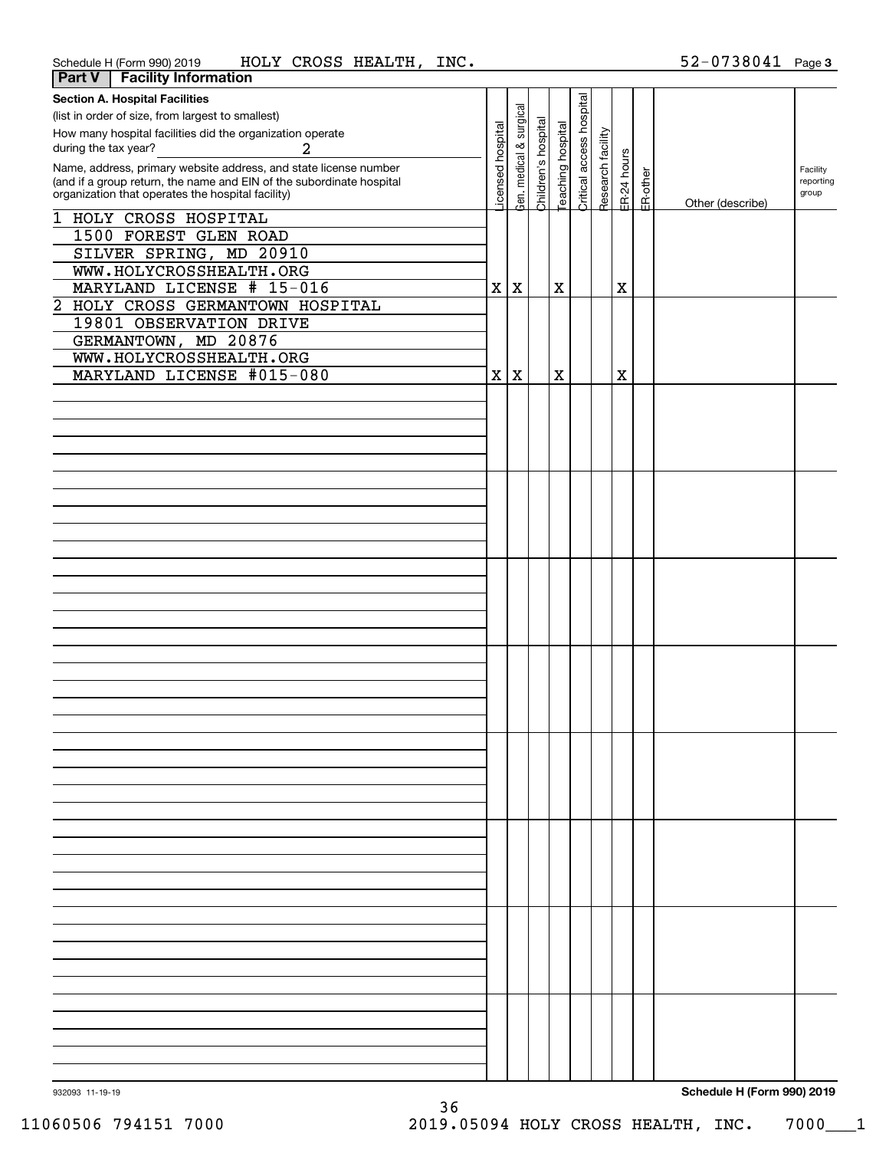| Part V                                                               | <b>Facility Information</b>                                      |                  |                         |                     |                          |                          |                   |             |          |                            |           |
|----------------------------------------------------------------------|------------------------------------------------------------------|------------------|-------------------------|---------------------|--------------------------|--------------------------|-------------------|-------------|----------|----------------------------|-----------|
|                                                                      | <b>Section A. Hospital Facilities</b>                            |                  |                         |                     |                          |                          |                   |             |          |                            |           |
|                                                                      | (list in order of size, from largest to smallest)                |                  |                         |                     |                          |                          |                   |             |          |                            |           |
| How many hospital facilities did the organization operate            |                                                                  |                  |                         |                     |                          |                          |                   |             |          |                            |           |
| during the tax year?                                                 | $\overline{a}$                                                   |                  |                         |                     |                          |                          |                   |             |          |                            |           |
|                                                                      | Name, address, primary website address, and state license number | icensed hospital | Gen. medical & surgical | Children's hospital | <b>Feaching hospital</b> | Critical access hospital | Research facility | ER-24 hours |          |                            | Facility  |
| (and if a group return, the name and EIN of the subordinate hospital |                                                                  |                  |                         |                     |                          |                          |                   |             |          |                            | reporting |
|                                                                      | organization that operates the hospital facility)                |                  |                         |                     |                          |                          |                   |             | ER-other | Other (describe)           | group     |
|                                                                      | 1 HOLY CROSS HOSPITAL                                            |                  |                         |                     |                          |                          |                   |             |          |                            |           |
|                                                                      | 1500 FOREST GLEN ROAD                                            |                  |                         |                     |                          |                          |                   |             |          |                            |           |
|                                                                      | SILVER SPRING, MD 20910                                          |                  |                         |                     |                          |                          |                   |             |          |                            |           |
|                                                                      | WWW.HOLYCROSSHEALTH.ORG                                          |                  |                         |                     |                          |                          |                   |             |          |                            |           |
|                                                                      | MARYLAND LICENSE # 15-016                                        |                  | X X                     |                     | $\mathbf X$              |                          |                   | X           |          |                            |           |
|                                                                      | 2 HOLY CROSS GERMANTOWN HOSPITAL                                 |                  |                         |                     |                          |                          |                   |             |          |                            |           |
|                                                                      | 19801 OBSERVATION DRIVE                                          |                  |                         |                     |                          |                          |                   |             |          |                            |           |
|                                                                      | GERMANTOWN, MD 20876                                             |                  |                         |                     |                          |                          |                   |             |          |                            |           |
|                                                                      | WWW.HOLYCROSSHEALTH.ORG                                          |                  |                         |                     |                          |                          |                   |             |          |                            |           |
|                                                                      | MARYLAND LICENSE #015-080                                        |                  | X X                     |                     | $\mathbf X$              |                          |                   | X           |          |                            |           |
|                                                                      |                                                                  |                  |                         |                     |                          |                          |                   |             |          |                            |           |
|                                                                      |                                                                  |                  |                         |                     |                          |                          |                   |             |          |                            |           |
|                                                                      |                                                                  |                  |                         |                     |                          |                          |                   |             |          |                            |           |
|                                                                      |                                                                  |                  |                         |                     |                          |                          |                   |             |          |                            |           |
|                                                                      |                                                                  |                  |                         |                     |                          |                          |                   |             |          |                            |           |
|                                                                      |                                                                  |                  |                         |                     |                          |                          |                   |             |          |                            |           |
|                                                                      |                                                                  |                  |                         |                     |                          |                          |                   |             |          |                            |           |
|                                                                      |                                                                  |                  |                         |                     |                          |                          |                   |             |          |                            |           |
|                                                                      |                                                                  |                  |                         |                     |                          |                          |                   |             |          |                            |           |
|                                                                      |                                                                  |                  |                         |                     |                          |                          |                   |             |          |                            |           |
|                                                                      |                                                                  |                  |                         |                     |                          |                          |                   |             |          |                            |           |
|                                                                      |                                                                  |                  |                         |                     |                          |                          |                   |             |          |                            |           |
|                                                                      |                                                                  |                  |                         |                     |                          |                          |                   |             |          |                            |           |
|                                                                      |                                                                  |                  |                         |                     |                          |                          |                   |             |          |                            |           |
|                                                                      |                                                                  |                  |                         |                     |                          |                          |                   |             |          |                            |           |
|                                                                      |                                                                  |                  |                         |                     |                          |                          |                   |             |          |                            |           |
|                                                                      |                                                                  |                  |                         |                     |                          |                          |                   |             |          |                            |           |
|                                                                      |                                                                  |                  |                         |                     |                          |                          |                   |             |          |                            |           |
|                                                                      |                                                                  |                  |                         |                     |                          |                          |                   |             |          |                            |           |
|                                                                      |                                                                  |                  |                         |                     |                          |                          |                   |             |          |                            |           |
|                                                                      |                                                                  |                  |                         |                     |                          |                          |                   |             |          |                            |           |
|                                                                      |                                                                  |                  |                         |                     |                          |                          |                   |             |          |                            |           |
|                                                                      |                                                                  |                  |                         |                     |                          |                          |                   |             |          |                            |           |
|                                                                      |                                                                  |                  |                         |                     |                          |                          |                   |             |          |                            |           |
|                                                                      |                                                                  |                  |                         |                     |                          |                          |                   |             |          |                            |           |
|                                                                      |                                                                  |                  |                         |                     |                          |                          |                   |             |          |                            |           |
|                                                                      |                                                                  |                  |                         |                     |                          |                          |                   |             |          |                            |           |
|                                                                      |                                                                  |                  |                         |                     |                          |                          |                   |             |          |                            |           |
|                                                                      |                                                                  |                  |                         |                     |                          |                          |                   |             |          |                            |           |
|                                                                      |                                                                  |                  |                         |                     |                          |                          |                   |             |          |                            |           |
|                                                                      |                                                                  |                  |                         |                     |                          |                          |                   |             |          |                            |           |
|                                                                      |                                                                  |                  |                         |                     |                          |                          |                   |             |          |                            |           |
|                                                                      |                                                                  |                  |                         |                     |                          |                          |                   |             |          |                            |           |
|                                                                      |                                                                  |                  |                         |                     |                          |                          |                   |             |          |                            |           |
|                                                                      |                                                                  |                  |                         |                     |                          |                          |                   |             |          |                            |           |
|                                                                      |                                                                  |                  |                         |                     |                          |                          |                   |             |          |                            |           |
|                                                                      |                                                                  |                  |                         |                     |                          |                          |                   |             |          |                            |           |
|                                                                      |                                                                  |                  |                         |                     |                          |                          |                   |             |          |                            |           |
|                                                                      |                                                                  |                  |                         |                     |                          |                          |                   |             |          |                            |           |
|                                                                      |                                                                  |                  |                         |                     |                          |                          |                   |             |          |                            |           |
| 932093 11-19-19                                                      |                                                                  |                  |                         |                     |                          |                          |                   |             |          | Schedule H (Form 990) 2019 |           |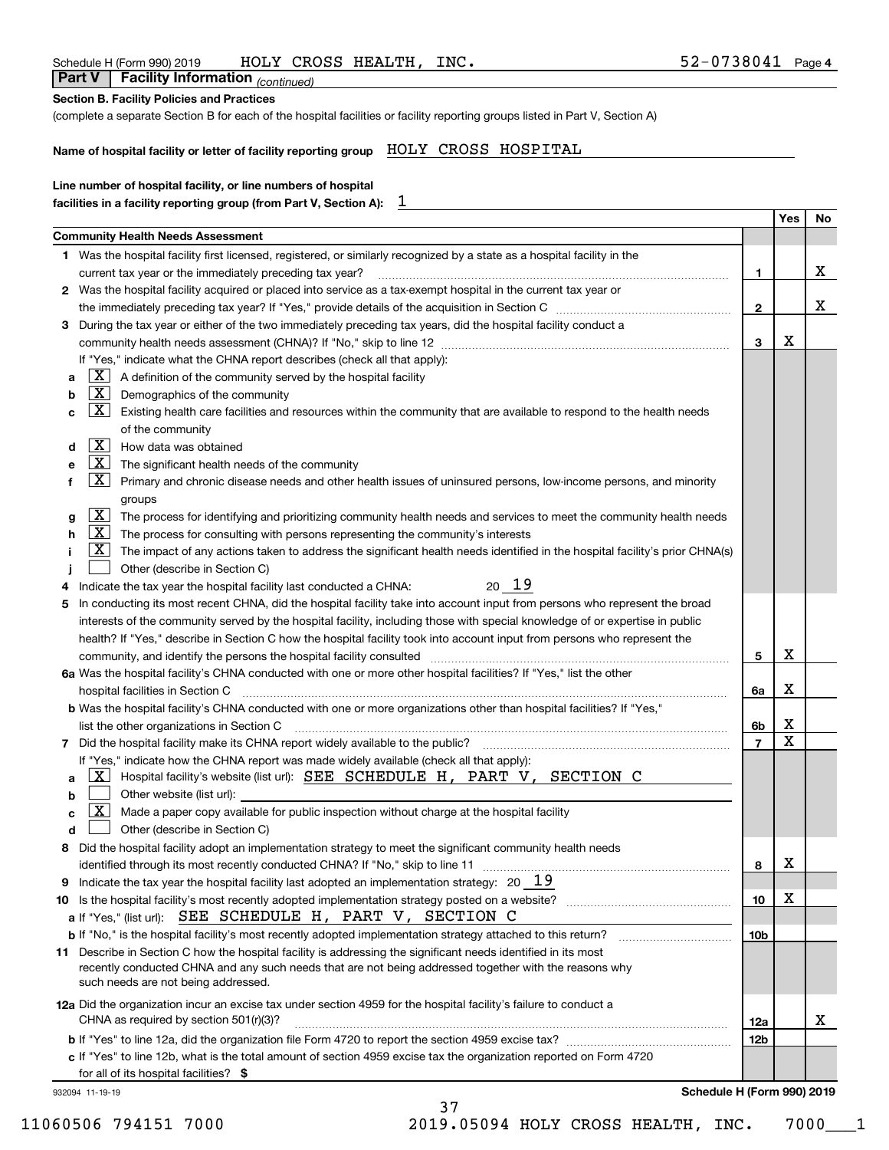| Line number of hospital facility, or line numbers of hospital<br>1<br>facilities in a facility reporting group (from Part V, Section A):<br>Yes<br><b>Community Health Needs Assessment</b><br>1 Was the hospital facility first licensed, registered, or similarly recognized by a state as a hospital facility in the<br>current tax year or the immediately preceding tax year?<br>1.<br>2 Was the hospital facility acquired or placed into service as a tax-exempt hospital in the current tax year or<br>$\mathbf{2}$<br>During the tax year or either of the two immediately preceding tax years, did the hospital facility conduct a<br>3<br>х<br>3<br>If "Yes," indicate what the CHNA report describes (check all that apply):<br>$\boxed{\textbf{X}}$ A definition of the community served by the hospital facility<br>a<br>$\boxed{\textbf{X}}$ Demographics of the community<br>b<br>$\boxed{\text{X}}$<br>Existing health care facilities and resources within the community that are available to respond to the health needs<br>с<br>of the community<br>$\boxed{\mathbf{X}}$ How data was obtained<br>d<br>$X$ The significant health needs of the community<br>е<br>$\lfloor x \rfloor$<br>f<br>Primary and chronic disease needs and other health issues of uninsured persons, low-income persons, and minority<br>groups<br>$\boxed{\text{X}}$ The process for identifying and prioritizing community health needs and services to meet the community health needs<br>g<br>$\lfloor \underline{X} \rfloor$ The process for consulting with persons representing the community's interests<br>h<br>$\mathbf{X}$<br>The impact of any actions taken to address the significant health needs identified in the hospital facility's prior CHNA(s)<br>Other (describe in Section C)<br>20 19<br>Indicate the tax year the hospital facility last conducted a CHNA:<br>4<br>In conducting its most recent CHNA, did the hospital facility take into account input from persons who represent the broad<br>5<br>interests of the community served by the hospital facility, including those with special knowledge of or expertise in public<br>health? If "Yes," describe in Section C how the hospital facility took into account input from persons who represent the<br>х<br>community, and identify the persons the hospital facility consulted [11] consultion material community, and identify the persons the hospital facility consulted [11] material materials and the state of the state of the sta<br>5<br>6a Was the hospital facility's CHNA conducted with one or more other hospital facilities? If "Yes," list the other<br>х<br>hospital facilities in Section C<br>6a<br>b Was the hospital facility's CHNA conducted with one or more organizations other than hospital facilities? If "Yes,"<br>Χ<br>6b<br>x<br>7 Did the hospital facility make its CHNA report widely available to the public?<br>7<br>If "Yes," indicate how the CHNA report was made widely available (check all that apply):<br>Hospital facility's website (list url): SEE SCHEDULE H, PART V, SECTION C<br>ΧI<br>a<br>Other website (list url):<br>b<br>X l<br>Made a paper copy available for public inspection without charge at the hospital facility<br>c<br>Other (describe in Section C)<br>d<br>Did the hospital facility adopt an implementation strategy to meet the significant community health needs<br>8<br>х<br>identified through its most recently conducted CHNA? If "No," skip to line 11<br>8<br>Indicate the tax year the hospital facility last adopted an implementation strategy: $20\quad 19$<br>9<br>х<br>10<br>10<br>a If "Yes," (list url): SEE SCHEDULE H, PART V, SECTION C<br><b>b</b> If "No," is the hospital facility's most recently adopted implementation strategy attached to this return?<br>10b<br>11 Describe in Section C how the hospital facility is addressing the significant needs identified in its most<br>recently conducted CHNA and any such needs that are not being addressed together with the reasons why<br>such needs are not being addressed.<br>12a Did the organization incur an excise tax under section 4959 for the hospital facility's failure to conduct a<br>CHNA as required by section 501(r)(3)?<br>12a<br>12b | Name of hospital facility or letter of facility reporting group HOLY CROSS HOSPITAL |  |    |
|-----------------------------------------------------------------------------------------------------------------------------------------------------------------------------------------------------------------------------------------------------------------------------------------------------------------------------------------------------------------------------------------------------------------------------------------------------------------------------------------------------------------------------------------------------------------------------------------------------------------------------------------------------------------------------------------------------------------------------------------------------------------------------------------------------------------------------------------------------------------------------------------------------------------------------------------------------------------------------------------------------------------------------------------------------------------------------------------------------------------------------------------------------------------------------------------------------------------------------------------------------------------------------------------------------------------------------------------------------------------------------------------------------------------------------------------------------------------------------------------------------------------------------------------------------------------------------------------------------------------------------------------------------------------------------------------------------------------------------------------------------------------------------------------------------------------------------------------------------------------------------------------------------------------------------------------------------------------------------------------------------------------------------------------------------------------------------------------------------------------------------------------------------------------------------------------------------------------------------------------------------------------------------------------------------------------------------------------------------------------------------------------------------------------------------------------------------------------------------------------------------------------------------------------------------------------------------------------------------------------------------------------------------------------------------------------------------------------------------------------------------------------------------------------------------------------------------------------------------------------------------------------------------------------------------------------------------------------------------------------------------------------------------------------------------------------------------------------------------------------------------------------------------------------------------------------------------------------------------------------------------------------------------------------------------------------------------------------------------------------------------------------------------------------------------------------------------------------------------------------------------------------------------------------------------------------------------------------------------------------------------------------------------------------------------------------------------------------------------------------------------------------------------------------------------------------------------------------------------------------------------------------------------------------------------------------------------------------------------------------------------------------------------------------------------------------------------------------------------------------------------------------------------------------------------------------------------------------------------------------------------------------------------------------------|-------------------------------------------------------------------------------------|--|----|
|                                                                                                                                                                                                                                                                                                                                                                                                                                                                                                                                                                                                                                                                                                                                                                                                                                                                                                                                                                                                                                                                                                                                                                                                                                                                                                                                                                                                                                                                                                                                                                                                                                                                                                                                                                                                                                                                                                                                                                                                                                                                                                                                                                                                                                                                                                                                                                                                                                                                                                                                                                                                                                                                                                                                                                                                                                                                                                                                                                                                                                                                                                                                                                                                                                                                                                                                                                                                                                                                                                                                                                                                                                                                                                                                                                                                                                                                                                                                                                                                                                                                                                                                                                                                                                                                                               |                                                                                     |  |    |
|                                                                                                                                                                                                                                                                                                                                                                                                                                                                                                                                                                                                                                                                                                                                                                                                                                                                                                                                                                                                                                                                                                                                                                                                                                                                                                                                                                                                                                                                                                                                                                                                                                                                                                                                                                                                                                                                                                                                                                                                                                                                                                                                                                                                                                                                                                                                                                                                                                                                                                                                                                                                                                                                                                                                                                                                                                                                                                                                                                                                                                                                                                                                                                                                                                                                                                                                                                                                                                                                                                                                                                                                                                                                                                                                                                                                                                                                                                                                                                                                                                                                                                                                                                                                                                                                                               |                                                                                     |  |    |
|                                                                                                                                                                                                                                                                                                                                                                                                                                                                                                                                                                                                                                                                                                                                                                                                                                                                                                                                                                                                                                                                                                                                                                                                                                                                                                                                                                                                                                                                                                                                                                                                                                                                                                                                                                                                                                                                                                                                                                                                                                                                                                                                                                                                                                                                                                                                                                                                                                                                                                                                                                                                                                                                                                                                                                                                                                                                                                                                                                                                                                                                                                                                                                                                                                                                                                                                                                                                                                                                                                                                                                                                                                                                                                                                                                                                                                                                                                                                                                                                                                                                                                                                                                                                                                                                                               |                                                                                     |  | No |
|                                                                                                                                                                                                                                                                                                                                                                                                                                                                                                                                                                                                                                                                                                                                                                                                                                                                                                                                                                                                                                                                                                                                                                                                                                                                                                                                                                                                                                                                                                                                                                                                                                                                                                                                                                                                                                                                                                                                                                                                                                                                                                                                                                                                                                                                                                                                                                                                                                                                                                                                                                                                                                                                                                                                                                                                                                                                                                                                                                                                                                                                                                                                                                                                                                                                                                                                                                                                                                                                                                                                                                                                                                                                                                                                                                                                                                                                                                                                                                                                                                                                                                                                                                                                                                                                                               |                                                                                     |  |    |
|                                                                                                                                                                                                                                                                                                                                                                                                                                                                                                                                                                                                                                                                                                                                                                                                                                                                                                                                                                                                                                                                                                                                                                                                                                                                                                                                                                                                                                                                                                                                                                                                                                                                                                                                                                                                                                                                                                                                                                                                                                                                                                                                                                                                                                                                                                                                                                                                                                                                                                                                                                                                                                                                                                                                                                                                                                                                                                                                                                                                                                                                                                                                                                                                                                                                                                                                                                                                                                                                                                                                                                                                                                                                                                                                                                                                                                                                                                                                                                                                                                                                                                                                                                                                                                                                                               |                                                                                     |  |    |
|                                                                                                                                                                                                                                                                                                                                                                                                                                                                                                                                                                                                                                                                                                                                                                                                                                                                                                                                                                                                                                                                                                                                                                                                                                                                                                                                                                                                                                                                                                                                                                                                                                                                                                                                                                                                                                                                                                                                                                                                                                                                                                                                                                                                                                                                                                                                                                                                                                                                                                                                                                                                                                                                                                                                                                                                                                                                                                                                                                                                                                                                                                                                                                                                                                                                                                                                                                                                                                                                                                                                                                                                                                                                                                                                                                                                                                                                                                                                                                                                                                                                                                                                                                                                                                                                                               |                                                                                     |  | x  |
|                                                                                                                                                                                                                                                                                                                                                                                                                                                                                                                                                                                                                                                                                                                                                                                                                                                                                                                                                                                                                                                                                                                                                                                                                                                                                                                                                                                                                                                                                                                                                                                                                                                                                                                                                                                                                                                                                                                                                                                                                                                                                                                                                                                                                                                                                                                                                                                                                                                                                                                                                                                                                                                                                                                                                                                                                                                                                                                                                                                                                                                                                                                                                                                                                                                                                                                                                                                                                                                                                                                                                                                                                                                                                                                                                                                                                                                                                                                                                                                                                                                                                                                                                                                                                                                                                               |                                                                                     |  |    |
|                                                                                                                                                                                                                                                                                                                                                                                                                                                                                                                                                                                                                                                                                                                                                                                                                                                                                                                                                                                                                                                                                                                                                                                                                                                                                                                                                                                                                                                                                                                                                                                                                                                                                                                                                                                                                                                                                                                                                                                                                                                                                                                                                                                                                                                                                                                                                                                                                                                                                                                                                                                                                                                                                                                                                                                                                                                                                                                                                                                                                                                                                                                                                                                                                                                                                                                                                                                                                                                                                                                                                                                                                                                                                                                                                                                                                                                                                                                                                                                                                                                                                                                                                                                                                                                                                               |                                                                                     |  | x  |
|                                                                                                                                                                                                                                                                                                                                                                                                                                                                                                                                                                                                                                                                                                                                                                                                                                                                                                                                                                                                                                                                                                                                                                                                                                                                                                                                                                                                                                                                                                                                                                                                                                                                                                                                                                                                                                                                                                                                                                                                                                                                                                                                                                                                                                                                                                                                                                                                                                                                                                                                                                                                                                                                                                                                                                                                                                                                                                                                                                                                                                                                                                                                                                                                                                                                                                                                                                                                                                                                                                                                                                                                                                                                                                                                                                                                                                                                                                                                                                                                                                                                                                                                                                                                                                                                                               |                                                                                     |  |    |
|                                                                                                                                                                                                                                                                                                                                                                                                                                                                                                                                                                                                                                                                                                                                                                                                                                                                                                                                                                                                                                                                                                                                                                                                                                                                                                                                                                                                                                                                                                                                                                                                                                                                                                                                                                                                                                                                                                                                                                                                                                                                                                                                                                                                                                                                                                                                                                                                                                                                                                                                                                                                                                                                                                                                                                                                                                                                                                                                                                                                                                                                                                                                                                                                                                                                                                                                                                                                                                                                                                                                                                                                                                                                                                                                                                                                                                                                                                                                                                                                                                                                                                                                                                                                                                                                                               |                                                                                     |  |    |
|                                                                                                                                                                                                                                                                                                                                                                                                                                                                                                                                                                                                                                                                                                                                                                                                                                                                                                                                                                                                                                                                                                                                                                                                                                                                                                                                                                                                                                                                                                                                                                                                                                                                                                                                                                                                                                                                                                                                                                                                                                                                                                                                                                                                                                                                                                                                                                                                                                                                                                                                                                                                                                                                                                                                                                                                                                                                                                                                                                                                                                                                                                                                                                                                                                                                                                                                                                                                                                                                                                                                                                                                                                                                                                                                                                                                                                                                                                                                                                                                                                                                                                                                                                                                                                                                                               |                                                                                     |  |    |
|                                                                                                                                                                                                                                                                                                                                                                                                                                                                                                                                                                                                                                                                                                                                                                                                                                                                                                                                                                                                                                                                                                                                                                                                                                                                                                                                                                                                                                                                                                                                                                                                                                                                                                                                                                                                                                                                                                                                                                                                                                                                                                                                                                                                                                                                                                                                                                                                                                                                                                                                                                                                                                                                                                                                                                                                                                                                                                                                                                                                                                                                                                                                                                                                                                                                                                                                                                                                                                                                                                                                                                                                                                                                                                                                                                                                                                                                                                                                                                                                                                                                                                                                                                                                                                                                                               |                                                                                     |  |    |
|                                                                                                                                                                                                                                                                                                                                                                                                                                                                                                                                                                                                                                                                                                                                                                                                                                                                                                                                                                                                                                                                                                                                                                                                                                                                                                                                                                                                                                                                                                                                                                                                                                                                                                                                                                                                                                                                                                                                                                                                                                                                                                                                                                                                                                                                                                                                                                                                                                                                                                                                                                                                                                                                                                                                                                                                                                                                                                                                                                                                                                                                                                                                                                                                                                                                                                                                                                                                                                                                                                                                                                                                                                                                                                                                                                                                                                                                                                                                                                                                                                                                                                                                                                                                                                                                                               |                                                                                     |  |    |
|                                                                                                                                                                                                                                                                                                                                                                                                                                                                                                                                                                                                                                                                                                                                                                                                                                                                                                                                                                                                                                                                                                                                                                                                                                                                                                                                                                                                                                                                                                                                                                                                                                                                                                                                                                                                                                                                                                                                                                                                                                                                                                                                                                                                                                                                                                                                                                                                                                                                                                                                                                                                                                                                                                                                                                                                                                                                                                                                                                                                                                                                                                                                                                                                                                                                                                                                                                                                                                                                                                                                                                                                                                                                                                                                                                                                                                                                                                                                                                                                                                                                                                                                                                                                                                                                                               |                                                                                     |  |    |
|                                                                                                                                                                                                                                                                                                                                                                                                                                                                                                                                                                                                                                                                                                                                                                                                                                                                                                                                                                                                                                                                                                                                                                                                                                                                                                                                                                                                                                                                                                                                                                                                                                                                                                                                                                                                                                                                                                                                                                                                                                                                                                                                                                                                                                                                                                                                                                                                                                                                                                                                                                                                                                                                                                                                                                                                                                                                                                                                                                                                                                                                                                                                                                                                                                                                                                                                                                                                                                                                                                                                                                                                                                                                                                                                                                                                                                                                                                                                                                                                                                                                                                                                                                                                                                                                                               |                                                                                     |  |    |
|                                                                                                                                                                                                                                                                                                                                                                                                                                                                                                                                                                                                                                                                                                                                                                                                                                                                                                                                                                                                                                                                                                                                                                                                                                                                                                                                                                                                                                                                                                                                                                                                                                                                                                                                                                                                                                                                                                                                                                                                                                                                                                                                                                                                                                                                                                                                                                                                                                                                                                                                                                                                                                                                                                                                                                                                                                                                                                                                                                                                                                                                                                                                                                                                                                                                                                                                                                                                                                                                                                                                                                                                                                                                                                                                                                                                                                                                                                                                                                                                                                                                                                                                                                                                                                                                                               |                                                                                     |  |    |
|                                                                                                                                                                                                                                                                                                                                                                                                                                                                                                                                                                                                                                                                                                                                                                                                                                                                                                                                                                                                                                                                                                                                                                                                                                                                                                                                                                                                                                                                                                                                                                                                                                                                                                                                                                                                                                                                                                                                                                                                                                                                                                                                                                                                                                                                                                                                                                                                                                                                                                                                                                                                                                                                                                                                                                                                                                                                                                                                                                                                                                                                                                                                                                                                                                                                                                                                                                                                                                                                                                                                                                                                                                                                                                                                                                                                                                                                                                                                                                                                                                                                                                                                                                                                                                                                                               |                                                                                     |  |    |
|                                                                                                                                                                                                                                                                                                                                                                                                                                                                                                                                                                                                                                                                                                                                                                                                                                                                                                                                                                                                                                                                                                                                                                                                                                                                                                                                                                                                                                                                                                                                                                                                                                                                                                                                                                                                                                                                                                                                                                                                                                                                                                                                                                                                                                                                                                                                                                                                                                                                                                                                                                                                                                                                                                                                                                                                                                                                                                                                                                                                                                                                                                                                                                                                                                                                                                                                                                                                                                                                                                                                                                                                                                                                                                                                                                                                                                                                                                                                                                                                                                                                                                                                                                                                                                                                                               |                                                                                     |  |    |
|                                                                                                                                                                                                                                                                                                                                                                                                                                                                                                                                                                                                                                                                                                                                                                                                                                                                                                                                                                                                                                                                                                                                                                                                                                                                                                                                                                                                                                                                                                                                                                                                                                                                                                                                                                                                                                                                                                                                                                                                                                                                                                                                                                                                                                                                                                                                                                                                                                                                                                                                                                                                                                                                                                                                                                                                                                                                                                                                                                                                                                                                                                                                                                                                                                                                                                                                                                                                                                                                                                                                                                                                                                                                                                                                                                                                                                                                                                                                                                                                                                                                                                                                                                                                                                                                                               |                                                                                     |  |    |
|                                                                                                                                                                                                                                                                                                                                                                                                                                                                                                                                                                                                                                                                                                                                                                                                                                                                                                                                                                                                                                                                                                                                                                                                                                                                                                                                                                                                                                                                                                                                                                                                                                                                                                                                                                                                                                                                                                                                                                                                                                                                                                                                                                                                                                                                                                                                                                                                                                                                                                                                                                                                                                                                                                                                                                                                                                                                                                                                                                                                                                                                                                                                                                                                                                                                                                                                                                                                                                                                                                                                                                                                                                                                                                                                                                                                                                                                                                                                                                                                                                                                                                                                                                                                                                                                                               |                                                                                     |  |    |
|                                                                                                                                                                                                                                                                                                                                                                                                                                                                                                                                                                                                                                                                                                                                                                                                                                                                                                                                                                                                                                                                                                                                                                                                                                                                                                                                                                                                                                                                                                                                                                                                                                                                                                                                                                                                                                                                                                                                                                                                                                                                                                                                                                                                                                                                                                                                                                                                                                                                                                                                                                                                                                                                                                                                                                                                                                                                                                                                                                                                                                                                                                                                                                                                                                                                                                                                                                                                                                                                                                                                                                                                                                                                                                                                                                                                                                                                                                                                                                                                                                                                                                                                                                                                                                                                                               |                                                                                     |  |    |
|                                                                                                                                                                                                                                                                                                                                                                                                                                                                                                                                                                                                                                                                                                                                                                                                                                                                                                                                                                                                                                                                                                                                                                                                                                                                                                                                                                                                                                                                                                                                                                                                                                                                                                                                                                                                                                                                                                                                                                                                                                                                                                                                                                                                                                                                                                                                                                                                                                                                                                                                                                                                                                                                                                                                                                                                                                                                                                                                                                                                                                                                                                                                                                                                                                                                                                                                                                                                                                                                                                                                                                                                                                                                                                                                                                                                                                                                                                                                                                                                                                                                                                                                                                                                                                                                                               |                                                                                     |  |    |
|                                                                                                                                                                                                                                                                                                                                                                                                                                                                                                                                                                                                                                                                                                                                                                                                                                                                                                                                                                                                                                                                                                                                                                                                                                                                                                                                                                                                                                                                                                                                                                                                                                                                                                                                                                                                                                                                                                                                                                                                                                                                                                                                                                                                                                                                                                                                                                                                                                                                                                                                                                                                                                                                                                                                                                                                                                                                                                                                                                                                                                                                                                                                                                                                                                                                                                                                                                                                                                                                                                                                                                                                                                                                                                                                                                                                                                                                                                                                                                                                                                                                                                                                                                                                                                                                                               |                                                                                     |  |    |
|                                                                                                                                                                                                                                                                                                                                                                                                                                                                                                                                                                                                                                                                                                                                                                                                                                                                                                                                                                                                                                                                                                                                                                                                                                                                                                                                                                                                                                                                                                                                                                                                                                                                                                                                                                                                                                                                                                                                                                                                                                                                                                                                                                                                                                                                                                                                                                                                                                                                                                                                                                                                                                                                                                                                                                                                                                                                                                                                                                                                                                                                                                                                                                                                                                                                                                                                                                                                                                                                                                                                                                                                                                                                                                                                                                                                                                                                                                                                                                                                                                                                                                                                                                                                                                                                                               |                                                                                     |  |    |
|                                                                                                                                                                                                                                                                                                                                                                                                                                                                                                                                                                                                                                                                                                                                                                                                                                                                                                                                                                                                                                                                                                                                                                                                                                                                                                                                                                                                                                                                                                                                                                                                                                                                                                                                                                                                                                                                                                                                                                                                                                                                                                                                                                                                                                                                                                                                                                                                                                                                                                                                                                                                                                                                                                                                                                                                                                                                                                                                                                                                                                                                                                                                                                                                                                                                                                                                                                                                                                                                                                                                                                                                                                                                                                                                                                                                                                                                                                                                                                                                                                                                                                                                                                                                                                                                                               |                                                                                     |  |    |
|                                                                                                                                                                                                                                                                                                                                                                                                                                                                                                                                                                                                                                                                                                                                                                                                                                                                                                                                                                                                                                                                                                                                                                                                                                                                                                                                                                                                                                                                                                                                                                                                                                                                                                                                                                                                                                                                                                                                                                                                                                                                                                                                                                                                                                                                                                                                                                                                                                                                                                                                                                                                                                                                                                                                                                                                                                                                                                                                                                                                                                                                                                                                                                                                                                                                                                                                                                                                                                                                                                                                                                                                                                                                                                                                                                                                                                                                                                                                                                                                                                                                                                                                                                                                                                                                                               |                                                                                     |  |    |
|                                                                                                                                                                                                                                                                                                                                                                                                                                                                                                                                                                                                                                                                                                                                                                                                                                                                                                                                                                                                                                                                                                                                                                                                                                                                                                                                                                                                                                                                                                                                                                                                                                                                                                                                                                                                                                                                                                                                                                                                                                                                                                                                                                                                                                                                                                                                                                                                                                                                                                                                                                                                                                                                                                                                                                                                                                                                                                                                                                                                                                                                                                                                                                                                                                                                                                                                                                                                                                                                                                                                                                                                                                                                                                                                                                                                                                                                                                                                                                                                                                                                                                                                                                                                                                                                                               |                                                                                     |  |    |
|                                                                                                                                                                                                                                                                                                                                                                                                                                                                                                                                                                                                                                                                                                                                                                                                                                                                                                                                                                                                                                                                                                                                                                                                                                                                                                                                                                                                                                                                                                                                                                                                                                                                                                                                                                                                                                                                                                                                                                                                                                                                                                                                                                                                                                                                                                                                                                                                                                                                                                                                                                                                                                                                                                                                                                                                                                                                                                                                                                                                                                                                                                                                                                                                                                                                                                                                                                                                                                                                                                                                                                                                                                                                                                                                                                                                                                                                                                                                                                                                                                                                                                                                                                                                                                                                                               |                                                                                     |  |    |
|                                                                                                                                                                                                                                                                                                                                                                                                                                                                                                                                                                                                                                                                                                                                                                                                                                                                                                                                                                                                                                                                                                                                                                                                                                                                                                                                                                                                                                                                                                                                                                                                                                                                                                                                                                                                                                                                                                                                                                                                                                                                                                                                                                                                                                                                                                                                                                                                                                                                                                                                                                                                                                                                                                                                                                                                                                                                                                                                                                                                                                                                                                                                                                                                                                                                                                                                                                                                                                                                                                                                                                                                                                                                                                                                                                                                                                                                                                                                                                                                                                                                                                                                                                                                                                                                                               |                                                                                     |  |    |
|                                                                                                                                                                                                                                                                                                                                                                                                                                                                                                                                                                                                                                                                                                                                                                                                                                                                                                                                                                                                                                                                                                                                                                                                                                                                                                                                                                                                                                                                                                                                                                                                                                                                                                                                                                                                                                                                                                                                                                                                                                                                                                                                                                                                                                                                                                                                                                                                                                                                                                                                                                                                                                                                                                                                                                                                                                                                                                                                                                                                                                                                                                                                                                                                                                                                                                                                                                                                                                                                                                                                                                                                                                                                                                                                                                                                                                                                                                                                                                                                                                                                                                                                                                                                                                                                                               |                                                                                     |  |    |
|                                                                                                                                                                                                                                                                                                                                                                                                                                                                                                                                                                                                                                                                                                                                                                                                                                                                                                                                                                                                                                                                                                                                                                                                                                                                                                                                                                                                                                                                                                                                                                                                                                                                                                                                                                                                                                                                                                                                                                                                                                                                                                                                                                                                                                                                                                                                                                                                                                                                                                                                                                                                                                                                                                                                                                                                                                                                                                                                                                                                                                                                                                                                                                                                                                                                                                                                                                                                                                                                                                                                                                                                                                                                                                                                                                                                                                                                                                                                                                                                                                                                                                                                                                                                                                                                                               |                                                                                     |  |    |
|                                                                                                                                                                                                                                                                                                                                                                                                                                                                                                                                                                                                                                                                                                                                                                                                                                                                                                                                                                                                                                                                                                                                                                                                                                                                                                                                                                                                                                                                                                                                                                                                                                                                                                                                                                                                                                                                                                                                                                                                                                                                                                                                                                                                                                                                                                                                                                                                                                                                                                                                                                                                                                                                                                                                                                                                                                                                                                                                                                                                                                                                                                                                                                                                                                                                                                                                                                                                                                                                                                                                                                                                                                                                                                                                                                                                                                                                                                                                                                                                                                                                                                                                                                                                                                                                                               |                                                                                     |  |    |
|                                                                                                                                                                                                                                                                                                                                                                                                                                                                                                                                                                                                                                                                                                                                                                                                                                                                                                                                                                                                                                                                                                                                                                                                                                                                                                                                                                                                                                                                                                                                                                                                                                                                                                                                                                                                                                                                                                                                                                                                                                                                                                                                                                                                                                                                                                                                                                                                                                                                                                                                                                                                                                                                                                                                                                                                                                                                                                                                                                                                                                                                                                                                                                                                                                                                                                                                                                                                                                                                                                                                                                                                                                                                                                                                                                                                                                                                                                                                                                                                                                                                                                                                                                                                                                                                                               |                                                                                     |  |    |
|                                                                                                                                                                                                                                                                                                                                                                                                                                                                                                                                                                                                                                                                                                                                                                                                                                                                                                                                                                                                                                                                                                                                                                                                                                                                                                                                                                                                                                                                                                                                                                                                                                                                                                                                                                                                                                                                                                                                                                                                                                                                                                                                                                                                                                                                                                                                                                                                                                                                                                                                                                                                                                                                                                                                                                                                                                                                                                                                                                                                                                                                                                                                                                                                                                                                                                                                                                                                                                                                                                                                                                                                                                                                                                                                                                                                                                                                                                                                                                                                                                                                                                                                                                                                                                                                                               |                                                                                     |  |    |
|                                                                                                                                                                                                                                                                                                                                                                                                                                                                                                                                                                                                                                                                                                                                                                                                                                                                                                                                                                                                                                                                                                                                                                                                                                                                                                                                                                                                                                                                                                                                                                                                                                                                                                                                                                                                                                                                                                                                                                                                                                                                                                                                                                                                                                                                                                                                                                                                                                                                                                                                                                                                                                                                                                                                                                                                                                                                                                                                                                                                                                                                                                                                                                                                                                                                                                                                                                                                                                                                                                                                                                                                                                                                                                                                                                                                                                                                                                                                                                                                                                                                                                                                                                                                                                                                                               |                                                                                     |  |    |
|                                                                                                                                                                                                                                                                                                                                                                                                                                                                                                                                                                                                                                                                                                                                                                                                                                                                                                                                                                                                                                                                                                                                                                                                                                                                                                                                                                                                                                                                                                                                                                                                                                                                                                                                                                                                                                                                                                                                                                                                                                                                                                                                                                                                                                                                                                                                                                                                                                                                                                                                                                                                                                                                                                                                                                                                                                                                                                                                                                                                                                                                                                                                                                                                                                                                                                                                                                                                                                                                                                                                                                                                                                                                                                                                                                                                                                                                                                                                                                                                                                                                                                                                                                                                                                                                                               |                                                                                     |  |    |
|                                                                                                                                                                                                                                                                                                                                                                                                                                                                                                                                                                                                                                                                                                                                                                                                                                                                                                                                                                                                                                                                                                                                                                                                                                                                                                                                                                                                                                                                                                                                                                                                                                                                                                                                                                                                                                                                                                                                                                                                                                                                                                                                                                                                                                                                                                                                                                                                                                                                                                                                                                                                                                                                                                                                                                                                                                                                                                                                                                                                                                                                                                                                                                                                                                                                                                                                                                                                                                                                                                                                                                                                                                                                                                                                                                                                                                                                                                                                                                                                                                                                                                                                                                                                                                                                                               |                                                                                     |  |    |
|                                                                                                                                                                                                                                                                                                                                                                                                                                                                                                                                                                                                                                                                                                                                                                                                                                                                                                                                                                                                                                                                                                                                                                                                                                                                                                                                                                                                                                                                                                                                                                                                                                                                                                                                                                                                                                                                                                                                                                                                                                                                                                                                                                                                                                                                                                                                                                                                                                                                                                                                                                                                                                                                                                                                                                                                                                                                                                                                                                                                                                                                                                                                                                                                                                                                                                                                                                                                                                                                                                                                                                                                                                                                                                                                                                                                                                                                                                                                                                                                                                                                                                                                                                                                                                                                                               |                                                                                     |  |    |
|                                                                                                                                                                                                                                                                                                                                                                                                                                                                                                                                                                                                                                                                                                                                                                                                                                                                                                                                                                                                                                                                                                                                                                                                                                                                                                                                                                                                                                                                                                                                                                                                                                                                                                                                                                                                                                                                                                                                                                                                                                                                                                                                                                                                                                                                                                                                                                                                                                                                                                                                                                                                                                                                                                                                                                                                                                                                                                                                                                                                                                                                                                                                                                                                                                                                                                                                                                                                                                                                                                                                                                                                                                                                                                                                                                                                                                                                                                                                                                                                                                                                                                                                                                                                                                                                                               |                                                                                     |  |    |
|                                                                                                                                                                                                                                                                                                                                                                                                                                                                                                                                                                                                                                                                                                                                                                                                                                                                                                                                                                                                                                                                                                                                                                                                                                                                                                                                                                                                                                                                                                                                                                                                                                                                                                                                                                                                                                                                                                                                                                                                                                                                                                                                                                                                                                                                                                                                                                                                                                                                                                                                                                                                                                                                                                                                                                                                                                                                                                                                                                                                                                                                                                                                                                                                                                                                                                                                                                                                                                                                                                                                                                                                                                                                                                                                                                                                                                                                                                                                                                                                                                                                                                                                                                                                                                                                                               |                                                                                     |  |    |
|                                                                                                                                                                                                                                                                                                                                                                                                                                                                                                                                                                                                                                                                                                                                                                                                                                                                                                                                                                                                                                                                                                                                                                                                                                                                                                                                                                                                                                                                                                                                                                                                                                                                                                                                                                                                                                                                                                                                                                                                                                                                                                                                                                                                                                                                                                                                                                                                                                                                                                                                                                                                                                                                                                                                                                                                                                                                                                                                                                                                                                                                                                                                                                                                                                                                                                                                                                                                                                                                                                                                                                                                                                                                                                                                                                                                                                                                                                                                                                                                                                                                                                                                                                                                                                                                                               |                                                                                     |  |    |
|                                                                                                                                                                                                                                                                                                                                                                                                                                                                                                                                                                                                                                                                                                                                                                                                                                                                                                                                                                                                                                                                                                                                                                                                                                                                                                                                                                                                                                                                                                                                                                                                                                                                                                                                                                                                                                                                                                                                                                                                                                                                                                                                                                                                                                                                                                                                                                                                                                                                                                                                                                                                                                                                                                                                                                                                                                                                                                                                                                                                                                                                                                                                                                                                                                                                                                                                                                                                                                                                                                                                                                                                                                                                                                                                                                                                                                                                                                                                                                                                                                                                                                                                                                                                                                                                                               |                                                                                     |  |    |
|                                                                                                                                                                                                                                                                                                                                                                                                                                                                                                                                                                                                                                                                                                                                                                                                                                                                                                                                                                                                                                                                                                                                                                                                                                                                                                                                                                                                                                                                                                                                                                                                                                                                                                                                                                                                                                                                                                                                                                                                                                                                                                                                                                                                                                                                                                                                                                                                                                                                                                                                                                                                                                                                                                                                                                                                                                                                                                                                                                                                                                                                                                                                                                                                                                                                                                                                                                                                                                                                                                                                                                                                                                                                                                                                                                                                                                                                                                                                                                                                                                                                                                                                                                                                                                                                                               |                                                                                     |  |    |
|                                                                                                                                                                                                                                                                                                                                                                                                                                                                                                                                                                                                                                                                                                                                                                                                                                                                                                                                                                                                                                                                                                                                                                                                                                                                                                                                                                                                                                                                                                                                                                                                                                                                                                                                                                                                                                                                                                                                                                                                                                                                                                                                                                                                                                                                                                                                                                                                                                                                                                                                                                                                                                                                                                                                                                                                                                                                                                                                                                                                                                                                                                                                                                                                                                                                                                                                                                                                                                                                                                                                                                                                                                                                                                                                                                                                                                                                                                                                                                                                                                                                                                                                                                                                                                                                                               |                                                                                     |  |    |
|                                                                                                                                                                                                                                                                                                                                                                                                                                                                                                                                                                                                                                                                                                                                                                                                                                                                                                                                                                                                                                                                                                                                                                                                                                                                                                                                                                                                                                                                                                                                                                                                                                                                                                                                                                                                                                                                                                                                                                                                                                                                                                                                                                                                                                                                                                                                                                                                                                                                                                                                                                                                                                                                                                                                                                                                                                                                                                                                                                                                                                                                                                                                                                                                                                                                                                                                                                                                                                                                                                                                                                                                                                                                                                                                                                                                                                                                                                                                                                                                                                                                                                                                                                                                                                                                                               |                                                                                     |  |    |
|                                                                                                                                                                                                                                                                                                                                                                                                                                                                                                                                                                                                                                                                                                                                                                                                                                                                                                                                                                                                                                                                                                                                                                                                                                                                                                                                                                                                                                                                                                                                                                                                                                                                                                                                                                                                                                                                                                                                                                                                                                                                                                                                                                                                                                                                                                                                                                                                                                                                                                                                                                                                                                                                                                                                                                                                                                                                                                                                                                                                                                                                                                                                                                                                                                                                                                                                                                                                                                                                                                                                                                                                                                                                                                                                                                                                                                                                                                                                                                                                                                                                                                                                                                                                                                                                                               |                                                                                     |  |    |
|                                                                                                                                                                                                                                                                                                                                                                                                                                                                                                                                                                                                                                                                                                                                                                                                                                                                                                                                                                                                                                                                                                                                                                                                                                                                                                                                                                                                                                                                                                                                                                                                                                                                                                                                                                                                                                                                                                                                                                                                                                                                                                                                                                                                                                                                                                                                                                                                                                                                                                                                                                                                                                                                                                                                                                                                                                                                                                                                                                                                                                                                                                                                                                                                                                                                                                                                                                                                                                                                                                                                                                                                                                                                                                                                                                                                                                                                                                                                                                                                                                                                                                                                                                                                                                                                                               |                                                                                     |  |    |
|                                                                                                                                                                                                                                                                                                                                                                                                                                                                                                                                                                                                                                                                                                                                                                                                                                                                                                                                                                                                                                                                                                                                                                                                                                                                                                                                                                                                                                                                                                                                                                                                                                                                                                                                                                                                                                                                                                                                                                                                                                                                                                                                                                                                                                                                                                                                                                                                                                                                                                                                                                                                                                                                                                                                                                                                                                                                                                                                                                                                                                                                                                                                                                                                                                                                                                                                                                                                                                                                                                                                                                                                                                                                                                                                                                                                                                                                                                                                                                                                                                                                                                                                                                                                                                                                                               |                                                                                     |  |    |
| c If "Yes" to line 12b, what is the total amount of section 4959 excise tax the organization reported on Form 4720                                                                                                                                                                                                                                                                                                                                                                                                                                                                                                                                                                                                                                                                                                                                                                                                                                                                                                                                                                                                                                                                                                                                                                                                                                                                                                                                                                                                                                                                                                                                                                                                                                                                                                                                                                                                                                                                                                                                                                                                                                                                                                                                                                                                                                                                                                                                                                                                                                                                                                                                                                                                                                                                                                                                                                                                                                                                                                                                                                                                                                                                                                                                                                                                                                                                                                                                                                                                                                                                                                                                                                                                                                                                                                                                                                                                                                                                                                                                                                                                                                                                                                                                                                            |                                                                                     |  | x  |

37

Schedule H (Form 990) 2019  $\hfill\blacksquare$   $\text{HOLY}$   $\hfill \text{CROSS}$   $\hfill \text{HEALTH}$  ,  $\hfill \text{INC}$  ,  $\hfill \text{NCC}$  ,  $\hfill \text{S2-0738041}$   $\hfill \text{Page}$ 

HOLY CROSS HEALTH, INC. 52-0738041

# 932094 11-19-19

**4**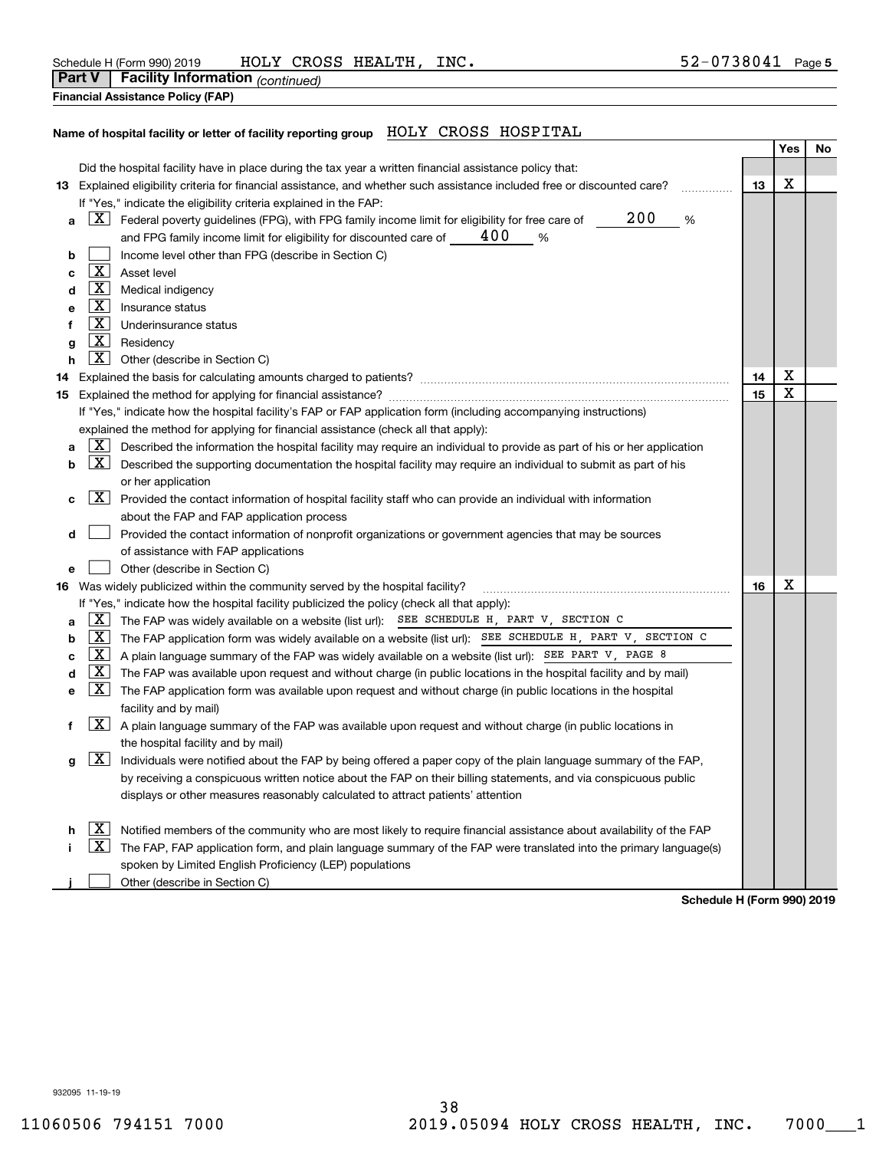| Schedule H (Form 990) 2019                  | <b>ROSS</b><br>HOLY<br>XZ.    | INC.<br><b>HEALTH</b> | 8041 | Page 5 |
|---------------------------------------------|-------------------------------|-----------------------|------|--------|
| <br><b>Part V</b><br><sup>⊏</sup> acılıtv ∶ | v Information:<br>(continued) |                       |      |        |

| <b>Financial Assistance Policy (FAP)</b> |  |
|------------------------------------------|--|
|                                          |  |

## **Name of hospital facility or letter of facility reporting group** HOLY CROSS HOSPITAL

|    |                     |                                                                                                                                               |    | Yes | No |
|----|---------------------|-----------------------------------------------------------------------------------------------------------------------------------------------|----|-----|----|
|    |                     | Did the hospital facility have in place during the tax year a written financial assistance policy that:                                       |    |     |    |
|    |                     | 13 Explained eligibility criteria for financial assistance, and whether such assistance included free or discounted care?                     | 13 | Χ   |    |
|    |                     | If "Yes," indicate the eligibility criteria explained in the FAP:                                                                             |    |     |    |
| a  |                     | 200<br>$\Delta$ Federal poverty guidelines (FPG), with FPG family income limit for eligibility for free care of $\overline{\phantom{a}}$<br>% |    |     |    |
|    |                     | and FPG family income limit for eligibility for discounted care of $\_\_$ 400<br>%                                                            |    |     |    |
| b  |                     | Income level other than FPG (describe in Section C)                                                                                           |    |     |    |
| c  | $\boxed{\text{X}}$  | Asset level                                                                                                                                   |    |     |    |
| d  |                     | <b>X</b> Medical indigency                                                                                                                    |    |     |    |
| е  | X                   | Insurance status                                                                                                                              |    |     |    |
| f  | $\mathbf{X}$        | Underinsurance status                                                                                                                         |    |     |    |
| g  | $\boxed{\text{X}}$  | Residency                                                                                                                                     |    |     |    |
| h  |                     | $\boxed{\mathbf{X}}$ Other (describe in Section C)                                                                                            |    |     |    |
| 14 |                     |                                                                                                                                               | 14 | Χ   |    |
|    |                     |                                                                                                                                               | 15 | X   |    |
|    |                     | If "Yes," indicate how the hospital facility's FAP or FAP application form (including accompanying instructions)                              |    |     |    |
|    |                     | explained the method for applying for financial assistance (check all that apply):                                                            |    |     |    |
| а  | X                   | Described the information the hospital facility may require an individual to provide as part of his or her application                        |    |     |    |
| b  | X                   | Described the supporting documentation the hospital facility may require an individual to submit as part of his                               |    |     |    |
|    |                     | or her application                                                                                                                            |    |     |    |
| с  | X                   | Provided the contact information of hospital facility staff who can provide an individual with information                                    |    |     |    |
|    |                     | about the FAP and FAP application process                                                                                                     |    |     |    |
| d  |                     | Provided the contact information of nonprofit organizations or government agencies that may be sources                                        |    |     |    |
|    |                     | of assistance with FAP applications                                                                                                           |    |     |    |
| е  |                     | Other (describe in Section C)                                                                                                                 |    |     |    |
|    |                     | 16 Was widely publicized within the community served by the hospital facility?                                                                | 16 | X   |    |
|    |                     | If "Yes," indicate how the hospital facility publicized the policy (check all that apply):                                                    |    |     |    |
| a  | $\lfloor x \rfloor$ | The FAP was widely available on a website (list url): SEE SCHEDULE H, PART V, SECTION C                                                       |    |     |    |
| b  | $\lfloor x \rfloor$ | The FAP application form was widely available on a website (list url): SEE SCHEDULE H, PART V, SECTION C                                      |    |     |    |
| c  | X                   | A plain language summary of the FAP was widely available on a website (list url): SEE PART V, PAGE 8                                          |    |     |    |
| d  | X                   | The FAP was available upon request and without charge (in public locations in the hospital facility and by mail)                              |    |     |    |
| е  |                     | $\boxed{\text{X}}$ The FAP application form was available upon request and without charge (in public locations in the hospital                |    |     |    |
|    |                     | facility and by mail)                                                                                                                         |    |     |    |
| f  |                     | $\boxed{\text{X}}$ A plain language summary of the FAP was available upon request and without charge (in public locations in                  |    |     |    |
|    |                     | the hospital facility and by mail)                                                                                                            |    |     |    |
| g  | X                   | Individuals were notified about the FAP by being offered a paper copy of the plain language summary of the FAP,                               |    |     |    |
|    |                     | by receiving a conspicuous written notice about the FAP on their billing statements, and via conspicuous public                               |    |     |    |
|    |                     | displays or other measures reasonably calculated to attract patients' attention                                                               |    |     |    |
|    |                     |                                                                                                                                               |    |     |    |
|    | ΧI                  | Notified members of the community who are most likely to require financial assistance about availability of the FAP                           |    |     |    |
|    | X                   | The FAP, FAP application form, and plain language summary of the FAP were translated into the primary language(s)                             |    |     |    |
|    |                     | spoken by Limited English Proficiency (LEP) populations                                                                                       |    |     |    |
|    |                     | Other (describe in Section C)                                                                                                                 |    |     |    |

**Schedule H (Form 990) 2019**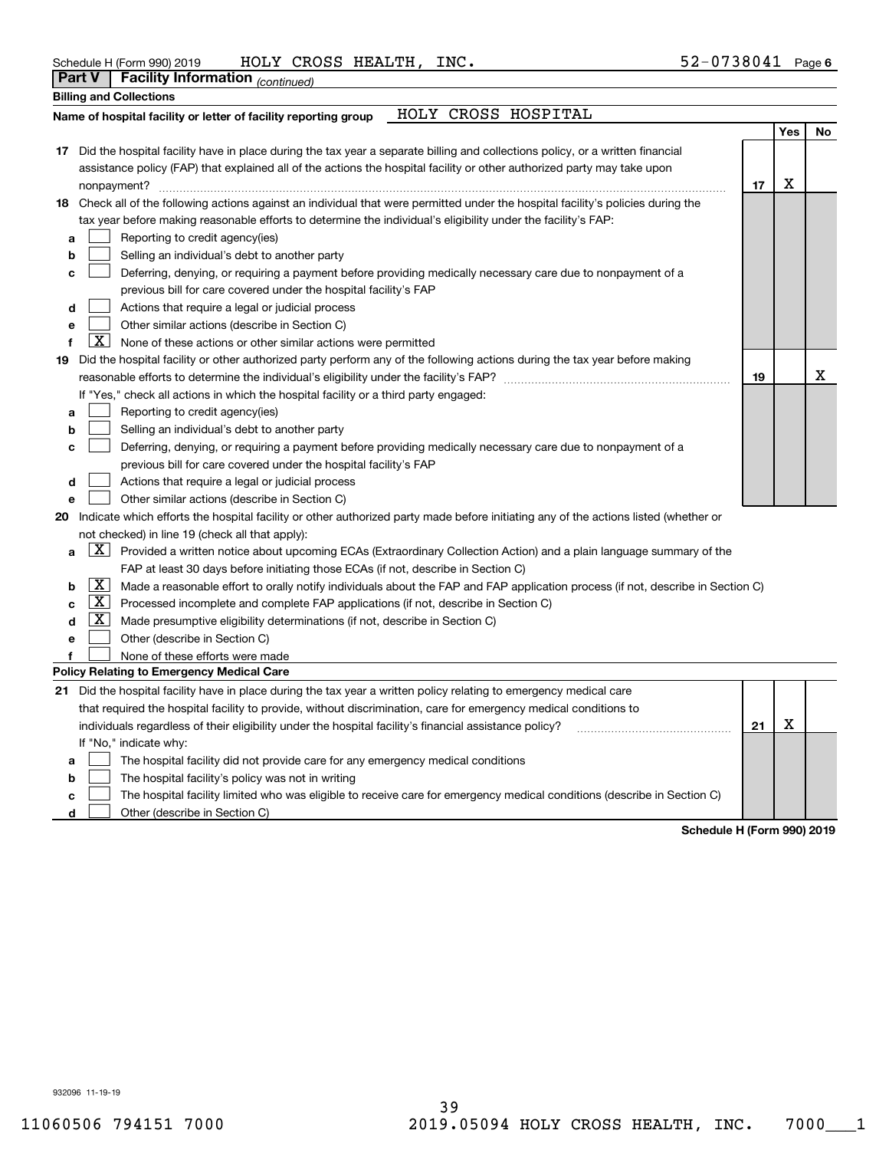| Schedule H (Form 990) 2019 |  |  | HOLY CROSS HEALTH, | INC. | 52-0738041 | Page 6 |
|----------------------------|--|--|--------------------|------|------------|--------|
|----------------------------|--|--|--------------------|------|------------|--------|

|    | Part V              | Facility Information (continued)                                                                                                    |    |     |    |
|----|---------------------|-------------------------------------------------------------------------------------------------------------------------------------|----|-----|----|
|    |                     | <b>Billing and Collections</b>                                                                                                      |    |     |    |
|    |                     | HOLY CROSS HOSPITAL<br>Name of hospital facility or letter of facility reporting group                                              |    |     |    |
|    |                     |                                                                                                                                     |    | Yes | No |
|    |                     | 17 Did the hospital facility have in place during the tax year a separate billing and collections policy, or a written financial    |    |     |    |
|    |                     | assistance policy (FAP) that explained all of the actions the hospital facility or other authorized party may take upon             |    |     |    |
|    |                     | nonpayment?                                                                                                                         | 17 | X   |    |
|    |                     | 18 Check all of the following actions against an individual that were permitted under the hospital facility's policies during the   |    |     |    |
|    |                     | tax year before making reasonable efforts to determine the individual's eligibility under the facility's FAP:                       |    |     |    |
| а  |                     | Reporting to credit agency(ies)                                                                                                     |    |     |    |
| b  |                     | Selling an individual's debt to another party                                                                                       |    |     |    |
| с  |                     | Deferring, denying, or requiring a payment before providing medically necessary care due to nonpayment of a                         |    |     |    |
|    |                     | previous bill for care covered under the hospital facility's FAP                                                                    |    |     |    |
| d  |                     | Actions that require a legal or judicial process                                                                                    |    |     |    |
| e  |                     | Other similar actions (describe in Section C)                                                                                       |    |     |    |
| f  | X                   | None of these actions or other similar actions were permitted                                                                       |    |     |    |
| 19 |                     | Did the hospital facility or other authorized party perform any of the following actions during the tax year before making          |    |     |    |
|    |                     |                                                                                                                                     | 19 |     | x  |
|    |                     | If "Yes," check all actions in which the hospital facility or a third party engaged:                                                |    |     |    |
| a  |                     | Reporting to credit agency(ies)                                                                                                     |    |     |    |
| b  |                     | Selling an individual's debt to another party                                                                                       |    |     |    |
| с  |                     | Deferring, denying, or requiring a payment before providing medically necessary care due to nonpayment of a                         |    |     |    |
|    |                     | previous bill for care covered under the hospital facility's FAP                                                                    |    |     |    |
| d  |                     | Actions that require a legal or judicial process                                                                                    |    |     |    |
| е  |                     | Other similar actions (describe in Section C)                                                                                       |    |     |    |
| 20 |                     | Indicate which efforts the hospital facility or other authorized party made before initiating any of the actions listed (whether or |    |     |    |
|    |                     | not checked) in line 19 (check all that apply):                                                                                     |    |     |    |
| a  |                     | $X$ Provided a written notice about upcoming ECAs (Extraordinary Collection Action) and a plain language summary of the             |    |     |    |
|    |                     | FAP at least 30 days before initiating those ECAs (if not, describe in Section C)                                                   |    |     |    |
| b  | X                   | Made a reasonable effort to orally notify individuals about the FAP and FAP application process (if not, describe in Section C)     |    |     |    |
| C  | $\lfloor x \rfloor$ | Processed incomplete and complete FAP applications (if not, describe in Section C)                                                  |    |     |    |
| d  | X                   | Made presumptive eligibility determinations (if not, describe in Section C)                                                         |    |     |    |
| е  |                     | Other (describe in Section C)                                                                                                       |    |     |    |
|    |                     | None of these efforts were made                                                                                                     |    |     |    |
|    |                     | Policy Relating to Emergency Medical Care                                                                                           |    |     |    |
|    |                     | 21 Did the hospital facility have in place during the tax year a written policy relating to emergency medical care                  |    |     |    |
|    |                     | that required the hospital facility to provide, without discrimination, care for emergency medical conditions to                    |    |     |    |
|    |                     | individuals regardless of their eligibility under the hospital facility's financial assistance policy?                              | 21 | X   |    |
|    |                     | If "No," indicate why:                                                                                                              |    |     |    |
| а  |                     | The hospital facility did not provide care for any emergency medical conditions                                                     |    |     |    |
| b  |                     | The hospital facility's policy was not in writing                                                                                   |    |     |    |
| C  |                     | The hospital facility limited who was eligible to receive care for emergency medical conditions (describe in Section C)             |    |     |    |

**d** Other (describe in Section C)

**Schedule H (Form 990) 2019**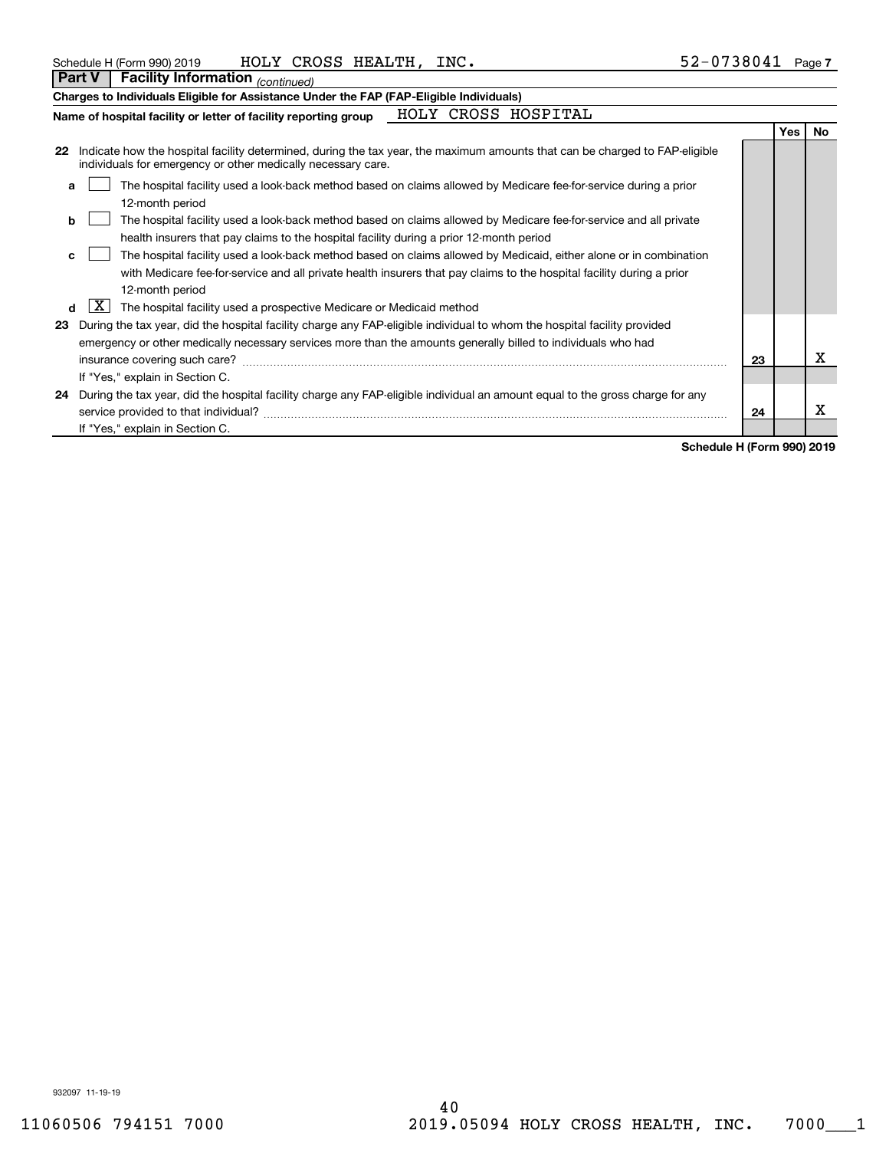| Schedule H (Form 990) 2019 |  | HOLY CROSS HEALTH, | INC. | 52-0738041 | Page 7 |
|----------------------------|--|--------------------|------|------------|--------|
|----------------------------|--|--------------------|------|------------|--------|

|    | Part V   Facility Information $_{(continued)}$                                                                                                                                              |                     |  |  |  |    |            |           |
|----|---------------------------------------------------------------------------------------------------------------------------------------------------------------------------------------------|---------------------|--|--|--|----|------------|-----------|
|    | Charges to Individuals Eligible for Assistance Under the FAP (FAP-Eligible Individuals)                                                                                                     |                     |  |  |  |    |            |           |
|    | Name of hospital facility or letter of facility reporting group                                                                                                                             | HOLY CROSS HOSPITAL |  |  |  |    |            |           |
|    |                                                                                                                                                                                             |                     |  |  |  |    | <b>Yes</b> | <b>No</b> |
| 22 | Indicate how the hospital facility determined, during the tax year, the maximum amounts that can be charged to FAP-eligible<br>individuals for emergency or other medically necessary care. |                     |  |  |  |    |            |           |
|    | The hospital facility used a look-back method based on claims allowed by Medicare fee-for-service during a prior<br>a                                                                       |                     |  |  |  |    |            |           |
|    | 12-month period                                                                                                                                                                             |                     |  |  |  |    |            |           |
|    | The hospital facility used a look-back method based on claims allowed by Medicare fee-for-service and all private<br>b                                                                      |                     |  |  |  |    |            |           |
|    | health insurers that pay claims to the hospital facility during a prior 12-month period                                                                                                     |                     |  |  |  |    |            |           |
|    | The hospital facility used a look-back method based on claims allowed by Medicaid, either alone or in combination<br>c                                                                      |                     |  |  |  |    |            |           |
|    | with Medicare fee-for-service and all private health insurers that pay claims to the hospital facility during a prior                                                                       |                     |  |  |  |    |            |           |
|    | 12-month period                                                                                                                                                                             |                     |  |  |  |    |            |           |
|    | X <br>The hospital facility used a prospective Medicare or Medicaid method<br>d                                                                                                             |                     |  |  |  |    |            |           |
| 23 | During the tax year, did the hospital facility charge any FAP-eligible individual to whom the hospital facility provided                                                                    |                     |  |  |  |    |            |           |
|    | emergency or other medically necessary services more than the amounts generally billed to individuals who had                                                                               |                     |  |  |  |    |            |           |
|    | insurance covering such care?                                                                                                                                                               |                     |  |  |  | 23 |            | x         |
|    | If "Yes," explain in Section C.                                                                                                                                                             |                     |  |  |  |    |            |           |
| 24 | During the tax year, did the hospital facility charge any FAP-eligible individual an amount equal to the gross charge for any                                                               |                     |  |  |  |    |            |           |
|    | service provided to that individual?                                                                                                                                                        |                     |  |  |  | 24 |            | х         |
|    | If "Yes," explain in Section C.                                                                                                                                                             |                     |  |  |  |    |            |           |

**Schedule H (Form 990) 2019**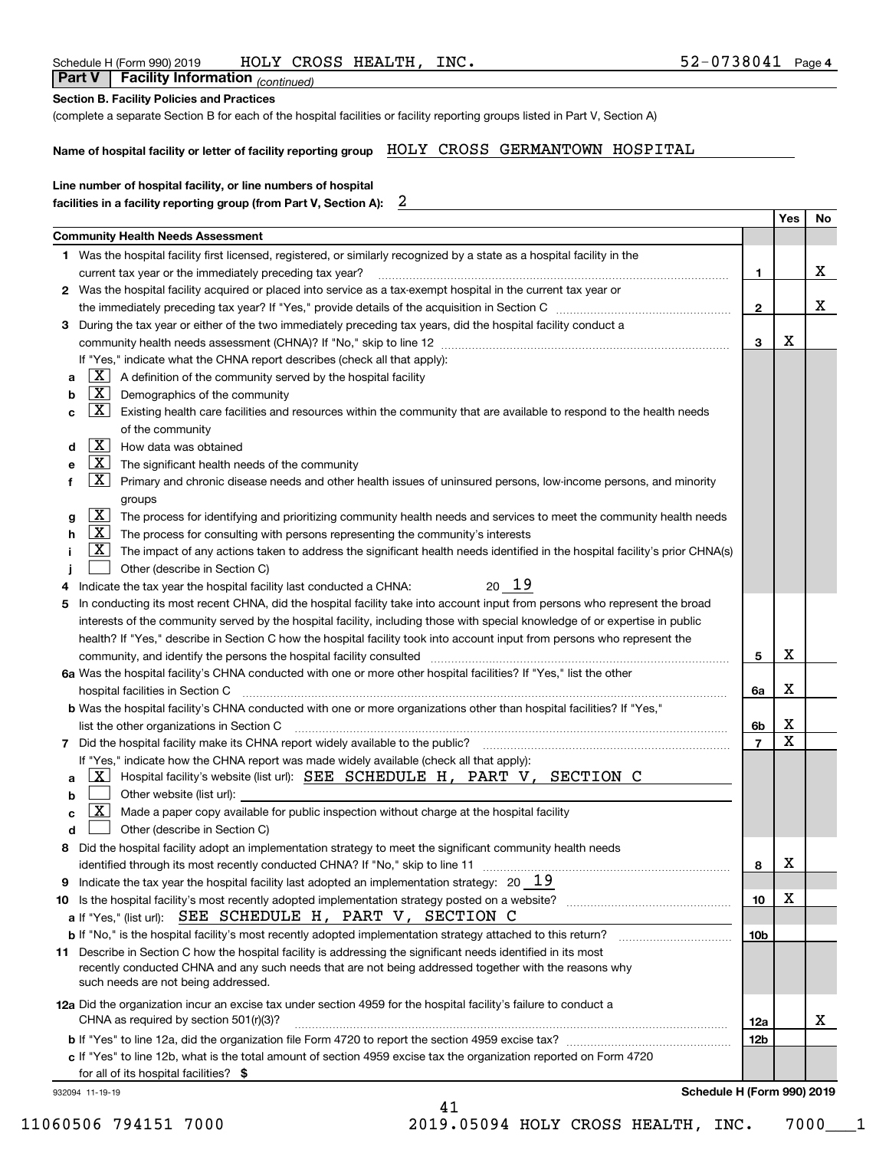| (complete a separate Section B for each of the hospital facilities or facility reporting groups listed in Part V, Section A)                                                                                                                    |             |    |
|-------------------------------------------------------------------------------------------------------------------------------------------------------------------------------------------------------------------------------------------------|-------------|----|
| Name of hospital facility or letter of facility reporting group HOLY CROSS GERMANTOWN HOSPITAL                                                                                                                                                  |             |    |
| Line number of hospital facility, or line numbers of hospital                                                                                                                                                                                   |             |    |
| $\mathbf{2}$<br>facilities in a facility reporting group (from Part V, Section A):                                                                                                                                                              |             |    |
|                                                                                                                                                                                                                                                 | Yes         | No |
| <b>Community Health Needs Assessment</b>                                                                                                                                                                                                        |             |    |
| 1 Was the hospital facility first licensed, registered, or similarly recognized by a state as a hospital facility in the                                                                                                                        |             | x  |
| 1<br>current tax year or the immediately preceding tax year?<br>2 Was the hospital facility acquired or placed into service as a tax-exempt hospital in the current tax year or                                                                 |             |    |
| $\overline{2}$                                                                                                                                                                                                                                  |             | х  |
| During the tax year or either of the two immediately preceding tax years, did the hospital facility conduct a<br>3                                                                                                                              |             |    |
| 3                                                                                                                                                                                                                                               | Х           |    |
| If "Yes," indicate what the CHNA report describes (check all that apply):                                                                                                                                                                       |             |    |
| $\lfloor x \rfloor$ A definition of the community served by the hospital facility<br>a                                                                                                                                                          |             |    |
| $\overline{\mathbf{X}}$ Demographics of the community                                                                                                                                                                                           |             |    |
| $\mathbf{X}$<br>Existing health care facilities and resources within the community that are available to respond to the health needs<br>с                                                                                                       |             |    |
| of the community                                                                                                                                                                                                                                |             |    |
| X  <br>How data was obtained<br>d                                                                                                                                                                                                               |             |    |
| $\mathbf{X}$<br>The significant health needs of the community                                                                                                                                                                                   |             |    |
| $\mathbf{X}$<br>Primary and chronic disease needs and other health issues of uninsured persons, low-income persons, and minority                                                                                                                |             |    |
| groups                                                                                                                                                                                                                                          |             |    |
| $X$ The process for identifying and prioritizing community health needs and services to meet the community health needs<br>g                                                                                                                    |             |    |
| $X$ The process for consulting with persons representing the community's interests<br><u>x  </u><br>The impact of any actions taken to address the significant health needs identified in the hospital facility's prior CHNA(s)                 |             |    |
| Other (describe in Section C)                                                                                                                                                                                                                   |             |    |
| 20 19<br>Indicate the tax year the hospital facility last conducted a CHNA:                                                                                                                                                                     |             |    |
| In conducting its most recent CHNA, did the hospital facility take into account input from persons who represent the broad<br>5                                                                                                                 |             |    |
| interests of the community served by the hospital facility, including those with special knowledge of or expertise in public                                                                                                                    |             |    |
| health? If "Yes," describe in Section C how the hospital facility took into account input from persons who represent the                                                                                                                        |             |    |
| 5<br>community, and identify the persons the hospital facility consulted [11] community and identify the persons the hospital facility consulted [11] community and identify the persons the hospital facility consulted [11] commu             | x           |    |
| 6a Was the hospital facility's CHNA conducted with one or more other hospital facilities? If "Yes," list the other                                                                                                                              |             |    |
| hospital facilities in Section C<br>6a                                                                                                                                                                                                          | х           |    |
| b Was the hospital facility's CHNA conducted with one or more organizations other than hospital facilities? If "Yes,"                                                                                                                           |             |    |
| list the other organizations in Section C<br>6b                                                                                                                                                                                                 | X           |    |
| $\overline{7}$<br>7 Did the hospital facility make its CHNA report widely available to the public? [11] manus and the hospital facility make its CHNA report widely available to the public? [11] manus and the hospital facility make its CHNA | $\mathbf X$ |    |
| If "Yes," indicate how the CHNA report was made widely available (check all that apply):                                                                                                                                                        |             |    |
| Hospital facility's website (list url): SEE SCHEDULE H, PART V, SECTION C<br>ΧI<br>a                                                                                                                                                            |             |    |
| Other website (list url):<br>b<br>Made a paper copy available for public inspection without charge at the hospital facility<br>$\mathbf{X}$                                                                                                     |             |    |
| c<br>Other (describe in Section C)<br>d                                                                                                                                                                                                         |             |    |
| Did the hospital facility adopt an implementation strategy to meet the significant community health needs<br>8                                                                                                                                  |             |    |
| identified through its most recently conducted CHNA? If "No," skip to line 11<br>8                                                                                                                                                              | х           |    |
| Indicate the tax year the hospital facility last adopted an implementation strategy: $20\quad 19$<br>9                                                                                                                                          |             |    |
| 10                                                                                                                                                                                                                                              | х           |    |
| a If "Yes," (list url): SEE SCHEDULE H, PART V, SECTION C                                                                                                                                                                                       |             |    |
| 10 <sub>b</sub><br><b>b</b> If "No," is the hospital facility's most recently adopted implementation strategy attached to this return?                                                                                                          |             |    |
| 11 Describe in Section C how the hospital facility is addressing the significant needs identified in its most                                                                                                                                   |             |    |
| recently conducted CHNA and any such needs that are not being addressed together with the reasons why                                                                                                                                           |             |    |
| such needs are not being addressed.                                                                                                                                                                                                             |             |    |
| 12a Did the organization incur an excise tax under section 4959 for the hospital facility's failure to conduct a<br>CHNA as required by section 501(r)(3)?<br>12a                                                                               |             | x. |
| 12b                                                                                                                                                                                                                                             |             |    |
| c If "Yes" to line 12b, what is the total amount of section 4959 excise tax the organization reported on Form 4720                                                                                                                              |             |    |
| for all of its hospital facilities? \$                                                                                                                                                                                                          |             |    |
|                                                                                                                                                                                                                                                 |             |    |

41

| Schedule H (Form 990) 2019 |  |  | HOLY CROSS HEALTH, | INC. | 2-0738041-2د | Page 4 |
|----------------------------|--|--|--------------------|------|--------------|--------|
|----------------------------|--|--|--------------------|------|--------------|--------|

**Section B. Facility Policies and Practices**

 *(continued)* **Part V Facility Information**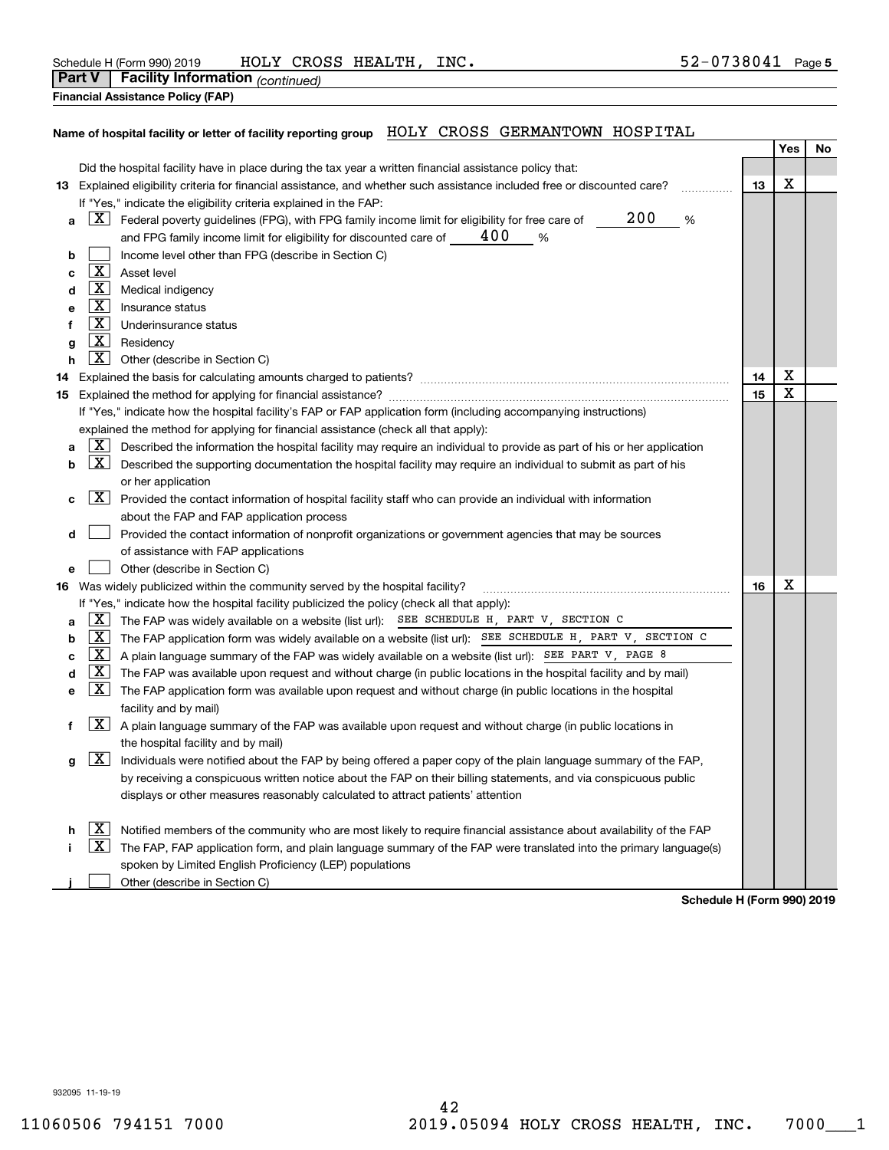|               | Schedule H (Form 990) 2019       | HOLY | CROSS | HEALTH | INC. | 0738041 | Page 5 |
|---------------|----------------------------------|------|-------|--------|------|---------|--------|
| <b>Part V</b> | Facility Information (continued) |      |       |        |      |         |        |

| Financial Acciotonse Delieu (EAD) |
|-----------------------------------|

## **Financial Assistance Policy (FAP)**

# **Name of hospital facility or letter of facility reporting group** HOLY CROSS GERMANTOWN HOSPITAL

|    |                                                                                                                           |                                                                                                                        |    | Yes         | No |  |  |  |  |  |  |
|----|---------------------------------------------------------------------------------------------------------------------------|------------------------------------------------------------------------------------------------------------------------|----|-------------|----|--|--|--|--|--|--|
|    |                                                                                                                           | Did the hospital facility have in place during the tax year a written financial assistance policy that:                |    |             |    |  |  |  |  |  |  |
|    | 13 Explained eligibility criteria for financial assistance, and whether such assistance included free or discounted care? |                                                                                                                        |    |             |    |  |  |  |  |  |  |
|    |                                                                                                                           | If "Yes," indicate the eligibility criteria explained in the FAP:                                                      |    |             |    |  |  |  |  |  |  |
| a  |                                                                                                                           | 200<br>$X$ Federal poverty guidelines (FPG), with FPG family income limit for eligibility for free care of<br>%        |    |             |    |  |  |  |  |  |  |
|    |                                                                                                                           | 400<br>and FPG family income limit for eligibility for discounted care of ____<br>%                                    |    |             |    |  |  |  |  |  |  |
| b  |                                                                                                                           | Income level other than FPG (describe in Section C)                                                                    |    |             |    |  |  |  |  |  |  |
| с  | $\mathbf{X}$                                                                                                              | Asset level                                                                                                            |    |             |    |  |  |  |  |  |  |
| d  | $\lfloor x \rfloor$                                                                                                       | Medical indigency                                                                                                      |    |             |    |  |  |  |  |  |  |
| е  | $\boxed{\text{X}}$                                                                                                        | Insurance status                                                                                                       |    |             |    |  |  |  |  |  |  |
| f  | $\mathbf{X}$                                                                                                              | Underinsurance status                                                                                                  |    |             |    |  |  |  |  |  |  |
| g  | X                                                                                                                         | Residency                                                                                                              |    |             |    |  |  |  |  |  |  |
| h  | X                                                                                                                         | Other (describe in Section C)                                                                                          |    |             |    |  |  |  |  |  |  |
| 14 |                                                                                                                           |                                                                                                                        | 14 | х           |    |  |  |  |  |  |  |
|    |                                                                                                                           |                                                                                                                        | 15 | $\mathbf X$ |    |  |  |  |  |  |  |
|    |                                                                                                                           | If "Yes," indicate how the hospital facility's FAP or FAP application form (including accompanying instructions)       |    |             |    |  |  |  |  |  |  |
|    |                                                                                                                           | explained the method for applying for financial assistance (check all that apply):                                     |    |             |    |  |  |  |  |  |  |
| а  | X                                                                                                                         | Described the information the hospital facility may require an individual to provide as part of his or her application |    |             |    |  |  |  |  |  |  |
| b  | $\mathbf{X}$                                                                                                              | Described the supporting documentation the hospital facility may require an individual to submit as part of his        |    |             |    |  |  |  |  |  |  |
|    |                                                                                                                           | or her application                                                                                                     |    |             |    |  |  |  |  |  |  |
| с  | X                                                                                                                         | Provided the contact information of hospital facility staff who can provide an individual with information             |    |             |    |  |  |  |  |  |  |
|    |                                                                                                                           | about the FAP and FAP application process                                                                              |    |             |    |  |  |  |  |  |  |
| d  |                                                                                                                           | Provided the contact information of nonprofit organizations or government agencies that may be sources                 |    |             |    |  |  |  |  |  |  |
|    |                                                                                                                           | of assistance with FAP applications                                                                                    |    |             |    |  |  |  |  |  |  |
| е  |                                                                                                                           | Other (describe in Section C)                                                                                          |    |             |    |  |  |  |  |  |  |
|    |                                                                                                                           | 16 Was widely publicized within the community served by the hospital facility?                                         | 16 | х           |    |  |  |  |  |  |  |
|    |                                                                                                                           | If "Yes," indicate how the hospital facility publicized the policy (check all that apply):                             |    |             |    |  |  |  |  |  |  |
| а  | $\mathbf{X}$                                                                                                              | The FAP was widely available on a website (list url): SEE SCHEDULE H, PART V, SECTION C                                |    |             |    |  |  |  |  |  |  |
| b  | X                                                                                                                         | The FAP application form was widely available on a website (list url): SEE SCHEDULE H, PART V, SECTION C               |    |             |    |  |  |  |  |  |  |
| c  | X                                                                                                                         | A plain language summary of the FAP was widely available on a website (list url): SEE PART V, PAGE 8                   |    |             |    |  |  |  |  |  |  |
| d  | X                                                                                                                         | The FAP was available upon request and without charge (in public locations in the hospital facility and by mail)       |    |             |    |  |  |  |  |  |  |
| е  | X                                                                                                                         | The FAP application form was available upon request and without charge (in public locations in the hospital            |    |             |    |  |  |  |  |  |  |
|    |                                                                                                                           | facility and by mail)                                                                                                  |    |             |    |  |  |  |  |  |  |
| f  |                                                                                                                           | $X$ A plain language summary of the FAP was available upon request and without charge (in public locations in          |    |             |    |  |  |  |  |  |  |
|    |                                                                                                                           | the hospital facility and by mail)                                                                                     |    |             |    |  |  |  |  |  |  |
| g  | X                                                                                                                         | Individuals were notified about the FAP by being offered a paper copy of the plain language summary of the FAP,        |    |             |    |  |  |  |  |  |  |
|    |                                                                                                                           | by receiving a conspicuous written notice about the FAP on their billing statements, and via conspicuous public        |    |             |    |  |  |  |  |  |  |
|    |                                                                                                                           | displays or other measures reasonably calculated to attract patients' attention                                        |    |             |    |  |  |  |  |  |  |
|    |                                                                                                                           |                                                                                                                        |    |             |    |  |  |  |  |  |  |
|    | X                                                                                                                         | Notified members of the community who are most likely to require financial assistance about availability of the FAP    |    |             |    |  |  |  |  |  |  |
|    | X                                                                                                                         | The FAP, FAP application form, and plain language summary of the FAP were translated into the primary language(s)      |    |             |    |  |  |  |  |  |  |
|    |                                                                                                                           | spoken by Limited English Proficiency (LEP) populations                                                                |    |             |    |  |  |  |  |  |  |
|    |                                                                                                                           | Other (describe in Section C)                                                                                          |    |             |    |  |  |  |  |  |  |

**Schedule H (Form 990) 2019**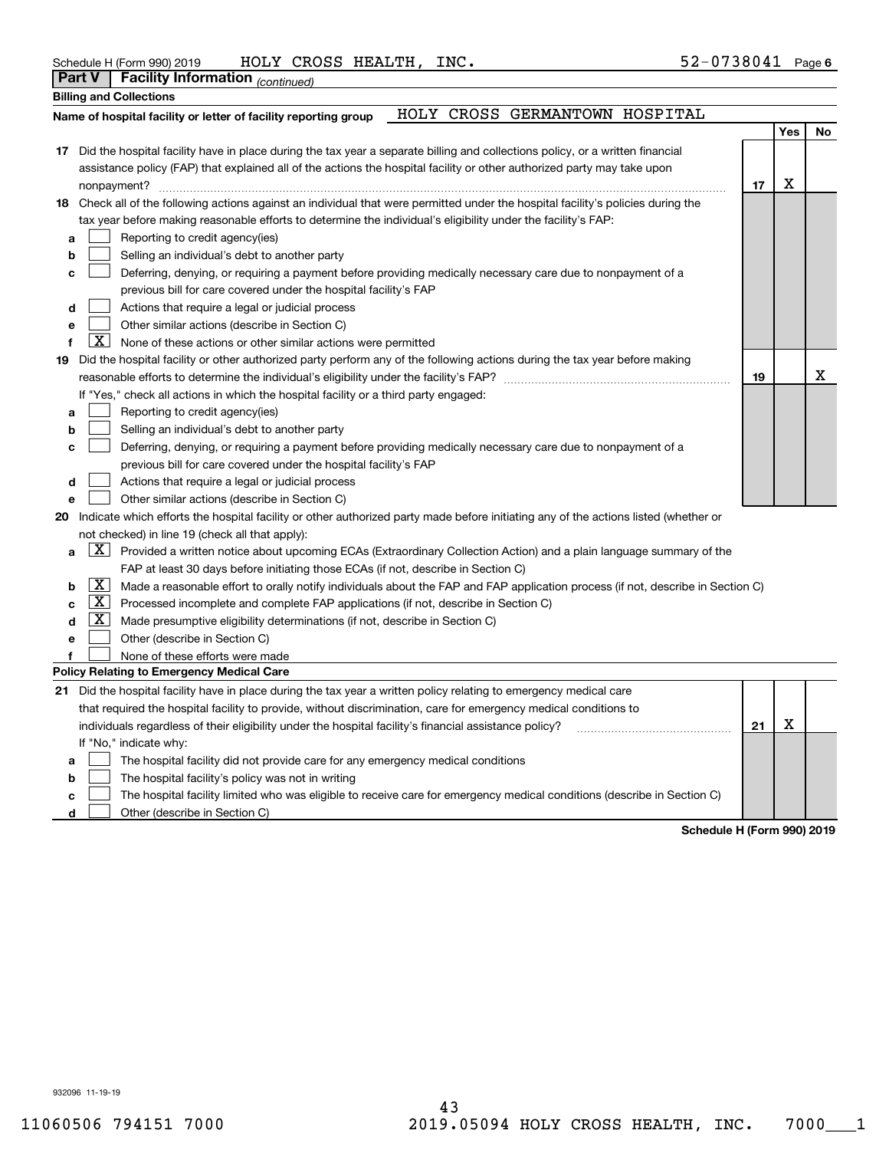| Schedule H (Form 990) 2019 | HOLY CROSS HEALTH, INC. |  |  | $52 - 0738041$ Page |
|----------------------------|-------------------------|--|--|---------------------|
|----------------------------|-------------------------|--|--|---------------------|

**Part V Facility Information**

|    | Parl V                                                                                                                  | racinty information (continued)                                                                                                     |    |     |    |  |  |  |  |  |
|----|-------------------------------------------------------------------------------------------------------------------------|-------------------------------------------------------------------------------------------------------------------------------------|----|-----|----|--|--|--|--|--|
|    |                                                                                                                         | <b>Billing and Collections</b>                                                                                                      |    |     |    |  |  |  |  |  |
|    | HOLY CROSS GERMANTOWN HOSPITAL<br>Name of hospital facility or letter of facility reporting group                       |                                                                                                                                     |    |     |    |  |  |  |  |  |
|    |                                                                                                                         |                                                                                                                                     |    | Yes | No |  |  |  |  |  |
|    |                                                                                                                         | 17 Did the hospital facility have in place during the tax year a separate billing and collections policy, or a written financial    |    |     |    |  |  |  |  |  |
|    | assistance policy (FAP) that explained all of the actions the hospital facility or other authorized party may take upon |                                                                                                                                     |    |     |    |  |  |  |  |  |
|    |                                                                                                                         |                                                                                                                                     | 17 | х   |    |  |  |  |  |  |
|    |                                                                                                                         | 18 Check all of the following actions against an individual that were permitted under the hospital facility's policies during the   |    |     |    |  |  |  |  |  |
|    |                                                                                                                         | tax year before making reasonable efforts to determine the individual's eligibility under the facility's FAP:                       |    |     |    |  |  |  |  |  |
| а  |                                                                                                                         | Reporting to credit agency(ies)                                                                                                     |    |     |    |  |  |  |  |  |
| b  |                                                                                                                         | Selling an individual's debt to another party                                                                                       |    |     |    |  |  |  |  |  |
| c  |                                                                                                                         | Deferring, denying, or requiring a payment before providing medically necessary care due to nonpayment of a                         |    |     |    |  |  |  |  |  |
|    |                                                                                                                         | previous bill for care covered under the hospital facility's FAP                                                                    |    |     |    |  |  |  |  |  |
| d  |                                                                                                                         | Actions that require a legal or judicial process                                                                                    |    |     |    |  |  |  |  |  |
| e  |                                                                                                                         | Other similar actions (describe in Section C)                                                                                       |    |     |    |  |  |  |  |  |
|    | X                                                                                                                       | None of these actions or other similar actions were permitted                                                                       |    |     |    |  |  |  |  |  |
| 19 |                                                                                                                         | Did the hospital facility or other authorized party perform any of the following actions during the tax year before making          |    |     |    |  |  |  |  |  |
|    |                                                                                                                         | reasonable efforts to determine the individual's eligibility under the facility's FAP? [[[[[[[[[[[[[[[[[[[[[[                       | 19 |     | X  |  |  |  |  |  |
|    |                                                                                                                         | If "Yes," check all actions in which the hospital facility or a third party engaged:                                                |    |     |    |  |  |  |  |  |
| а  |                                                                                                                         | Reporting to credit agency(ies)                                                                                                     |    |     |    |  |  |  |  |  |
|    |                                                                                                                         | Selling an individual's debt to another party                                                                                       |    |     |    |  |  |  |  |  |
| c  |                                                                                                                         | Deferring, denying, or requiring a payment before providing medically necessary care due to nonpayment of a                         |    |     |    |  |  |  |  |  |
|    |                                                                                                                         | previous bill for care covered under the hospital facility's FAP                                                                    |    |     |    |  |  |  |  |  |
| d  |                                                                                                                         | Actions that require a legal or judicial process                                                                                    |    |     |    |  |  |  |  |  |
| е  |                                                                                                                         | Other similar actions (describe in Section C)                                                                                       |    |     |    |  |  |  |  |  |
| 20 |                                                                                                                         | Indicate which efforts the hospital facility or other authorized party made before initiating any of the actions listed (whether or |    |     |    |  |  |  |  |  |
|    |                                                                                                                         | not checked) in line 19 (check all that apply):                                                                                     |    |     |    |  |  |  |  |  |
| a  |                                                                                                                         | $\boxed{X}$ Provided a written notice about upcoming ECAs (Extraordinary Collection Action) and a plain language summary of the     |    |     |    |  |  |  |  |  |
|    |                                                                                                                         | FAP at least 30 days before initiating those ECAs (if not, describe in Section C)                                                   |    |     |    |  |  |  |  |  |
| b  | $\boxed{\text{X}}$                                                                                                      | Made a reasonable effort to orally notify individuals about the FAP and FAP application process (if not, describe in Section C)     |    |     |    |  |  |  |  |  |
| c  | $\lfloor x \rfloor$                                                                                                     | Processed incomplete and complete FAP applications (if not, describe in Section C)                                                  |    |     |    |  |  |  |  |  |
| d  | $\vert X \vert$                                                                                                         | Made presumptive eligibility determinations (if not, describe in Section C)                                                         |    |     |    |  |  |  |  |  |
| е  |                                                                                                                         | Other (describe in Section C)                                                                                                       |    |     |    |  |  |  |  |  |
|    |                                                                                                                         | None of these efforts were made                                                                                                     |    |     |    |  |  |  |  |  |
|    |                                                                                                                         | Policy Relating to Emergency Medical Care                                                                                           |    |     |    |  |  |  |  |  |
|    |                                                                                                                         | 21 Did the hospital facility have in place during the tax year a written policy relating to emergency medical care                  |    |     |    |  |  |  |  |  |
|    |                                                                                                                         | that required the hospital facility to provide, without discrimination, care for emergency medical conditions to                    |    |     |    |  |  |  |  |  |
|    |                                                                                                                         | individuals regardless of their eligibility under the hospital facility's financial assistance policy?                              | 21 | X   |    |  |  |  |  |  |
|    |                                                                                                                         | If "No," indicate why:                                                                                                              |    |     |    |  |  |  |  |  |
| а  |                                                                                                                         | The hospital facility did not provide care for any emergency medical conditions                                                     |    |     |    |  |  |  |  |  |
| b  |                                                                                                                         | The hospital facility's policy was not in writing                                                                                   |    |     |    |  |  |  |  |  |
| c  |                                                                                                                         | The hospital facility limited who was eligible to receive care for emergency medical conditions (describe in Section C)             |    |     |    |  |  |  |  |  |

**d**Other (describe in Section C)  $\mathcal{L}^{\text{max}}$ 

**Schedule H (Form 990) 2019**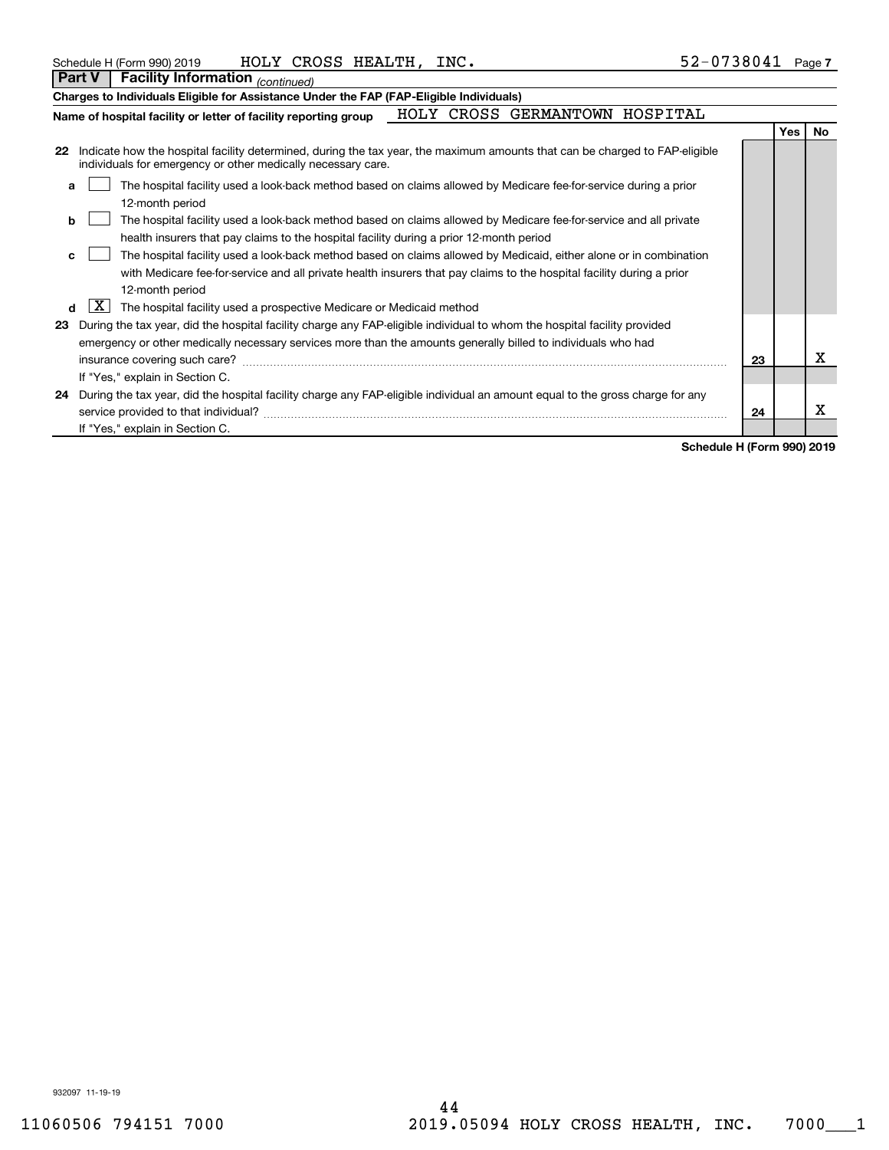|    | <b>Part V</b>                                                                                                                                                                                                     | <b>Facility Information</b> (continued)                                                                                                                                                     |  |  |  |  |  |  |     |     |
|----|-------------------------------------------------------------------------------------------------------------------------------------------------------------------------------------------------------------------|---------------------------------------------------------------------------------------------------------------------------------------------------------------------------------------------|--|--|--|--|--|--|-----|-----|
|    |                                                                                                                                                                                                                   | Charges to Individuals Eligible for Assistance Under the FAP (FAP-Eligible Individuals)                                                                                                     |  |  |  |  |  |  |     |     |
|    | HOLY CROSS GERMANTOWN HOSPITAL<br>Name of hospital facility or letter of facility reporting group                                                                                                                 |                                                                                                                                                                                             |  |  |  |  |  |  |     |     |
|    |                                                                                                                                                                                                                   |                                                                                                                                                                                             |  |  |  |  |  |  | Yes | No. |
| 22 |                                                                                                                                                                                                                   | Indicate how the hospital facility determined, during the tax year, the maximum amounts that can be charged to FAP-eligible<br>individuals for emergency or other medically necessary care. |  |  |  |  |  |  |     |     |
| a  | The hospital facility used a look-back method based on claims allowed by Medicare fee-for-service during a prior<br>12-month period                                                                               |                                                                                                                                                                                             |  |  |  |  |  |  |     |     |
|    | The hospital facility used a look-back method based on claims allowed by Medicare fee-for-service and all private<br>b<br>health insurers that pay claims to the hospital facility during a prior 12-month period |                                                                                                                                                                                             |  |  |  |  |  |  |     |     |
| c  |                                                                                                                                                                                                                   | The hospital facility used a look-back method based on claims allowed by Medicaid, either alone or in combination                                                                           |  |  |  |  |  |  |     |     |
|    |                                                                                                                                                                                                                   | with Medicare fee-for-service and all private health insurers that pay claims to the hospital facility during a prior<br>12-month period                                                    |  |  |  |  |  |  |     |     |
| d  | X                                                                                                                                                                                                                 | The hospital facility used a prospective Medicare or Medicaid method                                                                                                                        |  |  |  |  |  |  |     |     |
| 23 |                                                                                                                                                                                                                   | During the tax year, did the hospital facility charge any FAP-eligible individual to whom the hospital facility provided                                                                    |  |  |  |  |  |  |     |     |
|    |                                                                                                                                                                                                                   | emergency or other medically necessary services more than the amounts generally billed to individuals who had                                                                               |  |  |  |  |  |  |     |     |
|    | х<br>insurance covering such care?<br>23                                                                                                                                                                          |                                                                                                                                                                                             |  |  |  |  |  |  |     |     |
|    |                                                                                                                                                                                                                   | If "Yes," explain in Section C.                                                                                                                                                             |  |  |  |  |  |  |     |     |
|    | 24 During the tax year, did the hospital facility charge any FAP-eligible individual an amount equal to the gross charge for any<br>x<br>service provided to that individual?<br>24                               |                                                                                                                                                                                             |  |  |  |  |  |  |     |     |
|    |                                                                                                                                                                                                                   | If "Yes," explain in Section C.                                                                                                                                                             |  |  |  |  |  |  |     |     |

**Schedule H (Form 990) 2019**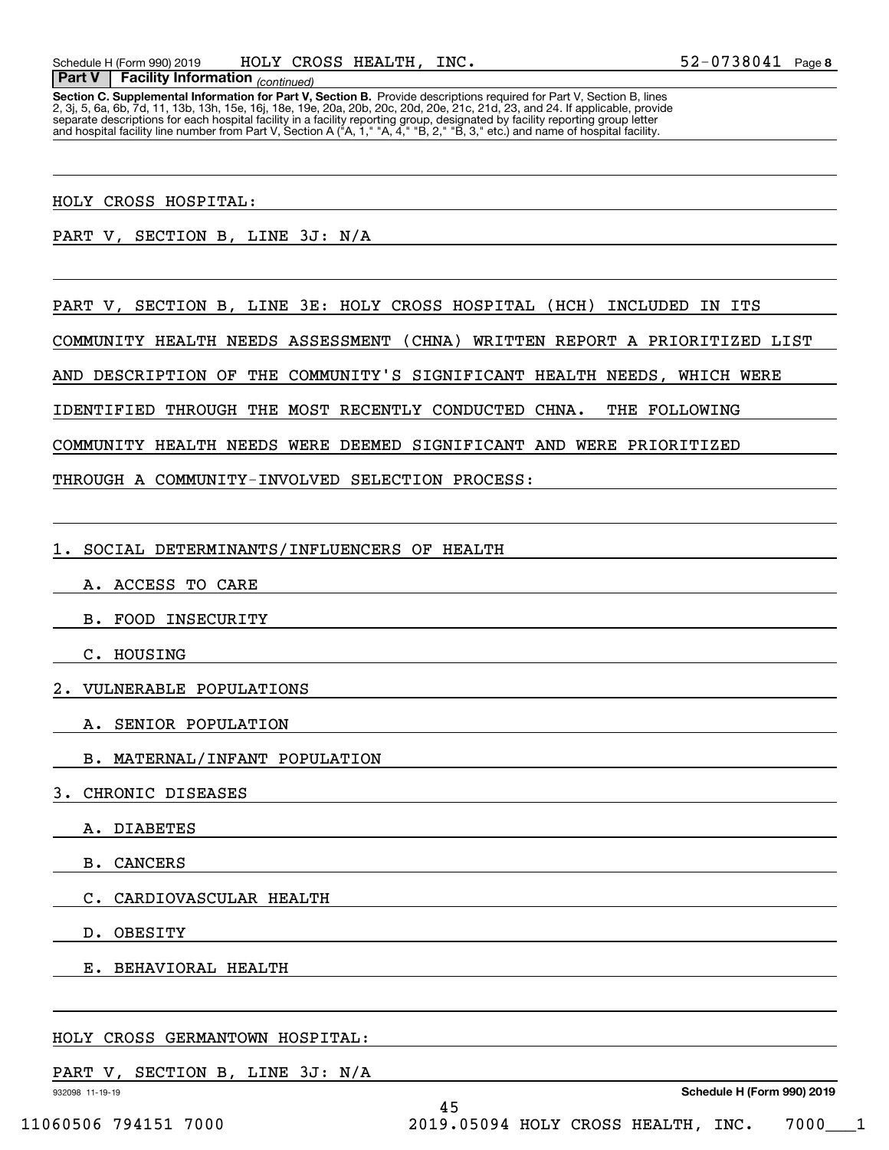**Section C. Supplemental Information for Part V, Section B.** Provide descriptions required for Part V, Section B, lines<br>2, 3j, 5, 6a, 6b, 7d, 11, 13b, 13h, 15e, 16j, 18e, 19e, 20a, 20b, 20c, 20d, 20e, 21c, 21d, 23, and 24. separate descriptions for each hospital facility in a facility reporting group, designated by facility reporting group letter<br>and hospital facility line number from Part V, Section A ("A, 1," "A, 4," "B, 2," "B, 3," etc.)

### HOLY CROSS HOSPITAL:

 *(continued)* **Part V Facility Information**

PART V, SECTION B, LINE 3J: N/A

PART V, SECTION B, LINE 3E: HOLY CROSS HOSPITAL (HCH) INCLUDED IN ITS

COMMUNITY HEALTH NEEDS ASSESSMENT (CHNA) WRITTEN REPORT A PRIORITIZED LIST

AND DESCRIPTION OF THE COMMUNITY'S SIGNIFICANT HEALTH NEEDS, WHICH WERE

IDENTIFIED THROUGH THE MOST RECENTLY CONDUCTED CHNA. THE FOLLOWING

COMMUNITY HEALTH NEEDS WERE DEEMED SIGNIFICANT AND WERE PRIORITIZED

THROUGH A COMMUNITY-INVOLVED SELECTION PROCESS:

1. SOCIAL DETERMINANTS/INFLUENCERS OF HEALTH

- A. ACCESS TO CARE
- B. FOOD INSECURITY

C. HOUSING

2. VULNERABLE POPULATIONS

A. SENIOR POPULATION

B. MATERNAL/INFANT POPULATION

3. CHRONIC DISEASES

A. DIABETES

B. CANCERS

C. CARDIOVASCULAR HEALTH

D. OBESITY

E. BEHAVIORAL HEALTH

# HOLY CROSS GERMANTOWN HOSPITAL:

# PART V, SECTION B, LINE 3J: N/A

932098 11-19-19

**Schedule H (Form 990) 2019**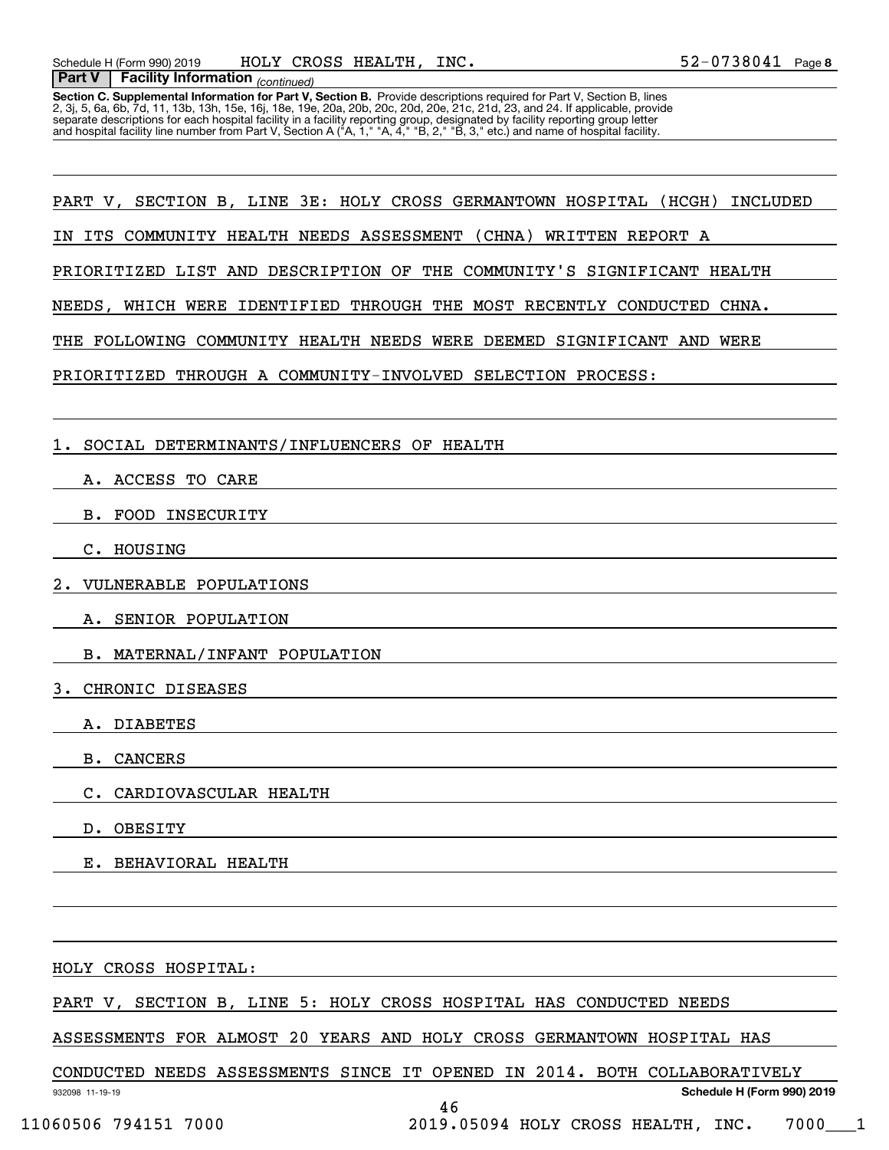**Section C. Supplemental Information for Part V, Section B.** Provide descriptions required for Part V, Section B, lines<br>2, 3j, 5, 6a, 6b, 7d, 11, 13b, 13h, 15e, 16j, 18e, 19e, 20a, 20b, 20c, 20d, 20e, 21c, 21d, 23, and 24. separate descriptions for each hospital facility in a facility reporting group, designated by facility reporting group letter<br>and hospital facility line number from Part V, Section A ("A, 1," "A, 4," "B, 2," "B, 3," etc.)

PART V, SECTION B, LINE 3E: HOLY CROSS GERMANTOWN HOSPITAL (HCGH) INCLUDED

IN ITS COMMUNITY HEALTH NEEDS ASSESSMENT (CHNA) WRITTEN REPORT A

PRIORITIZED LIST AND DESCRIPTION OF THE COMMUNITY'S SIGNIFICANT HEALTH

NEEDS, WHICH WERE IDENTIFIED THROUGH THE MOST RECENTLY CONDUCTED CHNA.

THE FOLLOWING COMMUNITY HEALTH NEEDS WERE DEEMED SIGNIFICANT AND WERE

PRIORITIZED THROUGH A COMMUNITY-INVOLVED SELECTION PROCESS:

1. SOCIAL DETERMINANTS/INFLUENCERS OF HEALTH

A. ACCESS TO CARE

B. FOOD INSECURITY

C. HOUSING

2. VULNERABLE POPULATIONS

A. SENIOR POPULATION

B. MATERNAL/INFANT POPULATION

3. CHRONIC DISEASES

A. DIABETES

B. CANCERS

C. CARDIOVASCULAR HEALTH

D. OBESITY

E. BEHAVIORAL HEALTH

HOLY CROSS HOSPITAL:

PART V, SECTION B, LINE 5: HOLY CROSS HOSPITAL HAS CONDUCTED NEEDS

ASSESSMENTS FOR ALMOST 20 YEARS AND HOLY CROSS GERMANTOWN HOSPITAL HAS

CONDUCTED NEEDS ASSESSMENTS SINCE IT OPENED IN 2014. BOTH COLLABORATIVELY

**Schedule H (Form 990) 2019**

932098 11-19-19

46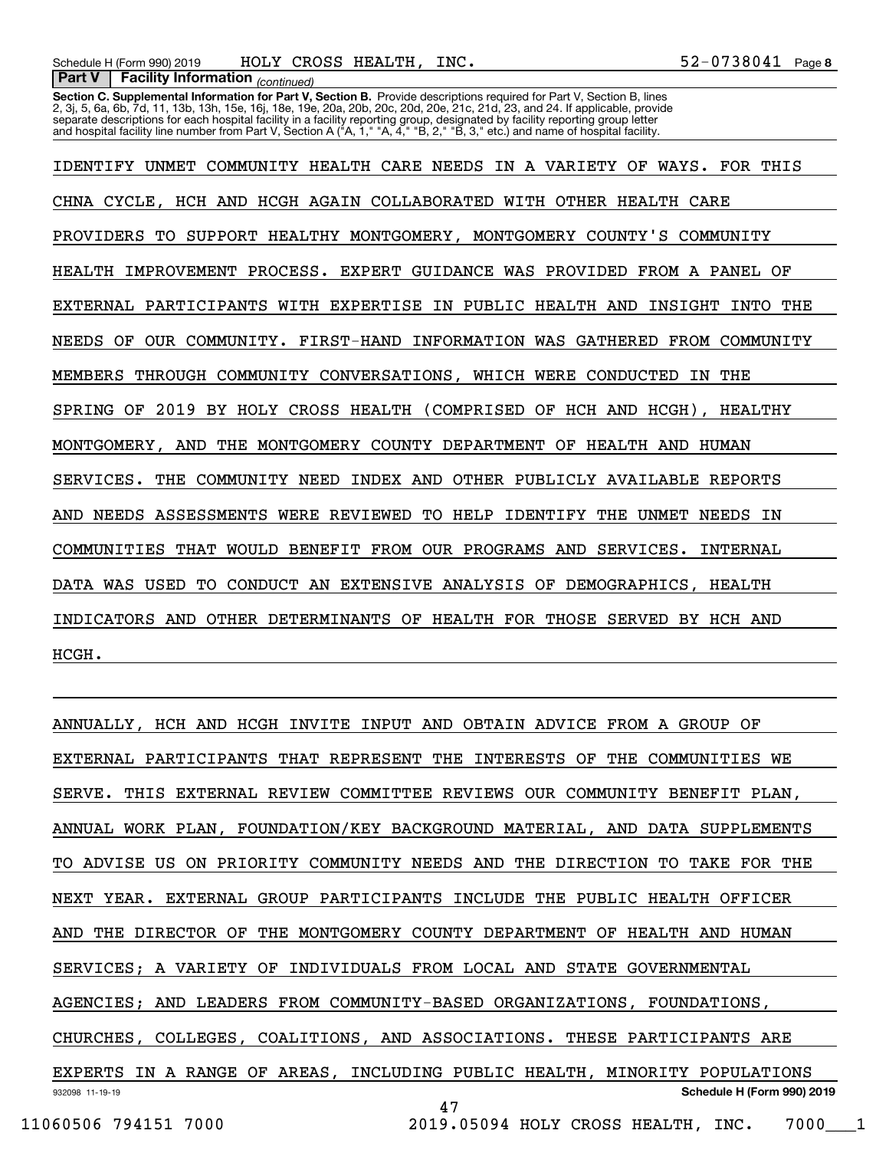**Section C. Supplemental Information for Part V, Section B.** Provide descriptions required for Part V, Section B, lines<br>2, 3j, 5, 6a, 6b, 7d, 11, 13b, 13h, 15e, 16j, 18e, 19e, 20a, 20b, 20c, 20d, 20e, 21c, 21d, 23, and 24. separate descriptions for each hospital facility in a facility reporting group, designated by facility reporting group letter<br>and hospital facility line number from Part V, Section A ("A, 1," "A, 4," "B, 2," "B, 3," etc.)

IDENTIFY UNMET COMMUNITY HEALTH CARE NEEDS IN A VARIETY OF WAYS. FOR THIS CHNA CYCLE, HCH AND HCGH AGAIN COLLABORATED WITH OTHER HEALTH CARE PROVIDERS TO SUPPORT HEALTHY MONTGOMERY, MONTGOMERY COUNTY'S COMMUNITY HEALTH IMPROVEMENT PROCESS. EXPERT GUIDANCE WAS PROVIDED FROM A PANEL OF EXTERNAL PARTICIPANTS WITH EXPERTISE IN PUBLIC HEALTH AND INSIGHT INTO THE NEEDS OF OUR COMMUNITY. FIRST-HAND INFORMATION WAS GATHERED FROM COMMUNITY MEMBERS THROUGH COMMUNITY CONVERSATIONS, WHICH WERE CONDUCTED IN THE SPRING OF 2019 BY HOLY CROSS HEALTH (COMPRISED OF HCH AND HCGH), HEALTHY MONTGOMERY, AND THE MONTGOMERY COUNTY DEPARTMENT OF HEALTH AND HUMAN SERVICES. THE COMMUNITY NEED INDEX AND OTHER PUBLICLY AVAILABLE REPORTS AND NEEDS ASSESSMENTS WERE REVIEWED TO HELP IDENTIFY THE UNMET NEEDS IN COMMUNITIES THAT WOULD BENEFIT FROM OUR PROGRAMS AND SERVICES. INTERNAL DATA WAS USED TO CONDUCT AN EXTENSIVE ANALYSIS OF DEMOGRAPHICS, HEALTH INDICATORS AND OTHER DETERMINANTS OF HEALTH FOR THOSE SERVED BY HCH AND HCGH.

932098 11-19-19 **Schedule H (Form 990) 2019** ANNUALLY, HCH AND HCGH INVITE INPUT AND OBTAIN ADVICE FROM A GROUP OF EXTERNAL PARTICIPANTS THAT REPRESENT THE INTERESTS OF THE COMMUNITIES WE SERVE. THIS EXTERNAL REVIEW COMMITTEE REVIEWS OUR COMMUNITY BENEFIT PLAN, ANNUAL WORK PLAN, FOUNDATION/KEY BACKGROUND MATERIAL, AND DATA SUPPLEMENTS TO ADVISE US ON PRIORITY COMMUNITY NEEDS AND THE DIRECTION TO TAKE FOR THE NEXT YEAR. EXTERNAL GROUP PARTICIPANTS INCLUDE THE PUBLIC HEALTH OFFICER AND THE DIRECTOR OF THE MONTGOMERY COUNTY DEPARTMENT OF HEALTH AND HUMAN SERVICES; A VARIETY OF INDIVIDUALS FROM LOCAL AND STATE GOVERNMENTAL AGENCIES; AND LEADERS FROM COMMUNITY-BASED ORGANIZATIONS, FOUNDATIONS, CHURCHES, COLLEGES, COALITIONS, AND ASSOCIATIONS. THESE PARTICIPANTS ARE EXPERTS IN A RANGE OF AREAS, INCLUDING PUBLIC HEALTH, MINORITY POPULATIONS 47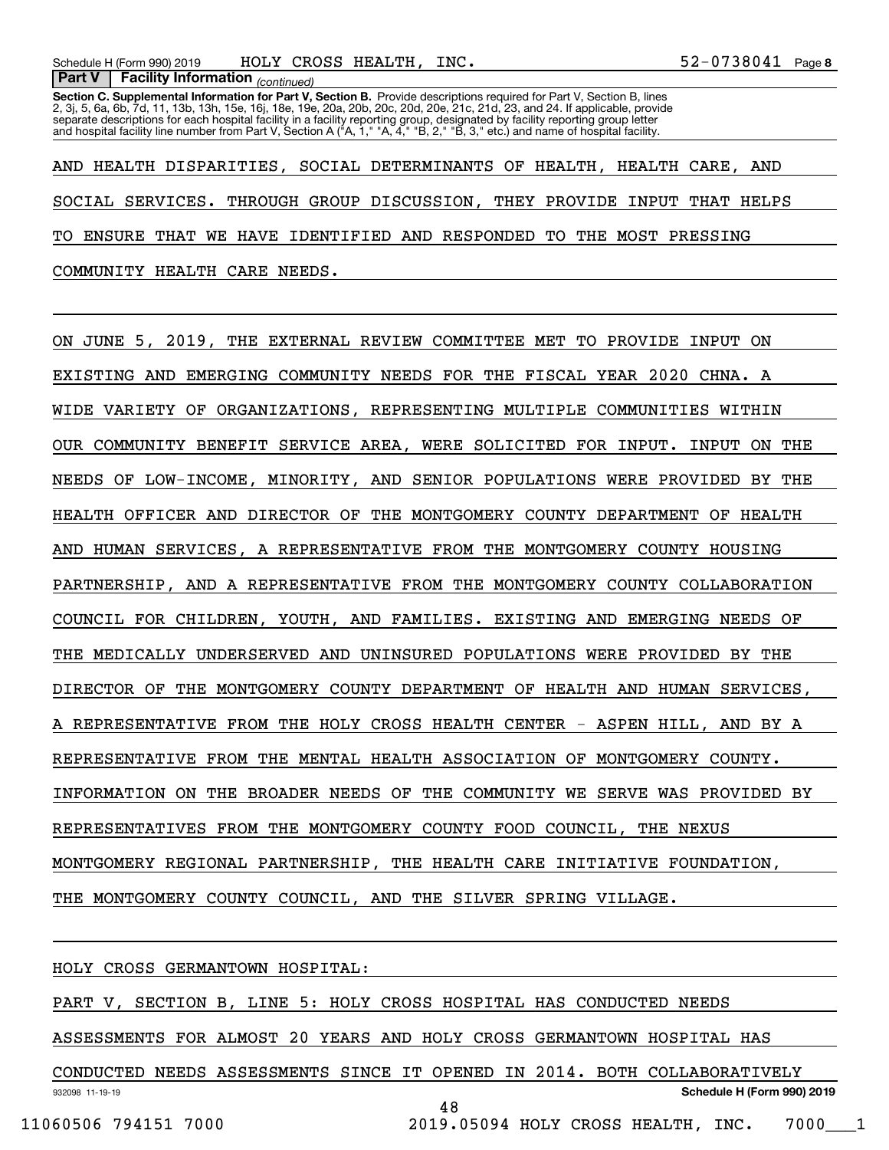**Section C. Supplemental Information for Part V, Section B.** Provide descriptions required for Part V, Section B, lines<br>2, 3j, 5, 6a, 6b, 7d, 11, 13b, 13h, 15e, 16j, 18e, 19e, 20a, 20b, 20c, 20d, 20e, 21c, 21d, 23, and 24. separate descriptions for each hospital facility in a facility reporting group, designated by facility reporting group letter<br>and hospital facility line number from Part V, Section A ("A, 1," "A, 4," "B, 2," "B, 3," etc.)

AND HEALTH DISPARITIES, SOCIAL DETERMINANTS OF HEALTH, HEALTH CARE, AND SOCIAL SERVICES. THROUGH GROUP DISCUSSION, THEY PROVIDE INPUT THAT HELPS TO ENSURE THAT WE HAVE IDENTIFIED AND RESPONDED TO THE MOST PRESSING COMMUNITY HEALTH CARE NEEDS.

ON JUNE 5, 2019, THE EXTERNAL REVIEW COMMITTEE MET TO PROVIDE INPUT ON EXISTING AND EMERGING COMMUNITY NEEDS FOR THE FISCAL YEAR 2020 CHNA. A WIDE VARIETY OF ORGANIZATIONS, REPRESENTING MULTIPLE COMMUNITIES WITHIN OUR COMMUNITY BENEFIT SERVICE AREA, WERE SOLICITED FOR INPUT. INPUT ON THE NEEDS OF LOW-INCOME, MINORITY, AND SENIOR POPULATIONS WERE PROVIDED BY THE HEALTH OFFICER AND DIRECTOR OF THE MONTGOMERY COUNTY DEPARTMENT OF HEALTH AND HUMAN SERVICES, A REPRESENTATIVE FROM THE MONTGOMERY COUNTY HOUSING PARTNERSHIP, AND A REPRESENTATIVE FROM THE MONTGOMERY COUNTY COLLABORATION COUNCIL FOR CHILDREN, YOUTH, AND FAMILIES. EXISTING AND EMERGING NEEDS OF THE MEDICALLY UNDERSERVED AND UNINSURED POPULATIONS WERE PROVIDED BY THE DIRECTOR OF THE MONTGOMERY COUNTY DEPARTMENT OF HEALTH AND HUMAN SERVICES, A REPRESENTATIVE FROM THE HOLY CROSS HEALTH CENTER - ASPEN HILL, AND BY A REPRESENTATIVE FROM THE MENTAL HEALTH ASSOCIATION OF MONTGOMERY COUNTY. INFORMATION ON THE BROADER NEEDS OF THE COMMUNITY WE SERVE WAS PROVIDED BY REPRESENTATIVES FROM THE MONTGOMERY COUNTY FOOD COUNCIL, THE NEXUS MONTGOMERY REGIONAL PARTNERSHIP, THE HEALTH CARE INITIATIVE FOUNDATION, THE MONTGOMERY COUNTY COUNCIL, AND THE SILVER SPRING VILLAGE.

932098 11-19-19 **Schedule H (Form 990) 2019** HOLY CROSS GERMANTOWN HOSPITAL: PART V, SECTION B, LINE 5: HOLY CROSS HOSPITAL HAS CONDUCTED NEEDS ASSESSMENTS FOR ALMOST 20 YEARS AND HOLY CROSS GERMANTOWN HOSPITAL HAS CONDUCTED NEEDS ASSESSMENTS SINCE IT OPENED IN 2014. BOTH COLLABORATIVELY

48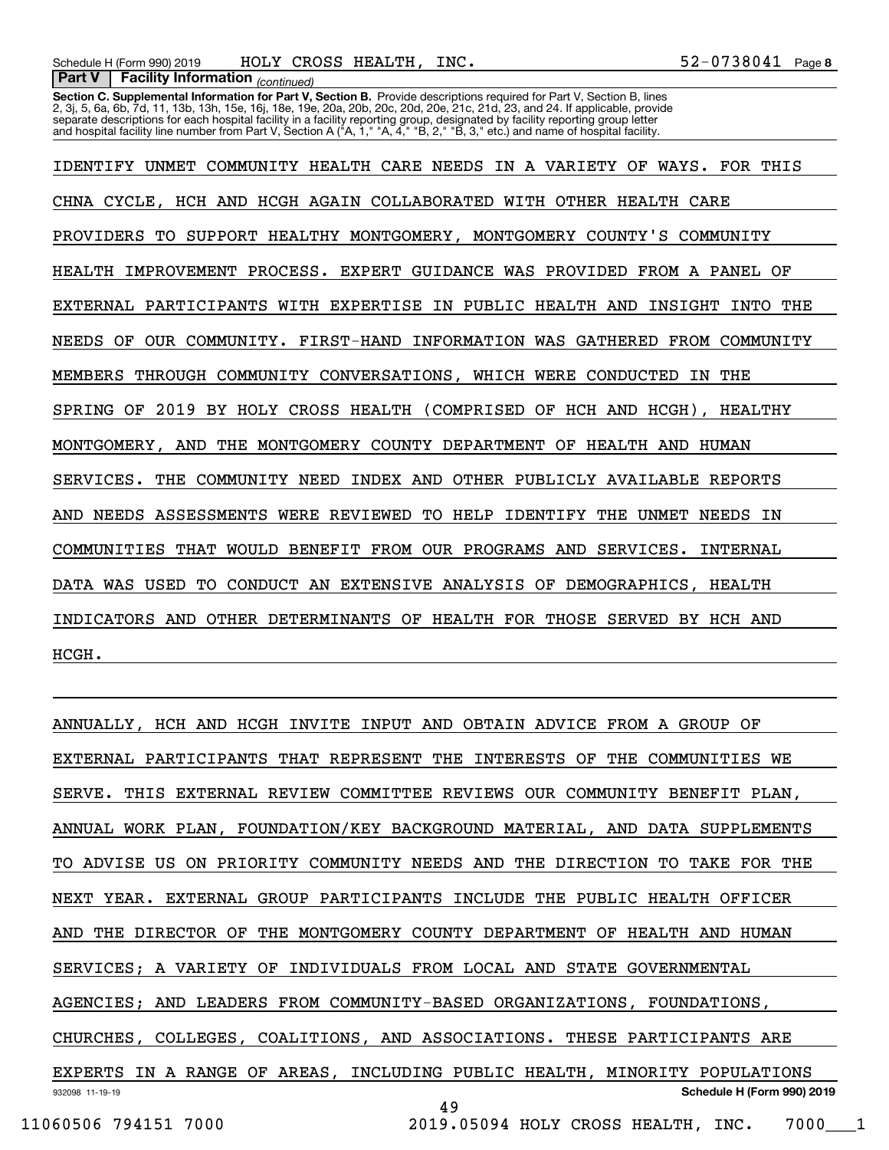**Section C. Supplemental Information for Part V, Section B.** Provide descriptions required for Part V, Section B, lines<br>2, 3j, 5, 6a, 6b, 7d, 11, 13b, 13h, 15e, 16j, 18e, 19e, 20a, 20b, 20c, 20d, 20e, 21c, 21d, 23, and 24. separate descriptions for each hospital facility in a facility reporting group, designated by facility reporting group letter<br>and hospital facility line number from Part V, Section A ("A, 1," "A, 4," "B, 2," "B, 3," etc.)

IDENTIFY UNMET COMMUNITY HEALTH CARE NEEDS IN A VARIETY OF WAYS. FOR THIS CHNA CYCLE, HCH AND HCGH AGAIN COLLABORATED WITH OTHER HEALTH CARE PROVIDERS TO SUPPORT HEALTHY MONTGOMERY, MONTGOMERY COUNTY'S COMMUNITY HEALTH IMPROVEMENT PROCESS. EXPERT GUIDANCE WAS PROVIDED FROM A PANEL OF EXTERNAL PARTICIPANTS WITH EXPERTISE IN PUBLIC HEALTH AND INSIGHT INTO THE NEEDS OF OUR COMMUNITY. FIRST-HAND INFORMATION WAS GATHERED FROM COMMUNITY MEMBERS THROUGH COMMUNITY CONVERSATIONS, WHICH WERE CONDUCTED IN THE SPRING OF 2019 BY HOLY CROSS HEALTH (COMPRISED OF HCH AND HCGH), HEALTHY MONTGOMERY, AND THE MONTGOMERY COUNTY DEPARTMENT OF HEALTH AND HUMAN SERVICES. THE COMMUNITY NEED INDEX AND OTHER PUBLICLY AVAILABLE REPORTS AND NEEDS ASSESSMENTS WERE REVIEWED TO HELP IDENTIFY THE UNMET NEEDS IN COMMUNITIES THAT WOULD BENEFIT FROM OUR PROGRAMS AND SERVICES. INTERNAL DATA WAS USED TO CONDUCT AN EXTENSIVE ANALYSIS OF DEMOGRAPHICS, HEALTH INDICATORS AND OTHER DETERMINANTS OF HEALTH FOR THOSE SERVED BY HCH AND HCGH.

932098 11-19-19 **Schedule H (Form 990) 2019** ANNUALLY, HCH AND HCGH INVITE INPUT AND OBTAIN ADVICE FROM A GROUP OF EXTERNAL PARTICIPANTS THAT REPRESENT THE INTERESTS OF THE COMMUNITIES WE SERVE. THIS EXTERNAL REVIEW COMMITTEE REVIEWS OUR COMMUNITY BENEFIT PLAN, ANNUAL WORK PLAN, FOUNDATION/KEY BACKGROUND MATERIAL, AND DATA SUPPLEMENTS TO ADVISE US ON PRIORITY COMMUNITY NEEDS AND THE DIRECTION TO TAKE FOR THE NEXT YEAR. EXTERNAL GROUP PARTICIPANTS INCLUDE THE PUBLIC HEALTH OFFICER AND THE DIRECTOR OF THE MONTGOMERY COUNTY DEPARTMENT OF HEALTH AND HUMAN SERVICES; A VARIETY OF INDIVIDUALS FROM LOCAL AND STATE GOVERNMENTAL AGENCIES; AND LEADERS FROM COMMUNITY-BASED ORGANIZATIONS, FOUNDATIONS, CHURCHES, COLLEGES, COALITIONS, AND ASSOCIATIONS. THESE PARTICIPANTS ARE EXPERTS IN A RANGE OF AREAS, INCLUDING PUBLIC HEALTH, MINORITY POPULATIONS 49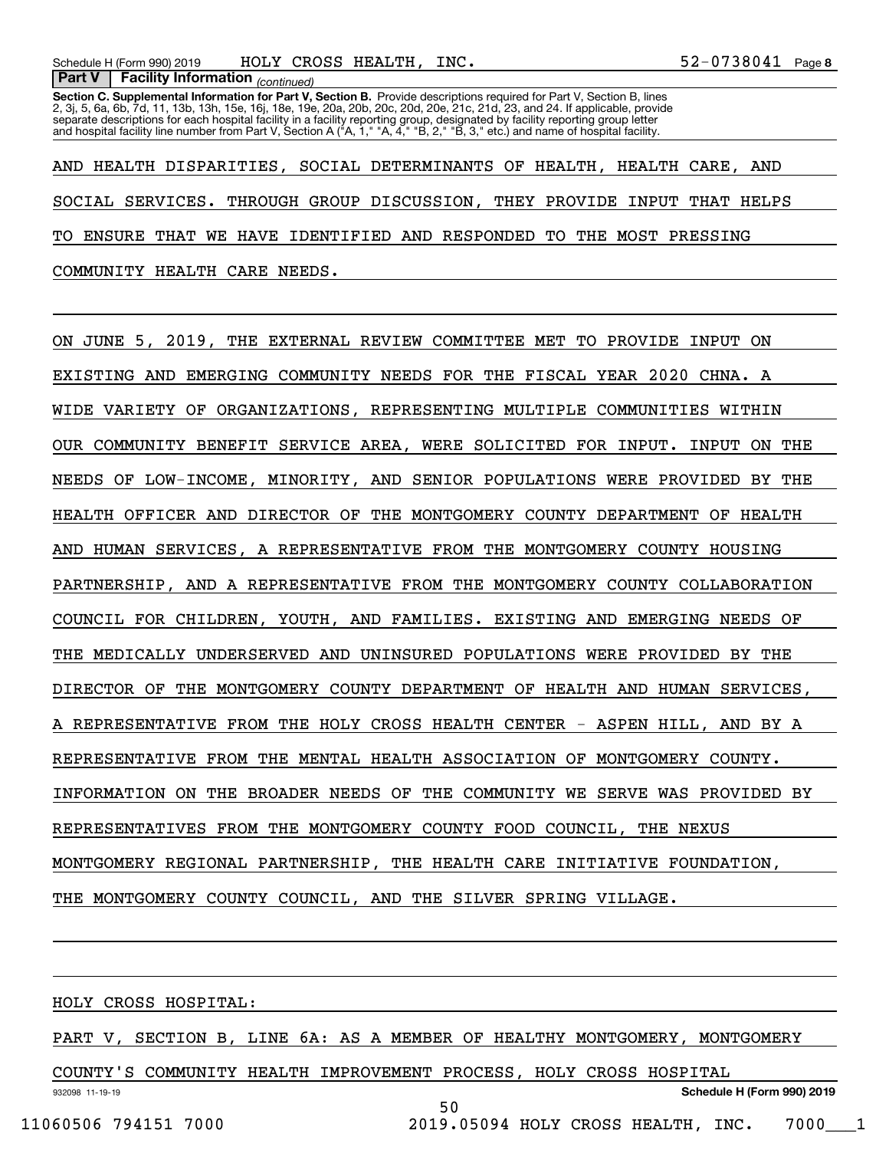**Section C. Supplemental Information for Part V, Section B.** Provide descriptions required for Part V, Section B, lines<br>2, 3j, 5, 6a, 6b, 7d, 11, 13b, 13h, 15e, 16j, 18e, 19e, 20a, 20b, 20c, 20d, 20e, 21c, 21d, 23, and 24. separate descriptions for each hospital facility in a facility reporting group, designated by facility reporting group letter<br>and hospital facility line number from Part V, Section A ("A, 1," "A, 4," "B, 2," "B, 3," etc.)

AND HEALTH DISPARITIES, SOCIAL DETERMINANTS OF HEALTH, HEALTH CARE, AND SOCIAL SERVICES. THROUGH GROUP DISCUSSION, THEY PROVIDE INPUT THAT HELPS TO ENSURE THAT WE HAVE IDENTIFIED AND RESPONDED TO THE MOST PRESSING COMMUNITY HEALTH CARE NEEDS.

ON JUNE 5, 2019, THE EXTERNAL REVIEW COMMITTEE MET TO PROVIDE INPUT ON EXISTING AND EMERGING COMMUNITY NEEDS FOR THE FISCAL YEAR 2020 CHNA. A WIDE VARIETY OF ORGANIZATIONS, REPRESENTING MULTIPLE COMMUNITIES WITHIN OUR COMMUNITY BENEFIT SERVICE AREA, WERE SOLICITED FOR INPUT. INPUT ON THE NEEDS OF LOW-INCOME, MINORITY, AND SENIOR POPULATIONS WERE PROVIDED BY THE HEALTH OFFICER AND DIRECTOR OF THE MONTGOMERY COUNTY DEPARTMENT OF HEALTH AND HUMAN SERVICES, A REPRESENTATIVE FROM THE MONTGOMERY COUNTY HOUSING PARTNERSHIP, AND A REPRESENTATIVE FROM THE MONTGOMERY COUNTY COLLABORATION COUNCIL FOR CHILDREN, YOUTH, AND FAMILIES. EXISTING AND EMERGING NEEDS OF THE MEDICALLY UNDERSERVED AND UNINSURED POPULATIONS WERE PROVIDED BY THE DIRECTOR OF THE MONTGOMERY COUNTY DEPARTMENT OF HEALTH AND HUMAN SERVICES, A REPRESENTATIVE FROM THE HOLY CROSS HEALTH CENTER - ASPEN HILL, AND BY A REPRESENTATIVE FROM THE MENTAL HEALTH ASSOCIATION OF MONTGOMERY COUNTY. INFORMATION ON THE BROADER NEEDS OF THE COMMUNITY WE SERVE WAS PROVIDED BY REPRESENTATIVES FROM THE MONTGOMERY COUNTY FOOD COUNCIL, THE NEXUS MONTGOMERY REGIONAL PARTNERSHIP, THE HEALTH CARE INITIATIVE FOUNDATION, THE MONTGOMERY COUNTY COUNCIL, AND THE SILVER SPRING VILLAGE.

HOLY CROSS HOSPITAL:

PART V, SECTION B, LINE 6A: AS A MEMBER OF HEALTHY MONTGOMERY, MONTGOMERY

932098 11-19-19 **Schedule H (Form 990) 2019** COUNTY'S COMMUNITY HEALTH IMPROVEMENT PROCESS, HOLY CROSS HOSPITAL 50 11060506 794151 7000 2019.05094 HOLY CROSS HEALTH, INC. 7000\_\_\_1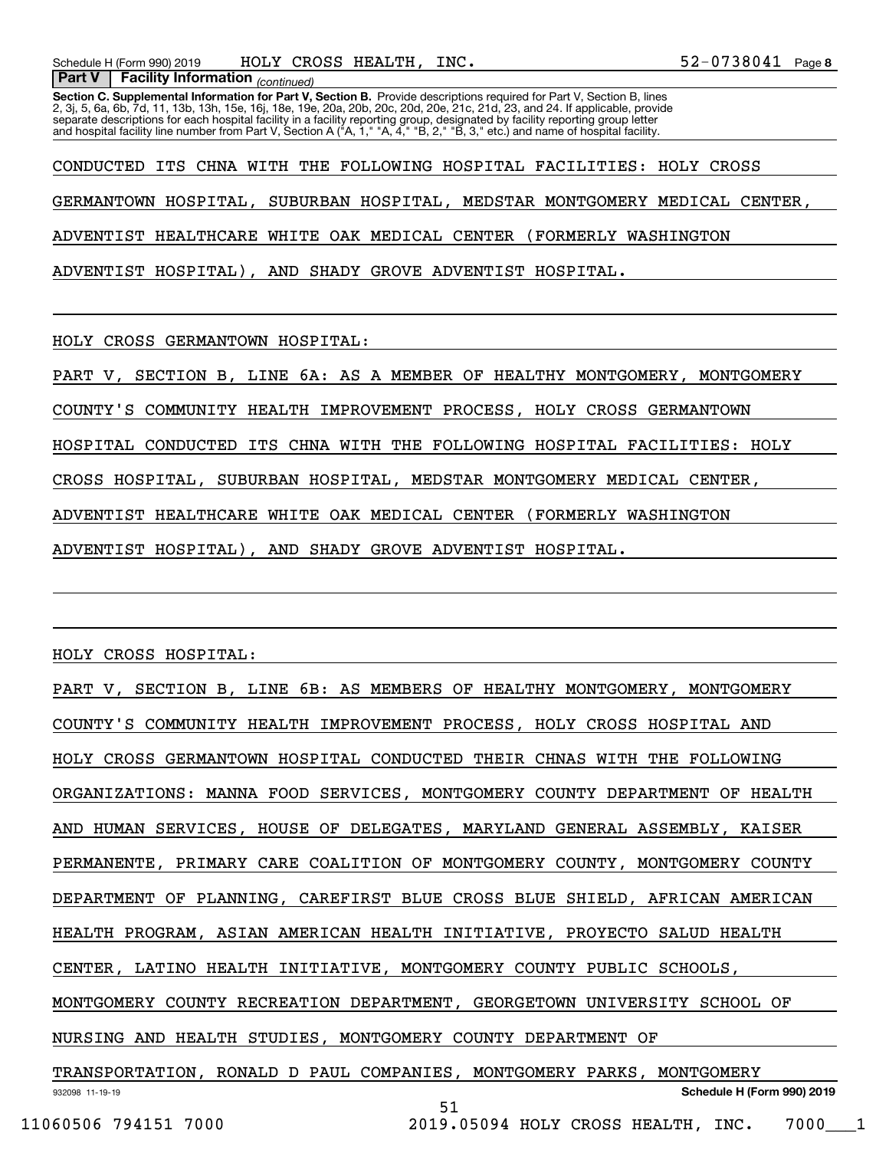**Section C. Supplemental Information for Part V, Section B.** Provide descriptions required for Part V, Section B, lines<br>2, 3j, 5, 6a, 6b, 7d, 11, 13b, 13h, 15e, 16j, 18e, 19e, 20a, 20b, 20c, 20d, 20e, 21c, 21d, 23, and 24. separate descriptions for each hospital facility in a facility reporting group, designated by facility reporting group letter<br>and hospital facility line number from Part V, Section A ("A, 1," "A, 4," "B, 2," "B, 3," etc.)

CONDUCTED ITS CHNA WITH THE FOLLOWING HOSPITAL FACILITIES: HOLY CROSS GERMANTOWN HOSPITAL, SUBURBAN HOSPITAL, MEDSTAR MONTGOMERY MEDICAL CENTER, ADVENTIST HEALTHCARE WHITE OAK MEDICAL CENTER (FORMERLY WASHINGTON ADVENTIST HOSPITAL), AND SHADY GROVE ADVENTIST HOSPITAL.

HOLY CROSS GERMANTOWN HOSPITAL:

 *(continued)* **Part V Facility Information**

PART V, SECTION B, LINE 6A: AS A MEMBER OF HEALTHY MONTGOMERY, MONTGOMERY

COUNTY'S COMMUNITY HEALTH IMPROVEMENT PROCESS, HOLY CROSS GERMANTOWN

HOSPITAL CONDUCTED ITS CHNA WITH THE FOLLOWING HOSPITAL FACILITIES: HOLY

CROSS HOSPITAL, SUBURBAN HOSPITAL, MEDSTAR MONTGOMERY MEDICAL CENTER,

ADVENTIST HEALTHCARE WHITE OAK MEDICAL CENTER (FORMERLY WASHINGTON

ADVENTIST HOSPITAL), AND SHADY GROVE ADVENTIST HOSPITAL.

HOLY CROSS HOSPITAL:

932098 11-19-19 **Schedule H (Form 990) 2019** PART V, SECTION B, LINE 6B: AS MEMBERS OF HEALTHY MONTGOMERY, MONTGOMERY COUNTY'S COMMUNITY HEALTH IMPROVEMENT PROCESS, HOLY CROSS HOSPITAL AND HOLY CROSS GERMANTOWN HOSPITAL CONDUCTED THEIR CHNAS WITH THE FOLLOWING ORGANIZATIONS: MANNA FOOD SERVICES, MONTGOMERY COUNTY DEPARTMENT OF HEALTH AND HUMAN SERVICES, HOUSE OF DELEGATES, MARYLAND GENERAL ASSEMBLY, KAISER PERMANENTE, PRIMARY CARE COALITION OF MONTGOMERY COUNTY, MONTGOMERY COUNTY DEPARTMENT OF PLANNING, CAREFIRST BLUE CROSS BLUE SHIELD, AFRICAN AMERICAN HEALTH PROGRAM, ASIAN AMERICAN HEALTH INITIATIVE, PROYECTO SALUD HEALTH CENTER, LATINO HEALTH INITIATIVE, MONTGOMERY COUNTY PUBLIC SCHOOLS, MONTGOMERY COUNTY RECREATION DEPARTMENT, GEORGETOWN UNIVERSITY SCHOOL OF NURSING AND HEALTH STUDIES, MONTGOMERY COUNTY DEPARTMENT OF TRANSPORTATION, RONALD D PAUL COMPANIES, MONTGOMERY PARKS, MONTGOMERY 51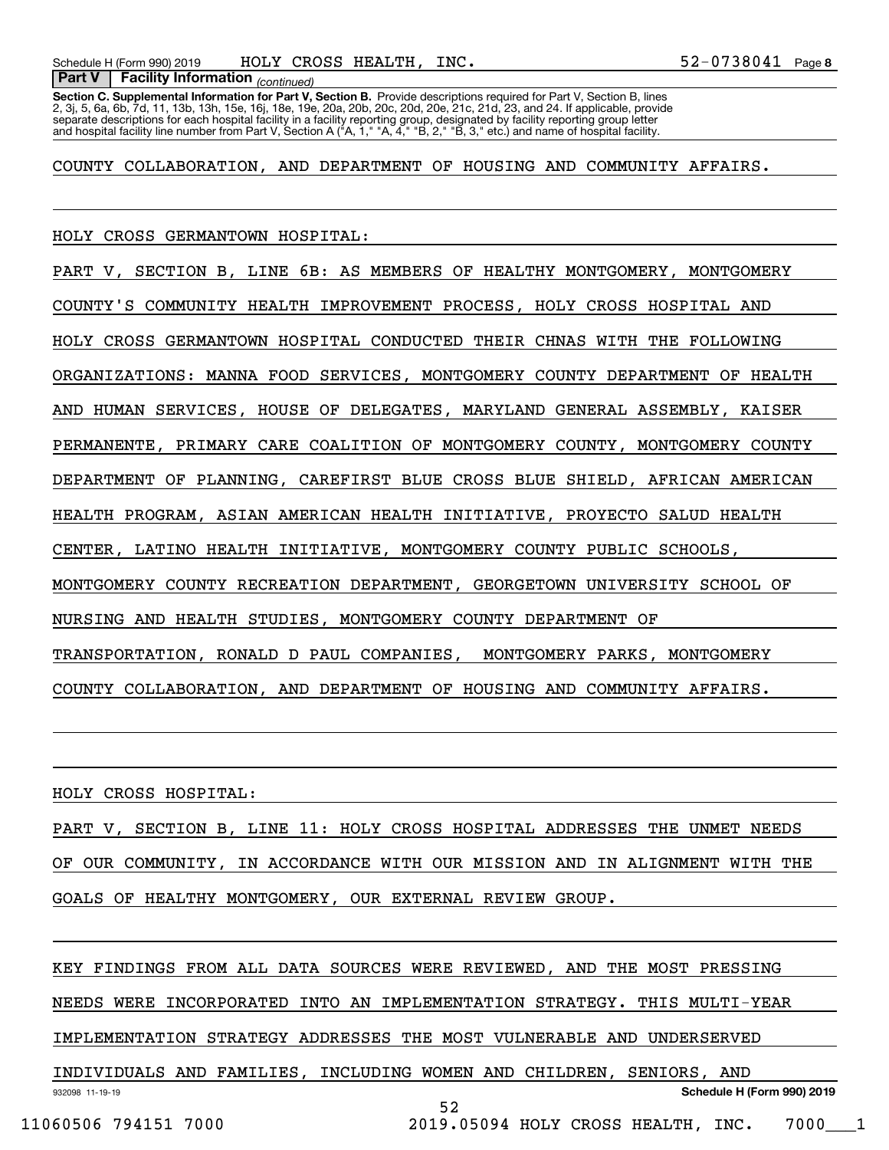**Section C. Supplemental Information for Part V, Section B.** Provide descriptions required for Part V, Section B, lines<br>2, 3j, 5, 6a, 6b, 7d, 11, 13b, 13h, 15e, 16j, 18e, 19e, 20a, 20b, 20c, 20d, 20e, 21c, 21d, 23, and 24. separate descriptions for each hospital facility in a facility reporting group, designated by facility reporting group letter<br>and hospital facility line number from Part V, Section A ("A, 1," "A, 4," "B, 2," "B, 3," etc.)

COUNTY COLLABORATION, AND DEPARTMENT OF HOUSING AND COMMUNITY AFFAIRS.

HOLY CROSS GERMANTOWN HOSPITAL: PART V, SECTION B, LINE 6B: AS MEMBERS OF HEALTHY MONTGOMERY, MONTGOMERY COUNTY'S COMMUNITY HEALTH IMPROVEMENT PROCESS, HOLY CROSS HOSPITAL AND HOLY CROSS GERMANTOWN HOSPITAL CONDUCTED THEIR CHNAS WITH THE FOLLOWING ORGANIZATIONS: MANNA FOOD SERVICES, MONTGOMERY COUNTY DEPARTMENT OF HEALTH AND HUMAN SERVICES, HOUSE OF DELEGATES, MARYLAND GENERAL ASSEMBLY, KAISER PERMANENTE, PRIMARY CARE COALITION OF MONTGOMERY COUNTY, MONTGOMERY COUNTY DEPARTMENT OF PLANNING, CAREFIRST BLUE CROSS BLUE SHIELD, AFRICAN AMERICAN HEALTH PROGRAM, ASIAN AMERICAN HEALTH INITIATIVE, PROYECTO SALUD HEALTH CENTER, LATINO HEALTH INITIATIVE, MONTGOMERY COUNTY PUBLIC SCHOOLS, MONTGOMERY COUNTY RECREATION DEPARTMENT, GEORGETOWN UNIVERSITY SCHOOL OF NURSING AND HEALTH STUDIES, MONTGOMERY COUNTY DEPARTMENT OF TRANSPORTATION, RONALD D PAUL COMPANIES, MONTGOMERY PARKS, MONTGOMERY COUNTY COLLABORATION, AND DEPARTMENT OF HOUSING AND COMMUNITY AFFAIRS.

HOLY CROSS HOSPITAL:

PART V, SECTION B, LINE 11: HOLY CROSS HOSPITAL ADDRESSES THE UNMET NEEDS OF OUR COMMUNITY, IN ACCORDANCE WITH OUR MISSION AND IN ALIGNMENT WITH THE GOALS OF HEALTHY MONTGOMERY, OUR EXTERNAL REVIEW GROUP.

932098 11-19-19 **Schedule H (Form 990) 2019** KEY FINDINGS FROM ALL DATA SOURCES WERE REVIEWED, AND THE MOST PRESSING NEEDS WERE INCORPORATED INTO AN IMPLEMENTATION STRATEGY. THIS MULTI-YEAR IMPLEMENTATION STRATEGY ADDRESSES THE MOST VULNERABLE AND UNDERSERVED INDIVIDUALS AND FAMILIES, INCLUDING WOMEN AND CHILDREN, SENIORS, AND 52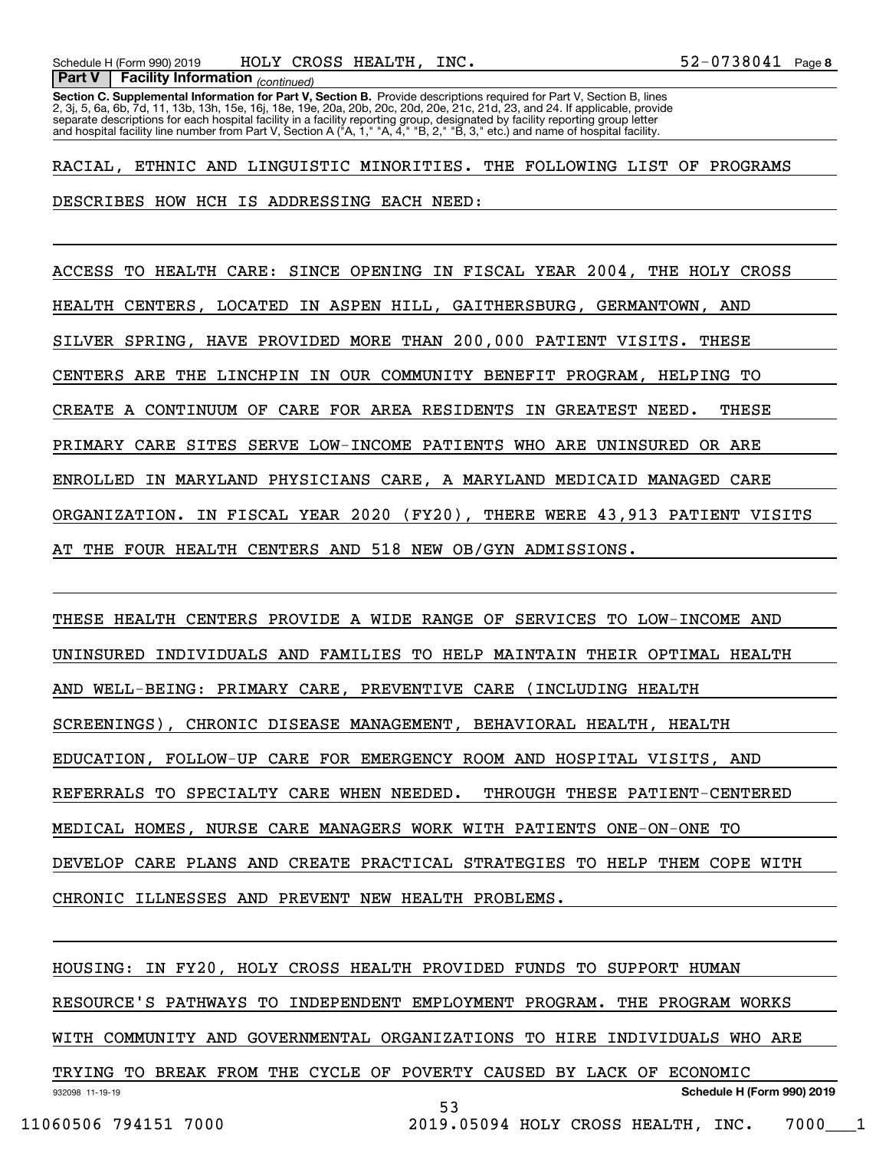**Section C. Supplemental Information for Part V, Section B.** Provide descriptions required for Part V, Section B, lines<br>2, 3j, 5, 6a, 6b, 7d, 11, 13b, 13h, 15e, 16j, 18e, 19e, 20a, 20b, 20c, 20d, 20e, 21c, 21d, 23, and 24. separate descriptions for each hospital facility in a facility reporting group, designated by facility reporting group letter<br>and hospital facility line number from Part V, Section A ("A, 1," "A, 4," "B, 2," "B, 3," etc.)

RACIAL, ETHNIC AND LINGUISTIC MINORITIES. THE FOLLOWING LIST OF PROGRAMS DESCRIBES HOW HCH IS ADDRESSING EACH NEED:

ACCESS TO HEALTH CARE: SINCE OPENING IN FISCAL YEAR 2004, THE HOLY CROSS HEALTH CENTERS, LOCATED IN ASPEN HILL, GAITHERSBURG, GERMANTOWN, AND SILVER SPRING, HAVE PROVIDED MORE THAN 200,000 PATIENT VISITS. THESE CENTERS ARE THE LINCHPIN IN OUR COMMUNITY BENEFIT PROGRAM, HELPING TO CREATE A CONTINUUM OF CARE FOR AREA RESIDENTS IN GREATEST NEED. THESE PRIMARY CARE SITES SERVE LOW-INCOME PATIENTS WHO ARE UNINSURED OR ARE ENROLLED IN MARYLAND PHYSICIANS CARE, A MARYLAND MEDICAID MANAGED CARE ORGANIZATION. IN FISCAL YEAR 2020 (FY20), THERE WERE 43,913 PATIENT VISITS AT THE FOUR HEALTH CENTERS AND 518 NEW OB/GYN ADMISSIONS.

THESE HEALTH CENTERS PROVIDE A WIDE RANGE OF SERVICES TO LOW-INCOME AND UNINSURED INDIVIDUALS AND FAMILIES TO HELP MAINTAIN THEIR OPTIMAL HEALTH AND WELL-BEING: PRIMARY CARE, PREVENTIVE CARE (INCLUDING HEALTH SCREENINGS), CHRONIC DISEASE MANAGEMENT, BEHAVIORAL HEALTH, HEALTH EDUCATION, FOLLOW-UP CARE FOR EMERGENCY ROOM AND HOSPITAL VISITS, AND REFERRALS TO SPECIALTY CARE WHEN NEEDED. THROUGH THESE PATIENT-CENTERED MEDICAL HOMES, NURSE CARE MANAGERS WORK WITH PATIENTS ONE-ON-ONE TO DEVELOP CARE PLANS AND CREATE PRACTICAL STRATEGIES TO HELP THEM COPE WITH CHRONIC ILLNESSES AND PREVENT NEW HEALTH PROBLEMS.

932098 11-19-19 **Schedule H (Form 990) 2019** HOUSING: IN FY20, HOLY CROSS HEALTH PROVIDED FUNDS TO SUPPORT HUMAN RESOURCE'S PATHWAYS TO INDEPENDENT EMPLOYMENT PROGRAM. THE PROGRAM WORKS WITH COMMUNITY AND GOVERNMENTAL ORGANIZATIONS TO HIRE INDIVIDUALS WHO ARE TRYING TO BREAK FROM THE CYCLE OF POVERTY CAUSED BY LACK OF ECONOMIC 53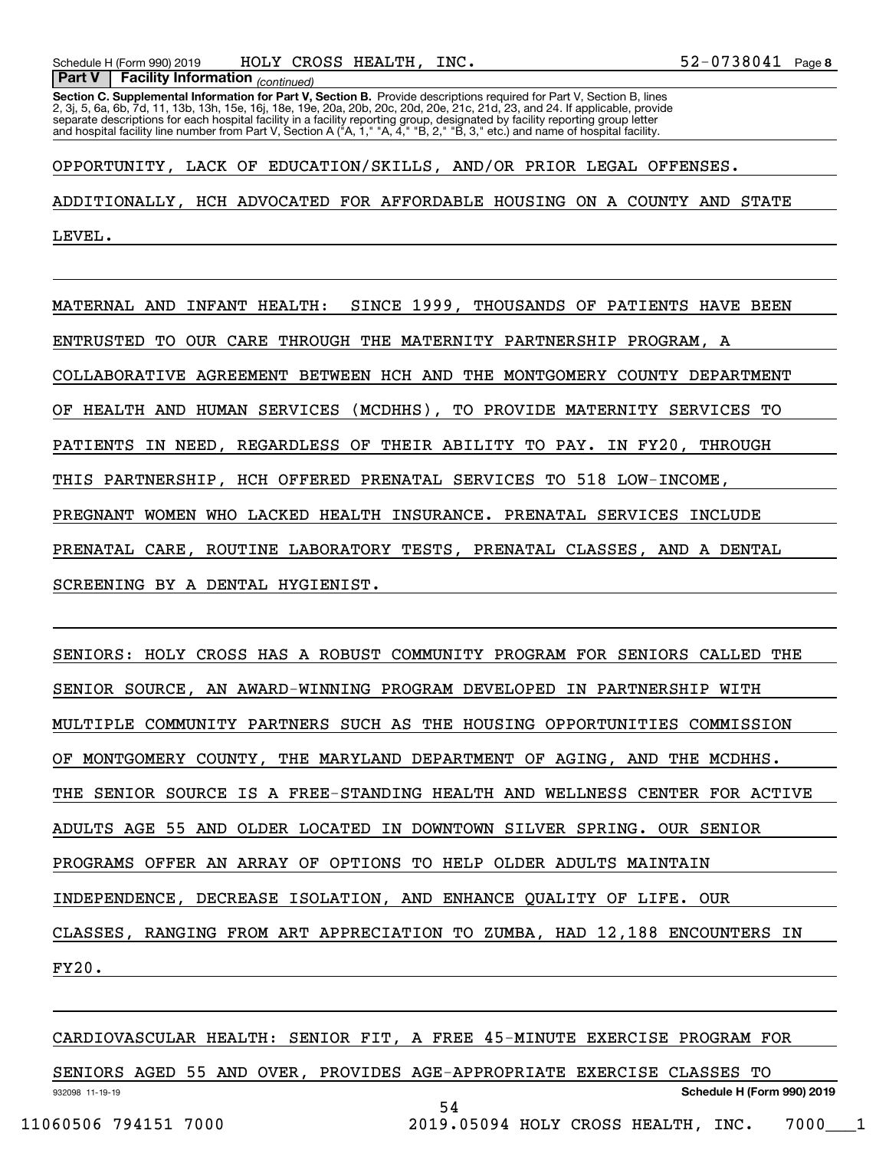**Section C. Supplemental Information for Part V, Section B.** Provide descriptions required for Part V, Section B, lines<br>2, 3j, 5, 6a, 6b, 7d, 11, 13b, 13h, 15e, 16j, 18e, 19e, 20a, 20b, 20c, 20d, 20e, 21c, 21d, 23, and 24. separate descriptions for each hospital facility in a facility reporting group, designated by facility reporting group letter<br>and hospital facility line number from Part V, Section A ("A, 1," "A, 4," "B, 2," "B, 3," etc.)

OPPORTUNITY, LACK OF EDUCATION/SKILLS, AND/OR PRIOR LEGAL OFFENSES. ADDITIONALLY, HCH ADVOCATED FOR AFFORDABLE HOUSING ON A COUNTY AND STATE LEVEL.

MATERNAL AND INFANT HEALTH: SINCE 1999, THOUSANDS OF PATIENTS HAVE BEEN ENTRUSTED TO OUR CARE THROUGH THE MATERNITY PARTNERSHIP PROGRAM, A COLLABORATIVE AGREEMENT BETWEEN HCH AND THE MONTGOMERY COUNTY DEPARTMENT OF HEALTH AND HUMAN SERVICES (MCDHHS), TO PROVIDE MATERNITY SERVICES TO PATIENTS IN NEED, REGARDLESS OF THEIR ABILITY TO PAY. IN FY20, THROUGH THIS PARTNERSHIP, HCH OFFERED PRENATAL SERVICES TO 518 LOW-INCOME, PREGNANT WOMEN WHO LACKED HEALTH INSURANCE. PRENATAL SERVICES INCLUDE PRENATAL CARE, ROUTINE LABORATORY TESTS, PRENATAL CLASSES, AND A DENTAL SCREENING BY A DENTAL HYGIENIST.

SENIORS: HOLY CROSS HAS A ROBUST COMMUNITY PROGRAM FOR SENIORS CALLED THE SENIOR SOURCE, AN AWARD-WINNING PROGRAM DEVELOPED IN PARTNERSHIP WITH MULTIPLE COMMUNITY PARTNERS SUCH AS THE HOUSING OPPORTUNITIES COMMISSION OF MONTGOMERY COUNTY, THE MARYLAND DEPARTMENT OF AGING, AND THE MCDHHS. THE SENIOR SOURCE IS A FREE-STANDING HEALTH AND WELLNESS CENTER FOR ACTIVE ADULTS AGE 55 AND OLDER LOCATED IN DOWNTOWN SILVER SPRING. OUR SENIOR PROGRAMS OFFER AN ARRAY OF OPTIONS TO HELP OLDER ADULTS MAINTAIN INDEPENDENCE, DECREASE ISOLATION, AND ENHANCE QUALITY OF LIFE. OUR CLASSES, RANGING FROM ART APPRECIATION TO ZUMBA, HAD 12,188 ENCOUNTERS IN FY20.

932098 11-19-19 **Schedule H (Form 990) 2019** CARDIOVASCULAR HEALTH: SENIOR FIT, A FREE 45-MINUTE EXERCISE PROGRAM FOR SENIORS AGED 55 AND OVER, PROVIDES AGE-APPROPRIATE EXERCISE CLASSES TO 54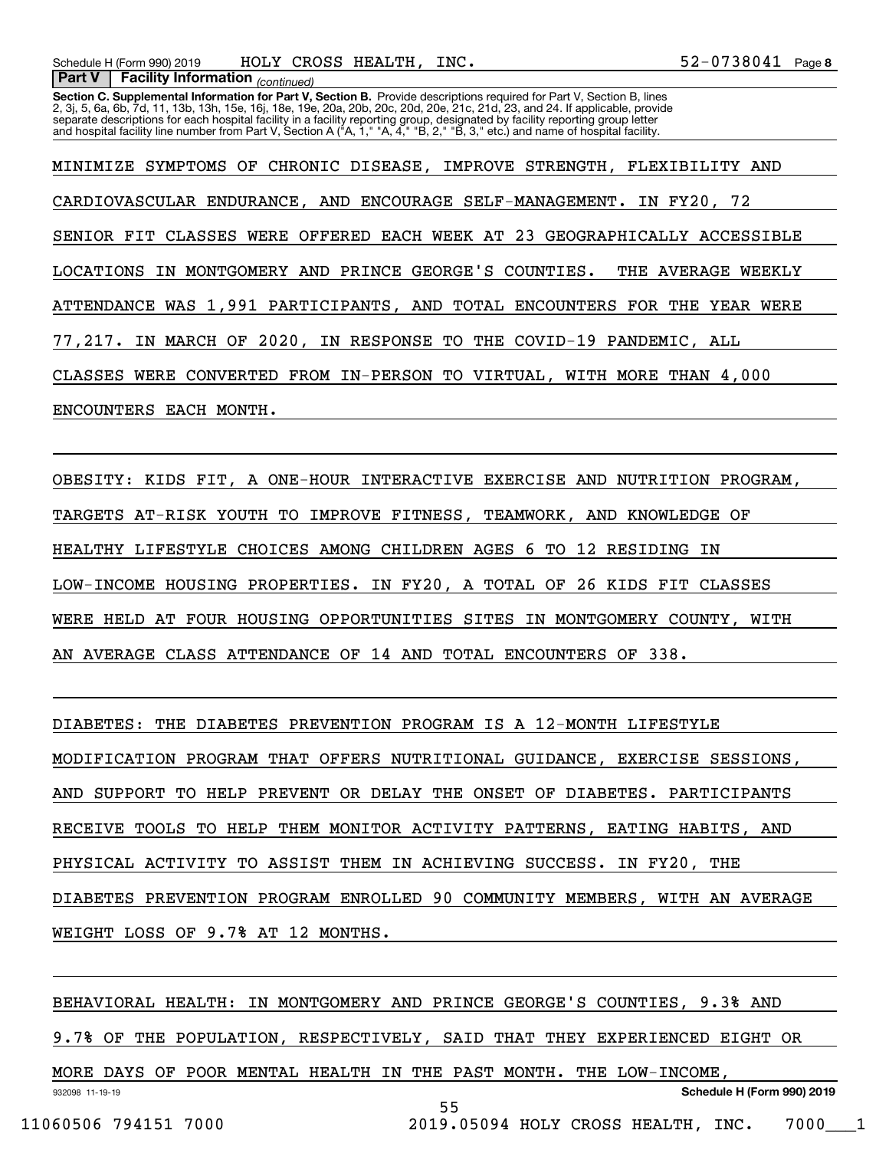**Section C. Supplemental Information for Part V, Section B.** Provide descriptions required for Part V, Section B, lines<br>2, 3j, 5, 6a, 6b, 7d, 11, 13b, 13h, 15e, 16j, 18e, 19e, 20a, 20b, 20c, 20d, 20e, 21c, 21d, 23, and 24.  *(continued)* **Part V Facility Information** separate descriptions for each hospital facility in a facility reporting group, designated by facility reporting group letter<br>and hospital facility line number from Part V, Section A ("A, 1," "A, 4," "B, 2," "B, 3," etc.)

MINIMIZE SYMPTOMS OF CHRONIC DISEASE, IMPROVE STRENGTH, FLEXIBILITY AND CARDIOVASCULAR ENDURANCE, AND ENCOURAGE SELF-MANAGEMENT. IN FY20, 72 SENIOR FIT CLASSES WERE OFFERED EACH WEEK AT 23 GEOGRAPHICALLY ACCESSIBLE LOCATIONS IN MONTGOMERY AND PRINCE GEORGE'S COUNTIES. THE AVERAGE WEEKLY ATTENDANCE WAS 1,991 PARTICIPANTS, AND TOTAL ENCOUNTERS FOR THE YEAR WERE 77,217. IN MARCH OF 2020, IN RESPONSE TO THE COVID-19 PANDEMIC, ALL CLASSES WERE CONVERTED FROM IN-PERSON TO VIRTUAL, WITH MORE THAN 4,000 ENCOUNTERS EACH MONTH.

OBESITY: KIDS FIT, A ONE-HOUR INTERACTIVE EXERCISE AND NUTRITION PROGRAM, TARGETS AT-RISK YOUTH TO IMPROVE FITNESS, TEAMWORK, AND KNOWLEDGE OF HEALTHY LIFESTYLE CHOICES AMONG CHILDREN AGES 6 TO 12 RESIDING IN LOW-INCOME HOUSING PROPERTIES. IN FY20, A TOTAL OF 26 KIDS FIT CLASSES WERE HELD AT FOUR HOUSING OPPORTUNITIES SITES IN MONTGOMERY COUNTY, WITH AN AVERAGE CLASS ATTENDANCE OF 14 AND TOTAL ENCOUNTERS OF 338.

DIABETES: THE DIABETES PREVENTION PROGRAM IS A 12-MONTH LIFESTYLE MODIFICATION PROGRAM THAT OFFERS NUTRITIONAL GUIDANCE, EXERCISE SESSIONS, AND SUPPORT TO HELP PREVENT OR DELAY THE ONSET OF DIABETES. PARTICIPANTS RECEIVE TOOLS TO HELP THEM MONITOR ACTIVITY PATTERNS, EATING HABITS, AND PHYSICAL ACTIVITY TO ASSIST THEM IN ACHIEVING SUCCESS. IN FY20, THE DIABETES PREVENTION PROGRAM ENROLLED 90 COMMUNITY MEMBERS, WITH AN AVERAGE WEIGHT LOSS OF 9.7% AT 12 MONTHS.

932098 11-19-19 **Schedule H (Form 990) 2019** BEHAVIORAL HEALTH: IN MONTGOMERY AND PRINCE GEORGE'S COUNTIES, 9.3% AND 9.7% OF THE POPULATION, RESPECTIVELY, SAID THAT THEY EXPERIENCED EIGHT OR MORE DAYS OF POOR MENTAL HEALTH IN THE PAST MONTH. THE LOW-INCOME, 55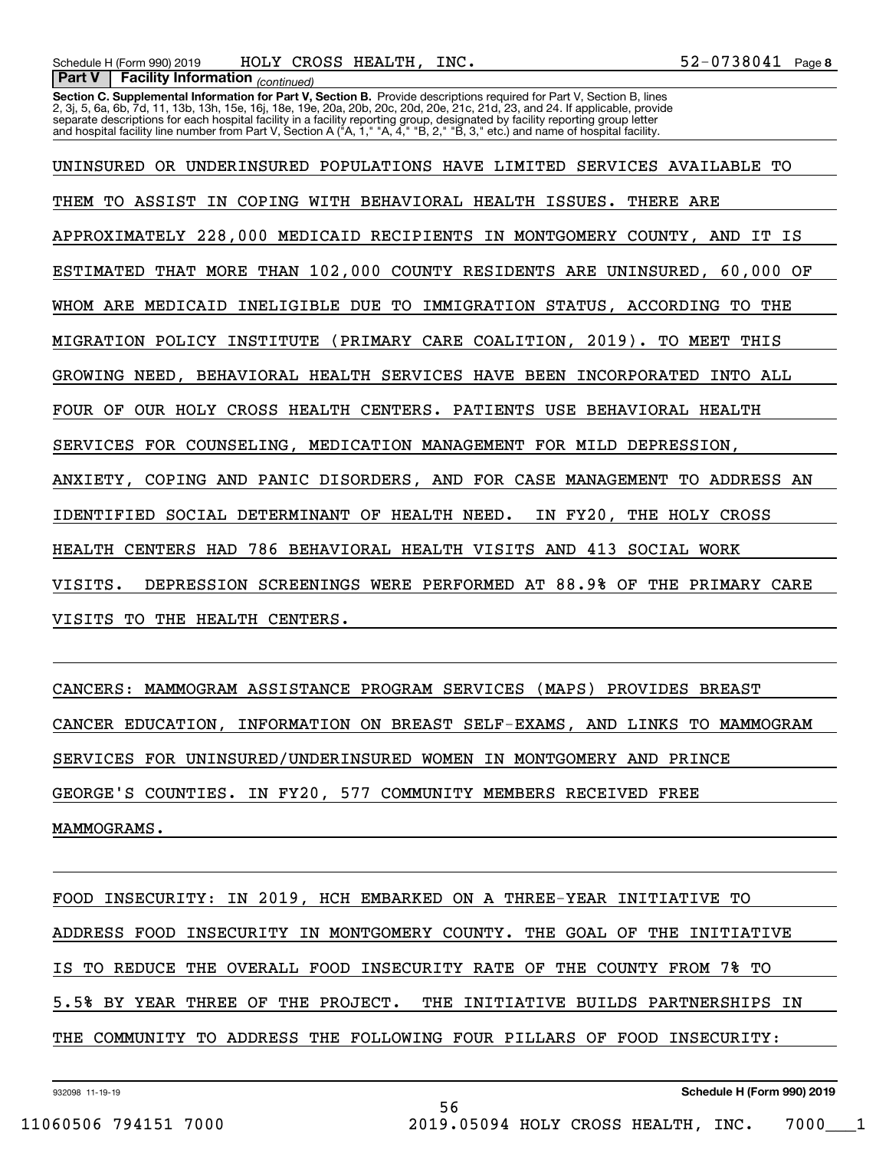**Section C. Supplemental Information for Part V, Section B.** Provide descriptions required for Part V, Section B, lines<br>2, 3j, 5, 6a, 6b, 7d, 11, 13b, 13h, 15e, 16j, 18e, 19e, 20a, 20b, 20c, 20d, 20e, 21c, 21d, 23, and 24. separate descriptions for each hospital facility in a facility reporting group, designated by facility reporting group letter<br>and hospital facility line number from Part V, Section A ("A, 1," "A, 4," "B, 2," "B, 3," etc.)

UNINSURED OR UNDERINSURED POPULATIONS HAVE LIMITED SERVICES AVAILABLE TO THEM TO ASSIST IN COPING WITH BEHAVIORAL HEALTH ISSUES. THERE ARE APPROXIMATELY 228,000 MEDICAID RECIPIENTS IN MONTGOMERY COUNTY, AND IT IS ESTIMATED THAT MORE THAN 102,000 COUNTY RESIDENTS ARE UNINSURED, 60,000 OF WHOM ARE MEDICAID INELIGIBLE DUE TO IMMIGRATION STATUS, ACCORDING TO THE MIGRATION POLICY INSTITUTE (PRIMARY CARE COALITION, 2019). TO MEET THIS GROWING NEED, BEHAVIORAL HEALTH SERVICES HAVE BEEN INCORPORATED INTO ALL FOUR OF OUR HOLY CROSS HEALTH CENTERS. PATIENTS USE BEHAVIORAL HEALTH SERVICES FOR COUNSELING, MEDICATION MANAGEMENT FOR MILD DEPRESSION, ANXIETY, COPING AND PANIC DISORDERS, AND FOR CASE MANAGEMENT TO ADDRESS AN IDENTIFIED SOCIAL DETERMINANT OF HEALTH NEED. IN FY20, THE HOLY CROSS HEALTH CENTERS HAD 786 BEHAVIORAL HEALTH VISITS AND 413 SOCIAL WORK VISITS. DEPRESSION SCREENINGS WERE PERFORMED AT 88.9% OF THE PRIMARY CARE VISITS TO THE HEALTH CENTERS.

CANCERS: MAMMOGRAM ASSISTANCE PROGRAM SERVICES (MAPS) PROVIDES BREAST CANCER EDUCATION, INFORMATION ON BREAST SELF-EXAMS, AND LINKS TO MAMMOGRAM SERVICES FOR UNINSURED/UNDERINSURED WOMEN IN MONTGOMERY AND PRINCE GEORGE'S COUNTIES. IN FY20, 577 COMMUNITY MEMBERS RECEIVED FREE MAMMOGRAMS.

FOOD INSECURITY: IN 2019, HCH EMBARKED ON A THREE-YEAR INITIATIVE TO ADDRESS FOOD INSECURITY IN MONTGOMERY COUNTY. THE GOAL OF THE INITIATIVE IS TO REDUCE THE OVERALL FOOD INSECURITY RATE OF THE COUNTY FROM 7% TO 5.5% BY YEAR THREE OF THE PROJECT. THE INITIATIVE BUILDS PARTNERSHIPS IN THE COMMUNITY TO ADDRESS THE FOLLOWING FOUR PILLARS OF FOOD INSECURITY:

56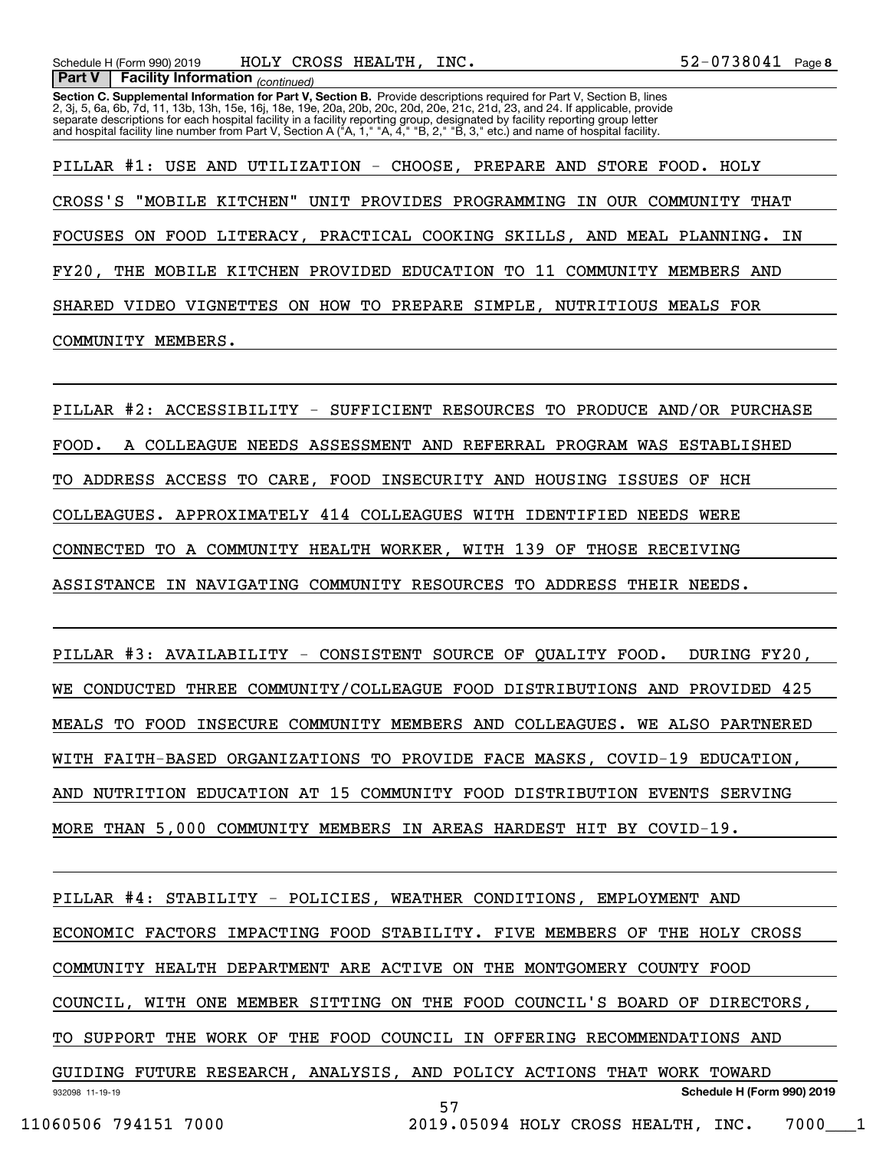**Section C. Supplemental Information for Part V, Section B.** Provide descriptions required for Part V, Section B, lines<br>2, 3j, 5, 6a, 6b, 7d, 11, 13b, 13h, 15e, 16j, 18e, 19e, 20a, 20b, 20c, 20d, 20e, 21c, 21d, 23, and 24. separate descriptions for each hospital facility in a facility reporting group, designated by facility reporting group letter<br>and hospital facility line number from Part V, Section A ("A, 1," "A, 4," "B, 2," "B, 3," etc.)

PILLAR #1: USE AND UTILIZATION - CHOOSE, PREPARE AND STORE FOOD. HOLY CROSS'S "MOBILE KITCHEN" UNIT PROVIDES PROGRAMMING IN OUR COMMUNITY THAT FOCUSES ON FOOD LITERACY, PRACTICAL COOKING SKILLS, AND MEAL PLANNING. IN FY20, THE MOBILE KITCHEN PROVIDED EDUCATION TO 11 COMMUNITY MEMBERS AND SHARED VIDEO VIGNETTES ON HOW TO PREPARE SIMPLE, NUTRITIOUS MEALS FOR COMMUNITY MEMBERS.

PILLAR #2: ACCESSIBILITY - SUFFICIENT RESOURCES TO PRODUCE AND/OR PURCHASE FOOD. A COLLEAGUE NEEDS ASSESSMENT AND REFERRAL PROGRAM WAS ESTABLISHED TO ADDRESS ACCESS TO CARE, FOOD INSECURITY AND HOUSING ISSUES OF HCH COLLEAGUES. APPROXIMATELY 414 COLLEAGUES WITH IDENTIFIED NEEDS WERE CONNECTED TO A COMMUNITY HEALTH WORKER, WITH 139 OF THOSE RECEIVING ASSISTANCE IN NAVIGATING COMMUNITY RESOURCES TO ADDRESS THEIR NEEDS.

PILLAR #3: AVAILABILITY - CONSISTENT SOURCE OF QUALITY FOOD. DURING FY20, WE CONDUCTED THREE COMMUNITY/COLLEAGUE FOOD DISTRIBUTIONS AND PROVIDED 425 MEALS TO FOOD INSECURE COMMUNITY MEMBERS AND COLLEAGUES. WE ALSO PARTNERED WITH FAITH-BASED ORGANIZATIONS TO PROVIDE FACE MASKS, COVID-19 EDUCATION, AND NUTRITION EDUCATION AT 15 COMMUNITY FOOD DISTRIBUTION EVENTS SERVING MORE THAN 5,000 COMMUNITY MEMBERS IN AREAS HARDEST HIT BY COVID-19.

932098 11-19-19 **Schedule H (Form 990) 2019** PILLAR #4: STABILITY - POLICIES, WEATHER CONDITIONS, EMPLOYMENT AND ECONOMIC FACTORS IMPACTING FOOD STABILITY. FIVE MEMBERS OF THE HOLY CROSS COMMUNITY HEALTH DEPARTMENT ARE ACTIVE ON THE MONTGOMERY COUNTY FOOD COUNCIL, WITH ONE MEMBER SITTING ON THE FOOD COUNCIL'S BOARD OF DIRECTORS, TO SUPPORT THE WORK OF THE FOOD COUNCIL IN OFFERING RECOMMENDATIONS AND GUIDING FUTURE RESEARCH, ANALYSIS, AND POLICY ACTIONS THAT WORK TOWARD 57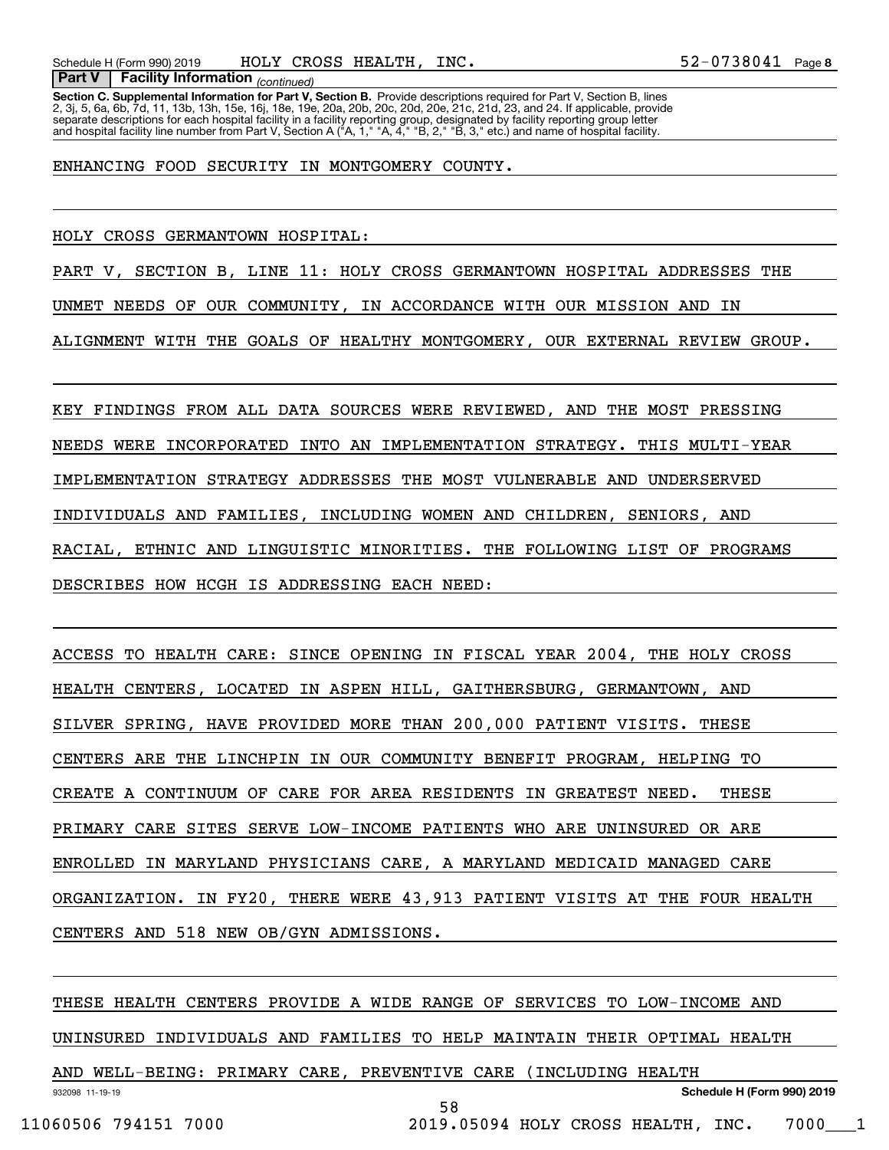**Section C. Supplemental Information for Part V, Section B.** Provide descriptions required for Part V, Section B, lines<br>2, 3j, 5, 6a, 6b, 7d, 11, 13b, 13h, 15e, 16j, 18e, 19e, 20a, 20b, 20c, 20d, 20e, 21c, 21d, 23, and 24.  *(continued)* **Part V Facility Information** separate descriptions for each hospital facility in a facility reporting group, designated by facility reporting group letter<br>and hospital facility line number from Part V, Section A ("A, 1," "A, 4," "B, 2," "B, 3," etc.)

ENHANCING FOOD SECURITY IN MONTGOMERY COUNTY.

HOLY CROSS GERMANTOWN HOSPITAL:

PART V, SECTION B, LINE 11: HOLY CROSS GERMANTOWN HOSPITAL ADDRESSES THE

UNMET NEEDS OF OUR COMMUNITY, IN ACCORDANCE WITH OUR MISSION AND IN

ALIGNMENT WITH THE GOALS OF HEALTHY MONTGOMERY, OUR EXTERNAL REVIEW GROUP.

KEY FINDINGS FROM ALL DATA SOURCES WERE REVIEWED, AND THE MOST PRESSING NEEDS WERE INCORPORATED INTO AN IMPLEMENTATION STRATEGY. THIS MULTI-YEAR IMPLEMENTATION STRATEGY ADDRESSES THE MOST VULNERABLE AND UNDERSERVED INDIVIDUALS AND FAMILIES, INCLUDING WOMEN AND CHILDREN, SENIORS, AND RACIAL, ETHNIC AND LINGUISTIC MINORITIES. THE FOLLOWING LIST OF PROGRAMS DESCRIBES HOW HCGH IS ADDRESSING EACH NEED:

ACCESS TO HEALTH CARE: SINCE OPENING IN FISCAL YEAR 2004, THE HOLY CROSS HEALTH CENTERS, LOCATED IN ASPEN HILL, GAITHERSBURG, GERMANTOWN, AND SILVER SPRING, HAVE PROVIDED MORE THAN 200,000 PATIENT VISITS. THESE CENTERS ARE THE LINCHPIN IN OUR COMMUNITY BENEFIT PROGRAM, HELPING TO CREATE A CONTINUUM OF CARE FOR AREA RESIDENTS IN GREATEST NEED. THESE PRIMARY CARE SITES SERVE LOW-INCOME PATIENTS WHO ARE UNINSURED OR ARE ENROLLED IN MARYLAND PHYSICIANS CARE, A MARYLAND MEDICAID MANAGED CARE ORGANIZATION. IN FY20, THERE WERE 43,913 PATIENT VISITS AT THE FOUR HEALTH CENTERS AND 518 NEW OB/GYN ADMISSIONS.

932098 11-19-19 THESE HEALTH CENTERS PROVIDE A WIDE RANGE OF SERVICES TO LOW-INCOME AND UNINSURED INDIVIDUALS AND FAMILIES TO HELP MAINTAIN THEIR OPTIMAL HEALTH AND WELL-BEING: PRIMARY CARE, PREVENTIVE CARE (INCLUDING HEALTH

58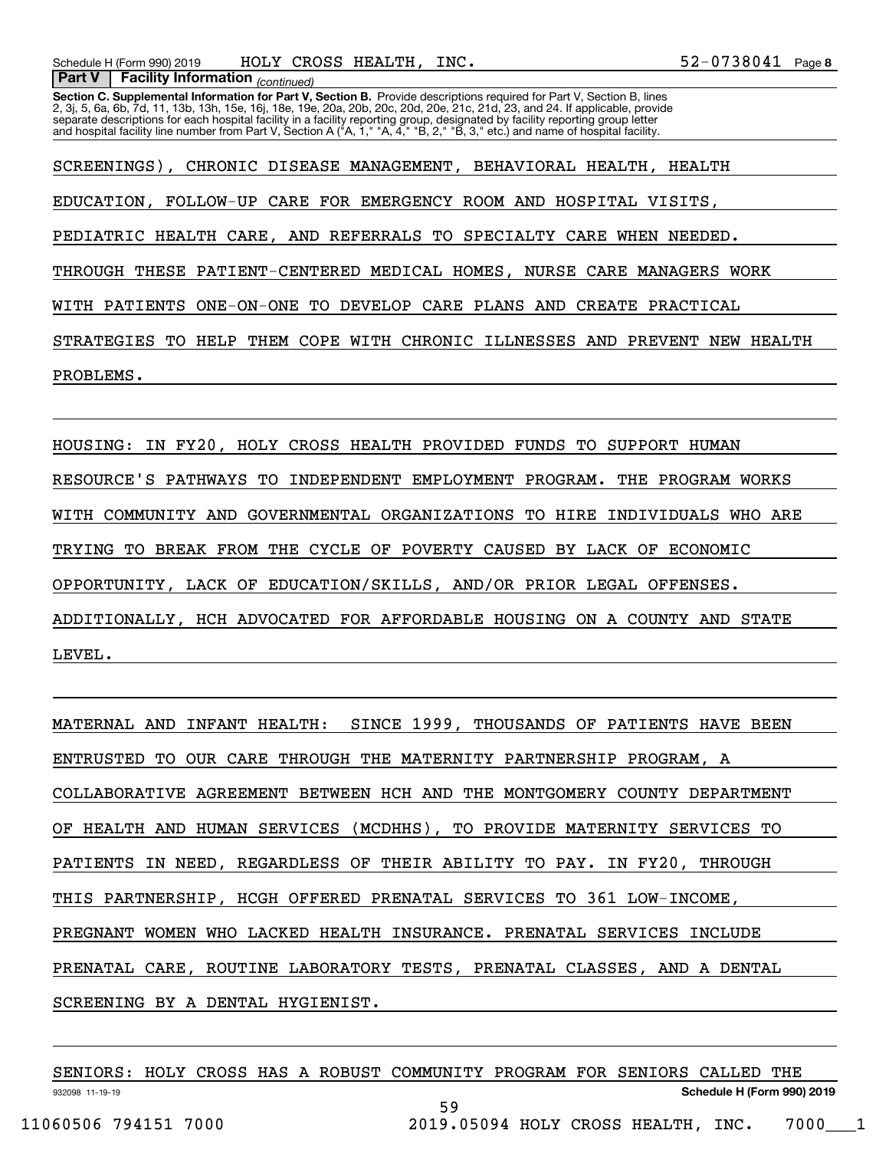**Section C. Supplemental Information for Part V, Section B.** Provide descriptions required for Part V, Section B, lines<br>2, 3j, 5, 6a, 6b, 7d, 11, 13b, 13h, 15e, 16j, 18e, 19e, 20a, 20b, 20c, 20d, 20e, 21c, 21d, 23, and 24. separate descriptions for each hospital facility in a facility reporting group, designated by facility reporting group letter<br>and hospital facility line number from Part V, Section A ("A, 1," "A, 4," "B, 2," "B, 3," etc.)

SCREENINGS), CHRONIC DISEASE MANAGEMENT, BEHAVIORAL HEALTH, HEALTH EDUCATION, FOLLOW-UP CARE FOR EMERGENCY ROOM AND HOSPITAL VISITS, PEDIATRIC HEALTH CARE, AND REFERRALS TO SPECIALTY CARE WHEN NEEDED. THROUGH THESE PATIENT-CENTERED MEDICAL HOMES, NURSE CARE MANAGERS WORK WITH PATIENTS ONE-ON-ONE TO DEVELOP CARE PLANS AND CREATE PRACTICAL STRATEGIES TO HELP THEM COPE WITH CHRONIC ILLNESSES AND PREVENT NEW HEALTH PROBLEMS.

HOUSING: IN FY20, HOLY CROSS HEALTH PROVIDED FUNDS TO SUPPORT HUMAN RESOURCE'S PATHWAYS TO INDEPENDENT EMPLOYMENT PROGRAM. THE PROGRAM WORKS WITH COMMUNITY AND GOVERNMENTAL ORGANIZATIONS TO HIRE INDIVIDUALS WHO ARE TRYING TO BREAK FROM THE CYCLE OF POVERTY CAUSED BY LACK OF ECONOMIC OPPORTUNITY, LACK OF EDUCATION/SKILLS, AND/OR PRIOR LEGAL OFFENSES. ADDITIONALLY, HCH ADVOCATED FOR AFFORDABLE HOUSING ON A COUNTY AND STATE LEVEL.

MATERNAL AND INFANT HEALTH: SINCE 1999, THOUSANDS OF PATIENTS HAVE BEEN ENTRUSTED TO OUR CARE THROUGH THE MATERNITY PARTNERSHIP PROGRAM, A COLLABORATIVE AGREEMENT BETWEEN HCH AND THE MONTGOMERY COUNTY DEPARTMENT OF HEALTH AND HUMAN SERVICES (MCDHHS), TO PROVIDE MATERNITY SERVICES TO PATIENTS IN NEED, REGARDLESS OF THEIR ABILITY TO PAY. IN FY20, THROUGH THIS PARTNERSHIP, HCGH OFFERED PRENATAL SERVICES TO 361 LOW-INCOME, PREGNANT WOMEN WHO LACKED HEALTH INSURANCE. PRENATAL SERVICES INCLUDE PRENATAL CARE, ROUTINE LABORATORY TESTS, PRENATAL CLASSES, AND A DENTAL SCREENING BY A DENTAL HYGIENIST.

| SENIORS:             |  |  |  | HOLY CROSS HAS A ROBUST COMMUNITY PROGRAM FOR SENIORS CALLED THE |  |  |                            |  |
|----------------------|--|--|--|------------------------------------------------------------------|--|--|----------------------------|--|
| 932098 11-19-19      |  |  |  |                                                                  |  |  | Schedule H (Form 990) 2019 |  |
|                      |  |  |  | 59                                                               |  |  |                            |  |
| 11060506 794151 7000 |  |  |  | 2019.05094 HOLY CROSS HEALTH, INC.                               |  |  | 7000                       |  |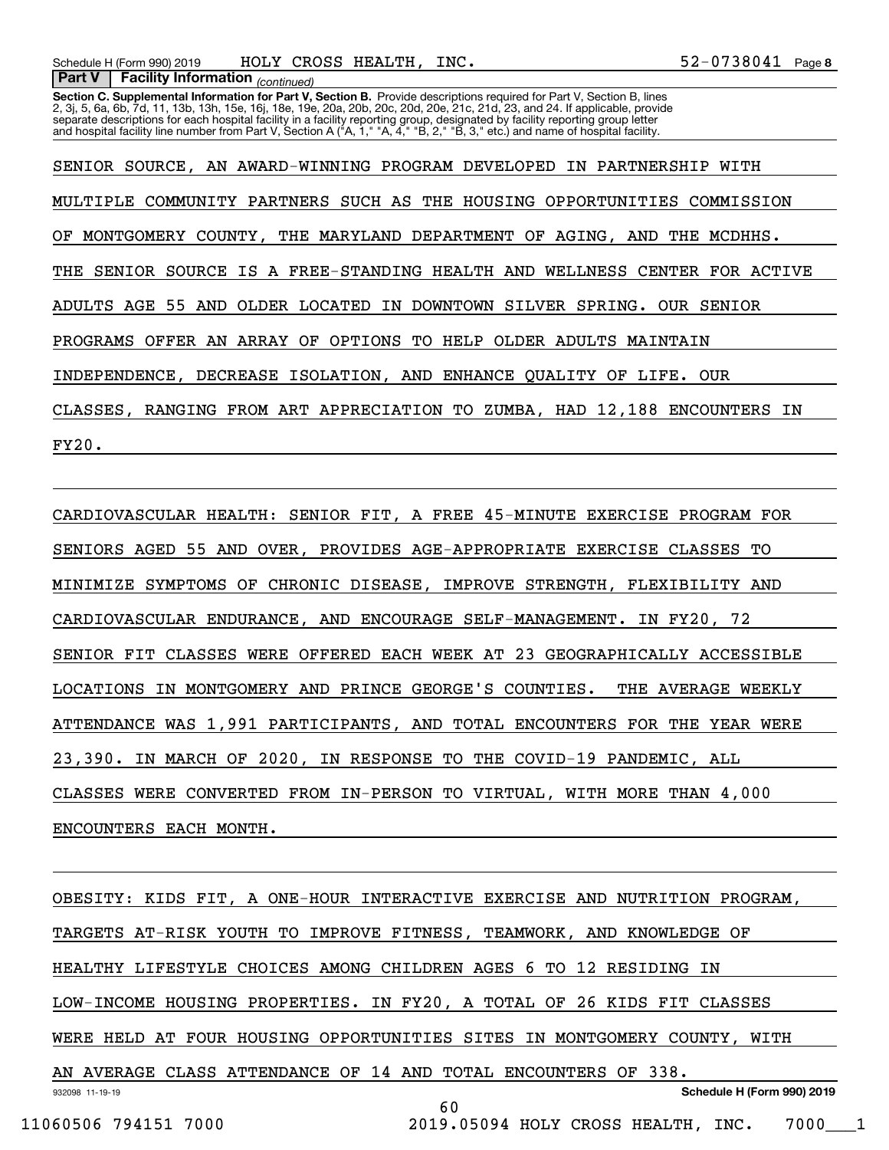**Section C. Supplemental Information for Part V, Section B.** Provide descriptions required for Part V, Section B, lines<br>2, 3j, 5, 6a, 6b, 7d, 11, 13b, 13h, 15e, 16j, 18e, 19e, 20a, 20b, 20c, 20d, 20e, 21c, 21d, 23, and 24. separate descriptions for each hospital facility in a facility reporting group, designated by facility reporting group letter<br>and hospital facility line number from Part V, Section A ("A, 1," "A, 4," "B, 2," "B, 3," etc.)

SENIOR SOURCE, AN AWARD-WINNING PROGRAM DEVELOPED IN PARTNERSHIP WITH MULTIPLE COMMUNITY PARTNERS SUCH AS THE HOUSING OPPORTUNITIES COMMISSION OF MONTGOMERY COUNTY, THE MARYLAND DEPARTMENT OF AGING, AND THE MCDHHS. THE SENIOR SOURCE IS A FREE-STANDING HEALTH AND WELLNESS CENTER FOR ACTIVE ADULTS AGE 55 AND OLDER LOCATED IN DOWNTOWN SILVER SPRING. OUR SENIOR PROGRAMS OFFER AN ARRAY OF OPTIONS TO HELP OLDER ADULTS MAINTAIN INDEPENDENCE, DECREASE ISOLATION, AND ENHANCE QUALITY OF LIFE. OUR CLASSES, RANGING FROM ART APPRECIATION TO ZUMBA, HAD 12,188 ENCOUNTERS IN FY20.

CARDIOVASCULAR HEALTH: SENIOR FIT, A FREE 45-MINUTE EXERCISE PROGRAM FOR SENIORS AGED 55 AND OVER, PROVIDES AGE-APPROPRIATE EXERCISE CLASSES TO MINIMIZE SYMPTOMS OF CHRONIC DISEASE, IMPROVE STRENGTH, FLEXIBILITY AND CARDIOVASCULAR ENDURANCE, AND ENCOURAGE SELF-MANAGEMENT. IN FY20, 72 SENIOR FIT CLASSES WERE OFFERED EACH WEEK AT 23 GEOGRAPHICALLY ACCESSIBLE LOCATIONS IN MONTGOMERY AND PRINCE GEORGE'S COUNTIES. THE AVERAGE WEEKLY ATTENDANCE WAS 1,991 PARTICIPANTS, AND TOTAL ENCOUNTERS FOR THE YEAR WERE 23,390. IN MARCH OF 2020, IN RESPONSE TO THE COVID-19 PANDEMIC, ALL CLASSES WERE CONVERTED FROM IN-PERSON TO VIRTUAL, WITH MORE THAN 4,000 ENCOUNTERS EACH MONTH.

932098 11-19-19 **Schedule H (Form 990) 2019** OBESITY: KIDS FIT, A ONE-HOUR INTERACTIVE EXERCISE AND NUTRITION PROGRAM, TARGETS AT-RISK YOUTH TO IMPROVE FITNESS, TEAMWORK, AND KNOWLEDGE OF HEALTHY LIFESTYLE CHOICES AMONG CHILDREN AGES 6 TO 12 RESIDING IN LOW-INCOME HOUSING PROPERTIES. IN FY20, A TOTAL OF 26 KIDS FIT CLASSES WERE HELD AT FOUR HOUSING OPPORTUNITIES SITES IN MONTGOMERY COUNTY, WITH AN AVERAGE CLASS ATTENDANCE OF 14 AND TOTAL ENCOUNTERS OF 338. 60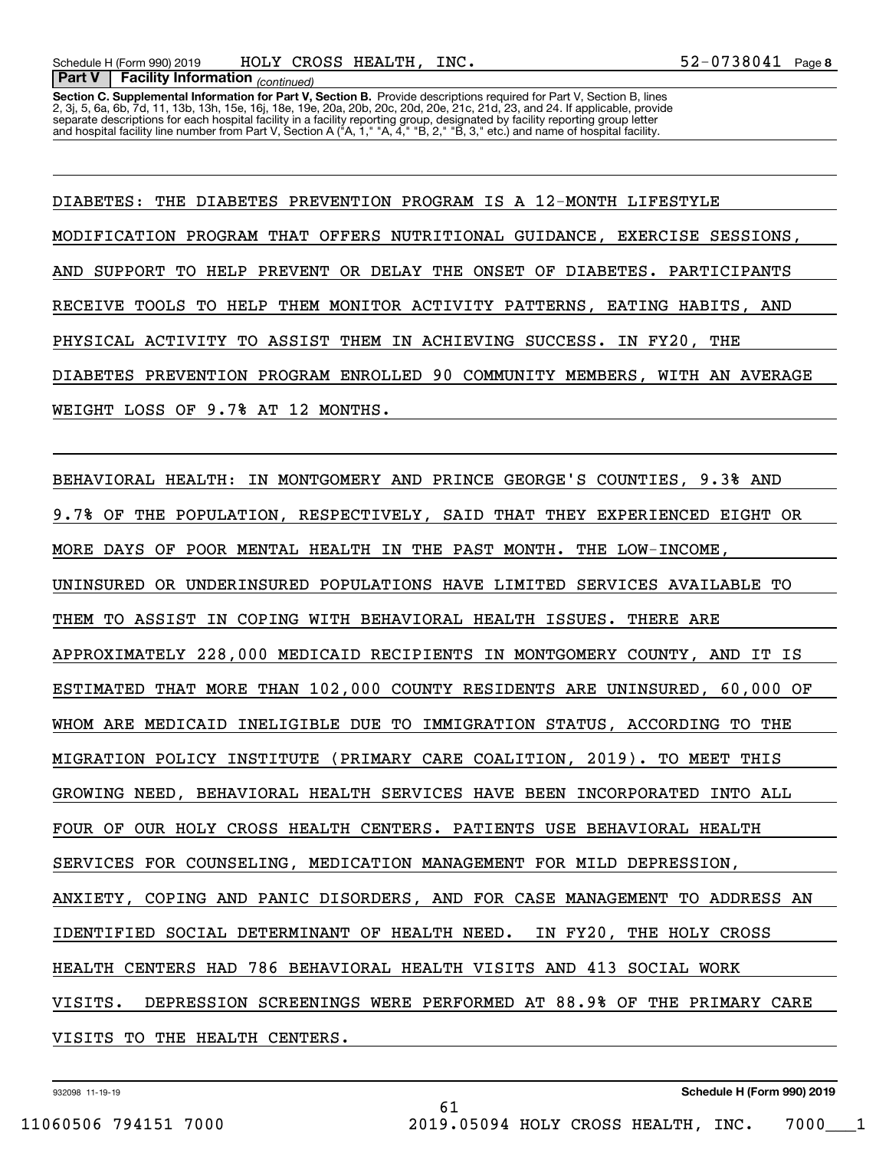**Section C. Supplemental Information for Part V, Section B.** Provide descriptions required for Part V, Section B, lines<br>2, 3j, 5, 6a, 6b, 7d, 11, 13b, 13h, 15e, 16j, 18e, 19e, 20a, 20b, 20c, 20d, 20e, 21c, 21d, 23, and 24. separate descriptions for each hospital facility in a facility reporting group, designated by facility reporting group letter<br>and hospital facility line number from Part V, Section A ("A, 1," "A, 4," "B, 2," "B, 3," etc.)

DIABETES: THE DIABETES PREVENTION PROGRAM IS A 12-MONTH LIFESTYLE MODIFICATION PROGRAM THAT OFFERS NUTRITIONAL GUIDANCE, EXERCISE SESSIONS, AND SUPPORT TO HELP PREVENT OR DELAY THE ONSET OF DIABETES. PARTICIPANTS RECEIVE TOOLS TO HELP THEM MONITOR ACTIVITY PATTERNS, EATING HABITS, AND PHYSICAL ACTIVITY TO ASSIST THEM IN ACHIEVING SUCCESS. IN FY20, THE DIABETES PREVENTION PROGRAM ENROLLED 90 COMMUNITY MEMBERS, WITH AN AVERAGE WEIGHT LOSS OF 9.7% AT 12 MONTHS.

BEHAVIORAL HEALTH: IN MONTGOMERY AND PRINCE GEORGE'S COUNTIES, 9.3% AND 9.7% OF THE POPULATION, RESPECTIVELY, SAID THAT THEY EXPERIENCED EIGHT OR MORE DAYS OF POOR MENTAL HEALTH IN THE PAST MONTH. THE LOW-INCOME, UNINSURED OR UNDERINSURED POPULATIONS HAVE LIMITED SERVICES AVAILABLE TO THEM TO ASSIST IN COPING WITH BEHAVIORAL HEALTH ISSUES. THERE ARE APPROXIMATELY 228,000 MEDICAID RECIPIENTS IN MONTGOMERY COUNTY, AND IT IS ESTIMATED THAT MORE THAN 102,000 COUNTY RESIDENTS ARE UNINSURED, 60,000 OF WHOM ARE MEDICAID INELIGIBLE DUE TO IMMIGRATION STATUS, ACCORDING TO THE MIGRATION POLICY INSTITUTE (PRIMARY CARE COALITION, 2019). TO MEET THIS GROWING NEED, BEHAVIORAL HEALTH SERVICES HAVE BEEN INCORPORATED INTO ALL FOUR OF OUR HOLY CROSS HEALTH CENTERS. PATIENTS USE BEHAVIORAL HEALTH SERVICES FOR COUNSELING, MEDICATION MANAGEMENT FOR MILD DEPRESSION, ANXIETY, COPING AND PANIC DISORDERS, AND FOR CASE MANAGEMENT TO ADDRESS AN IDENTIFIED SOCIAL DETERMINANT OF HEALTH NEED. IN FY20, THE HOLY CROSS HEALTH CENTERS HAD 786 BEHAVIORAL HEALTH VISITS AND 413 SOCIAL WORK VISITS. DEPRESSION SCREENINGS WERE PERFORMED AT 88.9% OF THE PRIMARY CARE VISITS TO THE HEALTH CENTERS.

61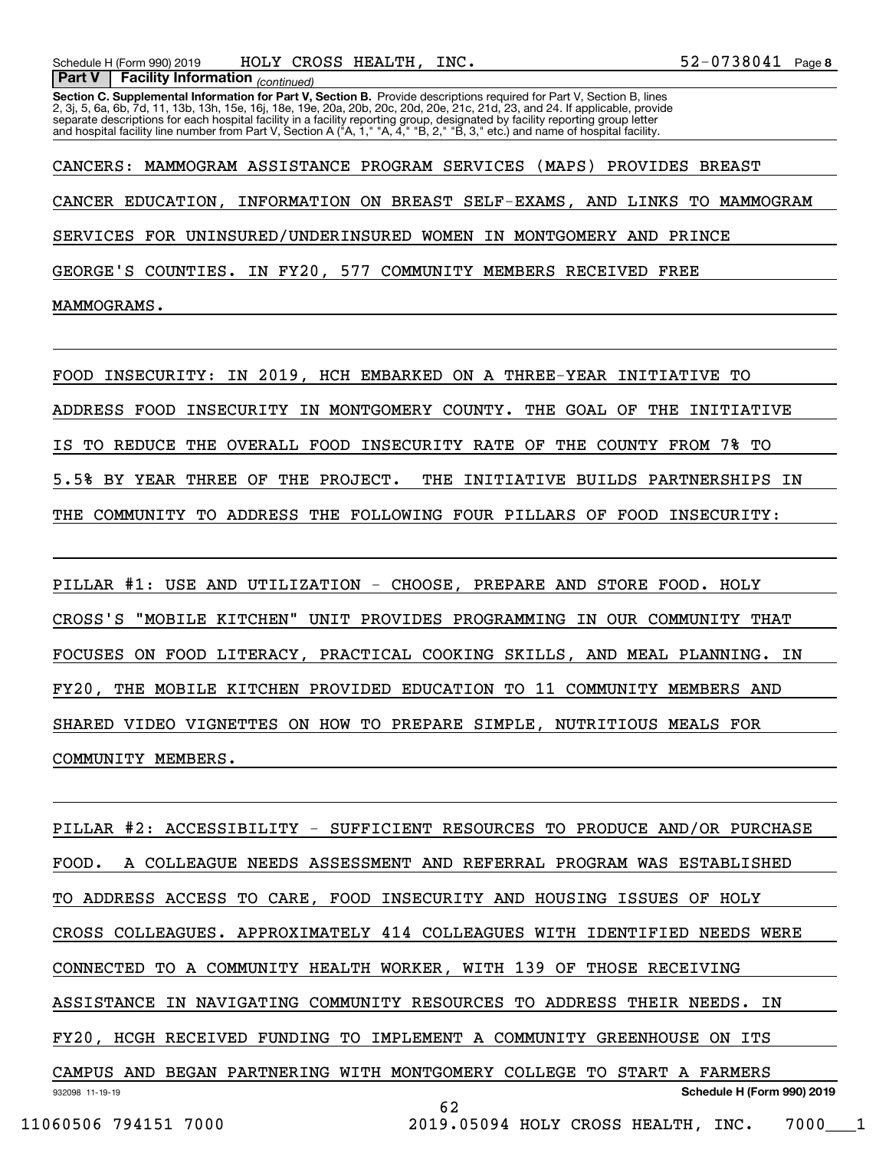**Section C. Supplemental Information for Part V, Section B.** Provide descriptions required for Part V, Section B, lines<br>2, 3j, 5, 6a, 6b, 7d, 11, 13b, 13h, 15e, 16j, 18e, 19e, 20a, 20b, 20c, 20d, 20e, 21c, 21d, 23, and 24. separate descriptions for each hospital facility in a facility reporting group, designated by facility reporting group letter<br>and hospital facility line number from Part V, Section A ("A, 1," "A, 4," "B, 2," "B, 3," etc.)

CANCERS: MAMMOGRAM ASSISTANCE PROGRAM SERVICES (MAPS) PROVIDES BREAST CANCER EDUCATION, INFORMATION ON BREAST SELF-EXAMS, AND LINKS TO MAMMOGRAM SERVICES FOR UNINSURED/UNDERINSURED WOMEN IN MONTGOMERY AND PRINCE GEORGE'S COUNTIES. IN FY20, 577 COMMUNITY MEMBERS RECEIVED FREE MAMMOGRAMS.

FOOD INSECURITY: IN 2019, HCH EMBARKED ON A THREE-YEAR INITIATIVE TO ADDRESS FOOD INSECURITY IN MONTGOMERY COUNTY. THE GOAL OF THE INITIATIVE IS TO REDUCE THE OVERALL FOOD INSECURITY RATE OF THE COUNTY FROM 7% TO 5.5% BY YEAR THREE OF THE PROJECT. THE INITIATIVE BUILDS PARTNERSHIPS IN THE COMMUNITY TO ADDRESS THE FOLLOWING FOUR PILLARS OF FOOD INSECURITY:

PILLAR #1: USE AND UTILIZATION - CHOOSE, PREPARE AND STORE FOOD. HOLY CROSS'S "MOBILE KITCHEN" UNIT PROVIDES PROGRAMMING IN OUR COMMUNITY THAT FOCUSES ON FOOD LITERACY, PRACTICAL COOKING SKILLS, AND MEAL PLANNING. IN FY20, THE MOBILE KITCHEN PROVIDED EDUCATION TO 11 COMMUNITY MEMBERS AND SHARED VIDEO VIGNETTES ON HOW TO PREPARE SIMPLE, NUTRITIOUS MEALS FOR COMMUNITY MEMBERS.

932098 11-19-19 **Schedule H (Form 990) 2019** PILLAR #2: ACCESSIBILITY - SUFFICIENT RESOURCES TO PRODUCE AND/OR PURCHASE FOOD. A COLLEAGUE NEEDS ASSESSMENT AND REFERRAL PROGRAM WAS ESTABLISHED TO ADDRESS ACCESS TO CARE, FOOD INSECURITY AND HOUSING ISSUES OF HOLY CROSS COLLEAGUES. APPROXIMATELY 414 COLLEAGUES WITH IDENTIFIED NEEDS WERE CONNECTED TO A COMMUNITY HEALTH WORKER, WITH 139 OF THOSE RECEIVING ASSISTANCE IN NAVIGATING COMMUNITY RESOURCES TO ADDRESS THEIR NEEDS. IN FY20, HCGH RECEIVED FUNDING TO IMPLEMENT A COMMUNITY GREENHOUSE ON ITS CAMPUS AND BEGAN PARTNERING WITH MONTGOMERY COLLEGE TO START A FARMERS 62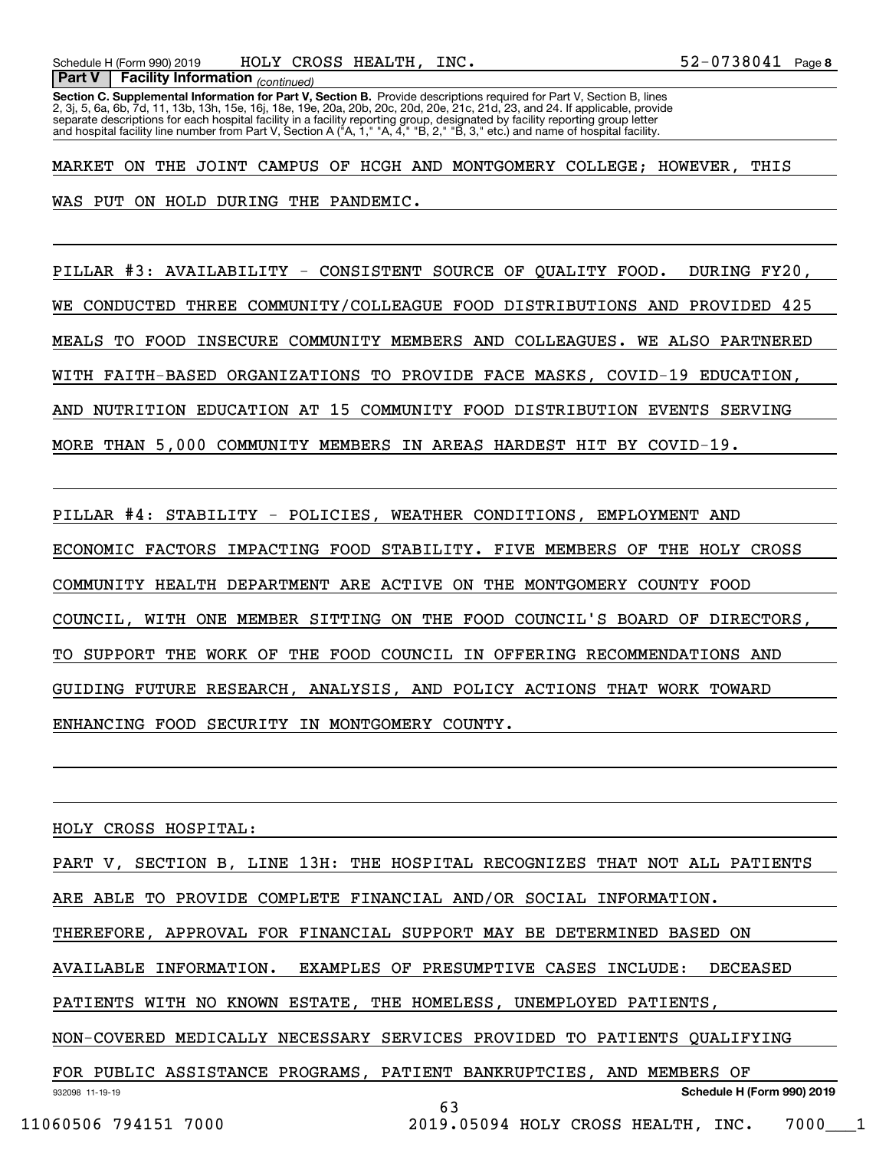**Section C. Supplemental Information for Part V, Section B.** Provide descriptions required for Part V, Section B, lines<br>2, 3j, 5, 6a, 6b, 7d, 11, 13b, 13h, 15e, 16j, 18e, 19e, 20a, 20b, 20c, 20d, 20e, 21c, 21d, 23, and 24.  *(continued)* **Part V Facility Information** separate descriptions for each hospital facility in a facility reporting group, designated by facility reporting group letter<br>and hospital facility line number from Part V, Section A ("A, 1," "A, 4," "B, 2," "B, 3," etc.)

MARKET ON THE JOINT CAMPUS OF HCGH AND MONTGOMERY COLLEGE; HOWEVER, THIS WAS PUT ON HOLD DURING THE PANDEMIC.

PILLAR #3: AVAILABILITY - CONSISTENT SOURCE OF QUALITY FOOD. DURING FY20, WE CONDUCTED THREE COMMUNITY/COLLEAGUE FOOD DISTRIBUTIONS AND PROVIDED 425 MEALS TO FOOD INSECURE COMMUNITY MEMBERS AND COLLEAGUES. WE ALSO PARTNERED WITH FAITH-BASED ORGANIZATIONS TO PROVIDE FACE MASKS, COVID-19 EDUCATION, AND NUTRITION EDUCATION AT 15 COMMUNITY FOOD DISTRIBUTION EVENTS SERVING MORE THAN 5,000 COMMUNITY MEMBERS IN AREAS HARDEST HIT BY COVID-19.

PILLAR #4: STABILITY - POLICIES, WEATHER CONDITIONS, EMPLOYMENT AND ECONOMIC FACTORS IMPACTING FOOD STABILITY. FIVE MEMBERS OF THE HOLY CROSS COMMUNITY HEALTH DEPARTMENT ARE ACTIVE ON THE MONTGOMERY COUNTY FOOD COUNCIL, WITH ONE MEMBER SITTING ON THE FOOD COUNCIL'S BOARD OF DIRECTORS, TO SUPPORT THE WORK OF THE FOOD COUNCIL IN OFFERING RECOMMENDATIONS AND GUIDING FUTURE RESEARCH, ANALYSIS, AND POLICY ACTIONS THAT WORK TOWARD ENHANCING FOOD SECURITY IN MONTGOMERY COUNTY.

HOLY CROSS HOSPITAL:

932098 11-19-19 **Schedule H (Form 990) 2019** PART V, SECTION B, LINE 13H: THE HOSPITAL RECOGNIZES THAT NOT ALL PATIENTS ARE ABLE TO PROVIDE COMPLETE FINANCIAL AND/OR SOCIAL INFORMATION. THEREFORE, APPROVAL FOR FINANCIAL SUPPORT MAY BE DETERMINED BASED ON AVAILABLE INFORMATION. EXAMPLES OF PRESUMPTIVE CASES INCLUDE: DECEASED PATIENTS WITH NO KNOWN ESTATE, THE HOMELESS, UNEMPLOYED PATIENTS, NON-COVERED MEDICALLY NECESSARY SERVICES PROVIDED TO PATIENTS QUALIFYING FOR PUBLIC ASSISTANCE PROGRAMS, PATIENT BANKRUPTCIES, AND MEMBERS OF 63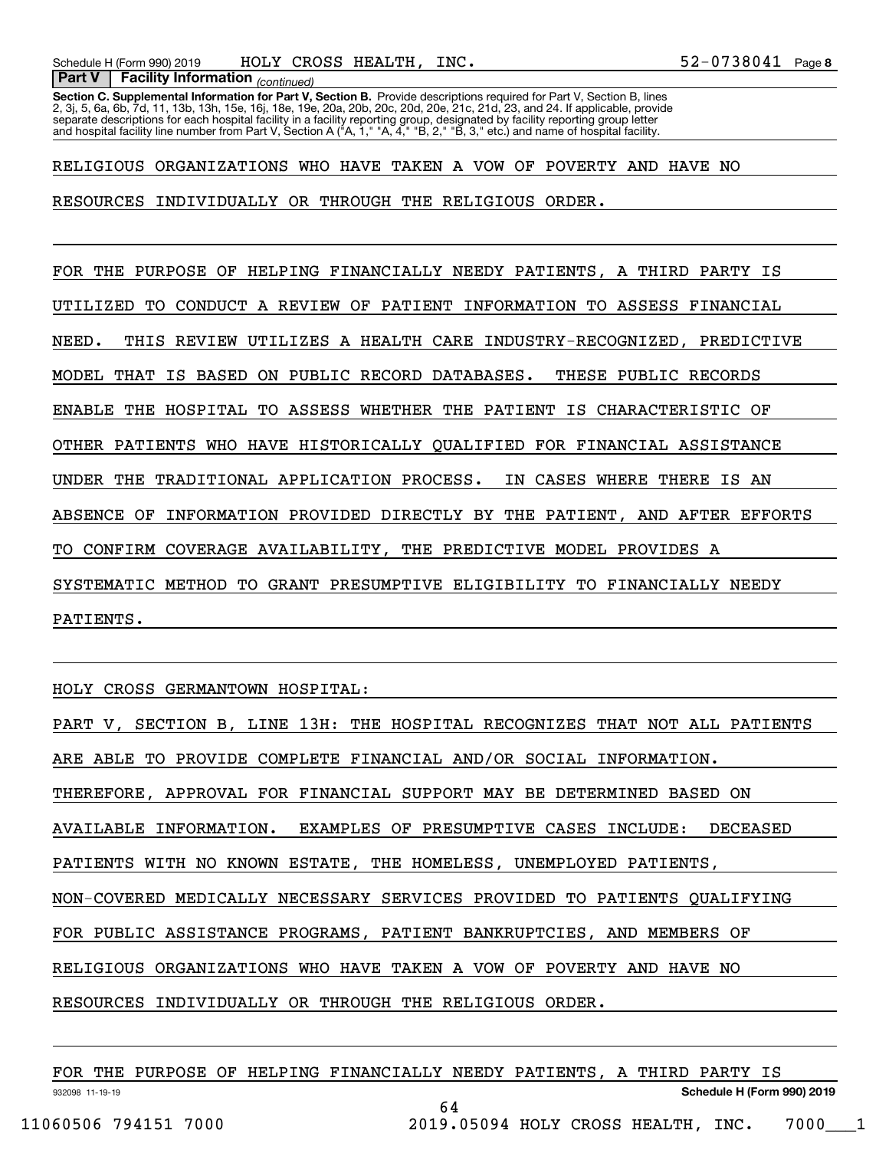**Section C. Supplemental Information for Part V, Section B.** Provide descriptions required for Part V, Section B, lines<br>2, 3j, 5, 6a, 6b, 7d, 11, 13b, 13h, 15e, 16j, 18e, 19e, 20a, 20b, 20c, 20d, 20e, 21c, 21d, 23, and 24. separate descriptions for each hospital facility in a facility reporting group, designated by facility reporting group letter<br>and hospital facility line number from Part V, Section A ("A, 1," "A, 4," "B, 2," "B, 3," etc.)

RELIGIOUS ORGANIZATIONS WHO HAVE TAKEN A VOW OF POVERTY AND HAVE NO

RESOURCES INDIVIDUALLY OR THROUGH THE RELIGIOUS ORDER.

FOR THE PURPOSE OF HELPING FINANCIALLY NEEDY PATIENTS, A THIRD PARTY IS UTILIZED TO CONDUCT A REVIEW OF PATIENT INFORMATION TO ASSESS FINANCIAL NEED. THIS REVIEW UTILIZES A HEALTH CARE INDUSTRY-RECOGNIZED, PREDICTIVE MODEL THAT IS BASED ON PUBLIC RECORD DATABASES. THESE PUBLIC RECORDS ENABLE THE HOSPITAL TO ASSESS WHETHER THE PATIENT IS CHARACTERISTIC OF OTHER PATIENTS WHO HAVE HISTORICALLY QUALIFIED FOR FINANCIAL ASSISTANCE UNDER THE TRADITIONAL APPLICATION PROCESS. IN CASES WHERE THERE IS AN ABSENCE OF INFORMATION PROVIDED DIRECTLY BY THE PATIENT, AND AFTER EFFORTS TO CONFIRM COVERAGE AVAILABILITY, THE PREDICTIVE MODEL PROVIDES A SYSTEMATIC METHOD TO GRANT PRESUMPTIVE ELIGIBILITY TO FINANCIALLY NEEDY PATIENTS.

HOLY CROSS GERMANTOWN HOSPITAL:

PART V, SECTION B, LINE 13H: THE HOSPITAL RECOGNIZES THAT NOT ALL PATIENTS ARE ABLE TO PROVIDE COMPLETE FINANCIAL AND/OR SOCIAL INFORMATION. THEREFORE, APPROVAL FOR FINANCIAL SUPPORT MAY BE DETERMINED BASED ON AVAILABLE INFORMATION. EXAMPLES OF PRESUMPTIVE CASES INCLUDE: DECEASED PATIENTS WITH NO KNOWN ESTATE, THE HOMELESS, UNEMPLOYED PATIENTS, NON-COVERED MEDICALLY NECESSARY SERVICES PROVIDED TO PATIENTS QUALIFYING FOR PUBLIC ASSISTANCE PROGRAMS, PATIENT BANKRUPTCIES, AND MEMBERS OF RELIGIOUS ORGANIZATIONS WHO HAVE TAKEN A VOW OF POVERTY AND HAVE NO RESOURCES INDIVIDUALLY OR THROUGH THE RELIGIOUS ORDER.

932098 11-19-19 **Schedule H (Form 990) 2019** FOR THE PURPOSE OF HELPING FINANCIALLY NEEDY PATIENTS, A THIRD PARTY IS 64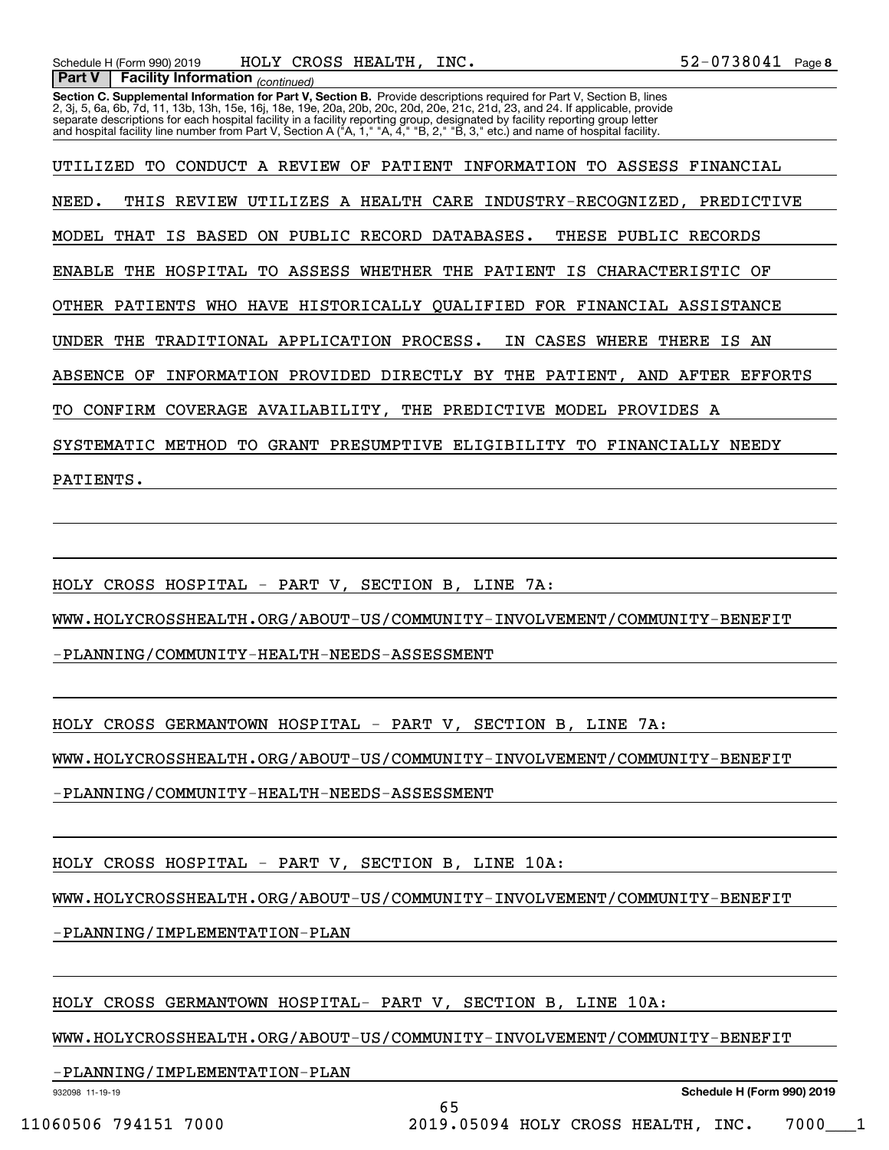**Section C. Supplemental Information for Part V, Section B.** Provide descriptions required for Part V, Section B, lines<br>2, 3j, 5, 6a, 6b, 7d, 11, 13b, 13h, 15e, 16j, 18e, 19e, 20a, 20b, 20c, 20d, 20e, 21c, 21d, 23, and 24.  *(continued)* **Part V Facility Information** separate descriptions for each hospital facility in a facility reporting group, designated by facility reporting group letter<br>and hospital facility line number from Part V, Section A ("A, 1," "A, 4," "B, 2," "B, 3," etc.)

UTILIZED TO CONDUCT A REVIEW OF PATIENT INFORMATION TO ASSESS FINANCIAL NEED. THIS REVIEW UTILIZES A HEALTH CARE INDUSTRY-RECOGNIZED, PREDICTIVE MODEL THAT IS BASED ON PUBLIC RECORD DATABASES. THESE PUBLIC RECORDS ENABLE THE HOSPITAL TO ASSESS WHETHER THE PATIENT IS CHARACTERISTIC OF OTHER PATIENTS WHO HAVE HISTORICALLY QUALIFIED FOR FINANCIAL ASSISTANCE UNDER THE TRADITIONAL APPLICATION PROCESS. IN CASES WHERE THERE IS AN ABSENCE OF INFORMATION PROVIDED DIRECTLY BY THE PATIENT, AND AFTER EFFORTS TO CONFIRM COVERAGE AVAILABILITY, THE PREDICTIVE MODEL PROVIDES A SYSTEMATIC METHOD TO GRANT PRESUMPTIVE ELIGIBILITY TO FINANCIALLY NEEDY PATIENTS.

HOLY CROSS HOSPITAL - PART V, SECTION B, LINE 7A:

WWW.HOLYCROSSHEALTH.ORG/ABOUT-US/COMMUNITY-INVOLVEMENT/COMMUNITY-BENEFIT

-PLANNING/COMMUNITY-HEALTH-NEEDS-ASSESSMENT

HOLY CROSS GERMANTOWN HOSPITAL - PART V, SECTION B, LINE 7A:

WWW.HOLYCROSSHEALTH.ORG/ABOUT-US/COMMUNITY-INVOLVEMENT/COMMUNITY-BENEFIT

-PLANNING/COMMUNITY-HEALTH-NEEDS-ASSESSMENT

HOLY CROSS HOSPITAL - PART V, SECTION B, LINE 10A:

WWW.HOLYCROSSHEALTH.ORG/ABOUT-US/COMMUNITY-INVOLVEMENT/COMMUNITY-BENEFIT

-PLANNING/IMPLEMENTATION-PLAN

HOLY CROSS GERMANTOWN HOSPITAL- PART V, SECTION B, LINE 10A:

WWW.HOLYCROSSHEALTH.ORG/ABOUT-US/COMMUNITY-INVOLVEMENT/COMMUNITY-BENEFIT

-PLANNING/IMPLEMENTATION-PLAN

932098 11-19-19

**Schedule H (Form 990) 2019**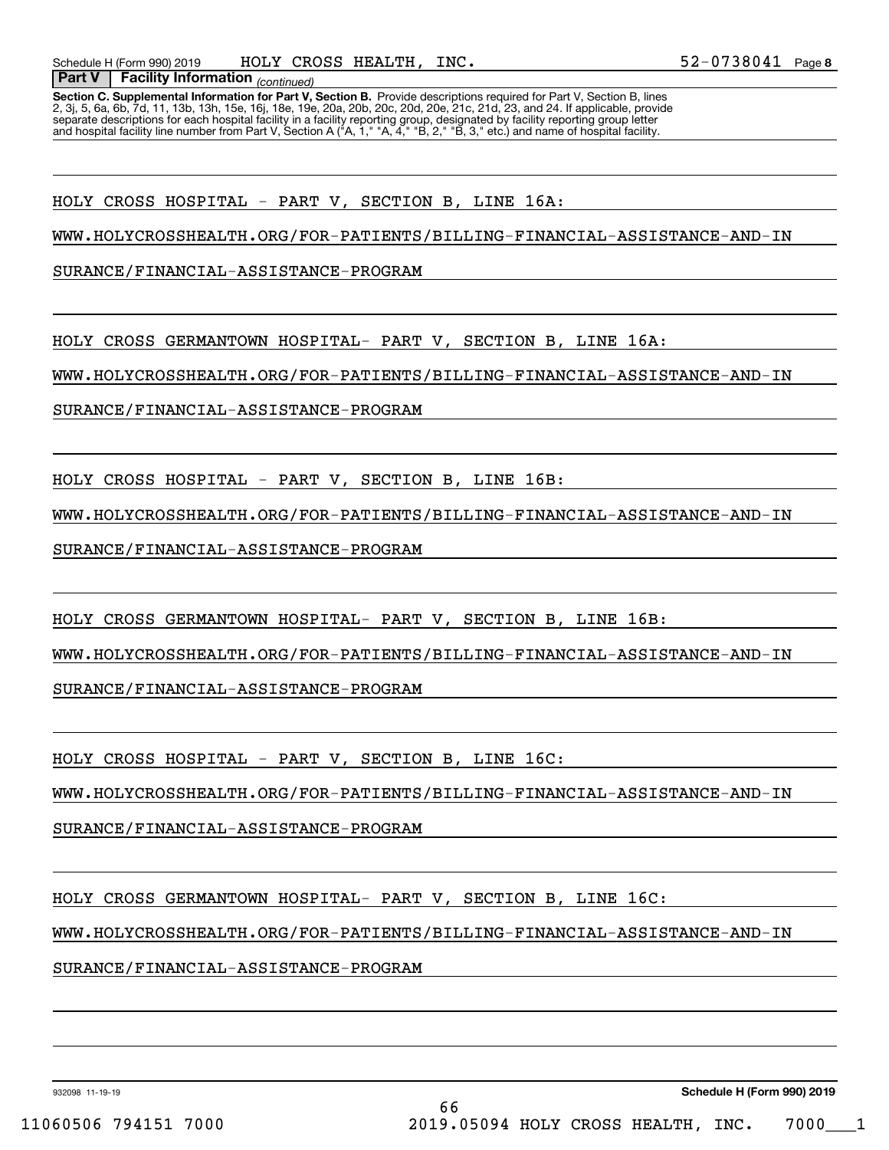**Section C. Supplemental Information for Part V, Section B.** Provide descriptions required for Part V, Section B, lines<br>2, 3j, 5, 6a, 6b, 7d, 11, 13b, 13h, 15e, 16j, 18e, 19e, 20a, 20b, 20c, 20d, 20e, 21c, 21d, 23, and 24. separate descriptions for each hospital facility in a facility reporting group, designated by facility reporting group letter<br>and hospital facility line number from Part V, Section A ("A, 1," "A, 4," "B, 2," "B, 3," etc.)

HOLY CROSS HOSPITAL - PART V, SECTION B, LINE 16A:

WWW.HOLYCROSSHEALTH.ORG/FOR-PATIENTS/BILLING-FINANCIAL-ASSISTANCE-AND-IN

SURANCE/FINANCIAL-ASSISTANCE-PROGRAM

HOLY CROSS GERMANTOWN HOSPITAL- PART V, SECTION B, LINE 16A:

WWW.HOLYCROSSHEALTH.ORG/FOR-PATIENTS/BILLING-FINANCIAL-ASSISTANCE-AND-IN

SURANCE/FINANCIAL-ASSISTANCE-PROGRAM

HOLY CROSS HOSPITAL - PART V, SECTION B, LINE 16B:

WWW.HOLYCROSSHEALTH.ORG/FOR-PATIENTS/BILLING-FINANCIAL-ASSISTANCE-AND-IN

SURANCE/FINANCIAL-ASSISTANCE-PROGRAM

HOLY CROSS GERMANTOWN HOSPITAL- PART V, SECTION B, LINE 16B:

WWW.HOLYCROSSHEALTH.ORG/FOR-PATIENTS/BILLING-FINANCIAL-ASSISTANCE-AND-IN

SURANCE/FINANCIAL-ASSISTANCE-PROGRAM

HOLY CROSS HOSPITAL - PART V, SECTION B, LINE 16C:

WWW.HOLYCROSSHEALTH.ORG/FOR-PATIENTS/BILLING-FINANCIAL-ASSISTANCE-AND-IN

SURANCE/FINANCIAL-ASSISTANCE-PROGRAM

HOLY CROSS GERMANTOWN HOSPITAL- PART V, SECTION B, LINE 16C:

WWW.HOLYCROSSHEALTH.ORG/FOR-PATIENTS/BILLING-FINANCIAL-ASSISTANCE-AND-IN

SURANCE/FINANCIAL-ASSISTANCE-PROGRAM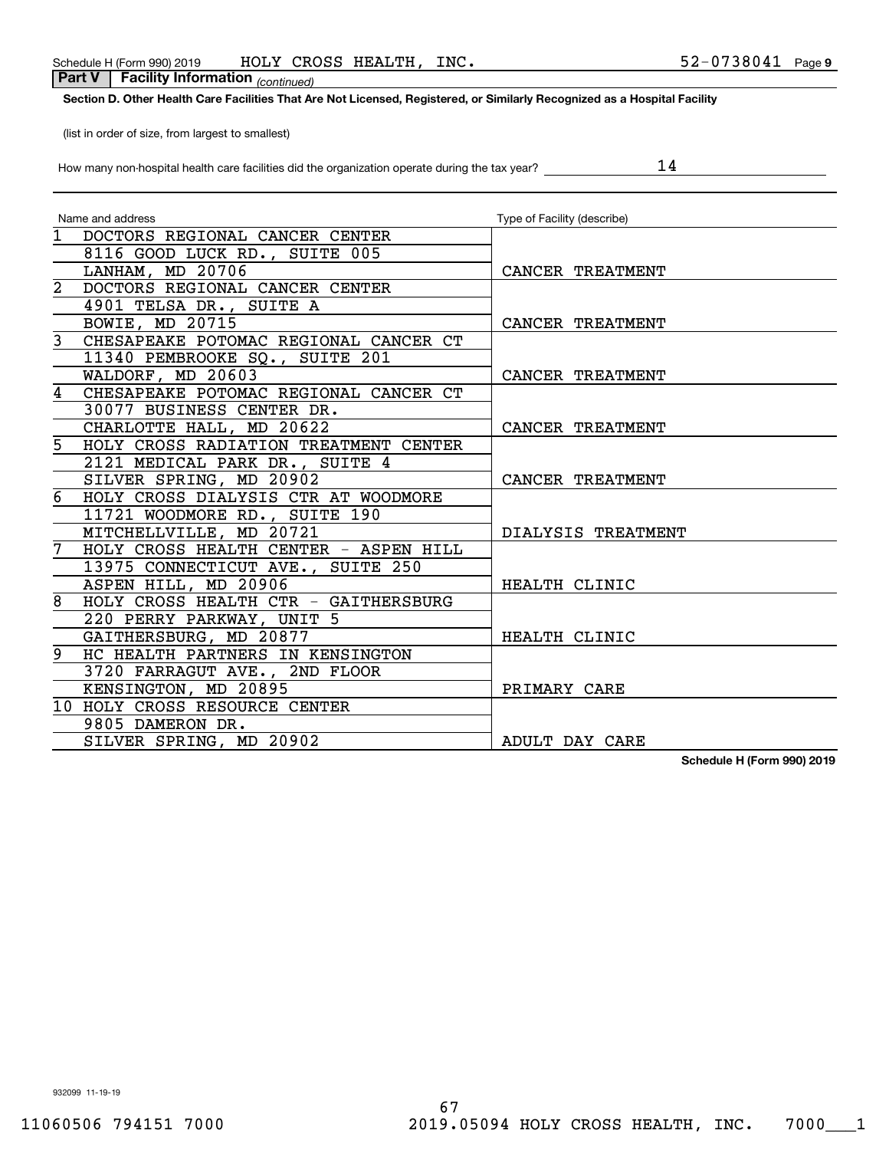# **Section D. Other Health Care Facilities That Are Not Licensed, Registered, or Similarly Recognized as a Hospital Facility**

(list in order of size, from largest to smallest)

How many non-hospital health care facilities did the organization operate during the tax year?

|                | Name and address                        | Type of Facility (describe) |
|----------------|-----------------------------------------|-----------------------------|
|                | 1 DOCTORS REGIONAL CANCER CENTER        |                             |
|                | 8116 GOOD LUCK RD., SUITE 005           |                             |
|                | LANHAM, MD 20706                        | CANCER TREATMENT            |
|                | 2 DOCTORS REGIONAL CANCER CENTER        |                             |
|                | 4901 TELSA DR., SUITE A                 |                             |
|                | BOWIE, MD 20715                         | CANCER TREATMENT            |
|                | 3 CHESAPEAKE POTOMAC REGIONAL CANCER CT |                             |
|                | 11340 PEMBROOKE SQ., SUITE 201          |                             |
|                | WALDORF, MD 20603                       | CANCER TREATMENT            |
|                | 4 CHESAPEAKE POTOMAC REGIONAL CANCER CT |                             |
|                | 30077 BUSINESS CENTER DR.               |                             |
|                | CHARLOTTE HALL, MD 20622                | CANCER TREATMENT            |
|                | 5 HOLY CROSS RADIATION TREATMENT CENTER |                             |
|                | 2121 MEDICAL PARK DR., SUITE 4          |                             |
|                | SILVER SPRING, MD 20902                 | CANCER TREATMENT            |
|                | 6 HOLY CROSS DIALYSIS CTR AT WOODMORE   |                             |
|                | 11721 WOODMORE RD., SUITE 190           |                             |
|                | MITCHELLVILLE, MD 20721                 | DIALYSIS TREATMENT          |
|                | 7 HOLY CROSS HEALTH CENTER - ASPEN HILL |                             |
|                | 13975 CONNECTICUT AVE., SUITE 250       |                             |
|                | ASPEN HILL, MD 20906                    | HEALTH CLINIC               |
| $\overline{8}$ | HOLY CROSS HEALTH CTR - GAITHERSBURG    |                             |
|                | 220 PERRY PARKWAY, UNIT 5               |                             |
|                | GAITHERSBURG, MD 20877                  | HEALTH CLINIC               |
|                | 9 HC HEALTH PARTNERS IN KENSINGTON      |                             |
|                | 3720 FARRAGUT AVE., 2ND FLOOR           |                             |
|                | KENSINGTON, MD 20895                    | PRIMARY CARE                |
|                | 10 HOLY CROSS RESOURCE CENTER           |                             |
|                | 9805 DAMERON DR.                        |                             |
|                | SILVER SPRING, MD 20902                 | ADULT DAY CARE              |

**Schedule H (Form 990) 2019**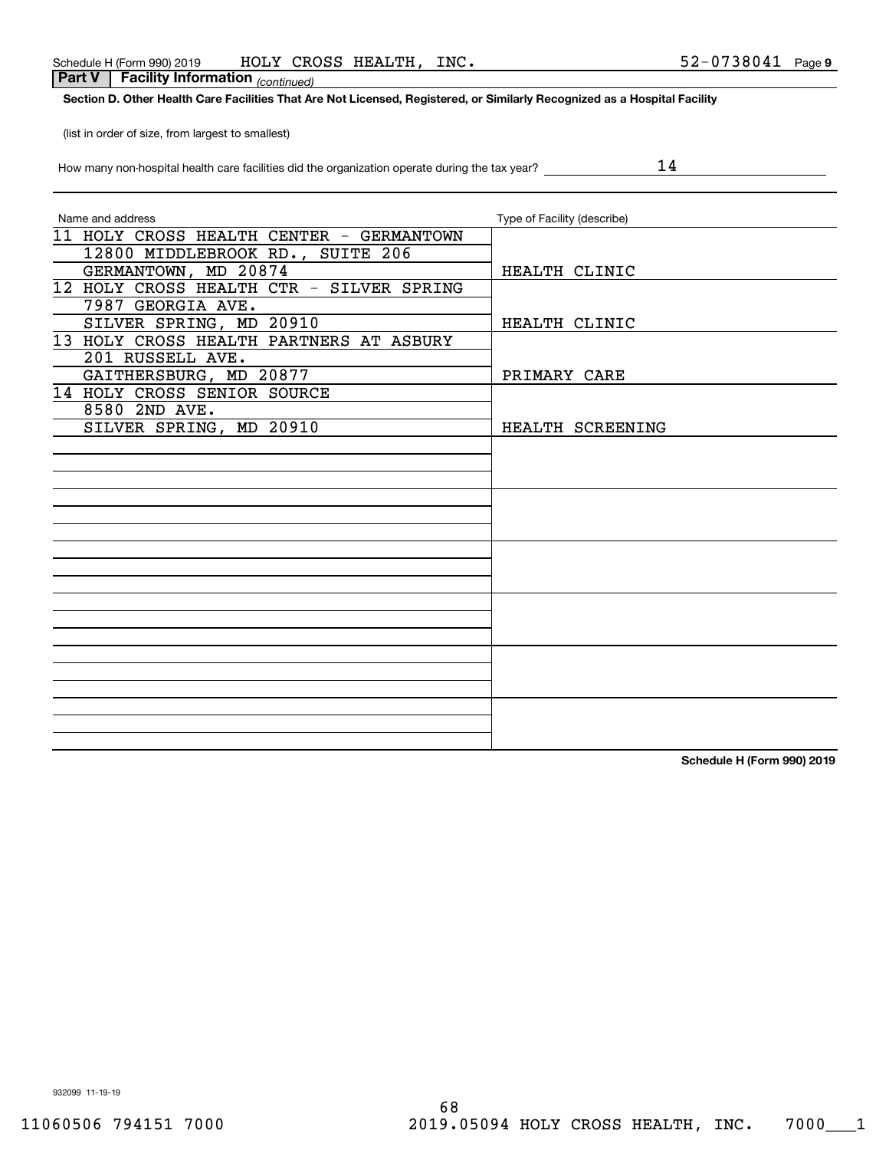## **Section D. Other Health Care Facilities That Are Not Licensed, Registered, or Similarly Recognized as a Hospital Facility**

(list in order of size, from largest to smallest)

|  |  |  | How many non-hospital health care facilities did the organization operate during the tax year? |  |
|--|--|--|------------------------------------------------------------------------------------------------|--|
|  |  |  |                                                                                                |  |

14

| Name and address                         | Type of Facility (describe) |
|------------------------------------------|-----------------------------|
| 11 HOLY CROSS HEALTH CENTER - GERMANTOWN |                             |
| 12800 MIDDLEBROOK RD., SUITE 206         |                             |
| GERMANTOWN, MD 20874                     | HEALTH CLINIC               |
| 12 HOLY CROSS HEALTH CTR - SILVER SPRING |                             |
| 7987 GEORGIA AVE.                        |                             |
| SILVER SPRING, MD 20910                  | HEALTH CLINIC               |
| 13 HOLY CROSS HEALTH PARTNERS AT ASBURY  |                             |
| 201 RUSSELL AVE.                         |                             |
| GAITHERSBURG, MD 20877                   | PRIMARY CARE                |
| 14 HOLY CROSS SENIOR SOURCE              |                             |
| 8580 2ND AVE.                            |                             |
| SILVER SPRING, MD 20910                  | HEALTH SCREENING            |
|                                          |                             |
|                                          |                             |
|                                          |                             |
|                                          |                             |
|                                          |                             |
|                                          |                             |
|                                          |                             |
|                                          |                             |
|                                          |                             |
|                                          |                             |
|                                          |                             |
|                                          |                             |
|                                          |                             |
|                                          |                             |
|                                          |                             |
|                                          |                             |
|                                          |                             |
|                                          |                             |

**Schedule H (Form 990) 2019**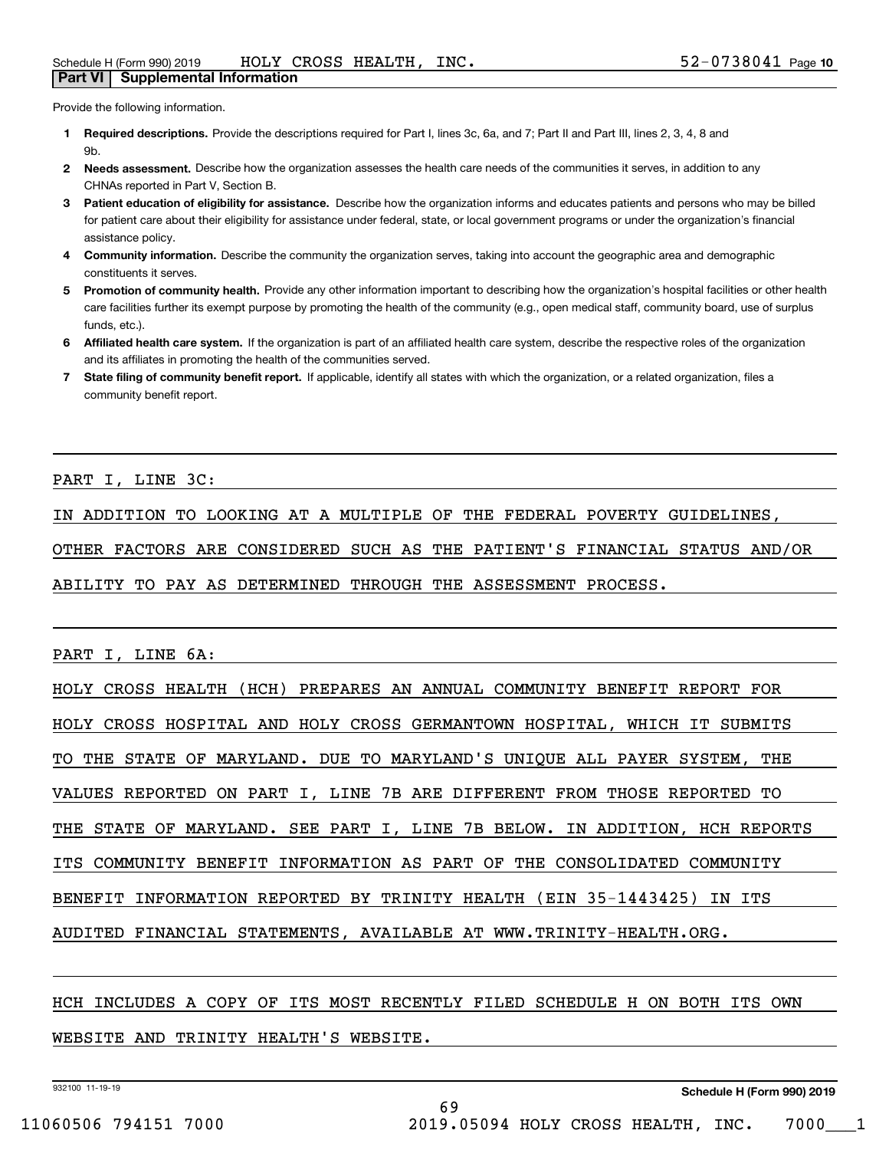Provide the following information.

- **1 Required descriptions.** Provide the descriptions required for Part I, lines 3c, 6a, and 7; Part II and Part III, lines 2, 3, 4, 8 and **Qh**
- **2Needs assessment.** Describe how the organization assesses the health care needs of the communities it serves, in addition to any CHNAs reported in Part V, Section B.
- **3** Patient education of eligibility for assistance. Describe how the organization informs and educates patients and persons who may be billed for patient care about their eligibility for assistance under federal, state, or local government programs or under the organization's financial assistance policy.
- **4 Community information.** Describe the community the organization serves, taking into account the geographic area and demographic constituents it serves.
- 5 Promotion of community health. Provide any other information important to describing how the organization's hospital facilities or other health care facilities further its exempt purpose by promoting the health of the community (e.g., open medical staff, community board, use of surplus funds, etc.).
- **6Affiliated health care system.** If the organization is part of an affiliated health care system, describe the respective roles of the organization and its affiliates in promoting the health of the communities served.
- **7** State filing of community benefit report. If applicable, identify all states with which the organization, or a related organization, files a community benefit report.

PART I, LINE 3C:

IN ADDITION TO LOOKING AT A MULTIPLE OF THE FEDERAL POVERTY GUIDELINES,

OTHER FACTORS ARE CONSIDERED SUCH AS THE PATIENT'S FINANCIAL STATUS AND/OR

ABILITY TO PAY AS DETERMINED THROUGH THE ASSESSMENT PROCESS.

PART I, LINE 6A:

HOLY CROSS HEALTH (HCH) PREPARES AN ANNUAL COMMUNITY BENEFIT REPORT FOR HOLY CROSS HOSPITAL AND HOLY CROSS GERMANTOWN HOSPITAL, WHICH IT SUBMITS TO THE STATE OF MARYLAND. DUE TO MARYLAND'S UNIQUE ALL PAYER SYSTEM, THE VALUES REPORTED ON PART I, LINE 7B ARE DIFFERENT FROM THOSE REPORTED TO THE STATE OF MARYLAND. SEE PART I, LINE 7B BELOW. IN ADDITION, HCH REPORTS ITS COMMUNITY BENEFIT INFORMATION AS PART OF THE CONSOLIDATED COMMUNITY BENEFIT INFORMATION REPORTED BY TRINITY HEALTH (EIN 35-1443425) IN ITS AUDITED FINANCIAL STATEMENTS, AVAILABLE AT WWW.TRINITY-HEALTH.ORG.

HCH INCLUDES A COPY OF ITS MOST RECENTLY FILED SCHEDULE H ON BOTH ITS OWN WEBSITE AND TRINITY HEALTH'S WEBSITE.

69

932100 11-19-19

**Schedule H (Form 990) 2019**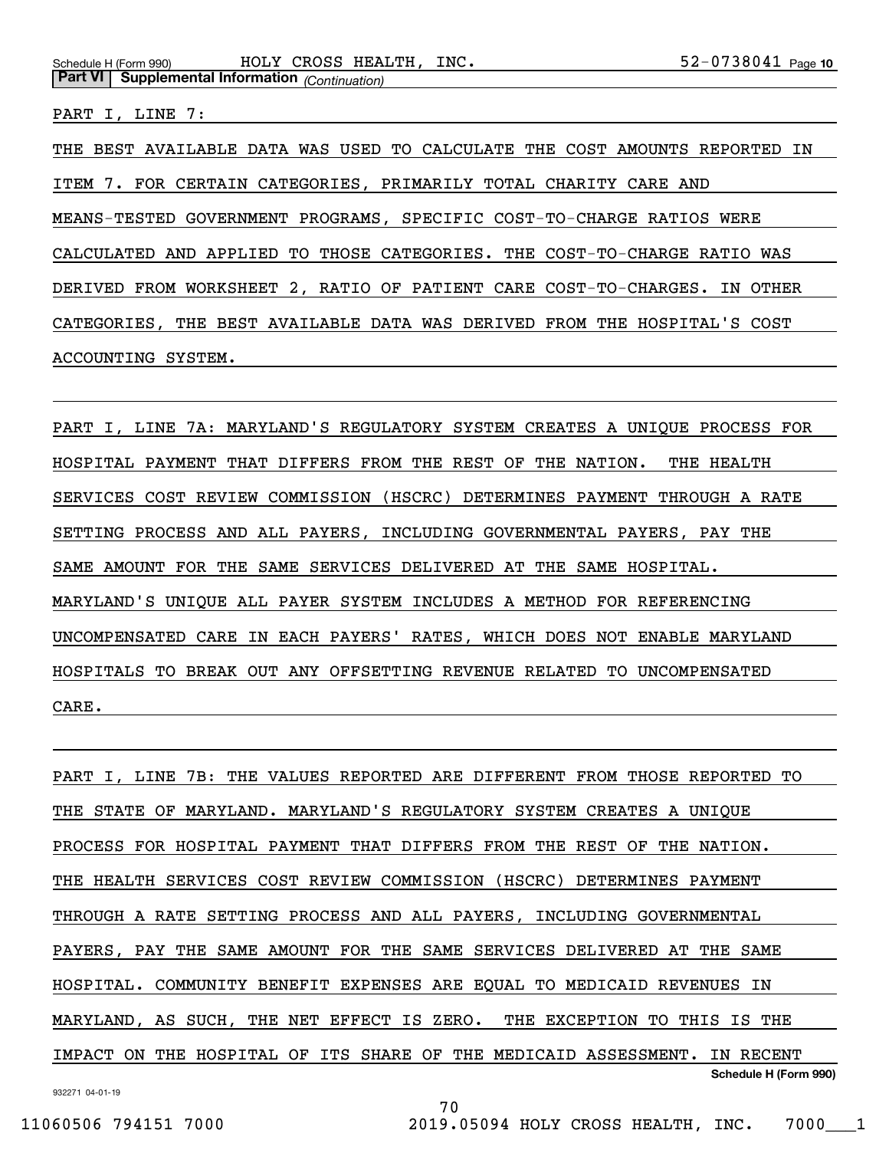PART I, LINE 7:

THE BEST AVAILABLE DATA WAS USED TO CALCULATE THE COST AMOUNTS REPORTED IN ITEM 7. FOR CERTAIN CATEGORIES, PRIMARILY TOTAL CHARITY CARE AND MEANS-TESTED GOVERNMENT PROGRAMS, SPECIFIC COST-TO-CHARGE RATIOS WERE CALCULATED AND APPLIED TO THOSE CATEGORIES. THE COST-TO-CHARGE RATIO WAS DERIVED FROM WORKSHEET 2, RATIO OF PATIENT CARE COST-TO-CHARGES. IN OTHER CATEGORIES, THE BEST AVAILABLE DATA WAS DERIVED FROM THE HOSPITAL'S COST ACCOUNTING SYSTEM.

PART I, LINE 7A: MARYLAND'S REGULATORY SYSTEM CREATES A UNIQUE PROCESS FOR HOSPITAL PAYMENT THAT DIFFERS FROM THE REST OF THE NATION. THE HEALTH SERVICES COST REVIEW COMMISSION (HSCRC) DETERMINES PAYMENT THROUGH A RATE SETTING PROCESS AND ALL PAYERS, INCLUDING GOVERNMENTAL PAYERS, PAY THE SAME AMOUNT FOR THE SAME SERVICES DELIVERED AT THE SAME HOSPITAL. MARYLAND'S UNIQUE ALL PAYER SYSTEM INCLUDES A METHOD FOR REFERENCING UNCOMPENSATED CARE IN EACH PAYERS' RATES, WHICH DOES NOT ENABLE MARYLAND HOSPITALS TO BREAK OUT ANY OFFSETTING REVENUE RELATED TO UNCOMPENSATED CARE.

932271 04-01-19 **Schedule H (Form 990)** PART I, LINE 7B: THE VALUES REPORTED ARE DIFFERENT FROM THOSE REPORTED TO THE STATE OF MARYLAND. MARYLAND'S REGULATORY SYSTEM CREATES A UNIQUE PROCESS FOR HOSPITAL PAYMENT THAT DIFFERS FROM THE REST OF THE NATION. THE HEALTH SERVICES COST REVIEW COMMISSION (HSCRC) DETERMINES PAYMENT THROUGH A RATE SETTING PROCESS AND ALL PAYERS, INCLUDING GOVERNMENTAL PAYERS, PAY THE SAME AMOUNT FOR THE SAME SERVICES DELIVERED AT THE SAME HOSPITAL. COMMUNITY BENEFIT EXPENSES ARE EQUAL TO MEDICAID REVENUES IN MARYLAND, AS SUCH, THE NET EFFECT IS ZERO. THE EXCEPTION TO THIS IS THE IMPACT ON THE HOSPITAL OF ITS SHARE OF THE MEDICAID ASSESSMENT. IN RECENT

70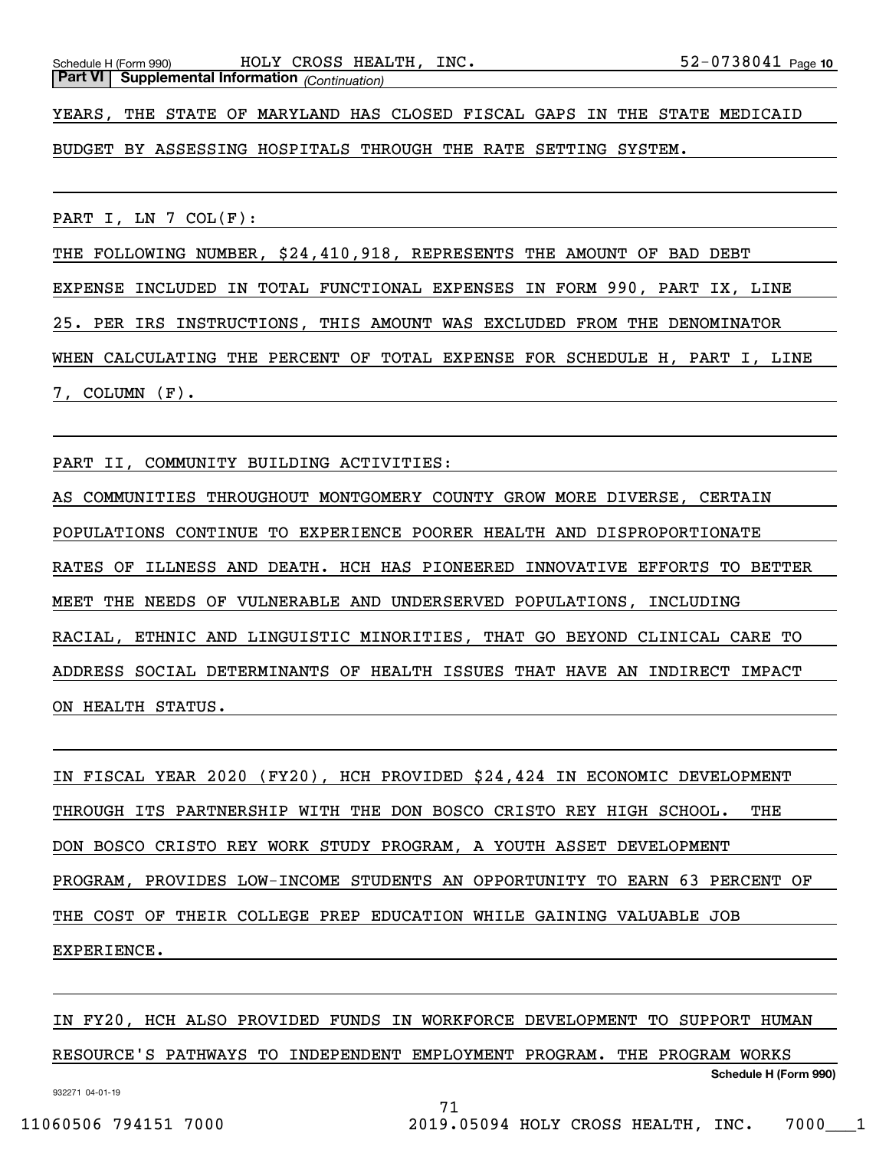Schedule H (Form 990) HOLY CROSS HEALTH, INC 5 2-0 7 3 8 0  $41 Page$ **Part VI Supplemental Information** *(Continuation)*

YEARS, THE STATE OF MARYLAND HAS CLOSED FISCAL GAPS IN THE STATE MEDICAID

BUDGET BY ASSESSING HOSPITALS THROUGH THE RATE SETTING SYSTEM.

PART I, LN  $7$  COL $(F):$ 

THE FOLLOWING NUMBER, \$24,410,918, REPRESENTS THE AMOUNT OF BAD DEBT

EXPENSE INCLUDED IN TOTAL FUNCTIONAL EXPENSES IN FORM 990, PART IX, LINE

25. PER IRS INSTRUCTIONS, THIS AMOUNT WAS EXCLUDED FROM THE DENOMINATOR

WHEN CALCULATING THE PERCENT OF TOTAL EXPENSE FOR SCHEDULE H, PART I, LINE 7, COLUMN (F).

PART II, COMMUNITY BUILDING ACTIVITIES:

AS COMMUNITIES THROUGHOUT MONTGOMERY COUNTY GROW MORE DIVERSE, CERTAIN POPULATIONS CONTINUE TO EXPERIENCE POORER HEALTH AND DISPROPORTIONATE RATES OF ILLNESS AND DEATH. HCH HAS PIONEERED INNOVATIVE EFFORTS TO BETTER MEET THE NEEDS OF VULNERABLE AND UNDERSERVED POPULATIONS, INCLUDING RACIAL, ETHNIC AND LINGUISTIC MINORITIES, THAT GO BEYOND CLINICAL CARE TO ADDRESS SOCIAL DETERMINANTS OF HEALTH ISSUES THAT HAVE AN INDIRECT IMPACT ON HEALTH STATUS.

IN FISCAL YEAR 2020 (FY20), HCH PROVIDED \$24,424 IN ECONOMIC DEVELOPMENT THROUGH ITS PARTNERSHIP WITH THE DON BOSCO CRISTO REY HIGH SCHOOL. THE DON BOSCO CRISTO REY WORK STUDY PROGRAM, A YOUTH ASSET DEVELOPMENT PROGRAM, PROVIDES LOW-INCOME STUDENTS AN OPPORTUNITY TO EARN 63 PERCENT OF THE COST OF THEIR COLLEGE PREP EDUCATION WHILE GAINING VALUABLE JOB EXPERIENCE.

**Schedule H (Form 990)** IN FY20, HCH ALSO PROVIDED FUNDS IN WORKFORCE DEVELOPMENT TO SUPPORT HUMAN RESOURCE'S PATHWAYS TO INDEPENDENT EMPLOYMENT PROGRAM. THE PROGRAM WORKS

71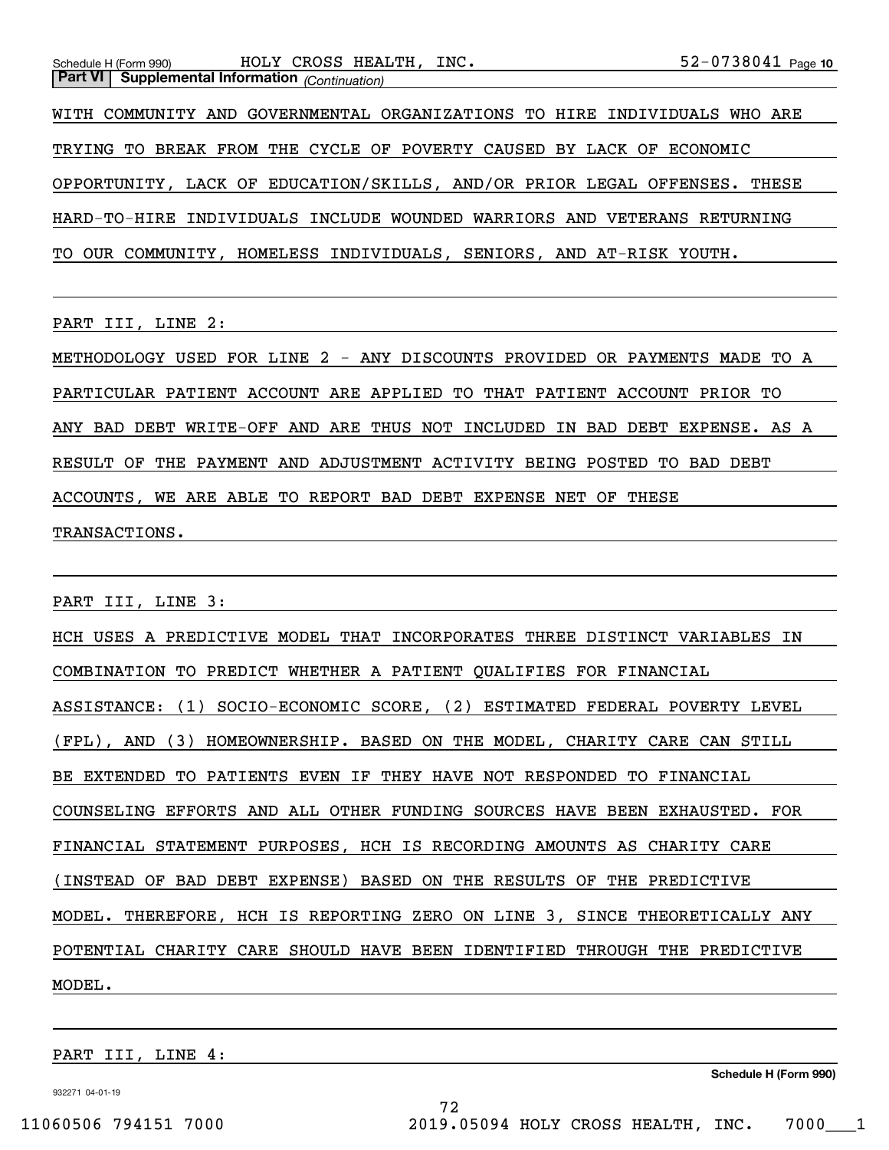WITH COMMUNITY AND GOVERNMENTAL ORGANIZATIONS TO HIRE INDIVIDUALS WHO ARE TRYING TO BREAK FROM THE CYCLE OF POVERTY CAUSED BY LACK OF ECONOMIC OPPORTUNITY, LACK OF EDUCATION/SKILLS, AND/OR PRIOR LEGAL OFFENSES. THESE HARD-TO-HIRE INDIVIDUALS INCLUDE WOUNDED WARRIORS AND VETERANS RETURNING TO OUR COMMUNITY, HOMELESS INDIVIDUALS, SENIORS, AND AT-RISK YOUTH.

PART III, LINE 2:

METHODOLOGY USED FOR LINE 2 - ANY DISCOUNTS PROVIDED OR PAYMENTS MADE TO A PARTICULAR PATIENT ACCOUNT ARE APPLIED TO THAT PATIENT ACCOUNT PRIOR TO ANY BAD DEBT WRITE-OFF AND ARE THUS NOT INCLUDED IN BAD DEBT EXPENSE. AS A RESULT OF THE PAYMENT AND ADJUSTMENT ACTIVITY BEING POSTED TO BAD DEBT ACCOUNTS, WE ARE ABLE TO REPORT BAD DEBT EXPENSE NET OF THESE TRANSACTIONS.

PART III, LINE 3:

HCH USES A PREDICTIVE MODEL THAT INCORPORATES THREE DISTINCT VARIABLES IN COMBINATION TO PREDICT WHETHER A PATIENT QUALIFIES FOR FINANCIAL ASSISTANCE: (1) SOCIO-ECONOMIC SCORE, (2) ESTIMATED FEDERAL POVERTY LEVEL (FPL), AND (3) HOMEOWNERSHIP. BASED ON THE MODEL, CHARITY CARE CAN STILL BE EXTENDED TO PATIENTS EVEN IF THEY HAVE NOT RESPONDED TO FINANCIAL COUNSELING EFFORTS AND ALL OTHER FUNDING SOURCES HAVE BEEN EXHAUSTED. FOR FINANCIAL STATEMENT PURPOSES, HCH IS RECORDING AMOUNTS AS CHARITY CARE (INSTEAD OF BAD DEBT EXPENSE) BASED ON THE RESULTS OF THE PREDICTIVE MODEL. THEREFORE, HCH IS REPORTING ZERO ON LINE 3, SINCE THEORETICALLY ANY POTENTIAL CHARITY CARE SHOULD HAVE BEEN IDENTIFIED THROUGH THE PREDICTIVE MODEL.

72

PART III, LINE 4:

**Schedule H (Form 990)**

932271 04-01-19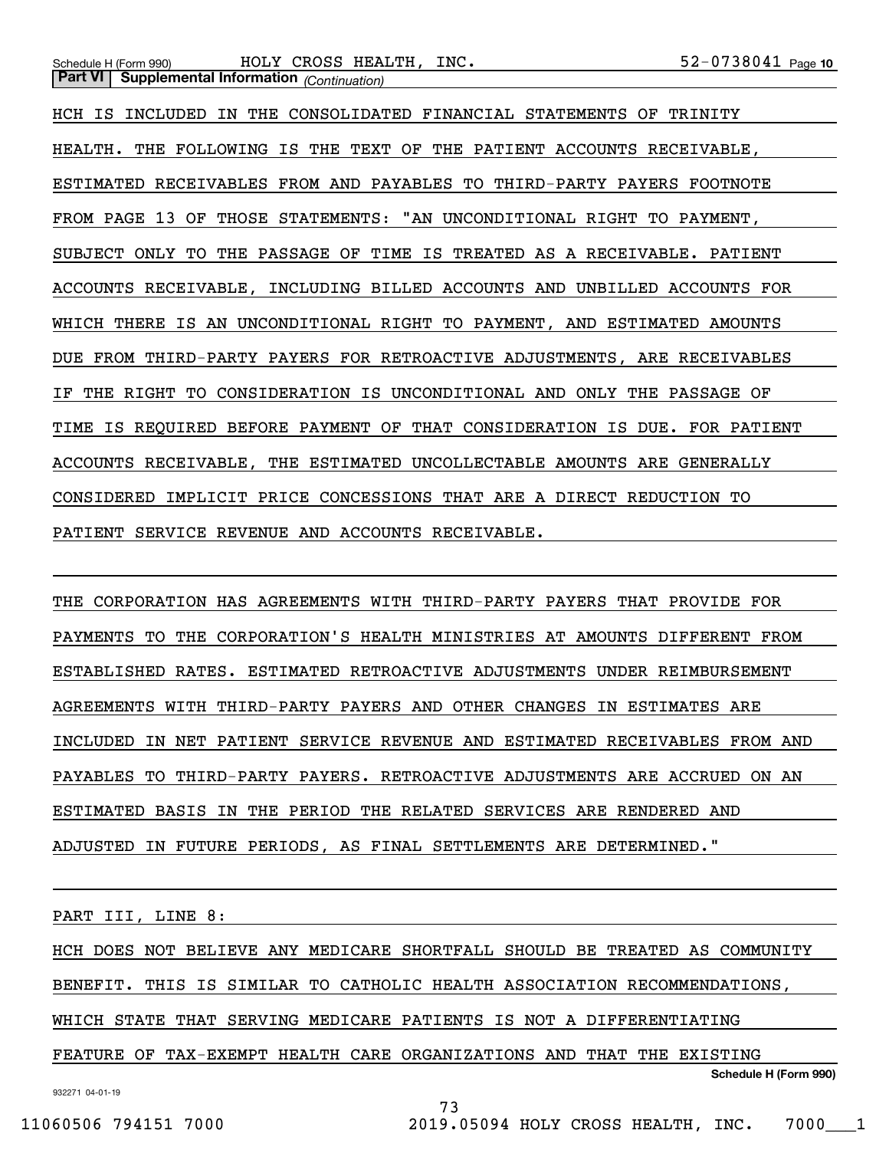Schedule H (Form 990) HOLY CROSS HEALTH, INC 5 2-0 7 3 8 0  $41 Page$ **Part VI Supplemental Information** *(Continuation)*

HCH IS INCLUDED IN THE CONSOLIDATED FINANCIAL STATEMENTS OF TRINITY HEALTH. THE FOLLOWING IS THE TEXT OF THE PATIENT ACCOUNTS RECEIVABLE, ESTIMATED RECEIVABLES FROM AND PAYABLES TO THIRD-PARTY PAYERS FOOTNOTE FROM PAGE 13 OF THOSE STATEMENTS: "AN UNCONDITIONAL RIGHT TO PAYMENT, SUBJECT ONLY TO THE PASSAGE OF TIME IS TREATED AS A RECEIVABLE. PATIENT ACCOUNTS RECEIVABLE, INCLUDING BILLED ACCOUNTS AND UNBILLED ACCOUNTS FOR WHICH THERE IS AN UNCONDITIONAL RIGHT TO PAYMENT, AND ESTIMATED AMOUNTS DUE FROM THIRD-PARTY PAYERS FOR RETROACTIVE ADJUSTMENTS, ARE RECEIVABLES IF THE RIGHT TO CONSIDERATION IS UNCONDITIONAL AND ONLY THE PASSAGE OF TIME IS REQUIRED BEFORE PAYMENT OF THAT CONSIDERATION IS DUE. FOR PATIENT ACCOUNTS RECEIVABLE, THE ESTIMATED UNCOLLECTABLE AMOUNTS ARE GENERALLY CONSIDERED IMPLICIT PRICE CONCESSIONS THAT ARE A DIRECT REDUCTION TO PATIENT SERVICE REVENUE AND ACCOUNTS RECEIVABLE.

THE CORPORATION HAS AGREEMENTS WITH THIRD-PARTY PAYERS THAT PROVIDE FOR PAYMENTS TO THE CORPORATION'S HEALTH MINISTRIES AT AMOUNTS DIFFERENT FROM ESTABLISHED RATES. ESTIMATED RETROACTIVE ADJUSTMENTS UNDER REIMBURSEMENT AGREEMENTS WITH THIRD-PARTY PAYERS AND OTHER CHANGES IN ESTIMATES ARE INCLUDED IN NET PATIENT SERVICE REVENUE AND ESTIMATED RECEIVABLES FROM AND PAYABLES TO THIRD-PARTY PAYERS. RETROACTIVE ADJUSTMENTS ARE ACCRUED ON AN ESTIMATED BASIS IN THE PERIOD THE RELATED SERVICES ARE RENDERED AND ADJUSTED IN FUTURE PERIODS, AS FINAL SETTLEMENTS ARE DETERMINED."

PART III, LINE 8:

HCH DOES NOT BELIEVE ANY MEDICARE SHORTFALL SHOULD BE TREATED AS COMMUNITY BENEFIT. THIS IS SIMILAR TO CATHOLIC HEALTH ASSOCIATION RECOMMENDATIONS, WHICH STATE THAT SERVING MEDICARE PATIENTS IS NOT A DIFFERENTIATING FEATURE OF TAX-EXEMPT HEALTH CARE ORGANIZATIONS AND THAT THE EXISTING

73

**Schedule H (Form 990)**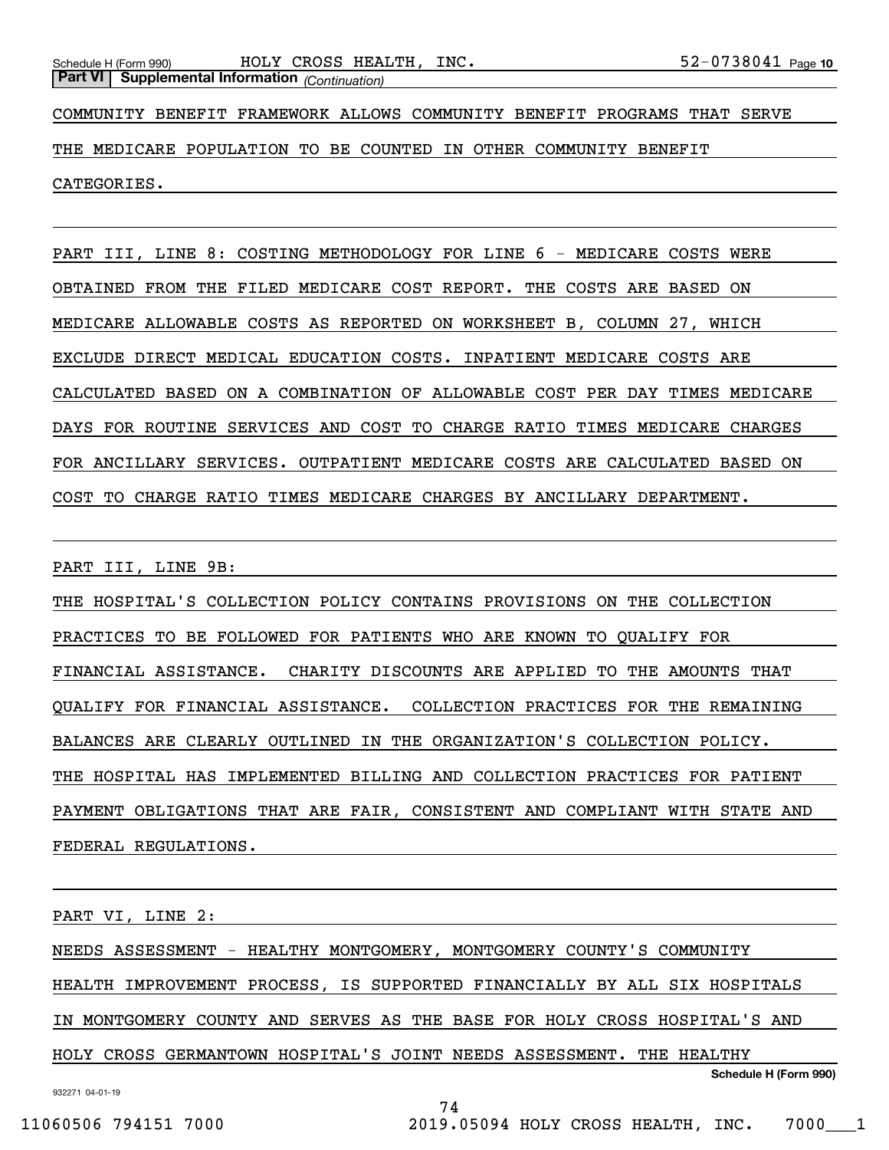COMMUNITY BENEFIT FRAMEWORK ALLOWS COMMUNITY BENEFIT PROGRAMS THAT SERVE THE MEDICARE POPULATION TO BE COUNTED IN OTHER COMMUNITY BENEFIT CATEGORIES.

PART III, LINE 8: COSTING METHODOLOGY FOR LINE 6 - MEDICARE COSTS WERE OBTAINED FROM THE FILED MEDICARE COST REPORT. THE COSTS ARE BASED ON MEDICARE ALLOWABLE COSTS AS REPORTED ON WORKSHEET B, COLUMN 27, WHICH EXCLUDE DIRECT MEDICAL EDUCATION COSTS. INPATIENT MEDICARE COSTS ARE CALCULATED BASED ON A COMBINATION OF ALLOWABLE COST PER DAY TIMES MEDICARE DAYS FOR ROUTINE SERVICES AND COST TO CHARGE RATIO TIMES MEDICARE CHARGES FOR ANCILLARY SERVICES. OUTPATIENT MEDICARE COSTS ARE CALCULATED BASED ON COST TO CHARGE RATIO TIMES MEDICARE CHARGES BY ANCILLARY DEPARTMENT.

PART III, LINE 9B:

THE HOSPITAL'S COLLECTION POLICY CONTAINS PROVISIONS ON THE COLLECTION PRACTICES TO BE FOLLOWED FOR PATIENTS WHO ARE KNOWN TO QUALIFY FOR FINANCIAL ASSISTANCE. CHARITY DISCOUNTS ARE APPLIED TO THE AMOUNTS THAT QUALIFY FOR FINANCIAL ASSISTANCE. COLLECTION PRACTICES FOR THE REMAINING BALANCES ARE CLEARLY OUTLINED IN THE ORGANIZATION'S COLLECTION POLICY. THE HOSPITAL HAS IMPLEMENTED BILLING AND COLLECTION PRACTICES FOR PATIENT PAYMENT OBLIGATIONS THAT ARE FAIR, CONSISTENT AND COMPLIANT WITH STATE AND FEDERAL REGULATIONS.

PART VI, LINE 2:

**Schedule H (Form 990)** NEEDS ASSESSMENT - HEALTHY MONTGOMERY, MONTGOMERY COUNTY'S COMMUNITY HEALTH IMPROVEMENT PROCESS, IS SUPPORTED FINANCIALLY BY ALL SIX HOSPITALS IN MONTGOMERY COUNTY AND SERVES AS THE BASE FOR HOLY CROSS HOSPITAL'S AND HOLY CROSS GERMANTOWN HOSPITAL'S JOINT NEEDS ASSESSMENT. THE HEALTHY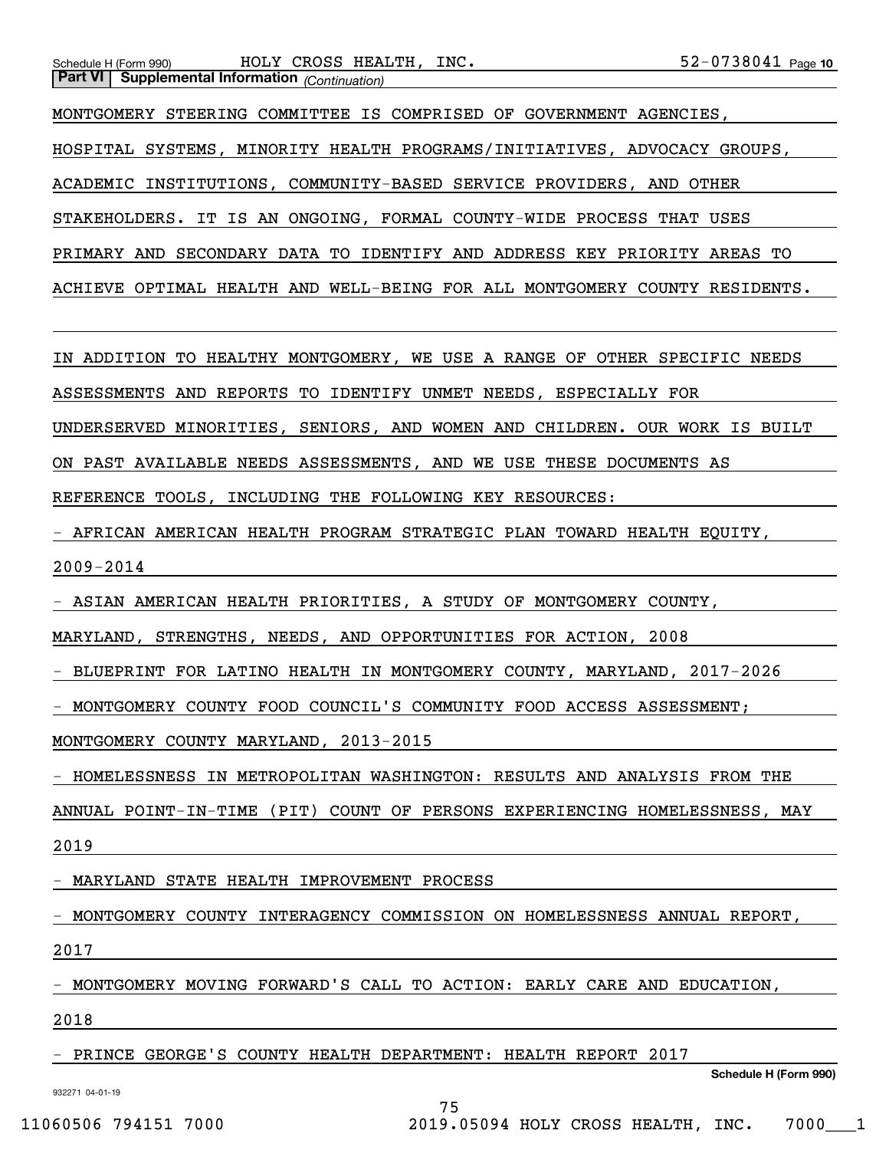## Schedule H (Form 990) HOLY CROSS HEALTH, INC 5 2-0 7 3 8 0  $41 Page$ **Part VI Supplemental Information** *(Continuation)*

MONTGOMERY STEERING COMMITTEE IS COMPRISED OF GOVERNMENT AGENCIES, HOSPITAL SYSTEMS, MINORITY HEALTH PROGRAMS/INITIATIVES, ADVOCACY GROUPS, ACADEMIC INSTITUTIONS, COMMUNITY-BASED SERVICE PROVIDERS, AND OTHER STAKEHOLDERS. IT IS AN ONGOING, FORMAL COUNTY-WIDE PROCESS THAT USES PRIMARY AND SECONDARY DATA TO IDENTIFY AND ADDRESS KEY PRIORITY AREAS TO ACHIEVE OPTIMAL HEALTH AND WELL-BEING FOR ALL MONTGOMERY COUNTY RESIDENTS.

IN ADDITION TO HEALTHY MONTGOMERY, WE USE A RANGE OF OTHER SPECIFIC NEEDS

ASSESSMENTS AND REPORTS TO IDENTIFY UNMET NEEDS, ESPECIALLY FOR

UNDERSERVED MINORITIES, SENIORS, AND WOMEN AND CHILDREN. OUR WORK IS BUILT

ON PAST AVAILABLE NEEDS ASSESSMENTS, AND WE USE THESE DOCUMENTS AS

REFERENCE TOOLS, INCLUDING THE FOLLOWING KEY RESOURCES:

- AFRICAN AMERICAN HEALTH PROGRAM STRATEGIC PLAN TOWARD HEALTH EQUITY, 2009-2014

- ASIAN AMERICAN HEALTH PRIORITIES, A STUDY OF MONTGOMERY COUNTY,

MARYLAND, STRENGTHS, NEEDS, AND OPPORTUNITIES FOR ACTION, 2008

- BLUEPRINT FOR LATINO HEALTH IN MONTGOMERY COUNTY, MARYLAND, 2017-2026

- MONTGOMERY COUNTY FOOD COUNCIL'S COMMUNITY FOOD ACCESS ASSESSMENT;

MONTGOMERY COUNTY MARYLAND, 2013-2015

- HOMELESSNESS IN METROPOLITAN WASHINGTON: RESULTS AND ANALYSIS FROM THE

ANNUAL POINT-IN-TIME (PIT) COUNT OF PERSONS EXPERIENCING HOMELESSNESS, MAY

2019

- MARYLAND STATE HEALTH IMPROVEMENT PROCESS

- MONTGOMERY COUNTY INTERAGENCY COMMISSION ON HOMELESSNESS ANNUAL REPORT,

2017

- MONTGOMERY MOVING FORWARD'S CALL TO ACTION: EARLY CARE AND EDUCATION,

75

2018

PRINCE GEORGE'S COUNTY HEALTH DEPARTMENT: HEALTH REPORT 2017

**Schedule H (Form 990)**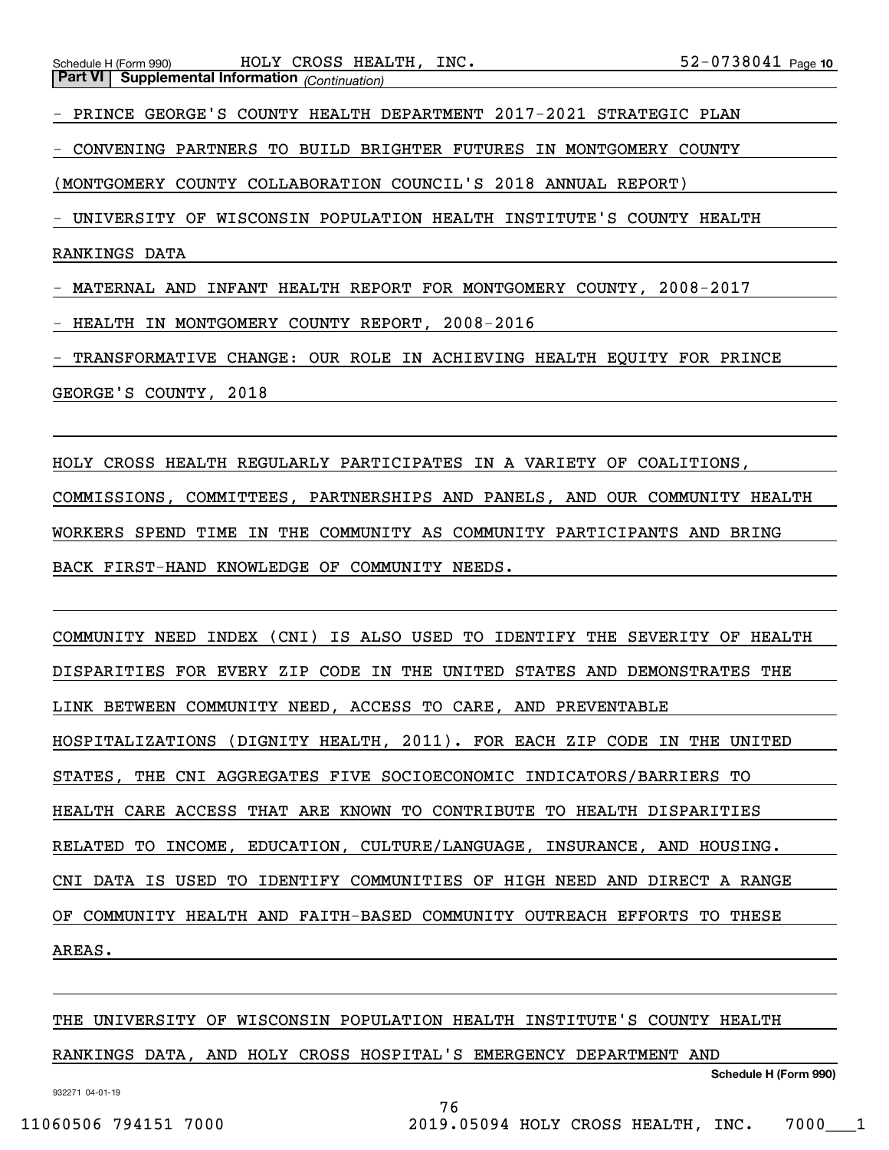- PRINCE GEORGE'S COUNTY HEALTH DEPARTMENT 2017-2021 STRATEGIC PLAN

- CONVENING PARTNERS TO BUILD BRIGHTER FUTURES IN MONTGOMERY COUNTY

(MONTGOMERY COUNTY COLLABORATION COUNCIL'S 2018 ANNUAL REPORT)

- UNIVERSITY OF WISCONSIN POPULATION HEALTH INSTITUTE'S COUNTY HEALTH

RANKINGS DATA

- MATERNAL AND INFANT HEALTH REPORT FOR MONTGOMERY COUNTY, 2008-2017

- HEALTH IN MONTGOMERY COUNTY REPORT, 2008-2016

TRANSFORMATIVE CHANGE: OUR ROLE IN ACHIEVING HEALTH EQUITY FOR PRINCE

GEORGE'S COUNTY, 2018

HOLY CROSS HEALTH REGULARLY PARTICIPATES IN A VARIETY OF COALITIONS, COMMISSIONS, COMMITTEES, PARTNERSHIPS AND PANELS, AND OUR COMMUNITY HEALTH WORKERS SPEND TIME IN THE COMMUNITY AS COMMUNITY PARTICIPANTS AND BRING BACK FIRST-HAND KNOWLEDGE OF COMMUNITY NEEDS.

COMMUNITY NEED INDEX (CNI) IS ALSO USED TO IDENTIFY THE SEVERITY OF HEALTH DISPARITIES FOR EVERY ZIP CODE IN THE UNITED STATES AND DEMONSTRATES THE LINK BETWEEN COMMUNITY NEED, ACCESS TO CARE, AND PREVENTABLE HOSPITALIZATIONS (DIGNITY HEALTH, 2011). FOR EACH ZIP CODE IN THE UNITED STATES, THE CNI AGGREGATES FIVE SOCIOECONOMIC INDICATORS/BARRIERS TO HEALTH CARE ACCESS THAT ARE KNOWN TO CONTRIBUTE TO HEALTH DISPARITIES RELATED TO INCOME, EDUCATION, CULTURE/LANGUAGE, INSURANCE, AND HOUSING. CNI DATA IS USED TO IDENTIFY COMMUNITIES OF HIGH NEED AND DIRECT A RANGE OF COMMUNITY HEALTH AND FAITH-BASED COMMUNITY OUTREACH EFFORTS TO THESE AREAS.

THE UNIVERSITY OF WISCONSIN POPULATION HEALTH INSTITUTE'S COUNTY HEALTH

76

## RANKINGS DATA, AND HOLY CROSS HOSPITAL'S EMERGENCY DEPARTMENT AND

**Schedule H (Form 990)**

11060506 794151 7000 2019.05094 HOLY CROSS HEALTH, INC. 7000\_\_\_1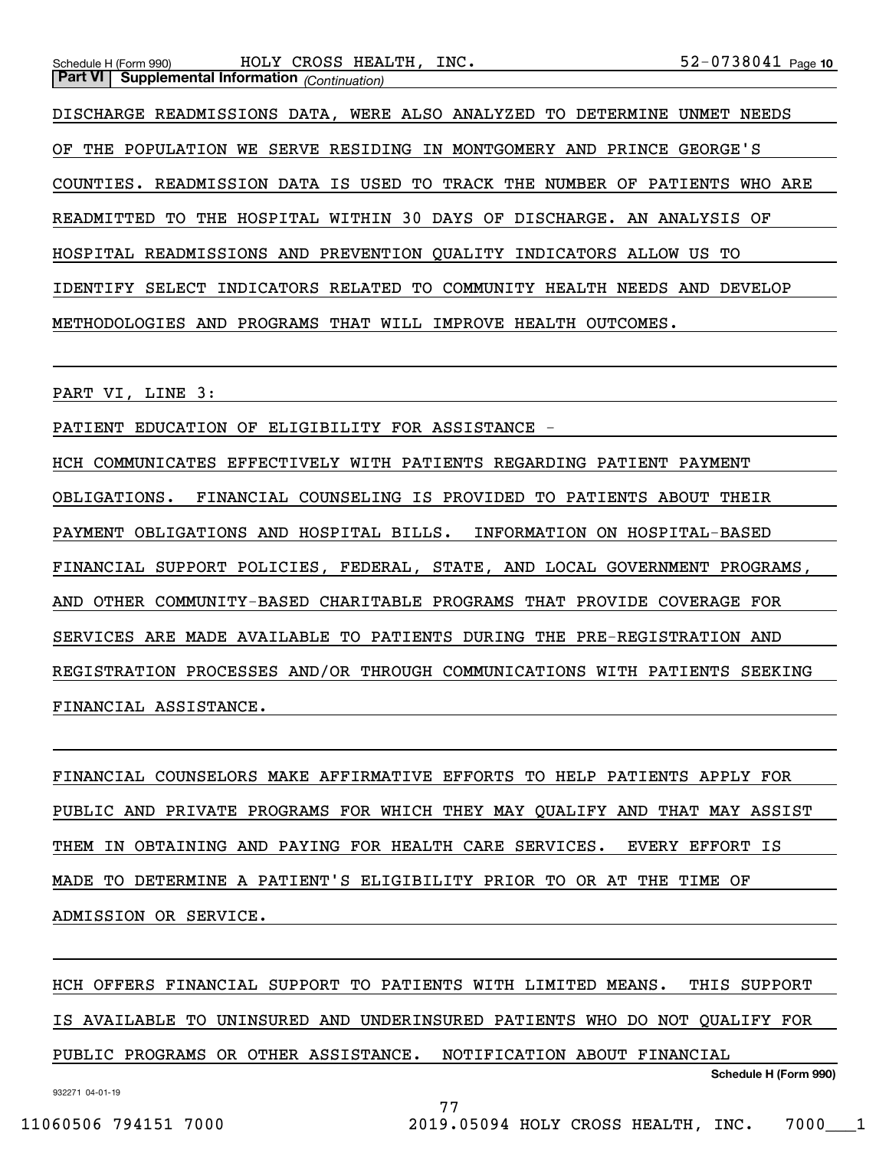DISCHARGE READMISSIONS DATA, WERE ALSO ANALYZED TO DETERMINE UNMET NEEDS OF THE POPULATION WE SERVE RESIDING IN MONTGOMERY AND PRINCE GEORGE'S COUNTIES. READMISSION DATA IS USED TO TRACK THE NUMBER OF PATIENTS WHO ARE READMITTED TO THE HOSPITAL WITHIN 30 DAYS OF DISCHARGE. AN ANALYSIS OF HOSPITAL READMISSIONS AND PREVENTION QUALITY INDICATORS ALLOW US TO IDENTIFY SELECT INDICATORS RELATED TO COMMUNITY HEALTH NEEDS AND DEVELOP METHODOLOGIES AND PROGRAMS THAT WILL IMPROVE HEALTH OUTCOMES.

PART VI, LINE 3:

PATIENT EDUCATION OF ELIGIBILITY FOR ASSISTANCE -

HCH COMMUNICATES EFFECTIVELY WITH PATIENTS REGARDING PATIENT PAYMENT OBLIGATIONS. FINANCIAL COUNSELING IS PROVIDED TO PATIENTS ABOUT THEIR PAYMENT OBLIGATIONS AND HOSPITAL BILLS. INFORMATION ON HOSPITAL-BASED FINANCIAL SUPPORT POLICIES, FEDERAL, STATE, AND LOCAL GOVERNMENT PROGRAMS, AND OTHER COMMUNITY-BASED CHARITABLE PROGRAMS THAT PROVIDE COVERAGE FOR SERVICES ARE MADE AVAILABLE TO PATIENTS DURING THE PRE-REGISTRATION AND REGISTRATION PROCESSES AND/OR THROUGH COMMUNICATIONS WITH PATIENTS SEEKING FINANCIAL ASSISTANCE.

FINANCIAL COUNSELORS MAKE AFFIRMATIVE EFFORTS TO HELP PATIENTS APPLY FOR PUBLIC AND PRIVATE PROGRAMS FOR WHICH THEY MAY QUALIFY AND THAT MAY ASSIST THEM IN OBTAINING AND PAYING FOR HEALTH CARE SERVICES. EVERY EFFORT IS MADE TO DETERMINE A PATIENT'S ELIGIBILITY PRIOR TO OR AT THE TIME OF ADMISSION OR SERVICE.

HCH OFFERS FINANCIAL SUPPORT TO PATIENTS WITH LIMITED MEANS. THIS SUPPORT IS AVAILABLE TO UNINSURED AND UNDERINSURED PATIENTS WHO DO NOT QUALIFY FOR PUBLIC PROGRAMS OR OTHER ASSISTANCE. NOTIFICATION ABOUT FINANCIAL

77

932271 04-01-19

**Schedule H (Form 990)**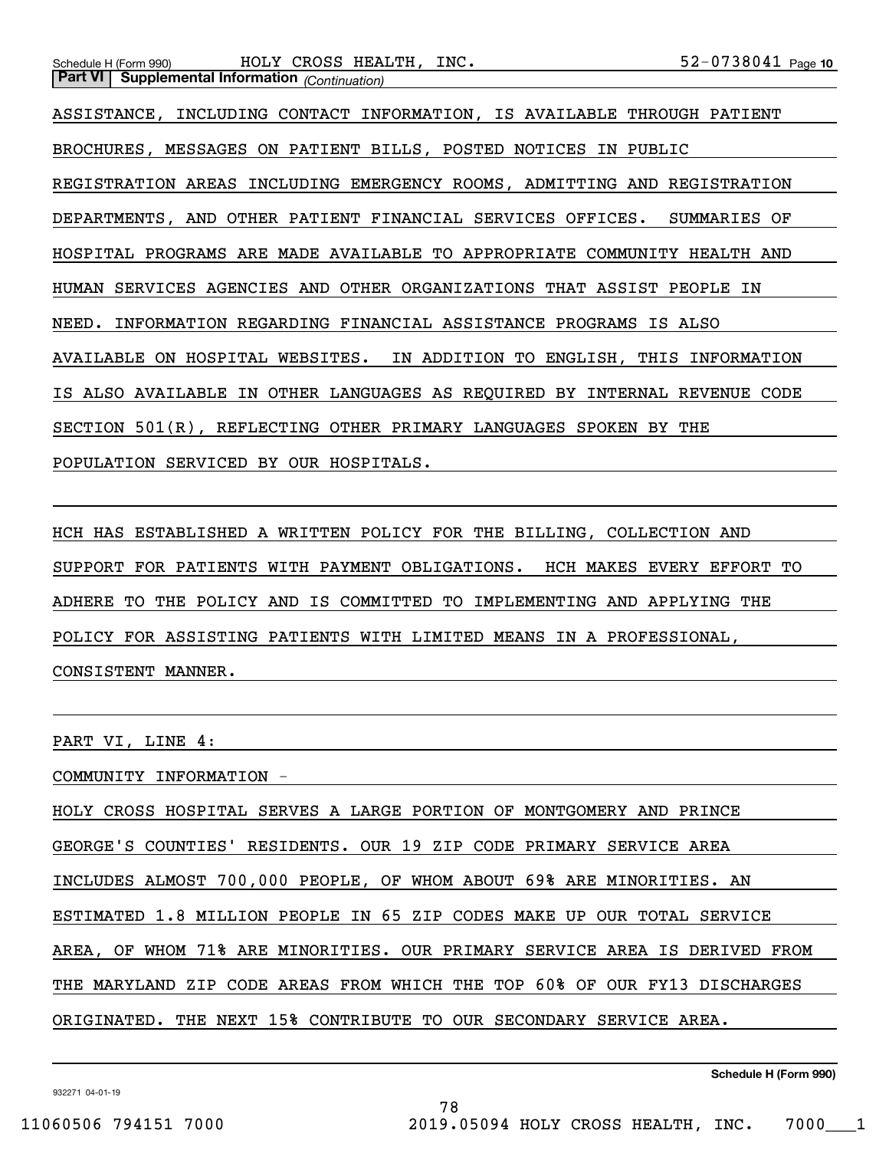**Part VI Supplemental Information** *(Continuation)* ASSISTANCE, INCLUDING CONTACT INFORMATION, IS AVAILABLE THROUGH PATIENT BROCHURES, MESSAGES ON PATIENT BILLS, POSTED NOTICES IN PUBLIC REGISTRATION AREAS INCLUDING EMERGENCY ROOMS, ADMITTING AND REGISTRATION DEPARTMENTS, AND OTHER PATIENT FINANCIAL SERVICES OFFICES. SUMMARIES OF HOSPITAL PROGRAMS ARE MADE AVAILABLE TO APPROPRIATE COMMUNITY HEALTH AND HUMAN SERVICES AGENCIES AND OTHER ORGANIZATIONS THAT ASSIST PEOPLE IN NEED. INFORMATION REGARDING FINANCIAL ASSISTANCE PROGRAMS IS ALSO AVAILABLE ON HOSPITAL WEBSITES. IN ADDITION TO ENGLISH, THIS INFORMATION IS ALSO AVAILABLE IN OTHER LANGUAGES AS REQUIRED BY INTERNAL REVENUE CODE SECTION 501(R), REFLECTING OTHER PRIMARY LANGUAGES SPOKEN BY THE POPULATION SERVICED BY OUR HOSPITALS.

HCH HAS ESTABLISHED A WRITTEN POLICY FOR THE BILLING, COLLECTION AND SUPPORT FOR PATIENTS WITH PAYMENT OBLIGATIONS. HCH MAKES EVERY EFFORT TO ADHERE TO THE POLICY AND IS COMMITTED TO IMPLEMENTING AND APPLYING THE POLICY FOR ASSISTING PATIENTS WITH LIMITED MEANS IN A PROFESSIONAL, CONSISTENT MANNER.

PART VI, LINE 4:

COMMUNITY INFORMATION -

HOLY CROSS HOSPITAL SERVES A LARGE PORTION OF MONTGOMERY AND PRINCE GEORGE'S COUNTIES' RESIDENTS. OUR 19 ZIP CODE PRIMARY SERVICE AREA INCLUDES ALMOST 700,000 PEOPLE, OF WHOM ABOUT 69% ARE MINORITIES. AN ESTIMATED 1.8 MILLION PEOPLE IN 65 ZIP CODES MAKE UP OUR TOTAL SERVICE AREA, OF WHOM 71% ARE MINORITIES. OUR PRIMARY SERVICE AREA IS DERIVED FROM THE MARYLAND ZIP CODE AREAS FROM WHICH THE TOP 60% OF OUR FY13 DISCHARGES ORIGINATED. THE NEXT 15% CONTRIBUTE TO OUR SECONDARY SERVICE AREA.

78

932271 04-01-19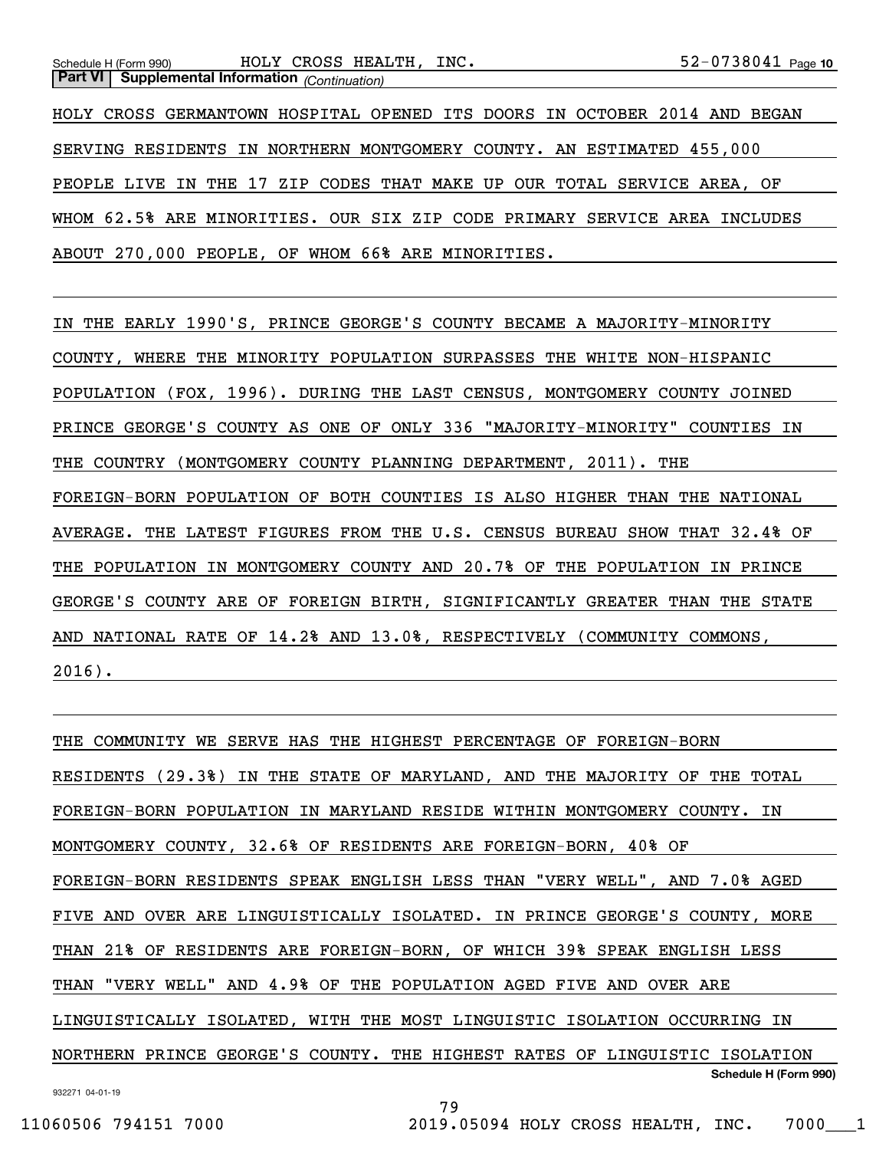HOLY CROSS GERMANTOWN HOSPITAL OPENED ITS DOORS IN OCTOBER 2014 AND BEGAN SERVING RESIDENTS IN NORTHERN MONTGOMERY COUNTY. AN ESTIMATED 455,000 PEOPLE LIVE IN THE 17 ZIP CODES THAT MAKE UP OUR TOTAL SERVICE AREA, OF WHOM 62.5% ARE MINORITIES. OUR SIX ZIP CODE PRIMARY SERVICE AREA INCLUDES ABOUT 270,000 PEOPLE, OF WHOM 66% ARE MINORITIES.

IN THE EARLY 1990'S, PRINCE GEORGE'S COUNTY BECAME A MAJORITY-MINORITY COUNTY, WHERE THE MINORITY POPULATION SURPASSES THE WHITE NON-HISPANIC POPULATION (FOX, 1996). DURING THE LAST CENSUS, MONTGOMERY COUNTY JOINED PRINCE GEORGE'S COUNTY AS ONE OF ONLY 336 "MAJORITY-MINORITY" COUNTIES IN THE COUNTRY (MONTGOMERY COUNTY PLANNING DEPARTMENT, 2011). THE FOREIGN-BORN POPULATION OF BOTH COUNTIES IS ALSO HIGHER THAN THE NATIONAL AVERAGE. THE LATEST FIGURES FROM THE U.S. CENSUS BUREAU SHOW THAT 32.4% OF THE POPULATION IN MONTGOMERY COUNTY AND 20.7% OF THE POPULATION IN PRINCE GEORGE'S COUNTY ARE OF FOREIGN BIRTH, SIGNIFICANTLY GREATER THAN THE STATE AND NATIONAL RATE OF 14.2% AND 13.0%, RESPECTIVELY (COMMUNITY COMMONS, 2016).

932271 04-01-19 **Schedule H (Form 990)** THE COMMUNITY WE SERVE HAS THE HIGHEST PERCENTAGE OF FOREIGN-BORN RESIDENTS (29.3%) IN THE STATE OF MARYLAND, AND THE MAJORITY OF THE TOTAL FOREIGN-BORN POPULATION IN MARYLAND RESIDE WITHIN MONTGOMERY COUNTY. IN MONTGOMERY COUNTY, 32.6% OF RESIDENTS ARE FOREIGN-BORN, 40% OF FOREIGN-BORN RESIDENTS SPEAK ENGLISH LESS THAN "VERY WELL", AND 7.0% AGED FIVE AND OVER ARE LINGUISTICALLY ISOLATED. IN PRINCE GEORGE'S COUNTY, MORE THAN 21% OF RESIDENTS ARE FOREIGN-BORN, OF WHICH 39% SPEAK ENGLISH LESS THAN "VERY WELL" AND 4.9% OF THE POPULATION AGED FIVE AND OVER ARE LINGUISTICALLY ISOLATED, WITH THE MOST LINGUISTIC ISOLATION OCCURRING IN NORTHERN PRINCE GEORGE'S COUNTY. THE HIGHEST RATES OF LINGUISTIC ISOLATION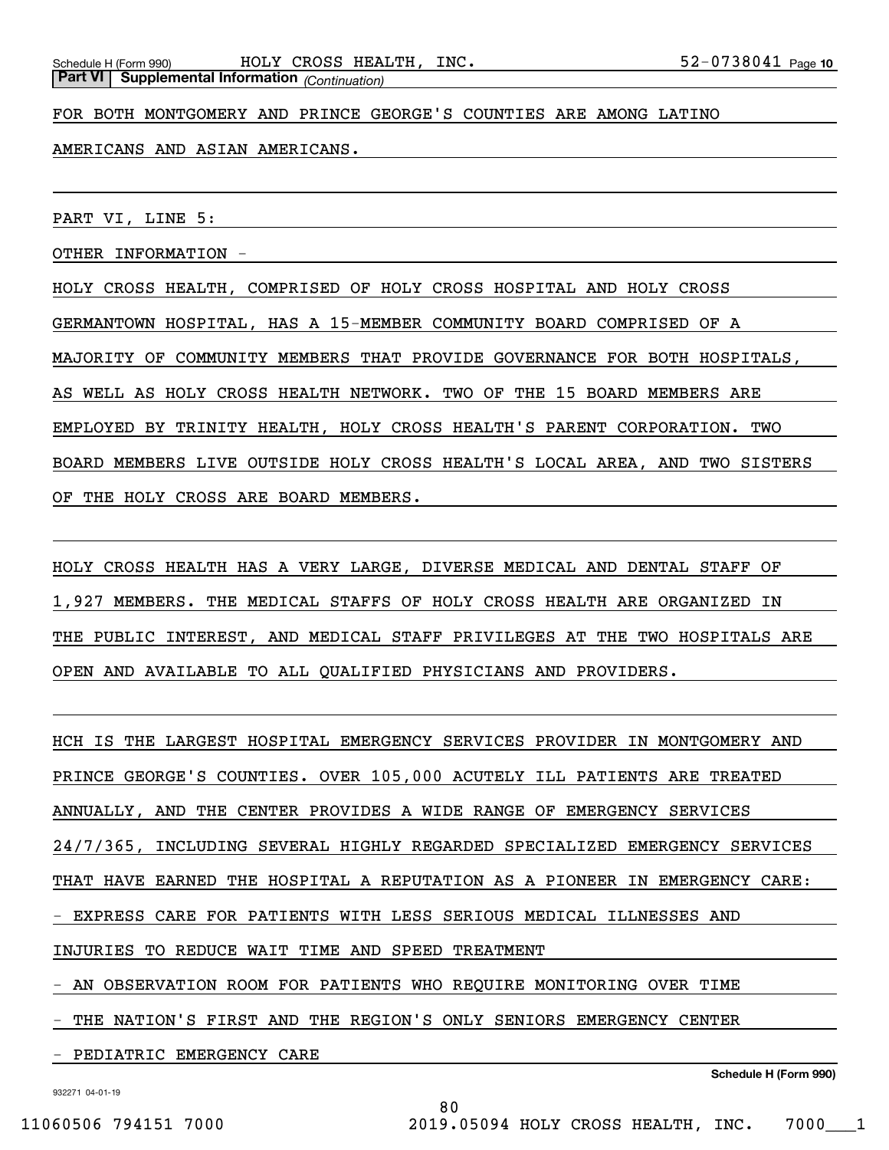FOR BOTH MONTGOMERY AND PRINCE GEORGE'S COUNTIES ARE AMONG LATINO

AMERICANS AND ASIAN AMERICANS.

PART VI, LINE 5:

OTHER INFORMATION -

HOLY CROSS HEALTH, COMPRISED OF HOLY CROSS HOSPITAL AND HOLY CROSS GERMANTOWN HOSPITAL, HAS A 15-MEMBER COMMUNITY BOARD COMPRISED OF A MAJORITY OF COMMUNITY MEMBERS THAT PROVIDE GOVERNANCE FOR BOTH HOSPITALS, AS WELL AS HOLY CROSS HEALTH NETWORK. TWO OF THE 15 BOARD MEMBERS ARE EMPLOYED BY TRINITY HEALTH, HOLY CROSS HEALTH'S PARENT CORPORATION. TWO BOARD MEMBERS LIVE OUTSIDE HOLY CROSS HEALTH'S LOCAL AREA, AND TWO SISTERS OF THE HOLY CROSS ARE BOARD MEMBERS.

HOLY CROSS HEALTH HAS A VERY LARGE, DIVERSE MEDICAL AND DENTAL STAFF OF 1,927 MEMBERS. THE MEDICAL STAFFS OF HOLY CROSS HEALTH ARE ORGANIZED IN THE PUBLIC INTEREST, AND MEDICAL STAFF PRIVILEGES AT THE TWO HOSPITALS ARE OPEN AND AVAILABLE TO ALL QUALIFIED PHYSICIANS AND PROVIDERS.

HCH IS THE LARGEST HOSPITAL EMERGENCY SERVICES PROVIDER IN MONTGOMERY AND PRINCE GEORGE'S COUNTIES. OVER 105,000 ACUTELY ILL PATIENTS ARE TREATED ANNUALLY, AND THE CENTER PROVIDES A WIDE RANGE OF EMERGENCY SERVICES 24/7/365, INCLUDING SEVERAL HIGHLY REGARDED SPECIALIZED EMERGENCY SERVICES THAT HAVE EARNED THE HOSPITAL A REPUTATION AS A PIONEER IN EMERGENCY CARE: - EXPRESS CARE FOR PATIENTS WITH LESS SERIOUS MEDICAL ILLNESSES AND INJURIES TO REDUCE WAIT TIME AND SPEED TREATMENT - AN OBSERVATION ROOM FOR PATIENTS WHO REQUIRE MONITORING OVER TIME

80

- THE NATION'S FIRST AND THE REGION'S ONLY SENIORS EMERGENCY CENTER

PEDIATRIC EMERGENCY CARE

**Schedule H (Form 990)**

932271 04-01-19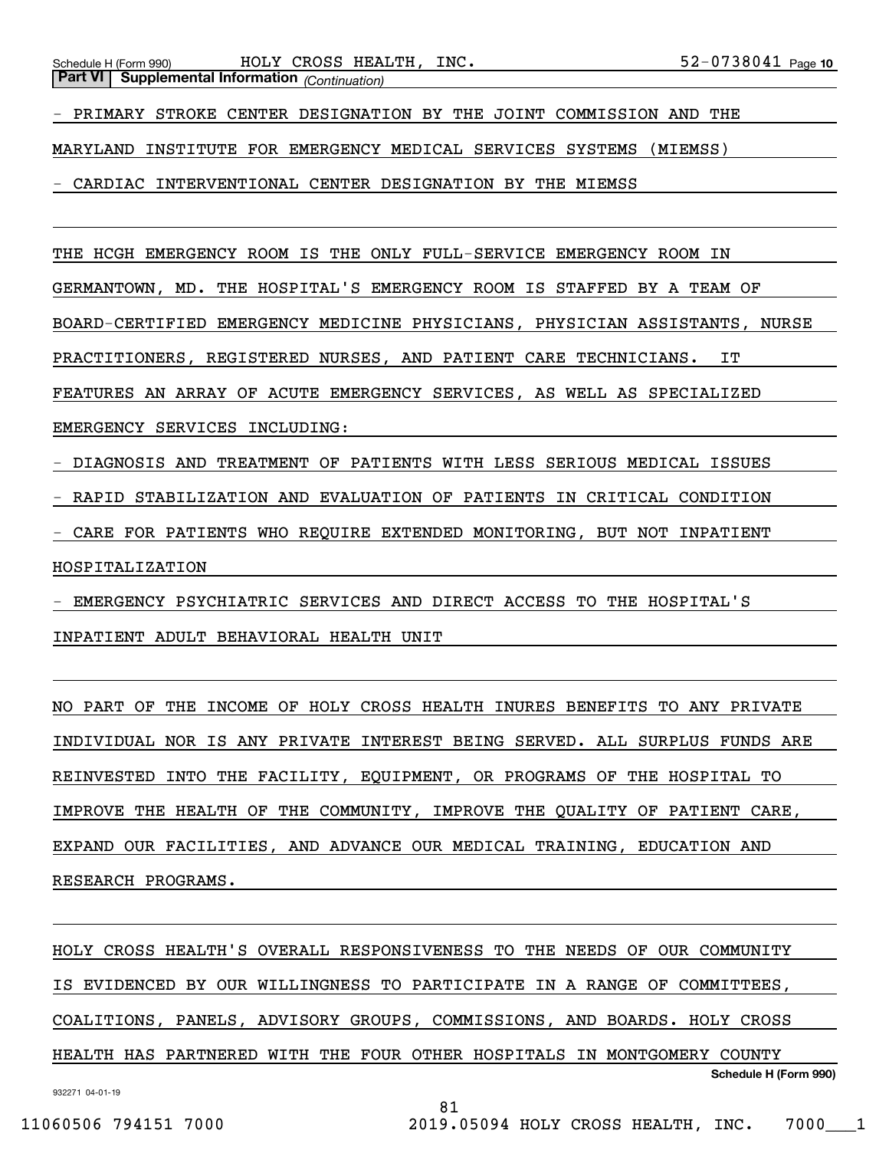- PRIMARY STROKE CENTER DESIGNATION BY THE JOINT COMMISSION AND THE

MARYLAND INSTITUTE FOR EMERGENCY MEDICAL SERVICES SYSTEMS (MIEMSS)

- CARDIAC INTERVENTIONAL CENTER DESIGNATION BY THE MIEMSS

THE HCGH EMERGENCY ROOM IS THE ONLY FULL-SERVICE EMERGENCY ROOM IN

GERMANTOWN, MD. THE HOSPITAL'S EMERGENCY ROOM IS STAFFED BY A TEAM OF

BOARD-CERTIFIED EMERGENCY MEDICINE PHYSICIANS, PHYSICIAN ASSISTANTS, NURSE

PRACTITIONERS, REGISTERED NURSES, AND PATIENT CARE TECHNICIANS. IT

FEATURES AN ARRAY OF ACUTE EMERGENCY SERVICES, AS WELL AS SPECIALIZED

EMERGENCY SERVICES INCLUDING:

- DIAGNOSIS AND TREATMENT OF PATIENTS WITH LESS SERIOUS MEDICAL ISSUES

- RAPID STABILIZATION AND EVALUATION OF PATIENTS IN CRITICAL CONDITION

- CARE FOR PATIENTS WHO REQUIRE EXTENDED MONITORING, BUT NOT INPATIENT

HOSPITALIZATION

- EMERGENCY PSYCHIATRIC SERVICES AND DIRECT ACCESS TO THE HOSPITAL'S

INPATIENT ADULT BEHAVIORAL HEALTH UNIT

NO PART OF THE INCOME OF HOLY CROSS HEALTH INURES BENEFITS TO ANY PRIVATE INDIVIDUAL NOR IS ANY PRIVATE INTEREST BEING SERVED. ALL SURPLUS FUNDS ARE REINVESTED INTO THE FACILITY, EQUIPMENT, OR PROGRAMS OF THE HOSPITAL TO IMPROVE THE HEALTH OF THE COMMUNITY, IMPROVE THE QUALITY OF PATIENT CARE, EXPAND OUR FACILITIES, AND ADVANCE OUR MEDICAL TRAINING, EDUCATION AND RESEARCH PROGRAMS.

932271 04-01-19 **Schedule H (Form 990)** HOLY CROSS HEALTH'S OVERALL RESPONSIVENESS TO THE NEEDS OF OUR COMMUNITY IS EVIDENCED BY OUR WILLINGNESS TO PARTICIPATE IN A RANGE OF COMMITTEES, COALITIONS, PANELS, ADVISORY GROUPS, COMMISSIONS, AND BOARDS. HOLY CROSS HEALTH HAS PARTNERED WITH THE FOUR OTHER HOSPITALS IN MONTGOMERY COUNTY

81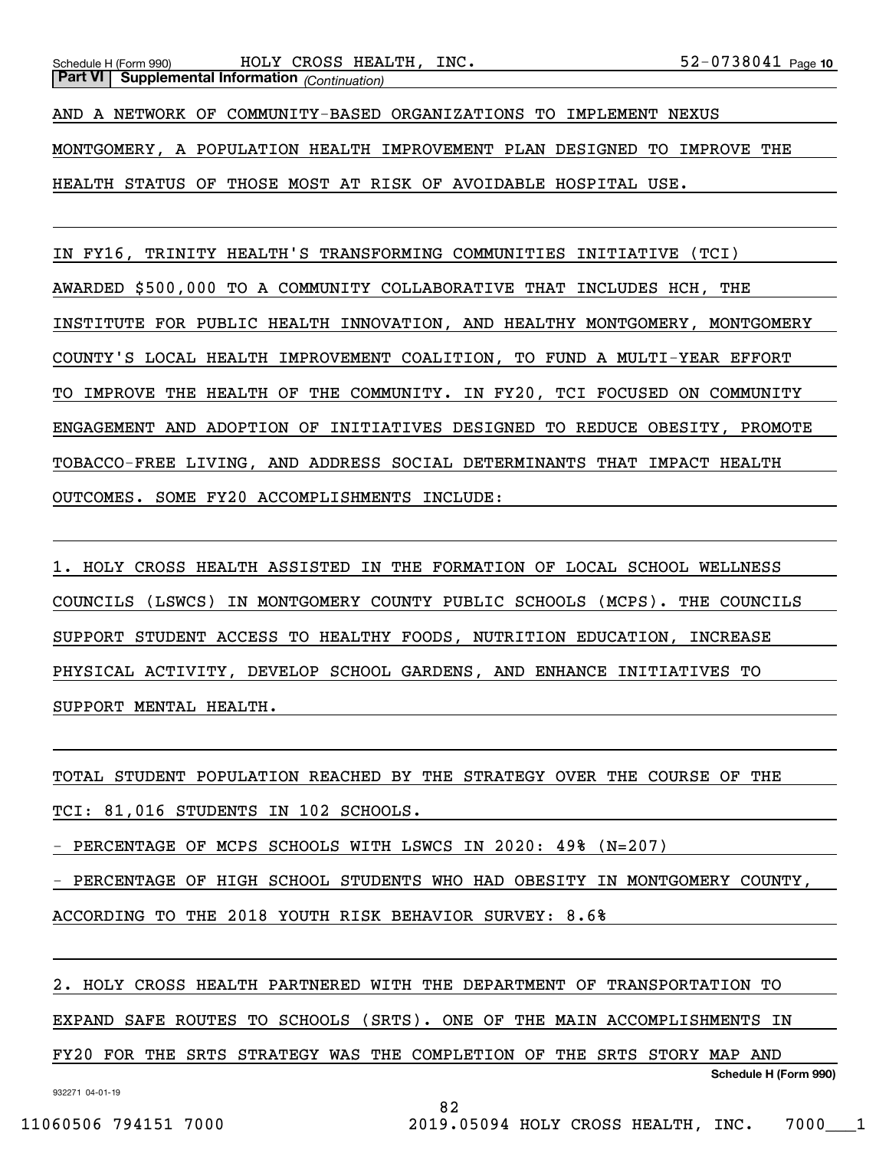AND A NETWORK OF COMMUNITY-BASED ORGANIZATIONS TO IMPLEMENT NEXUS MONTGOMERY, A POPULATION HEALTH IMPROVEMENT PLAN DESIGNED TO IMPROVE THE HEALTH STATUS OF THOSE MOST AT RISK OF AVOIDABLE HOSPITAL USE.

IN FY16, TRINITY HEALTH'S TRANSFORMING COMMUNITIES INITIATIVE (TCI) AWARDED \$500,000 TO A COMMUNITY COLLABORATIVE THAT INCLUDES HCH, THE INSTITUTE FOR PUBLIC HEALTH INNOVATION, AND HEALTHY MONTGOMERY, MONTGOMERY COUNTY'S LOCAL HEALTH IMPROVEMENT COALITION, TO FUND A MULTI-YEAR EFFORT TO IMPROVE THE HEALTH OF THE COMMUNITY. IN FY20, TCI FOCUSED ON COMMUNITY ENGAGEMENT AND ADOPTION OF INITIATIVES DESIGNED TO REDUCE OBESITY, PROMOTE TOBACCO-FREE LIVING, AND ADDRESS SOCIAL DETERMINANTS THAT IMPACT HEALTH OUTCOMES. SOME FY20 ACCOMPLISHMENTS INCLUDE:

1. HOLY CROSS HEALTH ASSISTED IN THE FORMATION OF LOCAL SCHOOL WELLNESS COUNCILS (LSWCS) IN MONTGOMERY COUNTY PUBLIC SCHOOLS (MCPS). THE COUNCILS SUPPORT STUDENT ACCESS TO HEALTHY FOODS, NUTRITION EDUCATION, INCREASE PHYSICAL ACTIVITY, DEVELOP SCHOOL GARDENS, AND ENHANCE INITIATIVES TO SUPPORT MENTAL HEALTH.

TOTAL STUDENT POPULATION REACHED BY THE STRATEGY OVER THE COURSE OF THE TCI: 81,016 STUDENTS IN 102 SCHOOLS. PERCENTAGE OF MCPS SCHOOLS WITH LSWCS IN 2020: 49% (N=207) - PERCENTAGE OF HIGH SCHOOL STUDENTS WHO HAD OBESITY IN MONTGOMERY COUNTY, ACCORDING TO THE 2018 YOUTH RISK BEHAVIOR SURVEY: 8.6%

2. HOLY CROSS HEALTH PARTNERED WITH THE DEPARTMENT OF TRANSPORTATION TO EXPAND SAFE ROUTES TO SCHOOLS (SRTS). ONE OF THE MAIN ACCOMPLISHMENTS IN FY20 FOR THE SRTS STRATEGY WAS THE COMPLETION OF THE SRTS STORY MAP AND

932271 04-01-19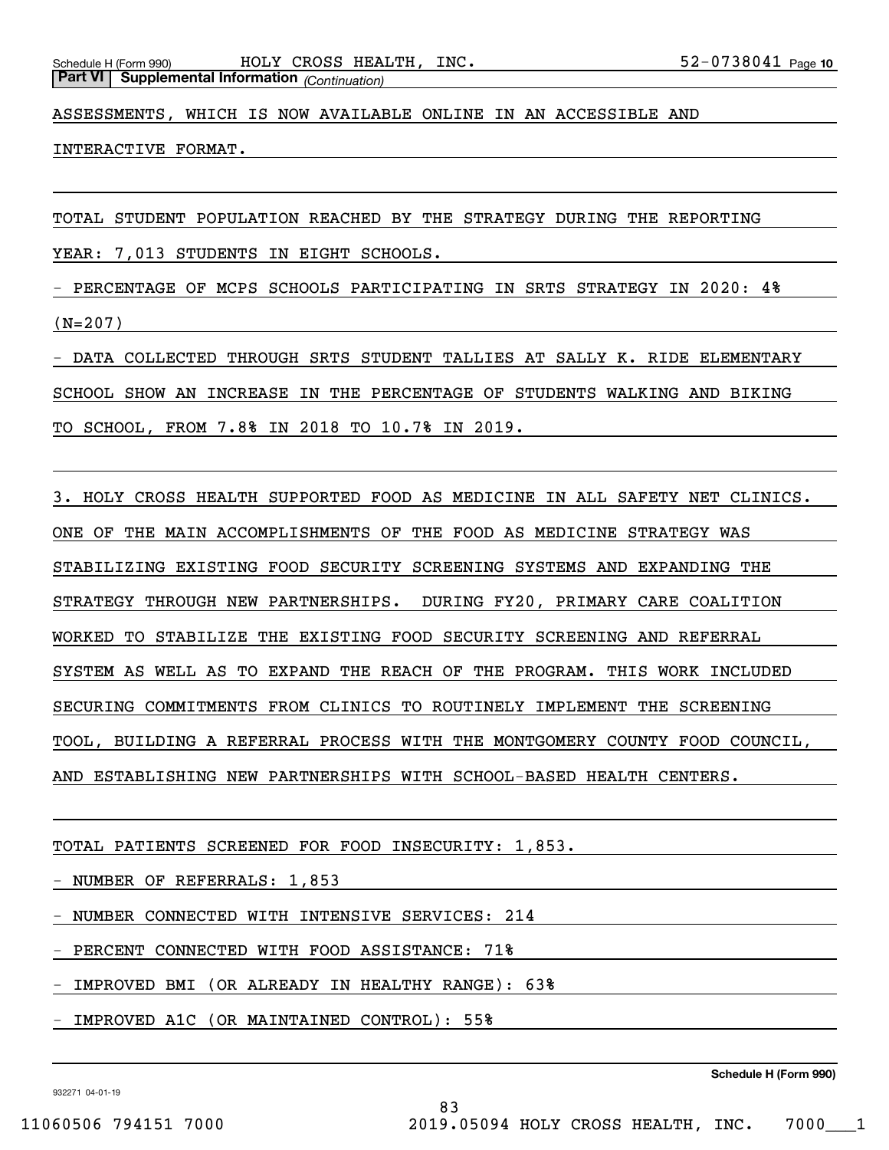ASSESSMENTS, WHICH IS NOW AVAILABLE ONLINE IN AN ACCESSIBLE AND

INTERACTIVE FORMAT.

TOTAL STUDENT POPULATION REACHED BY THE STRATEGY DURING THE REPORTING

YEAR: 7,013 STUDENTS IN EIGHT SCHOOLS.

- PERCENTAGE OF MCPS SCHOOLS PARTICIPATING IN SRTS STRATEGY IN 2020: 4% (N=207)

DATA COLLECTED THROUGH SRTS STUDENT TALLIES AT SALLY K. RIDE ELEMENTARY SCHOOL SHOW AN INCREASE IN THE PERCENTAGE OF STUDENTS WALKING AND BIKING TO SCHOOL, FROM 7.8% IN 2018 TO 10.7% IN 2019.

3. HOLY CROSS HEALTH SUPPORTED FOOD AS MEDICINE IN ALL SAFETY NET CLINICS. ONE OF THE MAIN ACCOMPLISHMENTS OF THE FOOD AS MEDICINE STRATEGY WAS STABILIZING EXISTING FOOD SECURITY SCREENING SYSTEMS AND EXPANDING THE STRATEGY THROUGH NEW PARTNERSHIPS. DURING FY20, PRIMARY CARE COALITION WORKED TO STABILIZE THE EXISTING FOOD SECURITY SCREENING AND REFERRAL SYSTEM AS WELL AS TO EXPAND THE REACH OF THE PROGRAM. THIS WORK INCLUDED SECURING COMMITMENTS FROM CLINICS TO ROUTINELY IMPLEMENT THE SCREENING TOOL, BUILDING A REFERRAL PROCESS WITH THE MONTGOMERY COUNTY FOOD COUNCIL, AND ESTABLISHING NEW PARTNERSHIPS WITH SCHOOL-BASED HEALTH CENTERS.

83

TOTAL PATIENTS SCREENED FOR FOOD INSECURITY: 1,853.

- NUMBER OF REFERRALS: 1,853

- NUMBER CONNECTED WITH INTENSIVE SERVICES: 214

- PERCENT CONNECTED WITH FOOD ASSISTANCE: 71%

- IMPROVED BMI (OR ALREADY IN HEALTHY RANGE): 63%

- IMPROVED A1C (OR MAINTAINED CONTROL): 55%

932271 04-01-19

**Schedule H (Form 990)**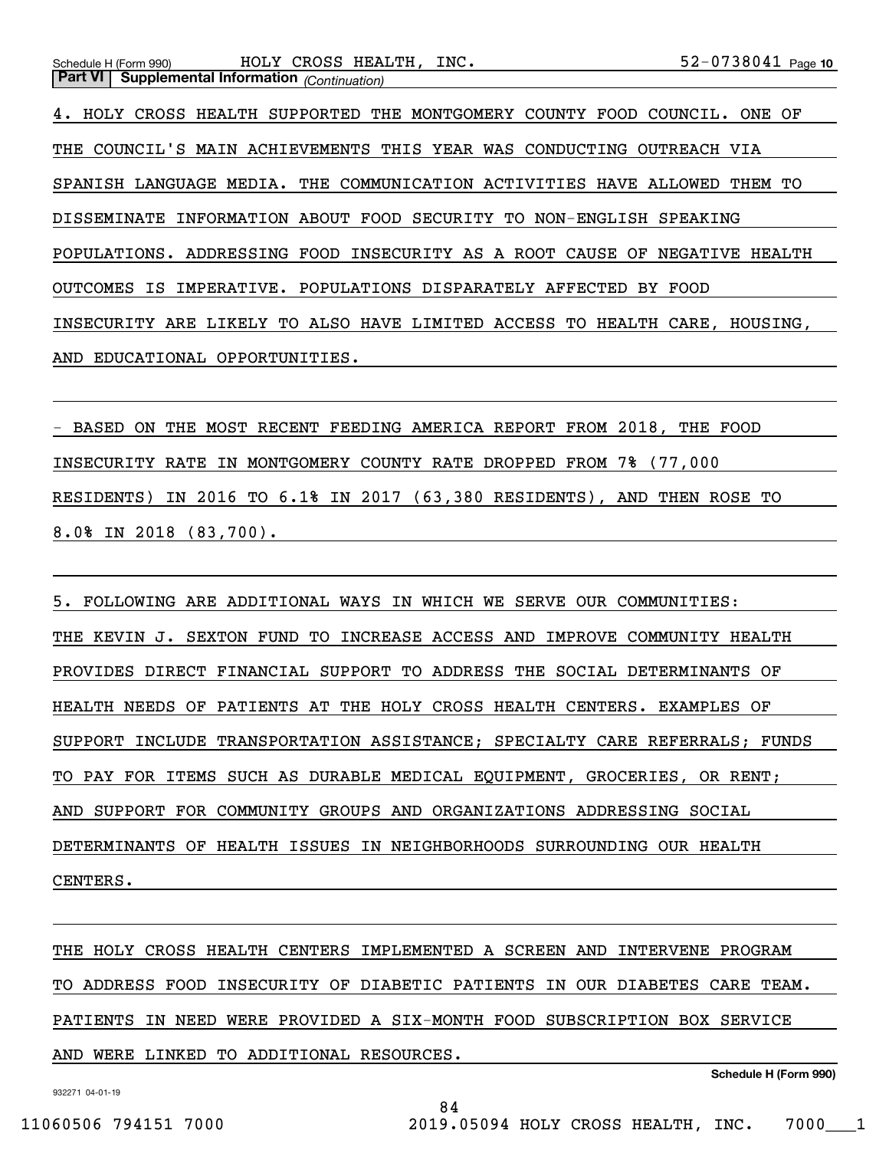4. HOLY CROSS HEALTH SUPPORTED THE MONTGOMERY COUNTY FOOD COUNCIL. ONE OF THE COUNCIL'S MAIN ACHIEVEMENTS THIS YEAR WAS CONDUCTING OUTREACH VIA SPANISH LANGUAGE MEDIA. THE COMMUNICATION ACTIVITIES HAVE ALLOWED THEM TO DISSEMINATE INFORMATION ABOUT FOOD SECURITY TO NON-ENGLISH SPEAKING POPULATIONS. ADDRESSING FOOD INSECURITY AS A ROOT CAUSE OF NEGATIVE HEALTH OUTCOMES IS IMPERATIVE. POPULATIONS DISPARATELY AFFECTED BY FOOD INSECURITY ARE LIKELY TO ALSO HAVE LIMITED ACCESS TO HEALTH CARE, HOUSING, AND EDUCATIONAL OPPORTUNITIES.

- BASED ON THE MOST RECENT FEEDING AMERICA REPORT FROM 2018, THE FOOD INSECURITY RATE IN MONTGOMERY COUNTY RATE DROPPED FROM 7% (77,000 RESIDENTS) IN 2016 TO 6.1% IN 2017 (63,380 RESIDENTS), AND THEN ROSE TO 8.0% IN 2018 (83,700).

5. FOLLOWING ARE ADDITIONAL WAYS IN WHICH WE SERVE OUR COMMUNITIES: THE KEVIN J. SEXTON FUND TO INCREASE ACCESS AND IMPROVE COMMUNITY HEALTH PROVIDES DIRECT FINANCIAL SUPPORT TO ADDRESS THE SOCIAL DETERMINANTS OF HEALTH NEEDS OF PATIENTS AT THE HOLY CROSS HEALTH CENTERS. EXAMPLES OF SUPPORT INCLUDE TRANSPORTATION ASSISTANCE; SPECIALTY CARE REFERRALS; FUNDS TO PAY FOR ITEMS SUCH AS DURABLE MEDICAL EQUIPMENT, GROCERIES, OR RENT; AND SUPPORT FOR COMMUNITY GROUPS AND ORGANIZATIONS ADDRESSING SOCIAL DETERMINANTS OF HEALTH ISSUES IN NEIGHBORHOODS SURROUNDING OUR HEALTH CENTERS.

THE HOLY CROSS HEALTH CENTERS IMPLEMENTED A SCREEN AND INTERVENE PROGRAM TO ADDRESS FOOD INSECURITY OF DIABETIC PATIENTS IN OUR DIABETES CARE TEAM. PATIENTS IN NEED WERE PROVIDED A SIX-MONTH FOOD SUBSCRIPTION BOX SERVICE AND WERE LINKED TO ADDITIONAL RESOURCES.

84

932271 04-01-19

**Schedule H (Form 990)**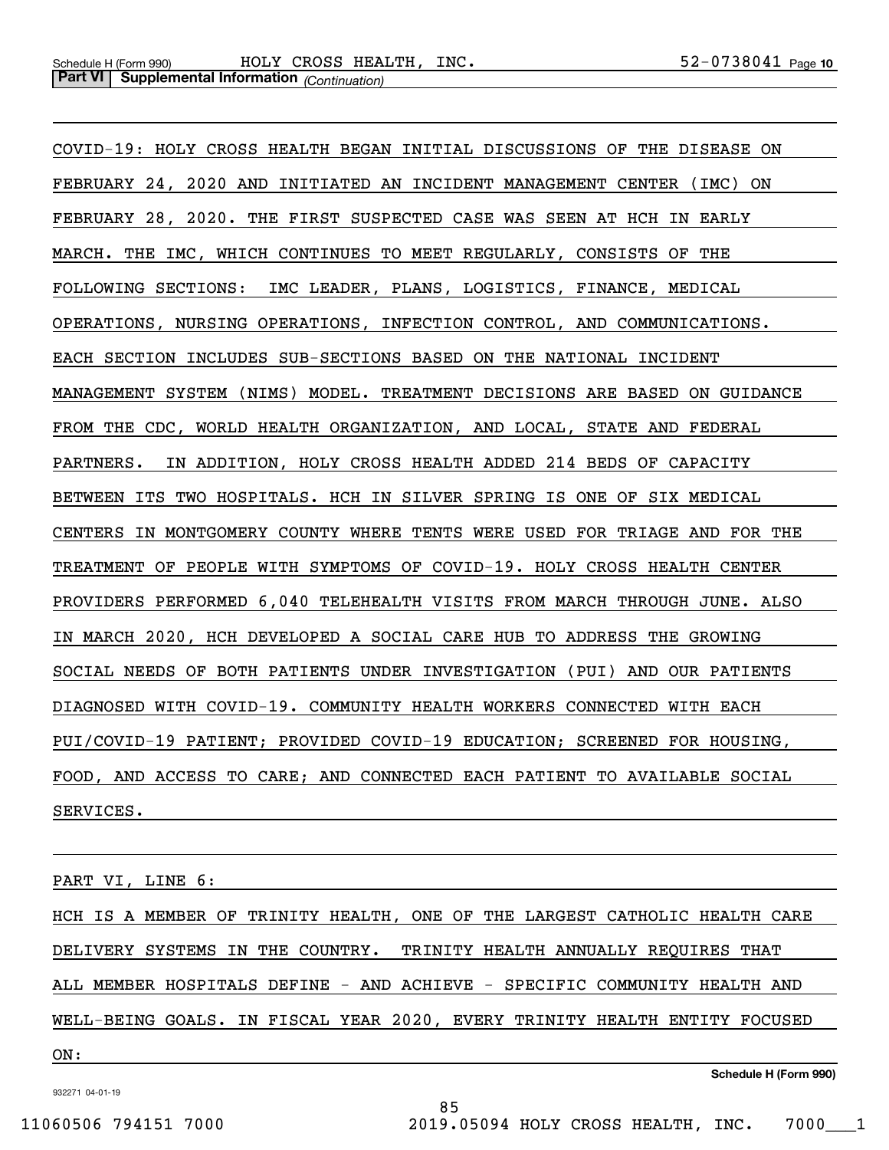COVID-19: HOLY CROSS HEALTH BEGAN INITIAL DISCUSSIONS OF THE DISEASE ON FEBRUARY 24, 2020 AND INITIATED AN INCIDENT MANAGEMENT CENTER (IMC) ON FEBRUARY 28, 2020. THE FIRST SUSPECTED CASE WAS SEEN AT HCH IN EARLY MARCH. THE IMC, WHICH CONTINUES TO MEET REGULARLY, CONSISTS OF THE FOLLOWING SECTIONS: IMC LEADER, PLANS, LOGISTICS, FINANCE, MEDICAL OPERATIONS, NURSING OPERATIONS, INFECTION CONTROL, AND COMMUNICATIONS. EACH SECTION INCLUDES SUB-SECTIONS BASED ON THE NATIONAL INCIDENT MANAGEMENT SYSTEM (NIMS) MODEL. TREATMENT DECISIONS ARE BASED ON GUIDANCE FROM THE CDC, WORLD HEALTH ORGANIZATION, AND LOCAL, STATE AND FEDERAL PARTNERS. IN ADDITION, HOLY CROSS HEALTH ADDED 214 BEDS OF CAPACITY BETWEEN ITS TWO HOSPITALS. HCH IN SILVER SPRING IS ONE OF SIX MEDICAL CENTERS IN MONTGOMERY COUNTY WHERE TENTS WERE USED FOR TRIAGE AND FOR THE TREATMENT OF PEOPLE WITH SYMPTOMS OF COVID-19. HOLY CROSS HEALTH CENTER PROVIDERS PERFORMED 6,040 TELEHEALTH VISITS FROM MARCH THROUGH JUNE. ALSO IN MARCH 2020, HCH DEVELOPED A SOCIAL CARE HUB TO ADDRESS THE GROWING SOCIAL NEEDS OF BOTH PATIENTS UNDER INVESTIGATION (PUI) AND OUR PATIENTS DIAGNOSED WITH COVID-19. COMMUNITY HEALTH WORKERS CONNECTED WITH EACH PUI/COVID-19 PATIENT; PROVIDED COVID-19 EDUCATION; SCREENED FOR HOUSING, FOOD, AND ACCESS TO CARE; AND CONNECTED EACH PATIENT TO AVAILABLE SOCIAL SERVICES.

PART VI, LINE 6:

HCH IS A MEMBER OF TRINITY HEALTH, ONE OF THE LARGEST CATHOLIC HEALTH CARE DELIVERY SYSTEMS IN THE COUNTRY. TRINITY HEALTH ANNUALLY REQUIRES THAT ALL MEMBER HOSPITALS DEFINE - AND ACHIEVE - SPECIFIC COMMUNITY HEALTH AND WELL-BEING GOALS. IN FISCAL YEAR 2020, EVERY TRINITY HEALTH ENTITY FOCUSED

85

ON: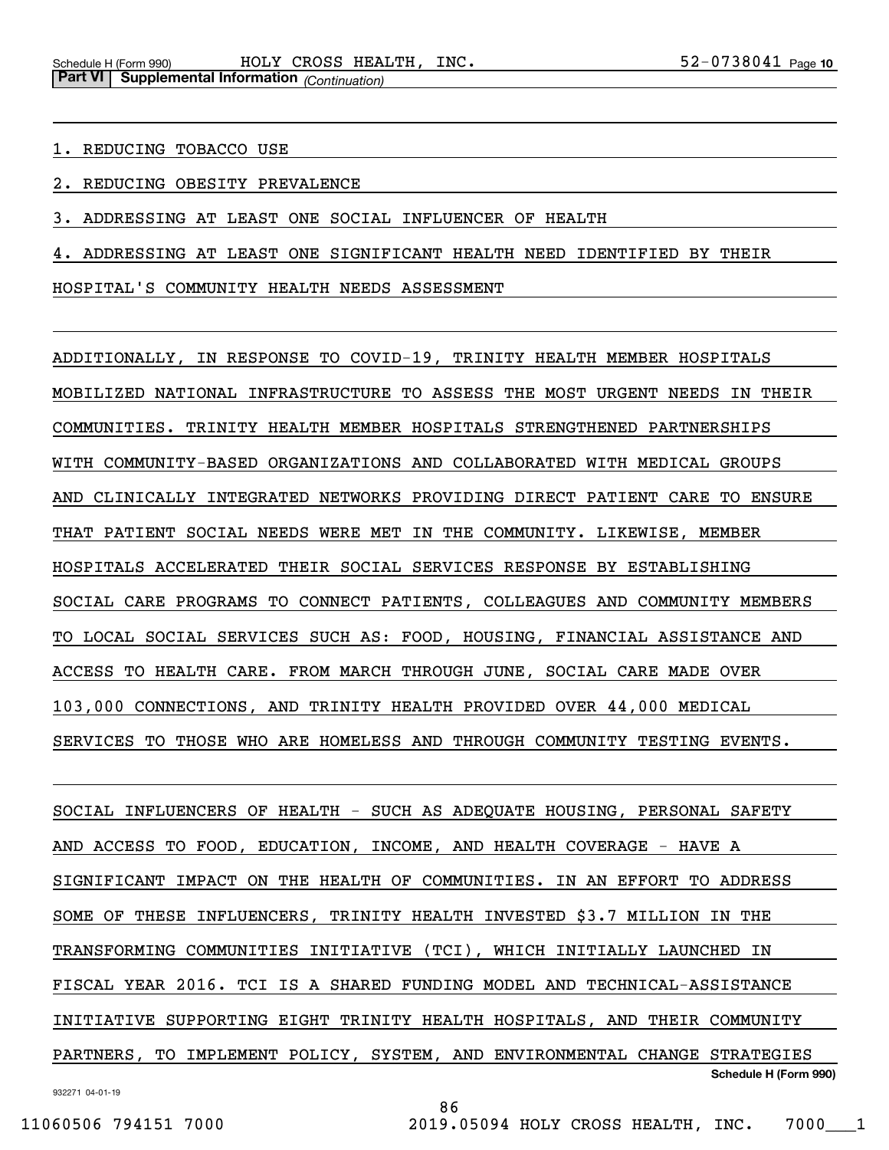1. REDUCING TOBACCO USE

2. REDUCING OBESITY PREVALENCE

3. ADDRESSING AT LEAST ONE SOCIAL INFLUENCER OF HEALTH

4. ADDRESSING AT LEAST ONE SIGNIFICANT HEALTH NEED IDENTIFIED BY THEIR

HOSPITAL'S COMMUNITY HEALTH NEEDS ASSESSMENT

ADDITIONALLY, IN RESPONSE TO COVID-19, TRINITY HEALTH MEMBER HOSPITALS MOBILIZED NATIONAL INFRASTRUCTURE TO ASSESS THE MOST URGENT NEEDS IN THEIR COMMUNITIES. TRINITY HEALTH MEMBER HOSPITALS STRENGTHENED PARTNERSHIPS WITH COMMUNITY-BASED ORGANIZATIONS AND COLLABORATED WITH MEDICAL GROUPS AND CLINICALLY INTEGRATED NETWORKS PROVIDING DIRECT PATIENT CARE TO ENSURE THAT PATIENT SOCIAL NEEDS WERE MET IN THE COMMUNITY. LIKEWISE, MEMBER HOSPITALS ACCELERATED THEIR SOCIAL SERVICES RESPONSE BY ESTABLISHING SOCIAL CARE PROGRAMS TO CONNECT PATIENTS, COLLEAGUES AND COMMUNITY MEMBERS TO LOCAL SOCIAL SERVICES SUCH AS: FOOD, HOUSING, FINANCIAL ASSISTANCE AND ACCESS TO HEALTH CARE. FROM MARCH THROUGH JUNE, SOCIAL CARE MADE OVER 103,000 CONNECTIONS, AND TRINITY HEALTH PROVIDED OVER 44,000 MEDICAL SERVICES TO THOSE WHO ARE HOMELESS AND THROUGH COMMUNITY TESTING EVENTS.

932271 04-01-19 **Schedule H (Form 990)** SOCIAL INFLUENCERS OF HEALTH - SUCH AS ADEQUATE HOUSING, PERSONAL SAFETY AND ACCESS TO FOOD, EDUCATION, INCOME, AND HEALTH COVERAGE - HAVE A SIGNIFICANT IMPACT ON THE HEALTH OF COMMUNITIES. IN AN EFFORT TO ADDRESS SOME OF THESE INFLUENCERS, TRINITY HEALTH INVESTED \$3.7 MILLION IN THE TRANSFORMING COMMUNITIES INITIATIVE (TCI), WHICH INITIALLY LAUNCHED IN FISCAL YEAR 2016. TCI IS A SHARED FUNDING MODEL AND TECHNICAL-ASSISTANCE INITIATIVE SUPPORTING EIGHT TRINITY HEALTH HOSPITALS, AND THEIR COMMUNITY PARTNERS, TO IMPLEMENT POLICY, SYSTEM, AND ENVIRONMENTAL CHANGE STRATEGIES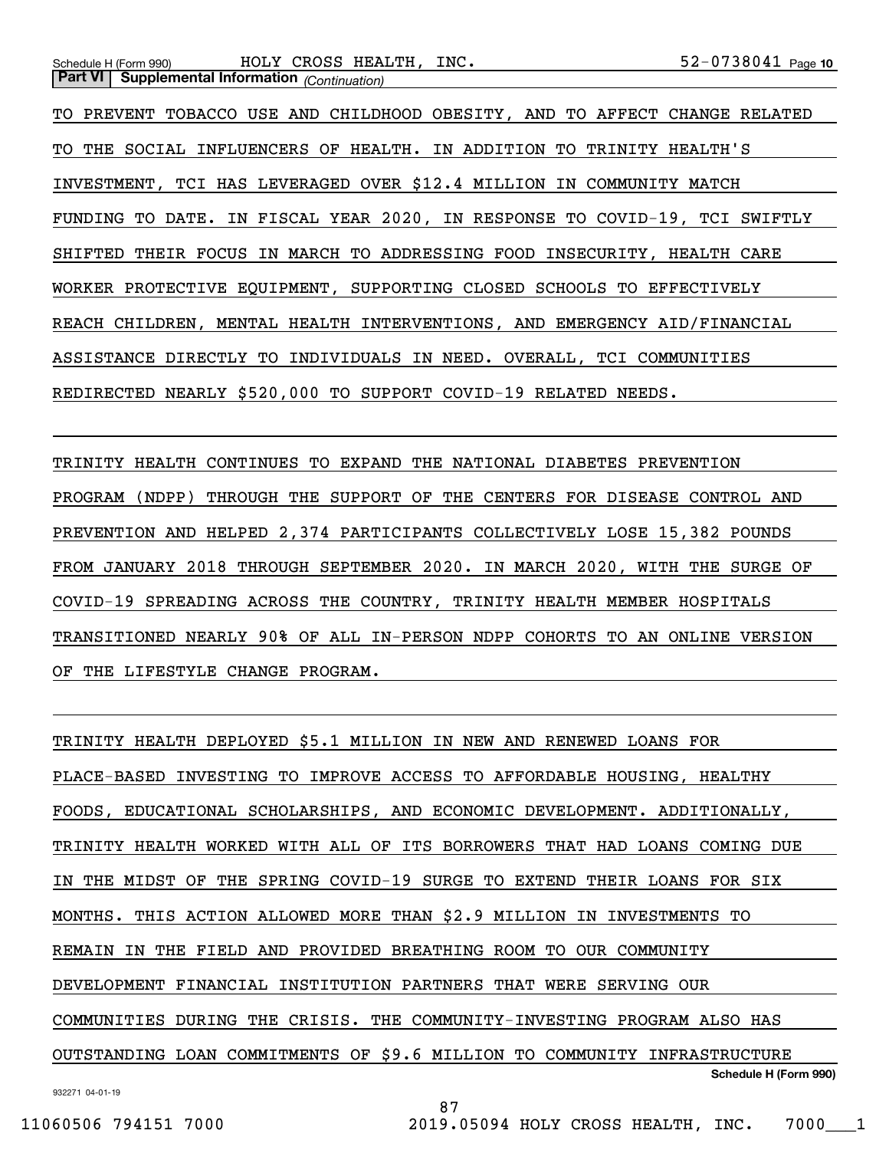TO PREVENT TOBACCO USE AND CHILDHOOD OBESITY, AND TO AFFECT CHANGE RELATED TO THE SOCIAL INFLUENCERS OF HEALTH. IN ADDITION TO TRINITY HEALTH'S INVESTMENT, TCI HAS LEVERAGED OVER \$12.4 MILLION IN COMMUNITY MATCH FUNDING TO DATE. IN FISCAL YEAR 2020, IN RESPONSE TO COVID-19, TCI SWIFTLY SHIFTED THEIR FOCUS IN MARCH TO ADDRESSING FOOD INSECURITY, HEALTH CARE WORKER PROTECTIVE EQUIPMENT, SUPPORTING CLOSED SCHOOLS TO EFFECTIVELY REACH CHILDREN, MENTAL HEALTH INTERVENTIONS, AND EMERGENCY AID/FINANCIAL ASSISTANCE DIRECTLY TO INDIVIDUALS IN NEED. OVERALL, TCI COMMUNITIES REDIRECTED NEARLY \$520,000 TO SUPPORT COVID-19 RELATED NEEDS.

TRINITY HEALTH CONTINUES TO EXPAND THE NATIONAL DIABETES PREVENTION PROGRAM (NDPP) THROUGH THE SUPPORT OF THE CENTERS FOR DISEASE CONTROL AND PREVENTION AND HELPED 2,374 PARTICIPANTS COLLECTIVELY LOSE 15,382 POUNDS FROM JANUARY 2018 THROUGH SEPTEMBER 2020. IN MARCH 2020, WITH THE SURGE OF COVID-19 SPREADING ACROSS THE COUNTRY, TRINITY HEALTH MEMBER HOSPITALS TRANSITIONED NEARLY 90% OF ALL IN-PERSON NDPP COHORTS TO AN ONLINE VERSION OF THE LIFESTYLE CHANGE PROGRAM.

**Schedule H (Form 990)** TRINITY HEALTH DEPLOYED \$5.1 MILLION IN NEW AND RENEWED LOANS FOR PLACE-BASED INVESTING TO IMPROVE ACCESS TO AFFORDABLE HOUSING, HEALTHY FOODS, EDUCATIONAL SCHOLARSHIPS, AND ECONOMIC DEVELOPMENT. ADDITIONALLY, TRINITY HEALTH WORKED WITH ALL OF ITS BORROWERS THAT HAD LOANS COMING DUE IN THE MIDST OF THE SPRING COVID-19 SURGE TO EXTEND THEIR LOANS FOR SIX MONTHS. THIS ACTION ALLOWED MORE THAN \$2.9 MILLION IN INVESTMENTS TO REMAIN IN THE FIELD AND PROVIDED BREATHING ROOM TO OUR COMMUNITY DEVELOPMENT FINANCIAL INSTITUTION PARTNERS THAT WERE SERVING OUR COMMUNITIES DURING THE CRISIS. THE COMMUNITY-INVESTING PROGRAM ALSO HAS OUTSTANDING LOAN COMMITMENTS OF \$9.6 MILLION TO COMMUNITY INFRASTRUCTURE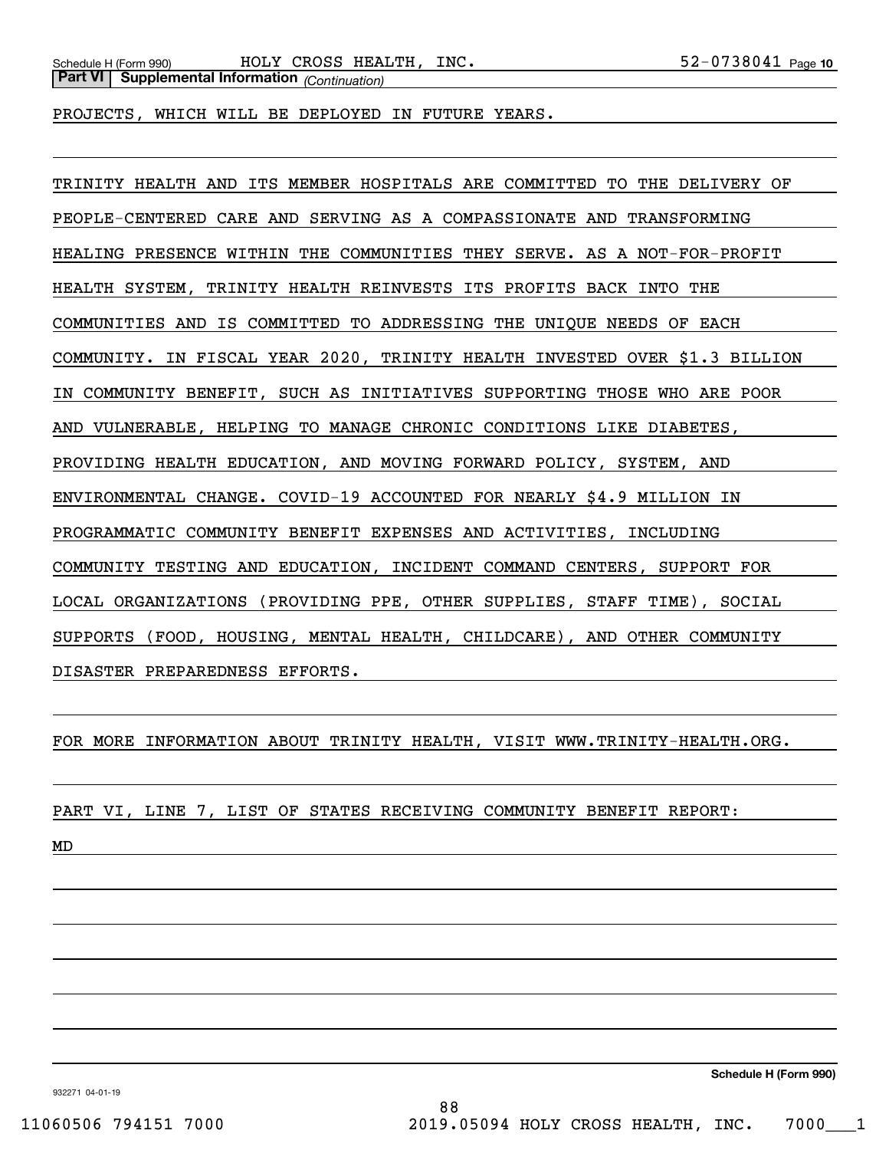PROJECTS, WHICH WILL BE DEPLOYED IN FUTURE YEARS.

TRINITY HEALTH AND ITS MEMBER HOSPITALS ARE COMMITTED TO THE DELIVERY OF PEOPLE-CENTERED CARE AND SERVING AS A COMPASSIONATE AND TRANSFORMING HEALING PRESENCE WITHIN THE COMMUNITIES THEY SERVE. AS A NOT-FOR-PROFIT HEALTH SYSTEM, TRINITY HEALTH REINVESTS ITS PROFITS BACK INTO THE COMMUNITIES AND IS COMMITTED TO ADDRESSING THE UNIQUE NEEDS OF EACH COMMUNITY. IN FISCAL YEAR 2020, TRINITY HEALTH INVESTED OVER \$1.3 BILLION IN COMMUNITY BENEFIT, SUCH AS INITIATIVES SUPPORTING THOSE WHO ARE POOR AND VULNERABLE, HELPING TO MANAGE CHRONIC CONDITIONS LIKE DIABETES, PROVIDING HEALTH EDUCATION, AND MOVING FORWARD POLICY, SYSTEM, AND ENVIRONMENTAL CHANGE. COVID-19 ACCOUNTED FOR NEARLY \$4.9 MILLION IN PROGRAMMATIC COMMUNITY BENEFIT EXPENSES AND ACTIVITIES, INCLUDING COMMUNITY TESTING AND EDUCATION, INCIDENT COMMAND CENTERS, SUPPORT FOR LOCAL ORGANIZATIONS (PROVIDING PPE, OTHER SUPPLIES, STAFF TIME), SOCIAL SUPPORTS (FOOD, HOUSING, MENTAL HEALTH, CHILDCARE), AND OTHER COMMUNITY DISASTER PREPAREDNESS EFFORTS.

FOR MORE INFORMATION ABOUT TRINITY HEALTH, VISIT WWW.TRINITY-HEALTH.ORG.

PART VI, LINE 7, LIST OF STATES RECEIVING COMMUNITY BENEFIT REPORT:

MD

**Schedule H (Form 990)**

932271 04-01-19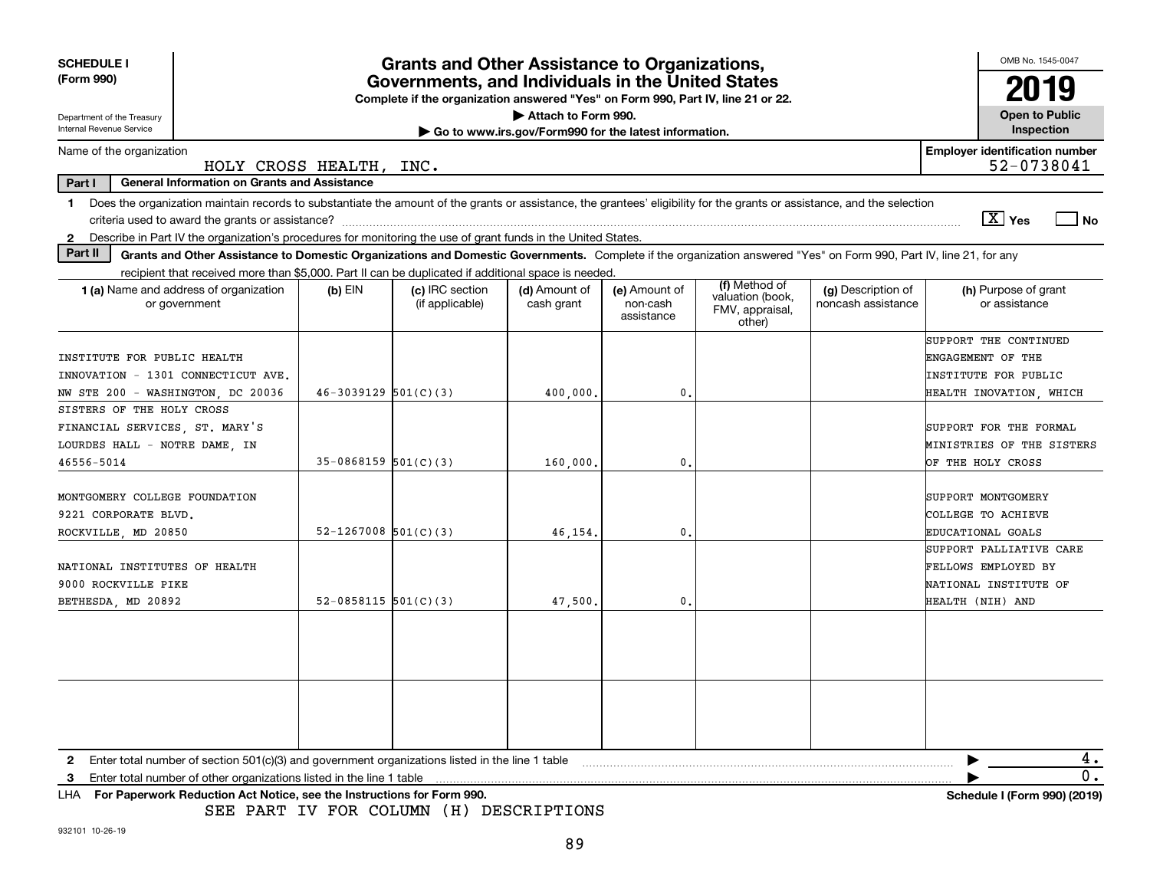| <b>SCHEDULE I</b><br>(Form 990)                                                                                                                                                                                                                                                                                          | <b>Grants and Other Assistance to Organizations,</b><br>Governments, and Individuals in the United States<br>Complete if the organization answered "Yes" on Form 990, Part IV, line 21 or 22. |                                    |                                                                              |                                         |                                                                |                                          |                                                                                               |  |
|--------------------------------------------------------------------------------------------------------------------------------------------------------------------------------------------------------------------------------------------------------------------------------------------------------------------------|-----------------------------------------------------------------------------------------------------------------------------------------------------------------------------------------------|------------------------------------|------------------------------------------------------------------------------|-----------------------------------------|----------------------------------------------------------------|------------------------------------------|-----------------------------------------------------------------------------------------------|--|
| Department of the Treasury<br>Internal Revenue Service                                                                                                                                                                                                                                                                   |                                                                                                                                                                                               |                                    | Attach to Form 990.<br>Go to www.irs.gov/Form990 for the latest information. |                                         |                                                                |                                          | <b>Open to Public</b><br>Inspection                                                           |  |
| Name of the organization                                                                                                                                                                                                                                                                                                 | HOLY CROSS HEALTH, INC.                                                                                                                                                                       |                                    |                                                                              |                                         |                                                                |                                          | <b>Employer identification number</b><br>52-0738041                                           |  |
| Part I<br><b>General Information on Grants and Assistance</b>                                                                                                                                                                                                                                                            |                                                                                                                                                                                               |                                    |                                                                              |                                         |                                                                |                                          |                                                                                               |  |
| Does the organization maintain records to substantiate the amount of the grants or assistance, the grantees' eligibility for the grants or assistance, and the selection<br>$\mathbf 1$<br>Describe in Part IV the organization's procedures for monitoring the use of grant funds in the United States.<br>$\mathbf{2}$ |                                                                                                                                                                                               |                                    |                                                                              |                                         |                                                                |                                          | $\boxed{\text{X}}$ Yes<br>  No                                                                |  |
| Part II<br>Grants and Other Assistance to Domestic Organizations and Domestic Governments. Complete if the organization answered "Yes" on Form 990, Part IV, line 21, for any                                                                                                                                            |                                                                                                                                                                                               |                                    |                                                                              |                                         |                                                                |                                          |                                                                                               |  |
| recipient that received more than \$5,000. Part II can be duplicated if additional space is needed.<br>1 (a) Name and address of organization<br>or government                                                                                                                                                           | $(b)$ EIN                                                                                                                                                                                     | (c) IRC section<br>(if applicable) | (d) Amount of<br>cash grant                                                  | (e) Amount of<br>non-cash<br>assistance | (f) Method of<br>valuation (book,<br>FMV, appraisal,<br>other) | (g) Description of<br>noncash assistance | (h) Purpose of grant<br>or assistance                                                         |  |
| INSTITUTE FOR PUBLIC HEALTH<br>INNOVATION - 1301 CONNECTICUT AVE.<br>NW STE 200 - WASHINGTON, DC 20036                                                                                                                                                                                                                   | $46-3039129$ $501(C)(3)$                                                                                                                                                                      |                                    | 400,000                                                                      | 0                                       |                                                                |                                          | SUPPORT THE CONTINUED<br>ENGAGEMENT OF THE<br>INSTITUTE FOR PUBLIC<br>HEALTH INOVATION, WHICH |  |
| SISTERS OF THE HOLY CROSS<br>FINANCIAL SERVICES, ST. MARY'S<br>LOURDES HALL - NOTRE DAME, IN<br>46556-5014                                                                                                                                                                                                               | $35-0868159$ $501(C)(3)$                                                                                                                                                                      |                                    | 160,000                                                                      | $\mathbf{0}$                            |                                                                |                                          | SUPPORT FOR THE FORMAL<br>MINISTRIES OF THE SISTERS<br>OF THE HOLY CROSS                      |  |
| MONTGOMERY COLLEGE FOUNDATION<br>9221 CORPORATE BLVD.<br>ROCKVILLE, MD 20850                                                                                                                                                                                                                                             | $52 - 1267008$ $501(C)(3)$                                                                                                                                                                    |                                    | 46.154                                                                       | 0                                       |                                                                |                                          | SUPPORT MONTGOMERY<br>COLLEGE TO ACHIEVE<br>EDUCATIONAL GOALS                                 |  |
| NATIONAL INSTITUTES OF HEALTH<br>9000 ROCKVILLE PIKE<br>BETHESDA, MD 20892                                                                                                                                                                                                                                               | $52-0858115$ $501(C)(3)$                                                                                                                                                                      |                                    | 47,500.                                                                      | $\mathbf{0}$                            |                                                                |                                          | SUPPORT PALLIATIVE CARE<br>FELLOWS EMPLOYED BY<br>NATIONAL INSTITUTE OF<br>HEALTH (NIH) AND   |  |
|                                                                                                                                                                                                                                                                                                                          |                                                                                                                                                                                               |                                    |                                                                              |                                         |                                                                |                                          |                                                                                               |  |
|                                                                                                                                                                                                                                                                                                                          |                                                                                                                                                                                               |                                    |                                                                              |                                         |                                                                |                                          |                                                                                               |  |
| Enter total number of section $501(c)(3)$ and government organizations listed in the line 1 table<br>2                                                                                                                                                                                                                   |                                                                                                                                                                                               |                                    |                                                                              |                                         |                                                                |                                          | 4.                                                                                            |  |
| Enter total number of other organizations listed in the line 1 table<br>3<br>For Paperwork Reduction Act Notice, see the Instructions for Form 990.<br>LHA                                                                                                                                                               |                                                                                                                                                                                               |                                    |                                                                              |                                         |                                                                |                                          | 0.<br>Schedule I (Form 990) (2019)                                                            |  |

SEE PART IV FOR COLUMN (H) DESCRIPTIONS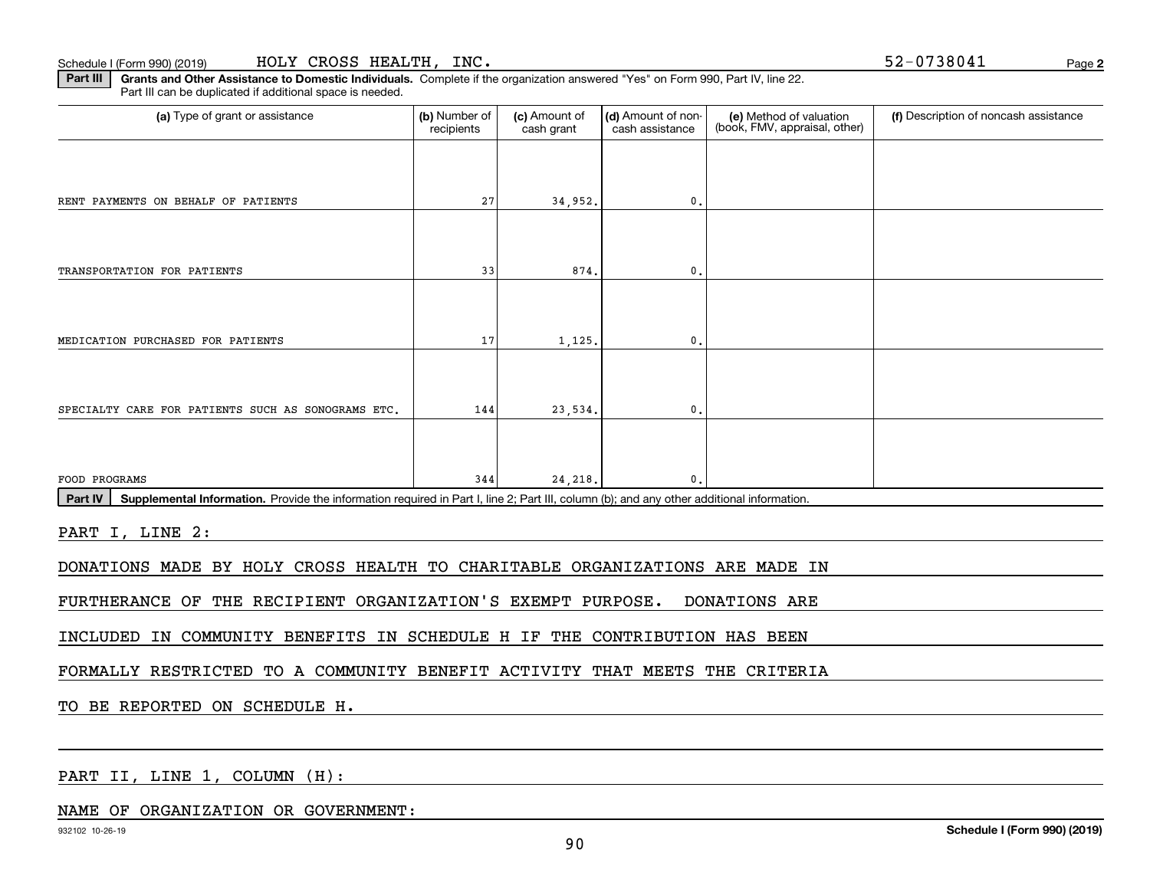**2**

**Part III | Grants and Other Assistance to Domestic Individuals. Complete if the organization answered "Yes" on Form 990, Part IV, line 22.** Part III can be duplicated if additional space is needed.

| (a) Type of grant or assistance                                                                                                                      | (b) Number of<br>recipients | (c) Amount of<br>cash grant | (d) Amount of non-<br>cash assistance | (e) Method of valuation<br>(book, FMV, appraisal, other) | (f) Description of noncash assistance |
|------------------------------------------------------------------------------------------------------------------------------------------------------|-----------------------------|-----------------------------|---------------------------------------|----------------------------------------------------------|---------------------------------------|
|                                                                                                                                                      |                             |                             |                                       |                                                          |                                       |
| RENT PAYMENTS ON BEHALF OF PATIENTS                                                                                                                  | 27                          | 34,952.                     | $\mathbf{0}$ .                        |                                                          |                                       |
|                                                                                                                                                      |                             |                             |                                       |                                                          |                                       |
| TRANSPORTATION FOR PATIENTS                                                                                                                          | 33                          | 874.                        | $\mathbf{0}$ .                        |                                                          |                                       |
|                                                                                                                                                      |                             |                             |                                       |                                                          |                                       |
| MEDICATION PURCHASED FOR PATIENTS                                                                                                                    | 17                          | 1,125.                      | $\mathbf{0}$ .                        |                                                          |                                       |
|                                                                                                                                                      |                             |                             |                                       |                                                          |                                       |
| SPECIALTY CARE FOR PATIENTS SUCH AS SONOGRAMS ETC.                                                                                                   | 144                         | 23,534.                     | 0.                                    |                                                          |                                       |
|                                                                                                                                                      |                             |                             |                                       |                                                          |                                       |
| FOOD PROGRAMS                                                                                                                                        | 344                         | 24, 218.                    | 0                                     |                                                          |                                       |
| Supplemental Information. Provide the information required in Part I, line 2; Part III, column (b); and any other additional information.<br>Part IV |                             |                             |                                       |                                                          |                                       |
| PART I, LINE 2:                                                                                                                                      |                             |                             |                                       |                                                          |                                       |
| DONATIONS MADE BY HOLY CROSS HEALTH TO CHARITABLE ORGANIZATIONS ARE MADE IN                                                                          |                             |                             |                                       |                                                          |                                       |
| FURTHERANCE OF THE RECIPIENT ORGANIZATION'S EXEMPT PURPOSE.                                                                                          |                             |                             |                                       | DONATIONS ARE                                            |                                       |
| INCLUDED IN COMMUNITY BENEFITS IN SCHEDULE H IF THE CONTRIBUTION HAS BEEN                                                                            |                             |                             |                                       |                                                          |                                       |
| FORMALLY RESTRICTED TO A COMMUNITY BENEFIT ACTIVITY THAT MEETS THE CRITERIA                                                                          |                             |                             |                                       |                                                          |                                       |
| TO BE REPORTED ON SCHEDULE H.                                                                                                                        |                             |                             |                                       |                                                          |                                       |
|                                                                                                                                                      |                             |                             |                                       |                                                          |                                       |
| $\mathbf{r}$                                                                                                                                         |                             |                             |                                       |                                                          |                                       |

PART II, LINE 1, COLUMN (H):

# NAME OF ORGANIZATION OR GOVERNMENT: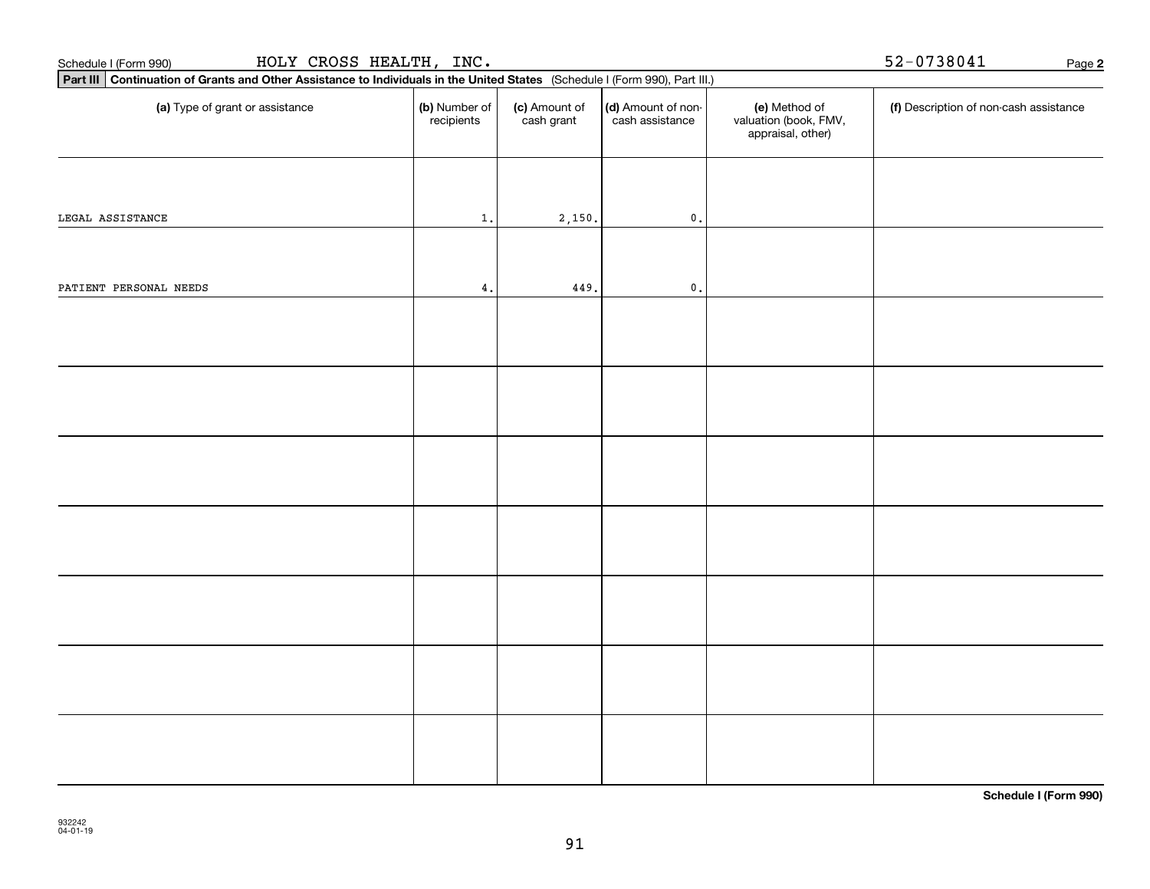| HOLY CROSS HEALTH, INC.<br>Schedule I (Form 990)                                                                            | 52-0738041<br>Page 2        |                             |                                       |                                                             |                                        |  |
|-----------------------------------------------------------------------------------------------------------------------------|-----------------------------|-----------------------------|---------------------------------------|-------------------------------------------------------------|----------------------------------------|--|
| Part III Continuation of Grants and Other Assistance to Individuals in the United States (Schedule I (Form 990), Part III.) |                             |                             |                                       |                                                             |                                        |  |
| (a) Type of grant or assistance                                                                                             | (b) Number of<br>recipients | (c) Amount of<br>cash grant | (d) Amount of non-<br>cash assistance | (e) Method of<br>valuation (book, FMV,<br>appraisal, other) | (f) Description of non-cash assistance |  |
| LEGAL ASSISTANCE                                                                                                            | $\mathbf{1}$ .              | 2,150.                      | $\mathfrak o$ .                       |                                                             |                                        |  |
|                                                                                                                             |                             |                             |                                       |                                                             |                                        |  |
| PATIENT PERSONAL NEEDS                                                                                                      | 4.                          | 449.                        | $\mathfrak o$ .                       |                                                             |                                        |  |
|                                                                                                                             |                             |                             |                                       |                                                             |                                        |  |
|                                                                                                                             |                             |                             |                                       |                                                             |                                        |  |
|                                                                                                                             |                             |                             |                                       |                                                             |                                        |  |
|                                                                                                                             |                             |                             |                                       |                                                             |                                        |  |
|                                                                                                                             |                             |                             |                                       |                                                             |                                        |  |
|                                                                                                                             |                             |                             |                                       |                                                             |                                        |  |
|                                                                                                                             |                             |                             |                                       |                                                             |                                        |  |
|                                                                                                                             |                             |                             |                                       |                                                             |                                        |  |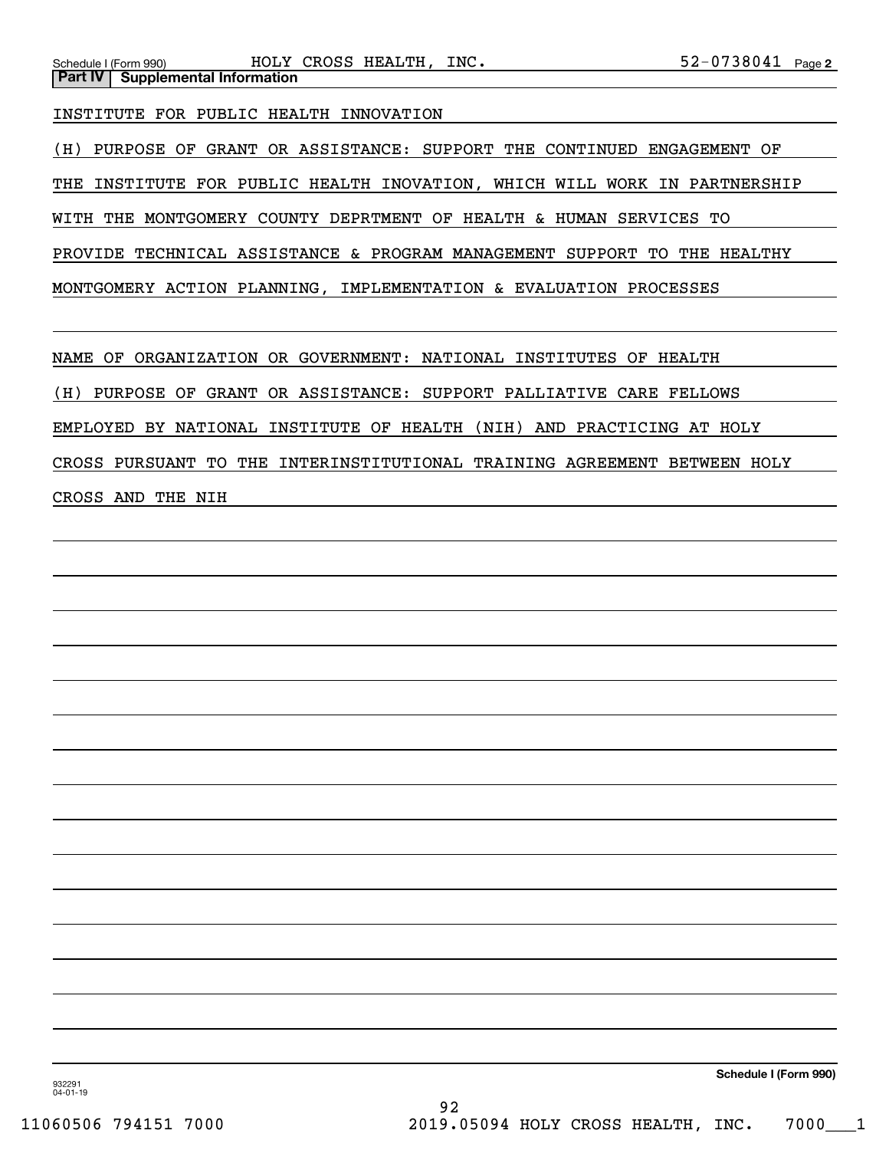INSTITUTE FOR PUBLIC HEALTH INNOVATION

(H) PURPOSE OF GRANT OR ASSISTANCE: SUPPORT THE CONTINUED ENGAGEMENT OF THE INSTITUTE FOR PUBLIC HEALTH INOVATION, WHICH WILL WORK IN PARTNERSHIP WITH THE MONTGOMERY COUNTY DEPRTMENT OF HEALTH & HUMAN SERVICES TO

PROVIDE TECHNICAL ASSISTANCE & PROGRAM MANAGEMENT SUPPORT TO THE HEALTHY

MONTGOMERY ACTION PLANNING, IMPLEMENTATION & EVALUATION PROCESSES

NAME OF ORGANIZATION OR GOVERNMENT: NATIONAL INSTITUTES OF HEALTH

(H) PURPOSE OF GRANT OR ASSISTANCE: SUPPORT PALLIATIVE CARE FELLOWS

EMPLOYED BY NATIONAL INSTITUTE OF HEALTH (NIH) AND PRACTICING AT HOLY

CROSS PURSUANT TO THE INTERINSTITUTIONAL TRAINING AGREEMENT BETWEEN HOLY

CROSS AND THE NIH

**Schedule I (Form 990)**

932291 04-01-19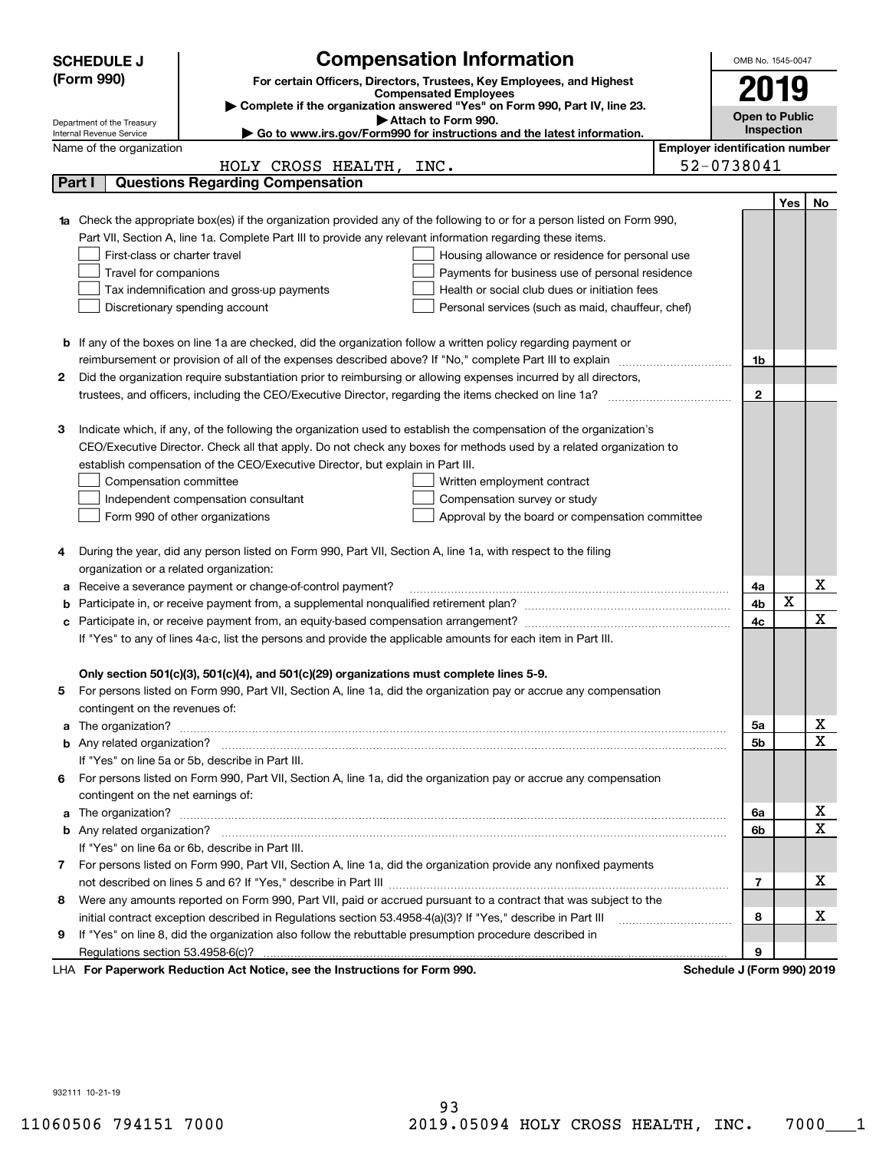|    | <b>SCHEDULE J</b>                                     | <b>Compensation Information</b>                                                                                        |                                       | OMB No. 1545-0047          |                       |             |  |
|----|-------------------------------------------------------|------------------------------------------------------------------------------------------------------------------------|---------------------------------------|----------------------------|-----------------------|-------------|--|
|    | (Form 990)                                            | For certain Officers, Directors, Trustees, Key Employees, and Highest                                                  |                                       | 2019                       |                       |             |  |
|    |                                                       | <b>Compensated Employees</b><br>Complete if the organization answered "Yes" on Form 990, Part IV, line 23.             |                                       |                            |                       |             |  |
|    | Department of the Treasury                            | Attach to Form 990.                                                                                                    |                                       |                            | <b>Open to Public</b> |             |  |
|    | Internal Revenue Service                              | $\blacktriangleright$ Go to www.irs.gov/Form990 for instructions and the latest information.                           |                                       | Inspection                 |                       |             |  |
|    | Name of the organization                              |                                                                                                                        | <b>Employer identification number</b> |                            |                       |             |  |
|    |                                                       | HOLY CROSS HEALTH, INC.                                                                                                |                                       | 52-0738041                 |                       |             |  |
|    | Part I                                                | <b>Questions Regarding Compensation</b>                                                                                |                                       |                            |                       |             |  |
|    |                                                       |                                                                                                                        |                                       |                            | Yes                   | No          |  |
|    |                                                       | Check the appropriate box(es) if the organization provided any of the following to or for a person listed on Form 990, |                                       |                            |                       |             |  |
|    |                                                       | Part VII, Section A, line 1a. Complete Part III to provide any relevant information regarding these items.             |                                       |                            |                       |             |  |
|    | First-class or charter travel                         | Housing allowance or residence for personal use                                                                        |                                       |                            |                       |             |  |
|    | Travel for companions                                 | Payments for business use of personal residence                                                                        |                                       |                            |                       |             |  |
|    |                                                       | Health or social club dues or initiation fees<br>Tax indemnification and gross-up payments                             |                                       |                            |                       |             |  |
|    |                                                       | Discretionary spending account<br>Personal services (such as maid, chauffeur, chef)                                    |                                       |                            |                       |             |  |
|    |                                                       |                                                                                                                        |                                       |                            |                       |             |  |
|    |                                                       | <b>b</b> If any of the boxes on line 1a are checked, did the organization follow a written policy regarding payment or |                                       |                            |                       |             |  |
|    |                                                       | reimbursement or provision of all of the expenses described above? If "No," complete Part III to explain               |                                       | 1b                         |                       |             |  |
| 2  |                                                       | Did the organization require substantiation prior to reimbursing or allowing expenses incurred by all directors,       |                                       |                            |                       |             |  |
|    |                                                       |                                                                                                                        |                                       | $\mathbf{2}$               |                       |             |  |
|    |                                                       |                                                                                                                        |                                       |                            |                       |             |  |
| з  |                                                       | Indicate which, if any, of the following the organization used to establish the compensation of the organization's     |                                       |                            |                       |             |  |
|    |                                                       | CEO/Executive Director. Check all that apply. Do not check any boxes for methods used by a related organization to     |                                       |                            |                       |             |  |
|    |                                                       | establish compensation of the CEO/Executive Director, but explain in Part III.                                         |                                       |                            |                       |             |  |
|    | Compensation committee<br>Written employment contract |                                                                                                                        |                                       |                            |                       |             |  |
|    |                                                       | Compensation survey or study<br>Independent compensation consultant                                                    |                                       |                            |                       |             |  |
|    |                                                       | Form 990 of other organizations<br>Approval by the board or compensation committee                                     |                                       |                            |                       |             |  |
|    |                                                       |                                                                                                                        |                                       |                            |                       |             |  |
| 4  |                                                       | During the year, did any person listed on Form 990, Part VII, Section A, line 1a, with respect to the filing           |                                       |                            |                       |             |  |
|    | organization or a related organization:               |                                                                                                                        |                                       |                            |                       | х           |  |
| а  |                                                       | Receive a severance payment or change-of-control payment?                                                              |                                       | 4a<br>4b                   | X                     |             |  |
| b  |                                                       |                                                                                                                        |                                       | 4c                         |                       | X           |  |
| с  |                                                       | If "Yes" to any of lines 4a-c, list the persons and provide the applicable amounts for each item in Part III.          |                                       |                            |                       |             |  |
|    |                                                       |                                                                                                                        |                                       |                            |                       |             |  |
|    |                                                       | Only section 501(c)(3), 501(c)(4), and 501(c)(29) organizations must complete lines 5-9.                               |                                       |                            |                       |             |  |
| 5  |                                                       | For persons listed on Form 990, Part VII, Section A, line 1a, did the organization pay or accrue any compensation      |                                       |                            |                       |             |  |
|    | contingent on the revenues of:                        |                                                                                                                        |                                       |                            |                       |             |  |
| a  |                                                       |                                                                                                                        |                                       | 5a                         |                       | x           |  |
|    |                                                       |                                                                                                                        |                                       | 5b                         |                       | $\mathbf X$ |  |
|    |                                                       | If "Yes" on line 5a or 5b, describe in Part III.                                                                       |                                       |                            |                       |             |  |
| 6. |                                                       | For persons listed on Form 990, Part VII, Section A, line 1a, did the organization pay or accrue any compensation      |                                       |                            |                       |             |  |
|    | contingent on the net earnings of:                    |                                                                                                                        |                                       |                            |                       |             |  |
| a  |                                                       |                                                                                                                        |                                       | 6a                         |                       | х           |  |
|    |                                                       |                                                                                                                        |                                       | 6b                         |                       | $\mathbf X$ |  |
|    |                                                       | If "Yes" on line 6a or 6b, describe in Part III.                                                                       |                                       |                            |                       |             |  |
|    |                                                       | 7 For persons listed on Form 990, Part VII, Section A, line 1a, did the organization provide any nonfixed payments     |                                       |                            |                       |             |  |
|    |                                                       |                                                                                                                        |                                       | $\overline{7}$             |                       | х           |  |
| 8  |                                                       | Were any amounts reported on Form 990, Part VII, paid or accrued pursuant to a contract that was subject to the        |                                       |                            |                       |             |  |
|    |                                                       | initial contract exception described in Regulations section 53.4958-4(a)(3)? If "Yes," describe in Part III            |                                       | 8                          |                       | х           |  |
| 9  |                                                       | If "Yes" on line 8, did the organization also follow the rebuttable presumption procedure described in                 |                                       |                            |                       |             |  |
|    |                                                       |                                                                                                                        |                                       | 9                          |                       |             |  |
|    |                                                       | LHA For Paperwork Reduction Act Notice, see the Instructions for Form 990.                                             |                                       | Schedule J (Form 990) 2019 |                       |             |  |

932111 10-21-19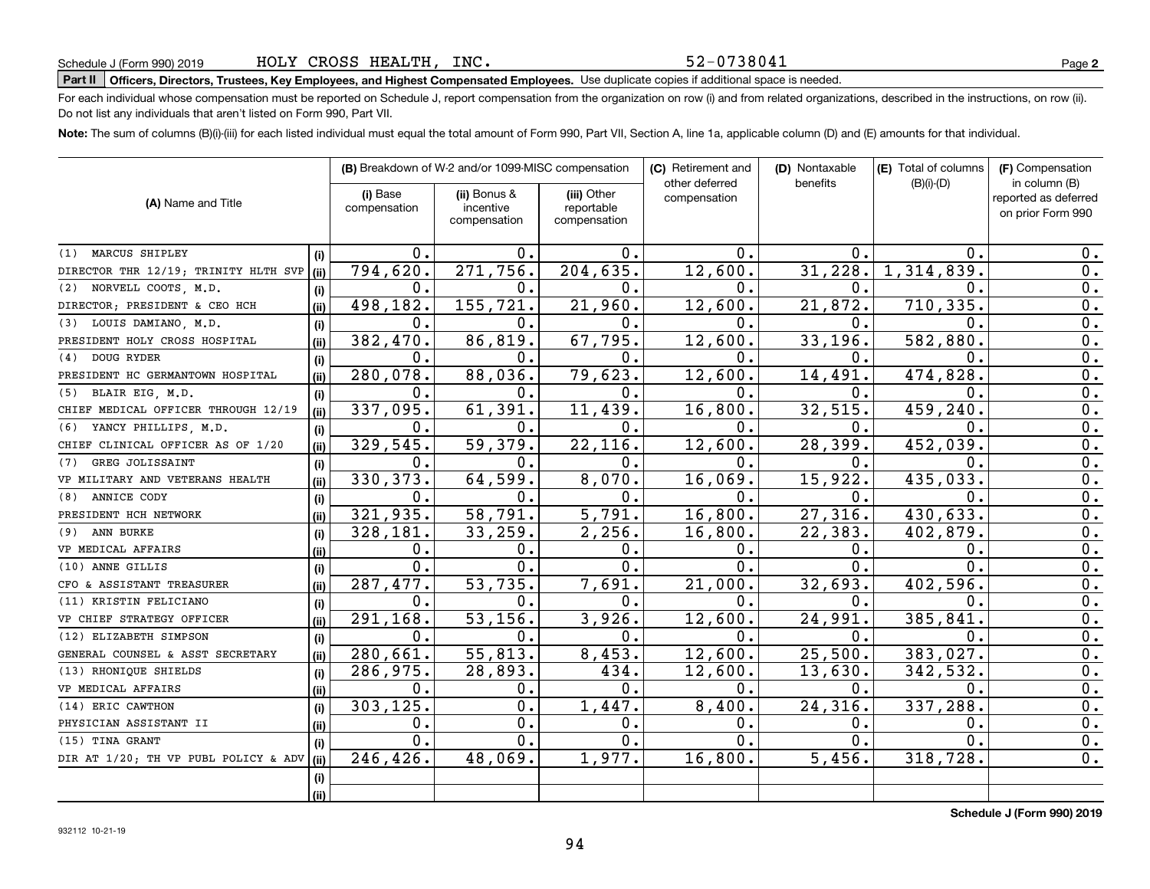52-0738041

# **Part II Officers, Directors, Trustees, Key Employees, and Highest Compensated Employees.**  Schedule J (Form 990) 2019 Page Use duplicate copies if additional space is needed.

For each individual whose compensation must be reported on Schedule J, report compensation from the organization on row (i) and from related organizations, described in the instructions, on row (ii). Do not list any individuals that aren't listed on Form 990, Part VII.

**Note:**  The sum of columns (B)(i)-(iii) for each listed individual must equal the total amount of Form 990, Part VII, Section A, line 1a, applicable column (D) and (E) amounts for that individual.

|                                      |      | (B) Breakdown of W-2 and/or 1099-MISC compensation |                                           | (C) Retirement and                        | (D) Nontaxable                 | (E) Total of columns | (F) Compensation |                                                            |
|--------------------------------------|------|----------------------------------------------------|-------------------------------------------|-------------------------------------------|--------------------------------|----------------------|------------------|------------------------------------------------------------|
| (A) Name and Title                   |      | (i) Base<br>compensation                           | (ii) Bonus &<br>incentive<br>compensation | (iii) Other<br>reportable<br>compensation | other deferred<br>compensation | benefits             | $(B)(i)-(D)$     | in column (B)<br>reported as deferred<br>on prior Form 990 |
| MARCUS SHIPLEY<br>(1)                | (i)  | 0.                                                 | ο.                                        | 0.                                        | 0.                             | 0.                   | 0.               | 0.                                                         |
| DIRECTOR THR 12/19; TRINITY HLTH SVP | (ii) | 794,620.                                           | 271,756.                                  | 204, 635.                                 | 12,600.                        | 31,228.              | 1,314,839        | 0.                                                         |
| NORVELL COOTS, M.D.<br>(2)           | (i)  | $\mathbf{0}$ .                                     | 0.                                        | $0$ .                                     | $\mathbf 0$ .                  | 0.                   | 0.               | 0.                                                         |
| DIRECTOR; PRESIDENT & CEO HCH        | (ii) | 498,182.                                           | 155,721.                                  | 21,960.                                   | 12,600.                        | 21,872.              | 710, 335.        | $\overline{0}$ .                                           |
| LOUIS DAMIANO, M.D.<br>(3)           | (i)  | $\mathbf 0$ .                                      | 0.                                        | 0.                                        | $\mathbf 0$ .                  | 0.                   | 0.               | $\overline{0}$ .                                           |
| PRESIDENT HOLY CROSS HOSPITAL        | (ii) | 382,470.                                           | 86,819.                                   | 67,795.                                   | 12,600.                        | 33,196.              | 582,880          | $\overline{0}$ .                                           |
| DOUG RYDER<br>(4)                    | (i)  | 0.                                                 | 0.                                        | 0.                                        | $\mathbf 0$ .                  | 0.                   | 0.               | $\overline{0}$ .                                           |
| PRESIDENT HC GERMANTOWN HOSPITAL     | (ii) | 280,078.                                           | 88,036.                                   | 79,623.                                   | 12,600.                        | 14,491.              | 474,828          | 0.                                                         |
| BLAIR EIG, M.D.<br>(5)               | (i)  | 0.                                                 | 0.                                        | 0.                                        | 0.                             | 0.                   | О.               | 0.                                                         |
| CHIEF MEDICAL OFFICER THROUGH 12/19  | (ii) | 337,095.                                           | 61,391.                                   | 11,439.                                   | 16,800.                        | 32, 515.             | 459,240          | 0.                                                         |
| YANCY PHILLIPS, M.D.<br>(6)          | (i)  | $\mathbf{0}$ .                                     | 0.                                        | 0.                                        | $\mathbf{0}$ .                 | Ω.                   | 0.               | $\overline{0}$ .                                           |
| CHIEF CLINICAL OFFICER AS OF 1/20    | (ii) | 329,545.                                           | 59,379.                                   | 22,116.                                   | 12,600.                        | 28,399.              | 452,039          | 0.                                                         |
| GREG JOLISSAINT<br>(7)               | (i)  | 0.                                                 | 0.                                        | 0.                                        | 0.                             | 0.                   | О.               | 0.                                                         |
| VP MILITARY AND VETERANS HEALTH      | (ii) | 330, 373.                                          | 64,599.                                   | 8,070.                                    | 16,069.                        | 15,922.              | 435,033          | 0.                                                         |
| ANNICE CODY<br>(8)                   | (i)  | 0.                                                 | 0.                                        | 0.                                        | 0.                             | О.                   | О.               | 0.                                                         |
| PRESIDENT HCH NETWORK                | (ii) | 321,935.                                           | 58,791.                                   | 5,791.                                    | 16,800.                        | 27,316.              | 430,633.         | 0.                                                         |
| ANN BURKE<br>(9)                     | (i)  | 328,181.                                           | 33,259.                                   | 2, 256.                                   | 16,800.                        | 22,383.              | 402,879.         | 0.                                                         |
| VP MEDICAL AFFAIRS                   | (i)  | 0.                                                 | О.                                        | 0.                                        | $\mathbf 0$ .                  | 0.                   | 0.               | 0.                                                         |
| ANNE GILLIS<br>(10)                  | (i)  | 0.                                                 | 0.                                        | $\overline{0}$ .                          | $\mathbf{0}$ .                 | Ω.                   | 0.               | 0.                                                         |
| CFO & ASSISTANT TREASURER            | (i)  | 287,477.                                           | 53,735.                                   | 7,691.                                    | 21,000.                        | 32,693.              | 402,596.         | 0.                                                         |
| (11) KRISTIN FELICIANO               | (i)  | $\mathfrak{o}$ .                                   | 0.                                        | 0.                                        | 0.                             | 0.                   | О.               | 0.                                                         |
| VP CHIEF STRATEGY OFFICER            | (i)  | 291,168.                                           | 53, 156.                                  | 3,926.                                    | 12,600.                        | 24,991.              | 385,841          | 0.                                                         |
| (12) ELIZABETH SIMPSON               | (i)  | 0.                                                 | 0.                                        | 0.                                        | 0.                             | 0.                   | 0.               | 0.                                                         |
| GENERAL COUNSEL & ASST SECRETARY     | (ii) | $\overline{280,661}$ .                             | $\overline{55,813}$ .                     | 8,453.                                    | 12,600.                        | 25,500.              | 383,027.         | 0.                                                         |
| (13) RHONIOUE SHIELDS                | (i)  | 286,975.                                           | 28,893.                                   | 434.                                      | 12,600.                        | 13,630.              | 342,532.         | $\mathbf 0$ .                                              |
| VP MEDICAL AFFAIRS                   | (i)  | 0.                                                 | 0.                                        | $\mathbf{0}$ .                            | 0.                             | 0.                   | О.               | 0.                                                         |
| (14) ERIC CAWTHON                    | (i)  | 303, 125.                                          | 0.                                        | 1,447.                                    | 8,400.                         | 24,316.              | 337,288          | 0.                                                         |
| PHYSICIAN ASSISTANT II               | (ii) | 0.                                                 | $\mathbf 0$ .                             | 0.                                        | $\mathbf 0$ .                  | 0.                   | 0.               | 0.                                                         |
| (15) TINA GRANT                      | (i)  | 0.                                                 | 0.                                        | $\overline{0}$ .                          | 0.                             | 0.                   | О.               | 0.                                                         |
| DIR AT 1/20; TH VP PUBL POLICY & ADV | (ii) | $\overline{246, 426}$ .                            | 48,069.                                   | 1,977.                                    | 16,800.                        | 5,456.               | 318,728.         | 0.                                                         |
|                                      | (i)  |                                                    |                                           |                                           |                                |                      |                  |                                                            |
|                                      | (ii) |                                                    |                                           |                                           |                                |                      |                  |                                                            |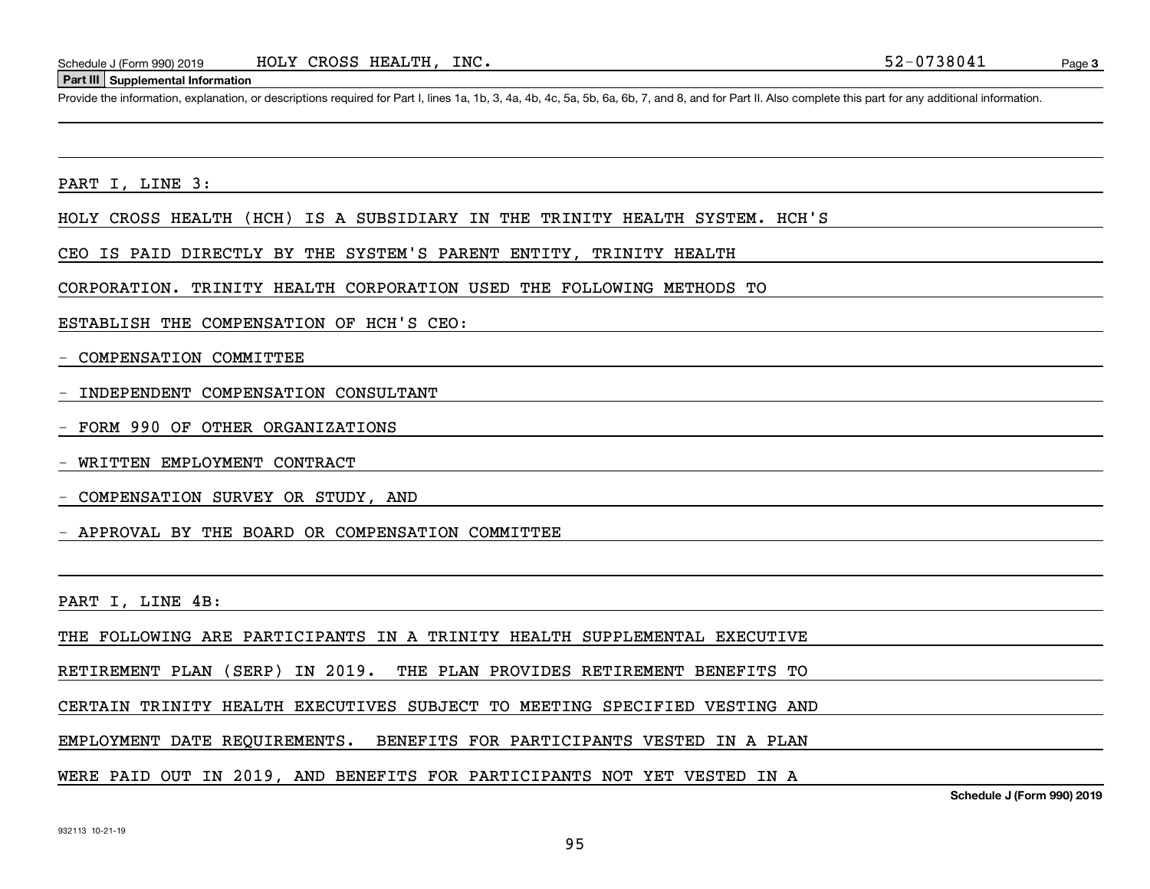#### **Part III Supplemental Information**

Schedule J (Form 990) 2019 HOLY CROSS HEALTH, INC.<br>Part III Supplemental Information<br>Provide the information, explanation, or descriptions required for Part I, lines 1a, 1b, 3, 4a, 4b, 4c, 5a, 5b, 6a, 6b, 7, and 8, and for

PART I, LINE 3:

HOLY CROSS HEALTH (HCH) IS A SUBSIDIARY IN THE TRINITY HEALTH SYSTEM. HCH'S

CEO IS PAID DIRECTLY BY THE SYSTEM'S PARENT ENTITY, TRINITY HEALTH

CORPORATION. TRINITY HEALTH CORPORATION USED THE FOLLOWING METHODS TO

ESTABLISH THE COMPENSATION OF HCH'S CEO:

- COMPENSATION COMMITTEE

- INDEPENDENT COMPENSATION CONSULTANT

- FORM 990 OF OTHER ORGANIZATIONS

WRITTEN EMPLOYMENT CONTRACT

- COMPENSATION SURVEY OR STUDY, AND

- APPROVAL BY THE BOARD OR COMPENSATION COMMITTEE

PART I, LINE 4B:

THE FOLLOWING ARE PARTICIPANTS IN A TRINITY HEALTH SUPPLEMENTAL EXECUTIVE

RETIREMENT PLAN (SERP) IN 2019. THE PLAN PROVIDES RETIREMENT BENEFITS TO

CERTAIN TRINITY HEALTH EXECUTIVES SUBJECT TO MEETING SPECIFIED VESTING AND

EMPLOYMENT DATE REQUIREMENTS. BENEFITS FOR PARTICIPANTS VESTED IN A PLAN

WERE PAID OUT IN 2019, AND BENEFITS FOR PARTICIPANTS NOT YET VESTED IN A

**Schedule J (Form 990) 2019**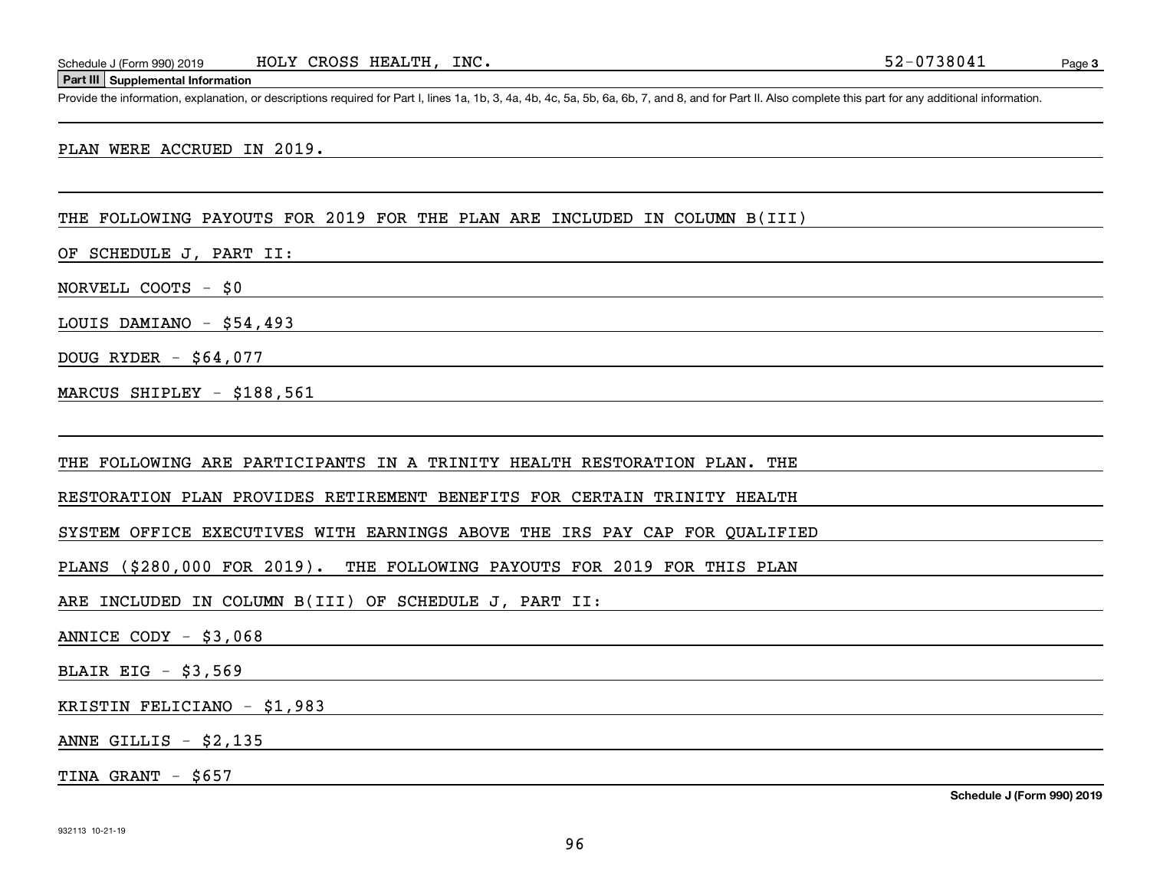#### **Part III Supplemental Information**

Schedule J (Form 990) 2019 HOLY CROSS HEALTH, INC.<br>Part III Supplemental Information<br>Provide the information, explanation, or descriptions required for Part I, lines 1a, 1b, 3, 4a, 4b, 4c, 5a, 5b, 6a, 6b, 7, and 8, and for

PLAN WERE ACCRUED IN 2019.

## THE FOLLOWING PAYOUTS FOR 2019 FOR THE PLAN ARE INCLUDED IN COLUMN B(III)

OF SCHEDULE J, PART II:

NORVELL COOTS - \$0

LOUIS DAMIANO - \$54,493

DOUG RYDER - \$64,077

MARCUS SHIPLEY - \$188,561

THE FOLLOWING ARE PARTICIPANTS IN A TRINITY HEALTH RESTORATION PLAN. THE

RESTORATION PLAN PROVIDES RETIREMENT BENEFITS FOR CERTAIN TRINITY HEALTH

SYSTEM OFFICE EXECUTIVES WITH EARNINGS ABOVE THE IRS PAY CAP FOR QUALIFIED

PLANS (\$280,000 FOR 2019). THE FOLLOWING PAYOUTS FOR 2019 FOR THIS PLAN

ARE INCLUDED IN COLUMN B(III) OF SCHEDULE J, PART II:

ANNICE CODY - \$3,068

BLAIR EIG - \$3,569

KRISTIN FELICIANO - \$1,983

ANNE GILLIS - \$2,135

TINA GRANT - \$657

**Schedule J (Form 990) 2019**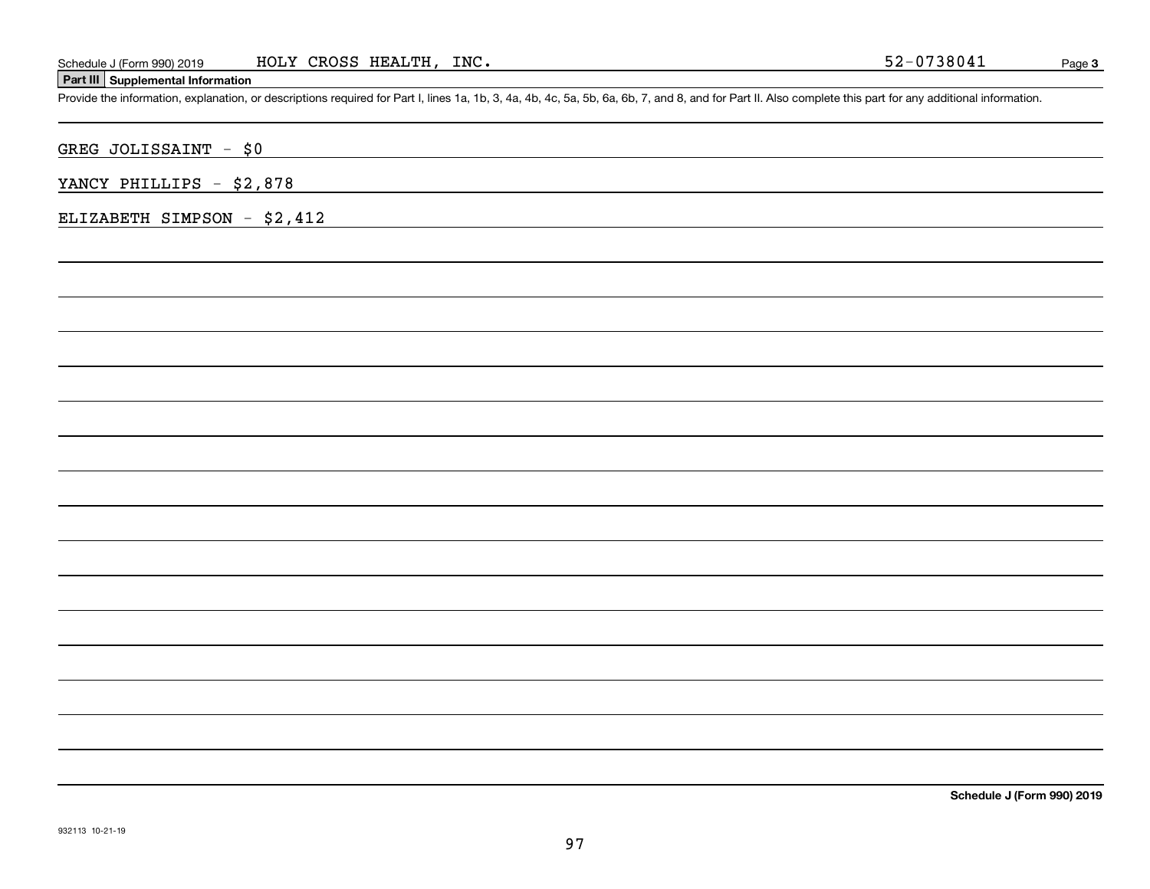# **Part III Supplemental Information**

Schedule J (Form 990) 2019 HOLY CROSS HEALTH, INC.<br>Part III Supplemental Information<br>Provide the information, explanation, or descriptions required for Part I, lines 1a, 1b, 3, 4a, 4b, 4c, 5a, 5b, 6a, 6b, 7, and 8, and for

GREG JOLISSAINT - \$0

YANCY PHILLIPS - \$2,878

ELIZABETH SIMPSON - \$2,412

**Schedule J (Form 990) 2019**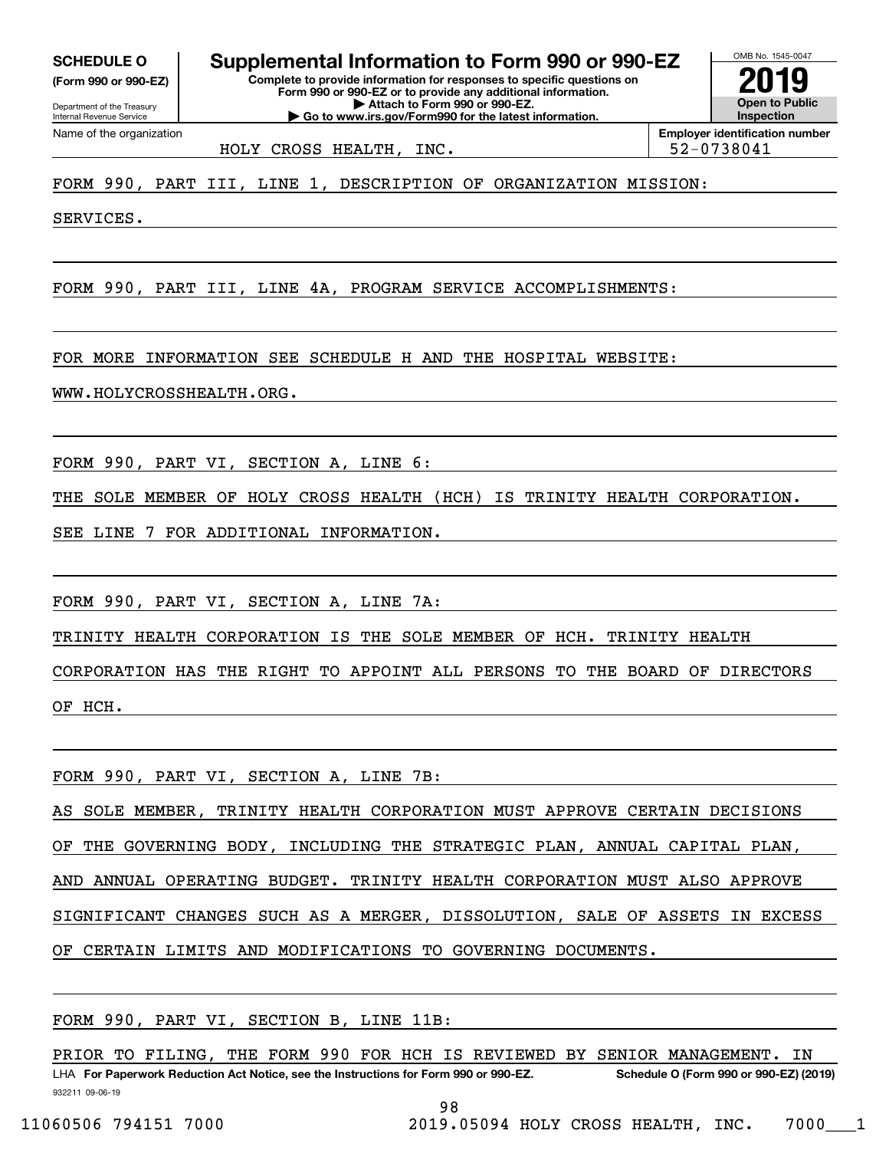**(Form 990 or 990-EZ)**

Department of the Treasury Internal Revenue Service Name of the organization

OMB No. 1545-0047 **Complete to provide information for responses to specific questions on Form 990 or 990-EZ or to provide any additional information. | Attach to Form 990 or 990-EZ. | Go to www.irs.gov/Form990 for the latest information. SCHEDULE O Supplemental Information to Form 990 or 990-EZ**

**Open to Public InspectionEmployer identification number 2019**

HOLY CROSS HEALTH, INC.  $\vert$  52-0738041

FORM 990, PART III, LINE 1, DESCRIPTION OF ORGANIZATION MISSION:

SERVICES.

FORM 990, PART III, LINE 4A, PROGRAM SERVICE ACCOMPLISHMENTS:

FOR MORE INFORMATION SEE SCHEDULE H AND THE HOSPITAL WEBSITE:

WWW.HOLYCROSSHEALTH.ORG.

FORM 990, PART VI, SECTION A, LINE 6:

THE SOLE MEMBER OF HOLY CROSS HEALTH (HCH) IS TRINITY HEALTH CORPORATION.

SEE LINE 7 FOR ADDITIONAL INFORMATION.

FORM 990, PART VI, SECTION A, LINE 7A:

TRINITY HEALTH CORPORATION IS THE SOLE MEMBER OF HCH. TRINITY HEALTH

CORPORATION HAS THE RIGHT TO APPOINT ALL PERSONS TO THE BOARD OF DIRECTORS OF HCH.

FORM 990, PART VI, SECTION A, LINE 7B:

AS SOLE MEMBER, TRINITY HEALTH CORPORATION MUST APPROVE CERTAIN DECISIONS OF THE GOVERNING BODY, INCLUDING THE STRATEGIC PLAN, ANNUAL CAPITAL PLAN, AND ANNUAL OPERATING BUDGET. TRINITY HEALTH CORPORATION MUST ALSO APPROVE SIGNIFICANT CHANGES SUCH AS A MERGER, DISSOLUTION, SALE OF ASSETS IN EXCESS OF CERTAIN LIMITS AND MODIFICATIONS TO GOVERNING DOCUMENTS.

FORM 990, PART VI, SECTION B, LINE 11B:

932211 09-06-19 LHA For Paperwork Reduction Act Notice, see the Instructions for Form 990 or 990-EZ. Schedule O (Form 990 or 990-EZ) (2019) PRIOR TO FILING, THE FORM 990 FOR HCH IS REVIEWED BY SENIOR MANAGEMENT. IN

98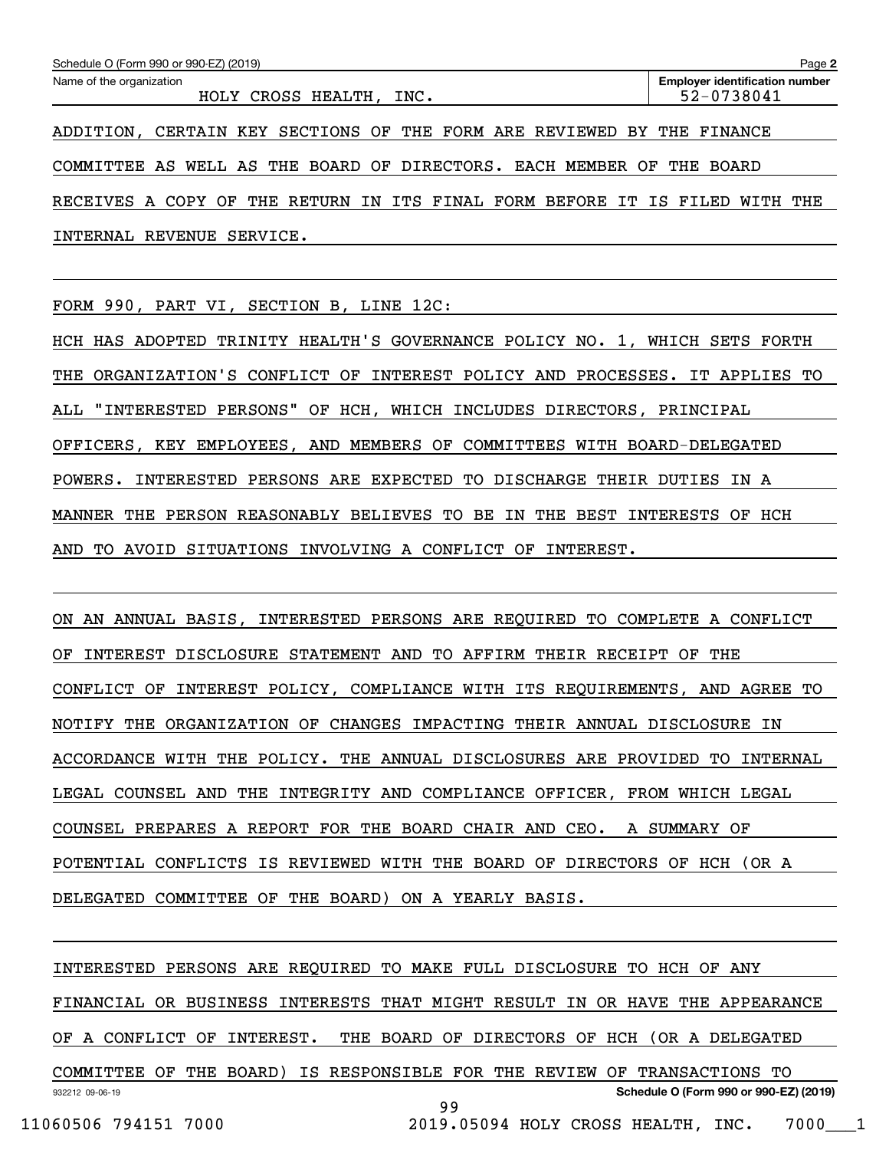| Schedule O (Form 990 or 990-EZ) (2019)                                      | Page 2                                              |
|-----------------------------------------------------------------------------|-----------------------------------------------------|
| Name of the organization<br>HOLY CROSS HEALTH, INC.                         | <b>Employer identification number</b><br>52-0738041 |
| ADDITION, CERTAIN KEY SECTIONS OF THE FORM ARE REVIEWED BY THE FINANCE      |                                                     |
| COMMITTEE AS WELL AS THE BOARD OF DIRECTORS. EACH MEMBER                    | THE<br>OF<br>BOARD                                  |
| RECEIVES A COPY OF THE RETURN IN ITS FINAL FORM BEFORE IT IS FILED WITH THE |                                                     |
| REVENUE<br>INTERNAL<br>SERVICE.                                             |                                                     |

FORM 990, PART VI, SECTION B, LINE 12C:

HCH HAS ADOPTED TRINITY HEALTH'S GOVERNANCE POLICY NO. 1, WHICH SETS FORTH THE ORGANIZATION'S CONFLICT OF INTEREST POLICY AND PROCESSES. IT APPLIES TO ALL "INTERESTED PERSONS" OF HCH, WHICH INCLUDES DIRECTORS, PRINCIPAL OFFICERS, KEY EMPLOYEES, AND MEMBERS OF COMMITTEES WITH BOARD-DELEGATED POWERS. INTERESTED PERSONS ARE EXPECTED TO DISCHARGE THEIR DUTIES IN A MANNER THE PERSON REASONABLY BELIEVES TO BE IN THE BEST INTERESTS OF HCH AND TO AVOID SITUATIONS INVOLVING A CONFLICT OF INTEREST.

ON AN ANNUAL BASIS, INTERESTED PERSONS ARE REQUIRED TO COMPLETE A CONFLICT OF INTEREST DISCLOSURE STATEMENT AND TO AFFIRM THEIR RECEIPT OF THE CONFLICT OF INTEREST POLICY, COMPLIANCE WITH ITS REQUIREMENTS, AND AGREE TO NOTIFY THE ORGANIZATION OF CHANGES IMPACTING THEIR ANNUAL DISCLOSURE IN ACCORDANCE WITH THE POLICY. THE ANNUAL DISCLOSURES ARE PROVIDED TO INTERNAL LEGAL COUNSEL AND THE INTEGRITY AND COMPLIANCE OFFICER, FROM WHICH LEGAL COUNSEL PREPARES A REPORT FOR THE BOARD CHAIR AND CEO. A SUMMARY OF POTENTIAL CONFLICTS IS REVIEWED WITH THE BOARD OF DIRECTORS OF HCH (OR A DELEGATED COMMITTEE OF THE BOARD) ON A YEARLY BASIS.

932212 09-06-19 **Schedule O (Form 990 or 990-EZ) (2019)** INTERESTED PERSONS ARE REQUIRED TO MAKE FULL DISCLOSURE TO HCH OF ANY FINANCIAL OR BUSINESS INTERESTS THAT MIGHT RESULT IN OR HAVE THE APPEARANCE OF A CONFLICT OF INTEREST. THE BOARD OF DIRECTORS OF HCH (OR A DELEGATED COMMITTEE OF THE BOARD) IS RESPONSIBLE FOR THE REVIEW OF TRANSACTIONS TO 99

11060506 794151 7000 2019.05094 HOLY CROSS HEALTH, INC. 7000\_\_\_1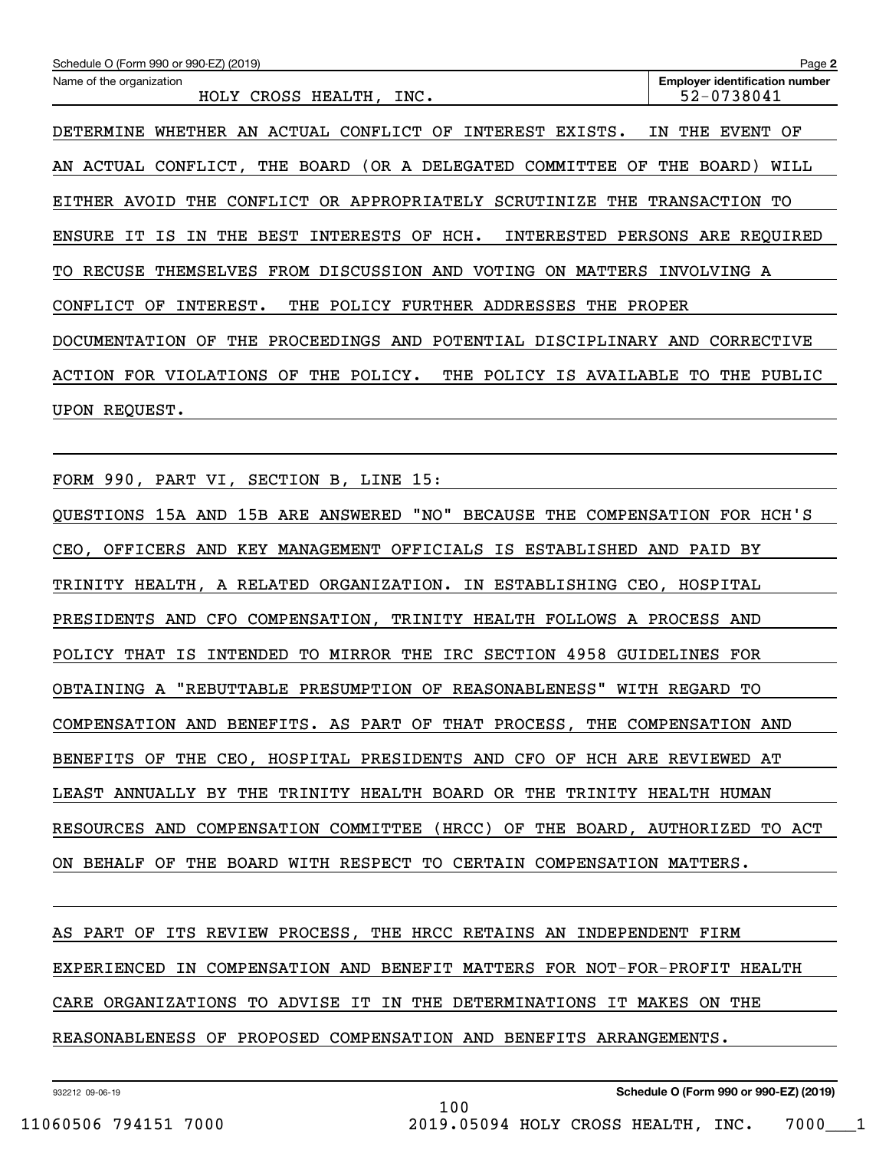| Schedule O (Form 990 or 990-EZ) (2019)                                                                | Page 2                                              |
|-------------------------------------------------------------------------------------------------------|-----------------------------------------------------|
| Name of the organization<br>HOLY CROSS HEALTH.<br>INC.                                                | <b>Employer identification number</b><br>52-0738041 |
| ACTUAL<br>CONFLICT<br>DETERMINE<br>WHETHER<br>AN<br>ΟF<br>INTEREST<br>EXISTS.                         | THE<br><b>EVENT</b><br>ОF<br>ΙN                     |
| BOARD<br>(OR A DELEGATED<br>COMMITTEE<br>ACTUAL<br>CONFLICT,<br>THE<br>ΟF<br>AN                       | THE<br>BOARD)<br>WILL                               |
| CONFLICT<br>OR APPROPRIATELY<br>SCRUTINIZE<br>EITHER<br>AVOID<br>THE<br>THE                           | <b>TRANSACTION</b><br>TО                            |
| HCH.<br>THE<br><b>BEST</b><br><b>INTERESTS</b><br>INTERESTED<br><b>ENSURE</b><br>IТ<br>ΙS<br>ΟF<br>ΙN | PERSONS ARE REQUIRED                                |
| FROM DISCUSSION AND<br>VOTING<br>MATTERS<br>RECUSE<br>THEMSELVES<br>ON<br>TO.                         | INVOLVING A                                         |
| POLICY<br>FURTHER<br>ADDRESSES<br>CONFLICT<br>ΟF<br>INTEREST.<br>THE<br>THE                           | PROPER                                              |
| THE<br>PROCEEDINGS<br>AND<br>POTENTIAL<br>DISCIPLINARY<br><b>DOCUMENTATION</b><br>OF                  | <b>CORRECTIVE</b><br>AND                            |
| <b>VIOLATIONS</b><br>THE<br>POLICY.<br>THE<br>POLICY<br>ΙS<br>AVAILABLE<br><b>ACTION</b><br>FOR<br>ОF | PUBLIC<br>TО<br>THE                                 |
| REQUEST.<br>UPON                                                                                      |                                                     |

FORM 990, PART VI, SECTION B, LINE 15:

QUESTIONS 15A AND 15B ARE ANSWERED "NO" BECAUSE THE COMPENSATION FOR HCH'S CEO, OFFICERS AND KEY MANAGEMENT OFFICIALS IS ESTABLISHED AND PAID BY TRINITY HEALTH, A RELATED ORGANIZATION. IN ESTABLISHING CEO, HOSPITAL PRESIDENTS AND CFO COMPENSATION, TRINITY HEALTH FOLLOWS A PROCESS AND POLICY THAT IS INTENDED TO MIRROR THE IRC SECTION 4958 GUIDELINES FOR OBTAINING A "REBUTTABLE PRESUMPTION OF REASONABLENESS" WITH REGARD TO COMPENSATION AND BENEFITS. AS PART OF THAT PROCESS, THE COMPENSATION AND BENEFITS OF THE CEO, HOSPITAL PRESIDENTS AND CFO OF HCH ARE REVIEWED AT LEAST ANNUALLY BY THE TRINITY HEALTH BOARD OR THE TRINITY HEALTH HUMAN RESOURCES AND COMPENSATION COMMITTEE (HRCC) OF THE BOARD, AUTHORIZED TO ACT ON BEHALF OF THE BOARD WITH RESPECT TO CERTAIN COMPENSATION MATTERS.

AS PART OF ITS REVIEW PROCESS, THE HRCC RETAINS AN INDEPENDENT FIRM EXPERIENCED IN COMPENSATION AND BENEFIT MATTERS FOR NOT-FOR-PROFIT HEALTH CARE ORGANIZATIONS TO ADVISE IT IN THE DETERMINATIONS IT MAKES ON THE REASONABLENESS OF PROPOSED COMPENSATION AND BENEFITS ARRANGEMENTS.

100

932212 09-06-19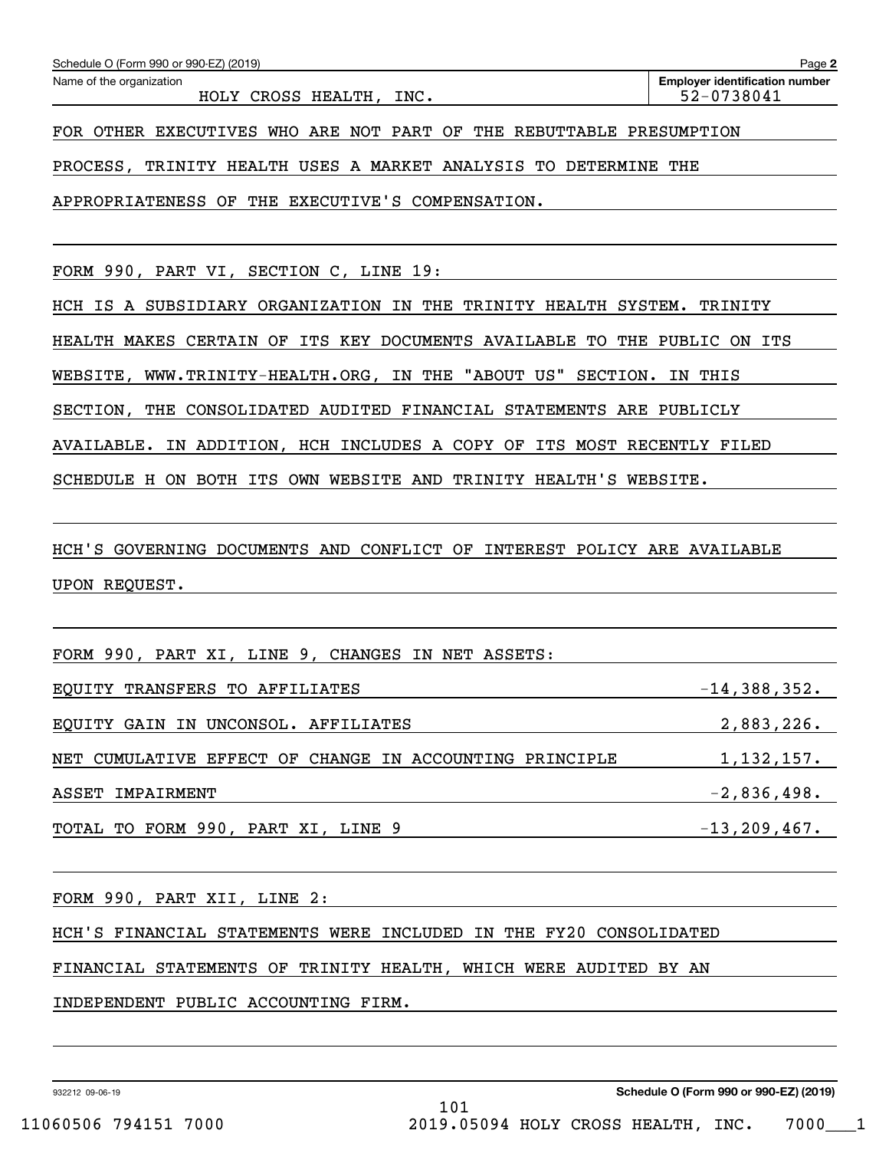| Schedule O (Form 990 or 990-EZ) (2019)                              | Page 2                                              |
|---------------------------------------------------------------------|-----------------------------------------------------|
| Name of the organization<br>HOLY CROSS HEALTH, INC.                 | <b>Employer identification number</b><br>52-0738041 |
| FOR OTHER EXECUTIVES WHO ARE NOT PART OF THE REBUTTABLE PRESUMPTION |                                                     |
| PROCESS, TRINITY HEALTH USES A MARKET ANALYSIS TO DETERMINE THE     |                                                     |
| APPROPRIATENESS OF THE EXECUTIVE'S COMPENSATION.                    |                                                     |
|                                                                     |                                                     |
| FORM 990, PART VI, SECTION C, LINE 19:                              |                                                     |

HCH IS A SUBSIDIARY ORGANIZATION IN THE TRINITY HEALTH SYSTEM. TRINITY

HEALTH MAKES CERTAIN OF ITS KEY DOCUMENTS AVAILABLE TO THE PUBLIC ON ITS

WEBSITE, WWW.TRINITY-HEALTH.ORG, IN THE "ABOUT US" SECTION. IN THIS

SECTION, THE CONSOLIDATED AUDITED FINANCIAL STATEMENTS ARE PUBLICLY

AVAILABLE. IN ADDITION, HCH INCLUDES A COPY OF ITS MOST RECENTLY FILED

SCHEDULE H ON BOTH ITS OWN WEBSITE AND TRINITY HEALTH'S WEBSITE.

HCH'S GOVERNING DOCUMENTS AND CONFLICT OF INTEREST POLICY ARE AVAILABLE UPON REQUEST.

| FORM 990, PART XI, LINE 9, CHANGES IN NET ASSETS:       |                   |
|---------------------------------------------------------|-------------------|
| EQUITY TRANSFERS TO AFFILIATES                          | $-14,388,352.$    |
| EQUITY GAIN IN UNCONSOL. AFFILIATES                     | 2,883,226.        |
| NET CUMULATIVE EFFECT OF CHANGE IN ACCOUNTING PRINCIPLE | 1,132,157.        |
| ASSET IMPAIRMENT                                        | $-2,836,498.$     |
| TOTAL TO FORM 990, PART XI, LINE 9                      | $-13, 209, 467$ . |

101

FORM 990, PART XII, LINE 2:

HCH'S FINANCIAL STATEMENTS WERE INCLUDED IN THE FY20 CONSOLIDATED

FINANCIAL STATEMENTS OF TRINITY HEALTH, WHICH WERE AUDITED BY AN

INDEPENDENT PUBLIC ACCOUNTING FIRM.

932212 09-06-19

**Schedule O (Form 990 or 990-EZ) (2019)**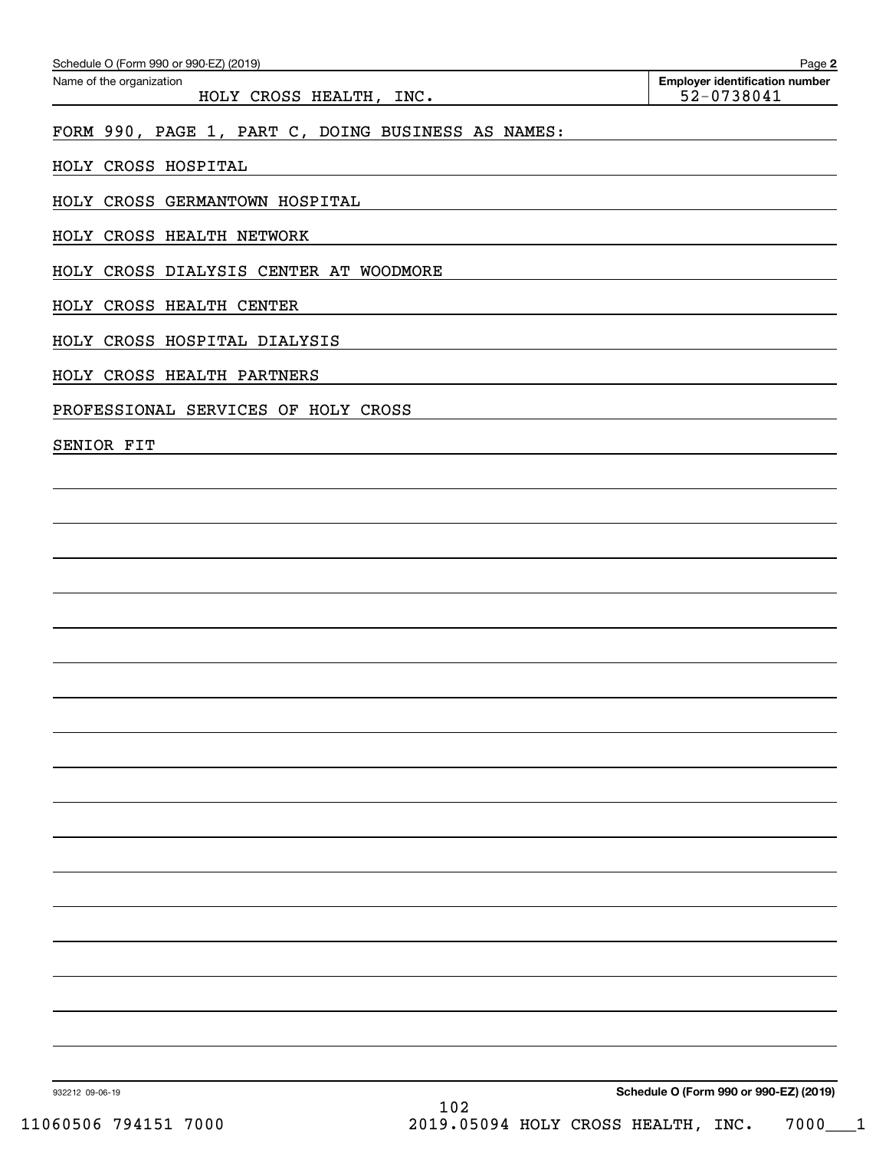| Schedule O (Form 990 or 990-EZ) (2019)<br>Name of the organization | Page 2<br><b>Employer identification number</b> |
|--------------------------------------------------------------------|-------------------------------------------------|
| HOLY CROSS HEALTH, INC.                                            | 52-0738041                                      |
| FORM 990, PAGE 1, PART C, DOING BUSINESS AS NAMES:                 |                                                 |
| HOLY CROSS HOSPITAL                                                |                                                 |
| HOLY CROSS GERMANTOWN HOSPITAL                                     |                                                 |
| HOLY CROSS HEALTH NETWORK                                          |                                                 |
| HOLY CROSS DIALYSIS CENTER AT WOODMORE                             |                                                 |
| HOLY CROSS HEALTH CENTER                                           |                                                 |
| HOLY CROSS HOSPITAL DIALYSIS                                       |                                                 |
|                                                                    |                                                 |
| HOLY CROSS HEALTH PARTNERS                                         |                                                 |
| PROFESSIONAL SERVICES OF HOLY CROSS                                |                                                 |
| SENIOR FIT                                                         |                                                 |
|                                                                    |                                                 |
|                                                                    |                                                 |
|                                                                    |                                                 |
|                                                                    |                                                 |
|                                                                    |                                                 |
|                                                                    |                                                 |
|                                                                    |                                                 |
|                                                                    |                                                 |
|                                                                    |                                                 |
|                                                                    |                                                 |
|                                                                    |                                                 |
|                                                                    |                                                 |
|                                                                    |                                                 |
|                                                                    |                                                 |
|                                                                    |                                                 |
|                                                                    |                                                 |
|                                                                    |                                                 |
|                                                                    |                                                 |
|                                                                    |                                                 |
|                                                                    |                                                 |
| 932212 09-06-19<br>102                                             | Schedule O (Form 990 or 990-EZ) (2019)          |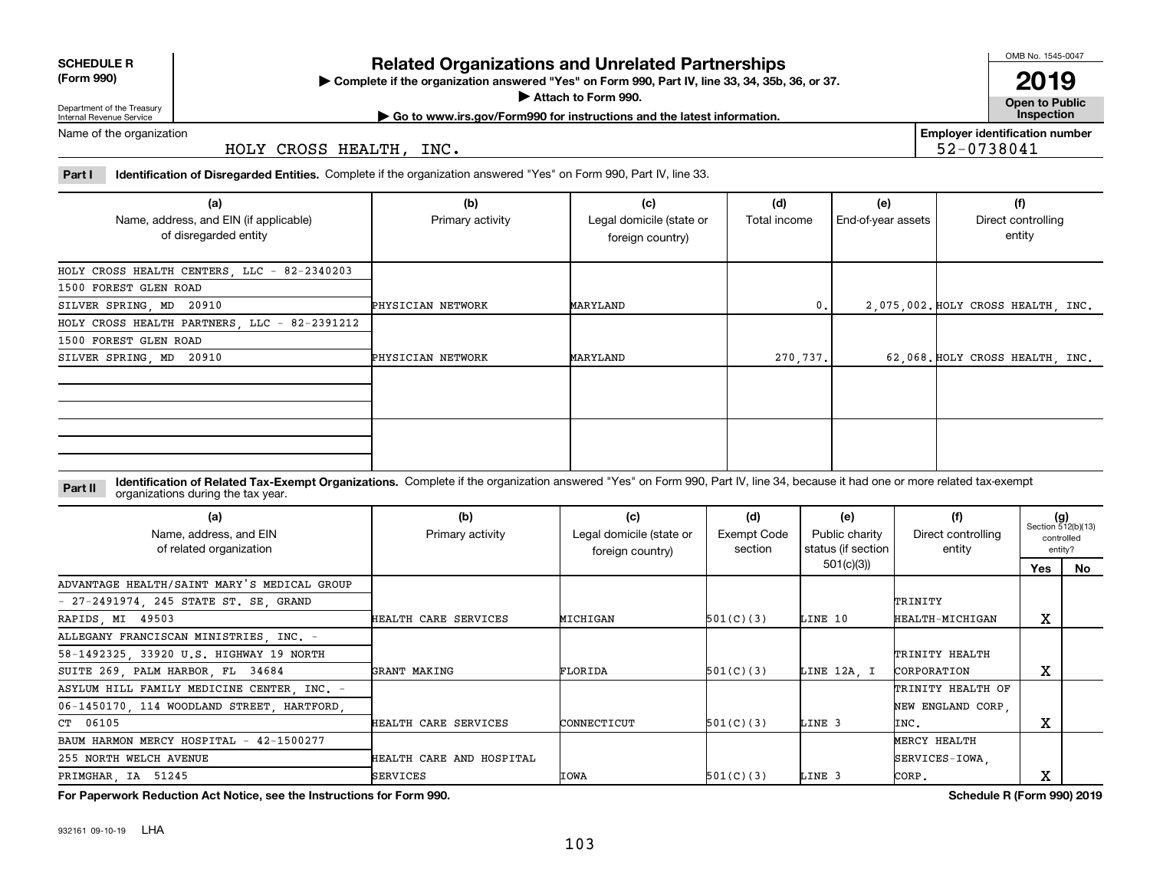|  | <b>Related C</b> |  |
|--|------------------|--|
|  |                  |  |

**Organizations and Unrelated Partnerships** 

**Complete if the organization answered "Yes" on Form 990, Part IV, line 33, 34, 35b, 36, or 37.** |

**Attach to Form 990.**  |

**Open to Public | Go to www.irs.gov/Form990 for instructions and the latest information. Inspection 2019**

**Employer identification number**

52-0738041

Department of the Treasury Internal Revenue Service Name of the organization

**SCHEDULE R (Form 990)**

HOLY CROSS HEALTH, INC.

**Part I Identification of Disregarded Entities.**  Complete if the organization answered "Yes" on Form 990, Part IV, line 33.

| (a)<br>Name, address, and EIN (if applicable)<br>of disregarded entity | (b)<br>Primary activity | (c)<br>Legal domicile (state or<br>foreign country) | (d)<br>Total income | (e)<br>End-of-year assets | (f)<br>Direct controlling<br>entity |
|------------------------------------------------------------------------|-------------------------|-----------------------------------------------------|---------------------|---------------------------|-------------------------------------|
| HOLY CROSS HEALTH CENTERS, LLC - 82-2340203                            |                         |                                                     |                     |                           |                                     |
| 1500 FOREST GLEN ROAD                                                  |                         |                                                     |                     |                           |                                     |
| SILVER SPRING, MD 20910                                                | PHYSICIAN NETWORK       | MARYLAND                                            | $\mathbf{0}$ .      |                           | 2,075,002. HOLY CROSS HEALTH, INC.  |
| HOLY CROSS HEALTH PARTNERS, LLC - 82-2391212                           |                         |                                                     |                     |                           |                                     |
| 1500 FOREST GLEN ROAD                                                  |                         |                                                     |                     |                           |                                     |
| SILVER SPRING, MD 20910                                                | PHYSICIAN NETWORK       | MARYLAND                                            | 270,737.            |                           | 62,068. HOLY CROSS HEALTH, INC.     |
|                                                                        |                         |                                                     |                     |                           |                                     |
|                                                                        |                         |                                                     |                     |                           |                                     |

**Identification of Related Tax-Exempt Organizations.** Complete if the organization answered "Yes" on Form 990, Part IV, line 34, because it had one or more related tax-exempt **Part II** organizations during the tax year.

| (a)<br>Name, address, and EIN<br>of related organization | (b)<br>Primary activity  | (c)<br>Legal domicile (state or<br>foreign country) | (d)<br>Exempt Code<br>section | (e)<br>Public charity<br>status (if section | (f)<br>Direct controlling<br>entity | $(g)$<br>Section 512(b)(13)<br>controlled<br>entity? |    |
|----------------------------------------------------------|--------------------------|-----------------------------------------------------|-------------------------------|---------------------------------------------|-------------------------------------|------------------------------------------------------|----|
|                                                          |                          |                                                     |                               | 501(c)(3)                                   |                                     | Yes                                                  | No |
| ADVANTAGE HEALTH/SAINT MARY'S MEDICAL GROUP              |                          |                                                     |                               |                                             |                                     |                                                      |    |
| - 27-2491974, 245 STATE ST. SE, GRAND                    |                          |                                                     |                               |                                             | TRINITY                             |                                                      |    |
| RAPIDS, MI 49503                                         | HEALTH CARE SERVICES     | MICHIGAN                                            | 501(C)(3)                     | LINE 10                                     | HEALTH-MICHIGAN                     | X                                                    |    |
| ALLEGANY FRANCISCAN MINISTRIES, INC. -                   |                          |                                                     |                               |                                             |                                     |                                                      |    |
| 58-1492325, 33920 U.S. HIGHWAY 19 NORTH                  |                          |                                                     |                               |                                             | TRINITY HEALTH                      |                                                      |    |
| SUITE 269, PALM HARBOR, FL 34684                         | GRANT MAKING             | FLORIDA                                             | 501(C)(3)                     | LINE 12A. I                                 | CORPORATION                         | X                                                    |    |
| ASYLUM HILL FAMILY MEDICINE CENTER, INC. -               |                          |                                                     |                               |                                             | TRINITY HEALTH OF                   |                                                      |    |
| 06-1450170 114 WOODLAND STREET HARTFORD                  |                          |                                                     |                               |                                             | NEW ENGLAND CORP.                   |                                                      |    |
| CT 06105                                                 | HEALTH CARE SERVICES     | CONNECTICUT                                         | 501(C)(3)                     | LINE 3                                      | INC.                                | x                                                    |    |
| BAUM HARMON MERCY HOSPITAL - 42-1500277                  |                          |                                                     |                               |                                             | MERCY HEALTH                        |                                                      |    |
| 255 NORTH WELCH AVENUE                                   | HEALTH CARE AND HOSPITAL |                                                     |                               |                                             | SERVICES-IOWA                       |                                                      |    |
| PRIMGHAR, IA 51245                                       | <b>SERVICES</b>          | <b>IOWA</b>                                         | 501(C)(3)                     | LINE 3                                      | CORP.                               | x                                                    |    |

**For Paperwork Reduction Act Notice, see the Instructions for Form 990. Schedule R (Form 990) 2019**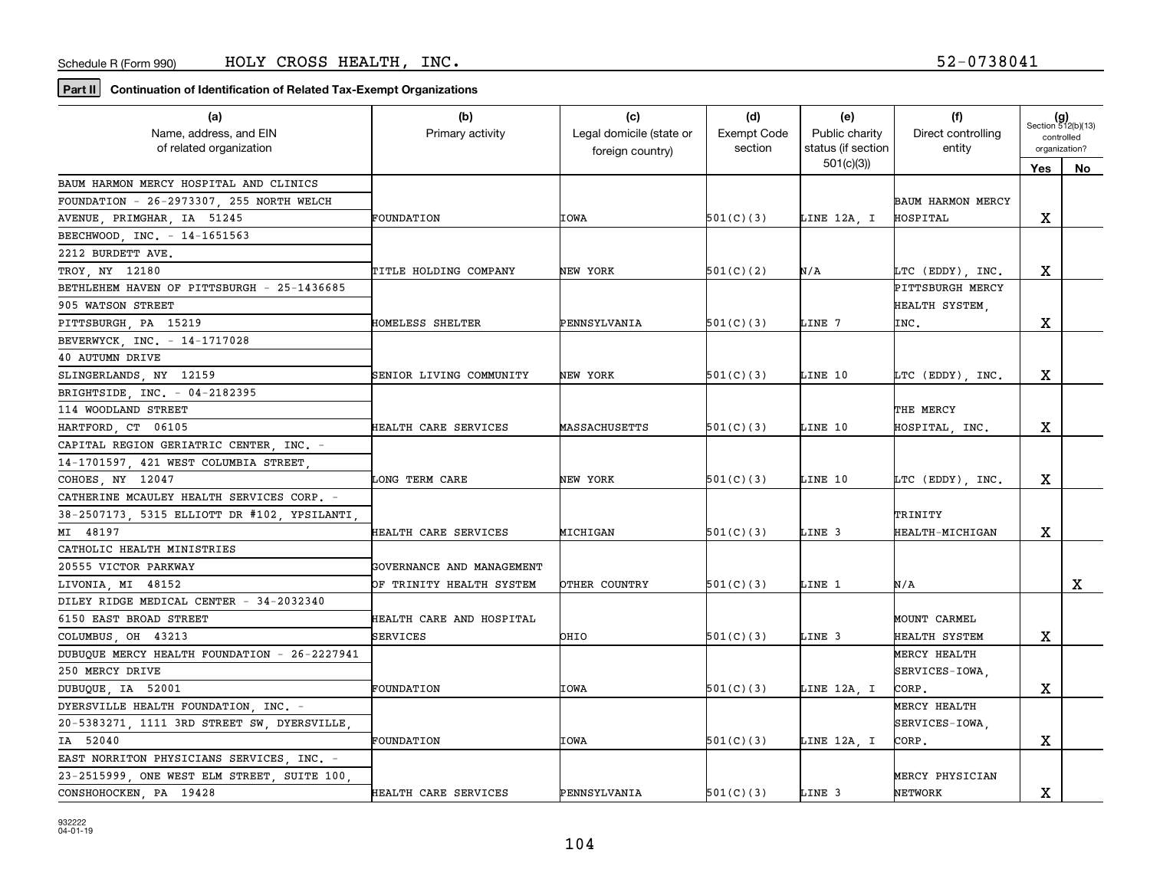| (a)                                          | (b)                       | (c)                      | (d)                | (e)                | (f)                | $(g)$<br>Section 512(b)(13) |    |
|----------------------------------------------|---------------------------|--------------------------|--------------------|--------------------|--------------------|-----------------------------|----|
| Name, address, and EIN                       | Primary activity          | Legal domicile (state or | <b>Exempt Code</b> | Public charity     | Direct controlling | controlled                  |    |
| of related organization                      |                           | foreign country)         | section            | status (if section | entity             | organization?               |    |
|                                              |                           |                          |                    | 501(c)(3)          |                    | Yes                         | No |
| BAUM HARMON MERCY HOSPITAL AND CLINICS       |                           |                          |                    |                    |                    |                             |    |
| FOUNDATION - 26-2973307, 255 NORTH WELCH     |                           |                          |                    |                    | BAUM HARMON MERCY  |                             |    |
| AVENUE, PRIMGHAR, IA 51245                   | <b>FOUNDATION</b>         | IOWA                     | 501(C)(3)          | LINE 12A, I        | HOSPITAL           | x                           |    |
| BEECHWOOD, INC. - 14-1651563                 |                           |                          |                    |                    |                    |                             |    |
| 2212 BURDETT AVE.                            |                           |                          |                    |                    |                    |                             |    |
| TROY, NY 12180                               | TITLE HOLDING COMPANY     | NEW YORK                 | 501(C)(2)          | N/A                | LTC (EDDY), INC.   | x                           |    |
| BETHLEHEM HAVEN OF PITTSBURGH - 25-1436685   |                           |                          |                    |                    | PITTSBURGH MERCY   |                             |    |
| 905 WATSON STREET                            |                           |                          |                    |                    | HEALTH SYSTEM,     |                             |    |
| PITTSBURGH, PA 15219                         | HOMELESS SHELTER          | PENNSYLVANIA             | 501(C)(3)          | LINE 7             | INC.               | х                           |    |
| BEVERWYCK, INC. - 14-1717028                 |                           |                          |                    |                    |                    |                             |    |
| 40 AUTUMN DRIVE                              |                           |                          |                    |                    |                    |                             |    |
| SLINGERLANDS NY 12159                        | SENIOR LIVING COMMUNITY   | NEW YORK                 | 501(C)(3)          | LINE 10            | LTC (EDDY), INC.   | x                           |    |
| BRIGHTSIDE, INC. - 04-2182395                |                           |                          |                    |                    |                    |                             |    |
| 114 WOODLAND STREET                          |                           |                          |                    |                    | THE MERCY          |                             |    |
| HARTFORD, CT 06105                           | HEALTH CARE SERVICES      | MASSACHUSETTS            | 501(C)(3)          | LINE 10            | HOSPITAL, INC.     | X                           |    |
| CAPITAL REGION GERIATRIC CENTER, INC. -      |                           |                          |                    |                    |                    |                             |    |
| 14-1701597, 421 WEST COLUMBIA STREET         |                           |                          |                    |                    |                    |                             |    |
| COHOES, NY 12047                             | LONG TERM CARE            | NEW YORK                 | 501(C)(3)          | LINE 10            | LTC (EDDY), INC.   | X                           |    |
| CATHERINE MCAULEY HEALTH SERVICES CORP. -    |                           |                          |                    |                    |                    |                             |    |
| 38-2507173, 5315 ELLIOTT DR #102, YPSILANTI  |                           |                          |                    |                    | TRINITY            |                             |    |
| MI 48197                                     | HEALTH CARE SERVICES      | MICHIGAN                 | 501(C)(3)          | LINE 3             | HEALTH-MICHIGAN    | X                           |    |
| CATHOLIC HEALTH MINISTRIES                   |                           |                          |                    |                    |                    |                             |    |
| 20555 VICTOR PARKWAY                         | GOVERNANCE AND MANAGEMENT |                          |                    |                    |                    |                             |    |
| LIVONIA, MI 48152                            | OF TRINITY HEALTH SYSTEM  | OTHER COUNTRY            | 501(C)(3)          | LINE 1             | N/A                |                             | X  |
| DILEY RIDGE MEDICAL CENTER - 34-2032340      |                           |                          |                    |                    |                    |                             |    |
| 6150 EAST BROAD STREET                       | HEALTH CARE AND HOSPITAL  |                          |                    |                    | MOUNT CARMEL       |                             |    |
| COLUMBUS, OH 43213                           | SERVICES                  | OHIO                     | 501(C)(3)          | LINE 3             | HEALTH SYSTEM      | х                           |    |
| DUBUOUE MERCY HEALTH FOUNDATION - 26-2227941 |                           |                          |                    |                    | MERCY HEALTH       |                             |    |
| 250 MERCY DRIVE                              |                           |                          |                    |                    | SERVICES-IOWA.     |                             |    |
| DUBUQUE, IA 52001                            | FOUNDATION                | <b>IOWA</b>              | 501(C)(3)          | LINE 12A, I        | CORP.              | х                           |    |
| DYERSVILLE HEALTH FOUNDATION, INC. -         |                           |                          |                    |                    | MERCY HEALTH       |                             |    |
| 20-5383271, 1111 3RD STREET SW, DYERSVILLE,  |                           |                          |                    |                    | SERVICES-IOWA,     |                             |    |
| IA 52040                                     | FOUNDATION                | <b>IOWA</b>              | 501(C)(3)          | LINE 12A, I        | CORP.              | x                           |    |
| EAST NORRITON PHYSICIANS SERVICES, INC. -    |                           |                          |                    |                    |                    |                             |    |
| 23-2515999, ONE WEST ELM STREET, SUITE 100,  |                           |                          |                    |                    | MERCY PHYSICIAN    |                             |    |
| CONSHOHOCKEN, PA 19428                       | HEALTH CARE SERVICES      | PENNSYLVANIA             | 501(C)(3)          | LINE 3             | <b>NETWORK</b>     | X                           |    |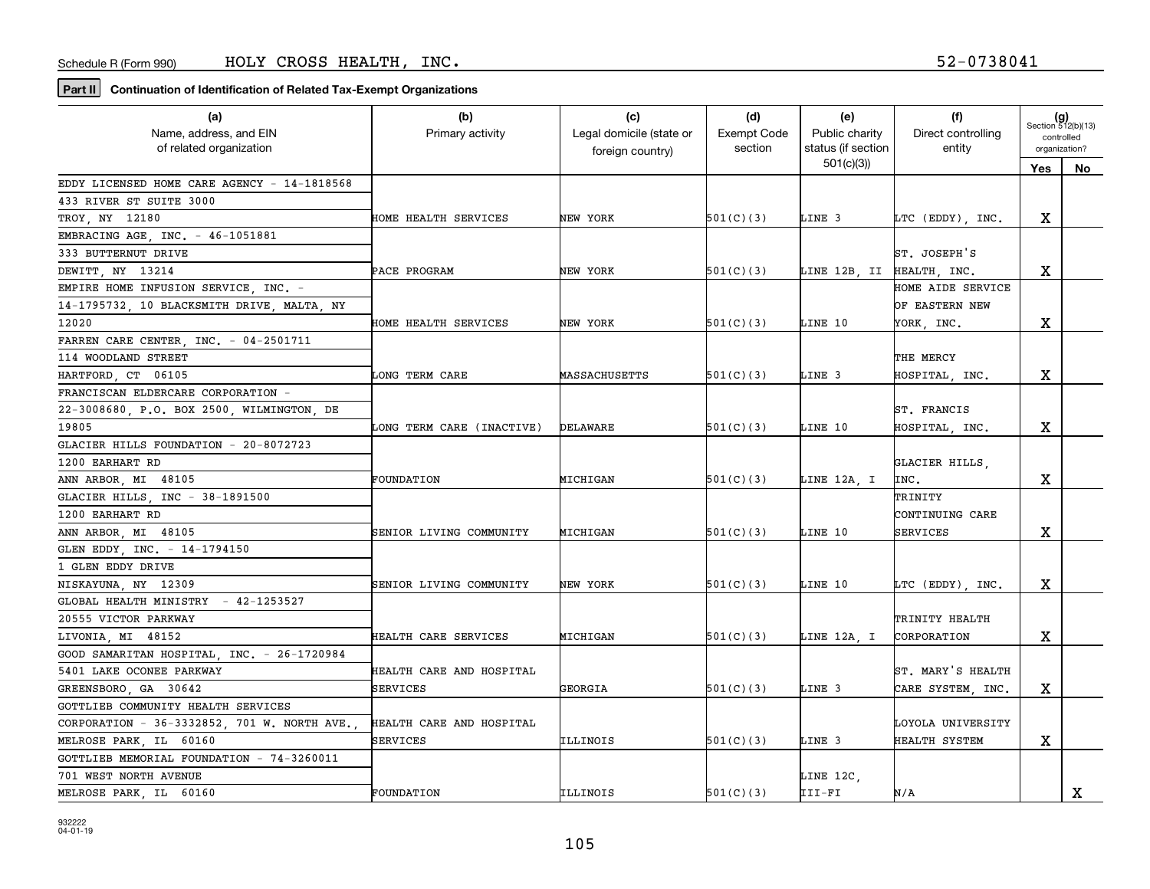| (a)                                         | (b)                       | (c)                      | (d)                | (e)                       | (f)                | $(g)$<br>Section 512(b)(13) |    |
|---------------------------------------------|---------------------------|--------------------------|--------------------|---------------------------|--------------------|-----------------------------|----|
| Name, address, and EIN                      | Primary activity          | Legal domicile (state or | <b>Exempt Code</b> | Public charity            | Direct controlling | controlled                  |    |
| of related organization                     |                           | foreign country)         | section            | status (if section        | entity             | organization?               |    |
|                                             |                           |                          |                    | 501(c)(3)                 |                    | Yes                         | No |
| EDDY LICENSED HOME CARE AGENCY - 14-1818568 |                           |                          |                    |                           |                    |                             |    |
| 433 RIVER ST SUITE 3000                     |                           |                          |                    |                           |                    |                             |    |
| TROY, NY 12180                              | HOME HEALTH SERVICES      | NEW YORK                 | 501(C)(3)          | LINE 3                    | LTC (EDDY), INC.   | х                           |    |
| EMBRACING AGE, INC. - 46-1051881            |                           |                          |                    |                           |                    |                             |    |
| 333 BUTTERNUT DRIVE                         |                           |                          |                    |                           | ST. JOSEPH'S       |                             |    |
| DEWITT, NY 13214                            | PACE PROGRAM              | NEW YORK                 | 501(C)(3)          | LINE 12B, II HEALTH, INC. |                    | х                           |    |
| EMPIRE HOME INFUSION SERVICE, INC. -        |                           |                          |                    |                           | HOME AIDE SERVICE  |                             |    |
| 14-1795732, 10 BLACKSMITH DRIVE, MALTA, NY  |                           |                          |                    |                           | OF EASTERN NEW     |                             |    |
| 12020                                       | HOME HEALTH SERVICES      | NEW YORK                 | 501(C)(3)          | LINE 10                   | YORK, INC.         | х                           |    |
| FARREN CARE CENTER, INC. - 04-2501711       |                           |                          |                    |                           |                    |                             |    |
| 114 WOODLAND STREET                         |                           |                          |                    |                           | THE MERCY          |                             |    |
| HARTFORD CT 06105                           | LONG TERM CARE            | <b>MASSACHUSETTS</b>     | 501(C)(3)          | LINE 3                    | HOSPITAL, INC.     | x                           |    |
| FRANCISCAN ELDERCARE CORPORATION -          |                           |                          |                    |                           |                    |                             |    |
| 22-3008680, P.O. BOX 2500, WILMINGTON, DE   |                           |                          |                    |                           | ST. FRANCIS        |                             |    |
| 19805                                       | LONG TERM CARE (INACTIVE) | DELAWARE                 | 501(C)(3)          | LINE 10                   | HOSPITAL, INC.     | x                           |    |
| GLACIER HILLS FOUNDATION - 20-8072723       |                           |                          |                    |                           |                    |                             |    |
| 1200 EARHART RD                             |                           |                          |                    |                           | GLACIER HILLS,     |                             |    |
| ANN ARBOR, MI 48105                         | <b>FOUNDATION</b>         | MICHIGAN                 | 501(C)(3)          | LINE 12A, I               | INC.               | X                           |    |
| GLACIER HILLS, INC - 38-1891500             |                           |                          |                    |                           | TRINITY            |                             |    |
| 1200 EARHART RD                             |                           |                          |                    |                           | CONTINUING CARE    |                             |    |
| ANN ARBOR, MI 48105                         | SENIOR LIVING COMMUNITY   | MICHIGAN                 | 501(C)(3)          | LINE 10                   | <b>SERVICES</b>    | х                           |    |
| GLEN EDDY, INC. - 14-1794150                |                           |                          |                    |                           |                    |                             |    |
| 1 GLEN EDDY DRIVE                           |                           |                          |                    |                           |                    |                             |    |
| NISKAYUNA, NY 12309                         | SENIOR LIVING COMMUNITY   | NEW YORK                 | 501(C)(3)          | LINE 10                   | LTC (EDDY), INC.   | х                           |    |
| GLOBAL HEALTH MINISTRY - 42-1253527         |                           |                          |                    |                           |                    |                             |    |
| 20555 VICTOR PARKWAY                        |                           |                          |                    |                           | TRINITY HEALTH     |                             |    |
| LIVONIA, MI 48152                           | HEALTH CARE SERVICES      | <b>MICHIGAN</b>          | 501(C)(3)          | LINE 12A, I               | CORPORATION        | x                           |    |
| GOOD SAMARITAN HOSPITAL, INC. - 26-1720984  |                           |                          |                    |                           |                    |                             |    |
| 5401 LAKE OCONEE PARKWAY                    | HEALTH CARE AND HOSPITAL  |                          |                    |                           | ST. MARY'S HEALTH  |                             |    |
| GREENSBORO, GA 30642                        | <b>SERVICES</b>           | GEORGIA                  | 501(C)(3)          | LINE 3                    | CARE SYSTEM, INC.  | х                           |    |
| GOTTLIEB COMMUNITY HEALTH SERVICES          |                           |                          |                    |                           |                    |                             |    |
| CORPORATION - 36-3332852, 701 W. NORTH AVE. | HEALTH CARE AND HOSPITAL  |                          |                    |                           | LOYOLA UNIVERSITY  |                             |    |
| MELROSE PARK, IL 60160                      | SERVICES                  | ILLINOIS                 | 501(C)(3)          | LINE 3                    | HEALTH SYSTEM      | X                           |    |
| GOTTLIEB MEMORIAL FOUNDATION - 74-3260011   |                           |                          |                    |                           |                    |                             |    |
| 701 WEST NORTH AVENUE                       |                           |                          |                    | LINE 12C,                 |                    |                             |    |
| MELROSE PARK, IL 60160                      | FOUNDATION                | ILLINOIS                 | 501(C)(3)          | III-FI                    | N/A                |                             | X  |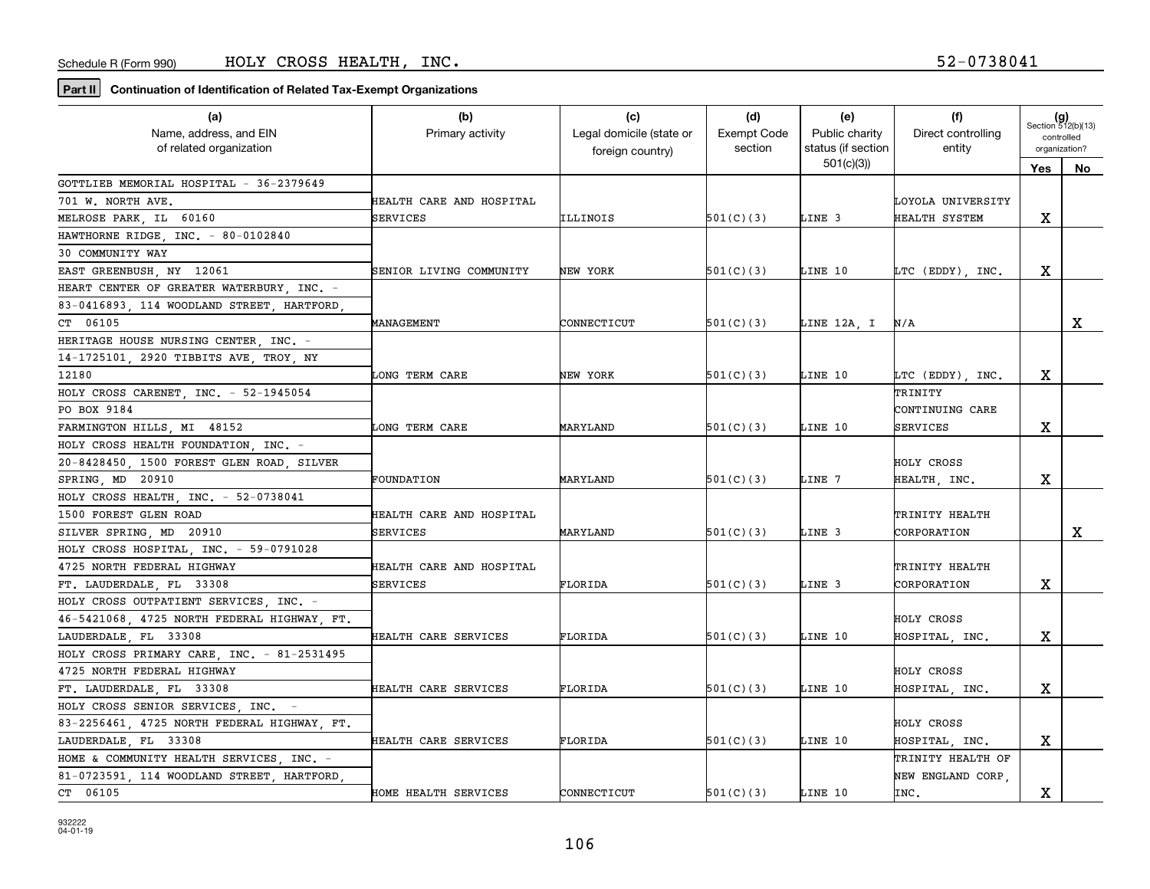| (a)<br>Name, address, and EIN               | (b)<br>Primary activity  | (c)<br>Legal domicile (state or | (d)<br><b>Exempt Code</b> | (e)<br>Public charity           | (f)<br>Direct controlling | $(g)$<br>Section 512(b)(13)<br>controlled |    |
|---------------------------------------------|--------------------------|---------------------------------|---------------------------|---------------------------------|---------------------------|-------------------------------------------|----|
| of related organization                     |                          | foreign country)                | section                   | status (if section<br>501(c)(3) | entity                    | organization?                             |    |
| GOTTLIEB MEMORIAL HOSPITAL - 36-2379649     |                          |                                 |                           |                                 |                           | Yes                                       | No |
| 701 W. NORTH AVE.                           | HEALTH CARE AND HOSPITAL |                                 |                           |                                 | LOYOLA UNIVERSITY         |                                           |    |
| MELROSE PARK, IL 60160                      | SERVICES                 | ILLINOIS                        | 501(C)(3)                 | LINE 3                          | HEALTH SYSTEM             | х                                         |    |
| HAWTHORNE RIDGE, INC. - 80-0102840          |                          |                                 |                           |                                 |                           |                                           |    |
| 30 COMMUNITY WAY                            |                          |                                 |                           |                                 |                           |                                           |    |
| EAST GREENBUSH, NY 12061                    | SENIOR LIVING COMMUNITY  | NEW YORK                        | 501(C)(3)                 | LINE 10                         | LTC (EDDY), INC.          | x                                         |    |
| HEART CENTER OF GREATER WATERBURY, INC. -   |                          |                                 |                           |                                 |                           |                                           |    |
| 83-0416893, 114 WOODLAND STREET, HARTFORD   |                          |                                 |                           |                                 |                           |                                           |    |
| CT 06105                                    | MANAGEMENT               | CONNECTICUT                     | 501(C)(3)                 | LINE 12A, I                     | N/A                       |                                           | X  |
| HERITAGE HOUSE NURSING CENTER, INC. -       |                          |                                 |                           |                                 |                           |                                           |    |
| 14-1725101, 2920 TIBBITS AVE, TROY, NY      |                          |                                 |                           |                                 |                           |                                           |    |
| 12180                                       | LONG TERM CARE           | NEW YORK                        | 501(C)(3)                 | LINE 10                         | LTC (EDDY), INC.          | x                                         |    |
| HOLY CROSS CARENET, INC. - 52-1945054       |                          |                                 |                           |                                 | TRINITY                   |                                           |    |
| PO BOX 9184                                 |                          |                                 |                           |                                 | CONTINUING CARE           |                                           |    |
| FARMINGTON HILLS, MI 48152                  | LONG TERM CARE           | MARYLAND                        | 501(C)(3)                 | LINE 10                         | <b>SERVICES</b>           | х                                         |    |
| HOLY CROSS HEALTH FOUNDATION, INC. -        |                          |                                 |                           |                                 |                           |                                           |    |
| 20-8428450, 1500 FOREST GLEN ROAD, SILVER   |                          |                                 |                           |                                 | HOLY CROSS                |                                           |    |
| SPRING, MD 20910                            | FOUNDATION               | MARYLAND                        | 501(C)(3)                 | LINE 7                          | HEALTH, INC.              | х                                         |    |
| HOLY CROSS HEALTH, INC. - 52-0738041        |                          |                                 |                           |                                 |                           |                                           |    |
| 1500 FOREST GLEN ROAD                       | HEALTH CARE AND HOSPITAL |                                 |                           |                                 | TRINITY HEALTH            |                                           |    |
| SILVER SPRING, MD 20910                     | SERVICES                 | MARYLAND                        | 501(C)(3)                 | LINE 3                          | CORPORATION               |                                           | X  |
| HOLY CROSS HOSPITAL, INC. - 59-0791028      |                          |                                 |                           |                                 |                           |                                           |    |
| 4725 NORTH FEDERAL HIGHWAY                  | HEALTH CARE AND HOSPITAL |                                 |                           |                                 | TRINITY HEALTH            |                                           |    |
| FT. LAUDERDALE, FL 33308                    | SERVICES                 | FLORIDA                         | 501(C)(3)                 | LINE 3                          | CORPORATION               | х                                         |    |
| HOLY CROSS OUTPATIENT SERVICES, INC. -      |                          |                                 |                           |                                 |                           |                                           |    |
| 46-5421068, 4725 NORTH FEDERAL HIGHWAY, FT. |                          |                                 |                           |                                 | HOLY CROSS                |                                           |    |
| LAUDERDALE, FL 33308                        | HEALTH CARE SERVICES     | FLORIDA                         | 501(C)(3)                 | LINE 10                         | HOSPITAL, INC.            | x                                         |    |
| HOLY CROSS PRIMARY CARE, INC. - 81-2531495  |                          |                                 |                           |                                 |                           |                                           |    |
| 4725 NORTH FEDERAL HIGHWAY                  |                          |                                 |                           |                                 | HOLY CROSS                |                                           |    |
| FT. LAUDERDALE, FL 33308                    | HEALTH CARE SERVICES     | FLORIDA                         | 501(C)(3)                 | LINE 10                         | HOSPITAL, INC.            | х                                         |    |
| HOLY CROSS SENIOR SERVICES INC. -           |                          |                                 |                           |                                 |                           |                                           |    |
| 83-2256461 4725 NORTH FEDERAL HIGHWAY FT.   |                          |                                 |                           |                                 | HOLY CROSS                |                                           |    |
| LAUDERDALE, FL 33308                        | HEALTH CARE SERVICES     | FLORIDA                         | 501(C)(3)                 | LINE 10                         | HOSPITAL, INC.            | X                                         |    |
| HOME & COMMUNITY HEALTH SERVICES, INC. -    |                          |                                 |                           |                                 | TRINITY HEALTH OF         |                                           |    |
| 81-0723591, 114 WOODLAND STREET, HARTFORD,  |                          |                                 |                           |                                 | NEW ENGLAND CORP.         |                                           |    |
| CT 06105                                    | HOME HEALTH SERVICES     | CONNECTICUT                     | 501(C)(3)                 | LINE 10                         | INC.                      | х                                         |    |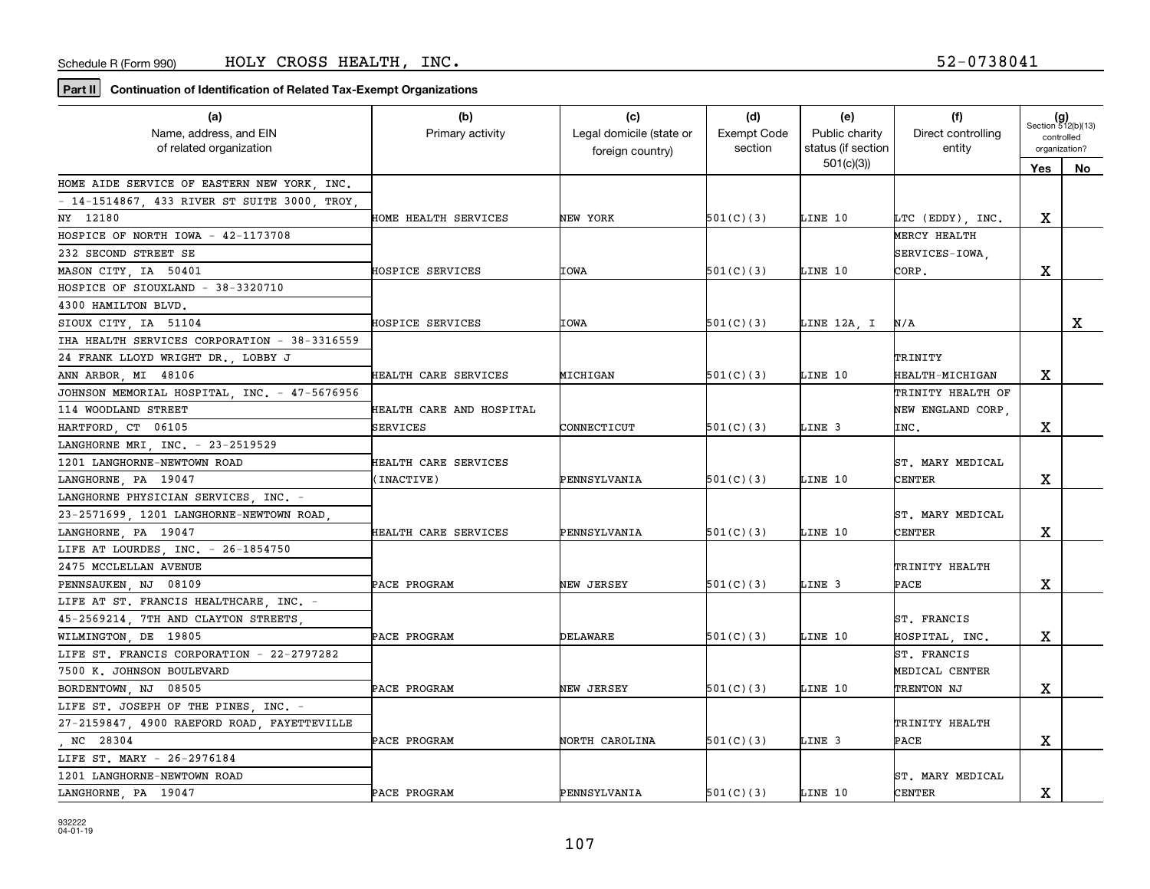| (a)                                          | (b)                      | (c)                      | (d)                | (e)                | (f)                |                             |    |
|----------------------------------------------|--------------------------|--------------------------|--------------------|--------------------|--------------------|-----------------------------|----|
| Name, address, and EIN                       | Primary activity         | Legal domicile (state or | <b>Exempt Code</b> | Public charity     | Direct controlling | $(g)$<br>Section 512(b)(13) |    |
| of related organization                      |                          | foreign country)         | section            | status (if section | entity             | controlled<br>organization? |    |
|                                              |                          |                          |                    | 501(c)(3)          |                    | <b>Yes</b>                  | No |
| HOME AIDE SERVICE OF EASTERN NEW YORK, INC.  |                          |                          |                    |                    |                    |                             |    |
| - 14-1514867, 433 RIVER ST SUITE 3000, TROY, |                          |                          |                    |                    |                    |                             |    |
| NY 12180                                     | HOME HEALTH SERVICES     | NEW YORK                 | 501(C)(3)          | LINE 10            | LTC (EDDY), INC.   | X                           |    |
| HOSPICE OF NORTH IOWA - 42-1173708           |                          |                          |                    |                    | MERCY HEALTH       |                             |    |
| 232 SECOND STREET SE                         |                          |                          |                    |                    | SERVICES-IOWA,     |                             |    |
| MASON CITY, IA 50401                         | HOSPICE SERVICES         | IOWA                     | 501(C)(3)          | LINE 10            | CORP.              | х                           |    |
| HOSPICE OF SIOUXLAND - 38-3320710            |                          |                          |                    |                    |                    |                             |    |
| 4300 HAMILTON BLVD.                          |                          |                          |                    |                    |                    |                             |    |
| SIOUX CITY IA 51104                          | HOSPICE SERVICES         | IOWA                     | 501(C)(3)          | LINE 12A, I        | N/A                |                             | x  |
| IHA HEALTH SERVICES CORPORATION - 38-3316559 |                          |                          |                    |                    |                    |                             |    |
| 24 FRANK LLOYD WRIGHT DR., LOBBY J           |                          |                          |                    |                    | TRINITY            |                             |    |
| ANN ARBOR, MI 48106                          | HEALTH CARE SERVICES     | MICHIGAN                 | 501(C)(3)          | LINE 10            | HEALTH-MICHIGAN    | x                           |    |
| JOHNSON MEMORIAL HOSPITAL, INC. - 47-5676956 |                          |                          |                    |                    | TRINITY HEALTH OF  |                             |    |
| 114 WOODLAND STREET                          | HEALTH CARE AND HOSPITAL |                          |                    |                    | NEW ENGLAND CORP.  |                             |    |
| HARTFORD, CT 06105                           | <b>SERVICES</b>          | CONNECTICUT              | 501(C)(3)          | LINE 3             | INC.               | x                           |    |
| LANGHORNE MRI, INC. - 23-2519529             |                          |                          |                    |                    |                    |                             |    |
| 1201 LANGHORNE-NEWTOWN ROAD                  | HEALTH CARE SERVICES     |                          |                    |                    | ST. MARY MEDICAL   |                             |    |
| LANGHORNE, PA 19047                          | (INACTIVE)               | PENNSYLVANIA             | 501(C)(3)          | LINE 10            | CENTER             | х                           |    |
| LANGHORNE PHYSICIAN SERVICES, INC. -         |                          |                          |                    |                    |                    |                             |    |
| 23-2571699, 1201 LANGHORNE-NEWTOWN ROAD,     |                          |                          |                    |                    | ST. MARY MEDICAL   |                             |    |
| LANGHORNE, PA 19047                          | HEALTH CARE SERVICES     | PENNSYLVANIA             | 501(C)(3)          | LINE 10            | <b>CENTER</b>      | x                           |    |
| LIFE AT LOURDES, INC. - 26-1854750           |                          |                          |                    |                    |                    |                             |    |
| 2475 MCCLELLAN AVENUE                        |                          |                          |                    |                    | TRINITY HEALTH     |                             |    |
| PENNSAUKEN, NJ 08109                         | PACE PROGRAM             | NEW JERSEY               | 501(C)(3)          | LINE 3             | PACE               | х                           |    |
| LIFE AT ST. FRANCIS HEALTHCARE, INC. -       |                          |                          |                    |                    |                    |                             |    |
| 45-2569214, 7TH AND CLAYTON STREETS,         |                          |                          |                    |                    | ST. FRANCIS        |                             |    |
| WILMINGTON, DE 19805                         | PACE PROGRAM             | DELAWARE                 | 501(C)(3)          | LINE 10            | HOSPITAL, INC.     | x                           |    |
| LIFE ST. FRANCIS CORPORATION - 22-2797282    |                          |                          |                    |                    | ST. FRANCIS        |                             |    |
| 7500 K. JOHNSON BOULEVARD                    |                          |                          |                    |                    | MEDICAL CENTER     |                             |    |
| BORDENTOWN, NJ 08505                         | PACE PROGRAM             | NEW JERSEY               | 501(C)(3)          | LINE 10            | TRENTON NJ         | х                           |    |
| LIFE ST. JOSEPH OF THE PINES, INC. -         |                          |                          |                    |                    |                    |                             |    |
| 27-2159847, 4900 RAEFORD ROAD, FAYETTEVILLE  |                          |                          |                    |                    | TRINITY HEALTH     |                             |    |
| NC 28304                                     | PACE PROGRAM             | NORTH CAROLINA           | 501(C)(3)          | LINE 3             | PACE               | х                           |    |
| LIFE ST. MARY - 26-2976184                   |                          |                          |                    |                    |                    |                             |    |
| 1201 LANGHORNE-NEWTOWN ROAD                  |                          |                          |                    |                    | ST. MARY MEDICAL   |                             |    |
| LANGHORNE, PA 19047                          | PACE PROGRAM             | PENNSYLVANIA             | 501(C)(3)          | LINE 10            | <b>CENTER</b>      | х                           |    |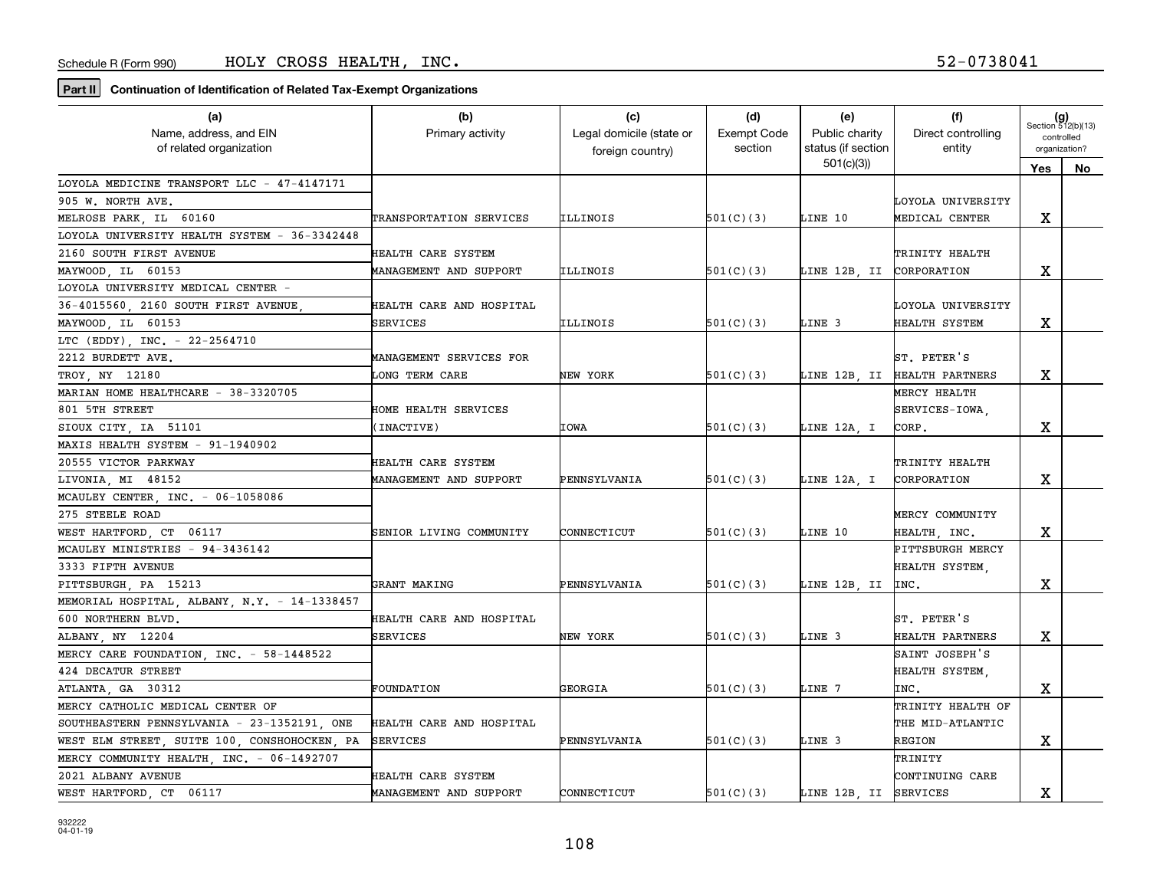| (a)                                          | (b)                      | (c)                      | (d)                | (e)                      | (f)                            | $(g)$<br>Section 512(b)(13) |               |  |
|----------------------------------------------|--------------------------|--------------------------|--------------------|--------------------------|--------------------------------|-----------------------------|---------------|--|
| Name, address, and EIN                       | Primary activity         | Legal domicile (state or | <b>Exempt Code</b> | Public charity           | Direct controlling             | controlled                  |               |  |
| of related organization                      |                          | foreign country)         | section            | status (if section       | entity                         |                             | organization? |  |
|                                              |                          |                          |                    | 501(c)(3)                |                                | Yes                         | No            |  |
| LOYOLA MEDICINE TRANSPORT LLC - 47-4147171   |                          |                          |                    |                          |                                |                             |               |  |
| 905 W. NORTH AVE.                            |                          |                          |                    |                          | LOYOLA UNIVERSITY              |                             |               |  |
| MELROSE PARK, IL 60160                       | TRANSPORTATION SERVICES  | ILLINOIS                 | 501(C)(3)          | LINE 10                  | MEDICAL CENTER                 | х                           |               |  |
| LOYOLA UNIVERSITY HEALTH SYSTEM - 36-3342448 |                          |                          |                    |                          |                                |                             |               |  |
| 2160 SOUTH FIRST AVENUE                      | HEALTH CARE SYSTEM       |                          |                    |                          | TRINITY HEALTH                 |                             |               |  |
| MAYWOOD, IL 60153                            | MANAGEMENT AND SUPPORT   | ILLINOIS                 | 501(C)(3)          | LINE 12B, II CORPORATION |                                | х                           |               |  |
| LOYOLA UNIVERSITY MEDICAL CENTER -           |                          |                          |                    |                          |                                |                             |               |  |
| 36-4015560, 2160 SOUTH FIRST AVENUE          | HEALTH CARE AND HOSPITAL |                          |                    |                          | LOYOLA UNIVERSITY              |                             |               |  |
| MAYWOOD, IL 60153                            | SERVICES                 | ILLINOIS                 | 501(C)(3)          | LINE 3                   | HEALTH SYSTEM                  | X                           |               |  |
| LTC (EDDY), INC. - 22-2564710                |                          |                          |                    |                          |                                |                             |               |  |
| 2212 BURDETT AVE.                            | MANAGEMENT SERVICES FOR  |                          |                    |                          | ST. PETER'S                    |                             |               |  |
| TROY, NY 12180                               | <b>LONG TERM CARE</b>    | NEW YORK                 | 501(C)(3)          |                          | LINE 12B, II   HEALTH PARTNERS | x                           |               |  |
| MARIAN HOME HEALTHCARE - 38-3320705          |                          |                          |                    |                          | MERCY HEALTH                   |                             |               |  |
| 801 5TH STREET                               | HOME HEALTH SERVICES     |                          |                    |                          | SERVICES-IOWA.                 |                             |               |  |
| SIOUX CITY IA 51101                          | (INACTIVE)               | IOWA                     | 501(C)(3)          | LINE 12A, I              | CORP.                          | х                           |               |  |
| MAXIS HEALTH SYSTEM - 91-1940902             |                          |                          |                    |                          |                                |                             |               |  |
| 20555 VICTOR PARKWAY                         | HEALTH CARE SYSTEM       |                          |                    |                          | TRINITY HEALTH                 |                             |               |  |
| LIVONIA, MI 48152                            | MANAGEMENT AND SUPPORT   | PENNSYLVANIA             | 501(C)(3)          | LINE 12A, I              | CORPORATION                    | X                           |               |  |
| MCAULEY CENTER, INC. - 06-1058086            |                          |                          |                    |                          |                                |                             |               |  |
| 275 STEELE ROAD                              |                          |                          |                    |                          | MERCY COMMUNITY                |                             |               |  |
| WEST HARTFORD, CT 06117                      | SENIOR LIVING COMMUNITY  | CONNECTICUT              | 501(C)(3)          | LINE 10                  | HEALTH, INC.                   | х                           |               |  |
| MCAULEY MINISTRIES - 94-3436142              |                          |                          |                    |                          | PITTSBURGH MERCY               |                             |               |  |
| 3333 FIFTH AVENUE                            |                          |                          |                    |                          | HEALTH SYSTEM,                 |                             |               |  |
| PITTSBURGH PA 15213                          | GRANT MAKING             | PENNSYLVANIA             | 501(C)(3)          | LINE 12B. II  INC.       |                                | х                           |               |  |
| MEMORIAL HOSPITAL, ALBANY, N.Y. - 14-1338457 |                          |                          |                    |                          |                                |                             |               |  |
| 600 NORTHERN BLVD.                           | HEALTH CARE AND HOSPITAL |                          |                    |                          | ST. PETER'S                    |                             |               |  |
| ALBANY, NY 12204                             | SERVICES                 | NEW YORK                 | 501(C)(3)          | LINE 3                   | HEALTH PARTNERS                | x                           |               |  |
| MERCY CARE FOUNDATION, INC. - 58-1448522     |                          |                          |                    |                          | SAINT JOSEPH'S                 |                             |               |  |
| 424 DECATUR STREET                           |                          |                          |                    |                          | HEALTH SYSTEM,                 |                             |               |  |
| ATLANTA, GA 30312                            | FOUNDATION               | GEORGIA                  | 501(C)(3)          | LINE 7                   | INC.                           | х                           |               |  |
| MERCY CATHOLIC MEDICAL CENTER OF             |                          |                          |                    |                          | TRINITY HEALTH OF              |                             |               |  |
| SOUTHEASTERN PENNSYLVANIA - 23-1352191, ONE  | HEALTH CARE AND HOSPITAL |                          |                    |                          | THE MID-ATLANTIC               |                             |               |  |
| WEST ELM STREET, SUITE 100, CONSHOHOCKEN, PA | <b>SERVICES</b>          | PENNSYLVANIA             | 501(C)(3)          | LINE 3                   | <b>REGION</b>                  | Χ                           |               |  |
| MERCY COMMUNITY HEALTH, INC. - 06-1492707    |                          |                          |                    |                          | TRINITY                        |                             |               |  |
| 2021 ALBANY AVENUE                           | HEALTH CARE SYSTEM       |                          |                    |                          | CONTINUING CARE                |                             |               |  |
| WEST HARTFORD, CT 06117                      | MANAGEMENT AND SUPPORT   | CONNECTICUT              | 501(C)(3)          | LINE 12B, II SERVICES    |                                | X                           |               |  |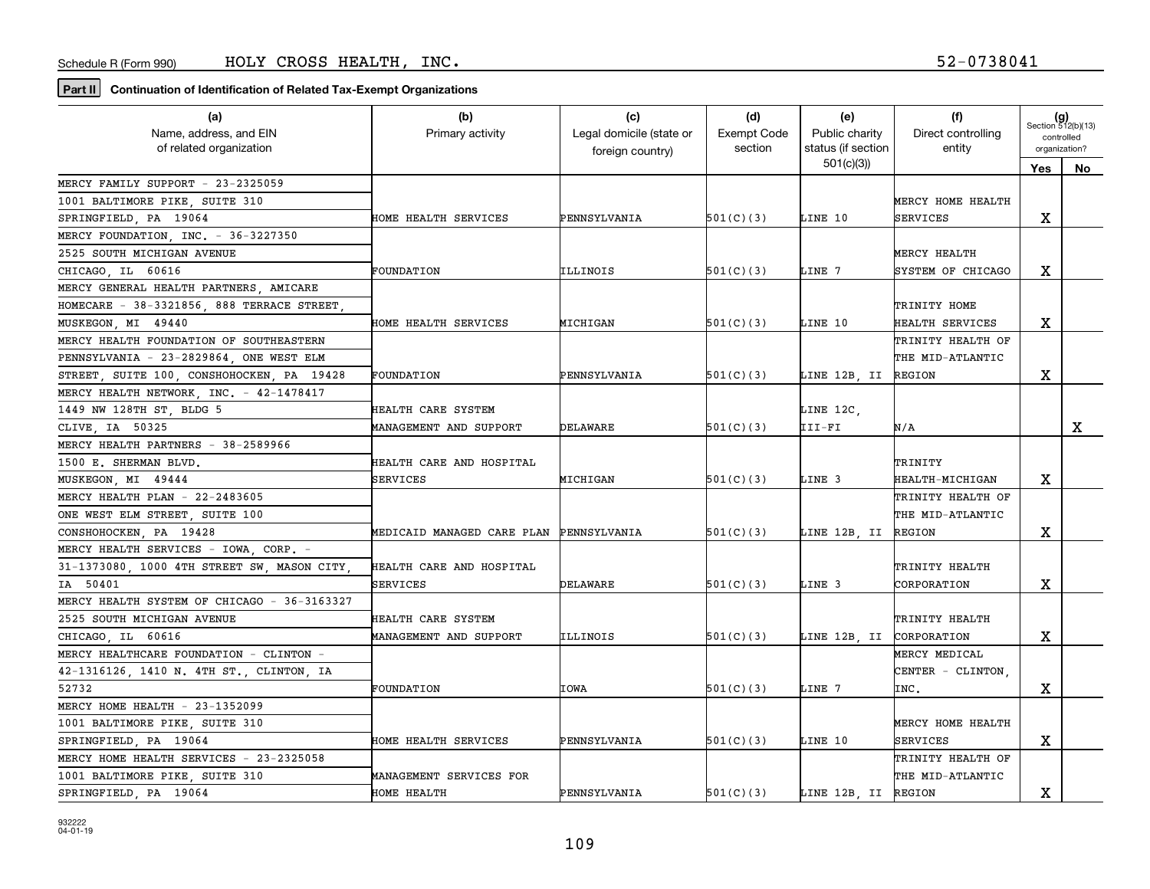| $(g)$<br>Section 512(b)(13)<br>Name, address, and EIN<br>Legal domicile (state or<br><b>Exempt Code</b><br>Public charity<br>Direct controlling<br>Primary activity<br>controlled<br>status (if section<br>entity<br>of related organization<br>section<br>organization?<br>foreign country)<br>501(c)(3)<br>Yes<br>No<br>MERCY FAMILY SUPPORT - 23-2325059<br>1001 BALTIMORE PIKE, SUITE 310<br>MERCY HOME HEALTH<br>х<br>SPRINGFIELD, PA 19064<br>501(C)(3)<br>LINE 10<br><b>SERVICES</b><br>HOME HEALTH SERVICES<br>PENNSYLVANIA<br>MERCY FOUNDATION, INC. - 36-3227350<br>2525 SOUTH MICHIGAN AVENUE<br>MERCY HEALTH<br>х<br>CHICAGO, IL 60616<br>ILLINOIS<br>501(C)(3)<br>LINE 7<br>SYSTEM OF CHICAGO<br>FOUNDATION |
|--------------------------------------------------------------------------------------------------------------------------------------------------------------------------------------------------------------------------------------------------------------------------------------------------------------------------------------------------------------------------------------------------------------------------------------------------------------------------------------------------------------------------------------------------------------------------------------------------------------------------------------------------------------------------------------------------------------------------|
|                                                                                                                                                                                                                                                                                                                                                                                                                                                                                                                                                                                                                                                                                                                          |
|                                                                                                                                                                                                                                                                                                                                                                                                                                                                                                                                                                                                                                                                                                                          |
|                                                                                                                                                                                                                                                                                                                                                                                                                                                                                                                                                                                                                                                                                                                          |
|                                                                                                                                                                                                                                                                                                                                                                                                                                                                                                                                                                                                                                                                                                                          |
|                                                                                                                                                                                                                                                                                                                                                                                                                                                                                                                                                                                                                                                                                                                          |
|                                                                                                                                                                                                                                                                                                                                                                                                                                                                                                                                                                                                                                                                                                                          |
|                                                                                                                                                                                                                                                                                                                                                                                                                                                                                                                                                                                                                                                                                                                          |
|                                                                                                                                                                                                                                                                                                                                                                                                                                                                                                                                                                                                                                                                                                                          |
|                                                                                                                                                                                                                                                                                                                                                                                                                                                                                                                                                                                                                                                                                                                          |
| MERCY GENERAL HEALTH PARTNERS, AMICARE                                                                                                                                                                                                                                                                                                                                                                                                                                                                                                                                                                                                                                                                                   |
| HOMECARE - 38-3321856, 888 TERRACE STREET<br>TRINITY HOME                                                                                                                                                                                                                                                                                                                                                                                                                                                                                                                                                                                                                                                                |
| х<br>501(C)(3)<br>LINE 10<br>MUSKEGON, MI 49440<br>HOME HEALTH SERVICES<br>MICHIGAN<br>HEALTH SERVICES                                                                                                                                                                                                                                                                                                                                                                                                                                                                                                                                                                                                                   |
| MERCY HEALTH FOUNDATION OF SOUTHEASTERN<br>TRINITY HEALTH OF                                                                                                                                                                                                                                                                                                                                                                                                                                                                                                                                                                                                                                                             |
| PENNSYLVANIA - 23-2829864 ONE WEST ELM<br>THE MID-ATLANTIC                                                                                                                                                                                                                                                                                                                                                                                                                                                                                                                                                                                                                                                               |
| х<br>STREET, SUITE 100, CONSHOHOCKEN, PA 19428<br>LINE 12B, II REGION<br>FOUNDATION<br>PENNSYLVANIA<br>501(C)(3)                                                                                                                                                                                                                                                                                                                                                                                                                                                                                                                                                                                                         |
| MERCY HEALTH NETWORK, INC. - 42-1478417                                                                                                                                                                                                                                                                                                                                                                                                                                                                                                                                                                                                                                                                                  |
| 1449 NW 128TH ST, BLDG 5<br>LINE 12C,<br>HEALTH CARE SYSTEM                                                                                                                                                                                                                                                                                                                                                                                                                                                                                                                                                                                                                                                              |
| DELAWARE<br>III-FI<br>x<br>CLIVE, IA 50325<br>MANAGEMENT AND SUPPORT<br>501(C)(3)<br>N/A                                                                                                                                                                                                                                                                                                                                                                                                                                                                                                                                                                                                                                 |
| MERCY HEALTH PARTNERS - 38-2589966                                                                                                                                                                                                                                                                                                                                                                                                                                                                                                                                                                                                                                                                                       |
| 1500 E. SHERMAN BLVD.<br>HEALTH CARE AND HOSPITAL<br>TRINITY                                                                                                                                                                                                                                                                                                                                                                                                                                                                                                                                                                                                                                                             |
| х<br>LINE 3<br>MUSKEGON, MI 49444<br>SERVICES<br>MICHIGAN<br>501(C)(3)<br><b>HEALTH-MICHIGAN</b>                                                                                                                                                                                                                                                                                                                                                                                                                                                                                                                                                                                                                         |
| MERCY HEALTH PLAN - 22-2483605<br>TRINITY HEALTH OF                                                                                                                                                                                                                                                                                                                                                                                                                                                                                                                                                                                                                                                                      |
| ONE WEST ELM STREET, SUITE 100<br>THE MID-ATLANTIC                                                                                                                                                                                                                                                                                                                                                                                                                                                                                                                                                                                                                                                                       |
| X<br>CONSHOHOCKEN, PA 19428<br>MEDICAID MANAGED CARE PLAN PENNSYLVANIA<br>501(C)(3)<br>LINE 12B, II REGION                                                                                                                                                                                                                                                                                                                                                                                                                                                                                                                                                                                                               |
| MERCY HEALTH SERVICES - IOWA, CORP. -                                                                                                                                                                                                                                                                                                                                                                                                                                                                                                                                                                                                                                                                                    |
| 31-1373080, 1000 4TH STREET SW, MASON CITY,<br>HEALTH CARE AND HOSPITAL<br>TRINITY HEALTH                                                                                                                                                                                                                                                                                                                                                                                                                                                                                                                                                                                                                                |
| х<br>501(C)(3)<br>LINE 3<br>IA 50401<br>SERVICES<br>DELAWARE<br>CORPORATION                                                                                                                                                                                                                                                                                                                                                                                                                                                                                                                                                                                                                                              |
| MERCY HEALTH SYSTEM OF CHICAGO - 36-3163327                                                                                                                                                                                                                                                                                                                                                                                                                                                                                                                                                                                                                                                                              |
| 2525 SOUTH MICHIGAN AVENUE<br>HEALTH CARE SYSTEM<br>TRINITY HEALTH                                                                                                                                                                                                                                                                                                                                                                                                                                                                                                                                                                                                                                                       |
| х<br>CHICAGO IL 60616<br>ILLINOIS<br>LINE 12B, II CORPORATION<br>MANAGEMENT AND SUPPORT<br>501(C)(3)                                                                                                                                                                                                                                                                                                                                                                                                                                                                                                                                                                                                                     |
| MERCY HEALTHCARE FOUNDATION - CLINTON -<br>MERCY MEDICAL                                                                                                                                                                                                                                                                                                                                                                                                                                                                                                                                                                                                                                                                 |
| 42-1316126, 1410 N. 4TH ST., CLINTON, IA<br>CENTER - CLINTON,                                                                                                                                                                                                                                                                                                                                                                                                                                                                                                                                                                                                                                                            |
| 52732<br>IOWA<br>501(C)(3)<br>LINE 7<br>х<br>FOUNDATION<br>INC.                                                                                                                                                                                                                                                                                                                                                                                                                                                                                                                                                                                                                                                          |
| MERCY HOME HEALTH - 23-1352099                                                                                                                                                                                                                                                                                                                                                                                                                                                                                                                                                                                                                                                                                           |
| 1001 BALTIMORE PIKE, SUITE 310<br>MERCY HOME HEALTH                                                                                                                                                                                                                                                                                                                                                                                                                                                                                                                                                                                                                                                                      |
| х<br>LINE 10<br>SPRINGFIELD, PA 19064<br>PENNSYLVANIA<br>501(C)(3)<br><b>SERVICES</b><br>HOME HEALTH SERVICES                                                                                                                                                                                                                                                                                                                                                                                                                                                                                                                                                                                                            |
| MERCY HOME HEALTH SERVICES - 23-2325058<br>TRINITY HEALTH OF                                                                                                                                                                                                                                                                                                                                                                                                                                                                                                                                                                                                                                                             |
| THE MID-ATLANTIC<br>1001 BALTIMORE PIKE, SUITE 310<br>MANAGEMENT SERVICES FOR                                                                                                                                                                                                                                                                                                                                                                                                                                                                                                                                                                                                                                            |
| X<br>SPRINGFIELD, PA 19064<br>HOME HEALTH<br>PENNSYLVANIA<br>501(C)(3)<br>LINE 12B, II REGION                                                                                                                                                                                                                                                                                                                                                                                                                                                                                                                                                                                                                            |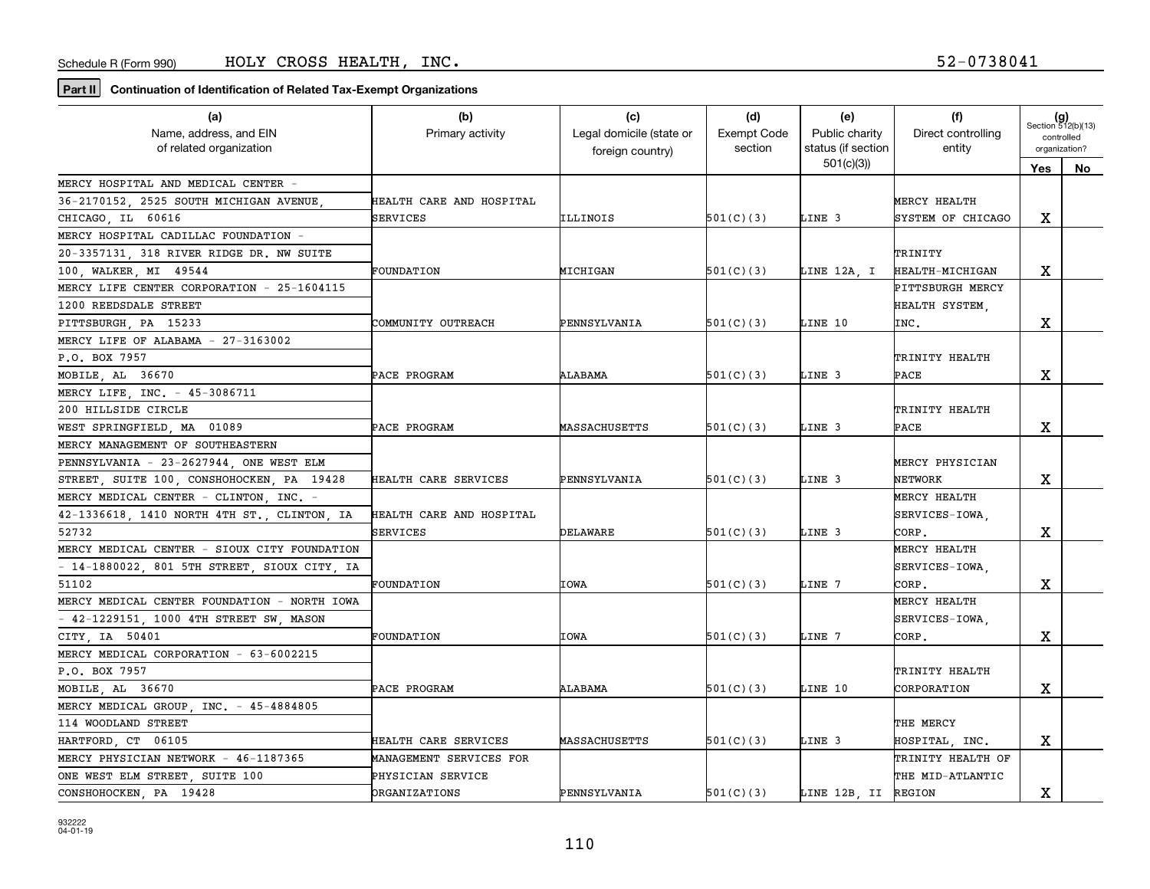| $(g)$<br>Section 512(b)(13)<br>Legal domicile (state or<br><b>Exempt Code</b><br>Public charity<br>Direct controlling<br>Name, address, and EIN<br>Primary activity<br>controlled<br>status (if section<br>of related organization<br>section<br>entity<br>organization?<br>foreign country)<br>501(c)(3)<br>Yes<br>No<br>MERCY HOSPITAL AND MEDICAL CENTER -<br>36-2170152, 2525 SOUTH MICHIGAN AVENUE<br>MERCY HEALTH<br>HEALTH CARE AND HOSPITAL<br>х<br>501(C)(3)<br>LINE 3<br>SYSTEM OF CHICAGO<br>CHICAGO, IL 60616<br>SERVICES<br>ILLINOIS<br>MERCY HOSPITAL CADILLAC FOUNDATION -<br>20-3357131, 318 RIVER RIDGE DR. NW SUITE<br>TRINITY<br>х<br>100, WALKER, MI 49544<br>MICHIGAN<br>501(C)(3)<br>LINE 12A, I<br>HEALTH-MICHIGAN<br>FOUNDATION<br>MERCY LIFE CENTER CORPORATION - 25-1604115<br>PITTSBURGH MERCY<br>1200 REEDSDALE STREET<br>HEALTH SYSTEM.<br>х<br>PITTSBURGH, PA 15233<br>COMMUNITY OUTREACH<br>PENNSYLVANIA<br>501(C)(3)<br>LINE 10<br>INC.<br>MERCY LIFE OF ALABAMA - 27-3163002<br>P.O. BOX 7957<br>TRINITY HEALTH<br>MOBILE, AL 36670<br>ALABAMA<br>501(C)(3)<br>LINE 3<br>х<br>PACE PROGRAM<br><b>PACE</b> |
|--------------------------------------------------------------------------------------------------------------------------------------------------------------------------------------------------------------------------------------------------------------------------------------------------------------------------------------------------------------------------------------------------------------------------------------------------------------------------------------------------------------------------------------------------------------------------------------------------------------------------------------------------------------------------------------------------------------------------------------------------------------------------------------------------------------------------------------------------------------------------------------------------------------------------------------------------------------------------------------------------------------------------------------------------------------------------------------------------------------------------------------------|
|                                                                                                                                                                                                                                                                                                                                                                                                                                                                                                                                                                                                                                                                                                                                                                                                                                                                                                                                                                                                                                                                                                                                            |
|                                                                                                                                                                                                                                                                                                                                                                                                                                                                                                                                                                                                                                                                                                                                                                                                                                                                                                                                                                                                                                                                                                                                            |
|                                                                                                                                                                                                                                                                                                                                                                                                                                                                                                                                                                                                                                                                                                                                                                                                                                                                                                                                                                                                                                                                                                                                            |
|                                                                                                                                                                                                                                                                                                                                                                                                                                                                                                                                                                                                                                                                                                                                                                                                                                                                                                                                                                                                                                                                                                                                            |
|                                                                                                                                                                                                                                                                                                                                                                                                                                                                                                                                                                                                                                                                                                                                                                                                                                                                                                                                                                                                                                                                                                                                            |
|                                                                                                                                                                                                                                                                                                                                                                                                                                                                                                                                                                                                                                                                                                                                                                                                                                                                                                                                                                                                                                                                                                                                            |
|                                                                                                                                                                                                                                                                                                                                                                                                                                                                                                                                                                                                                                                                                                                                                                                                                                                                                                                                                                                                                                                                                                                                            |
|                                                                                                                                                                                                                                                                                                                                                                                                                                                                                                                                                                                                                                                                                                                                                                                                                                                                                                                                                                                                                                                                                                                                            |
|                                                                                                                                                                                                                                                                                                                                                                                                                                                                                                                                                                                                                                                                                                                                                                                                                                                                                                                                                                                                                                                                                                                                            |
|                                                                                                                                                                                                                                                                                                                                                                                                                                                                                                                                                                                                                                                                                                                                                                                                                                                                                                                                                                                                                                                                                                                                            |
|                                                                                                                                                                                                                                                                                                                                                                                                                                                                                                                                                                                                                                                                                                                                                                                                                                                                                                                                                                                                                                                                                                                                            |
|                                                                                                                                                                                                                                                                                                                                                                                                                                                                                                                                                                                                                                                                                                                                                                                                                                                                                                                                                                                                                                                                                                                                            |
|                                                                                                                                                                                                                                                                                                                                                                                                                                                                                                                                                                                                                                                                                                                                                                                                                                                                                                                                                                                                                                                                                                                                            |
|                                                                                                                                                                                                                                                                                                                                                                                                                                                                                                                                                                                                                                                                                                                                                                                                                                                                                                                                                                                                                                                                                                                                            |
|                                                                                                                                                                                                                                                                                                                                                                                                                                                                                                                                                                                                                                                                                                                                                                                                                                                                                                                                                                                                                                                                                                                                            |
| MERCY LIFE, INC. - 45-3086711                                                                                                                                                                                                                                                                                                                                                                                                                                                                                                                                                                                                                                                                                                                                                                                                                                                                                                                                                                                                                                                                                                              |
| 200 HILLSIDE CIRCLE<br>TRINITY HEALTH                                                                                                                                                                                                                                                                                                                                                                                                                                                                                                                                                                                                                                                                                                                                                                                                                                                                                                                                                                                                                                                                                                      |
| WEST SPRINGFIELD, MA 01089<br>MASSACHUSETTS<br>501(C)(3)<br>LINE 3<br>х<br>PACE PROGRAM<br>PACE                                                                                                                                                                                                                                                                                                                                                                                                                                                                                                                                                                                                                                                                                                                                                                                                                                                                                                                                                                                                                                            |
| MERCY MANAGEMENT OF SOUTHEASTERN                                                                                                                                                                                                                                                                                                                                                                                                                                                                                                                                                                                                                                                                                                                                                                                                                                                                                                                                                                                                                                                                                                           |
| PENNSYLVANIA - 23-2627944, ONE WEST ELM<br>MERCY PHYSICIAN                                                                                                                                                                                                                                                                                                                                                                                                                                                                                                                                                                                                                                                                                                                                                                                                                                                                                                                                                                                                                                                                                 |
| х<br>LINE 3<br>STREET, SUITE 100, CONSHOHOCKEN, PA 19428<br>PENNSYLVANIA<br>501(C)(3)<br><b>NETWORK</b><br>HEALTH CARE SERVICES                                                                                                                                                                                                                                                                                                                                                                                                                                                                                                                                                                                                                                                                                                                                                                                                                                                                                                                                                                                                            |
| MERCY MEDICAL CENTER - CLINTON, INC. -<br>MERCY HEALTH                                                                                                                                                                                                                                                                                                                                                                                                                                                                                                                                                                                                                                                                                                                                                                                                                                                                                                                                                                                                                                                                                     |
| 42-1336618, 1410 NORTH 4TH ST., CLINTON, IA<br>SERVICES-IOWA,<br>HEALTH CARE AND HOSPITAL                                                                                                                                                                                                                                                                                                                                                                                                                                                                                                                                                                                                                                                                                                                                                                                                                                                                                                                                                                                                                                                  |
| X<br>52732<br><b>SERVICES</b><br>DELAWARE<br>501(C)(3)<br>LINE 3<br>CORP.                                                                                                                                                                                                                                                                                                                                                                                                                                                                                                                                                                                                                                                                                                                                                                                                                                                                                                                                                                                                                                                                  |
| MERCY MEDICAL CENTER - SIOUX CITY FOUNDATION<br>MERCY HEALTH                                                                                                                                                                                                                                                                                                                                                                                                                                                                                                                                                                                                                                                                                                                                                                                                                                                                                                                                                                                                                                                                               |
| - 14-1880022, 801 5TH STREET, SIOUX CITY, IA<br>SERVICES-IOWA,                                                                                                                                                                                                                                                                                                                                                                                                                                                                                                                                                                                                                                                                                                                                                                                                                                                                                                                                                                                                                                                                             |
| х<br>51102<br>IOWA<br>501(C)(3)<br>LINE 7<br>CORP.<br>FOUNDATION                                                                                                                                                                                                                                                                                                                                                                                                                                                                                                                                                                                                                                                                                                                                                                                                                                                                                                                                                                                                                                                                           |
| MERCY MEDICAL CENTER FOUNDATION - NORTH IOWA<br>MERCY HEALTH                                                                                                                                                                                                                                                                                                                                                                                                                                                                                                                                                                                                                                                                                                                                                                                                                                                                                                                                                                                                                                                                               |
| $-$ 42-1229151, 1000 4TH STREET SW, MASON<br>SERVICES-IOWA,                                                                                                                                                                                                                                                                                                                                                                                                                                                                                                                                                                                                                                                                                                                                                                                                                                                                                                                                                                                                                                                                                |
| CITY IA 50401<br>501(C)(3)<br>x<br>IOWA<br>LINE 7<br>CORP.<br>FOUNDATION                                                                                                                                                                                                                                                                                                                                                                                                                                                                                                                                                                                                                                                                                                                                                                                                                                                                                                                                                                                                                                                                   |
| MERCY MEDICAL CORPORATION - 63-6002215                                                                                                                                                                                                                                                                                                                                                                                                                                                                                                                                                                                                                                                                                                                                                                                                                                                                                                                                                                                                                                                                                                     |
| P.O. BOX 7957<br>TRINITY HEALTH                                                                                                                                                                                                                                                                                                                                                                                                                                                                                                                                                                                                                                                                                                                                                                                                                                                                                                                                                                                                                                                                                                            |
| ALABAMA<br>х<br>MOBILE, AL 36670<br>501(C)(3)<br>LINE 10<br>PACE PROGRAM<br>CORPORATION                                                                                                                                                                                                                                                                                                                                                                                                                                                                                                                                                                                                                                                                                                                                                                                                                                                                                                                                                                                                                                                    |
| MERCY MEDICAL GROUP . INC. - 45-4884805                                                                                                                                                                                                                                                                                                                                                                                                                                                                                                                                                                                                                                                                                                                                                                                                                                                                                                                                                                                                                                                                                                    |
| 114 WOODLAND STREET<br>THE MERCY                                                                                                                                                                                                                                                                                                                                                                                                                                                                                                                                                                                                                                                                                                                                                                                                                                                                                                                                                                                                                                                                                                           |
| х<br>HARTFORD, CT 06105<br>501(C)(3)<br>LINE 3<br>HEALTH CARE SERVICES<br>MASSACHUSETTS<br>HOSPITAL, INC.                                                                                                                                                                                                                                                                                                                                                                                                                                                                                                                                                                                                                                                                                                                                                                                                                                                                                                                                                                                                                                  |
| MERCY PHYSICIAN NETWORK - 46-1187365<br>MANAGEMENT SERVICES FOR<br>TRINITY HEALTH OF                                                                                                                                                                                                                                                                                                                                                                                                                                                                                                                                                                                                                                                                                                                                                                                                                                                                                                                                                                                                                                                       |
| ONE WEST ELM STREET, SUITE 100<br>THE MID-ATLANTIC<br>PHYSICIAN SERVICE                                                                                                                                                                                                                                                                                                                                                                                                                                                                                                                                                                                                                                                                                                                                                                                                                                                                                                                                                                                                                                                                    |
| х<br>501(C)(3)<br>CONSHOHOCKEN, PA 19428<br><b>ORGANIZATIONS</b><br>PENNSYLVANIA<br>LINE 12B, II REGION                                                                                                                                                                                                                                                                                                                                                                                                                                                                                                                                                                                                                                                                                                                                                                                                                                                                                                                                                                                                                                    |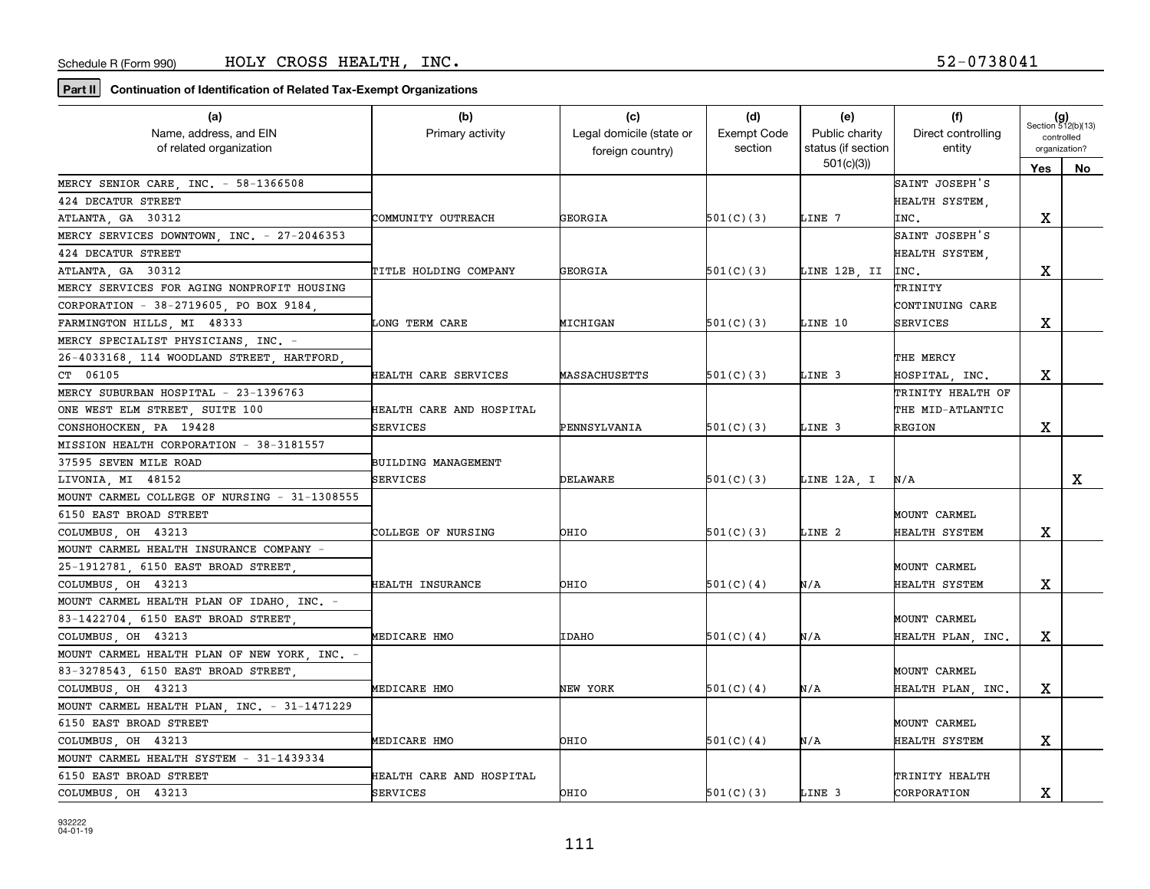| (a)                                          | (b)                        | (c)                      | (d)                | (e)                | (f)                | $(g)$<br>Section 512(b)(13) |    |
|----------------------------------------------|----------------------------|--------------------------|--------------------|--------------------|--------------------|-----------------------------|----|
| Name, address, and EIN                       | Primary activity           | Legal domicile (state or | <b>Exempt Code</b> | Public charity     | Direct controlling | controlled                  |    |
| of related organization                      |                            | foreign country)         | section            | status (if section | entity             | organization?               |    |
|                                              |                            |                          |                    | 501(c)(3)          |                    | Yes                         | No |
| MERCY SENIOR CARE, INC. - 58-1366508         |                            |                          |                    |                    | SAINT JOSEPH'S     |                             |    |
| 424 DECATUR STREET                           |                            |                          |                    |                    | HEALTH SYSTEM,     |                             |    |
| ATLANTA, GA 30312                            | COMMUNITY OUTREACH         | GEORGIA                  | 501(C)(3)          | LINE 7             | INC.               | х                           |    |
| MERCY SERVICES DOWNTOWN, INC. - 27-2046353   |                            |                          |                    |                    | SAINT JOSEPH'S     |                             |    |
| 424 DECATUR STREET                           |                            |                          |                    |                    | HEALTH SYSTEM,     |                             |    |
| ATLANTA, GA 30312                            | TITLE HOLDING COMPANY      | GEORGIA                  | 501(C)(3)          | LINE 12B, II       | INC.               | х                           |    |
| MERCY SERVICES FOR AGING NONPROFIT HOUSING   |                            |                          |                    |                    | TRINITY            |                             |    |
| CORPORATION - 38-2719605, PO BOX 9184,       |                            |                          |                    |                    | CONTINUING CARE    |                             |    |
| FARMINGTON HILLS, MI 48333                   | <b>LONG TERM CARE</b>      | MICHIGAN                 | 501(C)(3)          | LINE 10            | <b>SERVICES</b>    | х                           |    |
| MERCY SPECIALIST PHYSICIANS INC. -           |                            |                          |                    |                    |                    |                             |    |
| 26-4033168, 114 WOODLAND STREET, HARTFORD,   |                            |                          |                    |                    | THE MERCY          |                             |    |
| CT 06105                                     | HEALTH CARE SERVICES       | MASSACHUSETTS            | 501(C)(3)          | LINE 3             | HOSPITAL, INC.     | х                           |    |
| MERCY SUBURBAN HOSPITAL - 23-1396763         |                            |                          |                    |                    | TRINITY HEALTH OF  |                             |    |
| ONE WEST ELM STREET, SUITE 100               | HEALTH CARE AND HOSPITAL   |                          |                    |                    | THE MID-ATLANTIC   |                             |    |
| CONSHOHOCKEN, PA 19428                       | SERVICES                   | PENNSYLVANIA             | 501(C)(3)          | LINE 3             | <b>REGION</b>      | х                           |    |
| MISSION HEALTH CORPORATION - 38-3181557      |                            |                          |                    |                    |                    |                             |    |
| 37595 SEVEN MILE ROAD                        | <b>BUILDING MANAGEMENT</b> |                          |                    |                    |                    |                             |    |
| LIVONIA, MI 48152                            | SERVICES                   | DELAWARE                 | 501(C)(3)          | LINE 12A, I        | N/A                |                             | x  |
| MOUNT CARMEL COLLEGE OF NURSING - 31-1308555 |                            |                          |                    |                    |                    |                             |    |
| 6150 EAST BROAD STREET                       |                            |                          |                    |                    | MOUNT CARMEL       |                             |    |
| COLUMBUS, OH 43213                           | COLLEGE OF NURSING         | OHIO                     | 501(C)(3)          | LINE 2             | HEALTH SYSTEM      | х                           |    |
| MOUNT CARMEL HEALTH INSURANCE COMPANY -      |                            |                          |                    |                    |                    |                             |    |
| 25-1912781, 6150 EAST BROAD STREET,          |                            |                          |                    |                    | MOUNT CARMEL       |                             |    |
| COLUMBUS, OH 43213                           | <b>HEALTH INSURANCE</b>    | OHIO                     | 501(C)(4)          | N/A                | HEALTH SYSTEM      | х                           |    |
| MOUNT CARMEL HEALTH PLAN OF IDAHO, INC. -    |                            |                          |                    |                    |                    |                             |    |
| 83-1422704, 6150 EAST BROAD STREET,          |                            |                          |                    |                    | MOUNT CARMEL       |                             |    |
| COLUMBUS, OH 43213                           | MEDICARE HMO               | <b>IDAHO</b>             | 501(C)(4)          | N/A                | HEALTH PLAN, INC.  | х                           |    |
| MOUNT CARMEL HEALTH PLAN OF NEW YORK, INC. - |                            |                          |                    |                    |                    |                             |    |
| 83-3278543, 6150 EAST BROAD STREET,          |                            |                          |                    |                    | MOUNT CARMEL       |                             |    |
| COLUMBUS, OH 43213                           | MEDICARE HMO               | NEW YORK                 | 501(C)(4)          | N/A                | HEALTH PLAN, INC.  | x                           |    |
| MOUNT CARMEL HEALTH PLAN, INC. - 31-1471229  |                            |                          |                    |                    |                    |                             |    |
| 6150 EAST BROAD STREET                       |                            |                          |                    |                    | MOUNT CARMEL       |                             |    |
| COLUMBUS, OH 43213                           | MEDICARE HMO               | OHIO                     | 501(C)(4)          | N/A                | HEALTH SYSTEM      | X                           |    |
| MOUNT CARMEL HEALTH SYSTEM - 31-1439334      |                            |                          |                    |                    |                    |                             |    |
| 6150 EAST BROAD STREET                       | HEALTH CARE AND HOSPITAL   |                          |                    |                    | TRINITY HEALTH     |                             |    |
| COLUMBUS, OH 43213                           | SERVICES                   | OHIO                     | 501(C)(3)          | LINE 3             | CORPORATION        | х                           |    |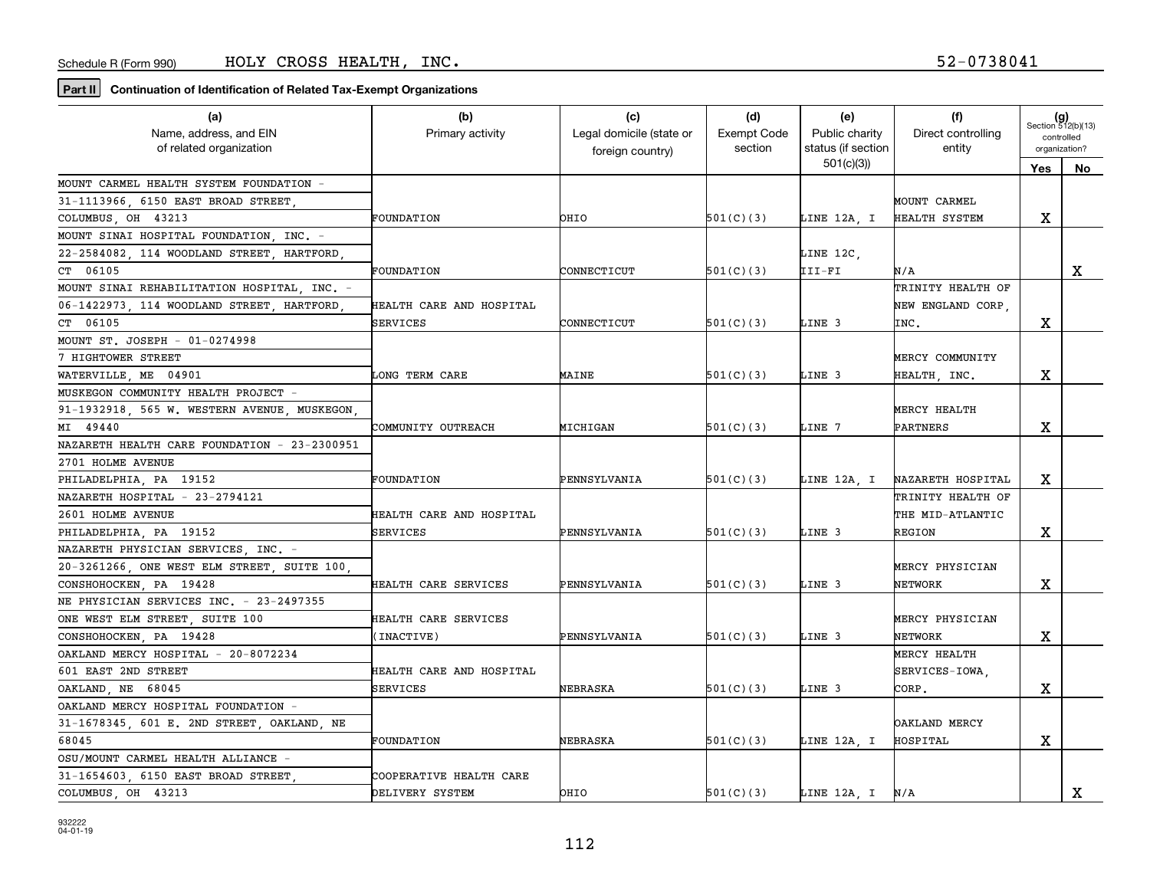| (a)                                          | (b)                      | (c)                      | (d)                | (e)                | (f)                | $(g)$<br>Section 512(b)(13) |             |
|----------------------------------------------|--------------------------|--------------------------|--------------------|--------------------|--------------------|-----------------------------|-------------|
| Name, address, and EIN                       | Primary activity         | Legal domicile (state or | <b>Exempt Code</b> | Public charity     | Direct controlling | controlled                  |             |
| of related organization                      |                          | foreign country)         | section            | status (if section | entity             | organization?               |             |
|                                              |                          |                          |                    | 501(c)(3)          |                    | Yes                         | No.         |
| MOUNT CARMEL HEALTH SYSTEM FOUNDATION -      |                          |                          |                    |                    |                    |                             |             |
| 31-1113966, 6150 EAST BROAD STREET           |                          |                          |                    |                    | MOUNT CARMEL       |                             |             |
| COLUMBUS, OH 43213                           | FOUNDATION               | OHIO                     | 501(C)(3)          | LINE 12A, I        | HEALTH SYSTEM      | x                           |             |
| MOUNT SINAI HOSPITAL FOUNDATION, INC. -      |                          |                          |                    |                    |                    |                             |             |
| 22-2584082, 114 WOODLAND STREET, HARTFORD,   |                          |                          |                    | LINE 12C,          |                    |                             |             |
| CT 06105                                     | FOUNDATION               | CONNECTICUT              | 501(C)(3)          | III-FI             | N/A                |                             | X           |
| MOUNT SINAI REHABILITATION HOSPITAL, INC. -  |                          |                          |                    |                    | TRINITY HEALTH OF  |                             |             |
| 06-1422973, 114 WOODLAND STREET, HARTFORD    | HEALTH CARE AND HOSPITAL |                          |                    |                    | NEW ENGLAND CORP,  |                             |             |
| CT 06105                                     | SERVICES                 | CONNECTICUT              | 501(C)(3)          | LINE 3             | INC.               | х                           |             |
| MOUNT ST. JOSEPH - 01-0274998                |                          |                          |                    |                    |                    |                             |             |
| 7 HIGHTOWER STREET                           |                          |                          |                    |                    | MERCY COMMUNITY    |                             |             |
| WATERVILLE, ME 04901                         | LONG TERM CARE           | MAINE                    | 501(C)(3)          | LINE 3             | HEALTH, INC.       | X                           |             |
| MUSKEGON COMMUNITY HEALTH PROJECT -          |                          |                          |                    |                    |                    |                             |             |
| 91-1932918, 565 W. WESTERN AVENUE, MUSKEGON  |                          |                          |                    |                    | MERCY HEALTH       |                             |             |
| MI 49440                                     | COMMUNITY OUTREACH       | MICHIGAN                 | 501(C)(3)          | LINE 7             | PARTNERS           | x                           |             |
| NAZARETH HEALTH CARE FOUNDATION - 23-2300951 |                          |                          |                    |                    |                    |                             |             |
| 2701 HOLME AVENUE                            |                          |                          |                    |                    |                    |                             |             |
| PHILADELPHIA, PA 19152                       | FOUNDATION               | PENNSYLVANIA             | 501(C)(3)          | LINE 12A, I        | NAZARETH HOSPITAL  | x                           |             |
| NAZARETH HOSPITAL - 23-2794121               |                          |                          |                    |                    | TRINITY HEALTH OF  |                             |             |
| 2601 HOLME AVENUE                            | HEALTH CARE AND HOSPITAL |                          |                    |                    | THE MID-ATLANTIC   |                             |             |
| PHILADELPHIA, PA 19152                       | <b>SERVICES</b>          | PENNSYLVANIA             | 501(C)(3)          | LINE 3             | <b>REGION</b>      | X                           |             |
| NAZARETH PHYSICIAN SERVICES, INC. -          |                          |                          |                    |                    |                    |                             |             |
| 20-3261266, ONE WEST ELM STREET, SUITE 100,  |                          |                          |                    |                    | MERCY PHYSICIAN    |                             |             |
| CONSHOHOCKEN, PA 19428                       | HEALTH CARE SERVICES     | PENNSYLVANIA             | 501(C)(3)          | LINE 3             | NETWORK            | x                           |             |
| NE PHYSICIAN SERVICES INC. - 23-2497355      |                          |                          |                    |                    |                    |                             |             |
| ONE WEST ELM STREET, SUITE 100               | HEALTH CARE SERVICES     |                          |                    |                    | MERCY PHYSICIAN    |                             |             |
| CONSHOHOCKEN, PA 19428                       | INACTIVE)                | PENNSYLVANIA             | 501(C)(3)          | LINE 3             | NETWORK            | x                           |             |
| OAKLAND MERCY HOSPITAL - 20-8072234          |                          |                          |                    |                    | MERCY HEALTH       |                             |             |
| 601 EAST 2ND STREET                          | HEALTH CARE AND HOSPITAL |                          |                    |                    | SERVICES-IOWA.     |                             |             |
| OAKLAND, NE 68045                            | <b>SERVICES</b>          | NEBRASKA                 | 501(C)(3)          | LINE 3             | CORP.              | x                           |             |
| OAKLAND MERCY HOSPITAL FOUNDATION -          |                          |                          |                    |                    |                    |                             |             |
| 31-1678345, 601 E. 2ND STREET, OAKLAND, NE   |                          |                          |                    |                    | OAKLAND MERCY      |                             |             |
| 68045                                        | FOUNDATION               | NEBRASKA                 | 501(C)(3)          | LINE 12A, I        | HOSPITAL           | X                           |             |
| OSU/MOUNT CARMEL HEALTH ALLIANCE -           |                          |                          |                    |                    |                    |                             |             |
| 31-1654603, 6150 EAST BROAD STREET,          | COOPERATIVE HEALTH CARE  |                          |                    |                    |                    |                             |             |
| COLUMBUS, OH 43213                           | DELIVERY SYSTEM          | OHIO                     | 501(C)(3)          | LINE 12A, I        | N/A                |                             | $\mathbf X$ |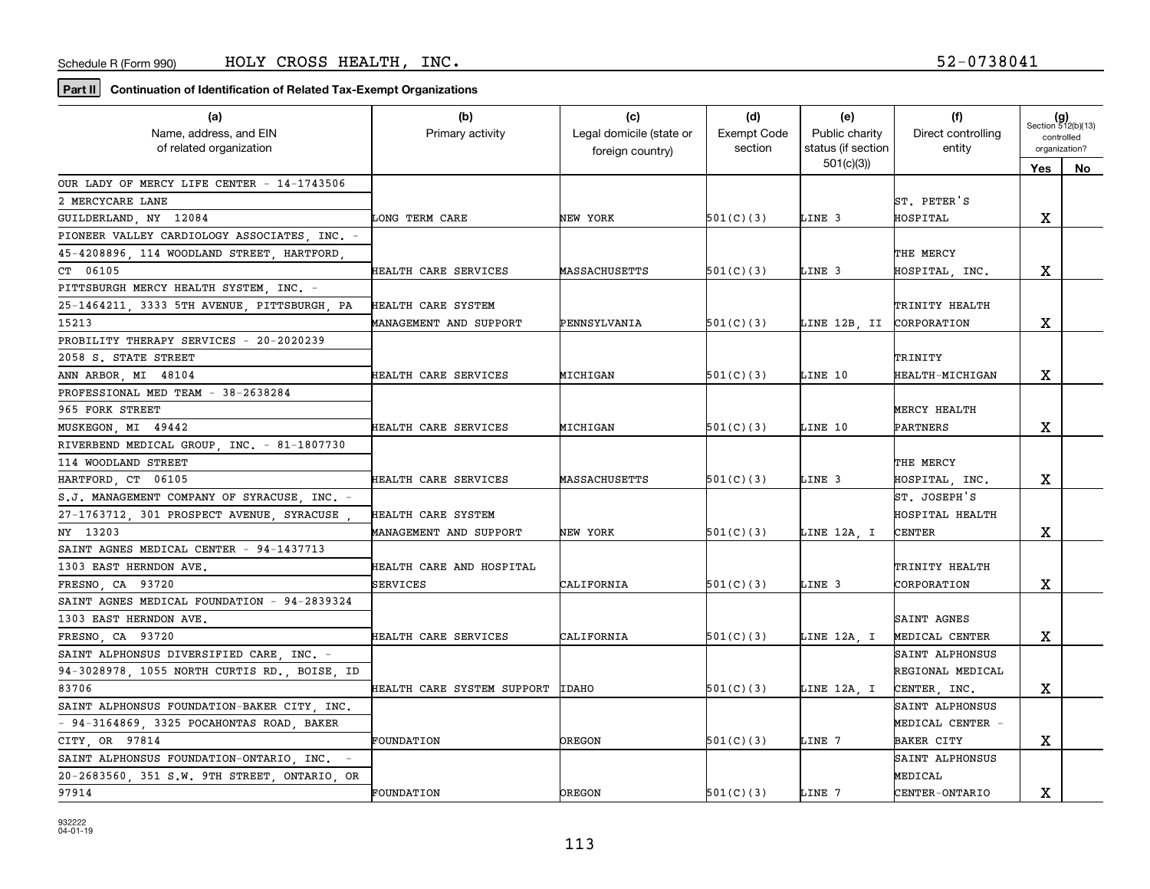| (a)                                          | (b)                        | (c)                      | (d)                | (e)                      | (f)                    | $(g)$<br>Section 512(b)(13) |     |
|----------------------------------------------|----------------------------|--------------------------|--------------------|--------------------------|------------------------|-----------------------------|-----|
| Name, address, and EIN                       | Primary activity           | Legal domicile (state or | <b>Exempt Code</b> | Public charity           | Direct controlling     | controlled                  |     |
| of related organization                      |                            | foreign country)         | section            | status (if section       | entity                 | organization?               |     |
|                                              |                            |                          |                    | 501(c)(3)                |                        | Yes                         | No. |
| OUR LADY OF MERCY LIFE CENTER - 14-1743506   |                            |                          |                    |                          |                        |                             |     |
| 2 MERCYCARE LANE                             |                            |                          |                    |                          | ST. PETER'S            |                             |     |
| GUILDERLAND, NY 12084                        | LONG TERM CARE             | NEW YORK                 | 501(C)(3)          | LINE 3                   | <b>HOSPITAL</b>        | x                           |     |
| PIONEER VALLEY CARDIOLOGY ASSOCIATES, INC. - |                            |                          |                    |                          |                        |                             |     |
| 45-4208896, 114 WOODLAND STREET, HARTFORD,   |                            |                          |                    |                          | THE MERCY              |                             |     |
| CT 06105                                     | HEALTH CARE SERVICES       | <b>MASSACHUSETTS</b>     | 501(C)(3)          | LINE 3                   | HOSPITAL, INC.         | x                           |     |
| PITTSBURGH MERCY HEALTH SYSTEM, INC. -       |                            |                          |                    |                          |                        |                             |     |
| 25-1464211, 3333 5TH AVENUE, PITTSBURGH, PA  | HEALTH CARE SYSTEM         |                          |                    |                          | TRINITY HEALTH         |                             |     |
| 15213                                        | MANAGEMENT AND SUPPORT     | PENNSYLVANIA             | 501(C)(3)          | LINE 12B, II CORPORATION |                        | x                           |     |
| PROBILITY THERAPY SERVICES - 20-2020239      |                            |                          |                    |                          |                        |                             |     |
| 2058 S. STATE STREET                         |                            |                          |                    |                          | TRINITY                |                             |     |
| ANN ARBOR, MI 48104                          | HEALTH CARE SERVICES       | MICHIGAN                 | 501(C)(3)          | LINE 10                  | <b>HEALTH-MICHIGAN</b> | x                           |     |
| PROFESSIONAL MED TEAM - 38-2638284           |                            |                          |                    |                          |                        |                             |     |
| 965 FORK STREET                              |                            |                          |                    |                          | MERCY HEALTH           |                             |     |
| MUSKEGON, MI 49442                           | HEALTH CARE SERVICES       | MICHIGAN                 | 501(C)(3)          | LINE 10                  | PARTNERS               | X                           |     |
| RIVERBEND MEDICAL GROUP, INC. - 81-1807730   |                            |                          |                    |                          |                        |                             |     |
| 114 WOODLAND STREET                          |                            |                          |                    |                          | THE MERCY              |                             |     |
| HARTFORD, CT 06105                           | HEALTH CARE SERVICES       | MASSACHUSETTS            | 501(C)(3)          | LINE 3                   | HOSPITAL, INC.         | x                           |     |
| S.J. MANAGEMENT COMPANY OF SYRACUSE, INC. -  |                            |                          |                    |                          | ST. JOSEPH'S           |                             |     |
| 27-1763712, 301 PROSPECT AVENUE, SYRACUSE    | HEALTH CARE SYSTEM         |                          |                    |                          | HOSPITAL HEALTH        |                             |     |
| NY 13203                                     | MANAGEMENT AND SUPPORT     | NEW YORK                 | 501(C)(3)          | LINE 12A, I              | <b>CENTER</b>          | x                           |     |
| SAINT AGNES MEDICAL CENTER - 94-1437713      |                            |                          |                    |                          |                        |                             |     |
| 1303 EAST HERNDON AVE.                       | HEALTH CARE AND HOSPITAL   |                          |                    |                          | TRINITY HEALTH         |                             |     |
| FRESNO, CA 93720                             | <b>SERVICES</b>            | CALIFORNIA               | 501(C)(3)          | LINE 3                   | CORPORATION            | x                           |     |
| SAINT AGNES MEDICAL FOUNDATION - 94-2839324  |                            |                          |                    |                          |                        |                             |     |
| 1303 EAST HERNDON AVE.                       |                            |                          |                    |                          | SAINT AGNES            |                             |     |
| FRESNO, CA 93720                             | HEALTH CARE SERVICES       | CALIFORNIA               | 501(C)(3)          | LINE 12A, I              | MEDICAL CENTER         | x                           |     |
| SAINT ALPHONSUS DIVERSIFIED CARE INC. -      |                            |                          |                    |                          | SAINT ALPHONSUS        |                             |     |
| 94-3028978, 1055 NORTH CURTIS RD., BOISE, ID |                            |                          |                    |                          | REGIONAL MEDICAL       |                             |     |
| 83706                                        | HEALTH CARE SYSTEM SUPPORT | <b>IDAHO</b>             | 501(C)(3)          | LINE 12A, I              | CENTER, INC.           | X                           |     |
| SAINT ALPHONSUS FOUNDATION-BAKER CITY, INC.  |                            |                          |                    |                          | SAINT ALPHONSUS        |                             |     |
| $-94-3164869$ , 3325 POCAHONTAS ROAD, BAKER  |                            |                          |                    |                          | MEDICAL CENTER -       |                             |     |
| CITY OR 97814                                | <b>FOUNDATION</b>          | <b>OREGON</b>            | 501(C)(3)          | LINE 7                   | <b>BAKER CITY</b>      | x                           |     |
| SAINT ALPHONSUS FOUNDATION-ONTARIO, INC. -   |                            |                          |                    |                          | SAINT ALPHONSUS        |                             |     |
| 20-2683560, 351 S.W. 9TH STREET, ONTARIO, OR |                            |                          |                    |                          | MEDICAL                |                             |     |
| 97914                                        | FOUNDATION                 | <b>DREGON</b>            | 501(C)(3)          | LINE 7                   | <b>CENTER-ONTARIO</b>  | X                           |     |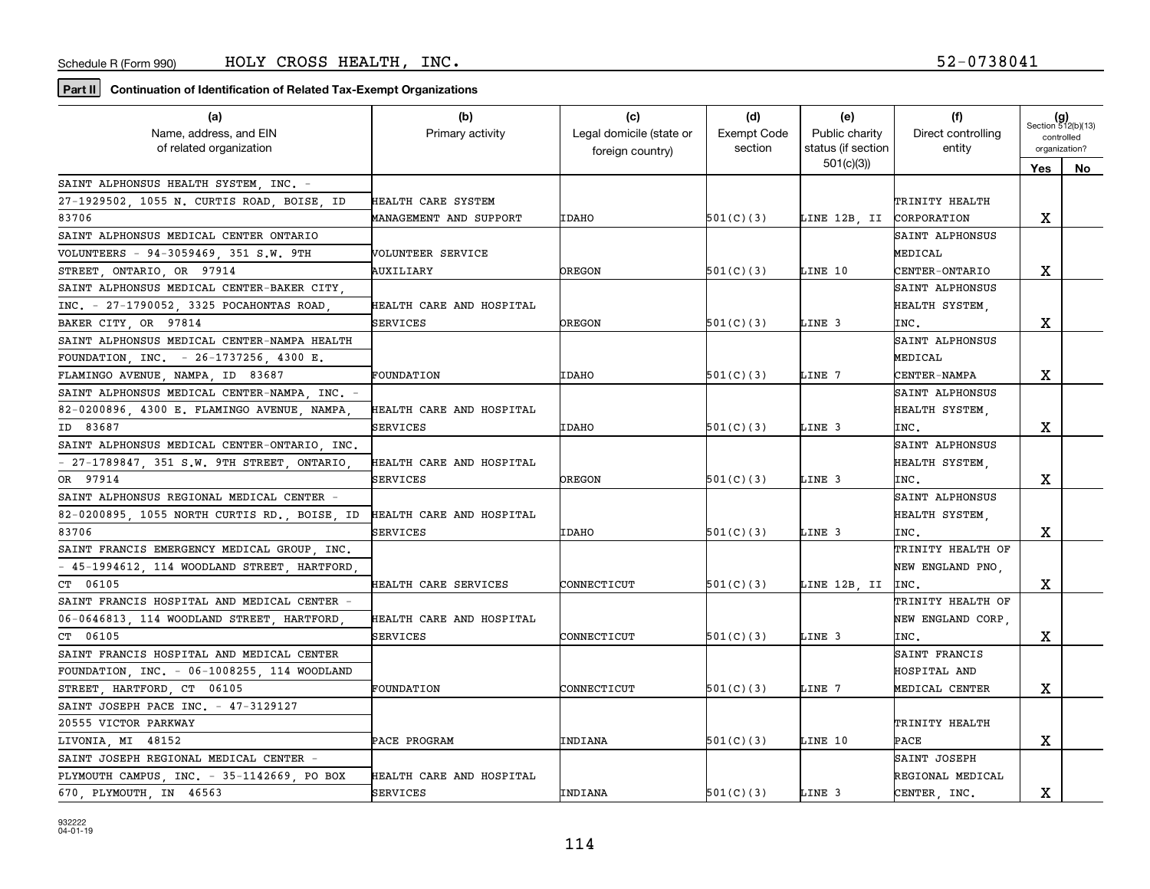| (a)                                          | (b)                      | (c)                      | (d)                | (e)                             | (f)                | $(g)$<br>Section 512(b)(13) |     |
|----------------------------------------------|--------------------------|--------------------------|--------------------|---------------------------------|--------------------|-----------------------------|-----|
| Name, address, and EIN                       | Primary activity         | Legal domicile (state or | <b>Exempt Code</b> | Public charity                  | Direct controlling | controlled                  |     |
| of related organization                      |                          | foreign country)         | section            | status (if section<br>501(c)(3) | entity             | organization?               |     |
|                                              |                          |                          |                    |                                 |                    | Yes                         | No. |
| SAINT ALPHONSUS HEALTH SYSTEM, INC. -        |                          |                          |                    |                                 |                    |                             |     |
| 27-1929502, 1055 N. CURTIS ROAD, BOISE, ID   | HEALTH CARE SYSTEM       |                          |                    |                                 | TRINITY HEALTH     |                             |     |
| 83706                                        | MANAGEMENT AND SUPPORT   | <b>IDAHO</b>             | 501(C)(3)          | LINE 12B, II CORPORATION        |                    | x                           |     |
| SAINT ALPHONSUS MEDICAL CENTER ONTARIO       |                          |                          |                    |                                 | SAINT ALPHONSUS    |                             |     |
| VOLUNTEERS - 94-3059469, 351 S.W. 9TH        | VOLUNTEER SERVICE        |                          |                    |                                 | MEDICAL            |                             |     |
| STREET, ONTARIO, OR 97914                    | AUXILIARY                | <b>OREGON</b>            | 501(C)(3)          | LINE 10                         | CENTER-ONTARIO     | х                           |     |
| SAINT ALPHONSUS MEDICAL CENTER-BAKER CITY,   |                          |                          |                    |                                 | SAINT ALPHONSUS    |                             |     |
| INC. - 27-1790052, 3325 POCAHONTAS ROAD,     | HEALTH CARE AND HOSPITAL |                          |                    |                                 | HEALTH SYSTEM,     |                             |     |
| BAKER CITY, OR 97814                         | SERVICES                 | OREGON                   | 501(C)(3)          | LINE 3                          | INC.               | x                           |     |
| SAINT ALPHONSUS MEDICAL CENTER-NAMPA HEALTH  |                          |                          |                    |                                 | SAINT ALPHONSUS    |                             |     |
| FOUNDATION, INC. - 26-1737256, 4300 E.       |                          |                          |                    |                                 | MEDICAL            |                             |     |
| FLAMINGO AVENUE, NAMPA, ID 83687             | FOUNDATION               | <b>IDAHO</b>             | 501(C)(3)          | LINE 7                          | CENTER-NAMPA       | х                           |     |
| SAINT ALPHONSUS MEDICAL CENTER-NAMPA INC.    |                          |                          |                    |                                 | SAINT ALPHONSUS    |                             |     |
| 82-0200896 4300 E. FLAMINGO AVENUE NAMPA     | HEALTH CARE AND HOSPITAL |                          |                    |                                 | HEALTH SYSTEM      |                             |     |
| ID 83687                                     | <b>SERVICES</b>          | <b>IDAHO</b>             | 501(C)(3)          | LINE 3                          | INC.               | х                           |     |
| SAINT ALPHONSUS MEDICAL CENTER-ONTARIO, INC. |                          |                          |                    |                                 | SAINT ALPHONSUS    |                             |     |
| - 27-1789847, 351 S.W. 9TH STREET, ONTARIO   | HEALTH CARE AND HOSPITAL |                          |                    |                                 | HEALTH SYSTEM,     |                             |     |
| OR 97914                                     | SERVICES                 | <b>DREGON</b>            | 501(C)(3)          | LINE 3                          | INC.               | х                           |     |
| SAINT ALPHONSUS REGIONAL MEDICAL CENTER -    |                          |                          |                    |                                 | SAINT ALPHONSUS    |                             |     |
| 82-0200895, 1055 NORTH CURTIS RD., BOISE, ID | HEALTH CARE AND HOSPITAL |                          |                    |                                 | HEALTH SYSTEM,     |                             |     |
| 83706                                        | SERVICES                 | <b>IDAHO</b>             | 501(C)(3)          | LINE 3                          | INC.               | x                           |     |
| SAINT FRANCIS EMERGENCY MEDICAL GROUP, INC.  |                          |                          |                    |                                 | TRINITY HEALTH OF  |                             |     |
| - 45-1994612, 114 WOODLAND STREET, HARTFORD  |                          |                          |                    |                                 | NEW ENGLAND PNO,   |                             |     |
| CT 06105                                     | HEALTH CARE SERVICES     | CONNECTICUT              | 501(C)(3)          | LINE 12B, II                    | INC.               | х                           |     |
| SAINT FRANCIS HOSPITAL AND MEDICAL CENTER -  |                          |                          |                    |                                 | TRINITY HEALTH OF  |                             |     |
| 06-0646813, 114 WOODLAND STREET, HARTFORD    | HEALTH CARE AND HOSPITAL |                          |                    |                                 | NEW ENGLAND CORP,  |                             |     |
| CT 06105                                     | SERVICES                 | CONNECTICUT              | 501(C)(3)          | LINE 3                          | INC.               | х                           |     |
| SAINT FRANCIS HOSPITAL AND MEDICAL CENTER    |                          |                          |                    |                                 | SAINT FRANCIS      |                             |     |
| FOUNDATION, INC. - 06-1008255, 114 WOODLAND  |                          |                          |                    |                                 | HOSPITAL AND       |                             |     |
| STREET, HARTFORD, CT 06105                   | FOUNDATION               | CONNECTICUT              | 501(C)(3)          | LINE 7                          | MEDICAL CENTER     | x                           |     |
| SAINT JOSEPH PACE INC. - 47-3129127          |                          |                          |                    |                                 |                    |                             |     |
| 20555 VICTOR PARKWAY                         |                          |                          |                    |                                 | TRINITY HEALTH     |                             |     |
| LIVONIA, MI 48152                            | PACE PROGRAM             | INDIANA                  | 501(C)(3)          | LINE 10                         | PACE               | х                           |     |
| SAINT JOSEPH REGIONAL MEDICAL CENTER -       |                          |                          |                    |                                 | SAINT JOSEPH       |                             |     |
| PLYMOUTH CAMPUS, INC. - 35-1142669, PO BOX   | HEALTH CARE AND HOSPITAL |                          |                    |                                 | REGIONAL MEDICAL   |                             |     |
| 670, PLYMOUTH, IN 46563                      | SERVICES                 | INDIANA                  | 501(C)(3)          | LINE 3                          | CENTER, INC.       | х                           |     |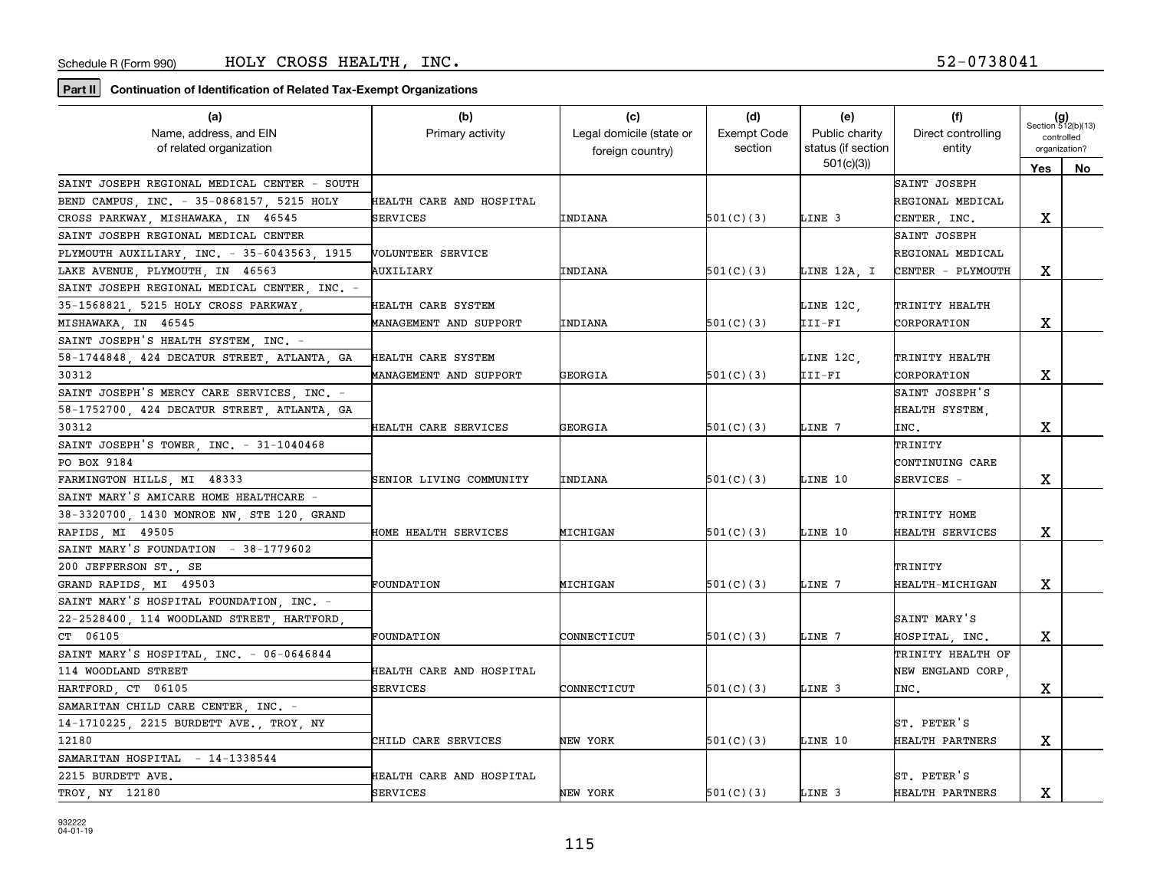| (a)                                          | (b)                      | (c)                      | (d)                | (e)                             | (f)                | $(g)$<br>Section 512(b)(13) |    |
|----------------------------------------------|--------------------------|--------------------------|--------------------|---------------------------------|--------------------|-----------------------------|----|
| Name, address, and EIN                       | Primary activity         | Legal domicile (state or | <b>Exempt Code</b> | Public charity                  | Direct controlling | controlled                  |    |
| of related organization                      |                          | foreign country)         | section            | status (if section<br>501(c)(3) | entity             | organization?               |    |
|                                              |                          |                          |                    |                                 |                    | Yes                         | No |
| SAINT JOSEPH REGIONAL MEDICAL CENTER - SOUTH |                          |                          |                    |                                 | SAINT JOSEPH       |                             |    |
| BEND CAMPUS, INC. - 35-0868157, 5215 HOLY    | HEALTH CARE AND HOSPITAL |                          |                    |                                 | REGIONAL MEDICAL   |                             |    |
| CROSS PARKWAY MISHAWAKA IN 46545             | SERVICES                 | INDIANA                  | 501(C)(3)          | LINE 3                          | CENTER, INC.       | X                           |    |
| SAINT JOSEPH REGIONAL MEDICAL CENTER         |                          |                          |                    |                                 | SAINT JOSEPH       |                             |    |
| PLYMOUTH AUXILIARY, INC. - 35-6043563, 1915  | VOLUNTEER SERVICE        |                          |                    |                                 | REGIONAL MEDICAL   |                             |    |
| LAKE AVENUE, PLYMOUTH, IN 46563              | AUXILIARY                | INDIANA                  | 501(C)(3)          | LINE 12A, I                     | CENTER - PLYMOUTH  | x                           |    |
| SAINT JOSEPH REGIONAL MEDICAL CENTER INC. -  |                          |                          |                    |                                 |                    |                             |    |
| 35-1568821, 5215 HOLY CROSS PARKWAY,         | HEALTH CARE SYSTEM       |                          |                    | LINE 12C,                       | TRINITY HEALTH     |                             |    |
| MISHAWAKA, IN 46545                          | MANAGEMENT AND SUPPORT   | INDIANA                  | 501(C)(3)          | III-FI                          | CORPORATION        | х                           |    |
| SAINT JOSEPH'S HEALTH SYSTEM, INC. -         |                          |                          |                    |                                 |                    |                             |    |
| 58-1744848, 424 DECATUR STREET, ATLANTA, GA  | HEALTH CARE SYSTEM       |                          |                    | LINE 12C,                       | TRINITY HEALTH     |                             |    |
| 30312                                        | MANAGEMENT AND SUPPORT   | GEORGIA                  | 501(C)(3)          | III-FI                          | CORPORATION        | x                           |    |
| SAINT JOSEPH'S MERCY CARE SERVICES, INC. -   |                          |                          |                    |                                 | SAINT JOSEPH'S     |                             |    |
| 58-1752700, 424 DECATUR STREET, ATLANTA, GA  |                          |                          |                    |                                 | HEALTH SYSTEM      |                             |    |
| 30312                                        | HEALTH CARE SERVICES     | GEORGIA                  | 501(C)(3)          | LINE 7                          | INC.               | х                           |    |
| SAINT JOSEPH'S TOWER, INC. - 31-1040468      |                          |                          |                    |                                 | TRINITY            |                             |    |
| PO BOX 9184                                  |                          |                          |                    |                                 | CONTINUING CARE    |                             |    |
| FARMINGTON HILLS, MI 48333                   | SENIOR LIVING COMMUNITY  | INDIANA                  | 501(C)(3)          | LINE 10                         | SERVICES -         | х                           |    |
| SAINT MARY'S AMICARE HOME HEALTHCARE -       |                          |                          |                    |                                 |                    |                             |    |
| 38-3320700, 1430 MONROE NW, STE 120, GRAND   |                          |                          |                    |                                 | TRINITY HOME       |                             |    |
| RAPIDS, MI 49505                             | HOME HEALTH SERVICES     | MICHIGAN                 | 501(C)(3)          | LINE 10                         | HEALTH SERVICES    | x                           |    |
| SAINT MARY'S FOUNDATION - 38-1779602         |                          |                          |                    |                                 |                    |                             |    |
| 200 JEFFERSON ST., SE                        |                          |                          |                    |                                 | TRINITY            |                             |    |
| GRAND RAPIDS, MI 49503                       | FOUNDATION               | <b>MICHIGAN</b>          | 501(C)(3)          | LINE 7                          | HEALTH-MICHIGAN    | x                           |    |
| SAINT MARY'S HOSPITAL FOUNDATION. INC. -     |                          |                          |                    |                                 |                    |                             |    |
| 22-2528400, 114 WOODLAND STREET, HARTFORD,   |                          |                          |                    |                                 | SAINT MARY'S       |                             |    |
| CT 06105                                     | FOUNDATION               | CONNECTICUT              | 501(C)(3)          | LINE 7                          | HOSPITAL, INC.     | x                           |    |
| SAINT MARY'S HOSPITAL, INC. - 06-0646844     |                          |                          |                    |                                 | TRINITY HEALTH OF  |                             |    |
| 114 WOODLAND STREET                          | HEALTH CARE AND HOSPITAL |                          |                    |                                 | NEW ENGLAND CORP.  |                             |    |
|                                              | SERVICES                 | CONNECTICUT              | 501(C)(3)          | LINE 3                          |                    |                             |    |
| HARTFORD, CT 06105                           |                          |                          |                    |                                 | INC.               | х                           |    |
| SAMARITAN CHILD CARE CENTER, INC. -          |                          |                          |                    |                                 |                    |                             |    |
| 14-1710225, 2215 BURDETT AVE., TROY, NY      |                          |                          |                    |                                 | ST. PETER'S        |                             |    |
| 12180                                        | CHILD CARE SERVICES      | NEW YORK                 | 501(C)(3)          | LINE 10                         | HEALTH PARTNERS    | x                           |    |
| $-14-1338544$<br>SAMARITAN HOSPITAL          |                          |                          |                    |                                 |                    |                             |    |
| 2215 BURDETT AVE.                            | HEALTH CARE AND HOSPITAL |                          |                    |                                 | ST. PETER'S        |                             |    |
| TROY, NY 12180                               | SERVICES                 | NEW YORK                 | 501(C)(3)          | LINE 3                          | HEALTH PARTNERS    | x                           |    |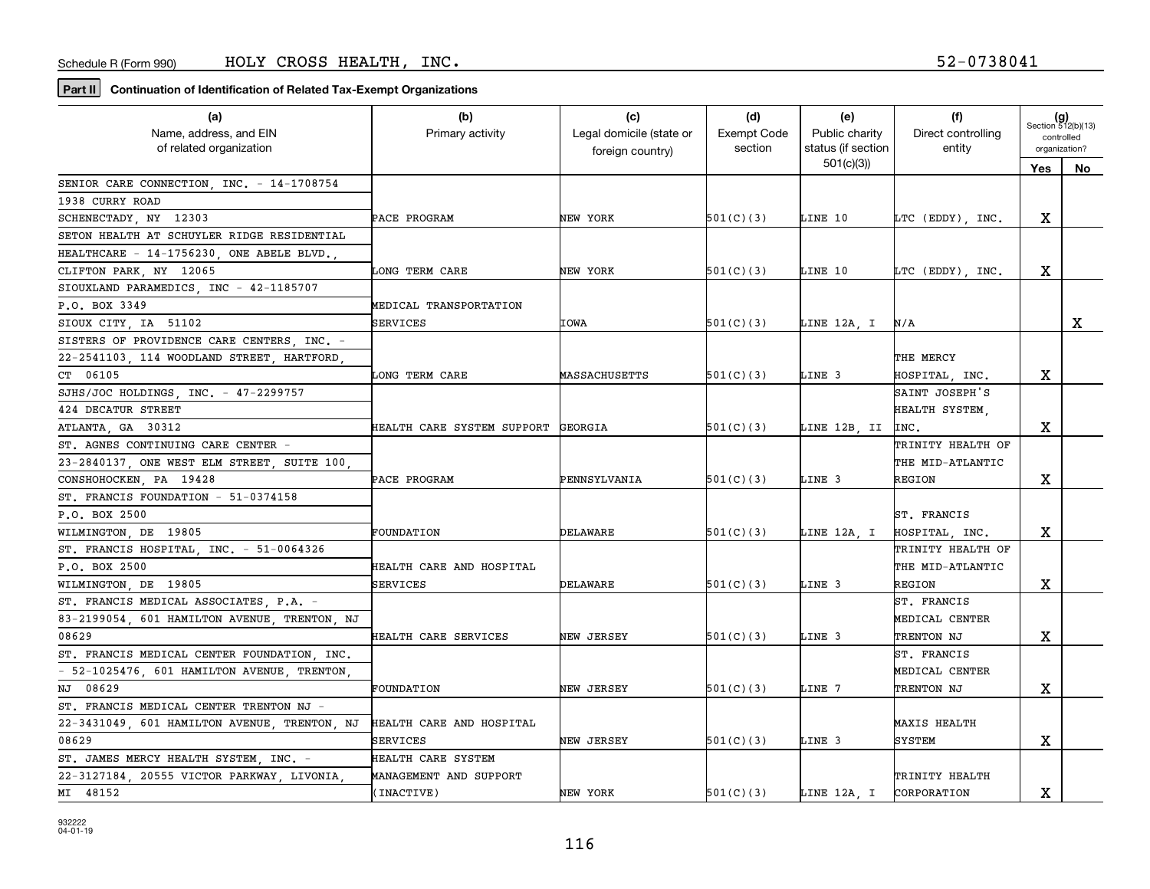| Name, address, and EIN<br>Legal domicile (state or<br><b>Exempt Code</b><br>Public charity<br>Direct controlling<br>Primary activity<br>controlled<br>status (if section<br>of related organization<br>section<br>entity<br>organization?<br>foreign country)<br>501(c)(3)<br>Yes<br>No<br>SENIOR CARE CONNECTION, INC. - 14-1708754<br>1938 CURRY ROAD<br>х<br>SCHENECTADY, NY 12303<br>NEW YORK<br>501(C)(3)<br>LINE 10<br>PACE PROGRAM<br>LTC (EDDY), INC.<br>SETON HEALTH AT SCHUYLER RIDGE RESIDENTIAL<br>HEALTHCARE - 14-1756230, ONE ABELE BLVD.,<br>X<br>CLIFTON PARK, NY 12065<br>LONG TERM CARE<br>NEW YORK<br>501(C)(3)<br>LINE 10<br>LTC (EDDY), INC.<br>SIOUXLAND PARAMEDICS, INC - 42-1185707<br>P.O. BOX 3349<br>MEDICAL TRANSPORTATION<br>x<br>SERVICES<br>IOWA<br>501(C)(3)<br>LINE 12A, I<br>SIOUX CITY, IA 51102<br>N/A<br>SISTERS OF PROVIDENCE CARE CENTERS INC. -<br>22-2541103, 114 WOODLAND STREET, HARTFORD,<br>THE MERCY<br>CT 06105<br>x<br>501(C)(3)<br>LINE 3<br>LONG TERM CARE<br>MASSACHUSETTS<br>HOSPITAL, INC.<br>SAINT JOSEPH'S<br>SJHS/JOC HOLDINGS, INC. - 47-2299757<br>424 DECATUR STREET<br>HEALTH SYSTEM,<br>501(C)(3)<br>LINE 12B, II<br>x<br>ATLANTA GA 30312<br>HEALTH CARE SYSTEM SUPPORT<br>GEORGIA<br>INC.<br>ST. AGNES CONTINUING CARE CENTER<br>TRINITY HEALTH OF<br>23-2840137, ONE WEST ELM STREET, SUITE 100<br>THE MID-ATLANTIC<br>х<br>CONSHOHOCKEN, PA 19428<br>PENNSYLVANIA<br>501(C)(3)<br>LINE 3<br>REGION<br>PACE PROGRAM<br>ST. FRANCIS FOUNDATION - 51-0374158<br>P.O. BOX 2500<br>ST. FRANCIS<br>х<br>WILMINGTON, DE 19805<br>DELAWARE<br>501(C)(3)<br>LINE 12A, I<br>FOUNDATION<br>HOSPITAL, INC.<br>ST. FRANCIS HOSPITAL, INC. - 51-0064326<br>TRINITY HEALTH OF<br>P.O. BOX 2500<br>HEALTH CARE AND HOSPITAL<br>THE MID-ATLANTIC<br>х<br>DELAWARE<br>501(C)(3)<br>LINE 3<br>WILMINGTON, DE 19805<br>SERVICES<br>REGION<br>ST. FRANCIS MEDICAL ASSOCIATES P.A. -<br>ST. FRANCIS<br>83-2199054, 601 HAMILTON AVENUE, TRENTON, NJ<br>MEDICAL CENTER<br>08629<br>х<br>NEW JERSEY<br>501(C)(3)<br>LINE 3<br>HEALTH CARE SERVICES<br>TRENTON NJ<br>ST. FRANCIS MEDICAL CENTER FOUNDATION, INC.<br>ST. FRANCIS<br>- 52-1025476, 601 HAMILTON AVENUE, TRENTON,<br>MEDICAL CENTER<br>x<br>NJ 08629<br>NEW JERSEY<br>501(C)(3)<br>LINE 7<br>FOUNDATION<br>TRENTON NJ<br>ST. FRANCIS MEDICAL CENTER TRENTON NJ -<br>22-3431049, 601 HAMILTON AVENUE, TRENTON, NJ<br>HEALTH CARE AND HOSPITAL<br><b>MAXIS HEALTH</b><br>х<br>08629<br>501(C)(3)<br>LINE 3<br><b>SYSTEM</b><br>NEW JERSEY<br>SERVICES<br>ST. JAMES MERCY HEALTH SYSTEM, INC. -<br>HEALTH CARE SYSTEM | (a)                                        | (b)                    | (c) | (d) | (e) | (f)            | $(g)$<br>Section 512(b)(13) |  |
|-------------------------------------------------------------------------------------------------------------------------------------------------------------------------------------------------------------------------------------------------------------------------------------------------------------------------------------------------------------------------------------------------------------------------------------------------------------------------------------------------------------------------------------------------------------------------------------------------------------------------------------------------------------------------------------------------------------------------------------------------------------------------------------------------------------------------------------------------------------------------------------------------------------------------------------------------------------------------------------------------------------------------------------------------------------------------------------------------------------------------------------------------------------------------------------------------------------------------------------------------------------------------------------------------------------------------------------------------------------------------------------------------------------------------------------------------------------------------------------------------------------------------------------------------------------------------------------------------------------------------------------------------------------------------------------------------------------------------------------------------------------------------------------------------------------------------------------------------------------------------------------------------------------------------------------------------------------------------------------------------------------------------------------------------------------------------------------------------------------------------------------------------------------------------------------------------------------------------------------------------------------------------------------------------------------------------------------------------------------------------------------------------------------------------------------------------------------------------------------------------------------------------------------------------------------------------------------------------------------------------|--------------------------------------------|------------------------|-----|-----|-----|----------------|-----------------------------|--|
|                                                                                                                                                                                                                                                                                                                                                                                                                                                                                                                                                                                                                                                                                                                                                                                                                                                                                                                                                                                                                                                                                                                                                                                                                                                                                                                                                                                                                                                                                                                                                                                                                                                                                                                                                                                                                                                                                                                                                                                                                                                                                                                                                                                                                                                                                                                                                                                                                                                                                                                                                                                                                         |                                            |                        |     |     |     |                |                             |  |
|                                                                                                                                                                                                                                                                                                                                                                                                                                                                                                                                                                                                                                                                                                                                                                                                                                                                                                                                                                                                                                                                                                                                                                                                                                                                                                                                                                                                                                                                                                                                                                                                                                                                                                                                                                                                                                                                                                                                                                                                                                                                                                                                                                                                                                                                                                                                                                                                                                                                                                                                                                                                                         |                                            |                        |     |     |     |                |                             |  |
|                                                                                                                                                                                                                                                                                                                                                                                                                                                                                                                                                                                                                                                                                                                                                                                                                                                                                                                                                                                                                                                                                                                                                                                                                                                                                                                                                                                                                                                                                                                                                                                                                                                                                                                                                                                                                                                                                                                                                                                                                                                                                                                                                                                                                                                                                                                                                                                                                                                                                                                                                                                                                         |                                            |                        |     |     |     |                |                             |  |
|                                                                                                                                                                                                                                                                                                                                                                                                                                                                                                                                                                                                                                                                                                                                                                                                                                                                                                                                                                                                                                                                                                                                                                                                                                                                                                                                                                                                                                                                                                                                                                                                                                                                                                                                                                                                                                                                                                                                                                                                                                                                                                                                                                                                                                                                                                                                                                                                                                                                                                                                                                                                                         |                                            |                        |     |     |     |                |                             |  |
|                                                                                                                                                                                                                                                                                                                                                                                                                                                                                                                                                                                                                                                                                                                                                                                                                                                                                                                                                                                                                                                                                                                                                                                                                                                                                                                                                                                                                                                                                                                                                                                                                                                                                                                                                                                                                                                                                                                                                                                                                                                                                                                                                                                                                                                                                                                                                                                                                                                                                                                                                                                                                         |                                            |                        |     |     |     |                |                             |  |
|                                                                                                                                                                                                                                                                                                                                                                                                                                                                                                                                                                                                                                                                                                                                                                                                                                                                                                                                                                                                                                                                                                                                                                                                                                                                                                                                                                                                                                                                                                                                                                                                                                                                                                                                                                                                                                                                                                                                                                                                                                                                                                                                                                                                                                                                                                                                                                                                                                                                                                                                                                                                                         |                                            |                        |     |     |     |                |                             |  |
|                                                                                                                                                                                                                                                                                                                                                                                                                                                                                                                                                                                                                                                                                                                                                                                                                                                                                                                                                                                                                                                                                                                                                                                                                                                                                                                                                                                                                                                                                                                                                                                                                                                                                                                                                                                                                                                                                                                                                                                                                                                                                                                                                                                                                                                                                                                                                                                                                                                                                                                                                                                                                         |                                            |                        |     |     |     |                |                             |  |
|                                                                                                                                                                                                                                                                                                                                                                                                                                                                                                                                                                                                                                                                                                                                                                                                                                                                                                                                                                                                                                                                                                                                                                                                                                                                                                                                                                                                                                                                                                                                                                                                                                                                                                                                                                                                                                                                                                                                                                                                                                                                                                                                                                                                                                                                                                                                                                                                                                                                                                                                                                                                                         |                                            |                        |     |     |     |                |                             |  |
|                                                                                                                                                                                                                                                                                                                                                                                                                                                                                                                                                                                                                                                                                                                                                                                                                                                                                                                                                                                                                                                                                                                                                                                                                                                                                                                                                                                                                                                                                                                                                                                                                                                                                                                                                                                                                                                                                                                                                                                                                                                                                                                                                                                                                                                                                                                                                                                                                                                                                                                                                                                                                         |                                            |                        |     |     |     |                |                             |  |
|                                                                                                                                                                                                                                                                                                                                                                                                                                                                                                                                                                                                                                                                                                                                                                                                                                                                                                                                                                                                                                                                                                                                                                                                                                                                                                                                                                                                                                                                                                                                                                                                                                                                                                                                                                                                                                                                                                                                                                                                                                                                                                                                                                                                                                                                                                                                                                                                                                                                                                                                                                                                                         |                                            |                        |     |     |     |                |                             |  |
|                                                                                                                                                                                                                                                                                                                                                                                                                                                                                                                                                                                                                                                                                                                                                                                                                                                                                                                                                                                                                                                                                                                                                                                                                                                                                                                                                                                                                                                                                                                                                                                                                                                                                                                                                                                                                                                                                                                                                                                                                                                                                                                                                                                                                                                                                                                                                                                                                                                                                                                                                                                                                         |                                            |                        |     |     |     |                |                             |  |
|                                                                                                                                                                                                                                                                                                                                                                                                                                                                                                                                                                                                                                                                                                                                                                                                                                                                                                                                                                                                                                                                                                                                                                                                                                                                                                                                                                                                                                                                                                                                                                                                                                                                                                                                                                                                                                                                                                                                                                                                                                                                                                                                                                                                                                                                                                                                                                                                                                                                                                                                                                                                                         |                                            |                        |     |     |     |                |                             |  |
|                                                                                                                                                                                                                                                                                                                                                                                                                                                                                                                                                                                                                                                                                                                                                                                                                                                                                                                                                                                                                                                                                                                                                                                                                                                                                                                                                                                                                                                                                                                                                                                                                                                                                                                                                                                                                                                                                                                                                                                                                                                                                                                                                                                                                                                                                                                                                                                                                                                                                                                                                                                                                         |                                            |                        |     |     |     |                |                             |  |
|                                                                                                                                                                                                                                                                                                                                                                                                                                                                                                                                                                                                                                                                                                                                                                                                                                                                                                                                                                                                                                                                                                                                                                                                                                                                                                                                                                                                                                                                                                                                                                                                                                                                                                                                                                                                                                                                                                                                                                                                                                                                                                                                                                                                                                                                                                                                                                                                                                                                                                                                                                                                                         |                                            |                        |     |     |     |                |                             |  |
|                                                                                                                                                                                                                                                                                                                                                                                                                                                                                                                                                                                                                                                                                                                                                                                                                                                                                                                                                                                                                                                                                                                                                                                                                                                                                                                                                                                                                                                                                                                                                                                                                                                                                                                                                                                                                                                                                                                                                                                                                                                                                                                                                                                                                                                                                                                                                                                                                                                                                                                                                                                                                         |                                            |                        |     |     |     |                |                             |  |
|                                                                                                                                                                                                                                                                                                                                                                                                                                                                                                                                                                                                                                                                                                                                                                                                                                                                                                                                                                                                                                                                                                                                                                                                                                                                                                                                                                                                                                                                                                                                                                                                                                                                                                                                                                                                                                                                                                                                                                                                                                                                                                                                                                                                                                                                                                                                                                                                                                                                                                                                                                                                                         |                                            |                        |     |     |     |                |                             |  |
|                                                                                                                                                                                                                                                                                                                                                                                                                                                                                                                                                                                                                                                                                                                                                                                                                                                                                                                                                                                                                                                                                                                                                                                                                                                                                                                                                                                                                                                                                                                                                                                                                                                                                                                                                                                                                                                                                                                                                                                                                                                                                                                                                                                                                                                                                                                                                                                                                                                                                                                                                                                                                         |                                            |                        |     |     |     |                |                             |  |
|                                                                                                                                                                                                                                                                                                                                                                                                                                                                                                                                                                                                                                                                                                                                                                                                                                                                                                                                                                                                                                                                                                                                                                                                                                                                                                                                                                                                                                                                                                                                                                                                                                                                                                                                                                                                                                                                                                                                                                                                                                                                                                                                                                                                                                                                                                                                                                                                                                                                                                                                                                                                                         |                                            |                        |     |     |     |                |                             |  |
|                                                                                                                                                                                                                                                                                                                                                                                                                                                                                                                                                                                                                                                                                                                                                                                                                                                                                                                                                                                                                                                                                                                                                                                                                                                                                                                                                                                                                                                                                                                                                                                                                                                                                                                                                                                                                                                                                                                                                                                                                                                                                                                                                                                                                                                                                                                                                                                                                                                                                                                                                                                                                         |                                            |                        |     |     |     |                |                             |  |
|                                                                                                                                                                                                                                                                                                                                                                                                                                                                                                                                                                                                                                                                                                                                                                                                                                                                                                                                                                                                                                                                                                                                                                                                                                                                                                                                                                                                                                                                                                                                                                                                                                                                                                                                                                                                                                                                                                                                                                                                                                                                                                                                                                                                                                                                                                                                                                                                                                                                                                                                                                                                                         |                                            |                        |     |     |     |                |                             |  |
|                                                                                                                                                                                                                                                                                                                                                                                                                                                                                                                                                                                                                                                                                                                                                                                                                                                                                                                                                                                                                                                                                                                                                                                                                                                                                                                                                                                                                                                                                                                                                                                                                                                                                                                                                                                                                                                                                                                                                                                                                                                                                                                                                                                                                                                                                                                                                                                                                                                                                                                                                                                                                         |                                            |                        |     |     |     |                |                             |  |
|                                                                                                                                                                                                                                                                                                                                                                                                                                                                                                                                                                                                                                                                                                                                                                                                                                                                                                                                                                                                                                                                                                                                                                                                                                                                                                                                                                                                                                                                                                                                                                                                                                                                                                                                                                                                                                                                                                                                                                                                                                                                                                                                                                                                                                                                                                                                                                                                                                                                                                                                                                                                                         |                                            |                        |     |     |     |                |                             |  |
|                                                                                                                                                                                                                                                                                                                                                                                                                                                                                                                                                                                                                                                                                                                                                                                                                                                                                                                                                                                                                                                                                                                                                                                                                                                                                                                                                                                                                                                                                                                                                                                                                                                                                                                                                                                                                                                                                                                                                                                                                                                                                                                                                                                                                                                                                                                                                                                                                                                                                                                                                                                                                         |                                            |                        |     |     |     |                |                             |  |
|                                                                                                                                                                                                                                                                                                                                                                                                                                                                                                                                                                                                                                                                                                                                                                                                                                                                                                                                                                                                                                                                                                                                                                                                                                                                                                                                                                                                                                                                                                                                                                                                                                                                                                                                                                                                                                                                                                                                                                                                                                                                                                                                                                                                                                                                                                                                                                                                                                                                                                                                                                                                                         |                                            |                        |     |     |     |                |                             |  |
|                                                                                                                                                                                                                                                                                                                                                                                                                                                                                                                                                                                                                                                                                                                                                                                                                                                                                                                                                                                                                                                                                                                                                                                                                                                                                                                                                                                                                                                                                                                                                                                                                                                                                                                                                                                                                                                                                                                                                                                                                                                                                                                                                                                                                                                                                                                                                                                                                                                                                                                                                                                                                         |                                            |                        |     |     |     |                |                             |  |
|                                                                                                                                                                                                                                                                                                                                                                                                                                                                                                                                                                                                                                                                                                                                                                                                                                                                                                                                                                                                                                                                                                                                                                                                                                                                                                                                                                                                                                                                                                                                                                                                                                                                                                                                                                                                                                                                                                                                                                                                                                                                                                                                                                                                                                                                                                                                                                                                                                                                                                                                                                                                                         |                                            |                        |     |     |     |                |                             |  |
|                                                                                                                                                                                                                                                                                                                                                                                                                                                                                                                                                                                                                                                                                                                                                                                                                                                                                                                                                                                                                                                                                                                                                                                                                                                                                                                                                                                                                                                                                                                                                                                                                                                                                                                                                                                                                                                                                                                                                                                                                                                                                                                                                                                                                                                                                                                                                                                                                                                                                                                                                                                                                         |                                            |                        |     |     |     |                |                             |  |
|                                                                                                                                                                                                                                                                                                                                                                                                                                                                                                                                                                                                                                                                                                                                                                                                                                                                                                                                                                                                                                                                                                                                                                                                                                                                                                                                                                                                                                                                                                                                                                                                                                                                                                                                                                                                                                                                                                                                                                                                                                                                                                                                                                                                                                                                                                                                                                                                                                                                                                                                                                                                                         |                                            |                        |     |     |     |                |                             |  |
|                                                                                                                                                                                                                                                                                                                                                                                                                                                                                                                                                                                                                                                                                                                                                                                                                                                                                                                                                                                                                                                                                                                                                                                                                                                                                                                                                                                                                                                                                                                                                                                                                                                                                                                                                                                                                                                                                                                                                                                                                                                                                                                                                                                                                                                                                                                                                                                                                                                                                                                                                                                                                         |                                            |                        |     |     |     |                |                             |  |
|                                                                                                                                                                                                                                                                                                                                                                                                                                                                                                                                                                                                                                                                                                                                                                                                                                                                                                                                                                                                                                                                                                                                                                                                                                                                                                                                                                                                                                                                                                                                                                                                                                                                                                                                                                                                                                                                                                                                                                                                                                                                                                                                                                                                                                                                                                                                                                                                                                                                                                                                                                                                                         |                                            |                        |     |     |     |                |                             |  |
|                                                                                                                                                                                                                                                                                                                                                                                                                                                                                                                                                                                                                                                                                                                                                                                                                                                                                                                                                                                                                                                                                                                                                                                                                                                                                                                                                                                                                                                                                                                                                                                                                                                                                                                                                                                                                                                                                                                                                                                                                                                                                                                                                                                                                                                                                                                                                                                                                                                                                                                                                                                                                         |                                            |                        |     |     |     |                |                             |  |
|                                                                                                                                                                                                                                                                                                                                                                                                                                                                                                                                                                                                                                                                                                                                                                                                                                                                                                                                                                                                                                                                                                                                                                                                                                                                                                                                                                                                                                                                                                                                                                                                                                                                                                                                                                                                                                                                                                                                                                                                                                                                                                                                                                                                                                                                                                                                                                                                                                                                                                                                                                                                                         |                                            |                        |     |     |     |                |                             |  |
|                                                                                                                                                                                                                                                                                                                                                                                                                                                                                                                                                                                                                                                                                                                                                                                                                                                                                                                                                                                                                                                                                                                                                                                                                                                                                                                                                                                                                                                                                                                                                                                                                                                                                                                                                                                                                                                                                                                                                                                                                                                                                                                                                                                                                                                                                                                                                                                                                                                                                                                                                                                                                         |                                            |                        |     |     |     |                |                             |  |
|                                                                                                                                                                                                                                                                                                                                                                                                                                                                                                                                                                                                                                                                                                                                                                                                                                                                                                                                                                                                                                                                                                                                                                                                                                                                                                                                                                                                                                                                                                                                                                                                                                                                                                                                                                                                                                                                                                                                                                                                                                                                                                                                                                                                                                                                                                                                                                                                                                                                                                                                                                                                                         |                                            |                        |     |     |     |                |                             |  |
|                                                                                                                                                                                                                                                                                                                                                                                                                                                                                                                                                                                                                                                                                                                                                                                                                                                                                                                                                                                                                                                                                                                                                                                                                                                                                                                                                                                                                                                                                                                                                                                                                                                                                                                                                                                                                                                                                                                                                                                                                                                                                                                                                                                                                                                                                                                                                                                                                                                                                                                                                                                                                         |                                            |                        |     |     |     |                |                             |  |
|                                                                                                                                                                                                                                                                                                                                                                                                                                                                                                                                                                                                                                                                                                                                                                                                                                                                                                                                                                                                                                                                                                                                                                                                                                                                                                                                                                                                                                                                                                                                                                                                                                                                                                                                                                                                                                                                                                                                                                                                                                                                                                                                                                                                                                                                                                                                                                                                                                                                                                                                                                                                                         |                                            |                        |     |     |     |                |                             |  |
|                                                                                                                                                                                                                                                                                                                                                                                                                                                                                                                                                                                                                                                                                                                                                                                                                                                                                                                                                                                                                                                                                                                                                                                                                                                                                                                                                                                                                                                                                                                                                                                                                                                                                                                                                                                                                                                                                                                                                                                                                                                                                                                                                                                                                                                                                                                                                                                                                                                                                                                                                                                                                         |                                            |                        |     |     |     |                |                             |  |
|                                                                                                                                                                                                                                                                                                                                                                                                                                                                                                                                                                                                                                                                                                                                                                                                                                                                                                                                                                                                                                                                                                                                                                                                                                                                                                                                                                                                                                                                                                                                                                                                                                                                                                                                                                                                                                                                                                                                                                                                                                                                                                                                                                                                                                                                                                                                                                                                                                                                                                                                                                                                                         | 22-3127184, 20555 VICTOR PARKWAY, LIVONIA, | MANAGEMENT AND SUPPORT |     |     |     | TRINITY HEALTH |                             |  |
| х<br>MI 48152<br>(INACTIVE)<br>NEW YORK<br>501(C)(3)<br>LINE 12A, I CORPORATION                                                                                                                                                                                                                                                                                                                                                                                                                                                                                                                                                                                                                                                                                                                                                                                                                                                                                                                                                                                                                                                                                                                                                                                                                                                                                                                                                                                                                                                                                                                                                                                                                                                                                                                                                                                                                                                                                                                                                                                                                                                                                                                                                                                                                                                                                                                                                                                                                                                                                                                                         |                                            |                        |     |     |     |                |                             |  |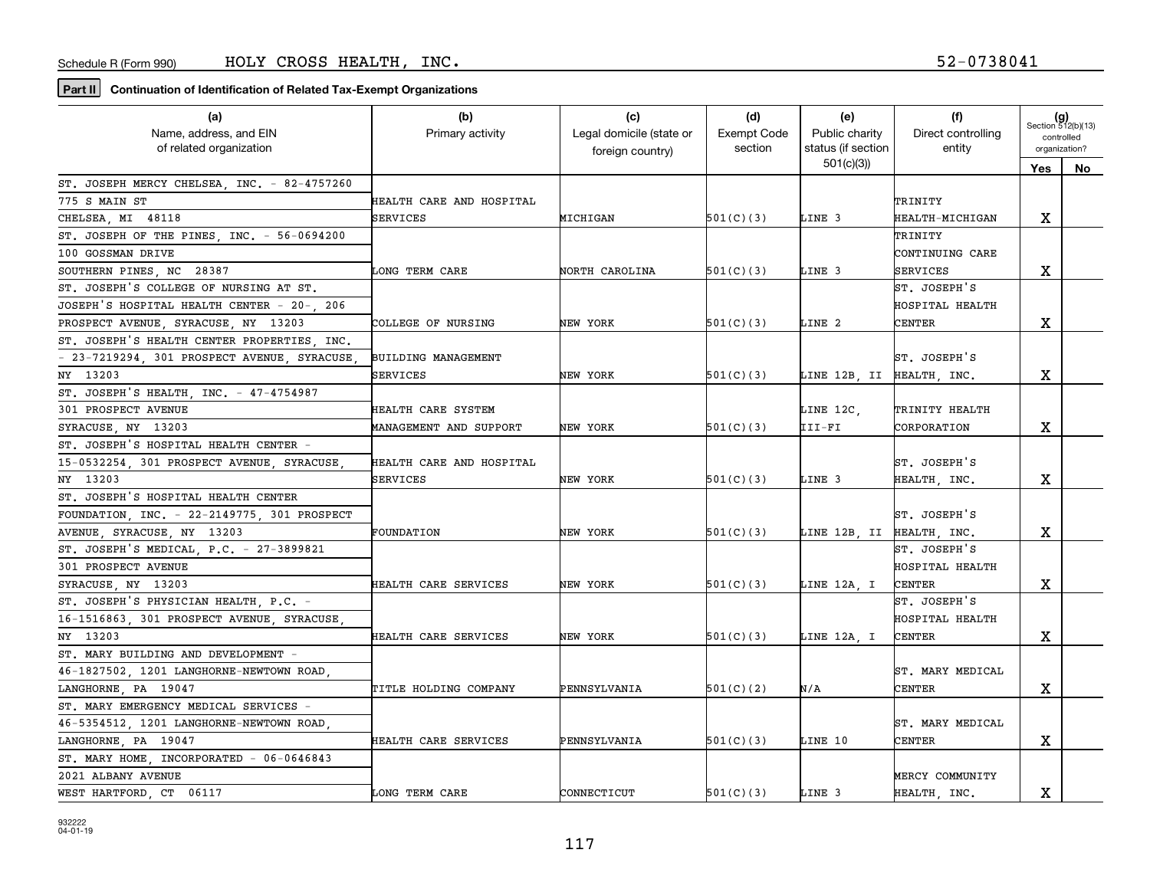| (a)                                          | (b)                        | (c)                      | (d)                | (e)                       | (f)                | $(g)$<br>Section 512(b)(13) |    |
|----------------------------------------------|----------------------------|--------------------------|--------------------|---------------------------|--------------------|-----------------------------|----|
| Name, address, and EIN                       | Primary activity           | Legal domicile (state or | <b>Exempt Code</b> | Public charity            | Direct controlling | controlled                  |    |
| of related organization                      |                            | foreign country)         | section            | status (if section        | entity             | organization?               |    |
|                                              |                            |                          |                    | 501(c)(3)                 |                    | Yes                         | No |
| ST. JOSEPH MERCY CHELSEA, INC. - 82-4757260  |                            |                          |                    |                           |                    |                             |    |
| 775 S MAIN ST                                | HEALTH CARE AND HOSPITAL   |                          |                    |                           | TRINITY            |                             |    |
| CHELSEA, MI 48118                            | SERVICES                   | MICHIGAN                 | 501(C)(3)          | LINE 3                    | HEALTH-MICHIGAN    | х                           |    |
| ST. JOSEPH OF THE PINES, INC. - 56-0694200   |                            |                          |                    |                           | TRINITY            |                             |    |
| 100 GOSSMAN DRIVE                            |                            |                          |                    |                           | CONTINUING CARE    |                             |    |
| SOUTHERN PINES, NC 28387                     | LONG TERM CARE             | NORTH CAROLINA           | 501(C)(3)          | LINE 3                    | <b>SERVICES</b>    | X                           |    |
| ST. JOSEPH'S COLLEGE OF NURSING AT ST.       |                            |                          |                    |                           | ST. JOSEPH'S       |                             |    |
| JOSEPH'S HOSPITAL HEALTH CENTER - 20-, 206   |                            |                          |                    |                           | HOSPITAL HEALTH    |                             |    |
| PROSPECT AVENUE, SYRACUSE, NY 13203          | COLLEGE OF NURSING         | NEW YORK                 | 501(C)(3)          | LINE 2                    | <b>CENTER</b>      | х                           |    |
| ST. JOSEPH'S HEALTH CENTER PROPERTIES INC.   |                            |                          |                    |                           |                    |                             |    |
| - 23-7219294, 301 PROSPECT AVENUE, SYRACUSE, | <b>BUILDING MANAGEMENT</b> |                          |                    |                           | ST. JOSEPH'S       |                             |    |
| NY 13203                                     | SERVICES                   | NEW YORK                 | 501(C)(3)          | LINE 12B, II HEALTH, INC. |                    | х                           |    |
| ST. JOSEPH'S HEALTH, INC. - 47-4754987       |                            |                          |                    |                           |                    |                             |    |
| 301 PROSPECT AVENUE                          | HEALTH CARE SYSTEM         |                          |                    | LINE 12C,                 | TRINITY HEALTH     |                             |    |
| SYRACUSE NY 13203                            | MANAGEMENT AND SUPPORT     | NEW YORK                 | 501(C)(3)          | III-FI                    | CORPORATION        | х                           |    |
| ST. JOSEPH'S HOSPITAL HEALTH CENTER -        |                            |                          |                    |                           |                    |                             |    |
| 15-0532254, 301 PROSPECT AVENUE, SYRACUSE    | HEALTH CARE AND HOSPITAL   |                          |                    |                           | ST. JOSEPH'S       |                             |    |
| NY 13203                                     | SERVICES                   | NEW YORK                 | 501(C)(3)          | LINE 3                    | HEALTH, INC.       | х                           |    |
| ST. JOSEPH'S HOSPITAL HEALTH CENTER          |                            |                          |                    |                           |                    |                             |    |
| FOUNDATION, INC. - 22-2149775, 301 PROSPECT  |                            |                          |                    |                           | ST. JOSEPH'S       |                             |    |
| AVENUE, SYRACUSE, NY 13203                   | FOUNDATION                 | NEW YORK                 | 501(C)(3)          | LINE 12B, II HEALTH, INC. |                    | X                           |    |
| ST. JOSEPH'S MEDICAL, $P.C. - 27-3899821$    |                            |                          |                    |                           | ST. JOSEPH'S       |                             |    |
| 301 PROSPECT AVENUE                          |                            |                          |                    |                           | HOSPITAL HEALTH    |                             |    |
| SYRACUSE, NY 13203                           | HEALTH CARE SERVICES       | NEW YORK                 | 501(C)(3)          | LINE 12A, I               | <b>CENTER</b>      | х                           |    |
| ST. JOSEPH'S PHYSICIAN HEALTH, P.C. -        |                            |                          |                    |                           | ST. JOSEPH'S       |                             |    |
| 16-1516863, 301 PROSPECT AVENUE, SYRACUSE    |                            |                          |                    |                           | HOSPITAL HEALTH    |                             |    |
| NY 13203                                     | HEALTH CARE SERVICES       | NEW YORK                 | 501(C)(3)          | LINE 12A, I               | <b>CENTER</b>      | x                           |    |
| ST. MARY BUILDING AND DEVELOPMENT            |                            |                          |                    |                           |                    |                             |    |
| 46-1827502 1201 LANGHORNE-NEWTOWN ROAD       |                            |                          |                    |                           | ST. MARY MEDICAL   |                             |    |
| LANGHORNE PA 19047                           | TITLE HOLDING COMPANY      | PENNSYLVANIA             | 501(C)(2)          | N/A                       | CENTER             | x                           |    |
| ST. MARY EMERGENCY MEDICAL SERVICES -        |                            |                          |                    |                           |                    |                             |    |
| 46-5354512, 1201 LANGHORNE-NEWTOWN ROAD      |                            |                          |                    |                           | ST. MARY MEDICAL   |                             |    |
| LANGHORNE, PA 19047                          | HEALTH CARE SERVICES       | PENNSYLVANIA             | 501(C)(3)          | LINE 10                   | CENTER             | X                           |    |
| ST. MARY HOME, INCORPORATED - 06-0646843     |                            |                          |                    |                           |                    |                             |    |
| 2021 ALBANY AVENUE                           |                            |                          |                    |                           | MERCY COMMUNITY    |                             |    |
| WEST HARTFORD, CT 06117                      | LONG TERM CARE             | CONNECTICUT              | 501(C)(3)          | LINE 3                    | HEALTH, INC.       | x                           |    |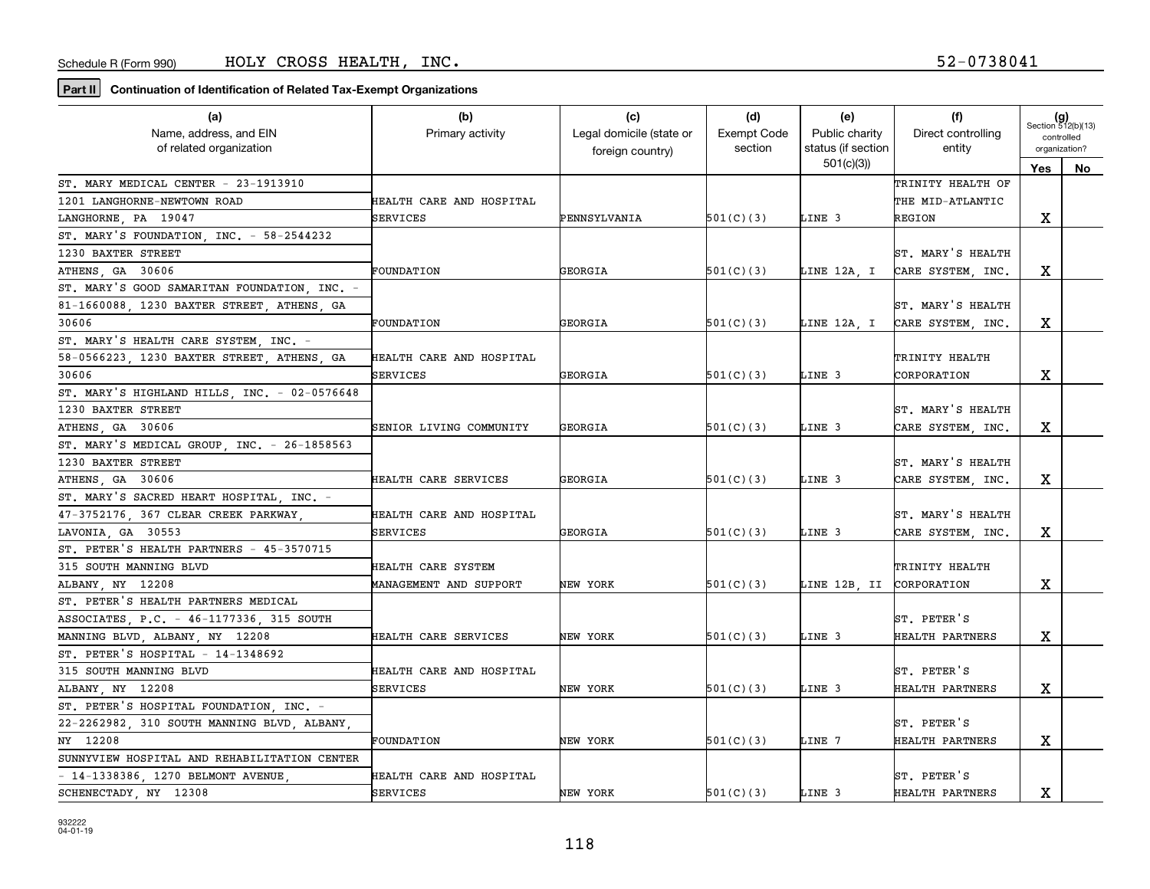| (a)                                          | (b)                      | (c)                      | (d)                | (e)                      | (f)                | $(g)$<br>Section 512(b)(13) |     |
|----------------------------------------------|--------------------------|--------------------------|--------------------|--------------------------|--------------------|-----------------------------|-----|
| Name, address, and EIN                       | Primary activity         | Legal domicile (state or | <b>Exempt Code</b> | Public charity           | Direct controlling | controlled                  |     |
| of related organization                      |                          | foreign country)         | section            | status (if section       | entity             | organization?               |     |
|                                              |                          |                          |                    | 501(c)(3)                |                    | Yes                         | No. |
| ST. MARY MEDICAL CENTER - 23-1913910         |                          |                          |                    |                          | TRINITY HEALTH OF  |                             |     |
| 1201 LANGHORNE-NEWTOWN ROAD                  | HEALTH CARE AND HOSPITAL |                          |                    |                          | THE MID-ATLANTIC   |                             |     |
| LANGHORNE PA 19047                           | SERVICES                 | PENNSYLVANIA             | 501(C)(3)          | LINE 3                   | REGION             | х                           |     |
| ST. MARY'S FOUNDATION, INC. - 58-2544232     |                          |                          |                    |                          |                    |                             |     |
| 1230 BAXTER STREET                           |                          |                          |                    |                          | ST. MARY'S HEALTH  |                             |     |
| ATHENS, GA 30606                             | FOUNDATION               | GEORGIA                  | 501(C)(3)          | LINE 12A, I              | CARE SYSTEM, INC.  | x                           |     |
| ST. MARY'S GOOD SAMARITAN FOUNDATION, INC. - |                          |                          |                    |                          |                    |                             |     |
| 81-1660088, 1230 BAXTER STREET, ATHENS, GA   |                          |                          |                    |                          | ST. MARY'S HEALTH  |                             |     |
| 30606                                        | FOUNDATION               | GEORGIA                  | 501(C)(3)          | LINE 12A, I              | CARE SYSTEM, INC.  | х                           |     |
| ST. MARY'S HEALTH CARE SYSTEM, INC. -        |                          |                          |                    |                          |                    |                             |     |
| 58-0566223, 1230 BAXTER STREET, ATHENS, GA   | HEALTH CARE AND HOSPITAL |                          |                    |                          | TRINITY HEALTH     |                             |     |
| 30606                                        | <b>SERVICES</b>          | GEORGIA                  | 501(C)(3)          | LINE 3                   | CORPORATION        | х                           |     |
| ST. MARY'S HIGHLAND HILLS, INC. - 02-0576648 |                          |                          |                    |                          |                    |                             |     |
| 1230 BAXTER STREET                           |                          |                          |                    |                          | ST. MARY'S HEALTH  |                             |     |
| ATHENS GA 30606                              | SENIOR LIVING COMMUNITY  | GEORGIA                  | 501(C)(3)          | LINE 3                   | CARE SYSTEM, INC.  | х                           |     |
| ST. MARY'S MEDICAL GROUP, INC. - 26-1858563  |                          |                          |                    |                          |                    |                             |     |
| 1230 BAXTER STREET                           |                          |                          |                    |                          | ST. MARY'S HEALTH  |                             |     |
| ATHENS, GA 30606                             | HEALTH CARE SERVICES     | GEORGIA                  | 501(C)(3)          | LINE 3                   | CARE SYSTEM, INC.  | X                           |     |
| ST. MARY'S SACRED HEART HOSPITAL, INC. -     |                          |                          |                    |                          |                    |                             |     |
| 47-3752176, 367 CLEAR CREEK PARKWAY,         | HEALTH CARE AND HOSPITAL |                          |                    |                          | ST. MARY'S HEALTH  |                             |     |
| LAVONIA, GA 30553                            | SERVICES                 | GEORGIA                  | 501(C)(3)          | LINE 3                   | CARE SYSTEM, INC.  | х                           |     |
| ST. PETER'S HEALTH PARTNERS - 45-3570715     |                          |                          |                    |                          |                    |                             |     |
| 315 SOUTH MANNING BLVD                       | HEALTH CARE SYSTEM       |                          |                    |                          | TRINITY HEALTH     |                             |     |
| ALBANY, NY 12208                             | MANAGEMENT AND SUPPORT   | NEW YORK                 | 501(C)(3)          | LINE 12B, II CORPORATION |                    | x                           |     |
| ST. PETER'S HEALTH PARTNERS MEDICAL          |                          |                          |                    |                          |                    |                             |     |
| ASSOCIATES, P.C. - 46-1177336, 315 SOUTH     |                          |                          |                    |                          | ST. PETER'S        |                             |     |
| MANNING BLVD, ALBANY, NY 12208               | HEALTH CARE SERVICES     | NEW YORK                 | 501(C)(3)          | LINE 3                   | HEALTH PARTNERS    | х                           |     |
| ST. PETER'S HOSPITAL - $14-1348692$          |                          |                          |                    |                          |                    |                             |     |
| 315 SOUTH MANNING BLVD                       | HEALTH CARE AND HOSPITAL |                          |                    |                          | ST. PETER'S        |                             |     |
| ALBANY, NY 12208                             | SERVICES                 | NEW YORK                 | 501(C)(3)          | LINE 3                   | HEALTH PARTNERS    | x                           |     |
| ST. PETER'S HOSPITAL FOUNDATION, INC. -      |                          |                          |                    |                          |                    |                             |     |
| 22-2262982, 310 SOUTH MANNING BLVD, ALBANY,  |                          |                          |                    |                          | ST. PETER'S        |                             |     |
| NY 12208                                     | FOUNDATION               | NEW YORK                 | 501(C)(3)          | LINE 7                   | HEALTH PARTNERS    | х                           |     |
| SUNNYVIEW HOSPITAL AND REHABILITATION CENTER |                          |                          |                    |                          |                    |                             |     |
| - 14-1338386, 1270 BELMONT AVENUE,           | HEALTH CARE AND HOSPITAL |                          |                    |                          | ST. PETER'S        |                             |     |
| SCHENECTADY NY 12308                         | <b>SERVICES</b>          | NEW YORK                 | 501(C)(3)          | LINE 3                   | HEALTH PARTNERS    | x                           |     |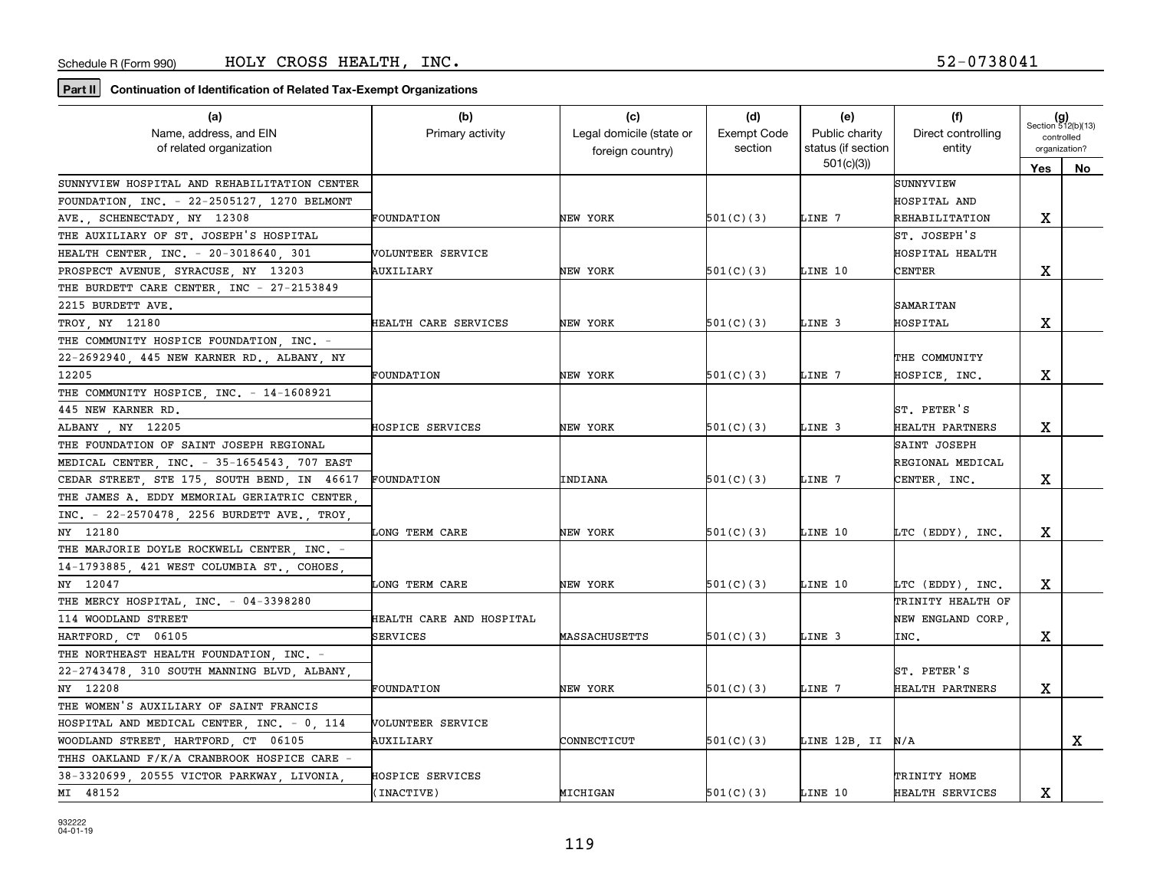| (a)                                          | (b)                      | (c)                      | (d)                | (e)                | (f)                | $(g)$<br>Section 512(b)(13) |    |
|----------------------------------------------|--------------------------|--------------------------|--------------------|--------------------|--------------------|-----------------------------|----|
| Name, address, and EIN                       | Primary activity         | Legal domicile (state or | <b>Exempt Code</b> | Public charity     | Direct controlling | controlled                  |    |
| of related organization                      |                          | foreign country)         | section            | status (if section | entity             | organization?               |    |
|                                              |                          |                          |                    | 501(c)(3)          |                    | Yes                         | No |
| SUNNYVIEW HOSPITAL AND REHABILITATION CENTER |                          |                          |                    |                    | SUNNYVIEW          |                             |    |
| FOUNDATION, INC. - 22-2505127, 1270 BELMONT  |                          |                          |                    |                    | HOSPITAL AND       |                             |    |
| AVE., SCHENECTADY, NY 12308                  | <b>FOUNDATION</b>        | NEW YORK                 | 501(C)(3)          | LINE 7             | REHABILITATION     | x                           |    |
| THE AUXILIARY OF ST. JOSEPH'S HOSPITAL       |                          |                          |                    |                    | ST. JOSEPH'S       |                             |    |
| HEALTH CENTER, INC. - 20-3018640, 301        | VOLUNTEER SERVICE        |                          |                    |                    | HOSPITAL HEALTH    |                             |    |
| PROSPECT AVENUE, SYRACUSE, NY 13203          | AUXILIARY                | NEW YORK                 | 501(C)(3)          | LINE 10            | <b>CENTER</b>      | х                           |    |
| THE BURDETT CARE CENTER, INC - 27-2153849    |                          |                          |                    |                    |                    |                             |    |
| 2215 BURDETT AVE.                            |                          |                          |                    |                    | SAMARITAN          |                             |    |
| TROY NY 12180                                | HEALTH CARE SERVICES     | NEW YORK                 | 501(C)(3)          | LINE 3             | HOSPITAL           | х                           |    |
| THE COMMUNITY HOSPICE FOUNDATION INC. -      |                          |                          |                    |                    |                    |                             |    |
| 22-2692940, 445 NEW KARNER RD., ALBANY, NY   |                          |                          |                    |                    | THE COMMUNITY      |                             |    |
| 12205                                        | FOUNDATION               | NEW YORK                 | 501(C)(3)          | LINE 7             | HOSPICE, INC.      | х                           |    |
| THE COMMUNITY HOSPICE, INC. - 14-1608921     |                          |                          |                    |                    |                    |                             |    |
| 445 NEW KARNER RD.                           |                          |                          |                    |                    | ST. PETER'S        |                             |    |
| ALBANY , NY 12205                            | HOSPICE SERVICES         | NEW YORK                 | 501(C)(3)          | LINE 3             | HEALTH PARTNERS    | x                           |    |
| THE FOUNDATION OF SAINT JOSEPH REGIONAL      |                          |                          |                    |                    | SAINT JOSEPH       |                             |    |
| MEDICAL CENTER, INC. - 35-1654543, 707 EAST  |                          |                          |                    |                    | REGIONAL MEDICAL   |                             |    |
| CEDAR STREET, STE 175, SOUTH BEND, IN 46617  | FOUNDATION               | INDIANA                  | 501(C)(3)          | LINE 7             | CENTER, INC.       | х                           |    |
| THE JAMES A. EDDY MEMORIAL GERIATRIC CENTER  |                          |                          |                    |                    |                    |                             |    |
| INC. - 22-2570478, 2256 BURDETT AVE., TROY,  |                          |                          |                    |                    |                    |                             |    |
| NY 12180                                     | LONG TERM CARE           | NEW YORK                 | 501(C)(3)          | LINE 10            | LTC (EDDY), INC.   | х                           |    |
| THE MARJORIE DOYLE ROCKWELL CENTER, INC. -   |                          |                          |                    |                    |                    |                             |    |
| 14-1793885, 421 WEST COLUMBIA ST., COHOES,   |                          |                          |                    |                    |                    |                             |    |
| NY 12047                                     | LONG TERM CARE           | NEW YORK                 | 501(C)(3)          | LINE 10            | LTC (EDDY), INC.   | x                           |    |
| THE MERCY HOSPITAL, INC. - 04-3398280        |                          |                          |                    |                    | TRINITY HEALTH OF  |                             |    |
| 114 WOODLAND STREET                          | HEALTH CARE AND HOSPITAL |                          |                    |                    | NEW ENGLAND CORP,  |                             |    |
| HARTFORD CT 06105                            | SERVICES                 | MASSACHUSETTS            | 501(C)(3)          | LINE 3             | INC.               | х                           |    |
| THE NORTHEAST HEALTH FOUNDATION, INC. -      |                          |                          |                    |                    |                    |                             |    |
| 22-2743478, 310 SOUTH MANNING BLVD, ALBANY,  |                          |                          |                    |                    | ST. PETER'S        |                             |    |
| NY 12208                                     | FOUNDATION               | NEW YORK                 | 501(C)(3)          | LINE 7             | HEALTH PARTNERS    | x                           |    |
| THE WOMEN'S AUXILIARY OF SAINT FRANCIS       |                          |                          |                    |                    |                    |                             |    |
| HOSPITAL AND MEDICAL CENTER, INC. - 0, 114   | VOLUNTEER SERVICE        |                          |                    |                    |                    |                             |    |
| WOODLAND STREET, HARTFORD, CT 06105          | AUXILIARY                | CONNECTICUT              | 501(C)(3)          | LINE 12B, II N/A   |                    |                             | x  |
| THHS OAKLAND F/K/A CRANBROOK HOSPICE CARE -  |                          |                          |                    |                    |                    |                             |    |
| 38-3320699, 20555 VICTOR PARKWAY, LIVONIA    | HOSPICE SERVICES         |                          |                    |                    | TRINITY HOME       |                             |    |
| MI 48152                                     | (INACTIVE)               | MICHIGAN                 | 501(C)(3)          | LINE 10            | HEALTH SERVICES    | х                           |    |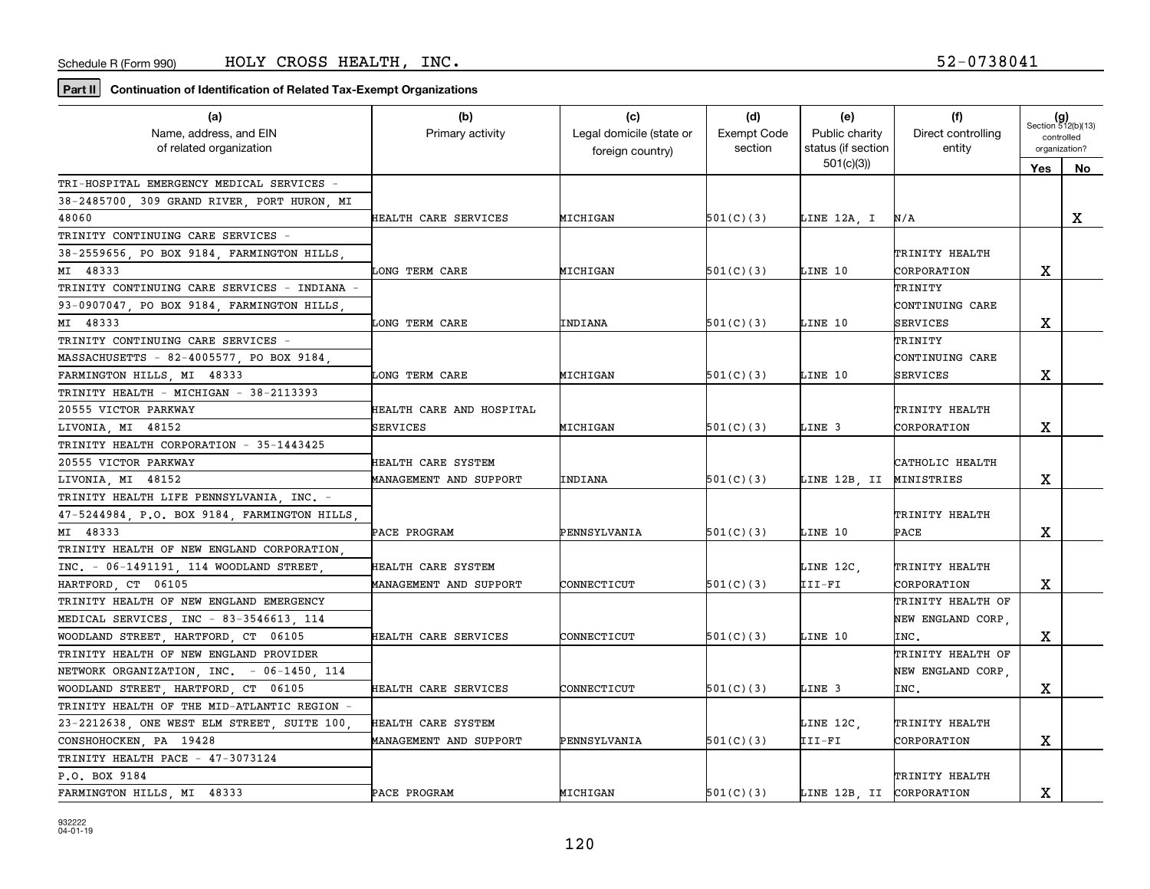| (a)                                          | (b)                      | (c)                      | (d)                | (e)                      | (f)                | $(g)$<br>Section 512(b)(13) |    |
|----------------------------------------------|--------------------------|--------------------------|--------------------|--------------------------|--------------------|-----------------------------|----|
| Name, address, and EIN                       | Primary activity         | Legal domicile (state or | <b>Exempt Code</b> | Public charity           | Direct controlling | controlled                  |    |
| of related organization                      |                          | foreign country)         | section            | status (if section       | entity             | organization?               |    |
|                                              |                          |                          |                    | 501(c)(3)                |                    | Yes                         | No |
| TRI-HOSPITAL EMERGENCY MEDICAL SERVICES -    |                          |                          |                    |                          |                    |                             |    |
| 38-2485700, 309 GRAND RIVER, PORT HURON, MI  |                          |                          |                    |                          |                    |                             |    |
| 48060                                        | HEALTH CARE SERVICES     | MICHIGAN                 | 501(C)(3)          | LINE 12A, I              | N/A                |                             | X  |
| TRINITY CONTINUING CARE SERVICES -           |                          |                          |                    |                          |                    |                             |    |
| 38-2559656, PO BOX 9184, FARMINGTON HILLS    |                          |                          |                    |                          | TRINITY HEALTH     |                             |    |
| MI 48333                                     | LONG TERM CARE           | MICHIGAN                 | 501(C)(3)          | LINE 10                  | CORPORATION        | X                           |    |
| TRINITY CONTINUING CARE SERVICES - INDIANA - |                          |                          |                    |                          | TRINITY            |                             |    |
| 93-0907047, PO BOX 9184, FARMINGTON HILLS    |                          |                          |                    |                          | CONTINUING CARE    |                             |    |
| MI 48333                                     | <b>LONG TERM CARE</b>    | INDIANA                  | 501(C)(3)          | LINE 10                  | <b>SERVICES</b>    | X                           |    |
| TRINITY CONTINUING CARE SERVICES -           |                          |                          |                    |                          | TRINITY            |                             |    |
| MASSACHUSETTS - 82-4005577, PO BOX 9184,     |                          |                          |                    |                          | CONTINUING CARE    |                             |    |
| FARMINGTON HILLS, MI 48333                   | LONG TERM CARE           | MICHIGAN                 | 501(C)(3)          | LINE 10                  | SERVICES           | $\mathbf X$                 |    |
| TRINITY HEALTH - MICHIGAN - 38-2113393       |                          |                          |                    |                          |                    |                             |    |
| 20555 VICTOR PARKWAY                         | HEALTH CARE AND HOSPITAL |                          |                    |                          | TRINITY HEALTH     |                             |    |
| LIVONIA, MI 48152                            | SERVICES                 | MICHIGAN                 | 501(C)(3)          | LINE 3                   | CORPORATION        | X                           |    |
| TRINITY HEALTH CORPORATION - 35-1443425      |                          |                          |                    |                          |                    |                             |    |
| 20555 VICTOR PARKWAY                         | HEALTH CARE SYSTEM       |                          |                    |                          | CATHOLIC HEALTH    |                             |    |
| LIVONIA, MI 48152                            | MANAGEMENT AND SUPPORT   | INDIANA                  | 501(C)(3)          | LINE 12B, II             | MINISTRIES         | х                           |    |
| TRINITY HEALTH LIFE PENNSYLVANIA, INC. -     |                          |                          |                    |                          |                    |                             |    |
| 47-5244984, P.O. BOX 9184, FARMINGTON HILLS  |                          |                          |                    |                          | TRINITY HEALTH     |                             |    |
| MI 48333                                     | PACE PROGRAM             | PENNSYLVANIA             | 501(C)(3)          | LINE 10                  | PACE               | X                           |    |
| TRINITY HEALTH OF NEW ENGLAND CORPORATION    |                          |                          |                    |                          |                    |                             |    |
| INC. - 06-1491191, 114 WOODLAND STREET,      | HEALTH CARE SYSTEM       |                          |                    | LINE 12C,                | TRINITY HEALTH     |                             |    |
| HARTFORD, CT 06105                           | MANAGEMENT AND SUPPORT   | CONNECTICUT              | 501(C)(3)          | III-FI                   | CORPORATION        | x                           |    |
| TRINITY HEALTH OF NEW ENGLAND EMERGENCY      |                          |                          |                    |                          | TRINITY HEALTH OF  |                             |    |
| MEDICAL SERVICES, INC - 83-3546613, 114      |                          |                          |                    |                          | NEW ENGLAND CORP,  |                             |    |
| WOODLAND STREET, HARTFORD, CT 06105          | HEALTH CARE SERVICES     | CONNECTICUT              | 501(C)(3)          | LINE 10                  | INC.               | x                           |    |
| TRINITY HEALTH OF NEW ENGLAND PROVIDER       |                          |                          |                    |                          | TRINITY HEALTH OF  |                             |    |
| NETWORK ORGANIZATION, INC. - 06-1450, 114    |                          |                          |                    |                          | NEW ENGLAND CORP.  |                             |    |
| WOODLAND STREET, HARTFORD, CT 06105          | HEALTH CARE SERVICES     | CONNECTICUT              | 501(C)(3)          | LINE 3                   | INC.               | X                           |    |
| TRINITY HEALTH OF THE MID-ATLANTIC REGION -  |                          |                          |                    |                          |                    |                             |    |
| 23-2212638, ONE WEST ELM STREET, SUITE 100,  | HEALTH CARE SYSTEM       |                          |                    | LINE 12C,                | TRINITY HEALTH     |                             |    |
| CONSHOHOCKEN, PA 19428                       | MANAGEMENT AND SUPPORT   | PENNSYLVANIA             | 501(C)(3)          | III-FI                   | CORPORATION        | X                           |    |
| TRINITY HEALTH PACE - 47-3073124             |                          |                          |                    |                          |                    |                             |    |
| P.O. BOX 9184                                |                          |                          |                    |                          | TRINITY HEALTH     |                             |    |
| FARMINGTON HILLS, MI 48333                   | PACE PROGRAM             | MICHIGAN                 | 501(C)(3)          | LINE 12B, II CORPORATION |                    | X                           |    |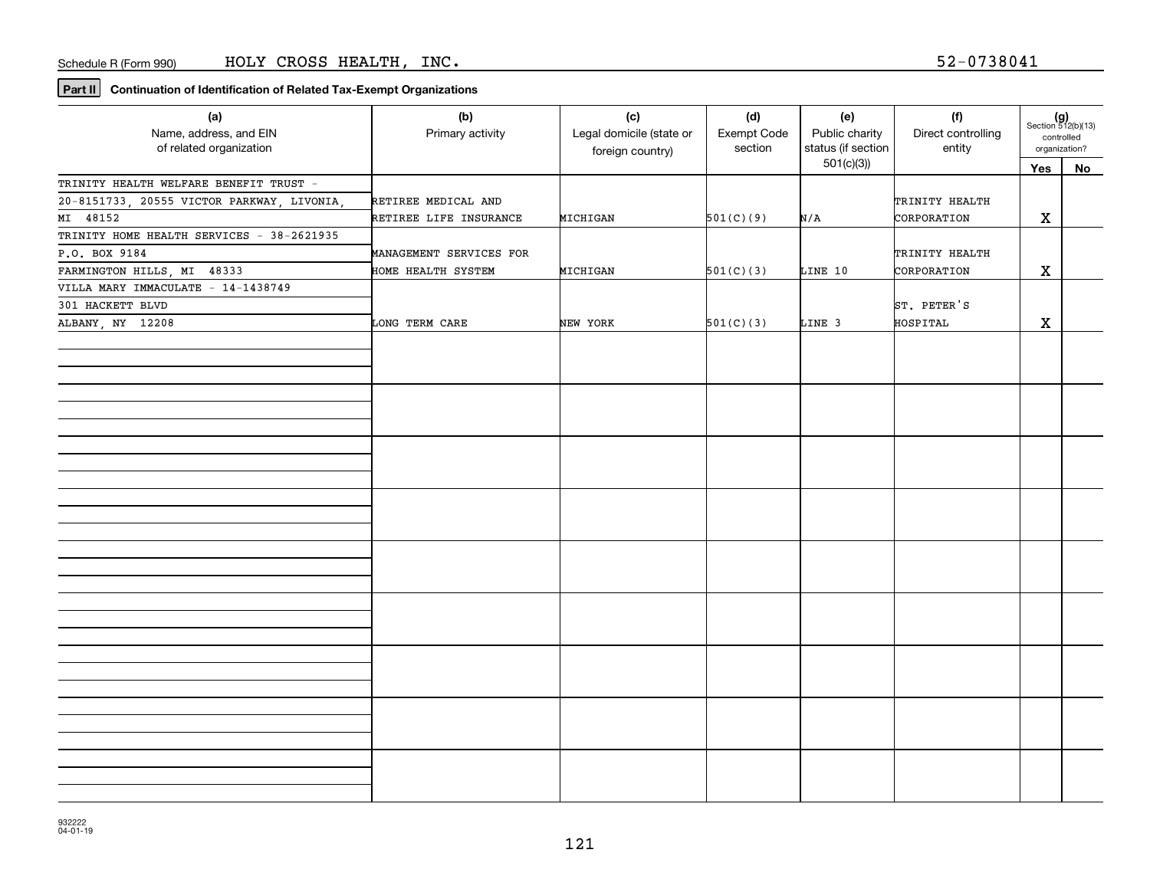| (a)<br>Name, address, and EIN<br>of related organization | (b)<br>Primary activity | (c)<br>Legal domicile (state or<br>foreign country) | (d)<br>Exempt Code<br>section | (e)<br>Public charity<br>status (if section | (f)<br>Direct controlling<br>entity | $(g)$<br>Section 512(b)(13)<br>controlled<br>organization? |    |
|----------------------------------------------------------|-------------------------|-----------------------------------------------------|-------------------------------|---------------------------------------------|-------------------------------------|------------------------------------------------------------|----|
|                                                          |                         |                                                     |                               | 501(c)(3)                                   |                                     | Yes                                                        | No |
| TRINITY HEALTH WELFARE BENEFIT TRUST -                   |                         |                                                     |                               |                                             |                                     |                                                            |    |
| 20-8151733, 20555 VICTOR PARKWAY, LIVONIA,               | RETIREE MEDICAL AND     |                                                     |                               |                                             | TRINITY HEALTH                      |                                                            |    |
| MI 48152                                                 | RETIREE LIFE INSURANCE  | MICHIGAN                                            | 501(C)(9)                     | N/A                                         | CORPORATION                         | X                                                          |    |
| TRINITY HOME HEALTH SERVICES - 38-2621935                |                         |                                                     |                               |                                             |                                     |                                                            |    |
| P.O. BOX 9184                                            | MANAGEMENT SERVICES FOR |                                                     |                               |                                             | TRINITY HEALTH                      |                                                            |    |
| FARMINGTON HILLS, MI 48333                               | HOME HEALTH SYSTEM      | MICHIGAN                                            | 501(C)(3)                     | LINE 10                                     | CORPORATION                         | X                                                          |    |
| VILLA MARY IMMACULATE - 14-1438749                       |                         |                                                     |                               |                                             |                                     |                                                            |    |
| 301 HACKETT BLVD                                         |                         |                                                     |                               |                                             | ST. PETER'S                         |                                                            |    |
| ALBANY, NY 12208                                         | LONG TERM CARE          | NEW YORK                                            | 501(C)(3)                     | LINE 3                                      | HOSPITAL                            | X                                                          |    |
|                                                          |                         |                                                     |                               |                                             |                                     |                                                            |    |
|                                                          |                         |                                                     |                               |                                             |                                     |                                                            |    |
|                                                          |                         |                                                     |                               |                                             |                                     |                                                            |    |
|                                                          |                         |                                                     |                               |                                             |                                     |                                                            |    |
|                                                          |                         |                                                     |                               |                                             |                                     |                                                            |    |
|                                                          |                         |                                                     |                               |                                             |                                     |                                                            |    |
|                                                          |                         |                                                     |                               |                                             |                                     |                                                            |    |
|                                                          |                         |                                                     |                               |                                             |                                     |                                                            |    |
|                                                          |                         |                                                     |                               |                                             |                                     |                                                            |    |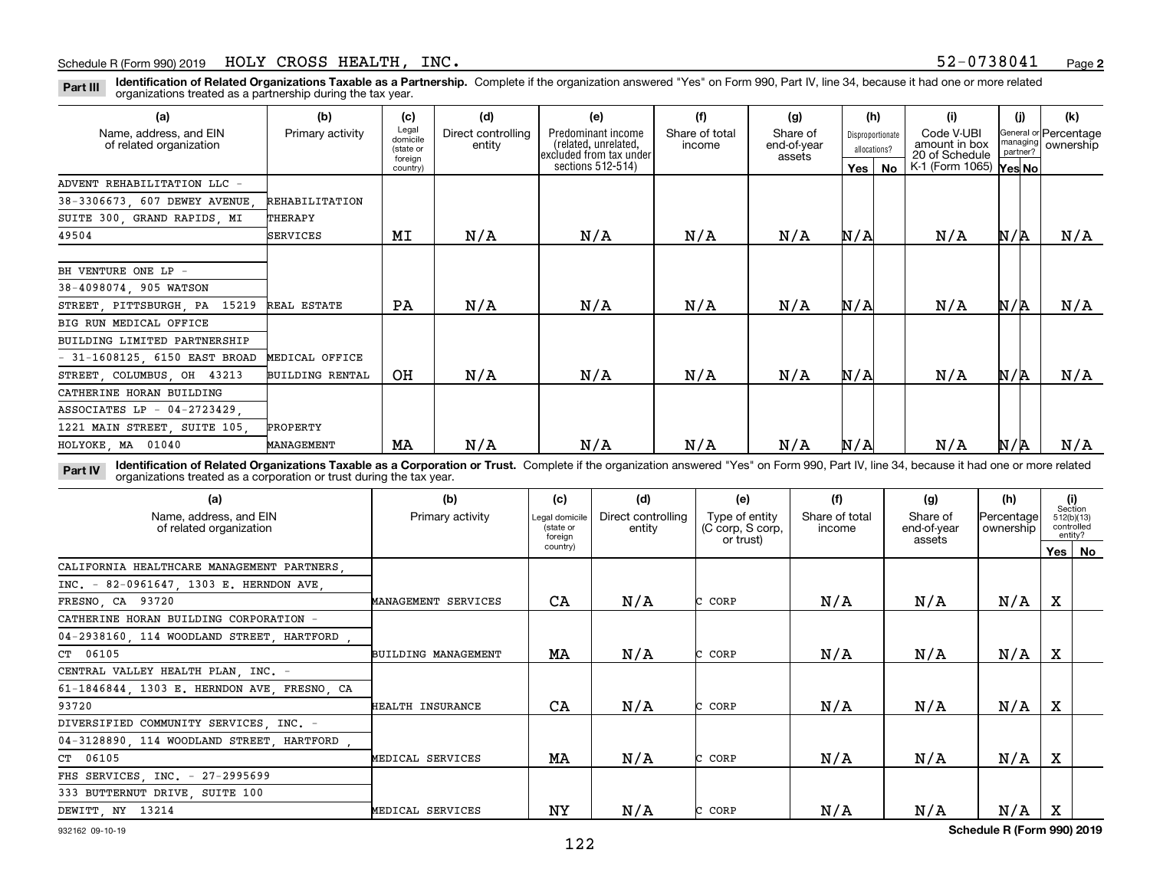**Identification of Related Organizations Taxable as a Partnership.** Complete if the organization answered "Yes" on Form 990, Part IV, line 34, because it had one or more related **Part III** organizations treated as a partnership during the tax year.

| (a)                                               | (b)                    | (c)                                       | (d)                          | (e)                                                                   | (f)                      | (g)                               |     | (h)                              | (i)                                           | (j)                  | (k)                                |
|---------------------------------------------------|------------------------|-------------------------------------------|------------------------------|-----------------------------------------------------------------------|--------------------------|-----------------------------------|-----|----------------------------------|-----------------------------------------------|----------------------|------------------------------------|
| Name, address, and EIN<br>of related organization | Primary activity       | Legal<br>domicile<br>(state or<br>foreign | Direct controlling<br>entity | Predominant income<br>(related, unrelated,<br>excluded from tax under | Share of total<br>income | Share of<br>end-of-year<br>assets |     | Disproportionate<br>allocations? | Code V-UBI<br>amount in box<br>20 of Schedule | managing<br>partner? | General or Percentage<br>ownership |
|                                                   |                        | country)                                  |                              | sections 512-514)                                                     |                          |                                   | Yes | No                               | K-1 (Form 1065) Yes No                        |                      |                                    |
| ADVENT REHABILITATION LLC -                       |                        |                                           |                              |                                                                       |                          |                                   |     |                                  |                                               |                      |                                    |
| 38-3306673, 607 DEWEY AVENUE,                     | REHABILITATION         |                                           |                              |                                                                       |                          |                                   |     |                                  |                                               |                      |                                    |
| SUITE 300, GRAND RAPIDS, MI                       | THERAPY                |                                           |                              |                                                                       |                          |                                   |     |                                  |                                               |                      |                                    |
| 49504                                             | <b>SERVICES</b>        | MI                                        | N/A                          | N/A                                                                   | N/A                      | N/A                               | N/A |                                  | N/A                                           | N/A                  | N/A                                |
|                                                   |                        |                                           |                              |                                                                       |                          |                                   |     |                                  |                                               |                      |                                    |
| BH VENTURE ONE LP -                               |                        |                                           |                              |                                                                       |                          |                                   |     |                                  |                                               |                      |                                    |
| 38-4098074, 905 WATSON                            |                        |                                           |                              |                                                                       |                          |                                   |     |                                  |                                               |                      |                                    |
| STREET, PITTSBURGH, PA 15219                      | REAL ESTATE            | PA                                        | N/A                          | N/A                                                                   | N/A                      | N/A                               | N/A |                                  | N/A                                           | N/A                  | N/A                                |
| BIG RUN MEDICAL OFFICE                            |                        |                                           |                              |                                                                       |                          |                                   |     |                                  |                                               |                      |                                    |
| BUILDING LIMITED PARTNERSHIP                      |                        |                                           |                              |                                                                       |                          |                                   |     |                                  |                                               |                      |                                    |
| $-31-1608125$ , 6150 EAST BROAD                   | MEDICAL OFFICE         |                                           |                              |                                                                       |                          |                                   |     |                                  |                                               |                      |                                    |
| STREET, COLUMBUS, OH 43213                        | <b>BUILDING RENTAL</b> | OH                                        | N/A                          | N/A                                                                   | N/A                      | N/A                               | N/A |                                  | N/A                                           | N/R                  | N/A                                |
| CATHERINE HORAN BUILDING                          |                        |                                           |                              |                                                                       |                          |                                   |     |                                  |                                               |                      |                                    |
| ASSOCIATES LP - 04-2723429.                       |                        |                                           |                              |                                                                       |                          |                                   |     |                                  |                                               |                      |                                    |
| 1221 MAIN STREET, SUITE 105,                      | PROPERTY               |                                           |                              |                                                                       |                          |                                   |     |                                  |                                               |                      |                                    |
| HOLYOKE, MA 01040                                 | MANAGEMENT             | MA                                        | N/A                          | N/A                                                                   | N/A                      | N/A                               | N/A |                                  | N/A                                           | N/A                  | N/A                                |

**Identification of Related Organizations Taxable as a Corporation or Trust.** Complete if the organization answered "Yes" on Form 990, Part IV, line 34, because it had one or more related **Part IV** organizations treated as a corporation or trust during the tax year.

| (a)<br>Name, address, and EIN<br>of related organization | (b)<br>Primary activity | (c)<br>Legal domicile<br>(state or<br>foreian | (d)<br>Direct controlling<br>entity | (e)<br>Type of entity<br>(C corp, S corp,<br>or trust) | (f)<br>Share of total<br>income | (g)<br>Share of<br>end-of-year<br>assets | (h)<br>Percentage<br>ownership |     | (i)<br>Section<br>512(b)(13)<br>controlled<br>entity? |
|----------------------------------------------------------|-------------------------|-----------------------------------------------|-------------------------------------|--------------------------------------------------------|---------------------------------|------------------------------------------|--------------------------------|-----|-------------------------------------------------------|
|                                                          |                         | country)                                      |                                     |                                                        |                                 |                                          |                                | Yes | No                                                    |
| CALIFORNIA HEALTHCARE MANAGEMENT PARTNERS.               |                         |                                               |                                     |                                                        |                                 |                                          |                                |     |                                                       |
| INC. - 82-0961647, 1303 E. HERNDON AVE,                  |                         |                                               |                                     |                                                        |                                 |                                          |                                |     |                                                       |
| FRESNO, CA 93720                                         | MANAGEMENT SERVICES     | CA                                            | N/A                                 | C CORP                                                 | N/A                             | N/A                                      | N/A                            | X   |                                                       |
| CATHERINE HORAN BUILDING CORPORATION -                   |                         |                                               |                                     |                                                        |                                 |                                          |                                |     |                                                       |
| 04-2938160, 114 WOODLAND STREET, HARTFORD,               |                         |                                               |                                     |                                                        |                                 |                                          |                                |     |                                                       |
| CT 06105                                                 | BUILDING MANAGEMENT     | MA                                            | N/A                                 | CORP                                                   | N/A                             | N/A                                      | N/A                            | X   |                                                       |
| CENTRAL VALLEY HEALTH PLAN, INC. -                       |                         |                                               |                                     |                                                        |                                 |                                          |                                |     |                                                       |
| 61-1846844, 1303 E. HERNDON AVE, FRESNO, CA              |                         |                                               |                                     |                                                        |                                 |                                          |                                |     |                                                       |
| 93720                                                    | HEALTH INSURANCE        | CA                                            | N/A                                 | CORP                                                   | N/A                             | N/A                                      | N/A                            | X   |                                                       |
| DIVERSIFIED COMMUNITY SERVICES, INC. -                   |                         |                                               |                                     |                                                        |                                 |                                          |                                |     |                                                       |
| 04-3128890, 114 WOODLAND STREET, HARTFORD,               |                         |                                               |                                     |                                                        |                                 |                                          |                                |     |                                                       |
| CT 06105                                                 | MEDICAL SERVICES        | МA                                            | N/A                                 | CORP                                                   | N/A                             | N/A                                      | N/A                            | X   |                                                       |
| FHS SERVICES, INC. - 27-2995699                          |                         |                                               |                                     |                                                        |                                 |                                          |                                |     |                                                       |
| 333 BUTTERNUT DRIVE, SUITE 100                           |                         |                                               |                                     |                                                        |                                 |                                          |                                |     |                                                       |
| DEWITT, NY 13214                                         | MEDICAL SERVICES        | NY                                            | N/A                                 | CORP                                                   | N/A                             | N/A                                      | N/A                            | x   |                                                       |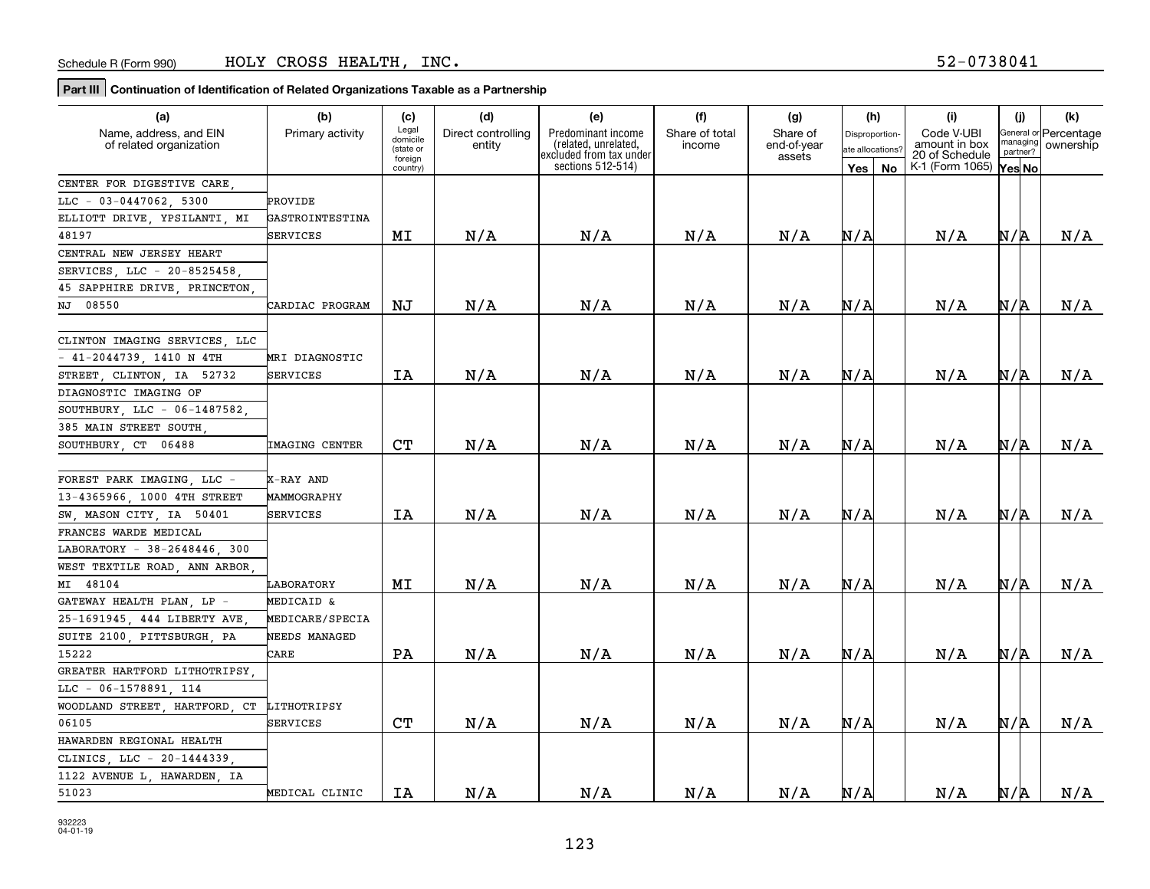| (a)                           | (b)                    | (c)                  | (d)                | (e)                                             | (f)            | (g)                   | (h)              | (i)                             | (j)      | (k)                   |
|-------------------------------|------------------------|----------------------|--------------------|-------------------------------------------------|----------------|-----------------------|------------------|---------------------------------|----------|-----------------------|
| Name, address, and EIN        | Primary activity       | Legal<br>domicile    | Direct controlling | Predominant income                              | Share of total | Share of              | Disproportion    | Code V-UBI                      | nanaging | General or Percentage |
| of related organization       |                        | (state or<br>foreign | entity             | (related, unrelated,<br>excluded from tax under | income         | end-of-year<br>assets | ate allocations? | amount in box<br>20 of Schedule | partner? | ownership             |
|                               |                        | country)             |                    | sections $512-514$ )                            |                |                       | Yes   No         | K-1 (Form 1065)                 | Yes No   |                       |
| CENTER FOR DIGESTIVE CARE,    |                        |                      |                    |                                                 |                |                       |                  |                                 |          |                       |
| $LLC - 03 - 0447062$ , 5300   | PROVIDE                |                      |                    |                                                 |                |                       |                  |                                 |          |                       |
| ELLIOTT DRIVE, YPSILANTI, MI  | GASTROINTESTINA        |                      |                    |                                                 |                |                       |                  |                                 |          |                       |
| 48197                         | SERVICES               | МI                   | N/A                | N/A                                             | N/A            | N/A                   | N/A              | N/A                             | N/R      | N/A                   |
| CENTRAL NEW JERSEY HEART      |                        |                      |                    |                                                 |                |                       |                  |                                 |          |                       |
| SERVICES, LLC - 20-8525458,   |                        |                      |                    |                                                 |                |                       |                  |                                 |          |                       |
| 45 SAPPHIRE DRIVE, PRINCETON  |                        |                      |                    |                                                 |                |                       |                  |                                 |          |                       |
| NJ 08550                      | CARDIAC PROGRAM        | ΝJ                   | N/A                | N/A                                             | N/A            | N/A                   | N/A              | N/A                             | N/R      | N/A                   |
|                               |                        |                      |                    |                                                 |                |                       |                  |                                 |          |                       |
| CLINTON IMAGING SERVICES, LLC |                        |                      |                    |                                                 |                |                       |                  |                                 |          |                       |
| - 41-2044739, 1410 N 4TH      | MRI DIAGNOSTIC         |                      |                    |                                                 |                |                       |                  |                                 |          |                       |
| STREET, CLINTON, IA 52732     | SERVICES               | IA                   | N/A                | N/A                                             | N/A            | N/A                   | N/A              | N/A                             | N/R      | N/A                   |
| DIAGNOSTIC IMAGING OF         |                        |                      |                    |                                                 |                |                       |                  |                                 |          |                       |
| SOUTHBURY, LLC - 06-1487582,  |                        |                      |                    |                                                 |                |                       |                  |                                 |          |                       |
| 385 MAIN STREET SOUTH         |                        |                      |                    |                                                 |                |                       |                  |                                 |          |                       |
| SOUTHBURY CT 06488            | <b>IMAGING CENTER</b>  | C <sub>T</sub>       | N/A                | N/A                                             | N/A            | N/A                   | N/A              | N/A                             | N/R      | N/A                   |
|                               |                        |                      |                    |                                                 |                |                       |                  |                                 |          |                       |
| FOREST PARK IMAGING, LLC -    | X-RAY AND              |                      |                    |                                                 |                |                       |                  |                                 |          |                       |
| 13-4365966, 1000 4TH STREET   | MAMMOGRAPHY            |                      |                    |                                                 |                |                       |                  |                                 |          |                       |
| SW, MASON CITY, IA 50401      | SERVICES               | ΙA                   | N/A                | N/A                                             | N/A            | N/A                   | N/A              | N/A                             | N/R      | N/A                   |
| FRANCES WARDE MEDICAL         |                        |                      |                    |                                                 |                |                       |                  |                                 |          |                       |
| LABORATORY - 38-2648446, 300  |                        |                      |                    |                                                 |                |                       |                  |                                 |          |                       |
| WEST TEXTILE ROAD, ANN ARBOR  |                        |                      |                    |                                                 |                |                       |                  |                                 |          |                       |
| MI 48104                      | LABORATORY             | МI                   | N/A                | N/A                                             | N/A            | N/A                   | N/A              | N/A                             | N/R      | N/A                   |
| GATEWAY HEALTH PLAN, LP -     | MEDICAID &             |                      |                    |                                                 |                |                       |                  |                                 |          |                       |
| 25-1691945, 444 LIBERTY AVE   | <b>MEDICARE/SPECIA</b> |                      |                    |                                                 |                |                       |                  |                                 |          |                       |
| SUITE 2100, PITTSBURGH, PA    | NEEDS MANAGED          |                      |                    |                                                 |                |                       |                  |                                 |          |                       |
| 15222                         | CARE                   | PA                   | N/A                | N/A                                             | N/A            | N/A                   | N/A              | N/A                             | N/R      | N/A                   |
| GREATER HARTFORD LITHOTRIPSY, |                        |                      |                    |                                                 |                |                       |                  |                                 |          |                       |
| LLC - 06-1578891, 114         |                        |                      |                    |                                                 |                |                       |                  |                                 |          |                       |
| WOODLAND STREET, HARTFORD, CT | LITHOTRIPSY            |                      |                    |                                                 |                |                       |                  |                                 |          |                       |
| 06105                         | SERVICES               | C <sub>T</sub>       | N/A                | N/A                                             | N/A            | N/A                   | N/A              | N/A                             | N/R      | N/A                   |
| HAWARDEN REGIONAL HEALTH      |                        |                      |                    |                                                 |                |                       |                  |                                 |          |                       |
| CLINICS LLC - 20-1444339      |                        |                      |                    |                                                 |                |                       |                  |                                 |          |                       |
| 1122 AVENUE L, HAWARDEN, IA   |                        |                      |                    |                                                 |                |                       |                  |                                 |          |                       |
| 51023                         | MEDICAL CLINIC         | IA                   | N/A                | N/A                                             | N/A            | N/A                   | N/A              | N/A                             | N/R      | N/A                   |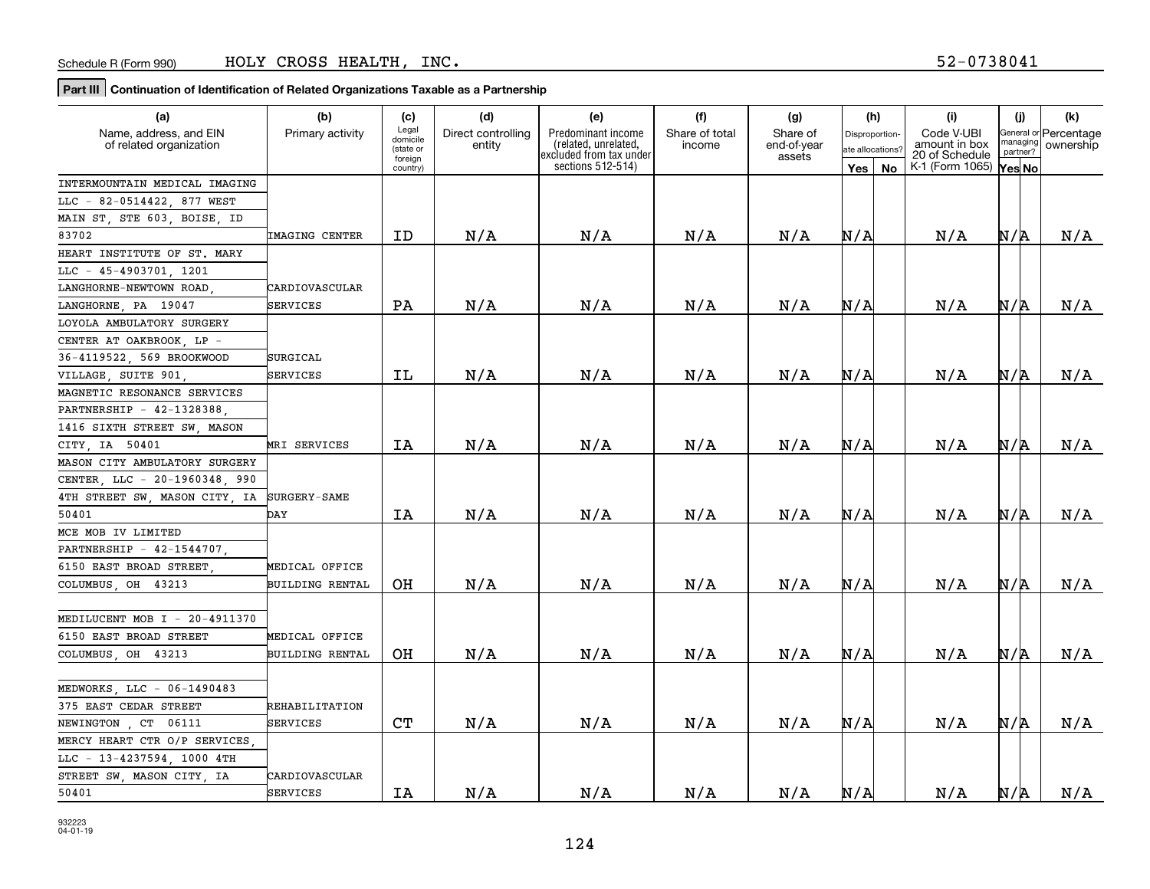| (a)                           | (b)                    | (c)                  | (d)                | (e)                                             | (f)            | (g)                   | (h)              | (i)                             | (j)      | (k)                   |
|-------------------------------|------------------------|----------------------|--------------------|-------------------------------------------------|----------------|-----------------------|------------------|---------------------------------|----------|-----------------------|
| Name, address, and EIN        | Primary activity       | Legal<br>domicile    | Direct controlling | Predominant income                              | Share of total | Share of              | Disproportion    | Code V-UBI                      | nanaging | General or Percentage |
| of related organization       |                        | (state or<br>foreign | entity             | (related, unrelated,<br>excluded from tax under | income         | end-of-year<br>assets | ate allocations? | amount in box<br>20 of Schedule | partner? | ownership             |
|                               |                        | country)             |                    | sections 512-514)                               |                |                       | Yes   No         | K-1 (Form 1065)                 | Yes No   |                       |
| INTERMOUNTAIN MEDICAL IMAGING |                        |                      |                    |                                                 |                |                       |                  |                                 |          |                       |
| LLC - 82-0514422, 877 WEST    |                        |                      |                    |                                                 |                |                       |                  |                                 |          |                       |
| MAIN ST, STE 603, BOISE, ID   |                        |                      |                    |                                                 |                |                       |                  |                                 |          |                       |
| 83702                         | <b>IMAGING CENTER</b>  | ID                   | N/A                | N/A                                             | N/A            | N/A                   | N/A              | N/A                             | N/R      | N/A                   |
| HEART INSTITUTE OF ST. MARY   |                        |                      |                    |                                                 |                |                       |                  |                                 |          |                       |
| LLC - 45-4903701, 1201        |                        |                      |                    |                                                 |                |                       |                  |                                 |          |                       |
| LANGHORNE-NEWTOWN ROAD,       | CARDIOVASCULAR         |                      |                    |                                                 |                |                       |                  |                                 |          |                       |
| LANGHORNE, PA 19047           | SERVICES               | PA                   | N/A                | N/A                                             | N/A            | N/A                   | N/A              | N/A                             | N/R      | N/A                   |
| LOYOLA AMBULATORY SURGERY     |                        |                      |                    |                                                 |                |                       |                  |                                 |          |                       |
| CENTER AT OAKBROOK, LP -      |                        |                      |                    |                                                 |                |                       |                  |                                 |          |                       |
| 36-4119522, 569 BROOKWOOD     | SURGICAL               |                      |                    |                                                 |                |                       |                  |                                 |          |                       |
| VILLAGE, SUITE 901            | SERVICES               | ΙL                   | N/A                | N/A                                             | N/A            | N/A                   | N/A              | N/A                             | N/R      | N/A                   |
| MAGNETIC RESONANCE SERVICES   |                        |                      |                    |                                                 |                |                       |                  |                                 |          |                       |
| PARTNERSHIP - 42-1328388,     |                        |                      |                    |                                                 |                |                       |                  |                                 |          |                       |
| 1416 SIXTH STREET SW, MASON   |                        |                      |                    |                                                 |                |                       |                  |                                 |          |                       |
| CITY IA 50401                 | MRI SERVICES           | IA                   | N/A                | N/A                                             | N/A            | N/A                   | N/A              | N/A                             | N/R      | N/A                   |
| MASON CITY AMBULATORY SURGERY |                        |                      |                    |                                                 |                |                       |                  |                                 |          |                       |
| CENTER, LLC - 20-1960348, 990 |                        |                      |                    |                                                 |                |                       |                  |                                 |          |                       |
| 4TH STREET SW, MASON CITY, IA | <b>SURGERY-SAME</b>    |                      |                    |                                                 |                |                       |                  |                                 |          |                       |
| 50401                         | DAY                    | IA                   | N/A                | N/A                                             | N/A            | N/A                   | N/A              | N/A                             | N/R      | N/A                   |
| MCE MOB IV LIMITED            |                        |                      |                    |                                                 |                |                       |                  |                                 |          |                       |
| PARTNERSHIP - 42-1544707,     |                        |                      |                    |                                                 |                |                       |                  |                                 |          |                       |
| 6150 EAST BROAD STREET,       | MEDICAL OFFICE         |                      |                    |                                                 |                |                       |                  |                                 |          |                       |
| COLUMBUS OH 43213             | <b>BUILDING RENTAL</b> | OН                   | N/A                | N/A                                             | N/A            | N/A                   | N/A              | N/A                             | N/R      | N/A                   |
|                               |                        |                      |                    |                                                 |                |                       |                  |                                 |          |                       |
| MEDILUCENT MOB I - 20-4911370 |                        |                      |                    |                                                 |                |                       |                  |                                 |          |                       |
| 6150 EAST BROAD STREET        | MEDICAL OFFICE         |                      |                    |                                                 |                |                       |                  |                                 |          |                       |
| COLUMBUS OH 43213             | <b>BUILDING RENTAL</b> | OН                   | N/A                | N/A                                             | N/A            | N/A                   | N/A              | N/A                             | N/R      | N/A                   |
|                               |                        |                      |                    |                                                 |                |                       |                  |                                 |          |                       |
| MEDWORKS, LLC - 06-1490483    |                        |                      |                    |                                                 |                |                       |                  |                                 |          |                       |
| 375 EAST CEDAR STREET         | REHABILITATION         |                      |                    |                                                 |                |                       |                  |                                 |          |                       |
| NEWINGTON , CT 06111          | <b>SERVICES</b>        | C <sub>T</sub>       | N/A                | N/A                                             | N/A            | N/A                   | N/A              | N/A                             | N/R      | N/A                   |
| MERCY HEART CTR O/P SERVICES  |                        |                      |                    |                                                 |                |                       |                  |                                 |          |                       |
| LLC - 13-4237594, 1000 4TH    |                        |                      |                    |                                                 |                |                       |                  |                                 |          |                       |
| STREET SW, MASON CITY, IA     | CARDIOVASCULAR         |                      |                    |                                                 |                |                       |                  |                                 |          |                       |
| 50401                         | SERVICES               | IA                   | N/A                | N/A                                             | N/A            | N/A                   | N/A              | N/A                             | N/R      | N/A                   |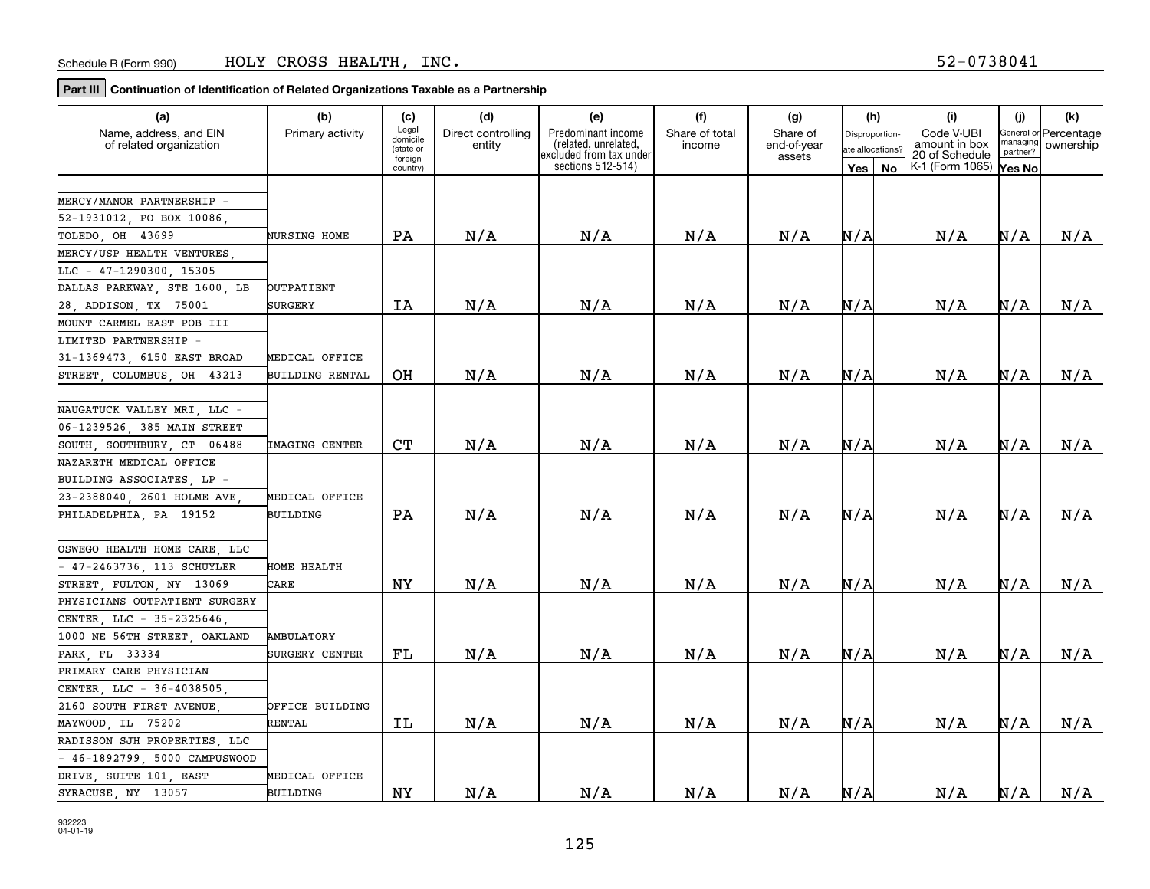| (a)                           | (b)                    | (c)                  | (d)                | (e)                                             | (f)            | (g)                   | (h)                  | (i)                             | (j)      | (k)                                         |
|-------------------------------|------------------------|----------------------|--------------------|-------------------------------------------------|----------------|-----------------------|----------------------|---------------------------------|----------|---------------------------------------------|
| Name, address, and EIN        | Primary activity       | Legal<br>domicile    | Direct controlling | Predominant income                              | Share of total | Share of              | <b>Disproportion</b> | Code V-UBI                      |          | General or Percentage<br>managing ownershin |
| of related organization       |                        | (state or<br>foreign | entity             | (related, unrelated,<br>excluded from tax under | income         | end-of-year<br>assets | ate allocations'     | amount in box<br>20 of Schedule | partner? | ownership                                   |
|                               |                        | country)             |                    | sections 512-514)                               |                |                       | Yes   No             | K-1 (Form 1065)                 | Yes No   |                                             |
|                               |                        |                      |                    |                                                 |                |                       |                      |                                 |          |                                             |
| MERCY/MANOR PARTNERSHIP =     |                        |                      |                    |                                                 |                |                       |                      |                                 |          |                                             |
| 52-1931012, PO BOX 10086      |                        |                      |                    |                                                 |                |                       |                      |                                 |          |                                             |
| TOLEDO, OH 43699              | <b>NURSING HOME</b>    | PA                   | N/A                | N/A                                             | N/A            | N/A                   | N/A                  | N/A                             | N/R      | N/A                                         |
| MERCY/USP HEALTH VENTURES     |                        |                      |                    |                                                 |                |                       |                      |                                 |          |                                             |
| LLC - 47-1290300, 15305       |                        |                      |                    |                                                 |                |                       |                      |                                 |          |                                             |
| DALLAS PARKWAY, STE 1600, LB  | OUTPATIENT             |                      |                    |                                                 |                |                       |                      |                                 |          |                                             |
| 28, ADDISON, TX 75001         | <b>SURGERY</b>         | IA                   | N/A                | N/A                                             | N/A            | N/A                   | N/A                  | N/A                             | N/R      | N/A                                         |
| MOUNT CARMEL EAST POB III     |                        |                      |                    |                                                 |                |                       |                      |                                 |          |                                             |
| LIMITED PARTNERSHIP -         |                        |                      |                    |                                                 |                |                       |                      |                                 |          |                                             |
| 31-1369473, 6150 EAST BROAD   | MEDICAL OFFICE         |                      |                    |                                                 |                |                       |                      |                                 |          |                                             |
| STREET, COLUMBUS, OH 43213    | <b>BUILDING RENTAL</b> | OH                   | N/A                | N/A                                             | N/A            | N/A                   | N/A                  | N/A                             | N/A      | N/A                                         |
|                               |                        |                      |                    |                                                 |                |                       |                      |                                 |          |                                             |
| NAUGATUCK VALLEY MRI LLC -    |                        |                      |                    |                                                 |                |                       |                      |                                 |          |                                             |
| 06-1239526, 385 MAIN STREET   |                        |                      |                    |                                                 |                |                       |                      |                                 |          |                                             |
| SOUTH, SOUTHBURY, CT 06488    | IMAGING CENTER         | C <sub>T</sub>       | N/A                | N/A                                             | N/A            | N/A                   | N/A                  | N/A                             | N/R      | N/A                                         |
| NAZARETH MEDICAL OFFICE       |                        |                      |                    |                                                 |                |                       |                      |                                 |          |                                             |
| BUILDING ASSOCIATES, LP -     |                        |                      |                    |                                                 |                |                       |                      |                                 |          |                                             |
| 23-2388040, 2601 HOLME AVE    | MEDICAL OFFICE         |                      |                    |                                                 |                |                       |                      |                                 |          |                                             |
| PHILADELPHIA, PA 19152        | BUILDING               | PA                   | N/A                | N/A                                             | N/A            | N/A                   | N/A                  | N/A                             | N/R      | N/A                                         |
|                               |                        |                      |                    |                                                 |                |                       |                      |                                 |          |                                             |
| OSWEGO HEALTH HOME CARE, LLC  |                        |                      |                    |                                                 |                |                       |                      |                                 |          |                                             |
| $-47-2463736$ , 113 SCHUYLER  | HOME HEALTH            |                      |                    |                                                 |                |                       |                      |                                 |          |                                             |
| STREET, FULTON, NY 13069      | CARE                   | NY                   | N/A                | N/A                                             | N/A            | N/A                   | N/A                  | N/A                             | N/R      | N/A                                         |
| PHYSICIANS OUTPATIENT SURGERY |                        |                      |                    |                                                 |                |                       |                      |                                 |          |                                             |
| CENTER, LLC - 35-2325646      |                        |                      |                    |                                                 |                |                       |                      |                                 |          |                                             |
| 1000 NE 56TH STREET OAKLAND   | <b>AMBULATORY</b>      |                      |                    |                                                 |                |                       |                      |                                 |          |                                             |
| PARK, FL 33334                | SURGERY CENTER         | FL                   | N/A                | N/A                                             | N/A            | N/A                   | N/A                  | N/A                             | N/A      | N/A                                         |
| PRIMARY CARE PHYSICIAN        |                        |                      |                    |                                                 |                |                       |                      |                                 |          |                                             |
| CENTER LLC - 36-4038505       |                        |                      |                    |                                                 |                |                       |                      |                                 |          |                                             |
| 2160 SOUTH FIRST AVENUE       | OFFICE BUILDING        |                      |                    |                                                 |                |                       |                      |                                 |          |                                             |
| MAYWOOD, IL 75202             | <b>RENTAL</b>          | IL                   | N/A                | N/A                                             | N/A            | N/A                   | N/A                  | N/A                             | N/R      | N/A                                         |
| RADISSON SJH PROPERTIES, LLC  |                        |                      |                    |                                                 |                |                       |                      |                                 |          |                                             |
| - 46-1892799, 5000 CAMPUSWOOD |                        |                      |                    |                                                 |                |                       |                      |                                 |          |                                             |
| DRIVE, SUITE 101, EAST        | MEDICAL OFFICE         |                      |                    |                                                 |                |                       |                      |                                 |          |                                             |
| SYRACUSE, NY 13057            | BUILDING               | NY                   | N/A                | N/A                                             | N/A            | N/A                   | N/A                  | N/A                             | N/R      | N/A                                         |

932223 04-01-19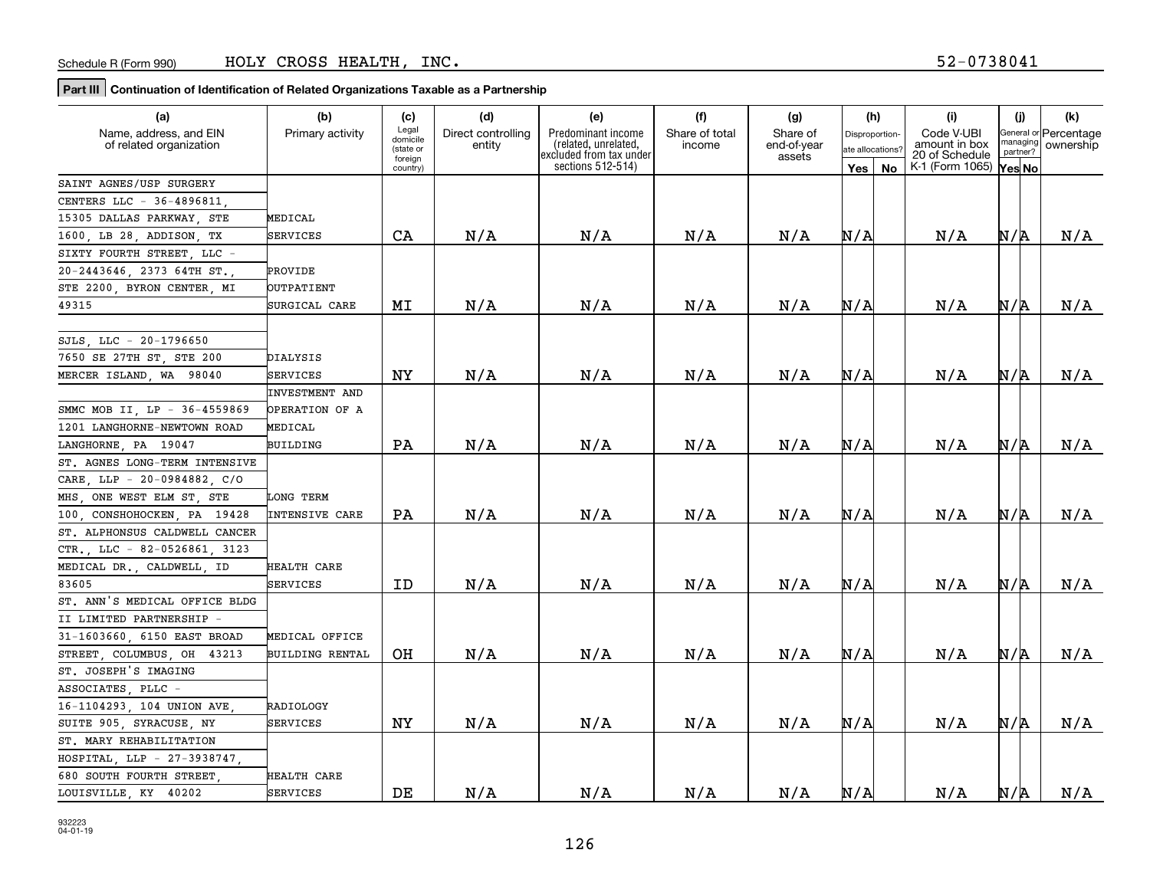| (a)                            | (b)                    | (c)                  | (d)                | (e)                                             | (f)            | (g)                   | (h)              |           | (i)                             | (j)      | (k)                   |
|--------------------------------|------------------------|----------------------|--------------------|-------------------------------------------------|----------------|-----------------------|------------------|-----------|---------------------------------|----------|-----------------------|
| Name, address, and EIN         | Primary activity       | Legal<br>domicile    | Direct controlling | Predominant income                              | Share of total | Share of              | Disproportion-   |           | Code V-UBI                      | managing | General or Percentage |
| of related organization        |                        | (state or<br>foreign | entity             | (related, unrelated,<br>excluded from tax under | income         | end-of-year<br>assets | ate allocations? |           | amount in box<br>20 of Schedule | partner? | ownership             |
|                                |                        | country)             |                    | sections 512-514)                               |                |                       | Yes              | <b>No</b> | K-1 (Form 1065)                 | Yes No   |                       |
| SAINT AGNES/USP SURGERY        |                        |                      |                    |                                                 |                |                       |                  |           |                                 |          |                       |
| CENTERS LLC - 36-4896811.      |                        |                      |                    |                                                 |                |                       |                  |           |                                 |          |                       |
| 15305 DALLAS PARKWAY STE       | MEDICAL                |                      |                    |                                                 |                |                       |                  |           |                                 |          |                       |
| 1600, LB 28, ADDISON, TX       | <b>SERVICES</b>        | CA                   | N/A                | N/A                                             | N/A            | N/A                   | N/A              |           | N/A                             | N/A      | N/A                   |
| SIXTY FOURTH STREET LLC -      |                        |                      |                    |                                                 |                |                       |                  |           |                                 |          |                       |
| 20-2443646, 2373 64TH ST.,     | PROVIDE                |                      |                    |                                                 |                |                       |                  |           |                                 |          |                       |
| STE 2200, BYRON CENTER, MI     | <b>OUTPATIENT</b>      |                      |                    |                                                 |                |                       |                  |           |                                 |          |                       |
| 49315                          | SURGICAL CARE          | MI                   | N/A                | N/A                                             | N/A            | N/A                   | N/A              |           | N/A                             | N/R      | N/A                   |
|                                |                        |                      |                    |                                                 |                |                       |                  |           |                                 |          |                       |
| SJLS, LLC - 20-1796650         |                        |                      |                    |                                                 |                |                       |                  |           |                                 |          |                       |
| 7650 SE 27TH ST, STE 200       | DIALYSIS               |                      |                    |                                                 |                |                       |                  |           |                                 |          |                       |
| MERCER ISLAND, WA 98040        | SERVICES               | <b>NY</b>            | N/A                | N/A                                             | N/A            | N/A                   | N/A              |           | N/A                             | N/R      | N/A                   |
|                                | INVESTMENT AND         |                      |                    |                                                 |                |                       |                  |           |                                 |          |                       |
| SMMC MOB II, LP - 36-4559869   | OPERATION OF A         |                      |                    |                                                 |                |                       |                  |           |                                 |          |                       |
| LANGHORNE-NEWTOWN ROAD<br>1201 | MEDICAL                |                      |                    |                                                 |                |                       |                  |           |                                 |          |                       |
| LANGHORNE PA 19047             | BUILDING               | PA                   | N/A                | N/A                                             | N/A            | N/A                   | N/A              |           | N/A                             | N/R      | N/A                   |
| ST. AGNES LONG-TERM INTENSIVE  |                        |                      |                    |                                                 |                |                       |                  |           |                                 |          |                       |
| CARE, LLP - 20-0984882, C/O    |                        |                      |                    |                                                 |                |                       |                  |           |                                 |          |                       |
| MHS, ONE WEST ELM ST, STE      | LONG TERM              |                      |                    |                                                 |                |                       |                  |           |                                 |          |                       |
| 100, CONSHOHOCKEN, PA 19428    | INTENSIVE CARE         | PA                   | N/A                | N/A                                             | N/A            | N/A                   | N/A              |           | N/A                             | N/R      | N/A                   |
| ST. ALPHONSUS CALDWELL CANCER  |                        |                      |                    |                                                 |                |                       |                  |           |                                 |          |                       |
| CTR., LLC - 82-0526861, 3123   |                        |                      |                    |                                                 |                |                       |                  |           |                                 |          |                       |
| MEDICAL DR. CALDWELL ID        | HEALTH CARE            |                      |                    |                                                 |                |                       |                  |           |                                 |          |                       |
| 83605                          | <b>SERVICES</b>        | ID                   | N/A                | N/A                                             | N/A            | N/A                   | N/A              |           | N/A                             | N/R      | N/A                   |
| ST. ANN'S MEDICAL OFFICE BLDG  |                        |                      |                    |                                                 |                |                       |                  |           |                                 |          |                       |
| II LIMITED PARTNERSHIP -       |                        |                      |                    |                                                 |                |                       |                  |           |                                 |          |                       |
| 31-1603660 6150 EAST BROAD     | MEDICAL OFFICE         |                      |                    |                                                 |                |                       |                  |           |                                 |          |                       |
| STREET COLUMBUS OH 43213       | <b>BUILDING RENTAL</b> | OH                   | N/A                | N/A                                             | N/A            | N/A                   | N/A              |           | N/A                             | N/R      | N/A                   |
| ST. JOSEPH'S IMAGING           |                        |                      |                    |                                                 |                |                       |                  |           |                                 |          |                       |
| ASSOCIATES PLLC -              |                        |                      |                    |                                                 |                |                       |                  |           |                                 |          |                       |
| 16-1104293, 104 UNION AVE      | RADIOLOGY              |                      |                    |                                                 |                |                       |                  |           |                                 |          |                       |
| SUITE 905, SYRACUSE, NY        | SERVICES               | NY                   | N/A                | N/A                                             | N/A            | N/A                   | N/A              |           | N/A                             | N/R      | N/A                   |
| ST. MARY REHABILITATION        |                        |                      |                    |                                                 |                |                       |                  |           |                                 |          |                       |
| HOSPITAL, LLP - 27-3938747,    |                        |                      |                    |                                                 |                |                       |                  |           |                                 |          |                       |
| 680 SOUTH FOURTH STREET,       | <b>HEALTH CARE</b>     |                      |                    |                                                 |                |                       |                  |           |                                 |          |                       |
| LOUISVILLE, KY 40202           | SERVICES               | DE                   | N/A                | N/A                                             | N/A            | N/A                   | N/A              |           | N/A                             | N/R      | N/A                   |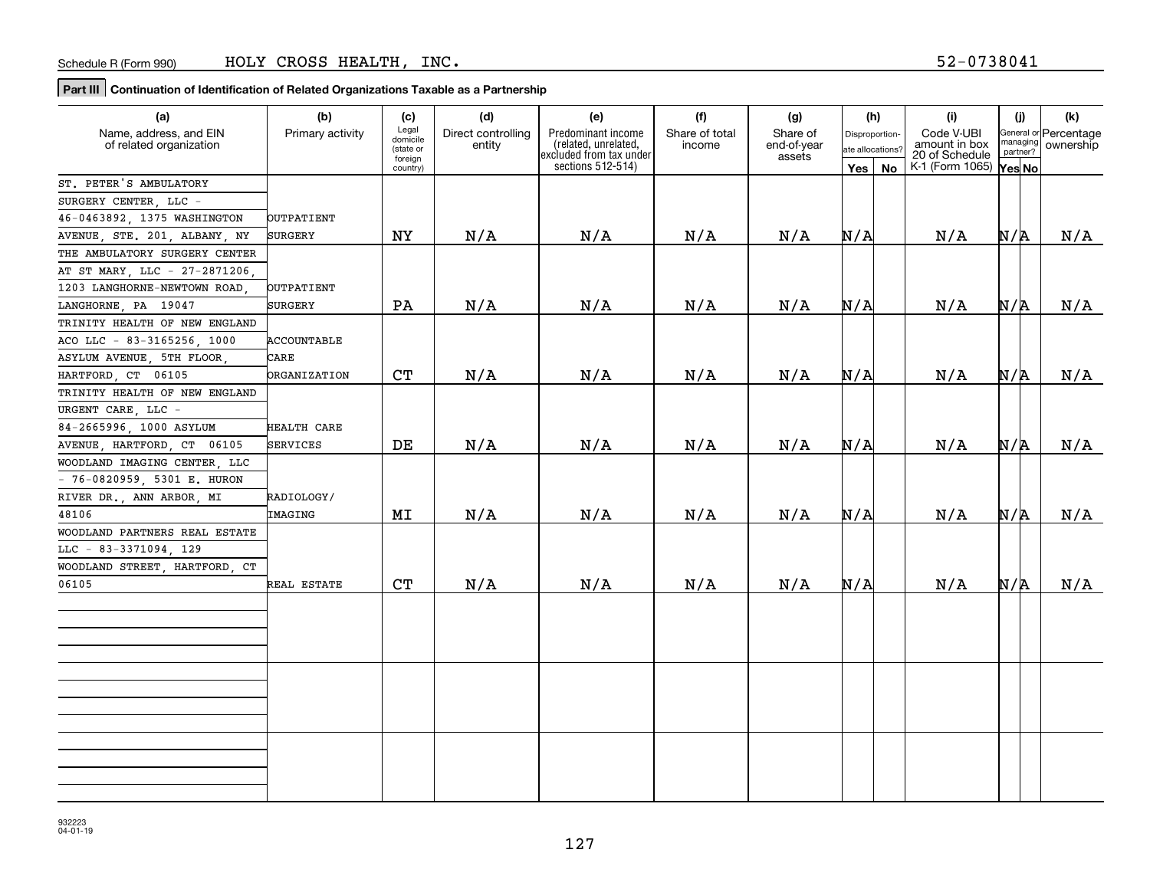| (a)                           | (b)                 | (c)                  | (d)                | (e)                                            | (f)            | (g)                   |                  | (h) | (i)                             | (j)      | (k)                   |
|-------------------------------|---------------------|----------------------|--------------------|------------------------------------------------|----------------|-----------------------|------------------|-----|---------------------------------|----------|-----------------------|
| Name, address, and EIN        | Primary activity    | Legal<br>domicile    | Direct controlling | Predominant income                             | Share of total | Share of              | Disproportion-   |     | Code V-UBI                      | managing | General or Percentage |
| of related organization       |                     | (state or<br>foreign | entity             | related, unrelated,<br>excluded from tax under | income         | end-of-year<br>assets | ate allocations? |     | amount in box<br>20 of Schedule | partner? | ownership             |
|                               |                     | country)             |                    | sections 512-514)                              |                |                       | Yes   No         |     | K-1 (Form 1065)                 | Yes No   |                       |
| ST. PETER'S AMBULATORY        |                     |                      |                    |                                                |                |                       |                  |     |                                 |          |                       |
| SURGERY CENTER, LLC -         |                     |                      |                    |                                                |                |                       |                  |     |                                 |          |                       |
| 46-0463892, 1375 WASHINGTON   | OUTPATIENT          |                      |                    |                                                |                |                       |                  |     |                                 |          |                       |
| AVENUE, STE. 201, ALBANY, NY  | SURGERY             | ΝY                   | N/A                | N/A                                            | N/A            | N/A                   | N/A              |     | N/A                             | N/A      | N/A                   |
| THE AMBULATORY SURGERY CENTER |                     |                      |                    |                                                |                |                       |                  |     |                                 |          |                       |
| AT ST MARY, LLC - 27-2871206, |                     |                      |                    |                                                |                |                       |                  |     |                                 |          |                       |
| 1203 LANGHORNE-NEWTOWN ROAD   | OUTPATIENT          |                      |                    |                                                |                |                       |                  |     |                                 |          |                       |
| LANGHORNE, PA 19047           | SURGERY             | PA                   | N/A                | N/A                                            | N/A            | N/A                   | N/A              |     | N/A                             | N/A      | N/A                   |
| TRINITY HEALTH OF NEW ENGLAND |                     |                      |                    |                                                |                |                       |                  |     |                                 |          |                       |
| ACO LLC - 83-3165256, 1000    | <b>ACCOUNTABLE</b>  |                      |                    |                                                |                |                       |                  |     |                                 |          |                       |
| ASYLUM AVENUE, 5TH FLOOR      | CARE                |                      |                    |                                                |                |                       |                  |     |                                 |          |                       |
| 06105<br>HARTFORD, CT         | <b>ORGANIZATION</b> | <b>CT</b>            | N/A                | N/A                                            | N/A            | N/A                   | N/A              |     | N/A                             | N/A      | N/A                   |
| TRINITY HEALTH OF NEW ENGLAND |                     |                      |                    |                                                |                |                       |                  |     |                                 |          |                       |
| URGENT CARE, LLC -            |                     |                      |                    |                                                |                |                       |                  |     |                                 |          |                       |
| 84-2665996, 1000 ASYLUM       | HEALTH CARE         |                      |                    |                                                |                |                       |                  |     |                                 |          |                       |
| AVENUE, HARTFORD, CT 06105    | SERVICES            | DE                   | N/A                | N/A                                            | N/A            | N/A                   | N/A              |     | N/A                             | N/A      | N/A                   |
| WOODLAND IMAGING CENTER, LLC  |                     |                      |                    |                                                |                |                       |                  |     |                                 |          |                       |
| $-76-0820959$ , 5301 E. HURON |                     |                      |                    |                                                |                |                       |                  |     |                                 |          |                       |
| RIVER DR., ANN ARBOR, MI      | RADIOLOGY/          |                      |                    |                                                |                |                       |                  |     |                                 |          |                       |
| 48106                         | IMAGING             | MI                   | N/A                | N/A                                            | N/A            | N/A                   | N/A              |     | N/A                             | N/A      | N/A                   |
| WOODLAND PARTNERS REAL ESTATE |                     |                      |                    |                                                |                |                       |                  |     |                                 |          |                       |
| LLC - 83-3371094, 129         |                     |                      |                    |                                                |                |                       |                  |     |                                 |          |                       |
| WOODLAND STREET, HARTFORD, CT |                     |                      |                    |                                                |                |                       |                  |     |                                 |          |                       |
| 06105                         | REAL ESTATE         | CT                   | N/A                | N/A                                            | N/A            | N/A                   | N/A              |     | N/A                             | N/A      | N/A                   |
|                               |                     |                      |                    |                                                |                |                       |                  |     |                                 |          |                       |
|                               |                     |                      |                    |                                                |                |                       |                  |     |                                 |          |                       |
|                               |                     |                      |                    |                                                |                |                       |                  |     |                                 |          |                       |
|                               |                     |                      |                    |                                                |                |                       |                  |     |                                 |          |                       |
|                               |                     |                      |                    |                                                |                |                       |                  |     |                                 |          |                       |
|                               |                     |                      |                    |                                                |                |                       |                  |     |                                 |          |                       |
|                               |                     |                      |                    |                                                |                |                       |                  |     |                                 |          |                       |
|                               |                     |                      |                    |                                                |                |                       |                  |     |                                 |          |                       |
|                               |                     |                      |                    |                                                |                |                       |                  |     |                                 |          |                       |
|                               |                     |                      |                    |                                                |                |                       |                  |     |                                 |          |                       |
|                               |                     |                      |                    |                                                |                |                       |                  |     |                                 |          |                       |
|                               |                     |                      |                    |                                                |                |                       |                  |     |                                 |          |                       |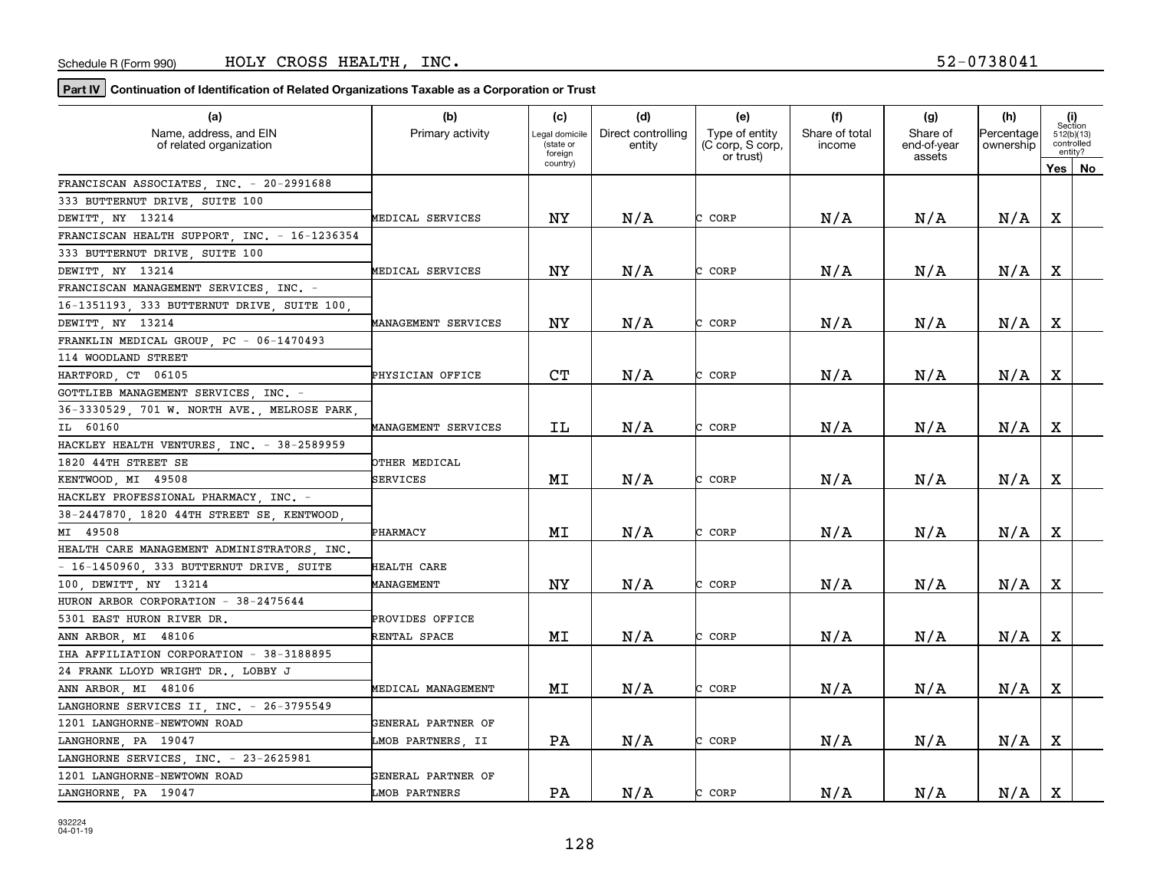| (a)                                               | (b)                 | (c)                                    | (d)                          | (e)                                | (f)                      | (g)                     | (h)                     |             | (i)<br>Section                      |
|---------------------------------------------------|---------------------|----------------------------------------|------------------------------|------------------------------------|--------------------------|-------------------------|-------------------------|-------------|-------------------------------------|
| Name, address, and EIN<br>of related organization | Primary activity    | Legal domicile<br>(state or<br>foreign | Direct controlling<br>entity | Type of entity<br>(C corp, S corp, | Share of total<br>income | Share of<br>end-of-year | Percentage<br>ownership |             | 512(b)(13)<br>controlled<br>entity? |
|                                                   |                     | country)                               |                              | or trust)                          |                          | assets                  |                         |             | Yes   No                            |
| FRANCISCAN ASSOCIATES, INC. - 20-2991688          |                     |                                        |                              |                                    |                          |                         |                         |             |                                     |
| 333 BUTTERNUT DRIVE, SUITE 100                    |                     |                                        |                              |                                    |                          |                         |                         |             |                                     |
| DEWITT, NY 13214                                  | MEDICAL SERVICES    | ΝY                                     | N/A                          | CORP                               | N/A                      | N/A                     | N/A                     | х           |                                     |
| FRANCISCAN HEALTH SUPPORT, INC. - 16-1236354      |                     |                                        |                              |                                    |                          |                         |                         |             |                                     |
| 333 BUTTERNUT DRIVE, SUITE 100                    |                     |                                        |                              |                                    |                          |                         |                         |             |                                     |
| DEWITT, NY 13214                                  | MEDICAL SERVICES    | <b>NY</b>                              | N/A                          | CORP                               | N/A                      | N/A                     | N/A                     | X           |                                     |
| FRANCISCAN MANAGEMENT SERVICES, INC. -            |                     |                                        |                              |                                    |                          |                         |                         |             |                                     |
| 16-1351193, 333 BUTTERNUT DRIVE, SUITE 100        |                     |                                        |                              |                                    |                          |                         |                         |             |                                     |
| DEWITT, NY 13214                                  | MANAGEMENT SERVICES | NY                                     | N/A                          | CORP                               | N/A                      | N/A                     | N/A                     | X           |                                     |
| FRANKLIN MEDICAL GROUP PC - 06-1470493            |                     |                                        |                              |                                    |                          |                         |                         |             |                                     |
| 114 WOODLAND STREET                               |                     |                                        |                              |                                    |                          |                         |                         |             |                                     |
| HARTFORD CT 06105                                 | PHYSICIAN OFFICE    | CT                                     | N/A                          | CORP                               | N/A                      | N/A                     | N/A                     | Χ           |                                     |
| GOTTLIEB MANAGEMENT SERVICES INC. -               |                     |                                        |                              |                                    |                          |                         |                         |             |                                     |
| 36-3330529, 701 W. NORTH AVE., MELROSE PARK       |                     |                                        |                              |                                    |                          |                         |                         |             |                                     |
| IL 60160                                          | MANAGEMENT SERVICES | IL                                     | N/A                          | CORP                               | N/A                      | N/A                     | N/A                     | X           |                                     |
| HACKLEY HEALTH VENTURES, INC. - 38-2589959        |                     |                                        |                              |                                    |                          |                         |                         |             |                                     |
| 1820 44TH STREET SE                               | OTHER MEDICAL       |                                        |                              |                                    |                          |                         |                         |             |                                     |
| KENTWOOD MI 49508                                 | SERVICES            | MI                                     | N/A                          | CORP                               | N/A                      | N/A                     | N/A                     | $\mathbf X$ |                                     |
| HACKLEY PROFESSIONAL PHARMACY, INC. -             |                     |                                        |                              |                                    |                          |                         |                         |             |                                     |
| 38-2447870, 1820 44TH STREET SE, KENTWOOD,        |                     |                                        |                              |                                    |                          |                         |                         |             |                                     |
| MI 49508                                          | PHARMACY            | MΙ                                     | N/A                          | CORP                               | N/A                      | N/A                     | N/A                     | X           |                                     |
| HEALTH CARE MANAGEMENT ADMINISTRATORS INC.        |                     |                                        |                              |                                    |                          |                         |                         |             |                                     |
| - 16-1450960, 333 BUTTERNUT DRIVE, SUITE          | <b>HEALTH CARE</b>  |                                        |                              |                                    |                          |                         |                         |             |                                     |
| 100 DEWITT NY 13214                               | MANAGEMENT          | NY                                     | N/A                          | CORP                               | N/A                      | N/A                     | N/A                     | х           |                                     |
| HURON ARBOR CORPORATION - 38-2475644              |                     |                                        |                              |                                    |                          |                         |                         |             |                                     |
| 5301 EAST HURON RIVER DR.                         | PROVIDES OFFICE     |                                        |                              |                                    |                          |                         |                         |             |                                     |
| ANN ARBOR, MI 48106                               | RENTAL SPACE        | MΙ                                     | N/A                          | CORP                               | N/A                      | N/A                     | N/A                     | Χ           |                                     |
| IHA AFFILIATION CORPORATION - 38-3188895          |                     |                                        |                              |                                    |                          |                         |                         |             |                                     |
| 24 FRANK LLOYD WRIGHT DR., LOBBY J                |                     |                                        |                              |                                    |                          |                         |                         |             |                                     |
| ANN ARBOR, MI 48106                               | MEDICAL MANAGEMENT  | MΙ                                     | N/A                          | CORP                               | N/A                      | N/A                     | N/A                     | $\mathbf X$ |                                     |
| LANGHORNE SERVICES II, INC. - 26-3795549          |                     |                                        |                              |                                    |                          |                         |                         |             |                                     |
| 1201 LANGHORNE-NEWTOWN ROAD                       | GENERAL PARTNER OF  |                                        |                              |                                    |                          |                         |                         |             |                                     |
| LANGHORNE, PA 19047                               | LMOB PARTNERS, II   | PA                                     | N/A                          | CORP                               | N/A                      | N/A                     | N/A                     | $\mathbf X$ |                                     |
| LANGHORNE SERVICES, INC. - 23-2625981             |                     |                                        |                              |                                    |                          |                         |                         |             |                                     |
| 1201 LANGHORNE-NEWTOWN ROAD                       | GENERAL PARTNER OF  |                                        |                              |                                    |                          |                         |                         |             |                                     |
| LANGHORNE, PA 19047                               | LMOB PARTNERS       | PA                                     | N/A                          | CORP                               | N/A                      | N/A                     | N/A                     | X           |                                     |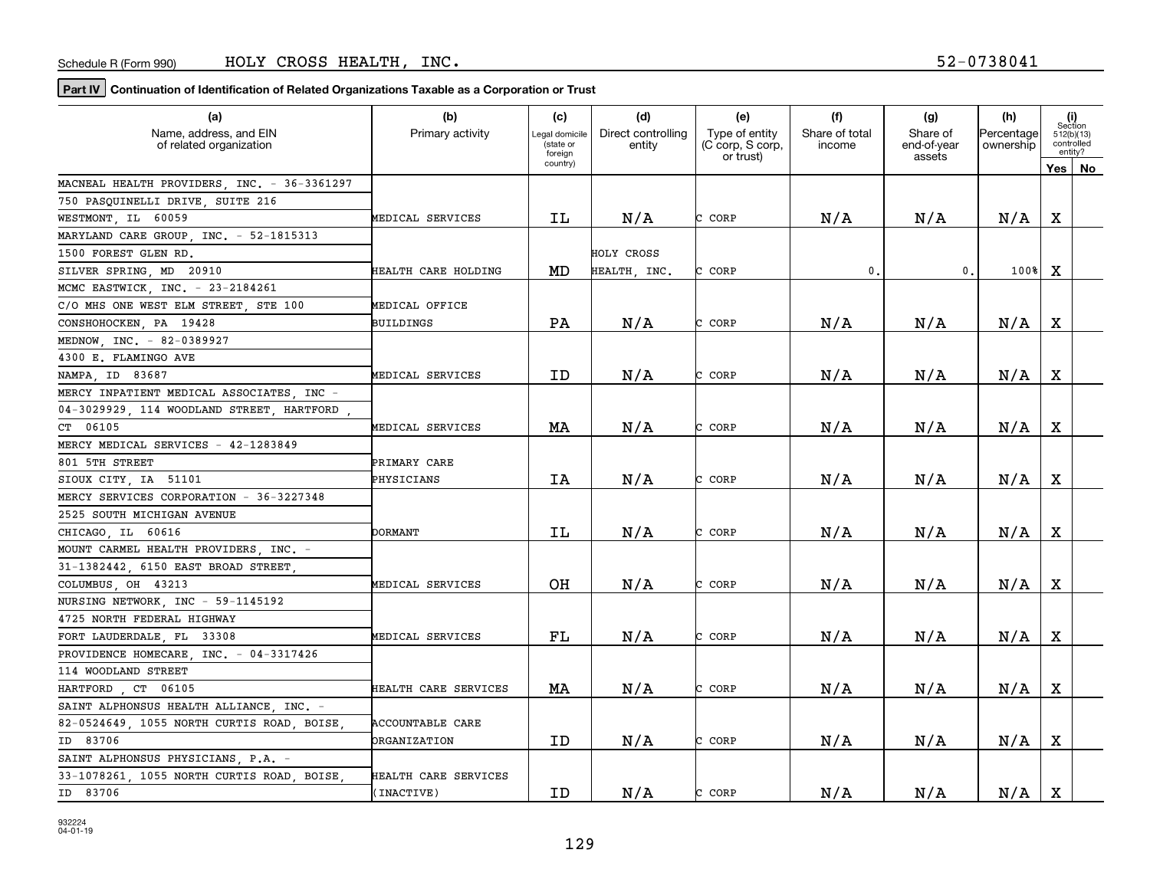| Name, address, and EIN<br>Direct controlling<br>Share of total<br>Share of<br>Primary activity<br>Type of entity<br>Percentage<br>Legal domicile<br>512(b)(13)<br>(state or<br>controlled<br>(C corp, S corp,<br>ownership<br>of related organization<br>entity<br>income<br>end-of-year<br>entity?<br>foreign<br>or trust)<br>assets<br>country)<br>Yes l<br>No<br>MACNEAL HEALTH PROVIDERS, INC. - 36-3361297<br>750 PASQUINELLI DRIVE, SUITE 216<br>N/A<br>X<br>N/A<br>N/A<br>N/A<br>WESTMONT, IL<br>60059<br>ΙL<br>CORP<br>MEDICAL SERVICES<br>r<br>MARYLAND CARE GROUP . INC. - 52-1815313<br>1500 FOREST GLEN RD.<br>HOLY CROSS<br>$\mathbf x$<br>MD<br>C CORP<br>0.<br>$100$ <sup>8</sup><br>SILVER SPRING, MD 20910<br><b>HEALTH CARE HOLDING</b><br>HEALTH, INC.<br>$\mathbf{0}$ .<br>MCMC EASTWICK, INC. - 23-2184261<br>C/O MHS ONE WEST ELM STREET STE 100<br>MEDICAL OFFICE<br>PA<br>N/A<br>N/A<br>N/A<br>N/A<br>x<br>C CORP<br>CONSHOHOCKEN PA 19428<br>BUILDINGS<br>MEDNOW, INC. - 82-0389927<br>4300 E. FLAMINGO AVE<br>X<br>N/A<br>N/A<br>N/A<br>N/A<br>ID<br>C CORP<br>NAMPA, ID 83687<br>MEDICAL SERVICES<br>MERCY INPATIENT MEDICAL ASSOCIATES, INC -<br>04-3029929, 114 WOODLAND STREET, HARTFORD,<br>CT 06105<br>MA<br>N/A<br>CORP<br>N/A<br>N/A<br>N/A<br>x<br>MEDICAL SERVICES<br>MERCY MEDICAL SERVICES - 42-1283849<br>801 5TH STREET<br>PRIMARY CARE<br>N/A<br>N/A<br>N/A<br>х<br>ΙA<br>N/A<br>SIOUX CITY IA 51101<br>CORP<br>PHYSICIANS<br>MERCY SERVICES CORPORATION - 36-3227348<br>2525 SOUTH MICHIGAN AVENUE<br>X<br>IL<br>N/A<br>N/A<br>N/A<br>N/A<br>CHICAGO, IL 60616<br><b>DORMANT</b><br>C CORP<br>MOUNT CARMEL HEALTH PROVIDERS, INC. -<br>31-1382442, 6150 EAST BROAD STREET,<br>OН<br>N/A<br>N/A<br>N/A<br>N/A<br>x<br>COLUMBUS OH 43213<br>MEDICAL SERVICES<br>C CORP<br>NURSING NETWORK, INC - 59-1145192<br>4725 NORTH FEDERAL HIGHWAY<br>X<br>${\rm FL}$<br>N/A<br>N/A<br>N/A<br>N/A<br>C CORP<br>FORT LAUDERDALE, FL 33308<br>MEDICAL SERVICES<br>PROVIDENCE HOMECARE, INC. - 04-3317426<br>114 WOODLAND STREET<br>X<br>MA<br>N/A<br>CORP<br>N/A<br>N/A<br>N/A<br>HARTFORD, CT 06105<br>HEALTH CARE SERVICES<br>SAINT ALPHONSUS HEALTH ALLIANCE, INC. -<br>82-0524649, 1055 NORTH CURTIS ROAD, BOISE<br>ACCOUNTABLE CARE<br>N/A<br>N/A<br>N/A<br>X<br>ID<br>N/A<br>ID 83706<br>CORP<br>ORGANIZATION<br>SAINT ALPHONSUS PHYSICIANS, P.A. -<br>33-1078261, 1055 NORTH CURTIS ROAD, BOISE<br>HEALTH CARE SERVICES | (a)      | (b)        | (c) | (d) | (e)    | (f) | (g) | (h) |             | (i)<br>Section |
|-------------------------------------------------------------------------------------------------------------------------------------------------------------------------------------------------------------------------------------------------------------------------------------------------------------------------------------------------------------------------------------------------------------------------------------------------------------------------------------------------------------------------------------------------------------------------------------------------------------------------------------------------------------------------------------------------------------------------------------------------------------------------------------------------------------------------------------------------------------------------------------------------------------------------------------------------------------------------------------------------------------------------------------------------------------------------------------------------------------------------------------------------------------------------------------------------------------------------------------------------------------------------------------------------------------------------------------------------------------------------------------------------------------------------------------------------------------------------------------------------------------------------------------------------------------------------------------------------------------------------------------------------------------------------------------------------------------------------------------------------------------------------------------------------------------------------------------------------------------------------------------------------------------------------------------------------------------------------------------------------------------------------------------------------------------------------------------------------------------------------------------------------------------------------------------------------------------------------------------------------------------------------------------------------------------------------------------------------------------------------------------------------------------------------------------------------------------|----------|------------|-----|-----|--------|-----|-----|-----|-------------|----------------|
|                                                                                                                                                                                                                                                                                                                                                                                                                                                                                                                                                                                                                                                                                                                                                                                                                                                                                                                                                                                                                                                                                                                                                                                                                                                                                                                                                                                                                                                                                                                                                                                                                                                                                                                                                                                                                                                                                                                                                                                                                                                                                                                                                                                                                                                                                                                                                                                                                                                             |          |            |     |     |        |     |     |     |             |                |
|                                                                                                                                                                                                                                                                                                                                                                                                                                                                                                                                                                                                                                                                                                                                                                                                                                                                                                                                                                                                                                                                                                                                                                                                                                                                                                                                                                                                                                                                                                                                                                                                                                                                                                                                                                                                                                                                                                                                                                                                                                                                                                                                                                                                                                                                                                                                                                                                                                                             |          |            |     |     |        |     |     |     |             |                |
|                                                                                                                                                                                                                                                                                                                                                                                                                                                                                                                                                                                                                                                                                                                                                                                                                                                                                                                                                                                                                                                                                                                                                                                                                                                                                                                                                                                                                                                                                                                                                                                                                                                                                                                                                                                                                                                                                                                                                                                                                                                                                                                                                                                                                                                                                                                                                                                                                                                             |          |            |     |     |        |     |     |     |             |                |
|                                                                                                                                                                                                                                                                                                                                                                                                                                                                                                                                                                                                                                                                                                                                                                                                                                                                                                                                                                                                                                                                                                                                                                                                                                                                                                                                                                                                                                                                                                                                                                                                                                                                                                                                                                                                                                                                                                                                                                                                                                                                                                                                                                                                                                                                                                                                                                                                                                                             |          |            |     |     |        |     |     |     |             |                |
|                                                                                                                                                                                                                                                                                                                                                                                                                                                                                                                                                                                                                                                                                                                                                                                                                                                                                                                                                                                                                                                                                                                                                                                                                                                                                                                                                                                                                                                                                                                                                                                                                                                                                                                                                                                                                                                                                                                                                                                                                                                                                                                                                                                                                                                                                                                                                                                                                                                             |          |            |     |     |        |     |     |     |             |                |
|                                                                                                                                                                                                                                                                                                                                                                                                                                                                                                                                                                                                                                                                                                                                                                                                                                                                                                                                                                                                                                                                                                                                                                                                                                                                                                                                                                                                                                                                                                                                                                                                                                                                                                                                                                                                                                                                                                                                                                                                                                                                                                                                                                                                                                                                                                                                                                                                                                                             |          |            |     |     |        |     |     |     |             |                |
|                                                                                                                                                                                                                                                                                                                                                                                                                                                                                                                                                                                                                                                                                                                                                                                                                                                                                                                                                                                                                                                                                                                                                                                                                                                                                                                                                                                                                                                                                                                                                                                                                                                                                                                                                                                                                                                                                                                                                                                                                                                                                                                                                                                                                                                                                                                                                                                                                                                             |          |            |     |     |        |     |     |     |             |                |
|                                                                                                                                                                                                                                                                                                                                                                                                                                                                                                                                                                                                                                                                                                                                                                                                                                                                                                                                                                                                                                                                                                                                                                                                                                                                                                                                                                                                                                                                                                                                                                                                                                                                                                                                                                                                                                                                                                                                                                                                                                                                                                                                                                                                                                                                                                                                                                                                                                                             |          |            |     |     |        |     |     |     |             |                |
|                                                                                                                                                                                                                                                                                                                                                                                                                                                                                                                                                                                                                                                                                                                                                                                                                                                                                                                                                                                                                                                                                                                                                                                                                                                                                                                                                                                                                                                                                                                                                                                                                                                                                                                                                                                                                                                                                                                                                                                                                                                                                                                                                                                                                                                                                                                                                                                                                                                             |          |            |     |     |        |     |     |     |             |                |
|                                                                                                                                                                                                                                                                                                                                                                                                                                                                                                                                                                                                                                                                                                                                                                                                                                                                                                                                                                                                                                                                                                                                                                                                                                                                                                                                                                                                                                                                                                                                                                                                                                                                                                                                                                                                                                                                                                                                                                                                                                                                                                                                                                                                                                                                                                                                                                                                                                                             |          |            |     |     |        |     |     |     |             |                |
|                                                                                                                                                                                                                                                                                                                                                                                                                                                                                                                                                                                                                                                                                                                                                                                                                                                                                                                                                                                                                                                                                                                                                                                                                                                                                                                                                                                                                                                                                                                                                                                                                                                                                                                                                                                                                                                                                                                                                                                                                                                                                                                                                                                                                                                                                                                                                                                                                                                             |          |            |     |     |        |     |     |     |             |                |
|                                                                                                                                                                                                                                                                                                                                                                                                                                                                                                                                                                                                                                                                                                                                                                                                                                                                                                                                                                                                                                                                                                                                                                                                                                                                                                                                                                                                                                                                                                                                                                                                                                                                                                                                                                                                                                                                                                                                                                                                                                                                                                                                                                                                                                                                                                                                                                                                                                                             |          |            |     |     |        |     |     |     |             |                |
|                                                                                                                                                                                                                                                                                                                                                                                                                                                                                                                                                                                                                                                                                                                                                                                                                                                                                                                                                                                                                                                                                                                                                                                                                                                                                                                                                                                                                                                                                                                                                                                                                                                                                                                                                                                                                                                                                                                                                                                                                                                                                                                                                                                                                                                                                                                                                                                                                                                             |          |            |     |     |        |     |     |     |             |                |
|                                                                                                                                                                                                                                                                                                                                                                                                                                                                                                                                                                                                                                                                                                                                                                                                                                                                                                                                                                                                                                                                                                                                                                                                                                                                                                                                                                                                                                                                                                                                                                                                                                                                                                                                                                                                                                                                                                                                                                                                                                                                                                                                                                                                                                                                                                                                                                                                                                                             |          |            |     |     |        |     |     |     |             |                |
|                                                                                                                                                                                                                                                                                                                                                                                                                                                                                                                                                                                                                                                                                                                                                                                                                                                                                                                                                                                                                                                                                                                                                                                                                                                                                                                                                                                                                                                                                                                                                                                                                                                                                                                                                                                                                                                                                                                                                                                                                                                                                                                                                                                                                                                                                                                                                                                                                                                             |          |            |     |     |        |     |     |     |             |                |
|                                                                                                                                                                                                                                                                                                                                                                                                                                                                                                                                                                                                                                                                                                                                                                                                                                                                                                                                                                                                                                                                                                                                                                                                                                                                                                                                                                                                                                                                                                                                                                                                                                                                                                                                                                                                                                                                                                                                                                                                                                                                                                                                                                                                                                                                                                                                                                                                                                                             |          |            |     |     |        |     |     |     |             |                |
|                                                                                                                                                                                                                                                                                                                                                                                                                                                                                                                                                                                                                                                                                                                                                                                                                                                                                                                                                                                                                                                                                                                                                                                                                                                                                                                                                                                                                                                                                                                                                                                                                                                                                                                                                                                                                                                                                                                                                                                                                                                                                                                                                                                                                                                                                                                                                                                                                                                             |          |            |     |     |        |     |     |     |             |                |
|                                                                                                                                                                                                                                                                                                                                                                                                                                                                                                                                                                                                                                                                                                                                                                                                                                                                                                                                                                                                                                                                                                                                                                                                                                                                                                                                                                                                                                                                                                                                                                                                                                                                                                                                                                                                                                                                                                                                                                                                                                                                                                                                                                                                                                                                                                                                                                                                                                                             |          |            |     |     |        |     |     |     |             |                |
|                                                                                                                                                                                                                                                                                                                                                                                                                                                                                                                                                                                                                                                                                                                                                                                                                                                                                                                                                                                                                                                                                                                                                                                                                                                                                                                                                                                                                                                                                                                                                                                                                                                                                                                                                                                                                                                                                                                                                                                                                                                                                                                                                                                                                                                                                                                                                                                                                                                             |          |            |     |     |        |     |     |     |             |                |
|                                                                                                                                                                                                                                                                                                                                                                                                                                                                                                                                                                                                                                                                                                                                                                                                                                                                                                                                                                                                                                                                                                                                                                                                                                                                                                                                                                                                                                                                                                                                                                                                                                                                                                                                                                                                                                                                                                                                                                                                                                                                                                                                                                                                                                                                                                                                                                                                                                                             |          |            |     |     |        |     |     |     |             |                |
|                                                                                                                                                                                                                                                                                                                                                                                                                                                                                                                                                                                                                                                                                                                                                                                                                                                                                                                                                                                                                                                                                                                                                                                                                                                                                                                                                                                                                                                                                                                                                                                                                                                                                                                                                                                                                                                                                                                                                                                                                                                                                                                                                                                                                                                                                                                                                                                                                                                             |          |            |     |     |        |     |     |     |             |                |
|                                                                                                                                                                                                                                                                                                                                                                                                                                                                                                                                                                                                                                                                                                                                                                                                                                                                                                                                                                                                                                                                                                                                                                                                                                                                                                                                                                                                                                                                                                                                                                                                                                                                                                                                                                                                                                                                                                                                                                                                                                                                                                                                                                                                                                                                                                                                                                                                                                                             |          |            |     |     |        |     |     |     |             |                |
|                                                                                                                                                                                                                                                                                                                                                                                                                                                                                                                                                                                                                                                                                                                                                                                                                                                                                                                                                                                                                                                                                                                                                                                                                                                                                                                                                                                                                                                                                                                                                                                                                                                                                                                                                                                                                                                                                                                                                                                                                                                                                                                                                                                                                                                                                                                                                                                                                                                             |          |            |     |     |        |     |     |     |             |                |
|                                                                                                                                                                                                                                                                                                                                                                                                                                                                                                                                                                                                                                                                                                                                                                                                                                                                                                                                                                                                                                                                                                                                                                                                                                                                                                                                                                                                                                                                                                                                                                                                                                                                                                                                                                                                                                                                                                                                                                                                                                                                                                                                                                                                                                                                                                                                                                                                                                                             |          |            |     |     |        |     |     |     |             |                |
|                                                                                                                                                                                                                                                                                                                                                                                                                                                                                                                                                                                                                                                                                                                                                                                                                                                                                                                                                                                                                                                                                                                                                                                                                                                                                                                                                                                                                                                                                                                                                                                                                                                                                                                                                                                                                                                                                                                                                                                                                                                                                                                                                                                                                                                                                                                                                                                                                                                             |          |            |     |     |        |     |     |     |             |                |
|                                                                                                                                                                                                                                                                                                                                                                                                                                                                                                                                                                                                                                                                                                                                                                                                                                                                                                                                                                                                                                                                                                                                                                                                                                                                                                                                                                                                                                                                                                                                                                                                                                                                                                                                                                                                                                                                                                                                                                                                                                                                                                                                                                                                                                                                                                                                                                                                                                                             |          |            |     |     |        |     |     |     |             |                |
|                                                                                                                                                                                                                                                                                                                                                                                                                                                                                                                                                                                                                                                                                                                                                                                                                                                                                                                                                                                                                                                                                                                                                                                                                                                                                                                                                                                                                                                                                                                                                                                                                                                                                                                                                                                                                                                                                                                                                                                                                                                                                                                                                                                                                                                                                                                                                                                                                                                             |          |            |     |     |        |     |     |     |             |                |
|                                                                                                                                                                                                                                                                                                                                                                                                                                                                                                                                                                                                                                                                                                                                                                                                                                                                                                                                                                                                                                                                                                                                                                                                                                                                                                                                                                                                                                                                                                                                                                                                                                                                                                                                                                                                                                                                                                                                                                                                                                                                                                                                                                                                                                                                                                                                                                                                                                                             |          |            |     |     |        |     |     |     |             |                |
|                                                                                                                                                                                                                                                                                                                                                                                                                                                                                                                                                                                                                                                                                                                                                                                                                                                                                                                                                                                                                                                                                                                                                                                                                                                                                                                                                                                                                                                                                                                                                                                                                                                                                                                                                                                                                                                                                                                                                                                                                                                                                                                                                                                                                                                                                                                                                                                                                                                             |          |            |     |     |        |     |     |     |             |                |
|                                                                                                                                                                                                                                                                                                                                                                                                                                                                                                                                                                                                                                                                                                                                                                                                                                                                                                                                                                                                                                                                                                                                                                                                                                                                                                                                                                                                                                                                                                                                                                                                                                                                                                                                                                                                                                                                                                                                                                                                                                                                                                                                                                                                                                                                                                                                                                                                                                                             |          |            |     |     |        |     |     |     |             |                |
|                                                                                                                                                                                                                                                                                                                                                                                                                                                                                                                                                                                                                                                                                                                                                                                                                                                                                                                                                                                                                                                                                                                                                                                                                                                                                                                                                                                                                                                                                                                                                                                                                                                                                                                                                                                                                                                                                                                                                                                                                                                                                                                                                                                                                                                                                                                                                                                                                                                             |          |            |     |     |        |     |     |     |             |                |
|                                                                                                                                                                                                                                                                                                                                                                                                                                                                                                                                                                                                                                                                                                                                                                                                                                                                                                                                                                                                                                                                                                                                                                                                                                                                                                                                                                                                                                                                                                                                                                                                                                                                                                                                                                                                                                                                                                                                                                                                                                                                                                                                                                                                                                                                                                                                                                                                                                                             |          |            |     |     |        |     |     |     |             |                |
|                                                                                                                                                                                                                                                                                                                                                                                                                                                                                                                                                                                                                                                                                                                                                                                                                                                                                                                                                                                                                                                                                                                                                                                                                                                                                                                                                                                                                                                                                                                                                                                                                                                                                                                                                                                                                                                                                                                                                                                                                                                                                                                                                                                                                                                                                                                                                                                                                                                             |          |            |     |     |        |     |     |     |             |                |
|                                                                                                                                                                                                                                                                                                                                                                                                                                                                                                                                                                                                                                                                                                                                                                                                                                                                                                                                                                                                                                                                                                                                                                                                                                                                                                                                                                                                                                                                                                                                                                                                                                                                                                                                                                                                                                                                                                                                                                                                                                                                                                                                                                                                                                                                                                                                                                                                                                                             |          |            |     |     |        |     |     |     |             |                |
|                                                                                                                                                                                                                                                                                                                                                                                                                                                                                                                                                                                                                                                                                                                                                                                                                                                                                                                                                                                                                                                                                                                                                                                                                                                                                                                                                                                                                                                                                                                                                                                                                                                                                                                                                                                                                                                                                                                                                                                                                                                                                                                                                                                                                                                                                                                                                                                                                                                             |          |            |     |     |        |     |     |     |             |                |
|                                                                                                                                                                                                                                                                                                                                                                                                                                                                                                                                                                                                                                                                                                                                                                                                                                                                                                                                                                                                                                                                                                                                                                                                                                                                                                                                                                                                                                                                                                                                                                                                                                                                                                                                                                                                                                                                                                                                                                                                                                                                                                                                                                                                                                                                                                                                                                                                                                                             |          |            |     |     |        |     |     |     |             |                |
|                                                                                                                                                                                                                                                                                                                                                                                                                                                                                                                                                                                                                                                                                                                                                                                                                                                                                                                                                                                                                                                                                                                                                                                                                                                                                                                                                                                                                                                                                                                                                                                                                                                                                                                                                                                                                                                                                                                                                                                                                                                                                                                                                                                                                                                                                                                                                                                                                                                             |          |            |     |     |        |     |     |     |             |                |
|                                                                                                                                                                                                                                                                                                                                                                                                                                                                                                                                                                                                                                                                                                                                                                                                                                                                                                                                                                                                                                                                                                                                                                                                                                                                                                                                                                                                                                                                                                                                                                                                                                                                                                                                                                                                                                                                                                                                                                                                                                                                                                                                                                                                                                                                                                                                                                                                                                                             | ID 83706 | (INACTIVE) | ID  | N/A | C CORP | N/A | N/A | N/A | $\mathbf X$ |                |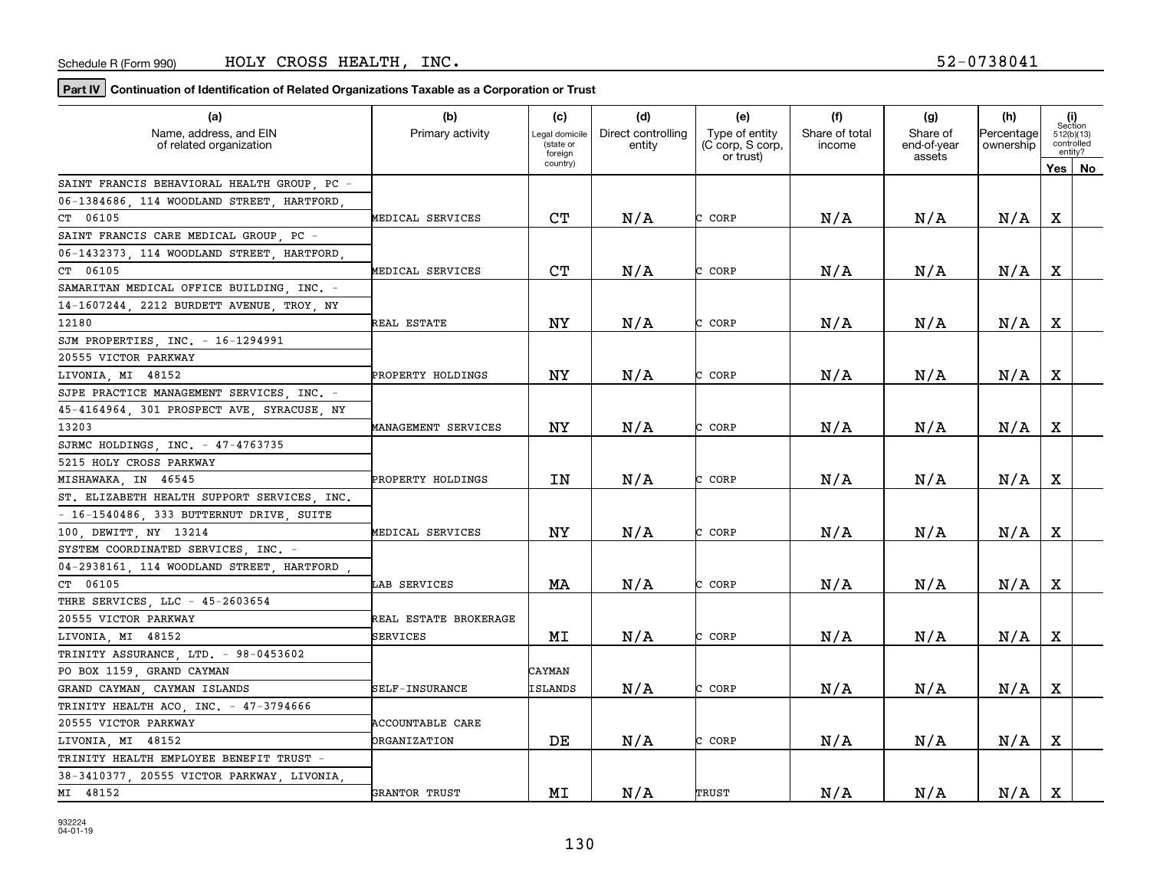| (a)                                               | (b)                   | (c)                         | (d)                          | (e)                                | (f)                      | (g)                     | (h)                     |         | (i)<br>Section           |
|---------------------------------------------------|-----------------------|-----------------------------|------------------------------|------------------------------------|--------------------------|-------------------------|-------------------------|---------|--------------------------|
| Name, address, and EIN<br>of related organization | Primary activity      | Legal domicile<br>(state or | Direct controlling<br>entity | Type of entity<br>(C corp, S corp, | Share of total<br>income | Share of<br>end-of-year | Percentage<br>ownership |         | 512(b)(13)<br>controlled |
|                                                   |                       | foreign<br>country)         |                              | or trust)                          |                          | assets                  |                         |         | entity?                  |
|                                                   |                       |                             |                              |                                    |                          |                         |                         | Yes $ $ | No                       |
| SAINT FRANCIS BEHAVIORAL HEALTH GROUP PC -        |                       |                             |                              |                                    |                          |                         |                         |         |                          |
| 06-1384686 114 WOODLAND STREET HARTFORD           |                       |                             |                              |                                    |                          |                         |                         |         |                          |
| CT 06105                                          | MEDICAL SERVICES      | CT                          | N/A                          | CORP<br>r.                         | N/A                      | N/A                     | N/A                     | х       |                          |
| SAINT FRANCIS CARE MEDICAL GROUP, PC -            |                       |                             |                              |                                    |                          |                         |                         |         |                          |
| 06-1432373, 114 WOODLAND STREET, HARTFORD,        |                       |                             |                              |                                    |                          |                         |                         |         |                          |
| CT 06105                                          | MEDICAL SERVICES      | C <sub>T</sub>              | N/A                          | CORP<br>C.                         | N/A                      | N/A                     | N/A                     | X       |                          |
| SAMARITAN MEDICAL OFFICE BUILDING .INC. -         |                       |                             |                              |                                    |                          |                         |                         |         |                          |
| 14-1607244, 2212 BURDETT AVENUE, TROY, NY         |                       |                             |                              |                                    |                          |                         |                         |         |                          |
| 12180                                             | REAL ESTATE           | NY                          | N/A                          | CORP<br>C                          | N/A                      | N/A                     | N/A                     | X       |                          |
| SJM PROPERTIES, INC. - 16-1294991                 |                       |                             |                              |                                    |                          |                         |                         |         |                          |
| 20555 VICTOR PARKWAY                              |                       |                             |                              |                                    |                          |                         |                         |         |                          |
| LIVONIA, MI 48152                                 | PROPERTY HOLDINGS     | <b>NY</b>                   | N/A                          | C CORP                             | N/A                      | N/A                     | N/A                     | х       |                          |
| SJPE PRACTICE MANAGEMENT SERVICES INC. -          |                       |                             |                              |                                    |                          |                         |                         |         |                          |
| 45-4164964, 301 PROSPECT AVE, SYRACUSE, NY        |                       |                             |                              |                                    |                          |                         |                         |         |                          |
| 13203                                             | MANAGEMENT SERVICES   | <b>NY</b>                   | N/A                          | CORP<br>C.                         | N/A                      | N/A                     | N/A                     | X       |                          |
| SJRMC HOLDINGS INC. - 47-4763735                  |                       |                             |                              |                                    |                          |                         |                         |         |                          |
| 5215 HOLY CROSS PARKWAY                           |                       |                             |                              |                                    |                          |                         |                         |         |                          |
| MISHAWAKA IN 46545                                | PROPERTY HOLDINGS     | IN                          | N/A                          | CORP<br>C.                         | N/A                      | N/A                     | N/A                     | X       |                          |
| ST. ELIZABETH HEALTH SUPPORT SERVICES, INC.       |                       |                             |                              |                                    |                          |                         |                         |         |                          |
| - 16-1540486, 333 BUTTERNUT DRIVE, SUITE          |                       |                             |                              |                                    |                          |                         |                         |         |                          |
| 100, DEWITT, NY 13214                             | MEDICAL SERVICES      | ΝY                          | N/A                          | CORP<br>r                          | N/A                      | N/A                     | N/A                     | X       |                          |
| SYSTEM COORDINATED SERVICES INC. -                |                       |                             |                              |                                    |                          |                         |                         |         |                          |
| 04-2938161 114 WOODLAND STREET HARTFORD           |                       |                             |                              |                                    |                          |                         |                         |         |                          |
| CT 06105                                          | LAB SERVICES          | MA                          | N/A                          | C CORP                             | N/A                      | N/A                     | N/A                     | X       |                          |
| THRE SERVICES, LLC - 45-2603654                   |                       |                             |                              |                                    |                          |                         |                         |         |                          |
| 20555 VICTOR PARKWAY                              | REAL ESTATE BROKERAGE |                             |                              |                                    |                          |                         |                         |         |                          |
| LIVONIA, MI 48152                                 | SERVICES              | MΙ                          | N/A                          | CORP<br>C.                         | N/A                      | N/A                     | N/A                     | х       |                          |
| TRINITY ASSURANCE, LTD. - 98-0453602              |                       |                             |                              |                                    |                          |                         |                         |         |                          |
| PO BOX 1159 GRAND CAYMAN                          |                       | CAYMAN                      |                              |                                    |                          |                         |                         |         |                          |
| GRAND CAYMAN, CAYMAN ISLANDS                      | SELF-INSURANCE        | <b>ISLANDS</b>              | N/A                          | CORP<br>C.                         | N/A                      | N/A                     | N/A                     | X       |                          |
| TRINITY HEALTH ACO, INC. - 47-3794666             |                       |                             |                              |                                    |                          |                         |                         |         |                          |
| 20555 VICTOR PARKWAY                              | ACCOUNTABLE CARE      |                             |                              |                                    |                          |                         |                         |         |                          |
| LIVONIA MI 48152                                  | ORGANIZATION          | DE                          | N/A                          | CORP<br>C.                         | N/A                      | N/A                     | N/A                     | X       |                          |
| TRINITY HEALTH EMPLOYEE BENEFIT TRUST             |                       |                             |                              |                                    |                          |                         |                         |         |                          |
| 38-3410377, 20555 VICTOR PARKWAY, LIVONIA,        |                       |                             |                              |                                    |                          |                         |                         |         |                          |
| MI 48152                                          | GRANTOR TRUST         | M <sub>I</sub>              | N/A                          | TRUST                              | N/A                      | N/A                     | N/A                     | X       |                          |
|                                                   |                       |                             |                              |                                    |                          |                         |                         |         |                          |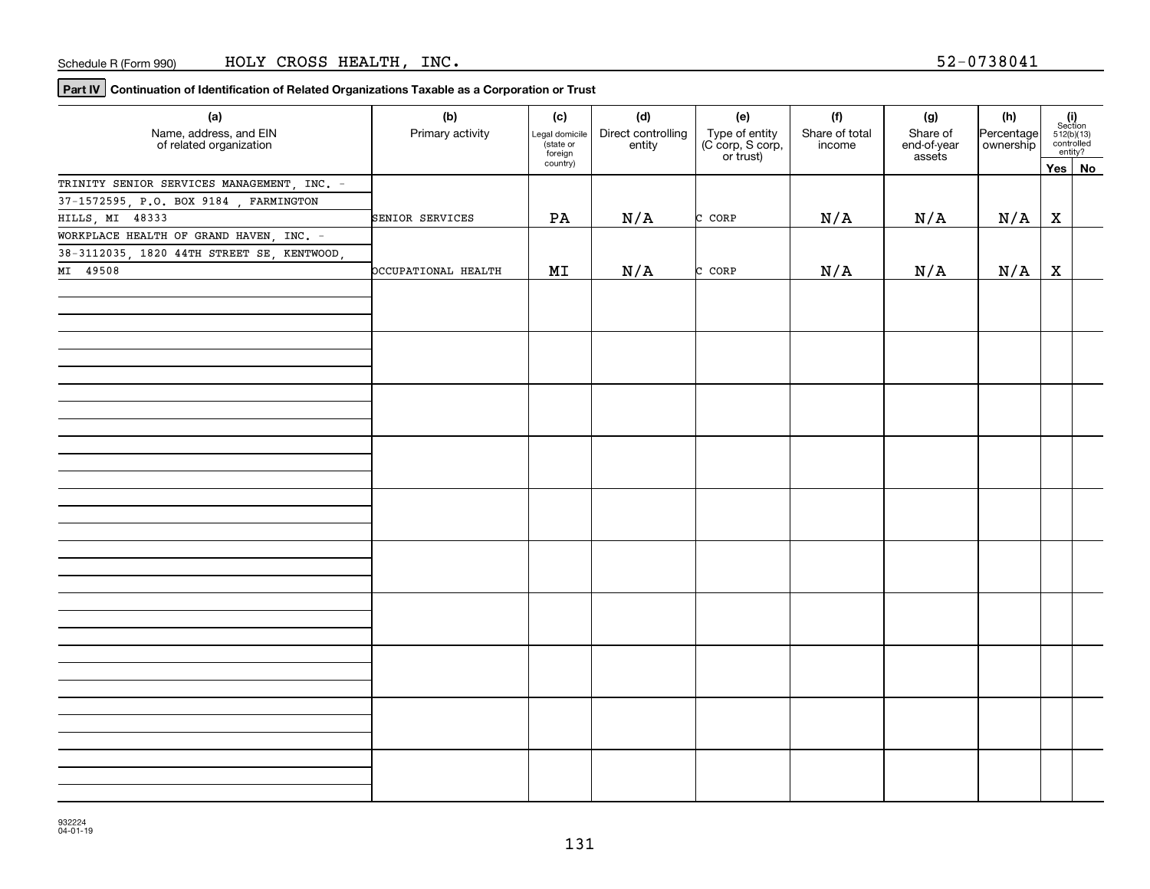| (a)                                               | (b)                 | (c)                                    | (d)                          | (e)                                             | (f)                      | (g)                               | (h)                     |              |                                                                                                                                 |
|---------------------------------------------------|---------------------|----------------------------------------|------------------------------|-------------------------------------------------|--------------------------|-----------------------------------|-------------------------|--------------|---------------------------------------------------------------------------------------------------------------------------------|
| Name, address, and EIN<br>of related organization | Primary activity    | Legal domicile<br>(state or<br>foreign | Direct controlling<br>entity | Type of entity<br>(C corp, S corp,<br>or trust) | Share of total<br>income | Share of<br>end-of-year<br>assets | Percentage<br>ownership |              | $\begin{array}{c} \textbf{(i)}\\ \text{Section}\\ 512 \text{(b)} \text{(13)}\\ \text{controlled} \\ \text{entity?} \end{array}$ |
|                                                   |                     | country)                               |                              |                                                 |                          |                                   |                         |              | Yes No                                                                                                                          |
| TRINITY SENIOR SERVICES MANAGEMENT, INC. -        |                     |                                        |                              |                                                 |                          |                                   |                         |              |                                                                                                                                 |
| 37-1572595, P.O. BOX 9184, FARMINGTON             |                     |                                        |                              |                                                 |                          |                                   |                         |              |                                                                                                                                 |
| HILLS, MI 48333                                   | SENIOR SERVICES     | PA                                     | N/A                          | C CORP                                          | N/A                      | N/A                               | N/A                     | $\, {\rm X}$ |                                                                                                                                 |
| WORKPLACE HEALTH OF GRAND HAVEN, INC. -           |                     |                                        |                              |                                                 |                          |                                   |                         |              |                                                                                                                                 |
| 38-3112035, 1820 44TH STREET SE, KENTWOOD,        |                     |                                        |                              |                                                 |                          |                                   |                         |              |                                                                                                                                 |
| MI 49508                                          | OCCUPATIONAL HEALTH | M <sub>I</sub>                         | N/A                          | C CORP                                          | N/A                      | N/A                               | N/A                     | $\mathbf X$  |                                                                                                                                 |
|                                                   |                     |                                        |                              |                                                 |                          |                                   |                         |              |                                                                                                                                 |
|                                                   |                     |                                        |                              |                                                 |                          |                                   |                         |              |                                                                                                                                 |
|                                                   |                     |                                        |                              |                                                 |                          |                                   |                         |              |                                                                                                                                 |
|                                                   |                     |                                        |                              |                                                 |                          |                                   |                         |              |                                                                                                                                 |
|                                                   |                     |                                        |                              |                                                 |                          |                                   |                         |              |                                                                                                                                 |
|                                                   |                     |                                        |                              |                                                 |                          |                                   |                         |              |                                                                                                                                 |
|                                                   |                     |                                        |                              |                                                 |                          |                                   |                         |              |                                                                                                                                 |
|                                                   |                     |                                        |                              |                                                 |                          |                                   |                         |              |                                                                                                                                 |
|                                                   |                     |                                        |                              |                                                 |                          |                                   |                         |              |                                                                                                                                 |
|                                                   |                     |                                        |                              |                                                 |                          |                                   |                         |              |                                                                                                                                 |
|                                                   |                     |                                        |                              |                                                 |                          |                                   |                         |              |                                                                                                                                 |
|                                                   |                     |                                        |                              |                                                 |                          |                                   |                         |              |                                                                                                                                 |
|                                                   |                     |                                        |                              |                                                 |                          |                                   |                         |              |                                                                                                                                 |
|                                                   |                     |                                        |                              |                                                 |                          |                                   |                         |              |                                                                                                                                 |
|                                                   |                     |                                        |                              |                                                 |                          |                                   |                         |              |                                                                                                                                 |
|                                                   |                     |                                        |                              |                                                 |                          |                                   |                         |              |                                                                                                                                 |
|                                                   |                     |                                        |                              |                                                 |                          |                                   |                         |              |                                                                                                                                 |
|                                                   |                     |                                        |                              |                                                 |                          |                                   |                         |              |                                                                                                                                 |
|                                                   |                     |                                        |                              |                                                 |                          |                                   |                         |              |                                                                                                                                 |
|                                                   |                     |                                        |                              |                                                 |                          |                                   |                         |              |                                                                                                                                 |
|                                                   |                     |                                        |                              |                                                 |                          |                                   |                         |              |                                                                                                                                 |
|                                                   |                     |                                        |                              |                                                 |                          |                                   |                         |              |                                                                                                                                 |
|                                                   |                     |                                        |                              |                                                 |                          |                                   |                         |              |                                                                                                                                 |
|                                                   |                     |                                        |                              |                                                 |                          |                                   |                         |              |                                                                                                                                 |
|                                                   |                     |                                        |                              |                                                 |                          |                                   |                         |              |                                                                                                                                 |
|                                                   |                     |                                        |                              |                                                 |                          |                                   |                         |              |                                                                                                                                 |
|                                                   |                     |                                        |                              |                                                 |                          |                                   |                         |              |                                                                                                                                 |
|                                                   |                     |                                        |                              |                                                 |                          |                                   |                         |              |                                                                                                                                 |
|                                                   |                     |                                        |                              |                                                 |                          |                                   |                         |              |                                                                                                                                 |
|                                                   |                     |                                        |                              |                                                 |                          |                                   |                         |              |                                                                                                                                 |
|                                                   |                     |                                        |                              |                                                 |                          |                                   |                         |              |                                                                                                                                 |
|                                                   |                     |                                        |                              |                                                 |                          |                                   |                         |              |                                                                                                                                 |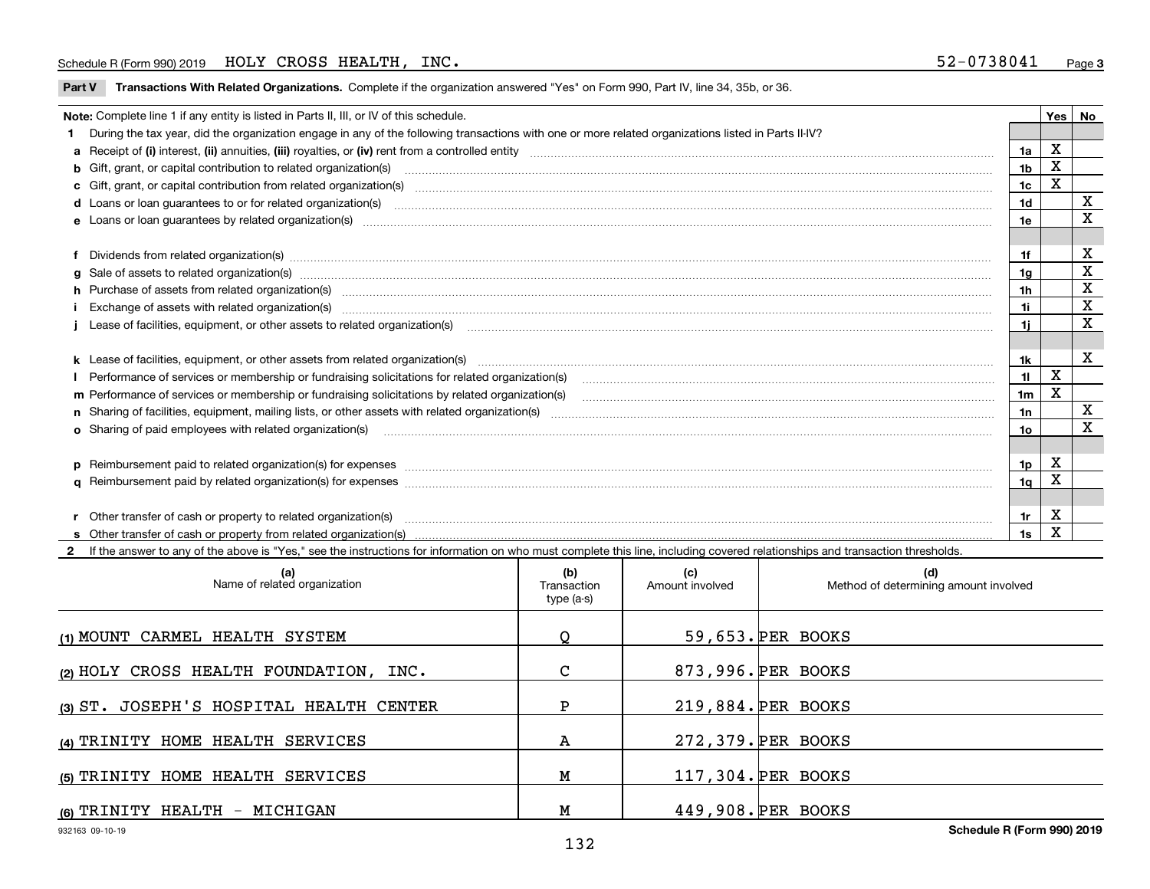## Schedule R (Form 990) 2019  ${\rm HOLY}$  CROSS  ${\rm HEALTH}$  ,  ${\rm INC.}$  . The set of the set of the set of the set of the set of the set of the set of the set of the set of the set of the set of the set of the set of the set of the

**Part V** T**ransactions With Related Organizations.** Complete if the organization answered "Yes" on Form 990, Part IV, line 34, 35b, or 36.

| Note: Complete line 1 if any entity is listed in Parts II, III, or IV of this schedule. |                                                                                                                                                                                                                                |     |   |   |
|-----------------------------------------------------------------------------------------|--------------------------------------------------------------------------------------------------------------------------------------------------------------------------------------------------------------------------------|-----|---|---|
|                                                                                         | During the tax year, did the organization engage in any of the following transactions with one or more related organizations listed in Parts II-IV?                                                                            |     |   |   |
|                                                                                         |                                                                                                                                                                                                                                | 1a  | х |   |
|                                                                                         | b Gift, grant, or capital contribution to related organization(s) manufactured contains and contribution to related organization(s)                                                                                            | 1b  | х |   |
|                                                                                         | c Gift, grant, or capital contribution from related organization(s) material content and contribution from related organization(s) material content and content and contribution from related organization(s) material content | 1c  | х |   |
|                                                                                         |                                                                                                                                                                                                                                | 1d  |   | х |
|                                                                                         | e Loans or loan quarantees by related organization(s)                                                                                                                                                                          | 1e  |   | х |
|                                                                                         |                                                                                                                                                                                                                                |     |   |   |
|                                                                                         | f Dividends from related organization(s) material contracts and contracts are contracted as a contract of the contract of the contract of the contract of the contract of the contract of the contract of the contract of the  | 1f  |   | X |
|                                                                                         |                                                                                                                                                                                                                                | 1g  |   | X |
|                                                                                         | h Purchase of assets from related organization(s) www.assettion.com/www.assettion.com/www.assettion.com/www.assettion.com/www.assettion.com/www.assettion.com/www.assettion.com/www.assettion.com/www.assettion.com/www.assett | 1h  |   | х |
|                                                                                         |                                                                                                                                                                                                                                | 1i. |   | х |
|                                                                                         |                                                                                                                                                                                                                                | 1i. |   | x |
|                                                                                         |                                                                                                                                                                                                                                |     |   |   |
|                                                                                         |                                                                                                                                                                                                                                | 1k. |   | X |
|                                                                                         | Performance of services or membership or fundraising solicitations for related organization(s)                                                                                                                                 | 11  | X |   |
|                                                                                         | m Performance of services or membership or fundraising solicitations by related organization(s)                                                                                                                                | 1m  | X |   |
|                                                                                         |                                                                                                                                                                                                                                | 1n  |   | x |
|                                                                                         | <b>o</b> Sharing of paid employees with related organization(s)                                                                                                                                                                | 1о  |   | X |
|                                                                                         |                                                                                                                                                                                                                                |     |   |   |
|                                                                                         | p Reimbursement paid to related organization(s) for expenses [111] production in the content of the content of the content of the content of the content of the content of the content of the content of the content of the co | 1p  | х |   |
|                                                                                         |                                                                                                                                                                                                                                | 1q  |   |   |
|                                                                                         |                                                                                                                                                                                                                                |     |   |   |
|                                                                                         |                                                                                                                                                                                                                                | 1r. | х |   |
|                                                                                         |                                                                                                                                                                                                                                | 1s  | X |   |

**2**If the answer to any of the above is "Yes," see the instructions for information on who must complete this line, including covered relationships and transaction thresholds. **(a) (b) (c) (d) (1)**MOUNT CARMEL HEALTH SYSTEM **(2)**HOLY CROSS HEALTH FOUNDATION, INC. **(3)**ST. JOSEPH'S HOSPITAL HEALTH CENTER **(4)**TRINITY HOME HEALTH SERVICES **(5)**TRINITY HOME HEALTH SERVICES **(6)**TRINITY HEALTH - MICHIGAN Name of related organization  $\vert$  Transaction type (a-s) Amount involved | Method of determining amount involved 59,653. PER BOOKS 873,996. PER BOOKS 219,884. PER BOOKS 272,379. PER BOOKS 117,304. PER BOOKS 449,908. PER BOOKS Q C P A M M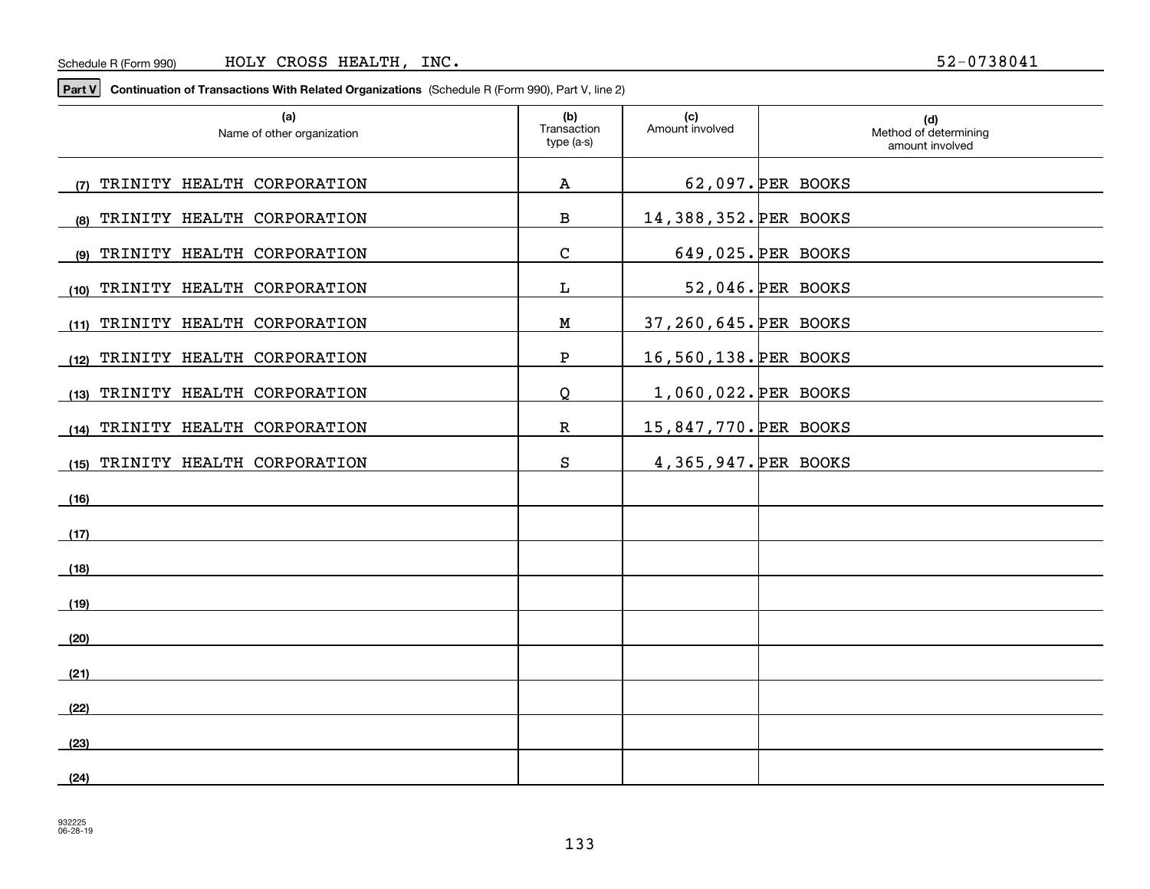**Part V Continuation of Transactions With Related Organizations**  (Schedule R (Form 990), Part V, line 2)

| (a)<br>Name of other organization  | (b)<br>Transaction<br>type (a-s) | (c)<br>Amount involved | (d)<br>Method of determining<br>amount involved |
|------------------------------------|----------------------------------|------------------------|-------------------------------------------------|
| TRINITY HEALTH CORPORATION<br>(7)  | A                                |                        | 62,097. PER BOOKS                               |
| TRINITY HEALTH CORPORATION<br>(8)  | $\, {\bf B}$                     | 14,388,352. PER BOOKS  |                                                 |
| TRINITY HEALTH CORPORATION<br>(9)  | $\mathbf C$                      |                        | 649,025. PER BOOKS                              |
| TRINITY HEALTH CORPORATION<br>(10) | L                                |                        | 52,046. PER BOOKS                               |
| (11) TRINITY HEALTH CORPORATION    | ${\bf M}$                        | 37,260,645. PER BOOKS  |                                                 |
| TRINITY HEALTH CORPORATION<br>(12) | ${\bf P}$                        | 16,560,138. PER BOOKS  |                                                 |
| (13) TRINITY HEALTH CORPORATION    | Q                                | 1,060,022. PER BOOKS   |                                                 |
| (14) TRINITY HEALTH CORPORATION    | $\mathbb{R}$                     | 15,847,770. PER BOOKS  |                                                 |
| TRINITY HEALTH CORPORATION<br>(15) | S                                | 4,365,947. PER BOOKS   |                                                 |
| (16)                               |                                  |                        |                                                 |
| (17)                               |                                  |                        |                                                 |
| (18)                               |                                  |                        |                                                 |
| (19)                               |                                  |                        |                                                 |
| (20)                               |                                  |                        |                                                 |
| (21)                               |                                  |                        |                                                 |
| (22)                               |                                  |                        |                                                 |
| (23)                               |                                  |                        |                                                 |
| (24)                               |                                  |                        |                                                 |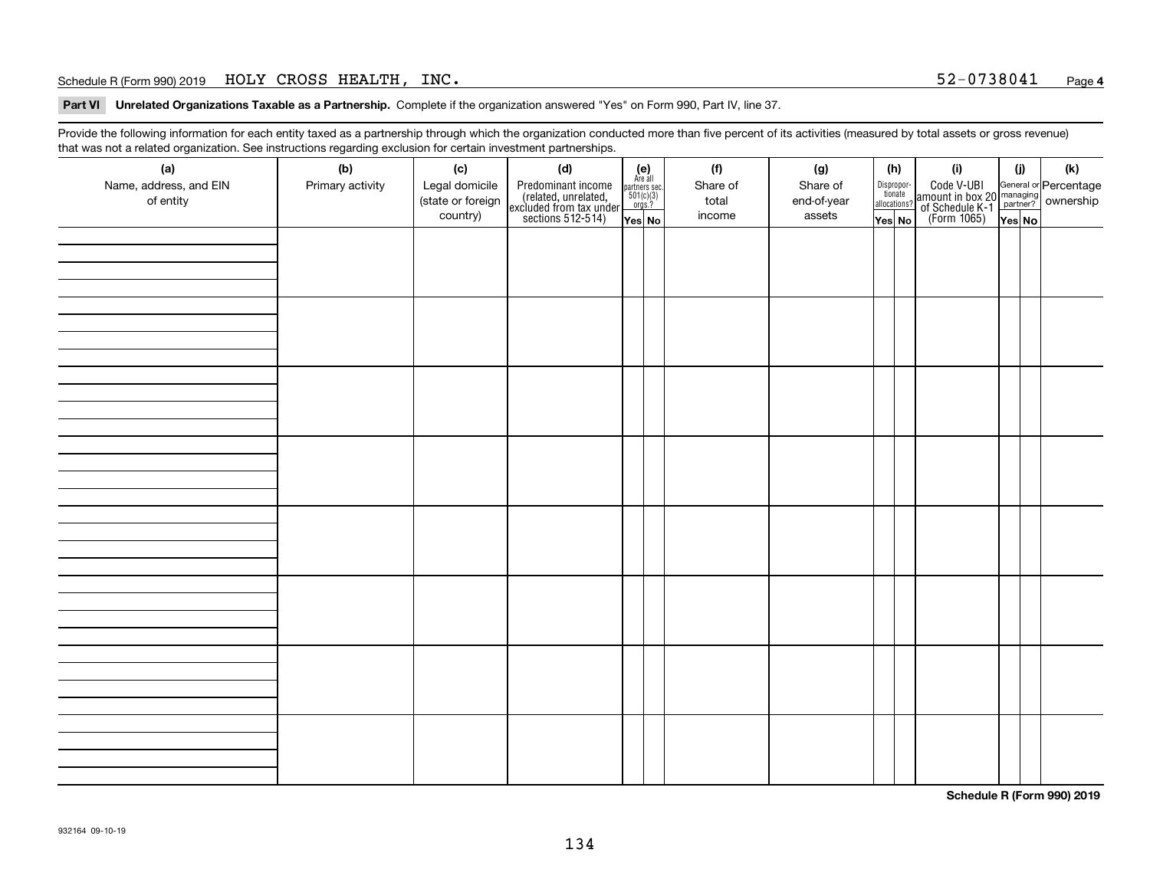## Schedule R (Form 990) 2019  ${\rm HOLY}$   ${\rm CROS}$   ${\rm HEALTH}$  ,  ${\rm INC.}$   ${\rm NCC}$  ,  ${\rm NCC}$  ,  ${\rm NCC}$  ,  ${\rm NCC}$  ,  ${\rm NCC}$  ,  ${\rm NCC}$  ,  ${\rm NCC}$  ,  ${\rm NCC}$  ,  ${\rm NCC}$  ,  ${\rm NCC}$  ,  ${\rm NCC}$  ,  ${\rm NCC}$  ,  ${\rm NCC}$  ,  ${\rm NCC}$  ,  ${\rm NCC}$  ,  ${\rm NCC}$

**Part VI Unrelated Organizations Taxable as a Partnership. Complete if the organization answered "Yes" on Form 990, Part IV, line 37.** 

Provide the following information for each entity taxed as a partnership through which the organization conducted more than five percent of its activities (measured by total assets or gross revenue) that was not a related organization. See instructions regarding exclusion for certain investment partnerships.

| (a)<br>Name, address, and EIN<br>of entity | ັ<br>(b)<br>Primary activity | (c)<br>Legal domicile<br>(state or foreign<br>country) | (d)<br>Predominant income<br>(related, unrelated,<br>excluded from tax under<br>sections 512-514) | $(e)$<br>Are all<br>partners sec.<br>501(c)(3)<br>orgs.?<br>Yes No | (f)<br>Share of<br>total<br>income | (g)<br>Share of<br>end-of-year<br>assets | (h)<br>Dispropor-<br>tionate<br>allocations?<br>Yes No | (i)<br>Code V-UBI<br>  amount in box 20 managing<br>  of Schedule K-1 partner? ownership<br>  of Schedule K-1 partner? ownership<br>  Yes No | (i)<br>Yes No | $(\mathsf{k})$ |
|--------------------------------------------|------------------------------|--------------------------------------------------------|---------------------------------------------------------------------------------------------------|--------------------------------------------------------------------|------------------------------------|------------------------------------------|--------------------------------------------------------|----------------------------------------------------------------------------------------------------------------------------------------------|---------------|----------------|
|                                            |                              |                                                        |                                                                                                   |                                                                    |                                    |                                          |                                                        |                                                                                                                                              |               |                |
|                                            |                              |                                                        |                                                                                                   |                                                                    |                                    |                                          |                                                        |                                                                                                                                              |               |                |
|                                            |                              |                                                        |                                                                                                   |                                                                    |                                    |                                          |                                                        |                                                                                                                                              |               |                |
|                                            |                              |                                                        |                                                                                                   |                                                                    |                                    |                                          |                                                        |                                                                                                                                              |               |                |
|                                            |                              |                                                        |                                                                                                   |                                                                    |                                    |                                          |                                                        |                                                                                                                                              |               |                |
|                                            |                              |                                                        |                                                                                                   |                                                                    |                                    |                                          |                                                        |                                                                                                                                              |               |                |
|                                            |                              |                                                        |                                                                                                   |                                                                    |                                    |                                          |                                                        |                                                                                                                                              |               |                |
|                                            |                              |                                                        |                                                                                                   |                                                                    |                                    |                                          |                                                        |                                                                                                                                              |               |                |

**Schedule R (Form 990) 2019**